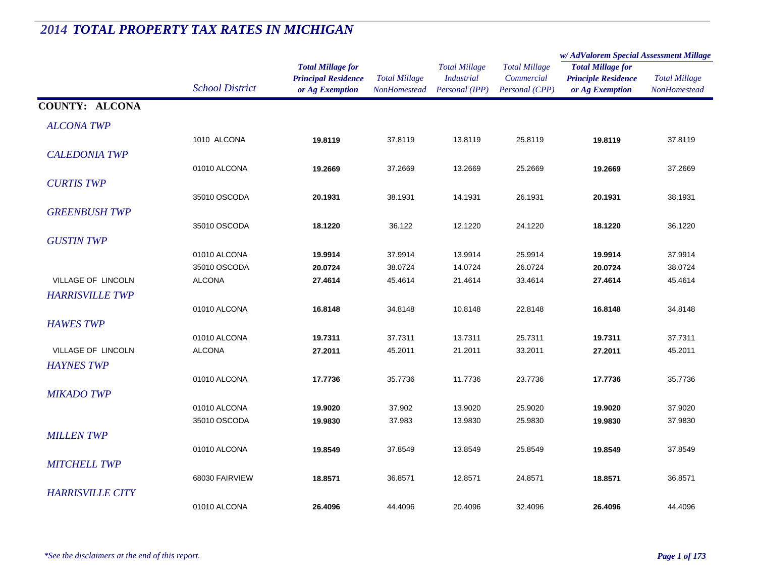#### *Total Millage for Principal Residence School District or Ag Exemption Total Millage NonHomesteadTotal Millage for Principle Residence or Ag Exemption Total Millage NonHomesteadw/ AdValorem Special Assessment Millage Total Millage CommercialPersonal (CPP) Total Millage IndustrialPersonal (IPP)* **COUNTY: ALCONA***ALCONA TWP* $P$ 1010 ALCONA **19.8119** 37.8119 13.8119 25.8119 **19.8119** 37.8119 *CALEDONIA TWP* $P$ 01010 ALCONA **19.2669** 37.2669 13.2669 25.2669 **19.2669** 37.2669 *CURTIS TWP* $P$ 35010 OSCODA **20.1931** 38.1931 14.1931 26.1931 **20.1931** 38.1931 *GREENBUSH TWP* $P$ 35010 OSCODA **18.1220** 36.122 12.1220 24.1220 **18.1220** 36.1220 *GUSTIN TWP* $P$ 01010 ALCONA **19.9914** 37.9914 13.9914 25.9914 **19.9914** 37.9914 35010 OSCODA **20.0724** 38.0724 14.0724 26.0724 **20.0724** 38.0724 VILLAGE OF LINCOLN ALCONA **27.4614** 45.4614 21.4614 33.4614 **27.4614** 45.4614 *HARRISVILLE TWP* $P$ 01010 ALCONA **16.8148** 34.8148 10.8148 22.8148 **16.8148** 34.8148 *HAWES TWP* $P$ 01010 ALCONA **19.7311** 37.7311 13.7311 25.7311 **19.7311** 37.7311 VILLAGE OF LINCOLN ALCONA **27.2011** 45.2011 21.2011 33.2011 **27.2011** 45.2011 *HAYNES TWP* $P$ 01010 ALCONA **17.7736** 35.7736 11.7736 23.7736 **17.7736** 35.7736 *MIKADO TWP* $P$ 01010 ALCONA **19.9020** 37.902 13.9020 25.9020 **19.9020** 37.9020 35010 OSCODA **19.9830** 37.983 13.9830 25.9830 **19.9830** 37.9830 *MILLEN TWP* $P$ 01010 ALCONA **19.8549** 37.8549 13.8549 25.8549 **19.8549** 37.8549 *MITCHELL TWP* $P$ 68030 FAIRVIEW **18.8571** 36.8571 12.8571 24.8571 **18.8571** 36.8571 *HARRISVILLE CITY* $\boldsymbol{Y}$ 01010 ALCONA **26.4096**44.4096 20.4096 32.4096 **26.4096** 44.4096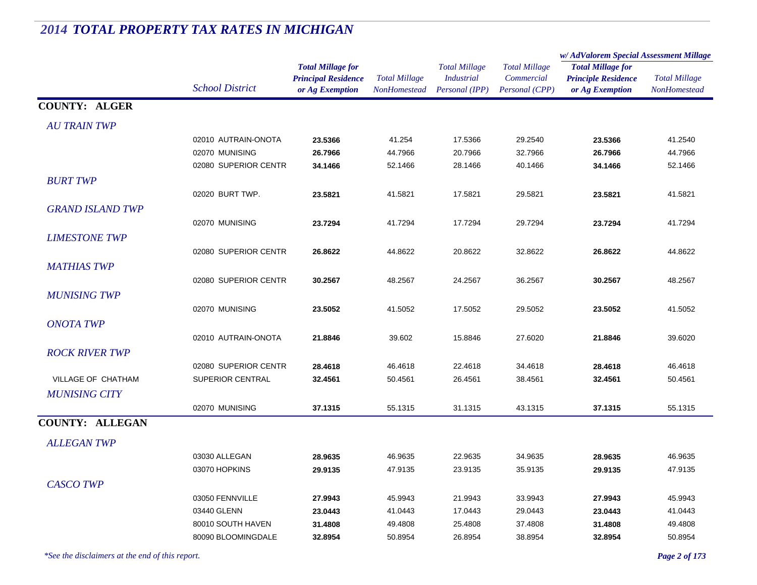#### *Total Millage for Principal Residence School District or Ag Exemption Total Millage NonHomesteadTotal Millage for Principle Residence or Ag Exemption Total Millage NonHomesteadw/ AdValorem Special Assessment Millage Total Millage CommercialPersonal (CPP) Total Millage IndustrialPersonal (IPP)* **COUNTY: ALGER***AU TRAIN TWP* $P$ 02010 AUTRAIN-ONOTA **23.5366** 41.254 17.5366 29.2540 **23.5366** 41.2540 02070 MUNISING **26.7966** 44.7966 20.7966 32.7966 **26.7966** 44.7966 02080 SUPERIOR CENTR **34.1466** 52.1466 28.1466 40.1466 **34.1466** 52.1466 *BURT TWP* $P$ 02020 BURT TWP. **23.5821** 41.5821 17.5821 29.5821 **23.5821** 41.5821 *GRAND ISLAND TWP* $P$ 02070 MUNISING **23.7294** 41.7294 17.7294 29.7294 **23.7294** 41.7294 *LIMESTONE TWP* $P$ 02080 SUPERIOR CENTR **26.8622** 44.8622 20.8622 32.8622 **26.8622** 44.8622 *MATHIAS TWP* $P$ 02080 SUPERIOR CENTR **30.2567** 48.2567 24.2567 36.2567 **30.2567** 48.2567 *MUNISING TWP* $P$ 02070 MUNISING **23.5052** 41.5052 17.5052 29.5052 **23.5052** 41.5052 *ONOTA TWP* $P$ 02010 AUTRAIN-ONOTA **21.8846** 39.602 15.8846 27.6020 **21.8846** 39.6020 *ROCK RIVER TWP* $P$ 02080 SUPERIOR CENTR **28.4618** 46.4618 22.4618 34.4618 **28.4618** 46.4618 VILLAGE OF CHATHAM SUPERIOR CENTRAL **32.4561** 50.4561 26.4561 38.4561 **32.4561** 50.4561 *MUNISING CITY* $\mathbf{Y}$ 02070 MUNISING **37.1315** 55.1315 31.1315 43.1315 **37.1315** 55.1315 **COUNTY: ALLEGAN***ALLEGAN TWP* $P$ 03030 ALLEGAN **28.9635** 46.9635 22.9635 34.9635 **28.9635** 46.9635 03070 HOPKINS **29.9135** 47.9135 23.9135 35.9135 **29.9135** 47.9135 *CASCO TWP* $P$ 03050 FENNVILLE **27.9943** 45.9943 21.9943 33.9943 **27.9943** 45.9943 03440 GLENN **23.0443** 41.0443 17.0443 29.0443 **23.0443** 41.0443 80010 SOUTH HAVEN **31.4808** 49.4808 25.4808 37.4808 **31.4808** 49.4808 80090 BLOOMINGDALE **32.8954**50.8954 26.8954 38.8954 **32.8954** 50.8954

# *2014 TOTAL PROPERTY TAX RATES IN MICHIGAN*

*\*See the disclaimers at the end of this report. Page 2 of 173*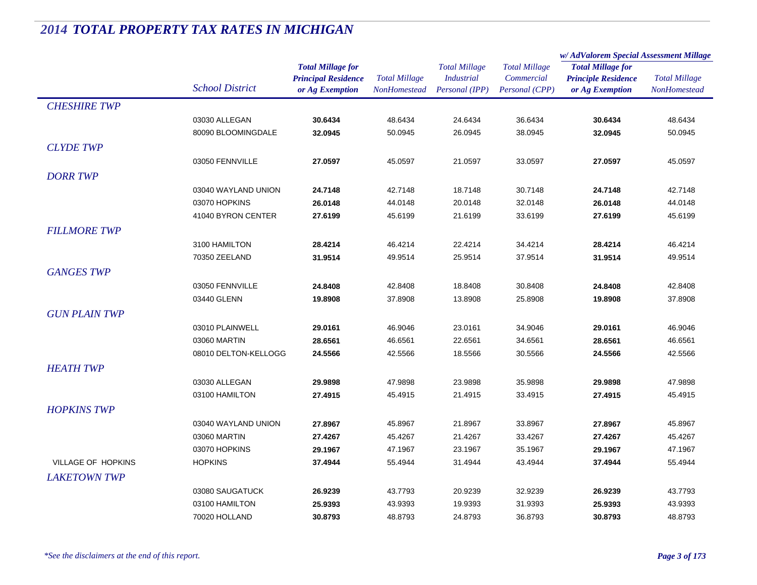|                           |                        |                            |                      | <b>Total Millage</b> | <b>Total Millage</b><br>Commercial | w/AdValorem Special Assessment Millage                 |                      |
|---------------------------|------------------------|----------------------------|----------------------|----------------------|------------------------------------|--------------------------------------------------------|----------------------|
|                           |                        | <b>Total Millage for</b>   |                      |                      |                                    | <b>Total Millage for</b><br><b>Principle Residence</b> | <b>Total Millage</b> |
|                           | <b>School District</b> | <b>Principal Residence</b> | <b>Total Millage</b> | <i>Industrial</i>    |                                    |                                                        |                      |
|                           |                        | or Ag Exemption            | <b>NonHomestead</b>  | Personal (IPP)       | Personal (CPP)                     | or Ag Exemption                                        | <b>NonHomestead</b>  |
| <b>CHESHIRE TWP</b>       |                        |                            |                      |                      |                                    |                                                        |                      |
|                           | 03030 ALLEGAN          | 30.6434                    | 48.6434              | 24.6434              | 36.6434                            | 30.6434                                                | 48.6434              |
|                           | 80090 BLOOMINGDALE     | 32.0945                    | 50.0945              | 26.0945              | 38.0945                            | 32.0945                                                | 50.0945              |
| <b>CLYDE TWP</b>          |                        |                            |                      |                      |                                    |                                                        |                      |
|                           | 03050 FENNVILLE        | 27.0597                    | 45.0597              | 21.0597              | 33.0597                            | 27.0597                                                | 45.0597              |
| <b>DORR TWP</b>           |                        |                            |                      |                      |                                    |                                                        |                      |
|                           | 03040 WAYLAND UNION    | 24.7148                    | 42.7148              | 18.7148              | 30.7148                            | 24.7148                                                | 42.7148              |
|                           | 03070 HOPKINS          | 26.0148                    | 44.0148              | 20.0148              | 32.0148                            | 26.0148                                                | 44.0148              |
|                           | 41040 BYRON CENTER     | 27.6199                    | 45.6199              | 21.6199              | 33.6199                            | 27.6199                                                | 45.6199              |
|                           |                        |                            |                      |                      |                                    |                                                        |                      |
| <b>FILLMORE TWP</b>       |                        |                            |                      |                      |                                    |                                                        |                      |
|                           | 3100 HAMILTON          | 28.4214                    | 46.4214              | 22.4214              | 34.4214                            | 28.4214                                                | 46.4214              |
|                           | 70350 ZEELAND          | 31.9514                    | 49.9514              | 25.9514              | 37.9514                            | 31.9514                                                | 49.9514              |
| <b>GANGES TWP</b>         |                        |                            |                      |                      |                                    |                                                        |                      |
|                           | 03050 FENNVILLE        | 24.8408                    | 42.8408              | 18.8408              | 30.8408                            | 24.8408                                                | 42.8408              |
|                           | 03440 GLENN            | 19.8908                    | 37.8908              | 13.8908              | 25.8908                            | 19.8908                                                | 37.8908              |
| <b>GUN PLAIN TWP</b>      |                        |                            |                      |                      |                                    |                                                        |                      |
|                           | 03010 PLAINWELL        | 29.0161                    | 46.9046              | 23.0161              | 34.9046                            | 29.0161                                                | 46.9046              |
|                           | 03060 MARTIN           | 28.6561                    | 46.6561              | 22.6561              | 34.6561                            | 28.6561                                                | 46.6561              |
|                           | 08010 DELTON-KELLOGG   | 24.5566                    | 42.5566              | 18.5566              | 30.5566                            | 24.5566                                                | 42.5566              |
| <b>HEATH TWP</b>          |                        |                            |                      |                      |                                    |                                                        |                      |
|                           | 03030 ALLEGAN          | 29.9898                    | 47.9898              | 23.9898              | 35.9898                            | 29.9898                                                | 47.9898              |
|                           | 03100 HAMILTON         | 27.4915                    | 45.4915              | 21.4915              | 33.4915                            | 27.4915                                                | 45.4915              |
| <b>HOPKINS TWP</b>        |                        |                            |                      |                      |                                    |                                                        |                      |
|                           | 03040 WAYLAND UNION    | 27.8967                    | 45.8967              | 21.8967              | 33.8967                            | 27.8967                                                | 45.8967              |
|                           | 03060 MARTIN           | 27.4267                    | 45.4267              | 21.4267              | 33.4267                            | 27.4267                                                | 45.4267              |
|                           | 03070 HOPKINS          | 29.1967                    | 47.1967              | 23.1967              | 35.1967                            | 29.1967                                                | 47.1967              |
| <b>VILLAGE OF HOPKINS</b> | <b>HOPKINS</b>         | 37.4944                    | 55.4944              | 31.4944              | 43.4944                            | 37.4944                                                | 55.4944              |
|                           |                        |                            |                      |                      |                                    |                                                        |                      |
| <b>LAKETOWN TWP</b>       |                        |                            |                      |                      |                                    |                                                        |                      |
|                           | 03080 SAUGATUCK        | 26.9239                    | 43.7793              | 20.9239              | 32.9239                            | 26.9239                                                | 43.7793              |
|                           | 03100 HAMILTON         | 25.9393                    | 43.9393              | 19.9393              | 31.9393                            | 25.9393                                                | 43.9393              |
|                           | 70020 HOLLAND          | 30.8793                    | 48.8793              | 24.8793              | 36.8793                            | 30.8793                                                | 48.8793              |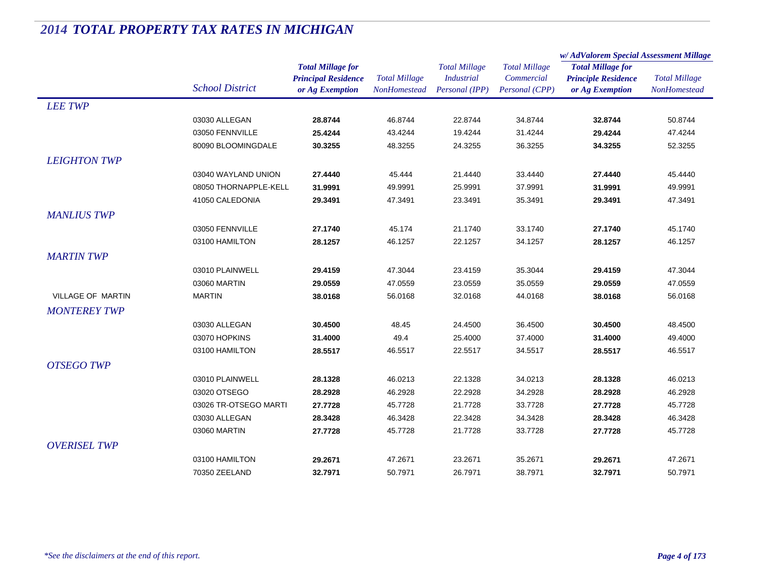|                     |                        |                                                                           |                                             |                                                             |                                                      | w/AdValorem Special Assessment Millage                                    |                                      |
|---------------------|------------------------|---------------------------------------------------------------------------|---------------------------------------------|-------------------------------------------------------------|------------------------------------------------------|---------------------------------------------------------------------------|--------------------------------------|
|                     | <b>School District</b> | <b>Total Millage for</b><br><b>Principal Residence</b><br>or Ag Exemption | <b>Total Millage</b><br><b>NonHomestead</b> | <b>Total Millage</b><br><b>Industrial</b><br>Personal (IPP) | <b>Total Millage</b><br>Commercial<br>Personal (CPP) | <b>Total Millage for</b><br><b>Principle Residence</b><br>or Ag Exemption | <b>Total Millage</b><br>NonHomestead |
| <b>LEE TWP</b>      |                        |                                                                           |                                             |                                                             |                                                      |                                                                           |                                      |
|                     | 03030 ALLEGAN          | 28.8744                                                                   | 46.8744                                     | 22.8744                                                     | 34.8744                                              | 32.8744                                                                   | 50.8744                              |
|                     | 03050 FENNVILLE        | 25.4244                                                                   | 43.4244                                     | 19.4244                                                     | 31.4244                                              | 29.4244                                                                   | 47.4244                              |
|                     | 80090 BLOOMINGDALE     | 30.3255                                                                   | 48.3255                                     | 24.3255                                                     | 36.3255                                              | 34.3255                                                                   | 52.3255                              |
| <b>LEIGHTON TWP</b> |                        |                                                                           |                                             |                                                             |                                                      |                                                                           |                                      |
|                     | 03040 WAYLAND UNION    | 27.4440                                                                   | 45.444                                      | 21.4440                                                     | 33.4440                                              | 27.4440                                                                   | 45.4440                              |
|                     | 08050 THORNAPPLE-KELL  | 31.9991                                                                   | 49.9991                                     | 25.9991                                                     | 37.9991                                              | 31.9991                                                                   | 49.9991                              |
|                     | 41050 CALEDONIA        | 29.3491                                                                   | 47.3491                                     | 23.3491                                                     | 35.3491                                              | 29.3491                                                                   | 47.3491                              |
| <b>MANLIUS TWP</b>  |                        |                                                                           |                                             |                                                             |                                                      |                                                                           |                                      |
|                     | 03050 FENNVILLE        | 27.1740                                                                   | 45.174                                      | 21.1740                                                     | 33.1740                                              | 27.1740                                                                   | 45.1740                              |
|                     | 03100 HAMILTON         | 28.1257                                                                   | 46.1257                                     | 22.1257                                                     | 34.1257                                              | 28.1257                                                                   | 46.1257                              |
| <b>MARTIN TWP</b>   |                        |                                                                           |                                             |                                                             |                                                      |                                                                           |                                      |
|                     | 03010 PLAINWELL        | 29.4159                                                                   | 47.3044                                     | 23.4159                                                     | 35.3044                                              | 29.4159                                                                   | 47.3044                              |
|                     | 03060 MARTIN           | 29.0559                                                                   | 47.0559                                     | 23.0559                                                     | 35.0559                                              | 29.0559                                                                   | 47.0559                              |
| VILLAGE OF MARTIN   | <b>MARTIN</b>          | 38.0168                                                                   | 56.0168                                     | 32.0168                                                     | 44.0168                                              | 38.0168                                                                   | 56.0168                              |
| <b>MONTEREY TWP</b> |                        |                                                                           |                                             |                                                             |                                                      |                                                                           |                                      |
|                     | 03030 ALLEGAN          | 30.4500                                                                   | 48.45                                       | 24.4500                                                     | 36.4500                                              | 30.4500                                                                   | 48.4500                              |
|                     | 03070 HOPKINS          | 31.4000                                                                   | 49.4                                        | 25.4000                                                     | 37.4000                                              | 31.4000                                                                   | 49.4000                              |
|                     | 03100 HAMILTON         | 28.5517                                                                   | 46.5517                                     | 22.5517                                                     | 34.5517                                              | 28.5517                                                                   | 46.5517                              |
| <b>OTSEGO TWP</b>   |                        |                                                                           |                                             |                                                             |                                                      |                                                                           |                                      |
|                     | 03010 PLAINWELL        | 28.1328                                                                   | 46.0213                                     | 22.1328                                                     | 34.0213                                              | 28.1328                                                                   | 46.0213                              |
|                     | 03020 OTSEGO           | 28.2928                                                                   | 46.2928                                     | 22.2928                                                     | 34.2928                                              | 28.2928                                                                   | 46.2928                              |
|                     | 03026 TR-OTSEGO MARTI  | 27.7728                                                                   | 45.7728                                     | 21.7728                                                     | 33.7728                                              | 27.7728                                                                   | 45.7728                              |
|                     | 03030 ALLEGAN          | 28.3428                                                                   | 46.3428                                     | 22.3428                                                     | 34.3428                                              | 28.3428                                                                   | 46.3428                              |
|                     | 03060 MARTIN           | 27.7728                                                                   | 45.7728                                     | 21.7728                                                     | 33.7728                                              | 27.7728                                                                   | 45.7728                              |
| <b>OVERISEL TWP</b> |                        |                                                                           |                                             |                                                             |                                                      |                                                                           |                                      |
|                     | 03100 HAMILTON         | 29.2671                                                                   | 47.2671                                     | 23.2671                                                     | 35.2671                                              | 29.2671                                                                   | 47.2671                              |
|                     | 70350 ZEELAND          | 32.7971                                                                   | 50.7971                                     | 26.7971                                                     | 38.7971                                              | 32.7971                                                                   | 50.7971                              |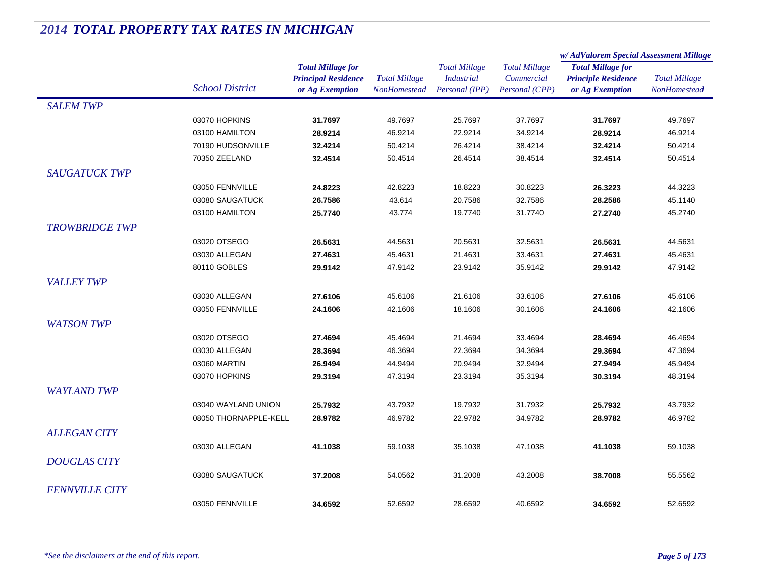|                       |                        | <b>Total Millage for</b>   | <b>Total Millage</b><br><b>NonHomestead</b> | <b>Total Millage</b> | <b>Total Millage</b> | w/AdValorem Special Assessment Millage                                    |                      |
|-----------------------|------------------------|----------------------------|---------------------------------------------|----------------------|----------------------|---------------------------------------------------------------------------|----------------------|
|                       |                        |                            |                                             |                      |                      | <b>Total Millage for</b><br><b>Principle Residence</b><br>or Ag Exemption | <b>Total Millage</b> |
|                       |                        | <b>Principal Residence</b> |                                             | <b>Industrial</b>    | Commercial           |                                                                           |                      |
|                       | <b>School District</b> | or Ag Exemption            |                                             | Personal (IPP)       | Personal (CPP)       |                                                                           | <b>NonHomestead</b>  |
| <b>SALEM TWP</b>      |                        |                            |                                             |                      |                      |                                                                           |                      |
|                       | 03070 HOPKINS          | 31.7697                    | 49.7697                                     | 25.7697              | 37.7697              | 31.7697                                                                   | 49.7697              |
|                       | 03100 HAMILTON         | 28.9214                    | 46.9214                                     | 22.9214              | 34.9214              | 28.9214                                                                   | 46.9214              |
|                       | 70190 HUDSONVILLE      | 32.4214                    | 50.4214                                     | 26.4214              | 38.4214              | 32.4214                                                                   | 50.4214              |
|                       | 70350 ZEELAND          | 32.4514                    | 50.4514                                     | 26.4514              | 38.4514              | 32.4514                                                                   | 50.4514              |
| <b>SAUGATUCK TWP</b>  |                        |                            |                                             |                      |                      |                                                                           |                      |
|                       | 03050 FENNVILLE        | 24.8223                    | 42.8223                                     | 18.8223              | 30.8223              | 26.3223                                                                   | 44.3223              |
|                       | 03080 SAUGATUCK        | 26.7586                    | 43.614                                      | 20.7586              | 32.7586              | 28.2586                                                                   | 45.1140              |
|                       | 03100 HAMILTON         | 25.7740                    | 43.774                                      | 19.7740              | 31.7740              | 27.2740                                                                   | 45.2740              |
| <b>TROWBRIDGE TWP</b> |                        |                            |                                             |                      |                      |                                                                           |                      |
|                       | 03020 OTSEGO           | 26.5631                    | 44.5631                                     | 20.5631              | 32.5631              | 26.5631                                                                   | 44.5631              |
|                       | 03030 ALLEGAN          | 27.4631                    | 45.4631                                     | 21.4631              | 33.4631              | 27.4631                                                                   | 45.4631              |
|                       | 80110 GOBLES           | 29.9142                    | 47.9142                                     | 23.9142              | 35.9142              | 29.9142                                                                   | 47.9142              |
| <b>VALLEY TWP</b>     |                        |                            |                                             |                      |                      |                                                                           |                      |
|                       | 03030 ALLEGAN          | 27.6106                    | 45.6106                                     | 21.6106              | 33.6106              | 27.6106                                                                   | 45.6106              |
|                       | 03050 FENNVILLE        | 24.1606                    | 42.1606                                     | 18.1606              | 30.1606              | 24.1606                                                                   | 42.1606              |
| <b>WATSON TWP</b>     |                        |                            |                                             |                      |                      |                                                                           |                      |
|                       | 03020 OTSEGO           | 27.4694                    | 45.4694                                     |                      | 33.4694              | 28.4694                                                                   |                      |
|                       | 03030 ALLEGAN          | 28.3694                    | 46.3694                                     | 21.4694              |                      | 29.3694                                                                   | 46.4694<br>47.3694   |
|                       | 03060 MARTIN           | 26.9494                    | 44.9494                                     | 22.3694<br>20.9494   | 34.3694<br>32.9494   | 27.9494                                                                   | 45.9494              |
|                       | 03070 HOPKINS          | 29.3194                    | 47.3194                                     | 23.3194              | 35.3194              | 30.3194                                                                   | 48.3194              |
|                       |                        |                            |                                             |                      |                      |                                                                           |                      |
| <b>WAYLAND TWP</b>    |                        |                            |                                             |                      |                      |                                                                           |                      |
|                       | 03040 WAYLAND UNION    | 25.7932                    | 43.7932                                     | 19.7932              | 31.7932              | 25.7932                                                                   | 43.7932              |
|                       | 08050 THORNAPPLE-KELL  | 28.9782                    | 46.9782                                     | 22.9782              | 34.9782              | 28.9782                                                                   | 46.9782              |
| <b>ALLEGAN CITY</b>   |                        |                            |                                             |                      |                      |                                                                           |                      |
|                       | 03030 ALLEGAN          | 41.1038                    | 59.1038                                     | 35.1038              | 47.1038              | 41.1038                                                                   | 59.1038              |
| <b>DOUGLAS CITY</b>   |                        |                            |                                             |                      |                      |                                                                           |                      |
|                       | 03080 SAUGATUCK        | 37.2008                    | 54.0562                                     | 31.2008              | 43.2008              | 38.7008                                                                   | 55.5562              |
| <b>FENNVILLE CITY</b> |                        |                            |                                             |                      |                      |                                                                           |                      |
|                       | 03050 FENNVILLE        | 34.6592                    | 52.6592                                     | 28.6592              | 40.6592              | 34.6592                                                                   | 52.6592              |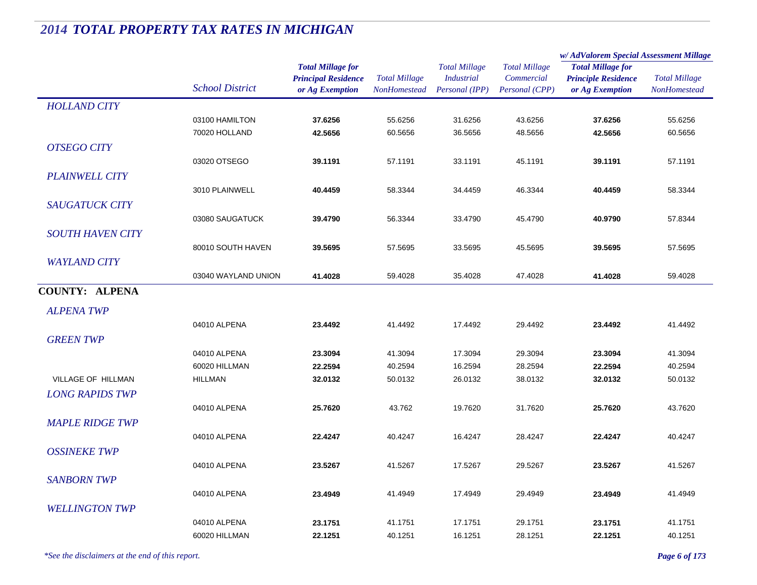|                           |                        | <b>Total Millage for</b>                      |                                             | <b>Total Millage</b>                | <b>Total Millage</b>         | w/ AdValorem Special Assessment Millage<br><b>Total Millage for</b> |                                             |
|---------------------------|------------------------|-----------------------------------------------|---------------------------------------------|-------------------------------------|------------------------------|---------------------------------------------------------------------|---------------------------------------------|
|                           | <b>School District</b> | <b>Principal Residence</b><br>or Ag Exemption | <b>Total Millage</b><br><b>NonHomestead</b> | <b>Industrial</b><br>Personal (IPP) | Commercial<br>Personal (CPP) | <b>Principle Residence</b><br>or Ag Exemption                       | <b>Total Millage</b><br><b>NonHomestead</b> |
| <b>HOLLAND CITY</b>       |                        |                                               |                                             |                                     |                              |                                                                     |                                             |
|                           | 03100 HAMILTON         | 37.6256                                       | 55.6256                                     | 31.6256                             | 43.6256                      | 37.6256                                                             | 55.6256                                     |
|                           | 70020 HOLLAND          | 42.5656                                       | 60.5656                                     | 36.5656                             | 48.5656                      | 42.5656                                                             | 60.5656                                     |
| <b>OTSEGO CITY</b>        |                        |                                               |                                             |                                     |                              |                                                                     |                                             |
|                           | 03020 OTSEGO           | 39.1191                                       | 57.1191                                     | 33.1191                             | 45.1191                      | 39.1191                                                             | 57.1191                                     |
| <b>PLAINWELL CITY</b>     |                        |                                               |                                             |                                     |                              |                                                                     |                                             |
|                           | 3010 PLAINWELL         | 40.4459                                       | 58.3344                                     | 34.4459                             | 46.3344                      | 40.4459                                                             | 58.3344                                     |
| SAUGATUCK CITY            |                        |                                               |                                             |                                     |                              |                                                                     |                                             |
|                           | 03080 SAUGATUCK        | 39.4790                                       | 56.3344                                     | 33.4790                             | 45.4790                      | 40.9790                                                             | 57.8344                                     |
| <b>SOUTH HAVEN CITY</b>   |                        |                                               |                                             |                                     |                              |                                                                     |                                             |
|                           | 80010 SOUTH HAVEN      | 39.5695                                       | 57.5695                                     | 33.5695                             | 45.5695                      | 39.5695                                                             | 57.5695                                     |
| <b>WAYLAND CITY</b>       |                        |                                               |                                             |                                     |                              |                                                                     |                                             |
|                           | 03040 WAYLAND UNION    | 41.4028                                       | 59.4028                                     | 35.4028                             | 47.4028                      | 41.4028                                                             | 59.4028                                     |
| <b>COUNTY: ALPENA</b>     |                        |                                               |                                             |                                     |                              |                                                                     |                                             |
| <b>ALPENA TWP</b>         |                        |                                               |                                             |                                     |                              |                                                                     |                                             |
|                           | 04010 ALPENA           | 23.4492                                       | 41.4492                                     | 17.4492                             | 29.4492                      | 23.4492                                                             | 41.4492                                     |
| <b>GREEN TWP</b>          |                        |                                               |                                             |                                     |                              |                                                                     |                                             |
|                           | 04010 ALPENA           | 23.3094                                       | 41.3094                                     | 17.3094                             | 29.3094                      | 23.3094                                                             | 41.3094                                     |
|                           | 60020 HILLMAN          | 22.2594                                       | 40.2594                                     | 16.2594                             | 28.2594                      | 22.2594                                                             | 40.2594                                     |
| <b>VILLAGE OF HILLMAN</b> | <b>HILLMAN</b>         | 32.0132                                       | 50.0132                                     | 26.0132                             | 38.0132                      | 32.0132                                                             | 50.0132                                     |
| <b>LONG RAPIDS TWP</b>    |                        |                                               |                                             |                                     |                              |                                                                     |                                             |
|                           | 04010 ALPENA           | 25.7620                                       | 43.762                                      | 19.7620                             | 31.7620                      | 25.7620                                                             | 43.7620                                     |
| <b>MAPLE RIDGE TWP</b>    |                        |                                               |                                             |                                     |                              |                                                                     |                                             |
|                           | 04010 ALPENA           | 22.4247                                       | 40.4247                                     | 16.4247                             | 28.4247                      | 22.4247                                                             | 40.4247                                     |
| <b>OSSINEKE TWP</b>       |                        |                                               |                                             |                                     |                              |                                                                     |                                             |
|                           | 04010 ALPENA           | 23.5267                                       | 41.5267                                     | 17.5267                             | 29.5267                      | 23.5267                                                             | 41.5267                                     |
| <b>SANBORN TWP</b>        |                        |                                               |                                             |                                     |                              |                                                                     |                                             |
|                           | 04010 ALPENA           | 23.4949                                       | 41.4949                                     | 17.4949                             | 29.4949                      | 23.4949                                                             | 41.4949                                     |
| <b>WELLINGTON TWP</b>     |                        |                                               |                                             |                                     |                              |                                                                     |                                             |
|                           | 04010 ALPENA           | 23.1751                                       | 41.1751                                     | 17.1751                             | 29.1751                      | 23.1751                                                             | 41.1751                                     |
|                           | 60020 HILLMAN          | 22.1251                                       | 40.1251                                     | 16.1251                             | 28.1251                      | 22.1251                                                             | 40.1251                                     |
|                           |                        |                                               |                                             |                                     |                              |                                                                     |                                             |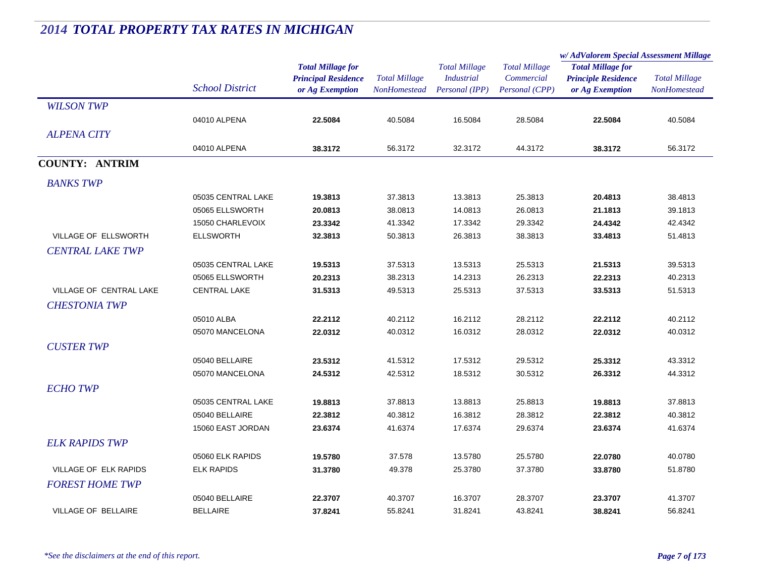|                            |                        |                                                                           |                                      |                                                             |                                                      | w/ AdValorem Special Assessment Millage                                   |                                             |
|----------------------------|------------------------|---------------------------------------------------------------------------|--------------------------------------|-------------------------------------------------------------|------------------------------------------------------|---------------------------------------------------------------------------|---------------------------------------------|
|                            | <b>School District</b> | <b>Total Millage for</b><br><b>Principal Residence</b><br>or Ag Exemption | <b>Total Millage</b><br>NonHomestead | <b>Total Millage</b><br><b>Industrial</b><br>Personal (IPP) | <b>Total Millage</b><br>Commercial<br>Personal (CPP) | <b>Total Millage for</b><br><b>Principle Residence</b><br>or Ag Exemption | <b>Total Millage</b><br><b>NonHomestead</b> |
| <b>WILSON TWP</b>          |                        |                                                                           |                                      |                                                             |                                                      |                                                                           |                                             |
|                            | 04010 ALPENA           | 22.5084                                                                   | 40.5084                              | 16.5084                                                     | 28.5084                                              | 22.5084                                                                   | 40.5084                                     |
| <b>ALPENA CITY</b>         |                        |                                                                           |                                      |                                                             |                                                      |                                                                           |                                             |
|                            | 04010 ALPENA           | 38.3172                                                                   | 56.3172                              | 32.3172                                                     | 44.3172                                              | 38.3172                                                                   | 56.3172                                     |
| <b>COUNTY: ANTRIM</b>      |                        |                                                                           |                                      |                                                             |                                                      |                                                                           |                                             |
| <b>BANKS TWP</b>           |                        |                                                                           |                                      |                                                             |                                                      |                                                                           |                                             |
|                            | 05035 CENTRAL LAKE     | 19.3813                                                                   | 37.3813                              | 13.3813                                                     | 25.3813                                              | 20.4813                                                                   | 38.4813                                     |
|                            | 05065 ELLSWORTH        | 20.0813                                                                   | 38.0813                              | 14.0813                                                     | 26.0813                                              | 21.1813                                                                   | 39.1813                                     |
|                            | 15050 CHARLEVOIX       | 23.3342                                                                   | 41.3342                              | 17.3342                                                     | 29.3342                                              | 24.4342                                                                   | 42.4342                                     |
| VILLAGE OF ELLSWORTH       | <b>ELLSWORTH</b>       | 32.3813                                                                   | 50.3813                              | 26.3813                                                     | 38.3813                                              | 33.4813                                                                   | 51.4813                                     |
| <b>CENTRAL LAKE TWP</b>    |                        |                                                                           |                                      |                                                             |                                                      |                                                                           |                                             |
|                            | 05035 CENTRAL LAKE     | 19.5313                                                                   | 37.5313                              | 13.5313                                                     | 25.5313                                              | 21.5313                                                                   | 39.5313                                     |
|                            | 05065 ELLSWORTH        | 20.2313                                                                   | 38.2313                              | 14.2313                                                     | 26.2313                                              | 22.2313                                                                   | 40.2313                                     |
| VILLAGE OF CENTRAL LAKE    | <b>CENTRAL LAKE</b>    | 31.5313                                                                   | 49.5313                              | 25.5313                                                     | 37.5313                                              | 33.5313                                                                   | 51.5313                                     |
| <b>CHESTONIA TWP</b>       |                        |                                                                           |                                      |                                                             |                                                      |                                                                           |                                             |
|                            | 05010 ALBA             | 22.2112                                                                   | 40.2112                              | 16.2112                                                     | 28.2112                                              | 22.2112                                                                   | 40.2112                                     |
|                            | 05070 MANCELONA        | 22.0312                                                                   | 40.0312                              | 16.0312                                                     | 28.0312                                              | 22.0312                                                                   | 40.0312                                     |
| <b>CUSTER TWP</b>          |                        |                                                                           |                                      |                                                             |                                                      |                                                                           |                                             |
|                            | 05040 BELLAIRE         | 23.5312                                                                   | 41.5312                              | 17.5312                                                     | 29.5312                                              | 25.3312                                                                   | 43.3312                                     |
|                            | 05070 MANCELONA        | 24.5312                                                                   | 42.5312                              | 18.5312                                                     | 30.5312                                              | 26.3312                                                                   | 44.3312                                     |
| <b>ECHO TWP</b>            |                        |                                                                           |                                      |                                                             |                                                      |                                                                           |                                             |
|                            | 05035 CENTRAL LAKE     | 19.8813                                                                   | 37.8813                              | 13.8813                                                     | 25.8813                                              | 19.8813                                                                   | 37.8813                                     |
|                            | 05040 BELLAIRE         | 22.3812                                                                   | 40.3812                              | 16.3812                                                     | 28.3812                                              | 22.3812                                                                   | 40.3812                                     |
|                            | 15060 EAST JORDAN      | 23.6374                                                                   | 41.6374                              | 17.6374                                                     | 29.6374                                              | 23.6374                                                                   | 41.6374                                     |
| <b>ELK RAPIDS TWP</b>      |                        |                                                                           |                                      |                                                             |                                                      |                                                                           |                                             |
|                            | 05060 ELK RAPIDS       | 19.5780                                                                   | 37.578                               | 13.5780                                                     | 25.5780                                              | 22.0780                                                                   | 40.0780                                     |
| VILLAGE OF ELK RAPIDS      | <b>ELK RAPIDS</b>      | 31.3780                                                                   | 49.378                               | 25.3780                                                     | 37.3780                                              | 33.8780                                                                   | 51.8780                                     |
| <b>FOREST HOME TWP</b>     |                        |                                                                           |                                      |                                                             |                                                      |                                                                           |                                             |
|                            | 05040 BELLAIRE         | 22.3707                                                                   | 40.3707                              | 16.3707                                                     | 28.3707                                              | 23.3707                                                                   | 41.3707                                     |
| <b>VILLAGE OF BELLAIRE</b> | <b>BELLAIRE</b>        | 37.8241                                                                   | 55.8241                              | 31.8241                                                     | 43.8241                                              | 38.8241                                                                   | 56.8241                                     |
|                            |                        |                                                                           |                                      |                                                             |                                                      |                                                                           |                                             |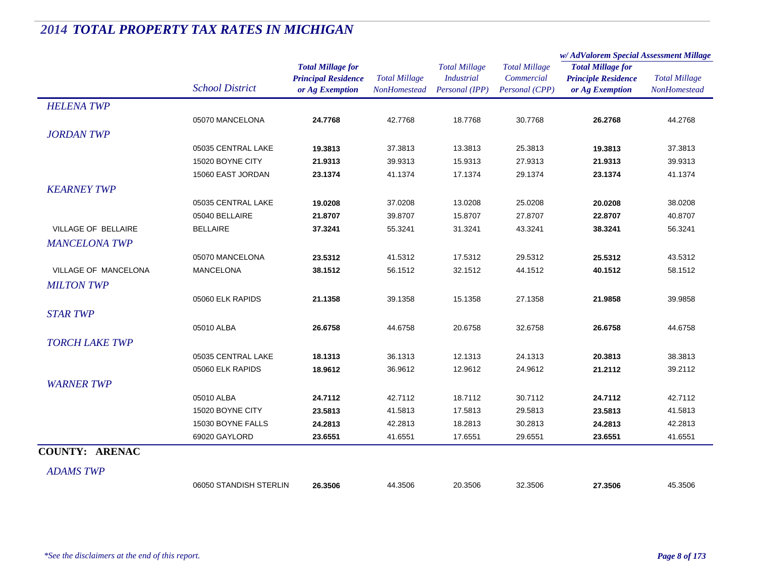|                       |                        |                                                                           |                                             |                                                             |                                                      | w/ AdValorem Special Assessment Millage                                   |                                      |
|-----------------------|------------------------|---------------------------------------------------------------------------|---------------------------------------------|-------------------------------------------------------------|------------------------------------------------------|---------------------------------------------------------------------------|--------------------------------------|
|                       | <b>School District</b> | <b>Total Millage for</b><br><b>Principal Residence</b><br>or Ag Exemption | <b>Total Millage</b><br><b>NonHomestead</b> | <b>Total Millage</b><br><b>Industrial</b><br>Personal (IPP) | <b>Total Millage</b><br>Commercial<br>Personal (CPP) | <b>Total Millage for</b><br><b>Principle Residence</b><br>or Ag Exemption | <b>Total Millage</b><br>NonHomestead |
| <b>HELENA TWP</b>     |                        |                                                                           |                                             |                                                             |                                                      |                                                                           |                                      |
|                       | 05070 MANCELONA        | 24.7768                                                                   | 42.7768                                     | 18.7768                                                     | 30.7768                                              | 26.2768                                                                   | 44.2768                              |
| <b>JORDAN TWP</b>     |                        |                                                                           |                                             |                                                             |                                                      |                                                                           |                                      |
|                       | 05035 CENTRAL LAKE     | 19.3813                                                                   | 37.3813                                     | 13.3813                                                     | 25.3813                                              | 19.3813                                                                   | 37.3813                              |
|                       | 15020 BOYNE CITY       | 21.9313                                                                   | 39.9313                                     | 15.9313                                                     | 27.9313                                              | 21.9313                                                                   | 39.9313                              |
|                       | 15060 EAST JORDAN      | 23.1374                                                                   | 41.1374                                     | 17.1374                                                     | 29.1374                                              | 23.1374                                                                   | 41.1374                              |
| <b>KEARNEY TWP</b>    |                        |                                                                           |                                             |                                                             |                                                      |                                                                           |                                      |
|                       | 05035 CENTRAL LAKE     | 19.0208                                                                   | 37.0208                                     | 13.0208                                                     | 25.0208                                              | 20.0208                                                                   | 38.0208                              |
|                       | 05040 BELLAIRE         | 21.8707                                                                   | 39.8707                                     | 15.8707                                                     | 27.8707                                              | 22.8707                                                                   | 40.8707                              |
| VILLAGE OF BELLAIRE   | <b>BELLAIRE</b>        | 37.3241                                                                   | 55.3241                                     | 31.3241                                                     | 43.3241                                              | 38.3241                                                                   | 56.3241                              |
| <b>MANCELONA TWP</b>  |                        |                                                                           |                                             |                                                             |                                                      |                                                                           |                                      |
|                       | 05070 MANCELONA        | 23.5312                                                                   | 41.5312                                     | 17.5312                                                     | 29.5312                                              | 25.5312                                                                   | 43.5312                              |
| VILLAGE OF MANCELONA  | MANCELONA              | 38.1512                                                                   | 56.1512                                     | 32.1512                                                     | 44.1512                                              | 40.1512                                                                   | 58.1512                              |
| <b>MILTON TWP</b>     |                        |                                                                           |                                             |                                                             |                                                      |                                                                           |                                      |
|                       | 05060 ELK RAPIDS       | 21.1358                                                                   | 39.1358                                     | 15.1358                                                     | 27.1358                                              | 21.9858                                                                   | 39.9858                              |
| <b>STAR TWP</b>       |                        |                                                                           |                                             |                                                             |                                                      |                                                                           |                                      |
|                       | 05010 ALBA             | 26.6758                                                                   | 44.6758                                     | 20.6758                                                     | 32.6758                                              | 26.6758                                                                   | 44.6758                              |
| <b>TORCH LAKE TWP</b> |                        |                                                                           |                                             |                                                             |                                                      |                                                                           |                                      |
|                       | 05035 CENTRAL LAKE     | 18.1313                                                                   | 36.1313                                     | 12.1313                                                     | 24.1313                                              | 20.3813                                                                   | 38.3813                              |
|                       | 05060 ELK RAPIDS       | 18.9612                                                                   | 36.9612                                     | 12.9612                                                     | 24.9612                                              | 21.2112                                                                   | 39.2112                              |
| <b>WARNER TWP</b>     |                        |                                                                           |                                             |                                                             |                                                      |                                                                           |                                      |
|                       | 05010 ALBA             | 24.7112                                                                   | 42.7112                                     | 18.7112                                                     | 30.7112                                              | 24.7112                                                                   | 42.7112                              |
|                       | 15020 BOYNE CITY       | 23.5813                                                                   | 41.5813                                     | 17.5813                                                     | 29.5813                                              | 23.5813                                                                   | 41.5813                              |
|                       | 15030 BOYNE FALLS      | 24.2813                                                                   | 42.2813                                     | 18.2813                                                     | 30.2813                                              | 24.2813                                                                   | 42.2813                              |
|                       | 69020 GAYLORD          | 23.6551                                                                   | 41.6551                                     | 17.6551                                                     | 29.6551                                              | 23.6551                                                                   | 41.6551                              |
| <b>COUNTY: ARENAC</b> |                        |                                                                           |                                             |                                                             |                                                      |                                                                           |                                      |
| <b>ADAMS TWP</b>      |                        |                                                                           |                                             |                                                             |                                                      |                                                                           |                                      |
|                       | 06050 STANDISH STERLIN | 26.3506                                                                   | 44.3506                                     | 20.3506                                                     | 32.3506                                              | 27.3506                                                                   | 45.3506                              |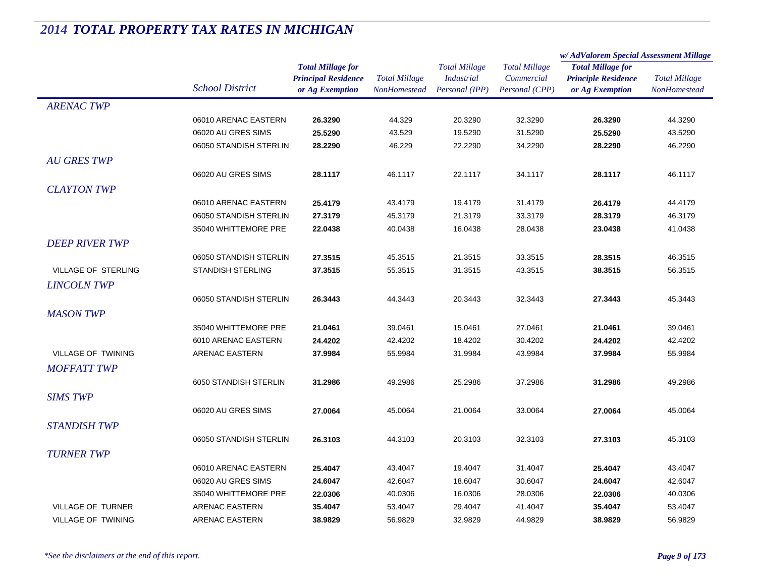|                           |                                            |                            |                      | <b>Total Millage</b> | <b>Total Millage</b> | w/AdValorem Special Assessment Millage |                      |
|---------------------------|--------------------------------------------|----------------------------|----------------------|----------------------|----------------------|----------------------------------------|----------------------|
|                           |                                            | <b>Total Millage for</b>   |                      |                      |                      | <b>Total Millage for</b>               | <b>Total Millage</b> |
|                           |                                            | <b>Principal Residence</b> | <b>Total Millage</b> | <b>Industrial</b>    | Commercial           | <b>Principle Residence</b>             |                      |
|                           | <b>School District</b>                     | or Ag Exemption            | <b>NonHomestead</b>  | Personal (IPP)       | Personal (CPP)       | or Ag Exemption                        | <b>NonHomestead</b>  |
| <b>ARENAC TWP</b>         |                                            |                            |                      |                      |                      |                                        |                      |
|                           | 06010 ARENAC EASTERN                       | 26.3290                    | 44.329               | 20.3290              | 32.3290              | 26.3290                                | 44.3290              |
|                           | 06020 AU GRES SIMS                         | 25.5290                    | 43.529               | 19.5290              | 31.5290              | 25.5290                                | 43.5290              |
|                           | 06050 STANDISH STERLIN                     | 28.2290                    | 46.229               | 22.2290              | 34.2290              | 28.2290                                | 46.2290              |
| <b>AU GRES TWP</b>        |                                            |                            |                      |                      |                      |                                        |                      |
|                           | 06020 AU GRES SIMS                         | 28.1117                    | 46.1117              | 22.1117              | 34.1117              | 28.1117                                | 46.1117              |
| <b>CLAYTON TWP</b>        |                                            |                            |                      |                      |                      |                                        |                      |
|                           | 06010 ARENAC EASTERN                       | 25.4179                    | 43.4179              | 19.4179              | 31.4179              | 26.4179                                | 44.4179              |
|                           | 06050 STANDISH STERLIN                     | 27.3179                    | 45.3179              | 21.3179              | 33.3179              | 28.3179                                | 46.3179              |
|                           | 35040 WHITTEMORE PRE                       | 22.0438                    | 40.0438              | 16.0438              | 28.0438              | 23.0438                                | 41.0438              |
| <b>DEEP RIVER TWP</b>     |                                            |                            |                      |                      |                      |                                        |                      |
|                           | 06050 STANDISH STERLIN                     | 27.3515                    | 45.3515              | 21.3515              | 33.3515              | 28.3515                                | 46.3515              |
| VILLAGE OF STERLING       | <b>STANDISH STERLING</b>                   | 37.3515                    | 55.3515              | 31.3515              | 43.3515              | 38.3515                                | 56.3515              |
| <b>LINCOLN TWP</b>        |                                            |                            |                      |                      |                      |                                        |                      |
|                           | 06050 STANDISH STERLIN                     | 26.3443                    | 44.3443              | 20.3443              | 32.3443              | 27.3443                                | 45.3443              |
| <b>MASON TWP</b>          |                                            |                            |                      |                      |                      |                                        |                      |
|                           | 35040 WHITTEMORE PRE                       | 21.0461                    | 39.0461              | 15.0461              | 27.0461              | 21.0461                                | 39.0461              |
|                           | 6010 ARENAC EASTERN                        | 24.4202                    | 42.4202              | 18.4202              | 30.4202              | 24.4202                                | 42.4202              |
| <b>VILLAGE OF TWINING</b> | ARENAC EASTERN                             | 37.9984                    | 55.9984              | 31.9984              | 43.9984              | 37.9984                                | 55.9984              |
| <b>MOFFATT TWP</b>        |                                            |                            |                      |                      |                      |                                        |                      |
|                           | 6050 STANDISH STERLIN                      | 31.2986                    | 49.2986              | 25.2986              | 37.2986              | 31.2986                                | 49.2986              |
| <b>SIMS TWP</b>           |                                            |                            |                      |                      |                      |                                        |                      |
|                           | 06020 AU GRES SIMS                         | 27.0064                    | 45.0064              | 21.0064              | 33.0064              | 27.0064                                | 45.0064              |
| <b>STANDISH TWP</b>       |                                            |                            |                      |                      |                      |                                        |                      |
|                           | 06050 STANDISH STERLIN                     | 26.3103                    | 44.3103              | 20.3103              | 32.3103              | 27.3103                                | 45.3103              |
| <b>TURNER TWP</b>         |                                            |                            |                      |                      |                      |                                        |                      |
|                           |                                            |                            |                      |                      |                      |                                        |                      |
|                           | 06010 ARENAC EASTERN                       | 25.4047                    | 43.4047              | 19.4047              | 31.4047              | 25.4047                                | 43.4047              |
|                           | 06020 AU GRES SIMS<br>35040 WHITTEMORE PRE | 24.6047<br>22.0306         | 42.6047<br>40.0306   | 18.6047<br>16.0306   | 30.6047<br>28.0306   | 24.6047<br>22.0306                     | 42.6047              |
| <b>VILLAGE OF TURNER</b>  | ARENAC EASTERN                             | 35.4047                    | 53.4047              | 29.4047              | 41.4047              | 35.4047                                | 40.0306<br>53.4047   |
| <b>VILLAGE OF TWINING</b> | <b>ARENAC EASTERN</b>                      | 38.9829                    | 56.9829              | 32.9829              | 44.9829              | 38.9829                                | 56.9829              |
|                           |                                            |                            |                      |                      |                      |                                        |                      |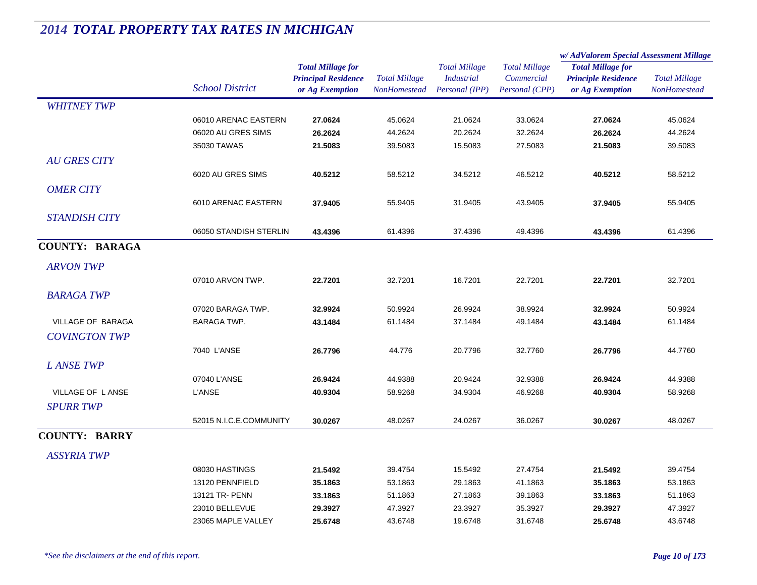|                       |                         |                            |                                             | <b>Total Millage</b><br><b>Industrial</b> | <b>Total Millage</b> | w/AdValorem Special Assessment Millage |                                             |
|-----------------------|-------------------------|----------------------------|---------------------------------------------|-------------------------------------------|----------------------|----------------------------------------|---------------------------------------------|
|                       |                         | <b>Total Millage for</b>   |                                             |                                           |                      | <b>Total Millage for</b>               | <b>Total Millage</b><br><b>NonHomestead</b> |
|                       | <b>School District</b>  | <b>Principal Residence</b> | <b>Total Millage</b><br><b>NonHomestead</b> |                                           | Commercial           | <b>Principle Residence</b>             |                                             |
|                       |                         | or Ag Exemption            |                                             | Personal (IPP)                            | Personal (CPP)       | or Ag Exemption                        |                                             |
| <b>WHITNEY TWP</b>    |                         |                            |                                             |                                           |                      |                                        |                                             |
|                       | 06010 ARENAC EASTERN    | 27.0624                    | 45.0624                                     | 21.0624                                   | 33.0624              | 27.0624                                | 45.0624                                     |
|                       | 06020 AU GRES SIMS      | 26.2624                    | 44.2624                                     | 20.2624                                   | 32.2624              | 26.2624                                | 44.2624                                     |
|                       | 35030 TAWAS             | 21.5083                    | 39.5083                                     | 15.5083                                   | 27.5083              | 21.5083                                | 39.5083                                     |
| <b>AU GRES CITY</b>   |                         |                            |                                             |                                           |                      |                                        |                                             |
|                       | 6020 AU GRES SIMS       | 40.5212                    | 58.5212                                     | 34.5212                                   | 46.5212              | 40.5212                                | 58.5212                                     |
| <b>OMER CITY</b>      |                         |                            |                                             |                                           |                      |                                        |                                             |
|                       | 6010 ARENAC EASTERN     | 37.9405                    | 55.9405                                     | 31.9405                                   | 43.9405              | 37.9405                                | 55.9405                                     |
| <b>STANDISH CITY</b>  |                         |                            |                                             |                                           |                      |                                        |                                             |
|                       | 06050 STANDISH STERLIN  | 43.4396                    | 61.4396                                     | 37.4396                                   | 49.4396              | 43.4396                                | 61.4396                                     |
| <b>COUNTY: BARAGA</b> |                         |                            |                                             |                                           |                      |                                        |                                             |
| <b>ARVON TWP</b>      |                         |                            |                                             |                                           |                      |                                        |                                             |
|                       | 07010 ARVON TWP.        | 22.7201                    | 32.7201                                     | 16.7201                                   | 22.7201              | 22.7201                                | 32.7201                                     |
| <b>BARAGA TWP</b>     |                         |                            |                                             |                                           |                      |                                        |                                             |
|                       | 07020 BARAGA TWP.       | 32.9924                    | 50.9924                                     | 26.9924                                   | 38.9924              | 32.9924                                | 50.9924                                     |
| VILLAGE OF BARAGA     | <b>BARAGA TWP.</b>      | 43.1484                    | 61.1484                                     | 37.1484                                   | 49.1484              | 43.1484                                | 61.1484                                     |
| <b>COVINGTON TWP</b>  |                         |                            |                                             |                                           |                      |                                        |                                             |
|                       |                         |                            |                                             |                                           |                      |                                        |                                             |
|                       | 7040 L'ANSE             | 26.7796                    | 44.776                                      | 20.7796                                   | 32.7760              | 26.7796                                | 44.7760                                     |
| <b>LANSETWP</b>       |                         |                            |                                             |                                           |                      |                                        |                                             |
|                       | 07040 L'ANSE            | 26.9424                    | 44.9388                                     | 20.9424                                   | 32.9388              | 26.9424                                | 44.9388                                     |
| VILLAGE OF LANSE      | <b>L'ANSE</b>           | 40.9304                    | 58.9268                                     | 34.9304                                   | 46.9268              | 40.9304                                | 58.9268                                     |
| <b>SPURR TWP</b>      |                         |                            |                                             |                                           |                      |                                        |                                             |
|                       | 52015 N.I.C.E.COMMUNITY | 30.0267                    | 48.0267                                     | 24.0267                                   | 36.0267              | 30.0267                                | 48.0267                                     |
| <b>COUNTY: BARRY</b>  |                         |                            |                                             |                                           |                      |                                        |                                             |
| <b>ASSYRIA TWP</b>    |                         |                            |                                             |                                           |                      |                                        |                                             |
|                       | 08030 HASTINGS          | 21.5492                    | 39.4754                                     | 15.5492                                   | 27.4754              | 21.5492                                | 39.4754                                     |
|                       | 13120 PENNFIELD         | 35.1863                    | 53.1863                                     | 29.1863                                   | 41.1863              | 35.1863                                | 53.1863                                     |
|                       | 13121 TR- PENN          | 33.1863                    | 51.1863                                     | 27.1863                                   | 39.1863              | 33.1863                                | 51.1863                                     |
|                       | 23010 BELLEVUE          | 29.3927                    | 47.3927                                     | 23.3927                                   | 35.3927              | 29.3927                                | 47.3927                                     |
|                       | 23065 MAPLE VALLEY      | 25.6748                    | 43.6748                                     | 19.6748                                   | 31.6748              | 25.6748                                | 43.6748                                     |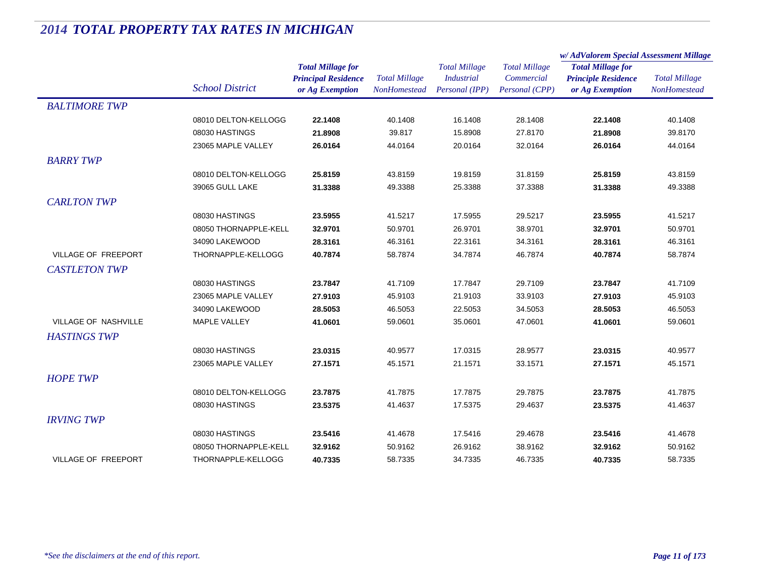|                             |                        |                                                                           |                                      |                                                             |                                                      | w/AdValorem Special Assessment Millage                                    |                                      |
|-----------------------------|------------------------|---------------------------------------------------------------------------|--------------------------------------|-------------------------------------------------------------|------------------------------------------------------|---------------------------------------------------------------------------|--------------------------------------|
|                             | <b>School District</b> | <b>Total Millage for</b><br><b>Principal Residence</b><br>or Ag Exemption | <b>Total Millage</b><br>NonHomestead | <b>Total Millage</b><br><b>Industrial</b><br>Personal (IPP) | <b>Total Millage</b><br>Commercial<br>Personal (CPP) | <b>Total Millage for</b><br><b>Principle Residence</b><br>or Ag Exemption | <b>Total Millage</b><br>NonHomestead |
| <b>BALTIMORE TWP</b>        |                        |                                                                           |                                      |                                                             |                                                      |                                                                           |                                      |
|                             | 08010 DELTON-KELLOGG   | 22.1408                                                                   | 40.1408                              | 16.1408                                                     | 28.1408                                              | 22.1408                                                                   | 40.1408                              |
|                             | 08030 HASTINGS         | 21.8908                                                                   | 39.817                               | 15.8908                                                     | 27.8170                                              | 21.8908                                                                   | 39.8170                              |
|                             | 23065 MAPLE VALLEY     | 26.0164                                                                   | 44.0164                              | 20.0164                                                     | 32.0164                                              | 26.0164                                                                   | 44.0164                              |
| <b>BARRY TWP</b>            |                        |                                                                           |                                      |                                                             |                                                      |                                                                           |                                      |
|                             | 08010 DELTON-KELLOGG   | 25.8159                                                                   | 43.8159                              | 19.8159                                                     | 31.8159                                              | 25.8159                                                                   | 43.8159                              |
|                             | 39065 GULL LAKE        | 31.3388                                                                   | 49.3388                              | 25.3388                                                     | 37.3388                                              | 31.3388                                                                   | 49.3388                              |
| <b>CARLTON TWP</b>          |                        |                                                                           |                                      |                                                             |                                                      |                                                                           |                                      |
|                             | 08030 HASTINGS         | 23.5955                                                                   | 41.5217                              | 17.5955                                                     | 29.5217                                              | 23.5955                                                                   | 41.5217                              |
|                             | 08050 THORNAPPLE-KELL  | 32.9701                                                                   | 50.9701                              | 26.9701                                                     | 38.9701                                              | 32.9701                                                                   | 50.9701                              |
|                             | 34090 LAKEWOOD         | 28.3161                                                                   | 46.3161                              | 22.3161                                                     | 34.3161                                              | 28.3161                                                                   | 46.3161                              |
| VILLAGE OF FREEPORT         | THORNAPPLE-KELLOGG     | 40.7874                                                                   | 58.7874                              | 34.7874                                                     | 46.7874                                              | 40.7874                                                                   | 58.7874                              |
| <b>CASTLETON TWP</b>        |                        |                                                                           |                                      |                                                             |                                                      |                                                                           |                                      |
|                             | 08030 HASTINGS         | 23.7847                                                                   | 41.7109                              | 17.7847                                                     | 29.7109                                              | 23.7847                                                                   | 41.7109                              |
|                             | 23065 MAPLE VALLEY     | 27.9103                                                                   | 45.9103                              | 21.9103                                                     | 33.9103                                              | 27.9103                                                                   | 45.9103                              |
|                             | 34090 LAKEWOOD         | 28.5053                                                                   | 46.5053                              | 22.5053                                                     | 34.5053                                              | 28.5053                                                                   | 46.5053                              |
| <b>VILLAGE OF NASHVILLE</b> | <b>MAPLE VALLEY</b>    | 41.0601                                                                   | 59.0601                              | 35.0601                                                     | 47.0601                                              | 41.0601                                                                   | 59.0601                              |
| <b>HASTINGS TWP</b>         |                        |                                                                           |                                      |                                                             |                                                      |                                                                           |                                      |
|                             | 08030 HASTINGS         | 23.0315                                                                   | 40.9577                              | 17.0315                                                     | 28.9577                                              | 23.0315                                                                   | 40.9577                              |
|                             | 23065 MAPLE VALLEY     | 27.1571                                                                   | 45.1571                              | 21.1571                                                     | 33.1571                                              | 27.1571                                                                   | 45.1571                              |
| <b>HOPE TWP</b>             |                        |                                                                           |                                      |                                                             |                                                      |                                                                           |                                      |
|                             | 08010 DELTON-KELLOGG   | 23.7875                                                                   | 41.7875                              | 17.7875                                                     | 29.7875                                              | 23.7875                                                                   | 41.7875                              |
|                             | 08030 HASTINGS         | 23.5375                                                                   | 41.4637                              | 17.5375                                                     | 29.4637                                              | 23.5375                                                                   | 41.4637                              |
| <b>IRVING TWP</b>           |                        |                                                                           |                                      |                                                             |                                                      |                                                                           |                                      |
|                             | 08030 HASTINGS         | 23.5416                                                                   | 41.4678                              | 17.5416                                                     | 29.4678                                              | 23.5416                                                                   | 41.4678                              |
|                             | 08050 THORNAPPLE-KELL  | 32.9162                                                                   | 50.9162                              | 26.9162                                                     | 38.9162                                              | 32.9162                                                                   | 50.9162                              |
| <b>VILLAGE OF FREEPORT</b>  | THORNAPPLE-KELLOGG     | 40.7335                                                                   | 58.7335                              | 34.7335                                                     | 46.7335                                              | 40.7335                                                                   | 58.7335                              |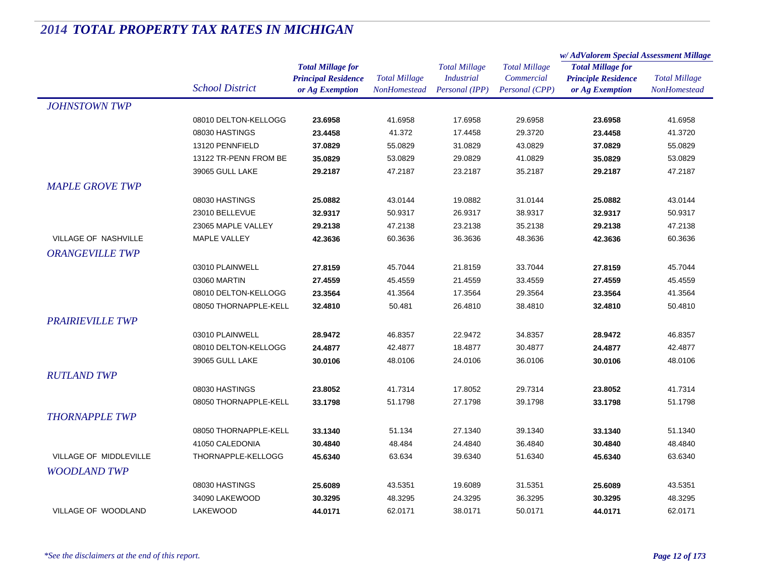|                         |                        |                            | <b>Total Millage</b><br><b>NonHomestead</b> | <b>Total Millage</b><br><b>Industrial</b> | <b>Total Millage</b><br>Commercial | w/AdValorem Special Assessment Millage                                    |                      |
|-------------------------|------------------------|----------------------------|---------------------------------------------|-------------------------------------------|------------------------------------|---------------------------------------------------------------------------|----------------------|
|                         |                        | <b>Total Millage for</b>   |                                             |                                           |                                    | <b>Total Millage for</b><br><b>Principle Residence</b><br>or Ag Exemption | <b>Total Millage</b> |
|                         |                        | <b>Principal Residence</b> |                                             |                                           |                                    |                                                                           |                      |
|                         | <b>School District</b> | or Ag Exemption            |                                             | Personal (IPP)                            | Personal (CPP)                     |                                                                           | NonHomestead         |
| <b>JOHNSTOWN TWP</b>    |                        |                            |                                             |                                           |                                    |                                                                           |                      |
|                         | 08010 DELTON-KELLOGG   | 23.6958                    | 41.6958                                     | 17.6958                                   | 29.6958                            | 23.6958                                                                   | 41.6958              |
|                         | 08030 HASTINGS         | 23.4458                    | 41.372                                      | 17.4458                                   | 29.3720                            | 23.4458                                                                   | 41.3720              |
|                         | 13120 PENNFIELD        | 37.0829                    | 55.0829                                     | 31.0829                                   | 43.0829                            | 37.0829                                                                   | 55.0829              |
|                         | 13122 TR-PENN FROM BE  | 35.0829                    | 53.0829                                     | 29.0829                                   | 41.0829                            | 35.0829                                                                   | 53.0829              |
|                         | 39065 GULL LAKE        | 29.2187                    | 47.2187                                     | 23.2187                                   | 35.2187                            | 29.2187                                                                   | 47.2187              |
| <b>MAPLE GROVE TWP</b>  |                        |                            |                                             |                                           |                                    |                                                                           |                      |
|                         | 08030 HASTINGS         | 25.0882                    | 43.0144                                     | 19.0882                                   | 31.0144                            | 25.0882                                                                   | 43.0144              |
|                         | 23010 BELLEVUE         | 32.9317                    | 50.9317                                     | 26.9317                                   | 38.9317                            | 32.9317                                                                   | 50.9317              |
|                         | 23065 MAPLE VALLEY     | 29.2138                    | 47.2138                                     | 23.2138                                   | 35.2138                            | 29.2138                                                                   | 47.2138              |
| VILLAGE OF NASHVILLE    | MAPLE VALLEY           | 42.3636                    | 60.3636                                     | 36.3636                                   | 48.3636                            | 42.3636                                                                   | 60.3636              |
| <b>ORANGEVILLE TWP</b>  |                        |                            |                                             |                                           |                                    |                                                                           |                      |
|                         | 03010 PLAINWELL        | 27.8159                    | 45.7044                                     | 21.8159                                   | 33.7044                            | 27.8159                                                                   | 45.7044              |
|                         | 03060 MARTIN           | 27.4559                    | 45.4559                                     | 21.4559                                   | 33.4559                            | 27.4559                                                                   | 45.4559              |
|                         | 08010 DELTON-KELLOGG   | 23.3564                    | 41.3564                                     | 17.3564                                   | 29.3564                            | 23.3564                                                                   | 41.3564              |
|                         | 08050 THORNAPPLE-KELL  | 32.4810                    | 50.481                                      | 26.4810                                   | 38.4810                            | 32.4810                                                                   | 50.4810              |
| <b>PRAIRIEVILLE TWP</b> |                        |                            |                                             |                                           |                                    |                                                                           |                      |
|                         | 03010 PLAINWELL        | 28.9472                    | 46.8357                                     | 22.9472                                   | 34.8357                            | 28.9472                                                                   | 46.8357              |
|                         | 08010 DELTON-KELLOGG   | 24.4877                    | 42.4877                                     | 18.4877                                   | 30.4877                            | 24.4877                                                                   | 42.4877              |
|                         | 39065 GULL LAKE        | 30.0106                    | 48.0106                                     | 24.0106                                   | 36.0106                            | 30.0106                                                                   | 48.0106              |
| <b>RUTLAND TWP</b>      |                        |                            |                                             |                                           |                                    |                                                                           |                      |
|                         | 08030 HASTINGS         | 23.8052                    | 41.7314                                     | 17.8052                                   | 29.7314                            | 23.8052                                                                   | 41.7314              |
|                         | 08050 THORNAPPLE-KELL  | 33.1798                    | 51.1798                                     | 27.1798                                   | 39.1798                            | 33.1798                                                                   | 51.1798              |
| <b>THORNAPPLE TWP</b>   |                        |                            |                                             |                                           |                                    |                                                                           |                      |
|                         | 08050 THORNAPPLE-KELL  | 33.1340                    | 51.134                                      | 27.1340                                   | 39.1340                            | 33.1340                                                                   | 51.1340              |
|                         | 41050 CALEDONIA        | 30.4840                    | 48.484                                      | 24.4840                                   | 36.4840                            | 30.4840                                                                   | 48.4840              |
| VILLAGE OF MIDDLEVILLE  | THORNAPPLE-KELLOGG     | 45.6340                    | 63.634                                      | 39.6340                                   | 51.6340                            | 45.6340                                                                   | 63.6340              |
| <b>WOODLAND TWP</b>     |                        |                            |                                             |                                           |                                    |                                                                           |                      |
|                         | 08030 HASTINGS         | 25.6089                    | 43.5351                                     | 19.6089                                   | 31.5351                            | 25.6089                                                                   | 43.5351              |
|                         | 34090 LAKEWOOD         | 30.3295                    | 48.3295                                     | 24.3295                                   | 36.3295                            | 30.3295                                                                   | 48.3295              |
| VILLAGE OF WOODLAND     | LAKEWOOD               | 44.0171                    | 62.0171                                     | 38.0171                                   | 50.0171                            | 44.0171                                                                   | 62.0171              |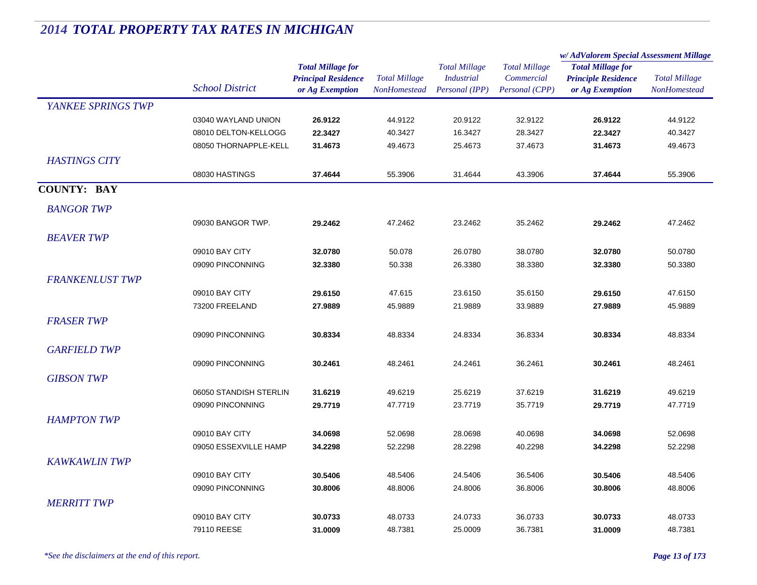|                        |                        |                            |                      | <b>Total Millage</b><br><b>Industrial</b> | <b>Total Millage</b> | w/ AdValorem Special Assessment Millage |                      |
|------------------------|------------------------|----------------------------|----------------------|-------------------------------------------|----------------------|-----------------------------------------|----------------------|
|                        |                        | <b>Total Millage for</b>   |                      |                                           |                      | <b>Total Millage for</b>                |                      |
|                        | <b>School District</b> | <b>Principal Residence</b> | <b>Total Millage</b> |                                           | Commercial           | <b>Principle Residence</b>              | <b>Total Millage</b> |
|                        |                        | or Ag Exemption            | <b>NonHomestead</b>  | Personal (IPP)                            | Personal (CPP)       | or Ag Exemption                         | <b>NonHomestead</b>  |
| YANKEE SPRINGS TWP     |                        |                            |                      |                                           |                      |                                         |                      |
|                        | 03040 WAYLAND UNION    | 26.9122                    | 44.9122              | 20.9122                                   | 32.9122              | 26.9122                                 | 44.9122              |
|                        | 08010 DELTON-KELLOGG   | 22.3427                    | 40.3427              | 16.3427                                   | 28.3427              | 22.3427                                 | 40.3427              |
|                        | 08050 THORNAPPLE-KELL  | 31.4673                    | 49.4673              | 25.4673                                   | 37.4673              | 31.4673                                 | 49.4673              |
| <b>HASTINGS CITY</b>   |                        |                            |                      |                                           |                      |                                         |                      |
|                        | 08030 HASTINGS         | 37.4644                    | 55.3906              | 31.4644                                   | 43.3906              | 37.4644                                 | 55.3906              |
| <b>COUNTY: BAY</b>     |                        |                            |                      |                                           |                      |                                         |                      |
| <b>BANGOR TWP</b>      |                        |                            |                      |                                           |                      |                                         |                      |
|                        | 09030 BANGOR TWP.      | 29.2462                    | 47.2462              | 23.2462                                   | 35.2462              | 29.2462                                 | 47.2462              |
| <b>BEAVER TWP</b>      |                        |                            |                      |                                           |                      |                                         |                      |
|                        | 09010 BAY CITY         | 32.0780                    | 50.078               | 26.0780                                   | 38.0780              | 32.0780                                 | 50.0780              |
|                        | 09090 PINCONNING       | 32.3380                    | 50.338               | 26.3380                                   | 38.3380              | 32.3380                                 | 50.3380              |
| <b>FRANKENLUST TWP</b> |                        |                            |                      |                                           |                      |                                         |                      |
|                        | 09010 BAY CITY         | 29.6150                    | 47.615               | 23.6150                                   | 35.6150              | 29.6150                                 | 47.6150              |
|                        | 73200 FREELAND         | 27.9889                    | 45.9889              | 21.9889                                   | 33.9889              | 27.9889                                 | 45.9889              |
| <b>FRASER TWP</b>      |                        |                            |                      |                                           |                      |                                         |                      |
|                        | 09090 PINCONNING       | 30.8334                    | 48.8334              | 24.8334                                   | 36.8334              | 30.8334                                 | 48.8334              |
| <b>GARFIELD TWP</b>    |                        |                            |                      |                                           |                      |                                         |                      |
|                        | 09090 PINCONNING       | 30.2461                    | 48.2461              | 24.2461                                   | 36.2461              | 30.2461                                 | 48.2461              |
|                        |                        |                            |                      |                                           |                      |                                         |                      |
| <b>GIBSON TWP</b>      |                        |                            |                      |                                           |                      |                                         |                      |
|                        | 06050 STANDISH STERLIN | 31.6219                    | 49.6219              | 25.6219                                   | 37.6219              | 31.6219                                 | 49.6219              |
|                        | 09090 PINCONNING       | 29.7719                    | 47.7719              | 23.7719                                   | 35.7719              | 29.7719                                 | 47.7719              |
| <b>HAMPTON TWP</b>     |                        |                            |                      |                                           |                      |                                         |                      |
|                        | 09010 BAY CITY         | 34.0698                    | 52.0698              | 28.0698                                   | 40.0698              | 34.0698                                 | 52.0698              |
|                        | 09050 ESSEXVILLE HAMP  | 34.2298                    | 52.2298              | 28.2298                                   | 40.2298              | 34.2298                                 | 52.2298              |
| <b>KAWKAWLIN TWP</b>   |                        |                            |                      |                                           |                      |                                         |                      |
|                        | 09010 BAY CITY         | 30.5406                    | 48.5406              | 24.5406                                   | 36.5406              | 30.5406                                 | 48.5406              |
|                        | 09090 PINCONNING       | 30.8006                    | 48.8006              | 24.8006                                   | 36.8006              | 30.8006                                 | 48.8006              |
| <b>MERRITT TWP</b>     |                        |                            |                      |                                           |                      |                                         |                      |
|                        | 09010 BAY CITY         | 30.0733                    | 48.0733              | 24.0733                                   | 36.0733              | 30.0733                                 | 48.0733              |
|                        | 79110 REESE            | 31.0009                    | 48.7381              | 25.0009                                   | 36.7381              | 31.0009                                 | 48.7381              |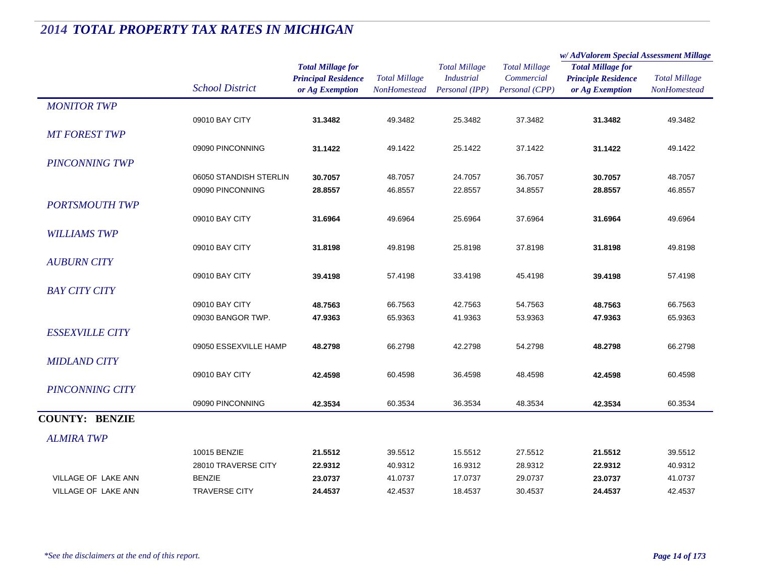|                            |                        |                            | <b>Total Millage</b><br>NonHomestead | <b>Total Millage</b><br><b>Industrial</b> | <b>Total Millage</b> | w/AdValorem Special Assessment Millage |                                      |  |
|----------------------------|------------------------|----------------------------|--------------------------------------|-------------------------------------------|----------------------|----------------------------------------|--------------------------------------|--|
|                            |                        | <b>Total Millage for</b>   |                                      |                                           |                      | <b>Total Millage for</b>               | <b>Total Millage</b><br>NonHomestead |  |
|                            | <b>School District</b> | <b>Principal Residence</b> |                                      |                                           | Commercial           | <b>Principle Residence</b>             |                                      |  |
|                            |                        | or Ag Exemption            |                                      | Personal (IPP)                            | Personal (CPP)       | or Ag Exemption                        |                                      |  |
| <b>MONITOR TWP</b>         |                        |                            |                                      |                                           |                      |                                        |                                      |  |
|                            | 09010 BAY CITY         | 31.3482                    | 49.3482                              | 25.3482                                   | 37.3482              | 31.3482                                | 49.3482                              |  |
| <b>MT FOREST TWP</b>       |                        |                            |                                      |                                           |                      |                                        |                                      |  |
|                            | 09090 PINCONNING       | 31.1422                    | 49.1422                              | 25.1422                                   | 37.1422              | 31.1422                                | 49.1422                              |  |
| <b>PINCONNING TWP</b>      |                        |                            |                                      |                                           |                      |                                        |                                      |  |
|                            | 06050 STANDISH STERLIN | 30.7057                    | 48.7057                              | 24.7057                                   | 36.7057              | 30.7057                                | 48.7057                              |  |
|                            | 09090 PINCONNING       | 28.8557                    | 46.8557                              | 22.8557                                   | 34.8557              | 28.8557                                | 46.8557                              |  |
| <b>PORTSMOUTH TWP</b>      |                        |                            |                                      |                                           |                      |                                        |                                      |  |
|                            | 09010 BAY CITY         | 31.6964                    | 49.6964                              | 25.6964                                   | 37.6964              | 31.6964                                | 49.6964                              |  |
| <b>WILLIAMS TWP</b>        |                        |                            |                                      |                                           |                      |                                        |                                      |  |
|                            | 09010 BAY CITY         | 31.8198                    | 49.8198                              | 25.8198                                   | 37.8198              | 31.8198                                | 49.8198                              |  |
| <b>AUBURN CITY</b>         |                        |                            |                                      |                                           |                      |                                        |                                      |  |
|                            | 09010 BAY CITY         | 39.4198                    | 57.4198                              | 33.4198                                   | 45.4198              | 39.4198                                | 57.4198                              |  |
| <b>BAY CITY CITY</b>       |                        |                            |                                      |                                           |                      |                                        |                                      |  |
|                            | 09010 BAY CITY         | 48.7563                    | 66.7563                              | 42.7563                                   | 54.7563              | 48.7563                                | 66.7563                              |  |
|                            | 09030 BANGOR TWP.      | 47.9363                    | 65.9363                              | 41.9363                                   | 53.9363              | 47.9363                                | 65.9363                              |  |
| <b>ESSEXVILLE CITY</b>     |                        |                            |                                      |                                           |                      |                                        |                                      |  |
|                            | 09050 ESSEXVILLE HAMP  | 48.2798                    | 66.2798                              | 42.2798                                   | 54.2798              | 48.2798                                | 66.2798                              |  |
| <b>MIDLAND CITY</b>        |                        |                            |                                      |                                           |                      |                                        |                                      |  |
|                            | 09010 BAY CITY         | 42.4598                    | 60.4598                              | 36.4598                                   | 48.4598              | 42.4598                                | 60.4598                              |  |
| <b>PINCONNING CITY</b>     |                        |                            |                                      |                                           |                      |                                        |                                      |  |
|                            | 09090 PINCONNING       | 42.3534                    | 60.3534                              | 36.3534                                   | 48.3534              | 42.3534                                | 60.3534                              |  |
| <b>COUNTY: BENZIE</b>      |                        |                            |                                      |                                           |                      |                                        |                                      |  |
| <b>ALMIRA TWP</b>          |                        |                            |                                      |                                           |                      |                                        |                                      |  |
|                            | 10015 BENZIE           | 21.5512                    | 39.5512                              | 15.5512                                   | 27.5512              | 21.5512                                | 39.5512                              |  |
|                            | 28010 TRAVERSE CITY    | 22.9312                    | 40.9312                              | 16.9312                                   | 28.9312              | 22.9312                                | 40.9312                              |  |
| <b>VILLAGE OF LAKE ANN</b> | <b>BENZIE</b>          | 23.0737                    | 41.0737                              | 17.0737                                   | 29.0737              | 23.0737                                | 41.0737                              |  |
| <b>VILLAGE OF LAKE ANN</b> | <b>TRAVERSE CITY</b>   | 24.4537                    | 42.4537                              | 18.4537                                   | 30.4537              | 24.4537                                | 42.4537                              |  |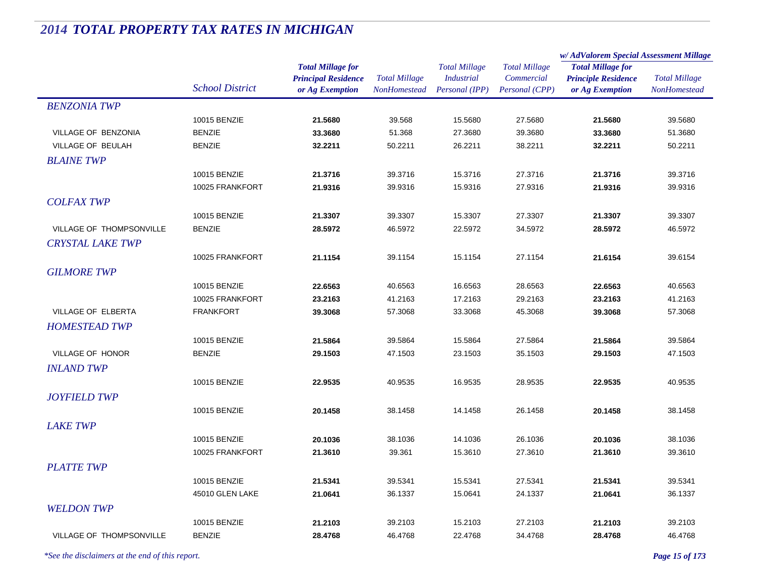|                           |                        |                            | <b>Total Millage</b><br><b>NonHomestead</b> | <b>Total Millage</b><br><b>Industrial</b> | <b>Total Millage</b> | w/AdValorem Special Assessment Millage |                      |
|---------------------------|------------------------|----------------------------|---------------------------------------------|-------------------------------------------|----------------------|----------------------------------------|----------------------|
|                           | <b>School District</b> | <b>Total Millage for</b>   |                                             |                                           |                      | <b>Total Millage for</b>               | <b>Total Millage</b> |
|                           |                        | <b>Principal Residence</b> |                                             |                                           | Commercial           | <b>Principle Residence</b>             |                      |
|                           |                        | or Ag Exemption            |                                             | Personal (IPP)                            | Personal (CPP)       | or Ag Exemption                        | <b>NonHomestead</b>  |
| <b>BENZONIA TWP</b>       |                        |                            |                                             |                                           |                      |                                        |                      |
|                           | 10015 BENZIE           | 21.5680                    | 39.568                                      | 15.5680                                   | 27.5680              | 21.5680                                | 39.5680              |
| VILLAGE OF BENZONIA       | <b>BENZIE</b>          | 33.3680                    | 51.368                                      | 27.3680                                   | 39.3680              | 33.3680                                | 51.3680              |
| VILLAGE OF BEULAH         | <b>BENZIE</b>          | 32.2211                    | 50.2211                                     | 26.2211                                   | 38.2211              | 32.2211                                | 50.2211              |
| <b>BLAINE TWP</b>         |                        |                            |                                             |                                           |                      |                                        |                      |
|                           | 10015 BENZIE           | 21.3716                    | 39.3716                                     | 15.3716                                   | 27.3716              | 21.3716                                | 39.3716              |
|                           | 10025 FRANKFORT        | 21.9316                    | 39.9316                                     | 15.9316                                   | 27.9316              | 21.9316                                | 39.9316              |
| <b>COLFAX TWP</b>         |                        |                            |                                             |                                           |                      |                                        |                      |
|                           | 10015 BENZIE           | 21.3307                    | 39.3307                                     | 15.3307                                   | 27.3307              | 21.3307                                | 39.3307              |
| VILLAGE OF THOMPSONVILLE  | <b>BENZIE</b>          | 28.5972                    | 46.5972                                     | 22.5972                                   | 34.5972              | 28.5972                                | 46.5972              |
| <b>CRYSTAL LAKE TWP</b>   |                        |                            |                                             |                                           |                      |                                        |                      |
|                           | 10025 FRANKFORT        | 21.1154                    | 39.1154                                     | 15.1154                                   | 27.1154              | 21.6154                                | 39.6154              |
| <b>GILMORE TWP</b>        |                        |                            |                                             |                                           |                      |                                        |                      |
|                           | 10015 BENZIE           |                            | 40.6563                                     | 16.6563                                   | 28.6563              |                                        | 40.6563              |
|                           | 10025 FRANKFORT        | 22.6563                    | 41.2163                                     | 17.2163                                   | 29.2163              | 22.6563                                |                      |
| <b>VILLAGE OF ELBERTA</b> | <b>FRANKFORT</b>       | 23.2163<br>39.3068         | 57.3068                                     | 33.3068                                   | 45.3068              | 23.2163<br>39.3068                     | 41.2163<br>57.3068   |
|                           |                        |                            |                                             |                                           |                      |                                        |                      |
| <b>HOMESTEAD TWP</b>      |                        |                            |                                             |                                           |                      |                                        |                      |
|                           | 10015 BENZIE           | 21.5864                    | 39.5864                                     | 15.5864                                   | 27.5864              | 21.5864                                | 39.5864              |
| VILLAGE OF HONOR          | <b>BENZIE</b>          | 29.1503                    | 47.1503                                     | 23.1503                                   | 35.1503              | 29.1503                                | 47.1503              |
| <b>INLAND TWP</b>         |                        |                            |                                             |                                           |                      |                                        |                      |
|                           | 10015 BENZIE           | 22.9535                    | 40.9535                                     | 16.9535                                   | 28.9535              | 22.9535                                | 40.9535              |
| <b>JOYFIELD TWP</b>       |                        |                            |                                             |                                           |                      |                                        |                      |
|                           | 10015 BENZIE           | 20.1458                    | 38.1458                                     | 14.1458                                   | 26.1458              | 20.1458                                | 38.1458              |
| <b>LAKE TWP</b>           |                        |                            |                                             |                                           |                      |                                        |                      |
|                           | 10015 BENZIE           | 20.1036                    | 38.1036                                     | 14.1036                                   | 26.1036              | 20.1036                                | 38.1036              |
|                           | 10025 FRANKFORT        | 21.3610                    | 39.361                                      | 15.3610                                   | 27.3610              | 21.3610                                | 39.3610              |
| <b>PLATTE TWP</b>         |                        |                            |                                             |                                           |                      |                                        |                      |
|                           | 10015 BENZIE           | 21.5341                    | 39.5341                                     | 15.5341                                   | 27.5341              | 21.5341                                | 39.5341              |
|                           | 45010 GLEN LAKE        | 21.0641                    | 36.1337                                     | 15.0641                                   | 24.1337              | 21.0641                                | 36.1337              |
| <b>WELDON TWP</b>         |                        |                            |                                             |                                           |                      |                                        |                      |
|                           | 10015 BENZIE           | 21.2103                    | 39.2103                                     | 15.2103                                   | 27.2103              | 21.2103                                | 39.2103              |
| VILLAGE OF THOMPSONVILLE  | <b>BENZIE</b>          | 28.4768                    | 46.4768                                     | 22.4768                                   | 34.4768              | 28.4768                                | 46.4768              |
|                           |                        |                            |                                             |                                           |                      |                                        |                      |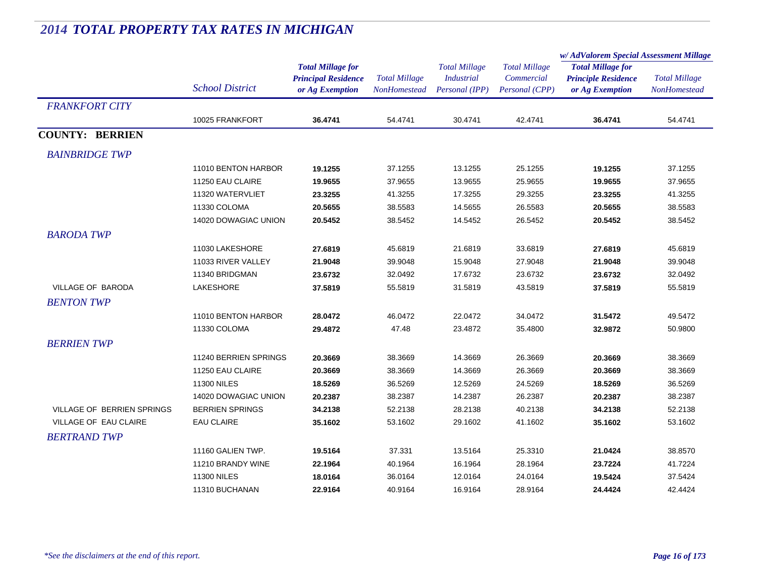|                            |                        |                            | <b>Total Millage</b><br><b>NonHomestead</b> | <b>Total Millage</b><br><b>Industrial</b><br>Personal (IPP) | <b>Total Millage</b><br>Commercial<br>Personal (CPP) | w/AdValorem Special Assessment Millage                 |                      |
|----------------------------|------------------------|----------------------------|---------------------------------------------|-------------------------------------------------------------|------------------------------------------------------|--------------------------------------------------------|----------------------|
|                            |                        | <b>Total Millage for</b>   |                                             |                                                             |                                                      | <b>Total Millage for</b><br><b>Principle Residence</b> | <b>Total Millage</b> |
|                            |                        | <b>Principal Residence</b> |                                             |                                                             |                                                      |                                                        |                      |
|                            | <b>School District</b> | or Ag Exemption            |                                             |                                                             |                                                      | or Ag Exemption                                        | NonHomestead         |
| <b>FRANKFORT CITY</b>      |                        |                            |                                             |                                                             |                                                      |                                                        |                      |
|                            | 10025 FRANKFORT        | 36.4741                    | 54.4741                                     | 30.4741                                                     | 42.4741                                              | 36.4741                                                | 54.4741              |
| <b>COUNTY: BERRIEN</b>     |                        |                            |                                             |                                                             |                                                      |                                                        |                      |
| <b>BAINBRIDGE TWP</b>      |                        |                            |                                             |                                                             |                                                      |                                                        |                      |
|                            | 11010 BENTON HARBOR    | 19.1255                    | 37.1255                                     | 13.1255                                                     | 25.1255                                              | 19.1255                                                | 37.1255              |
|                            | 11250 EAU CLAIRE       | 19.9655                    | 37.9655                                     | 13.9655                                                     | 25.9655                                              | 19.9655                                                | 37.9655              |
|                            | 11320 WATERVLIET       | 23.3255                    | 41.3255                                     | 17.3255                                                     | 29.3255                                              | 23.3255                                                | 41.3255              |
|                            | 11330 COLOMA           | 20.5655                    | 38.5583                                     | 14.5655                                                     | 26.5583                                              | 20.5655                                                | 38.5583              |
|                            | 14020 DOWAGIAC UNION   | 20.5452                    | 38.5452                                     | 14.5452                                                     | 26.5452                                              | 20.5452                                                | 38.5452              |
| <b>BARODA TWP</b>          |                        |                            |                                             |                                                             |                                                      |                                                        |                      |
|                            | 11030 LAKESHORE        | 27.6819                    | 45.6819                                     | 21.6819                                                     | 33.6819                                              | 27.6819                                                | 45.6819              |
|                            | 11033 RIVER VALLEY     | 21.9048                    | 39.9048                                     | 15.9048                                                     | 27.9048                                              | 21.9048                                                | 39.9048              |
|                            | 11340 BRIDGMAN         | 23.6732                    | 32.0492                                     | 17.6732                                                     | 23.6732                                              | 23.6732                                                | 32.0492              |
| <b>VILLAGE OF BARODA</b>   | LAKESHORE              | 37.5819                    | 55.5819                                     | 31.5819                                                     | 43.5819                                              | 37.5819                                                | 55.5819              |
| <b>BENTON TWP</b>          |                        |                            |                                             |                                                             |                                                      |                                                        |                      |
|                            | 11010 BENTON HARBOR    | 28.0472                    | 46.0472                                     | 22.0472                                                     | 34.0472                                              | 31.5472                                                | 49.5472              |
|                            | 11330 COLOMA           | 29.4872                    | 47.48                                       | 23.4872                                                     | 35.4800                                              | 32.9872                                                | 50.9800              |
| <b>BERRIEN TWP</b>         |                        |                            |                                             |                                                             |                                                      |                                                        |                      |
|                            | 11240 BERRIEN SPRINGS  | 20.3669                    | 38.3669                                     | 14.3669                                                     | 26.3669                                              | 20.3669                                                | 38.3669              |
|                            | 11250 EAU CLAIRE       | 20.3669                    | 38.3669                                     | 14.3669                                                     | 26.3669                                              | 20.3669                                                | 38.3669              |
|                            | <b>11300 NILES</b>     | 18.5269                    | 36.5269                                     | 12.5269                                                     | 24.5269                                              | 18.5269                                                | 36.5269              |
|                            | 14020 DOWAGIAC UNION   | 20.2387                    | 38.2387                                     | 14.2387                                                     | 26.2387                                              | 20.2387                                                | 38.2387              |
| VILLAGE OF BERRIEN SPRINGS | <b>BERRIEN SPRINGS</b> | 34.2138                    | 52.2138                                     | 28.2138                                                     | 40.2138                                              | 34.2138                                                | 52.2138              |
| VILLAGE OF EAU CLAIRE      | <b>EAU CLAIRE</b>      | 35.1602                    | 53.1602                                     | 29.1602                                                     | 41.1602                                              | 35.1602                                                | 53.1602              |
| <b>BERTRAND TWP</b>        |                        |                            |                                             |                                                             |                                                      |                                                        |                      |
|                            | 11160 GALIEN TWP.      | 19.5164                    | 37.331                                      | 13.5164                                                     | 25.3310                                              | 21.0424                                                | 38.8570              |
|                            | 11210 BRANDY WINE      | 22.1964                    | 40.1964                                     | 16.1964                                                     | 28.1964                                              | 23.7224                                                | 41.7224              |
|                            | <b>11300 NILES</b>     | 18.0164                    | 36.0164                                     | 12.0164                                                     | 24.0164                                              | 19.5424                                                | 37.5424              |
|                            | 11310 BUCHANAN         | 22.9164                    | 40.9164                                     | 16.9164                                                     | 28.9164                                              | 24.4424                                                | 42.4424              |
|                            |                        |                            |                                             |                                                             |                                                      |                                                        |                      |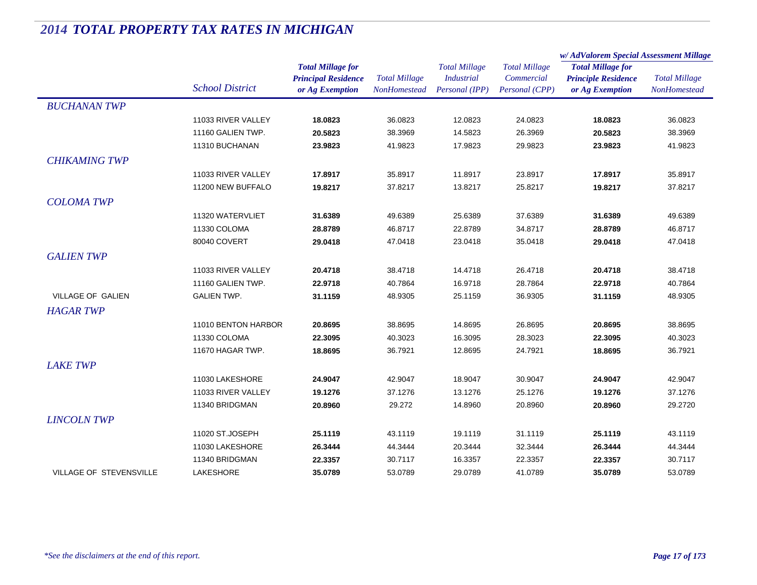|                                |                        |                                                                           |                                      |                                                             |                                                      | w/AdValorem Special Assessment Millage                                    |                                      |  |
|--------------------------------|------------------------|---------------------------------------------------------------------------|--------------------------------------|-------------------------------------------------------------|------------------------------------------------------|---------------------------------------------------------------------------|--------------------------------------|--|
|                                | <b>School District</b> | <b>Total Millage for</b><br><b>Principal Residence</b><br>or Ag Exemption | <b>Total Millage</b><br>NonHomestead | <b>Total Millage</b><br><b>Industrial</b><br>Personal (IPP) | <b>Total Millage</b><br>Commercial<br>Personal (CPP) | <b>Total Millage for</b><br><b>Principle Residence</b><br>or Ag Exemption | <b>Total Millage</b><br>NonHomestead |  |
| <b>BUCHANAN TWP</b>            |                        |                                                                           |                                      |                                                             |                                                      |                                                                           |                                      |  |
|                                | 11033 RIVER VALLEY     | 18.0823                                                                   | 36.0823                              | 12.0823                                                     | 24.0823                                              | 18.0823                                                                   | 36.0823                              |  |
|                                | 11160 GALIEN TWP.      | 20.5823                                                                   | 38.3969                              | 14.5823                                                     | 26.3969                                              | 20.5823                                                                   | 38.3969                              |  |
|                                | 11310 BUCHANAN         | 23.9823                                                                   | 41.9823                              | 17.9823                                                     | 29.9823                                              | 23.9823                                                                   | 41.9823                              |  |
| <b>CHIKAMING TWP</b>           |                        |                                                                           |                                      |                                                             |                                                      |                                                                           |                                      |  |
|                                | 11033 RIVER VALLEY     | 17.8917                                                                   | 35.8917                              | 11.8917                                                     | 23.8917                                              | 17.8917                                                                   | 35.8917                              |  |
|                                | 11200 NEW BUFFALO      | 19.8217                                                                   | 37.8217                              | 13.8217                                                     | 25.8217                                              | 19.8217                                                                   | 37.8217                              |  |
| <b>COLOMA TWP</b>              |                        |                                                                           |                                      |                                                             |                                                      |                                                                           |                                      |  |
|                                | 11320 WATERVLIET       | 31.6389                                                                   | 49.6389                              | 25.6389                                                     | 37.6389                                              | 31.6389                                                                   | 49.6389                              |  |
|                                | 11330 COLOMA           | 28.8789                                                                   | 46.8717                              | 22.8789                                                     | 34.8717                                              | 28.8789                                                                   | 46.8717                              |  |
|                                | 80040 COVERT           | 29.0418                                                                   | 47.0418                              | 23.0418                                                     | 35.0418                                              | 29.0418                                                                   | 47.0418                              |  |
| <b>GALIEN TWP</b>              |                        |                                                                           |                                      |                                                             |                                                      |                                                                           |                                      |  |
|                                | 11033 RIVER VALLEY     | 20.4718                                                                   | 38.4718                              | 14.4718                                                     | 26.4718                                              | 20.4718                                                                   | 38.4718                              |  |
|                                | 11160 GALIEN TWP.      | 22.9718                                                                   | 40.7864                              | 16.9718                                                     | 28.7864                                              | 22.9718                                                                   | 40.7864                              |  |
| <b>VILLAGE OF GALIEN</b>       | <b>GALIEN TWP.</b>     | 31.1159                                                                   | 48.9305                              | 25.1159                                                     | 36.9305                                              | 31.1159                                                                   | 48.9305                              |  |
| <b>HAGAR TWP</b>               |                        |                                                                           |                                      |                                                             |                                                      |                                                                           |                                      |  |
|                                | 11010 BENTON HARBOR    | 20.8695                                                                   | 38.8695                              | 14.8695                                                     | 26.8695                                              | 20.8695                                                                   | 38.8695                              |  |
|                                | 11330 COLOMA           | 22.3095                                                                   | 40.3023                              | 16.3095                                                     | 28.3023                                              | 22.3095                                                                   | 40.3023                              |  |
|                                | 11670 HAGAR TWP.       | 18.8695                                                                   | 36.7921                              | 12.8695                                                     | 24.7921                                              | 18.8695                                                                   | 36.7921                              |  |
| <b>LAKE TWP</b>                |                        |                                                                           |                                      |                                                             |                                                      |                                                                           |                                      |  |
|                                | 11030 LAKESHORE        | 24.9047                                                                   | 42.9047                              | 18.9047                                                     | 30.9047                                              | 24.9047                                                                   | 42.9047                              |  |
|                                | 11033 RIVER VALLEY     | 19.1276                                                                   | 37.1276                              | 13.1276                                                     | 25.1276                                              | 19.1276                                                                   | 37.1276                              |  |
|                                | 11340 BRIDGMAN         | 20.8960                                                                   | 29.272                               | 14.8960                                                     | 20.8960                                              | 20.8960                                                                   | 29.2720                              |  |
| <b>LINCOLN TWP</b>             |                        |                                                                           |                                      |                                                             |                                                      |                                                                           |                                      |  |
|                                | 11020 ST.JOSEPH        | 25.1119                                                                   | 43.1119                              | 19.1119                                                     | 31.1119                                              | 25.1119                                                                   | 43.1119                              |  |
|                                | 11030 LAKESHORE        | 26.3444                                                                   | 44.3444                              | 20.3444                                                     | 32.3444                                              | 26.3444                                                                   | 44.3444                              |  |
|                                | 11340 BRIDGMAN         | 22.3357                                                                   | 30.7117                              | 16.3357                                                     | 22.3357                                              | 22.3357                                                                   | 30.7117                              |  |
| <b>VILLAGE OF STEVENSVILLE</b> | LAKESHORE              | 35.0789                                                                   | 53.0789                              | 29.0789                                                     | 41.0789                                              | 35.0789                                                                   | 53.0789                              |  |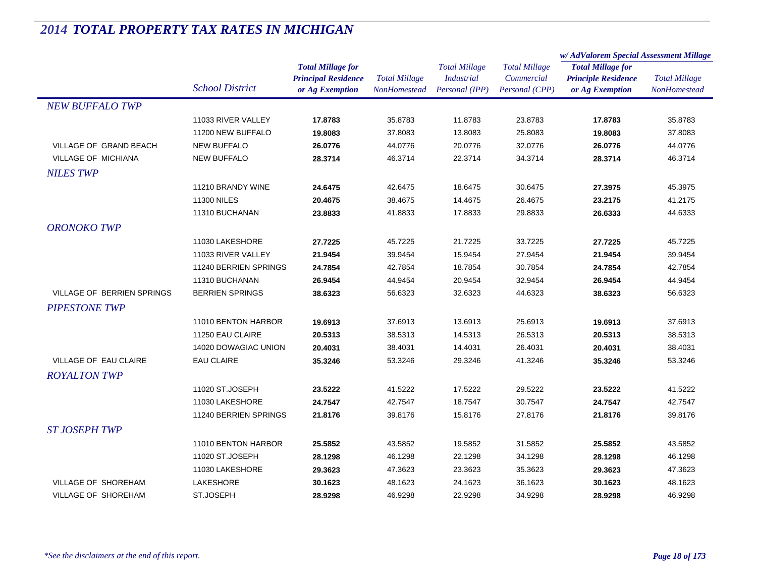|                                   |                        |                                                        | <b>Total Millage</b> | <b>Total Millage</b><br><b>Industrial</b> | <b>Total Millage</b> | w/AdValorem Special Assessment Millage |                      |
|-----------------------------------|------------------------|--------------------------------------------------------|----------------------|-------------------------------------------|----------------------|----------------------------------------|----------------------|
|                                   |                        | <b>Total Millage for</b><br><b>Principal Residence</b> |                      |                                           |                      | <b>Total Millage for</b>               | <b>Total Millage</b> |
|                                   |                        |                                                        |                      |                                           | Commercial           | <b>Principle Residence</b>             |                      |
|                                   | <b>School District</b> | or Ag Exemption                                        | <b>NonHomestead</b>  | Personal (IPP)                            | Personal (CPP)       | or Ag Exemption                        | <b>NonHomestead</b>  |
| <b>NEW BUFFALO TWP</b>            |                        |                                                        |                      |                                           |                      |                                        |                      |
|                                   | 11033 RIVER VALLEY     | 17.8783                                                | 35.8783              | 11.8783                                   | 23.8783              | 17.8783                                | 35.8783              |
|                                   | 11200 NEW BUFFALO      | 19.8083                                                | 37.8083              | 13.8083                                   | 25.8083              | 19.8083                                | 37.8083              |
| VILLAGE OF GRAND BEACH            | <b>NEW BUFFALO</b>     | 26.0776                                                | 44.0776              | 20.0776                                   | 32.0776              | 26.0776                                | 44.0776              |
| <b>VILLAGE OF MICHIANA</b>        | <b>NEW BUFFALO</b>     | 28.3714                                                | 46.3714              | 22.3714                                   | 34.3714              | 28.3714                                | 46.3714              |
| <b>NILES TWP</b>                  |                        |                                                        |                      |                                           |                      |                                        |                      |
|                                   | 11210 BRANDY WINE      | 24.6475                                                | 42.6475              | 18.6475                                   | 30.6475              | 27.3975                                | 45.3975              |
|                                   | <b>11300 NILES</b>     | 20.4675                                                | 38.4675              | 14.4675                                   | 26.4675              | 23.2175                                | 41.2175              |
|                                   | 11310 BUCHANAN         | 23.8833                                                | 41.8833              | 17.8833                                   | 29.8833              | 26.6333                                | 44.6333              |
| <b>ORONOKO TWP</b>                |                        |                                                        |                      |                                           |                      |                                        |                      |
|                                   | 11030 LAKESHORE        | 27.7225                                                | 45.7225              | 21.7225                                   | 33.7225              | 27.7225                                | 45.7225              |
|                                   | 11033 RIVER VALLEY     | 21.9454                                                | 39.9454              | 15.9454                                   | 27.9454              | 21.9454                                | 39.9454              |
|                                   | 11240 BERRIEN SPRINGS  | 24.7854                                                | 42.7854              | 18.7854                                   | 30.7854              | 24.7854                                | 42.7854              |
|                                   | 11310 BUCHANAN         | 26.9454                                                | 44.9454              | 20.9454                                   | 32.9454              | 26.9454                                | 44.9454              |
| <b>VILLAGE OF BERRIEN SPRINGS</b> | <b>BERRIEN SPRINGS</b> | 38.6323                                                | 56.6323              | 32.6323                                   | 44.6323              | 38.6323                                | 56.6323              |
| <b>PIPESTONE TWP</b>              |                        |                                                        |                      |                                           |                      |                                        |                      |
|                                   | 11010 BENTON HARBOR    | 19.6913                                                | 37.6913              | 13.6913                                   | 25.6913              | 19.6913                                | 37.6913              |
|                                   | 11250 EAU CLAIRE       | 20.5313                                                | 38.5313              | 14.5313                                   | 26.5313              | 20.5313                                | 38.5313              |
|                                   | 14020 DOWAGIAC UNION   | 20.4031                                                | 38.4031              | 14.4031                                   | 26.4031              | 20.4031                                | 38.4031              |
| VILLAGE OF EAU CLAIRE             | <b>EAU CLAIRE</b>      | 35.3246                                                | 53.3246              | 29.3246                                   | 41.3246              | 35.3246                                | 53.3246              |
| <b>ROYALTON TWP</b>               |                        |                                                        |                      |                                           |                      |                                        |                      |
|                                   | 11020 ST.JOSEPH        | 23.5222                                                | 41.5222              | 17.5222                                   | 29.5222              | 23.5222                                | 41.5222              |
|                                   | 11030 LAKESHORE        | 24.7547                                                | 42.7547              | 18.7547                                   | 30.7547              | 24.7547                                | 42.7547              |
|                                   | 11240 BERRIEN SPRINGS  | 21.8176                                                | 39.8176              | 15.8176                                   | 27.8176              | 21.8176                                | 39.8176              |
| <b>ST JOSEPH TWP</b>              |                        |                                                        |                      |                                           |                      |                                        |                      |
|                                   | 11010 BENTON HARBOR    | 25.5852                                                | 43.5852              | 19.5852                                   | 31.5852              | 25.5852                                | 43.5852              |
|                                   | 11020 ST.JOSEPH        | 28.1298                                                | 46.1298              | 22.1298                                   | 34.1298              | 28.1298                                | 46.1298              |
|                                   | 11030 LAKESHORE        | 29.3623                                                | 47.3623              | 23.3623                                   | 35.3623              | 29.3623                                | 47.3623              |
| VILLAGE OF SHOREHAM               | <b>LAKESHORE</b>       | 30.1623                                                | 48.1623              | 24.1623                                   | 36.1623              | 30.1623                                | 48.1623              |
| <b>VILLAGE OF SHOREHAM</b>        | ST.JOSEPH              | 28.9298                                                | 46.9298              | 22.9298                                   | 34.9298              | 28.9298                                | 46.9298              |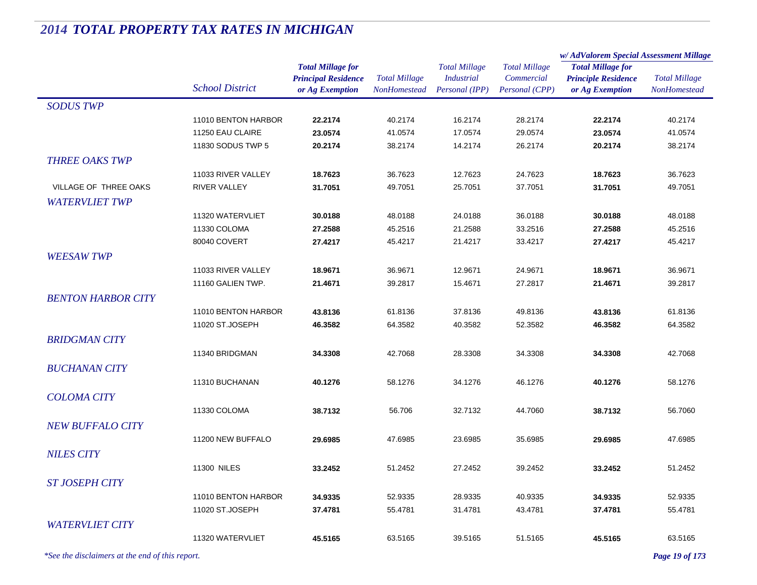|                                                 |                                        |                                                                           |                                      |                                                             |                                                      | w/ AdValorem Special Assessment Millage                                   |                                      |
|-------------------------------------------------|----------------------------------------|---------------------------------------------------------------------------|--------------------------------------|-------------------------------------------------------------|------------------------------------------------------|---------------------------------------------------------------------------|--------------------------------------|
|                                                 | <b>School District</b>                 | <b>Total Millage for</b><br><b>Principal Residence</b><br>or Ag Exemption | <b>Total Millage</b><br>NonHomestead | <b>Total Millage</b><br><b>Industrial</b><br>Personal (IPP) | <b>Total Millage</b><br>Commercial<br>Personal (CPP) | <b>Total Millage for</b><br><b>Principle Residence</b><br>or Ag Exemption | <b>Total Millage</b><br>NonHomestead |
| <b>SODUS TWP</b>                                |                                        |                                                                           |                                      |                                                             |                                                      |                                                                           |                                      |
|                                                 | 11010 BENTON HARBOR                    | 22.2174                                                                   | 40.2174                              | 16.2174                                                     | 28.2174                                              | 22.2174                                                                   | 40.2174                              |
|                                                 | 11250 EAU CLAIRE                       | 23.0574                                                                   | 41.0574                              | 17.0574                                                     | 29.0574                                              | 23.0574                                                                   | 41.0574                              |
|                                                 | 11830 SODUS TWP 5                      | 20.2174                                                                   | 38.2174                              | 14.2174                                                     | 26.2174                                              | 20.2174                                                                   | 38.2174                              |
| <b>THREE OAKS TWP</b>                           |                                        |                                                                           |                                      |                                                             |                                                      |                                                                           |                                      |
|                                                 | 11033 RIVER VALLEY                     | 18.7623                                                                   | 36.7623                              | 12.7623                                                     | 24.7623                                              | 18.7623                                                                   | 36.7623                              |
| VILLAGE OF THREE OAKS                           | <b>RIVER VALLEY</b>                    | 31.7051                                                                   | 49.7051                              | 25.7051                                                     | 37.7051                                              | 31.7051                                                                   | 49.7051                              |
| <b>WATERVLIET TWP</b>                           |                                        |                                                                           |                                      |                                                             |                                                      |                                                                           |                                      |
|                                                 | 11320 WATERVLIET                       | 30.0188                                                                   | 48.0188                              | 24.0188                                                     | 36.0188                                              | 30.0188                                                                   | 48.0188                              |
|                                                 | 11330 COLOMA                           | 27.2588                                                                   | 45.2516                              | 21.2588                                                     | 33.2516                                              | 27.2588                                                                   | 45.2516                              |
|                                                 | 80040 COVERT                           | 27.4217                                                                   | 45.4217                              | 21.4217                                                     | 33.4217                                              | 27.4217                                                                   | 45.4217                              |
| <b>WEESAW TWP</b>                               |                                        |                                                                           |                                      |                                                             |                                                      |                                                                           |                                      |
|                                                 | 11033 RIVER VALLEY                     | 18.9671                                                                   | 36.9671                              | 12.9671                                                     | 24.9671                                              | 18.9671                                                                   | 36.9671                              |
|                                                 | 11160 GALIEN TWP.                      | 21.4671                                                                   | 39.2817                              | 15.4671                                                     | 27.2817                                              | 21.4671                                                                   | 39.2817                              |
| <b>BENTON HARBOR CITY</b>                       |                                        |                                                                           |                                      |                                                             |                                                      |                                                                           |                                      |
|                                                 | 11010 BENTON HARBOR                    | 43.8136                                                                   | 61.8136                              | 37.8136                                                     | 49.8136                                              | 43.8136                                                                   | 61.8136                              |
|                                                 | 11020 ST.JOSEPH                        | 46.3582                                                                   | 64.3582                              | 40.3582                                                     | 52.3582                                              | 46.3582                                                                   | 64.3582                              |
| <b>BRIDGMAN CITY</b>                            |                                        |                                                                           |                                      |                                                             |                                                      |                                                                           |                                      |
|                                                 | 11340 BRIDGMAN                         | 34.3308                                                                   | 42.7068                              | 28.3308                                                     | 34.3308                                              | 34.3308                                                                   | 42.7068                              |
| <b>BUCHANAN CITY</b>                            |                                        |                                                                           |                                      |                                                             |                                                      |                                                                           |                                      |
|                                                 | 11310 BUCHANAN                         | 40.1276                                                                   | 58.1276                              | 34.1276                                                     | 46.1276                                              | 40.1276                                                                   | 58.1276                              |
| <b>COLOMA CITY</b>                              |                                        |                                                                           |                                      |                                                             |                                                      |                                                                           |                                      |
|                                                 | 11330 COLOMA                           | 38.7132                                                                   | 56.706                               | 32.7132                                                     | 44.7060                                              | 38.7132                                                                   | 56.7060                              |
| <b>NEW BUFFALO CITY</b>                         |                                        |                                                                           |                                      |                                                             |                                                      |                                                                           |                                      |
|                                                 | 11200 NEW BUFFALO                      | 29.6985                                                                   | 47.6985                              | 23.6985                                                     | 35.6985                                              | 29.6985                                                                   | 47.6985                              |
| <b>NILES CITY</b>                               |                                        |                                                                           |                                      |                                                             |                                                      |                                                                           |                                      |
|                                                 | <b>11300 NILES</b>                     | 33.2452                                                                   | 51.2452                              | 27.2452                                                     | 39.2452                                              | 33.2452                                                                   | 51.2452                              |
| <b>ST JOSEPH CITY</b>                           |                                        |                                                                           |                                      |                                                             |                                                      |                                                                           |                                      |
|                                                 |                                        |                                                                           |                                      |                                                             |                                                      |                                                                           |                                      |
|                                                 | 11010 BENTON HARBOR<br>11020 ST.JOSEPH | 34.9335                                                                   | 52.9335                              | 28.9335                                                     | 40.9335                                              | 34.9335                                                                   | 52.9335                              |
|                                                 |                                        | 37.4781                                                                   | 55.4781                              | 31.4781                                                     | 43.4781                                              | 37.4781                                                                   | 55.4781                              |
| <b>WATERVLIET CITY</b>                          |                                        |                                                                           |                                      |                                                             |                                                      |                                                                           |                                      |
|                                                 | 11320 WATERVLIET                       | 45.5165                                                                   | 63.5165                              | 39.5165                                                     | 51.5165                                              | 45.5165                                                                   | 63.5165                              |
| *See the disclaimers at the end of this report. |                                        |                                                                           |                                      |                                                             |                                                      |                                                                           | Page 19 of 173                       |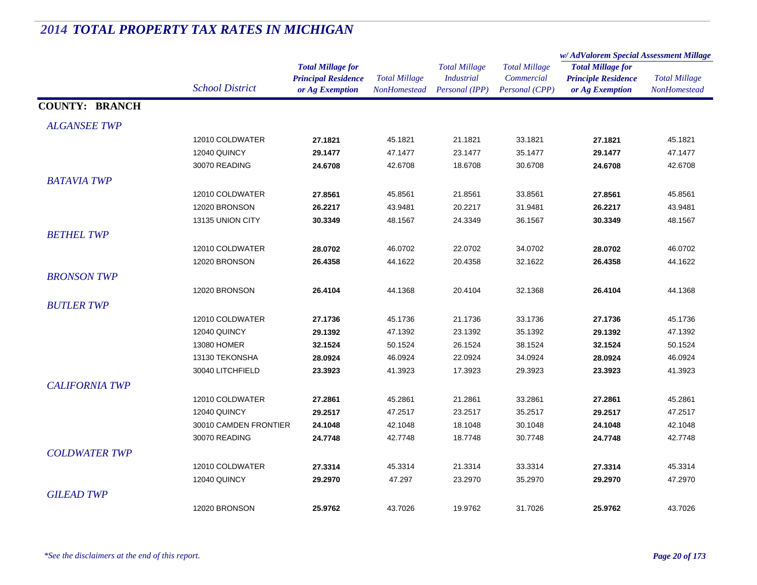#### *Total Millage for Principal Residence School District or Ag Exemption Total Millage NonHomesteadTotal Millage for Principle Residence or Ag Exemption Total Millage NonHomesteadw/ AdValorem Special Assessment Millage Total Millage CommercialPersonal (CPP) Total Millage IndustrialPersonal (IPP)* **COUNTY: BRANCH***ALGANSEE TWP* $P$ 12010 COLDWATER **27.1821** 45.1821 21.1821 33.1821 **27.1821** 45.1821 12040 QUINCY **29.1477** 47.1477 23.1477 35.1477 **29.1477** 47.1477 30070 READING **24.6708** 42.6708 18.6708 30.6708 **24.6708** 42.6708 *BATAVIA TWP* $P$ 12010 COLDWATER **27.8561** 45.8561 21.8561 33.8561 **27.8561** 45.8561 12020 BRONSON **26.2217** 43.9481 20.2217 31.9481 **26.2217** 43.9481 13135 UNION CITY **30.3349** 48.1567 24.3349 36.1567 **30.3349** 48.1567 *BETHEL TWP* $P$ 12010 COLDWATER **28.0702** 46.0702 22.0702 34.0702 **28.0702** 46.0702 12020 BRONSON **26.4358** 44.1622 20.4358 32.1622 **26.4358** 44.1622 *BRONSON TWP* $P$ 12020 BRONSON **26.4104** 44.1368 20.4104 32.1368 **26.4104** 44.1368 *BUTLER TWP* $P$ 12010 COLDWATER **27.1736** 45.1736 21.1736 33.1736 **27.1736** 45.1736 12040 QUINCY **29.1392** 47.1392 23.1392 35.1392 **29.1392** 47.1392 13080 HOMER **32.1524** 50.1524 26.1524 38.1524 **32.1524** 50.1524 13130 TEKONSHA **28.0924** 46.0924 22.0924 34.0924 **28.0924** 46.0924 30040 LITCHFIELD **23.3923** 41.3923 17.3923 29.3923 **23.3923** 41.3923 *CALIFORNIA TWP* $P$ 12010 COLDWATER **27.2861** 45.2861 21.2861 33.2861 **27.2861** 45.2861 12040 QUINCY **29.2517** 47.2517 23.2517 35.2517 **29.2517** 47.2517 30010 CAMDEN FRONTIER **24.1048** 42.1048 18.1048 30.1048 **24.1048** 42.1048 30070 READING **24.7748** 42.7748 18.7748 30.7748 **24.7748** 42.7748 *COLDWATER TWP* $P$ 12010 COLDWATER **27.3314** 45.3314 21.3314 33.3314 **27.3314** 45.3314 12040 QUINCY **29.2970** 47.297 23.2970 35.2970 **29.2970** 47.2970 *GILEAD TWP* $P$ 12020 BRONSON **25.9762**43.7026 19.9762 31.7026 **25.9762** 43.7026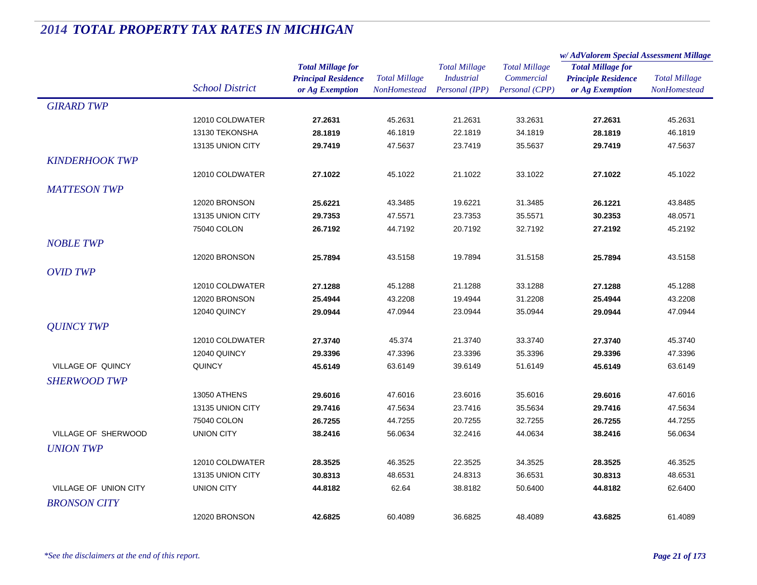|                          |                        |                            | <b>Total Millage</b> | <b>Total Millage</b><br><b>Industrial</b> | <b>Total Millage</b><br>Commercial | w/AdValorem Special Assessment Millage                                    |                      |
|--------------------------|------------------------|----------------------------|----------------------|-------------------------------------------|------------------------------------|---------------------------------------------------------------------------|----------------------|
|                          |                        | <b>Total Millage for</b>   |                      |                                           |                                    | <b>Total Millage for</b><br><b>Principle Residence</b><br>or Ag Exemption | <b>Total Millage</b> |
|                          | <b>School District</b> | <b>Principal Residence</b> |                      |                                           |                                    |                                                                           |                      |
|                          |                        | or Ag Exemption            | <b>NonHomestead</b>  | Personal (IPP)                            | Personal (CPP)                     |                                                                           | <b>NonHomestead</b>  |
| <b>GIRARD TWP</b>        |                        |                            |                      |                                           |                                    |                                                                           |                      |
|                          | 12010 COLDWATER        | 27.2631                    | 45.2631              | 21.2631                                   | 33.2631                            | 27.2631                                                                   | 45.2631              |
|                          | 13130 TEKONSHA         | 28.1819                    | 46.1819              | 22.1819                                   | 34.1819                            | 28.1819                                                                   | 46.1819              |
|                          | 13135 UNION CITY       | 29.7419                    | 47.5637              | 23.7419                                   | 35.5637                            | 29.7419                                                                   | 47.5637              |
| <b>KINDERHOOK TWP</b>    |                        |                            |                      |                                           |                                    |                                                                           |                      |
|                          | 12010 COLDWATER        | 27.1022                    | 45.1022              | 21.1022                                   | 33.1022                            | 27.1022                                                                   | 45.1022              |
| <b>MATTESON TWP</b>      |                        |                            |                      |                                           |                                    |                                                                           |                      |
|                          | 12020 BRONSON          | 25.6221                    | 43.3485              | 19.6221                                   | 31.3485                            | 26.1221                                                                   | 43.8485              |
|                          | 13135 UNION CITY       | 29.7353                    | 47.5571              | 23.7353                                   | 35.5571                            | 30.2353                                                                   | 48.0571              |
|                          | 75040 COLON            | 26.7192                    | 44.7192              | 20.7192                                   | 32.7192                            | 27.2192                                                                   | 45.2192              |
| <b>NOBLE TWP</b>         |                        |                            |                      |                                           |                                    |                                                                           |                      |
|                          | 12020 BRONSON          | 25.7894                    | 43.5158              | 19.7894                                   | 31.5158                            | 25.7894                                                                   | 43.5158              |
|                          |                        |                            |                      |                                           |                                    |                                                                           |                      |
| <b>OVID TWP</b>          |                        |                            |                      |                                           |                                    |                                                                           |                      |
|                          | 12010 COLDWATER        | 27.1288                    | 45.1288              | 21.1288                                   | 33.1288                            | 27.1288                                                                   | 45.1288              |
|                          | 12020 BRONSON          | 25.4944                    | 43.2208              | 19.4944                                   | 31.2208                            | 25.4944                                                                   | 43.2208              |
|                          | 12040 QUINCY           | 29.0944                    | 47.0944              | 23.0944                                   | 35.0944                            | 29.0944                                                                   | 47.0944              |
| <b>OUINCY TWP</b>        |                        |                            |                      |                                           |                                    |                                                                           |                      |
|                          | 12010 COLDWATER        | 27.3740                    | 45.374               | 21.3740                                   | 33.3740                            | 27.3740                                                                   | 45.3740              |
|                          | 12040 QUINCY           | 29.3396                    | 47.3396              | 23.3396                                   | 35.3396                            | 29.3396                                                                   | 47.3396              |
| <b>VILLAGE OF QUINCY</b> | QUINCY                 | 45.6149                    | 63.6149              | 39.6149                                   | 51.6149                            | 45.6149                                                                   | 63.6149              |
| <b>SHERWOOD TWP</b>      |                        |                            |                      |                                           |                                    |                                                                           |                      |
|                          | <b>13050 ATHENS</b>    | 29.6016                    | 47.6016              | 23.6016                                   | 35.6016                            | 29.6016                                                                   | 47.6016              |
|                          | 13135 UNION CITY       | 29.7416                    | 47.5634              | 23.7416                                   | 35.5634                            | 29.7416                                                                   | 47.5634              |
|                          | 75040 COLON            | 26.7255                    | 44.7255              | 20.7255                                   | 32.7255                            | 26.7255                                                                   | 44.7255              |
| VILLAGE OF SHERWOOD      | <b>UNION CITY</b>      | 38.2416                    | 56.0634              | 32.2416                                   | 44.0634                            | 38.2416                                                                   | 56.0634              |
| <b>UNION TWP</b>         |                        |                            |                      |                                           |                                    |                                                                           |                      |
|                          | 12010 COLDWATER        | 28.3525                    | 46.3525              | 22.3525                                   | 34.3525                            | 28.3525                                                                   | 46.3525              |
|                          | 13135 UNION CITY       | 30.8313                    | 48.6531              | 24.8313                                   | 36.6531                            | 30.8313                                                                   | 48.6531              |
| VILLAGE OF UNION CITY    | <b>UNION CITY</b>      | 44.8182                    | 62.64                | 38.8182                                   | 50.6400                            | 44.8182                                                                   | 62.6400              |
| <b>BRONSON CITY</b>      |                        |                            |                      |                                           |                                    |                                                                           |                      |
|                          | 12020 BRONSON          | 42.6825                    | 60.4089              | 36.6825                                   | 48.4089                            | 43.6825                                                                   | 61.4089              |
|                          |                        |                            |                      |                                           |                                    |                                                                           |                      |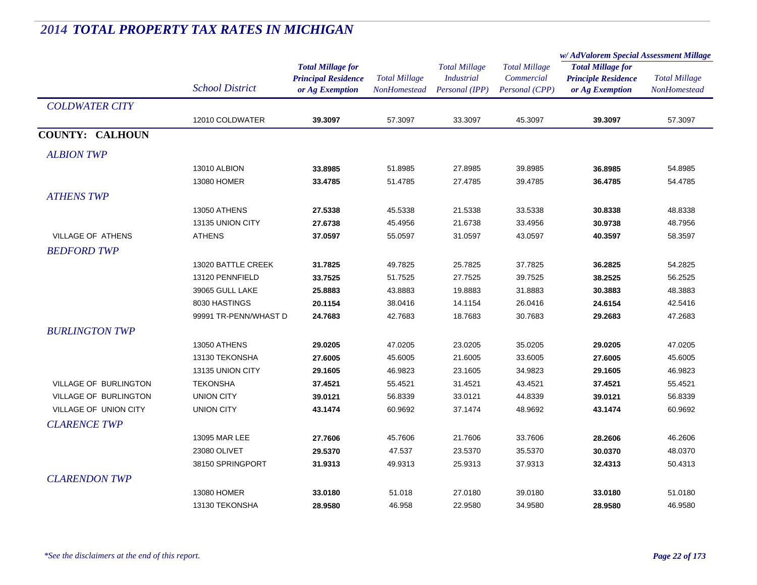|                              |                        |                            |                      | <b>Total Millage</b><br><b>Industrial</b> | <b>Total Millage</b> | w/AdValorem Special Assessment Millage                                    |                      |
|------------------------------|------------------------|----------------------------|----------------------|-------------------------------------------|----------------------|---------------------------------------------------------------------------|----------------------|
|                              |                        | <b>Total Millage for</b>   |                      |                                           |                      | <b>Total Millage for</b><br><b>Principle Residence</b><br>or Ag Exemption | <b>Total Millage</b> |
|                              |                        | <b>Principal Residence</b> | <b>Total Millage</b> |                                           | Commercial           |                                                                           |                      |
|                              | <b>School District</b> | or Ag Exemption            | <b>NonHomestead</b>  | Personal (IPP)                            | Personal (CPP)       |                                                                           | NonHomestead         |
| <b>COLDWATER CITY</b>        |                        |                            |                      |                                           |                      |                                                                           |                      |
|                              | 12010 COLDWATER        | 39.3097                    | 57.3097              | 33.3097                                   | 45.3097              | 39.3097                                                                   | 57.3097              |
| <b>COUNTY: CALHOUN</b>       |                        |                            |                      |                                           |                      |                                                                           |                      |
| <b>ALBION TWP</b>            |                        |                            |                      |                                           |                      |                                                                           |                      |
|                              | 13010 ALBION           | 33.8985                    | 51.8985              | 27.8985                                   | 39.8985              | 36.8985                                                                   | 54.8985              |
|                              | 13080 HOMER            | 33.4785                    | 51.4785              | 27.4785                                   | 39.4785              | 36.4785                                                                   | 54.4785              |
| <b>ATHENS TWP</b>            |                        |                            |                      |                                           |                      |                                                                           |                      |
|                              | <b>13050 ATHENS</b>    | 27.5338                    | 45.5338              | 21.5338                                   | 33.5338              | 30.8338                                                                   | 48.8338              |
|                              | 13135 UNION CITY       | 27.6738                    | 45.4956              | 21.6738                                   | 33.4956              | 30.9738                                                                   | 48.7956              |
| <b>VILLAGE OF ATHENS</b>     | <b>ATHENS</b>          | 37.0597                    | 55.0597              | 31.0597                                   | 43.0597              | 40.3597                                                                   | 58.3597              |
| <b>BEDFORD TWP</b>           |                        |                            |                      |                                           |                      |                                                                           |                      |
|                              | 13020 BATTLE CREEK     | 31.7825                    | 49.7825              | 25.7825                                   | 37.7825              | 36.2825                                                                   | 54.2825              |
|                              | 13120 PENNFIELD        | 33.7525                    | 51.7525              | 27.7525                                   | 39.7525              | 38.2525                                                                   | 56.2525              |
|                              | 39065 GULL LAKE        | 25.8883                    | 43.8883              | 19.8883                                   | 31.8883              | 30.3883                                                                   | 48.3883              |
|                              | 8030 HASTINGS          | 20.1154                    | 38.0416              | 14.1154                                   | 26.0416              | 24.6154                                                                   | 42.5416              |
|                              | 99991 TR-PENN/WHAST D  | 24.7683                    | 42.7683              | 18.7683                                   | 30.7683              | 29.2683                                                                   | 47.2683              |
| <b>BURLINGTON TWP</b>        |                        |                            |                      |                                           |                      |                                                                           |                      |
|                              | <b>13050 ATHENS</b>    | 29.0205                    | 47.0205              | 23.0205                                   | 35.0205              | 29.0205                                                                   | 47.0205              |
|                              | 13130 TEKONSHA         | 27.6005                    | 45.6005              | 21.6005                                   | 33.6005              | 27.6005                                                                   | 45.6005              |
|                              | 13135 UNION CITY       | 29.1605                    | 46.9823              | 23.1605                                   | 34.9823              | 29.1605                                                                   | 46.9823              |
| <b>VILLAGE OF BURLINGTON</b> | <b>TEKONSHA</b>        | 37.4521                    | 55.4521              | 31.4521                                   | 43.4521              | 37.4521                                                                   | 55.4521              |
| VILLAGE OF BURLINGTON        | <b>UNION CITY</b>      | 39.0121                    | 56.8339              | 33.0121                                   | 44.8339              | 39.0121                                                                   | 56.8339              |
| VILLAGE OF UNION CITY        | <b>UNION CITY</b>      | 43.1474                    | 60.9692              | 37.1474                                   | 48.9692              | 43.1474                                                                   | 60.9692              |
| <b>CLARENCE TWP</b>          |                        |                            |                      |                                           |                      |                                                                           |                      |
|                              | 13095 MAR LEE          | 27.7606                    | 45.7606              | 21.7606                                   | 33.7606              | 28.2606                                                                   | 46.2606              |
|                              | 23080 OLIVET           | 29.5370                    | 47.537               | 23.5370                                   | 35.5370              | 30.0370                                                                   | 48.0370              |
|                              | 38150 SPRINGPORT       | 31.9313                    | 49.9313              | 25.9313                                   | 37.9313              | 32.4313                                                                   | 50.4313              |
| <b>CLARENDON TWP</b>         |                        |                            |                      |                                           |                      |                                                                           |                      |
|                              | 13080 HOMER            | 33.0180                    | 51.018               | 27.0180                                   | 39.0180              | 33.0180                                                                   | 51.0180              |
|                              | 13130 TEKONSHA         | 28.9580                    | 46.958               | 22.9580                                   | 34.9580              | 28.9580                                                                   | 46.9580              |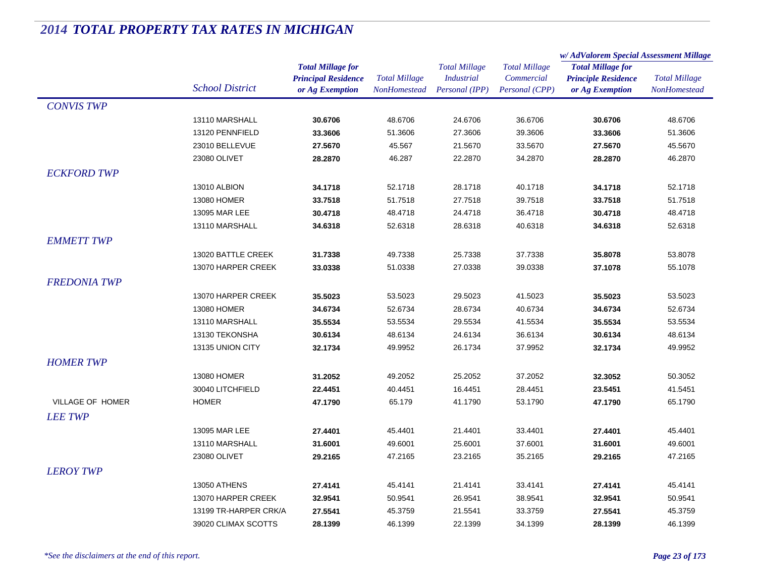|                     |                        |                            |                      | <b>Total Millage</b> | <b>Total Millage</b> | w/AdValorem Special Assessment Millage |                                             |
|---------------------|------------------------|----------------------------|----------------------|----------------------|----------------------|----------------------------------------|---------------------------------------------|
|                     |                        | <b>Total Millage for</b>   |                      |                      |                      | <b>Total Millage for</b>               | <b>Total Millage</b><br><b>NonHomestead</b> |
|                     | <b>School District</b> | <b>Principal Residence</b> | <b>Total Millage</b> | <b>Industrial</b>    | Commercial           | <b>Principle Residence</b>             |                                             |
|                     |                        | or Ag Exemption            | <b>NonHomestead</b>  | Personal (IPP)       | Personal (CPP)       | or Ag Exemption                        |                                             |
| <b>CONVIS TWP</b>   |                        |                            |                      |                      |                      |                                        |                                             |
|                     | 13110 MARSHALL         | 30.6706                    | 48.6706              | 24.6706              | 36.6706              | 30.6706                                | 48.6706                                     |
|                     | 13120 PENNFIELD        | 33.3606                    | 51.3606              | 27.3606              | 39.3606              | 33.3606                                | 51.3606                                     |
|                     | 23010 BELLEVUE         | 27.5670                    | 45.567               | 21.5670              | 33.5670              | 27.5670                                | 45.5670                                     |
|                     | 23080 OLIVET           | 28.2870                    | 46.287               | 22.2870              | 34.2870              | 28.2870                                | 46.2870                                     |
| <b>ECKFORD TWP</b>  |                        |                            |                      |                      |                      |                                        |                                             |
|                     | 13010 ALBION           | 34.1718                    | 52.1718              | 28.1718              | 40.1718              | 34.1718                                | 52.1718                                     |
|                     | 13080 HOMER            | 33.7518                    | 51.7518              | 27.7518              | 39.7518              | 33.7518                                | 51.7518                                     |
|                     | 13095 MAR LEE          | 30.4718                    | 48.4718              | 24.4718              | 36.4718              | 30.4718                                | 48.4718                                     |
|                     | 13110 MARSHALL         | 34.6318                    | 52.6318              | 28.6318              | 40.6318              | 34.6318                                | 52.6318                                     |
| <b>EMMETT TWP</b>   |                        |                            |                      |                      |                      |                                        |                                             |
|                     | 13020 BATTLE CREEK     | 31.7338                    | 49.7338              | 25.7338              | 37.7338              | 35.8078                                | 53.8078                                     |
|                     | 13070 HARPER CREEK     | 33.0338                    | 51.0338              | 27.0338              | 39.0338              | 37.1078                                | 55.1078                                     |
| <b>FREDONIA TWP</b> |                        |                            |                      |                      |                      |                                        |                                             |
|                     | 13070 HARPER CREEK     | 35.5023                    | 53.5023              | 29.5023              | 41.5023              | 35.5023                                | 53.5023                                     |
|                     | 13080 HOMER            | 34.6734                    | 52.6734              | 28.6734              | 40.6734              | 34.6734                                | 52.6734                                     |
|                     | 13110 MARSHALL         | 35.5534                    | 53.5534              | 29.5534              | 41.5534              | 35.5534                                | 53.5534                                     |
|                     | 13130 TEKONSHA         | 30.6134                    | 48.6134              | 24.6134              | 36.6134              | 30.6134                                | 48.6134                                     |
|                     | 13135 UNION CITY       | 32.1734                    | 49.9952              | 26.1734              | 37.9952              | 32.1734                                | 49.9952                                     |
| <b>HOMER TWP</b>    |                        |                            |                      |                      |                      |                                        |                                             |
|                     | 13080 HOMER            | 31.2052                    | 49.2052              | 25.2052              | 37.2052              | 32.3052                                | 50.3052                                     |
|                     | 30040 LITCHFIELD       | 22.4451                    | 40.4451              | 16.4451              | 28.4451              | 23.5451                                | 41.5451                                     |
| VILLAGE OF HOMER    | <b>HOMER</b>           | 47.1790                    | 65.179               | 41.1790              | 53.1790              | 47.1790                                | 65.1790                                     |
|                     |                        |                            |                      |                      |                      |                                        |                                             |
| <b>LEE TWP</b>      |                        |                            |                      |                      |                      |                                        |                                             |
|                     | 13095 MAR LEE          | 27.4401                    | 45.4401              | 21.4401              | 33.4401              | 27.4401                                | 45.4401                                     |
|                     | 13110 MARSHALL         | 31.6001                    | 49.6001              | 25.6001              | 37.6001              | 31.6001                                | 49.6001                                     |
|                     | 23080 OLIVET           | 29.2165                    | 47.2165              | 23.2165              | 35.2165              | 29.2165                                | 47.2165                                     |
| <b>LEROY TWP</b>    |                        |                            |                      |                      |                      |                                        |                                             |
|                     | <b>13050 ATHENS</b>    | 27.4141                    | 45.4141              | 21.4141              | 33.4141              | 27.4141                                | 45.4141                                     |
|                     | 13070 HARPER CREEK     | 32.9541                    | 50.9541              | 26.9541              | 38.9541              | 32.9541                                | 50.9541                                     |
|                     | 13199 TR-HARPER CRK/A  | 27.5541                    | 45.3759              | 21.5541              | 33.3759              | 27.5541                                | 45.3759                                     |
|                     | 39020 CLIMAX SCOTTS    | 28.1399                    | 46.1399              | 22.1399              | 34.1399              | 28.1399                                | 46.1399                                     |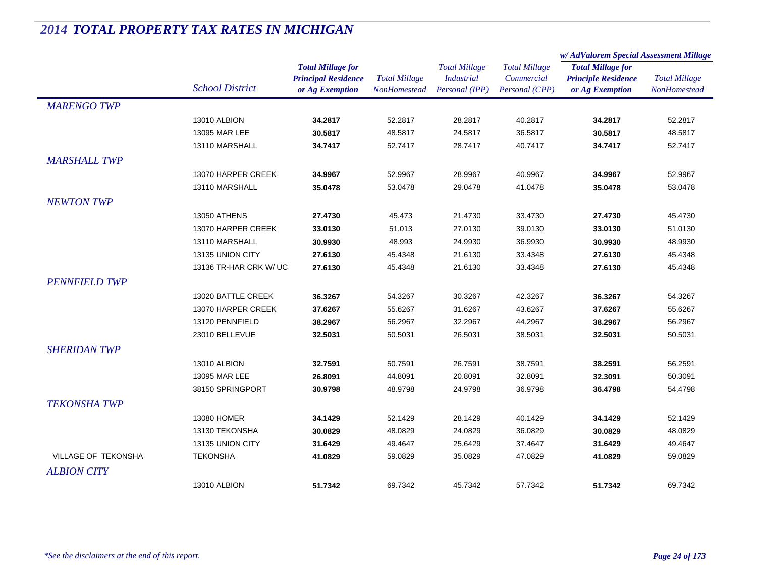|                            |                        |                                                                           | <b>Total Millage</b><br>NonHomestead | <b>Total Millage</b><br><b>Industrial</b><br>Personal (IPP) | <b>Total Millage</b><br>Commercial<br>Personal (CPP) | w/AdValorem Special Assessment Millage                                    |                                             |
|----------------------------|------------------------|---------------------------------------------------------------------------|--------------------------------------|-------------------------------------------------------------|------------------------------------------------------|---------------------------------------------------------------------------|---------------------------------------------|
|                            | <b>School District</b> | <b>Total Millage for</b><br><b>Principal Residence</b><br>or Ag Exemption |                                      |                                                             |                                                      | <b>Total Millage for</b><br><b>Principle Residence</b><br>or Ag Exemption | <b>Total Millage</b><br><b>NonHomestead</b> |
| <b>MARENGO TWP</b>         |                        |                                                                           |                                      |                                                             |                                                      |                                                                           |                                             |
|                            |                        |                                                                           |                                      |                                                             |                                                      |                                                                           |                                             |
|                            | 13010 ALBION           | 34.2817                                                                   | 52.2817                              | 28.2817                                                     | 40.2817                                              | 34.2817                                                                   | 52.2817                                     |
|                            | 13095 MAR LEE          | 30.5817                                                                   | 48.5817                              | 24.5817                                                     | 36.5817                                              | 30.5817                                                                   | 48.5817                                     |
|                            | 13110 MARSHALL         | 34.7417                                                                   | 52.7417                              | 28.7417                                                     | 40.7417                                              | 34.7417                                                                   | 52.7417                                     |
| <b>MARSHALL TWP</b>        |                        |                                                                           |                                      |                                                             |                                                      |                                                                           |                                             |
|                            | 13070 HARPER CREEK     | 34.9967                                                                   | 52.9967                              | 28.9967                                                     | 40.9967                                              | 34.9967                                                                   | 52.9967                                     |
|                            | 13110 MARSHALL         | 35.0478                                                                   | 53.0478                              | 29.0478                                                     | 41.0478                                              | 35.0478                                                                   | 53.0478                                     |
| <b>NEWTON TWP</b>          |                        |                                                                           |                                      |                                                             |                                                      |                                                                           |                                             |
|                            | <b>13050 ATHENS</b>    | 27.4730                                                                   | 45.473                               | 21.4730                                                     | 33.4730                                              | 27.4730                                                                   | 45.4730                                     |
|                            | 13070 HARPER CREEK     | 33.0130                                                                   | 51.013                               | 27.0130                                                     | 39.0130                                              | 33.0130                                                                   | 51.0130                                     |
|                            | 13110 MARSHALL         | 30.9930                                                                   | 48.993                               | 24.9930                                                     | 36.9930                                              | 30.9930                                                                   | 48.9930                                     |
|                            | 13135 UNION CITY       | 27.6130                                                                   | 45.4348                              | 21.6130                                                     | 33.4348                                              | 27.6130                                                                   | 45.4348                                     |
|                            | 13136 TR-HAR CRK W/ UC | 27.6130                                                                   | 45.4348                              | 21.6130                                                     | 33.4348                                              | 27.6130                                                                   | 45.4348                                     |
| <b>PENNFIELD TWP</b>       |                        |                                                                           |                                      |                                                             |                                                      |                                                                           |                                             |
|                            | 13020 BATTLE CREEK     | 36.3267                                                                   | 54.3267                              | 30.3267                                                     | 42.3267                                              | 36.3267                                                                   | 54.3267                                     |
|                            | 13070 HARPER CREEK     | 37.6267                                                                   | 55.6267                              | 31.6267                                                     | 43.6267                                              | 37.6267                                                                   | 55.6267                                     |
|                            | 13120 PENNFIELD        | 38.2967                                                                   | 56.2967                              | 32.2967                                                     | 44.2967                                              | 38.2967                                                                   | 56.2967                                     |
|                            | 23010 BELLEVUE         | 32.5031                                                                   | 50.5031                              | 26.5031                                                     | 38.5031                                              | 32.5031                                                                   | 50.5031                                     |
| <b>SHERIDAN TWP</b>        |                        |                                                                           |                                      |                                                             |                                                      |                                                                           |                                             |
|                            | 13010 ALBION           | 32.7591                                                                   | 50.7591                              | 26.7591                                                     | 38.7591                                              | 38.2591                                                                   | 56.2591                                     |
|                            | 13095 MAR LEE          | 26.8091                                                                   | 44.8091                              | 20.8091                                                     | 32.8091                                              | 32.3091                                                                   | 50.3091                                     |
|                            | 38150 SPRINGPORT       | 30.9798                                                                   | 48.9798                              | 24.9798                                                     | 36.9798                                              | 36.4798                                                                   | 54.4798                                     |
| <b>TEKONSHA TWP</b>        |                        |                                                                           |                                      |                                                             |                                                      |                                                                           |                                             |
|                            | 13080 HOMER            | 34.1429                                                                   | 52.1429                              | 28.1429                                                     | 40.1429                                              | 34.1429                                                                   | 52.1429                                     |
|                            | 13130 TEKONSHA         | 30.0829                                                                   | 48.0829                              | 24.0829                                                     | 36.0829                                              | 30.0829                                                                   | 48.0829                                     |
|                            | 13135 UNION CITY       | 31.6429                                                                   | 49.4647                              | 25.6429                                                     | 37.4647                                              | 31.6429                                                                   | 49.4647                                     |
| <b>VILLAGE OF TEKONSHA</b> | <b>TEKONSHA</b>        | 41.0829                                                                   | 59.0829                              | 35.0829                                                     | 47.0829                                              | 41.0829                                                                   | 59.0829                                     |
| <b>ALBION CITY</b>         |                        |                                                                           |                                      |                                                             |                                                      |                                                                           |                                             |
|                            | 13010 ALBION           | 51.7342                                                                   | 69.7342                              | 45.7342                                                     | 57.7342                                              | 51.7342                                                                   | 69.7342                                     |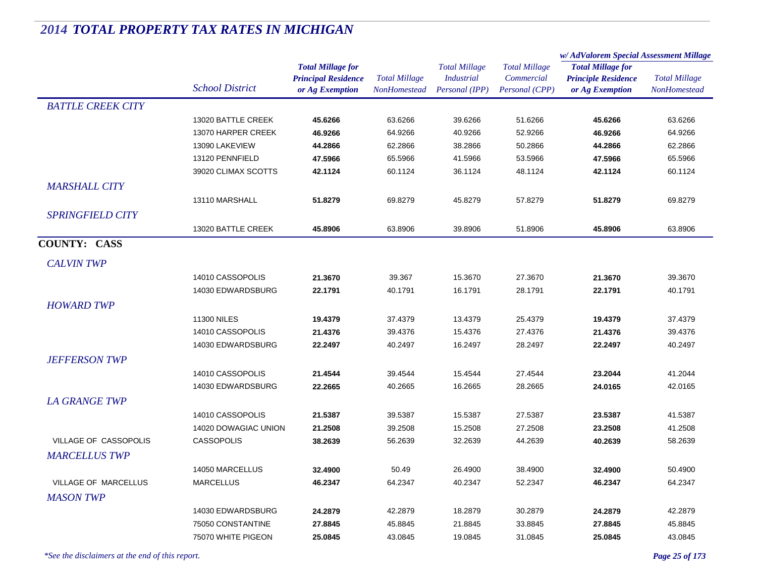|                             |                        |                            |                      | <b>Total Millage</b> | <b>Total Millage</b> | w/AdValorem Special Assessment Millage |                      |
|-----------------------------|------------------------|----------------------------|----------------------|----------------------|----------------------|----------------------------------------|----------------------|
|                             |                        | <b>Total Millage for</b>   |                      |                      |                      | <b>Total Millage for</b>               | <b>Total Millage</b> |
|                             | <b>School District</b> | <b>Principal Residence</b> | <b>Total Millage</b> | <b>Industrial</b>    | Commercial           | <b>Principle Residence</b>             |                      |
|                             |                        | or Ag Exemption            | <b>NonHomestead</b>  | Personal (IPP)       | Personal (CPP)       | or Ag Exemption                        | NonHomestead         |
| <b>BATTLE CREEK CITY</b>    |                        |                            |                      |                      |                      |                                        |                      |
|                             | 13020 BATTLE CREEK     | 45.6266                    | 63.6266              | 39.6266              | 51.6266              | 45.6266                                | 63.6266              |
|                             | 13070 HARPER CREEK     | 46.9266                    | 64.9266              | 40.9266              | 52.9266              | 46.9266                                | 64.9266              |
|                             | 13090 LAKEVIEW         | 44.2866                    | 62.2866              | 38.2866              | 50.2866              | 44.2866                                | 62.2866              |
|                             | 13120 PENNFIELD        | 47.5966                    | 65.5966              | 41.5966              | 53.5966              | 47.5966                                | 65.5966              |
|                             | 39020 CLIMAX SCOTTS    | 42.1124                    | 60.1124              | 36.1124              | 48.1124              | 42.1124                                | 60.1124              |
| <b>MARSHALL CITY</b>        |                        |                            |                      |                      |                      |                                        |                      |
|                             | 13110 MARSHALL         | 51.8279                    | 69.8279              | 45.8279              | 57.8279              | 51.8279                                | 69.8279              |
| <b>SPRINGFIELD CITY</b>     |                        |                            |                      |                      |                      |                                        |                      |
|                             | 13020 BATTLE CREEK     | 45.8906                    | 63.8906              | 39.8906              | 51.8906              | 45.8906                                | 63.8906              |
| <b>COUNTY: CASS</b>         |                        |                            |                      |                      |                      |                                        |                      |
| <b>CALVIN TWP</b>           |                        |                            |                      |                      |                      |                                        |                      |
|                             | 14010 CASSOPOLIS       | 21.3670                    | 39.367               | 15.3670              | 27.3670              | 21.3670                                | 39.3670              |
|                             | 14030 EDWARDSBURG      | 22.1791                    | 40.1791              | 16.1791              | 28.1791              | 22.1791                                | 40.1791              |
| <b>HOWARD TWP</b>           |                        |                            |                      |                      |                      |                                        |                      |
|                             |                        |                            |                      |                      |                      |                                        |                      |
|                             | <b>11300 NILES</b>     | 19.4379                    | 37.4379              | 13.4379              | 25.4379              | 19.4379                                | 37.4379              |
|                             | 14010 CASSOPOLIS       | 21.4376                    | 39.4376              | 15.4376              | 27.4376              | 21.4376                                | 39.4376              |
|                             | 14030 EDWARDSBURG      | 22.2497                    | 40.2497              | 16.2497              | 28.2497              | 22.2497                                | 40.2497              |
| <b>JEFFERSON TWP</b>        |                        |                            |                      |                      |                      |                                        |                      |
|                             | 14010 CASSOPOLIS       | 21.4544                    | 39.4544              | 15.4544              | 27.4544              | 23.2044                                | 41.2044              |
|                             | 14030 EDWARDSBURG      | 22.2665                    | 40.2665              | 16.2665              | 28.2665              | 24.0165                                | 42.0165              |
| <b>LA GRANGE TWP</b>        |                        |                            |                      |                      |                      |                                        |                      |
|                             | 14010 CASSOPOLIS       | 21.5387                    | 39.5387              | 15.5387              | 27.5387              | 23.5387                                | 41.5387              |
|                             | 14020 DOWAGIAC UNION   | 21.2508                    | 39.2508              | 15.2508              | 27.2508              | 23.2508                                | 41.2508              |
| VILLAGE OF CASSOPOLIS       | <b>CASSOPOLIS</b>      | 38.2639                    | 56.2639              | 32.2639              | 44.2639              | 40.2639                                | 58.2639              |
| <b>MARCELLUS TWP</b>        |                        |                            |                      |                      |                      |                                        |                      |
|                             | 14050 MARCELLUS        | 32.4900                    | 50.49                | 26.4900              | 38.4900              | 32.4900                                | 50.4900              |
| <b>VILLAGE OF MARCELLUS</b> | <b>MARCELLUS</b>       | 46.2347                    | 64.2347              | 40.2347              | 52.2347              | 46.2347                                | 64.2347              |
| <b>MASON TWP</b>            |                        |                            |                      |                      |                      |                                        |                      |
|                             | 14030 EDWARDSBURG      | 24.2879                    | 42.2879              | 18.2879              | 30.2879              | 24.2879                                | 42.2879              |
|                             | 75050 CONSTANTINE      | 27.8845                    | 45.8845              | 21.8845              | 33.8845              | 27.8845                                | 45.8845              |
|                             | 75070 WHITE PIGEON     | 25.0845                    | 43.0845              | 19.0845              | 31.0845              | 25.0845                                | 43.0845              |
|                             |                        |                            |                      |                      |                      |                                        |                      |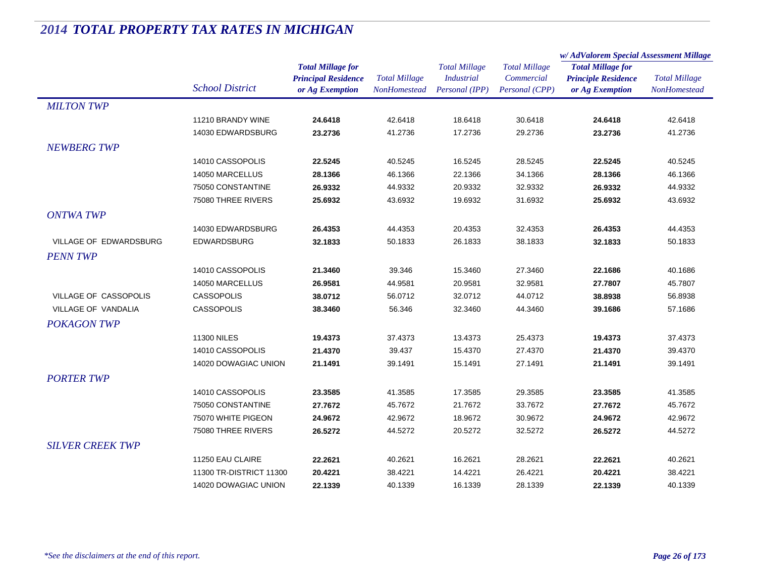|                         |                         |                                               |                                      |                                     |                              | w/AdValorem Special Assessment Millage        |                                      |
|-------------------------|-------------------------|-----------------------------------------------|--------------------------------------|-------------------------------------|------------------------------|-----------------------------------------------|--------------------------------------|
|                         |                         | <b>Total Millage for</b>                      |                                      | <b>Total Millage</b>                | <b>Total Millage</b>         | <b>Total Millage for</b>                      | <b>Total Millage</b><br>NonHomestead |
|                         | <b>School District</b>  | <b>Principal Residence</b><br>or Ag Exemption | <b>Total Millage</b><br>NonHomestead | <b>Industrial</b><br>Personal (IPP) | Commercial<br>Personal (CPP) | <b>Principle Residence</b><br>or Ag Exemption |                                      |
| <b>MILTON TWP</b>       |                         |                                               |                                      |                                     |                              |                                               |                                      |
|                         | 11210 BRANDY WINE       | 24.6418                                       | 42.6418                              | 18.6418                             | 30.6418                      | 24.6418                                       | 42.6418                              |
|                         | 14030 EDWARDSBURG       | 23.2736                                       | 41.2736                              | 17.2736                             | 29.2736                      | 23.2736                                       | 41.2736                              |
| <b>NEWBERG TWP</b>      |                         |                                               |                                      |                                     |                              |                                               |                                      |
|                         | 14010 CASSOPOLIS        | 22.5245                                       | 40.5245                              | 16.5245                             | 28.5245                      | 22.5245                                       | 40.5245                              |
|                         | 14050 MARCELLUS         | 28.1366                                       | 46.1366                              | 22.1366                             | 34.1366                      | 28.1366                                       | 46.1366                              |
|                         | 75050 CONSTANTINE       | 26.9332                                       | 44.9332                              | 20.9332                             | 32.9332                      | 26.9332                                       | 44.9332                              |
|                         | 75080 THREE RIVERS      | 25.6932                                       | 43.6932                              | 19.6932                             | 31.6932                      | 25.6932                                       | 43.6932                              |
| <b>ONTWA TWP</b>        |                         |                                               |                                      |                                     |                              |                                               |                                      |
|                         | 14030 EDWARDSBURG       | 26.4353                                       | 44.4353                              | 20.4353                             | 32.4353                      | 26.4353                                       | 44.4353                              |
| VILLAGE OF EDWARDSBURG  | EDWARDSBURG             | 32.1833                                       | 50.1833                              | 26.1833                             | 38.1833                      | 32.1833                                       | 50.1833                              |
| <b>PENN TWP</b>         |                         |                                               |                                      |                                     |                              |                                               |                                      |
|                         | 14010 CASSOPOLIS        | 21.3460                                       | 39.346                               | 15.3460                             | 27.3460                      | 22.1686                                       | 40.1686                              |
|                         | 14050 MARCELLUS         | 26.9581                                       | 44.9581                              | 20.9581                             | 32.9581                      | 27.7807                                       | 45.7807                              |
| VILLAGE OF CASSOPOLIS   | <b>CASSOPOLIS</b>       | 38.0712                                       | 56.0712                              | 32.0712                             | 44.0712                      | 38.8938                                       | 56.8938                              |
| VILLAGE OF VANDALIA     | <b>CASSOPOLIS</b>       | 38.3460                                       | 56.346                               | 32.3460                             | 44.3460                      | 39.1686                                       | 57.1686                              |
| <b>POKAGON TWP</b>      |                         |                                               |                                      |                                     |                              |                                               |                                      |
|                         | <b>11300 NILES</b>      | 19.4373                                       | 37.4373                              | 13.4373                             | 25.4373                      | 19.4373                                       | 37.4373                              |
|                         | 14010 CASSOPOLIS        | 21.4370                                       | 39.437                               | 15.4370                             | 27.4370                      | 21.4370                                       | 39.4370                              |
|                         | 14020 DOWAGIAC UNION    | 21.1491                                       | 39.1491                              | 15.1491                             | 27.1491                      | 21.1491                                       | 39.1491                              |
| <b>PORTER TWP</b>       |                         |                                               |                                      |                                     |                              |                                               |                                      |
|                         | 14010 CASSOPOLIS        | 23.3585                                       | 41.3585                              | 17.3585                             | 29.3585                      | 23.3585                                       | 41.3585                              |
|                         | 75050 CONSTANTINE       | 27.7672                                       | 45.7672                              | 21.7672                             | 33.7672                      | 27.7672                                       | 45.7672                              |
|                         | 75070 WHITE PIGEON      | 24.9672                                       | 42.9672                              | 18.9672                             | 30.9672                      | 24.9672                                       | 42.9672                              |
|                         | 75080 THREE RIVERS      | 26.5272                                       | 44.5272                              | 20.5272                             | 32.5272                      | 26.5272                                       | 44.5272                              |
| <b>SILVER CREEK TWP</b> |                         |                                               |                                      |                                     |                              |                                               |                                      |
|                         | 11250 EAU CLAIRE        | 22.2621                                       | 40.2621                              | 16.2621                             | 28.2621                      | 22.2621                                       | 40.2621                              |
|                         | 11300 TR-DISTRICT 11300 | 20.4221                                       | 38.4221                              | 14.4221                             | 26.4221                      | 20.4221                                       | 38.4221                              |
|                         | 14020 DOWAGIAC UNION    | 22.1339                                       | 40.1339                              | 16.1339                             | 28.1339                      | 22.1339                                       | 40.1339                              |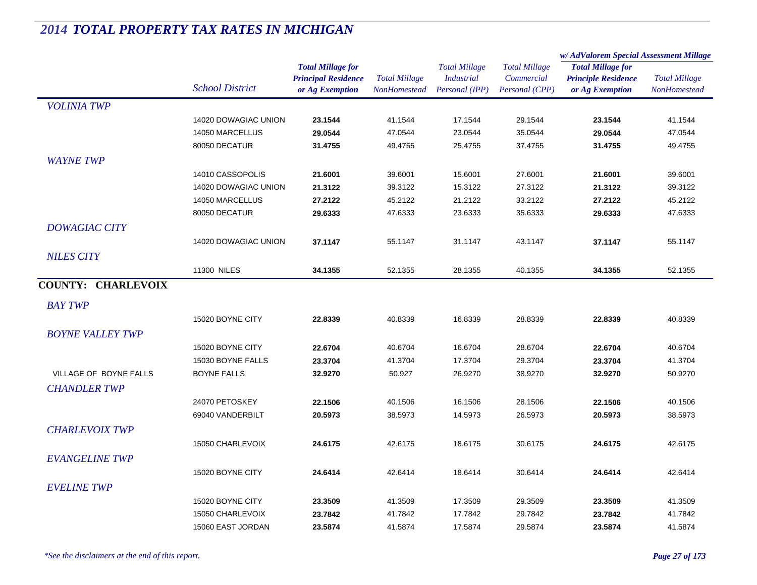|                           |                        |                                                                           |                                             |                                                             |                                                      | w/AdValorem Special Assessment Millage                                    |                                      |
|---------------------------|------------------------|---------------------------------------------------------------------------|---------------------------------------------|-------------------------------------------------------------|------------------------------------------------------|---------------------------------------------------------------------------|--------------------------------------|
|                           | <b>School District</b> | <b>Total Millage for</b><br><b>Principal Residence</b><br>or Ag Exemption | <b>Total Millage</b><br><b>NonHomestead</b> | <b>Total Millage</b><br><b>Industrial</b><br>Personal (IPP) | <b>Total Millage</b><br>Commercial<br>Personal (CPP) | <b>Total Millage for</b><br><b>Principle Residence</b><br>or Ag Exemption | <b>Total Millage</b><br>NonHomestead |
| <b>VOLINIA TWP</b>        |                        |                                                                           |                                             |                                                             |                                                      |                                                                           |                                      |
|                           | 14020 DOWAGIAC UNION   | 23.1544                                                                   | 41.1544                                     | 17.1544                                                     | 29.1544                                              | 23.1544                                                                   | 41.1544                              |
|                           | 14050 MARCELLUS        | 29.0544                                                                   | 47.0544                                     | 23.0544                                                     | 35.0544                                              | 29.0544                                                                   | 47.0544                              |
|                           | 80050 DECATUR          | 31.4755                                                                   | 49.4755                                     | 25.4755                                                     | 37.4755                                              | 31.4755                                                                   | 49.4755                              |
| <b>WAYNE TWP</b>          |                        |                                                                           |                                             |                                                             |                                                      |                                                                           |                                      |
|                           | 14010 CASSOPOLIS       | 21.6001                                                                   | 39.6001                                     | 15.6001                                                     | 27.6001                                              | 21.6001                                                                   | 39.6001                              |
|                           | 14020 DOWAGIAC UNION   | 21.3122                                                                   | 39.3122                                     | 15.3122                                                     | 27.3122                                              | 21.3122                                                                   | 39.3122                              |
|                           | 14050 MARCELLUS        | 27.2122                                                                   | 45.2122                                     | 21.2122                                                     | 33.2122                                              | 27.2122                                                                   | 45.2122                              |
|                           | 80050 DECATUR          | 29.6333                                                                   | 47.6333                                     | 23.6333                                                     | 35.6333                                              | 29.6333                                                                   | 47.6333                              |
| <b>DOWAGIAC CITY</b>      |                        |                                                                           |                                             |                                                             |                                                      |                                                                           |                                      |
|                           | 14020 DOWAGIAC UNION   | 37.1147                                                                   | 55.1147                                     | 31.1147                                                     | 43.1147                                              | 37.1147                                                                   | 55.1147                              |
| <b>NILES CITY</b>         |                        |                                                                           |                                             |                                                             |                                                      |                                                                           |                                      |
|                           | <b>11300 NILES</b>     | 34.1355                                                                   | 52.1355                                     | 28.1355                                                     | 40.1355                                              | 34.1355                                                                   | 52.1355                              |
| <b>COUNTY: CHARLEVOIX</b> |                        |                                                                           |                                             |                                                             |                                                      |                                                                           |                                      |
| <b>BAY TWP</b>            |                        |                                                                           |                                             |                                                             |                                                      |                                                                           |                                      |
|                           | 15020 BOYNE CITY       | 22.8339                                                                   | 40.8339                                     | 16.8339                                                     | 28.8339                                              | 22.8339                                                                   | 40.8339                              |
| <b>BOYNE VALLEY TWP</b>   |                        |                                                                           |                                             |                                                             |                                                      |                                                                           |                                      |
|                           | 15020 BOYNE CITY       | 22.6704                                                                   | 40.6704                                     | 16.6704                                                     | 28.6704                                              | 22.6704                                                                   | 40.6704                              |
|                           | 15030 BOYNE FALLS      | 23.3704                                                                   | 41.3704                                     | 17.3704                                                     | 29.3704                                              | 23.3704                                                                   | 41.3704                              |
| VILLAGE OF BOYNE FALLS    | <b>BOYNE FALLS</b>     | 32.9270                                                                   | 50.927                                      | 26.9270                                                     | 38.9270                                              | 32.9270                                                                   | 50.9270                              |
| <b>CHANDLER TWP</b>       |                        |                                                                           |                                             |                                                             |                                                      |                                                                           |                                      |
|                           | 24070 PETOSKEY         | 22.1506                                                                   | 40.1506                                     | 16.1506                                                     | 28.1506                                              | 22.1506                                                                   | 40.1506                              |
|                           | 69040 VANDERBILT       | 20.5973                                                                   | 38.5973                                     | 14.5973                                                     | 26.5973                                              | 20.5973                                                                   | 38.5973                              |
| <b>CHARLEVOIX TWP</b>     |                        |                                                                           |                                             |                                                             |                                                      |                                                                           |                                      |
|                           | 15050 CHARLEVOIX       | 24.6175                                                                   | 42.6175                                     | 18.6175                                                     | 30.6175                                              | 24.6175                                                                   | 42.6175                              |
|                           |                        |                                                                           |                                             |                                                             |                                                      |                                                                           |                                      |
| <b>EVANGELINE TWP</b>     |                        |                                                                           |                                             |                                                             |                                                      |                                                                           |                                      |
|                           | 15020 BOYNE CITY       | 24.6414                                                                   | 42.6414                                     | 18.6414                                                     | 30.6414                                              | 24.6414                                                                   | 42.6414                              |
| <b>EVELINE TWP</b>        |                        |                                                                           |                                             |                                                             |                                                      |                                                                           |                                      |
|                           | 15020 BOYNE CITY       | 23.3509                                                                   | 41.3509                                     | 17.3509                                                     | 29.3509                                              | 23.3509                                                                   | 41.3509                              |
|                           | 15050 CHARLEVOIX       | 23.7842                                                                   | 41.7842                                     | 17.7842                                                     | 29.7842                                              | 23.7842                                                                   | 41.7842                              |
|                           | 15060 EAST JORDAN      | 23.5874                                                                   | 41.5874                                     | 17.5874                                                     | 29.5874                                              | 23.5874                                                                   | 41.5874                              |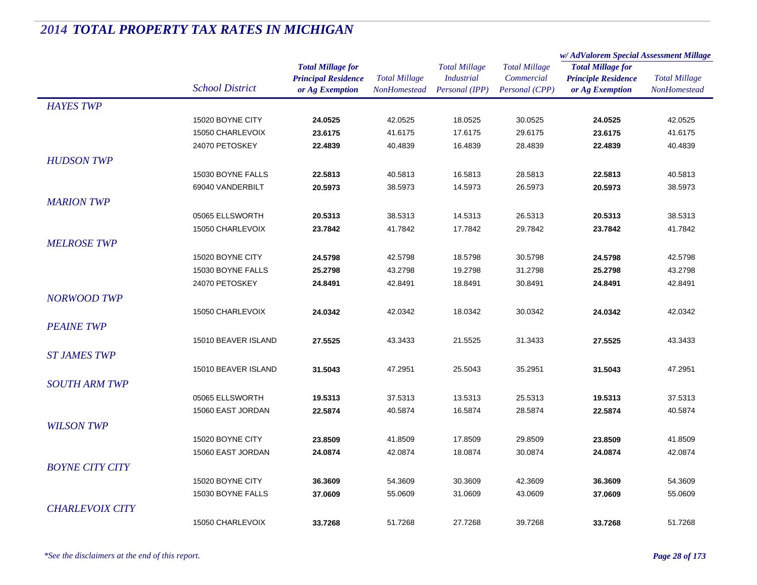|                        |                        |                            |                      |                      |                      | w/AdValorem Special Assessment Millage |                      |
|------------------------|------------------------|----------------------------|----------------------|----------------------|----------------------|----------------------------------------|----------------------|
|                        |                        | <b>Total Millage for</b>   |                      | <b>Total Millage</b> | <b>Total Millage</b> | <b>Total Millage for</b>               |                      |
|                        |                        | <b>Principal Residence</b> | <b>Total Millage</b> | <b>Industrial</b>    | Commercial           | <b>Principle Residence</b>             | <b>Total Millage</b> |
|                        | <b>School District</b> | or Ag Exemption            | NonHomestead         | Personal (IPP)       | Personal (CPP)       | or Ag Exemption                        | NonHomestead         |
| <b>HAYES TWP</b>       |                        |                            |                      |                      |                      |                                        |                      |
|                        | 15020 BOYNE CITY       | 24.0525                    | 42.0525              | 18.0525              | 30.0525              | 24.0525                                | 42.0525              |
|                        | 15050 CHARLEVOIX       | 23.6175                    | 41.6175              | 17.6175              | 29.6175              | 23.6175                                | 41.6175              |
|                        | 24070 PETOSKEY         | 22.4839                    | 40.4839              | 16.4839              | 28.4839              | 22.4839                                | 40.4839              |
| <b>HUDSON TWP</b>      |                        |                            |                      |                      |                      |                                        |                      |
|                        | 15030 BOYNE FALLS      | 22.5813                    | 40.5813              | 16.5813              | 28.5813              | 22.5813                                | 40.5813              |
|                        | 69040 VANDERBILT       | 20.5973                    | 38.5973              | 14.5973              | 26.5973              | 20.5973                                | 38.5973              |
| <b>MARION TWP</b>      |                        |                            |                      |                      |                      |                                        |                      |
|                        | 05065 ELLSWORTH        | 20.5313                    | 38.5313              | 14.5313              | 26.5313              | 20.5313                                | 38.5313              |
|                        | 15050 CHARLEVOIX       | 23.7842                    | 41.7842              | 17.7842              | 29.7842              | 23.7842                                | 41.7842              |
| <b>MELROSE TWP</b>     |                        |                            |                      |                      |                      |                                        |                      |
|                        | 15020 BOYNE CITY       | 24.5798                    | 42.5798              | 18.5798              | 30.5798              | 24.5798                                | 42.5798              |
|                        | 15030 BOYNE FALLS      | 25.2798                    | 43.2798              | 19.2798              | 31.2798              | 25.2798                                | 43.2798              |
|                        | 24070 PETOSKEY         | 24.8491                    | 42.8491              | 18.8491              | 30.8491              | 24.8491                                | 42.8491              |
| <b>NORWOOD TWP</b>     |                        |                            |                      |                      |                      |                                        |                      |
|                        | 15050 CHARLEVOIX       | 24.0342                    | 42.0342              | 18.0342              | 30.0342              | 24.0342                                | 42.0342              |
| <b>PEAINE TWP</b>      |                        |                            |                      |                      |                      |                                        |                      |
|                        | 15010 BEAVER ISLAND    | 27.5525                    | 43.3433              | 21.5525              | 31.3433              | 27.5525                                | 43.3433              |
| <b>ST JAMES TWP</b>    |                        |                            |                      |                      |                      |                                        |                      |
|                        | 15010 BEAVER ISLAND    | 31.5043                    | 47.2951              |                      |                      | 31.5043                                | 47.2951              |
|                        |                        |                            |                      | 25.5043              | 35.2951              |                                        |                      |
| <b>SOUTH ARM TWP</b>   |                        |                            |                      |                      |                      |                                        |                      |
|                        | 05065 ELLSWORTH        | 19.5313                    | 37.5313              | 13.5313              | 25.5313              | 19.5313                                | 37.5313              |
|                        | 15060 EAST JORDAN      | 22.5874                    | 40.5874              | 16.5874              | 28.5874              | 22.5874                                | 40.5874              |
| <b>WILSON TWP</b>      |                        |                            |                      |                      |                      |                                        |                      |
|                        | 15020 BOYNE CITY       | 23.8509                    | 41.8509              | 17.8509              | 29.8509              | 23.8509                                | 41.8509              |
|                        | 15060 EAST JORDAN      | 24.0874                    | 42.0874              | 18.0874              | 30.0874              | 24.0874                                | 42.0874              |
| <b>BOYNE CITY CITY</b> |                        |                            |                      |                      |                      |                                        |                      |
|                        | 15020 BOYNE CITY       | 36.3609                    | 54.3609              | 30.3609              | 42.3609              | 36.3609                                | 54.3609              |
|                        | 15030 BOYNE FALLS      | 37.0609                    | 55.0609              | 31.0609              | 43.0609              | 37.0609                                | 55.0609              |
| <b>CHARLEVOIX CITY</b> |                        |                            |                      |                      |                      |                                        |                      |
|                        | 15050 CHARLEVOIX       | 33.7268                    | 51.7268              | 27.7268              | 39.7268              | 33.7268                                | 51.7268              |
|                        |                        |                            |                      |                      |                      |                                        |                      |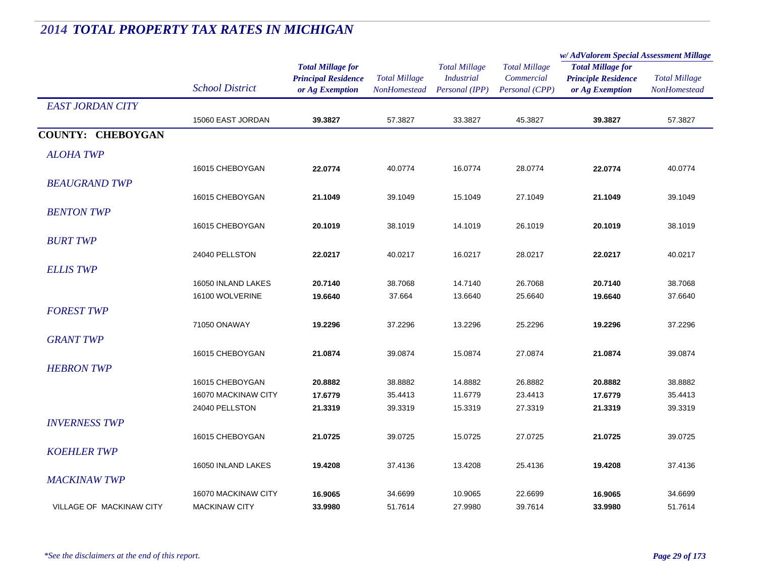|                                 |                        | <b>Total Millage for</b><br><b>Principal Residence</b> | <b>Total Millage</b> | <b>Total Millage</b><br><b>Industrial</b> | <b>Total Millage</b><br>Commercial | w/AdValorem Special Assessment Millage                 |                      |  |
|---------------------------------|------------------------|--------------------------------------------------------|----------------------|-------------------------------------------|------------------------------------|--------------------------------------------------------|----------------------|--|
|                                 |                        |                                                        |                      |                                           |                                    | <b>Total Millage for</b><br><b>Principle Residence</b> | <b>Total Millage</b> |  |
|                                 |                        |                                                        |                      |                                           |                                    |                                                        |                      |  |
|                                 | <b>School District</b> | or Ag Exemption                                        | <b>NonHomestead</b>  | Personal (IPP)                            | Personal (CPP)                     | or Ag Exemption                                        | <b>NonHomestead</b>  |  |
| <b>EAST JORDAN CITY</b>         |                        |                                                        |                      |                                           |                                    |                                                        |                      |  |
|                                 | 15060 EAST JORDAN      | 39.3827                                                | 57.3827              | 33.3827                                   | 45.3827                            | 39.3827                                                | 57.3827              |  |
| <b>COUNTY: CHEBOYGAN</b>        |                        |                                                        |                      |                                           |                                    |                                                        |                      |  |
| <b>ALOHA TWP</b>                |                        |                                                        |                      |                                           |                                    |                                                        |                      |  |
|                                 | 16015 CHEBOYGAN        | 22.0774                                                | 40.0774              | 16.0774                                   | 28.0774                            | 22.0774                                                | 40.0774              |  |
| <b>BEAUGRAND TWP</b>            |                        |                                                        |                      |                                           |                                    |                                                        |                      |  |
|                                 | 16015 CHEBOYGAN        | 21.1049                                                | 39.1049              | 15.1049                                   | 27.1049                            | 21.1049                                                | 39.1049              |  |
|                                 |                        |                                                        |                      |                                           |                                    |                                                        |                      |  |
| <b>BENTON TWP</b>               |                        |                                                        |                      |                                           |                                    |                                                        |                      |  |
|                                 | 16015 CHEBOYGAN        | 20.1019                                                | 38.1019              | 14.1019                                   | 26.1019                            | 20.1019                                                | 38.1019              |  |
| <b>BURT TWP</b>                 |                        |                                                        |                      |                                           |                                    |                                                        |                      |  |
|                                 | 24040 PELLSTON         | 22.0217                                                | 40.0217              | 16.0217                                   | 28.0217                            | 22.0217                                                | 40.0217              |  |
| <b>ELLIS TWP</b>                |                        |                                                        |                      |                                           |                                    |                                                        |                      |  |
|                                 | 16050 INLAND LAKES     | 20.7140                                                | 38.7068              | 14.7140                                   | 26.7068                            | 20.7140                                                | 38.7068              |  |
|                                 | 16100 WOLVERINE        | 19.6640                                                | 37.664               | 13.6640                                   | 25.6640                            | 19.6640                                                | 37.6640              |  |
| <b>FOREST TWP</b>               |                        |                                                        |                      |                                           |                                    |                                                        |                      |  |
|                                 | 71050 ONAWAY           | 19.2296                                                | 37.2296              | 13.2296                                   | 25.2296                            | 19.2296                                                | 37.2296              |  |
| <b>GRANT TWP</b>                |                        |                                                        |                      |                                           |                                    |                                                        |                      |  |
|                                 | 16015 CHEBOYGAN        | 21.0874                                                | 39.0874              | 15.0874                                   | 27.0874                            | 21.0874                                                | 39.0874              |  |
| <b>HEBRON TWP</b>               |                        |                                                        |                      |                                           |                                    |                                                        |                      |  |
|                                 | 16015 CHEBOYGAN        | 20.8882                                                | 38.8882              | 14.8882                                   | 26.8882                            | 20.8882                                                | 38.8882              |  |
|                                 | 16070 MACKINAW CITY    | 17.6779                                                | 35.4413              | 11.6779                                   | 23.4413                            | 17.6779                                                | 35.4413              |  |
|                                 | 24040 PELLSTON         | 21.3319                                                | 39.3319              | 15.3319                                   | 27.3319                            | 21.3319                                                | 39.3319              |  |
| <b>INVERNESS TWP</b>            |                        |                                                        |                      |                                           |                                    |                                                        |                      |  |
|                                 | 16015 CHEBOYGAN        | 21.0725                                                | 39.0725              | 15.0725                                   | 27.0725                            | 21.0725                                                | 39.0725              |  |
|                                 |                        |                                                        |                      |                                           |                                    |                                                        |                      |  |
| <b>KOEHLER TWP</b>              |                        |                                                        |                      |                                           |                                    |                                                        |                      |  |
|                                 | 16050 INLAND LAKES     | 19.4208                                                | 37.4136              | 13.4208                                   | 25.4136                            | 19.4208                                                | 37.4136              |  |
| <b>MACKINAW TWP</b>             |                        |                                                        |                      |                                           |                                    |                                                        |                      |  |
|                                 | 16070 MACKINAW CITY    | 16.9065                                                | 34.6699              | 10.9065                                   | 22.6699                            | 16.9065                                                | 34.6699              |  |
| <b>VILLAGE OF MACKINAW CITY</b> | <b>MACKINAW CITY</b>   | 33.9980                                                | 51.7614              | 27.9980                                   | 39.7614                            | 33.9980                                                | 51.7614              |  |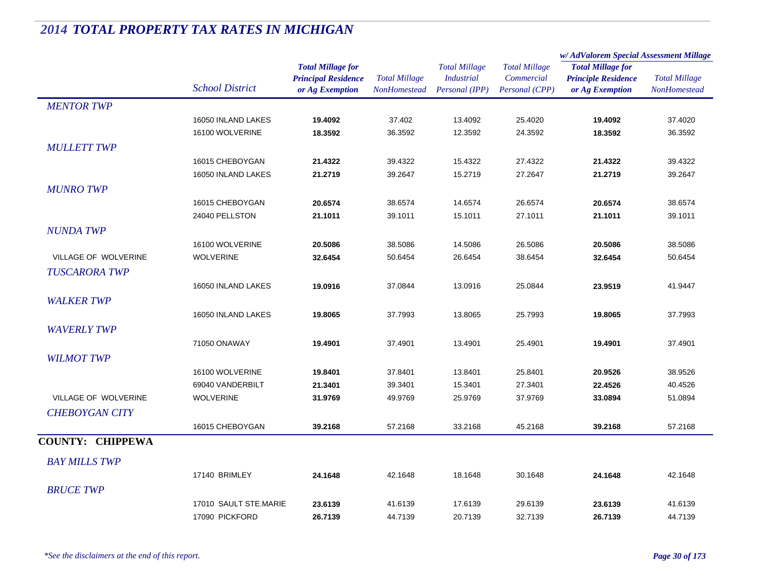|                         |                        | <b>Total Millage for</b>   | <b>Total Millage</b> | <b>Total Millage</b> | <b>Total Millage</b> | w/ AdValorem Special Assessment Millage                |                      |
|-------------------------|------------------------|----------------------------|----------------------|----------------------|----------------------|--------------------------------------------------------|----------------------|
|                         |                        |                            |                      |                      |                      | <b>Total Millage for</b><br><b>Principle Residence</b> | <b>Total Millage</b> |
|                         |                        | <b>Principal Residence</b> |                      | <b>Industrial</b>    | Commercial           |                                                        |                      |
|                         | <b>School District</b> | or Ag Exemption            | NonHomestead         | Personal (IPP)       | Personal (CPP)       | or Ag Exemption                                        | NonHomestead         |
| <b>MENTOR TWP</b>       |                        |                            |                      |                      |                      |                                                        |                      |
|                         | 16050 INLAND LAKES     | 19.4092                    | 37.402               | 13.4092              | 25.4020              | 19.4092                                                | 37.4020              |
|                         | 16100 WOLVERINE        | 18.3592                    | 36.3592              | 12.3592              | 24.3592              | 18.3592                                                | 36.3592              |
| <b>MULLETT TWP</b>      |                        |                            |                      |                      |                      |                                                        |                      |
|                         | 16015 CHEBOYGAN        | 21.4322                    | 39.4322              | 15.4322              | 27.4322              | 21.4322                                                | 39.4322              |
|                         | 16050 INLAND LAKES     | 21.2719                    | 39.2647              | 15.2719              | 27.2647              | 21.2719                                                | 39.2647              |
| <b>MUNRO TWP</b>        |                        |                            |                      |                      |                      |                                                        |                      |
|                         | 16015 CHEBOYGAN        | 20.6574                    | 38.6574              | 14.6574              | 26.6574              | 20.6574                                                | 38.6574              |
|                         | 24040 PELLSTON         | 21.1011                    | 39.1011              | 15.1011              | 27.1011              | 21.1011                                                | 39.1011              |
| <b>NUNDA TWP</b>        |                        |                            |                      |                      |                      |                                                        |                      |
|                         | 16100 WOLVERINE        | 20.5086                    | 38.5086              | 14.5086              | 26.5086              | 20.5086                                                | 38.5086              |
| VILLAGE OF WOLVERINE    | <b>WOLVERINE</b>       | 32.6454                    | 50.6454              | 26.6454              | 38.6454              | 32.6454                                                | 50.6454              |
| <b>TUSCARORA TWP</b>    |                        |                            |                      |                      |                      |                                                        |                      |
|                         | 16050 INLAND LAKES     | 19.0916                    | 37.0844              | 13.0916              | 25.0844              | 23.9519                                                | 41.9447              |
| <b>WALKER TWP</b>       |                        |                            |                      |                      |                      |                                                        |                      |
|                         | 16050 INLAND LAKES     | 19.8065                    | 37.7993              | 13.8065              | 25.7993              | 19.8065                                                | 37.7993              |
| <b>WAVERLY TWP</b>      |                        |                            |                      |                      |                      |                                                        |                      |
|                         | 71050 ONAWAY           | 19.4901                    | 37.4901              | 13.4901              | 25.4901              | 19.4901                                                | 37.4901              |
| <b>WILMOT TWP</b>       |                        |                            |                      |                      |                      |                                                        |                      |
|                         | 16100 WOLVERINE        | 19.8401                    | 37.8401              | 13.8401              | 25.8401              | 20.9526                                                | 38.9526              |
|                         | 69040 VANDERBILT       | 21.3401                    | 39.3401              | 15.3401              | 27.3401              | 22.4526                                                | 40.4526              |
| VILLAGE OF WOLVERINE    | <b>WOLVERINE</b>       | 31.9769                    | 49.9769              | 25.9769              | 37.9769              | 33.0894                                                | 51.0894              |
| <b>CHEBOYGAN CITY</b>   |                        |                            |                      |                      |                      |                                                        |                      |
|                         | 16015 CHEBOYGAN        | 39.2168                    | 57.2168              | 33.2168              | 45.2168              | 39.2168                                                | 57.2168              |
| <b>COUNTY: CHIPPEWA</b> |                        |                            |                      |                      |                      |                                                        |                      |
|                         |                        |                            |                      |                      |                      |                                                        |                      |
| <b>BAY MILLS TWP</b>    |                        |                            |                      |                      |                      |                                                        |                      |
|                         | 17140 BRIMLEY          | 24.1648                    | 42.1648              | 18.1648              | 30.1648              | 24.1648                                                | 42.1648              |
| <b>BRUCE TWP</b>        |                        |                            |                      |                      |                      |                                                        |                      |
|                         | 17010 SAULT STE.MARIE  | 23.6139                    | 41.6139              | 17.6139              | 29.6139              | 23.6139                                                | 41.6139              |
|                         | 17090 PICKFORD         | 26.7139                    | 44.7139              | 20.7139              | 32.7139              | 26.7139                                                | 44.7139              |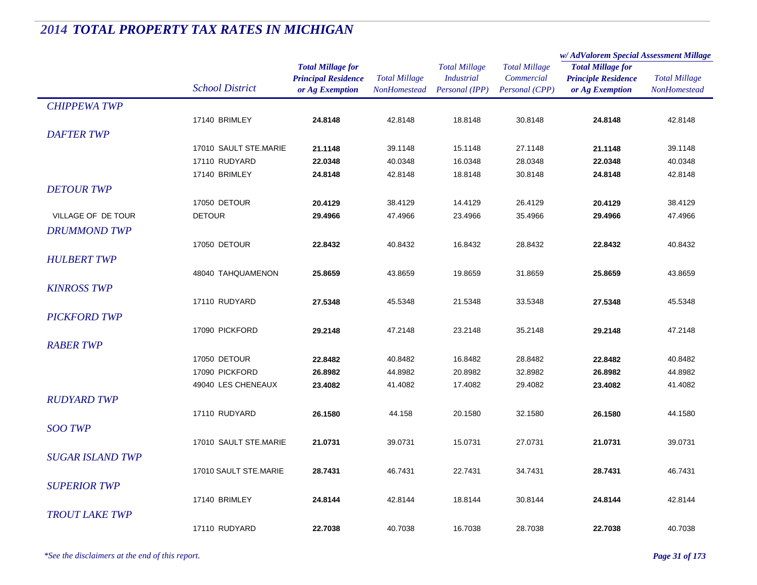|                         | <b>School District</b> |                                                        | <b>Total Millage</b> | <b>Total Millage</b><br><b>Industrial</b> | <b>Total Millage</b><br>Commercial | w/AdValorem Special Assessment Millage                 |                      |
|-------------------------|------------------------|--------------------------------------------------------|----------------------|-------------------------------------------|------------------------------------|--------------------------------------------------------|----------------------|
|                         |                        | <b>Total Millage for</b><br><b>Principal Residence</b> |                      |                                           |                                    | <b>Total Millage for</b><br><b>Principle Residence</b> | <b>Total Millage</b> |
|                         |                        | or Ag Exemption                                        | NonHomestead         | Personal (IPP)                            | Personal (CPP)                     | or Ag Exemption                                        | NonHomestead         |
| <b>CHIPPEWA TWP</b>     |                        |                                                        |                      |                                           |                                    |                                                        |                      |
|                         | 17140 BRIMLEY          | 24.8148                                                | 42.8148              | 18.8148                                   | 30.8148                            | 24.8148                                                | 42.8148              |
| <b>DAFTER TWP</b>       |                        |                                                        |                      |                                           |                                    |                                                        |                      |
|                         | 17010 SAULT STE.MARIE  | 21.1148                                                | 39.1148              | 15.1148                                   | 27.1148                            | 21.1148                                                | 39.1148              |
|                         | 17110 RUDYARD          | 22.0348                                                | 40.0348              | 16.0348                                   | 28.0348                            | 22.0348                                                | 40.0348              |
|                         | 17140 BRIMLEY          | 24.8148                                                | 42.8148              | 18.8148                                   | 30.8148                            | 24.8148                                                | 42.8148              |
| <b>DETOUR TWP</b>       |                        |                                                        |                      |                                           |                                    |                                                        |                      |
|                         | 17050 DETOUR           | 20.4129                                                | 38.4129              | 14.4129                                   | 26.4129                            | 20.4129                                                | 38.4129              |
| VILLAGE OF DE TOUR      | <b>DETOUR</b>          | 29.4966                                                | 47.4966              | 23.4966                                   | 35.4966                            | 29.4966                                                | 47.4966              |
| <b>DRUMMOND TWP</b>     |                        |                                                        |                      |                                           |                                    |                                                        |                      |
|                         | 17050 DETOUR           | 22.8432                                                | 40.8432              | 16.8432                                   | 28.8432                            | 22.8432                                                | 40.8432              |
| <b>HULBERT TWP</b>      |                        |                                                        |                      |                                           |                                    |                                                        |                      |
|                         | 48040 TAHQUAMENON      | 25.8659                                                | 43.8659              | 19.8659                                   | 31.8659                            | 25.8659                                                | 43.8659              |
| <b>KINROSS TWP</b>      |                        |                                                        |                      |                                           |                                    |                                                        |                      |
|                         | 17110 RUDYARD          | 27.5348                                                | 45.5348              | 21.5348                                   | 33.5348                            | 27.5348                                                | 45.5348              |
| <b>PICKFORD TWP</b>     |                        |                                                        |                      |                                           |                                    |                                                        |                      |
|                         | 17090 PICKFORD         | 29.2148                                                | 47.2148              | 23.2148                                   | 35.2148                            | 29.2148                                                | 47.2148              |
| <b>RABER TWP</b>        |                        |                                                        |                      |                                           |                                    |                                                        |                      |
|                         | 17050 DETOUR           | 22.8482                                                | 40.8482              | 16.8482                                   | 28.8482                            | 22.8482                                                | 40.8482              |
|                         | 17090 PICKFORD         | 26.8982                                                | 44.8982              | 20.8982                                   | 32.8982                            | 26.8982                                                | 44.8982              |
|                         | 49040 LES CHENEAUX     | 23.4082                                                | 41.4082              | 17.4082                                   | 29.4082                            | 23.4082                                                | 41.4082              |
| <b>RUDYARD TWP</b>      |                        |                                                        |                      |                                           |                                    |                                                        |                      |
|                         | 17110 RUDYARD          | 26.1580                                                | 44.158               | 20.1580                                   | 32.1580                            | 26.1580                                                | 44.1580              |
| <b>SOO TWP</b>          |                        |                                                        |                      |                                           |                                    |                                                        |                      |
|                         | 17010 SAULT STE.MARIE  | 21.0731                                                | 39.0731              | 15.0731                                   | 27.0731                            | 21.0731                                                | 39.0731              |
| <b>SUGAR ISLAND TWP</b> |                        |                                                        |                      |                                           |                                    |                                                        |                      |
|                         | 17010 SAULT STE.MARIE  | 28.7431                                                | 46.7431              | 22.7431                                   | 34.7431                            | 28.7431                                                | 46.7431              |
| <b>SUPERIOR TWP</b>     |                        |                                                        |                      |                                           |                                    |                                                        |                      |
|                         | 17140 BRIMLEY          | 24.8144                                                | 42.8144              | 18.8144                                   | 30.8144                            | 24.8144                                                | 42.8144              |
| <b>TROUT LAKE TWP</b>   |                        |                                                        |                      |                                           |                                    |                                                        |                      |
|                         | 17110 RUDYARD          | 22.7038                                                | 40.7038              | 16.7038                                   | 28.7038                            | 22.7038                                                | 40.7038              |
|                         |                        |                                                        |                      |                                           |                                    |                                                        |                      |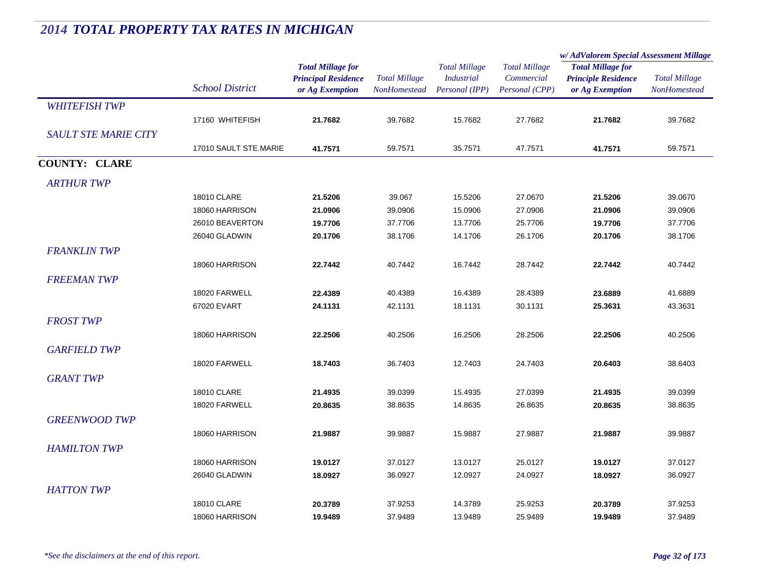|                             |                        | <b>Total Millage for</b><br><b>Principal Residence</b> | <b>Total Millage</b> | <b>Total Millage</b><br><b>Industrial</b> | <b>Total Millage</b><br>Commercial | w/ AdValorem Special Assessment Millage                |                      |  |
|-----------------------------|------------------------|--------------------------------------------------------|----------------------|-------------------------------------------|------------------------------------|--------------------------------------------------------|----------------------|--|
|                             |                        |                                                        |                      |                                           |                                    | <b>Total Millage for</b><br><b>Principle Residence</b> | <b>Total Millage</b> |  |
|                             |                        |                                                        |                      |                                           |                                    |                                                        |                      |  |
|                             | <b>School District</b> | or Ag Exemption                                        | NonHomestead         | Personal (IPP)                            | Personal (CPP)                     | or Ag Exemption                                        | <b>NonHomestead</b>  |  |
| <b>WHITEFISH TWP</b>        |                        |                                                        |                      |                                           |                                    |                                                        |                      |  |
|                             | 17160 WHITEFISH        | 21.7682                                                | 39.7682              | 15.7682                                   | 27.7682                            | 21.7682                                                | 39.7682              |  |
| <b>SAULT STE MARIE CITY</b> |                        |                                                        |                      |                                           |                                    |                                                        |                      |  |
|                             | 17010 SAULT STE.MARIE  | 41.7571                                                | 59.7571              | 35.7571                                   | 47.7571                            | 41.7571                                                | 59.7571              |  |
| <b>COUNTY: CLARE</b>        |                        |                                                        |                      |                                           |                                    |                                                        |                      |  |
| <b>ARTHUR TWP</b>           |                        |                                                        |                      |                                           |                                    |                                                        |                      |  |
|                             | 18010 CLARE            | 21.5206                                                | 39.067               | 15.5206                                   | 27.0670                            | 21.5206                                                | 39.0670              |  |
|                             | 18060 HARRISON         | 21.0906                                                | 39.0906              | 15.0906                                   | 27.0906                            | 21.0906                                                | 39.0906              |  |
|                             | 26010 BEAVERTON        | 19.7706                                                | 37.7706              | 13.7706                                   | 25.7706                            | 19.7706                                                | 37.7706              |  |
|                             | 26040 GLADWIN          | 20.1706                                                | 38.1706              | 14.1706                                   | 26.1706                            | 20.1706                                                | 38.1706              |  |
| <b>FRANKLIN TWP</b>         |                        |                                                        |                      |                                           |                                    |                                                        |                      |  |
|                             | 18060 HARRISON         | 22.7442                                                | 40.7442              | 16.7442                                   | 28.7442                            | 22.7442                                                | 40.7442              |  |
| <b>FREEMAN TWP</b>          |                        |                                                        |                      |                                           |                                    |                                                        |                      |  |
|                             | 18020 FARWELL          | 22.4389                                                | 40.4389              | 16.4389                                   | 28.4389                            | 23.6889                                                | 41.6889              |  |
|                             | 67020 EVART            | 24.1131                                                | 42.1131              | 18.1131                                   | 30.1131                            | 25.3631                                                | 43.3631              |  |
| <b>FROST TWP</b>            |                        |                                                        |                      |                                           |                                    |                                                        |                      |  |
|                             | 18060 HARRISON         | 22.2506                                                | 40.2506              | 16.2506                                   | 28.2506                            | 22.2506                                                | 40.2506              |  |
| <b>GARFIELD TWP</b>         |                        |                                                        |                      |                                           |                                    |                                                        |                      |  |
|                             | 18020 FARWELL          | 18.7403                                                | 36.7403              | 12.7403                                   | 24.7403                            | 20.6403                                                | 38.6403              |  |
|                             |                        |                                                        |                      |                                           |                                    |                                                        |                      |  |
| <b>GRANT TWP</b>            |                        |                                                        |                      |                                           |                                    |                                                        |                      |  |
|                             | 18010 CLARE            | 21.4935                                                | 39.0399              | 15.4935                                   | 27.0399                            | 21.4935                                                | 39.0399              |  |
|                             | 18020 FARWELL          | 20.8635                                                | 38.8635              | 14.8635                                   | 26.8635                            | 20.8635                                                | 38.8635              |  |
| <b>GREENWOOD TWP</b>        |                        |                                                        |                      |                                           |                                    |                                                        |                      |  |
|                             | 18060 HARRISON         | 21.9887                                                | 39.9887              | 15.9887                                   | 27.9887                            | 21.9887                                                | 39.9887              |  |
| <b>HAMILTON TWP</b>         |                        |                                                        |                      |                                           |                                    |                                                        |                      |  |
|                             | 18060 HARRISON         | 19.0127                                                | 37.0127              | 13.0127                                   | 25.0127                            | 19.0127                                                | 37.0127              |  |
|                             | 26040 GLADWIN          | 18.0927                                                | 36.0927              | 12.0927                                   | 24.0927                            | 18.0927                                                | 36.0927              |  |
| <b>HATTON TWP</b>           |                        |                                                        |                      |                                           |                                    |                                                        |                      |  |
|                             | 18010 CLARE            | 20.3789                                                | 37.9253              | 14.3789                                   | 25.9253                            | 20.3789                                                | 37.9253              |  |
|                             | 18060 HARRISON         | 19.9489                                                | 37.9489              | 13.9489                                   | 25.9489                            | 19.9489                                                | 37.9489              |  |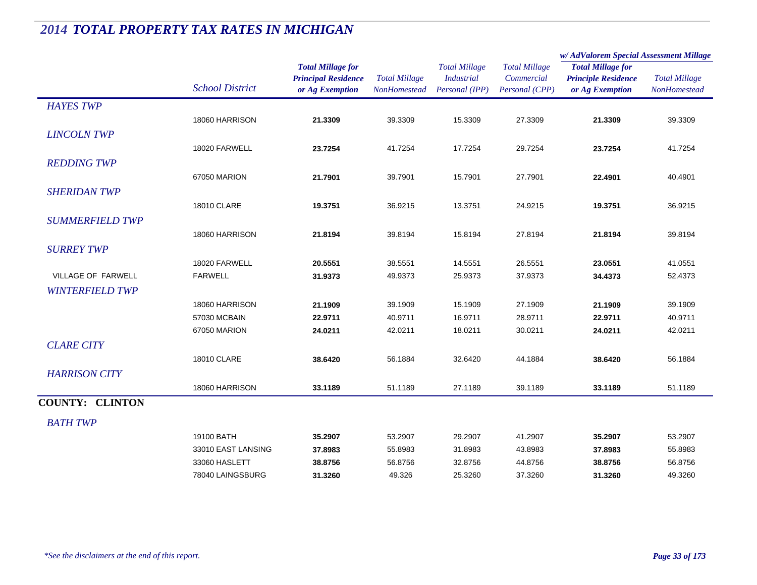|                        |                                 |                                                                           |                                             |                                                             |                                                      | w/AdValorem Special Assessment Millage                                    |                                             |  |
|------------------------|---------------------------------|---------------------------------------------------------------------------|---------------------------------------------|-------------------------------------------------------------|------------------------------------------------------|---------------------------------------------------------------------------|---------------------------------------------|--|
|                        | <b>School District</b>          | <b>Total Millage for</b><br><b>Principal Residence</b><br>or Ag Exemption | <b>Total Millage</b><br><b>NonHomestead</b> | <b>Total Millage</b><br><b>Industrial</b><br>Personal (IPP) | <b>Total Millage</b><br>Commercial<br>Personal (CPP) | <b>Total Millage for</b><br><b>Principle Residence</b><br>or Ag Exemption | <b>Total Millage</b><br><b>NonHomestead</b> |  |
| <b>HAYES TWP</b>       |                                 |                                                                           |                                             |                                                             |                                                      |                                                                           |                                             |  |
|                        | 18060 HARRISON                  | 21.3309                                                                   | 39.3309                                     | 15.3309                                                     | 27.3309                                              | 21.3309                                                                   | 39.3309                                     |  |
| <b>LINCOLN TWP</b>     |                                 |                                                                           |                                             |                                                             |                                                      |                                                                           |                                             |  |
|                        | 18020 FARWELL                   | 23.7254                                                                   | 41.7254                                     | 17.7254                                                     | 29.7254                                              | 23.7254                                                                   | 41.7254                                     |  |
| <b>REDDING TWP</b>     |                                 |                                                                           |                                             |                                                             |                                                      |                                                                           |                                             |  |
|                        | 67050 MARION                    | 21.7901                                                                   | 39.7901                                     | 15.7901                                                     | 27.7901                                              | 22.4901                                                                   | 40.4901                                     |  |
| <b>SHERIDAN TWP</b>    |                                 |                                                                           |                                             |                                                             |                                                      |                                                                           |                                             |  |
|                        | 18010 CLARE                     | 19.3751                                                                   | 36.9215                                     | 13.3751                                                     | 24.9215                                              | 19.3751                                                                   | 36.9215                                     |  |
| <b>SUMMERFIELD TWP</b> |                                 |                                                                           |                                             |                                                             |                                                      |                                                                           |                                             |  |
|                        | 18060 HARRISON                  | 21.8194                                                                   | 39.8194                                     | 15.8194                                                     | 27.8194                                              | 21.8194                                                                   | 39.8194                                     |  |
|                        |                                 |                                                                           |                                             |                                                             |                                                      |                                                                           |                                             |  |
| <b>SURREY TWP</b>      |                                 |                                                                           |                                             |                                                             |                                                      |                                                                           |                                             |  |
| VILLAGE OF FARWELL     | 18020 FARWELL<br><b>FARWELL</b> | 20.5551<br>31.9373                                                        | 38.5551<br>49.9373                          | 14.5551<br>25.9373                                          | 26.5551<br>37.9373                                   | 23.0551                                                                   | 41.0551<br>52.4373                          |  |
|                        |                                 |                                                                           |                                             |                                                             |                                                      | 34.4373                                                                   |                                             |  |
| <b>WINTERFIELD TWP</b> |                                 |                                                                           |                                             |                                                             |                                                      |                                                                           |                                             |  |
|                        | 18060 HARRISON                  | 21.1909                                                                   | 39.1909                                     | 15.1909                                                     | 27.1909                                              | 21.1909                                                                   | 39.1909                                     |  |
|                        | 57030 MCBAIN                    | 22.9711                                                                   | 40.9711                                     | 16.9711                                                     | 28.9711                                              | 22.9711                                                                   | 40.9711                                     |  |
|                        | 67050 MARION                    | 24.0211                                                                   | 42.0211                                     | 18.0211                                                     | 30.0211                                              | 24.0211                                                                   | 42.0211                                     |  |
| <b>CLARE CITY</b>      |                                 |                                                                           |                                             |                                                             |                                                      |                                                                           |                                             |  |
|                        | <b>18010 CLARE</b>              | 38.6420                                                                   | 56.1884                                     | 32.6420                                                     | 44.1884                                              | 38.6420                                                                   | 56.1884                                     |  |
| <b>HARRISON CITY</b>   |                                 |                                                                           |                                             |                                                             |                                                      |                                                                           |                                             |  |
|                        | 18060 HARRISON                  | 33.1189                                                                   | 51.1189                                     | 27.1189                                                     | 39.1189                                              | 33.1189                                                                   | 51.1189                                     |  |
| <b>COUNTY: CLINTON</b> |                                 |                                                                           |                                             |                                                             |                                                      |                                                                           |                                             |  |
| <b>BATH TWP</b>        |                                 |                                                                           |                                             |                                                             |                                                      |                                                                           |                                             |  |
|                        | 19100 BATH                      | 35.2907                                                                   | 53.2907                                     | 29.2907                                                     | 41.2907                                              | 35.2907                                                                   | 53.2907                                     |  |
|                        | 33010 EAST LANSING              | 37.8983                                                                   | 55.8983                                     | 31.8983                                                     | 43.8983                                              | 37.8983                                                                   | 55.8983                                     |  |
|                        | 33060 HASLETT                   | 38.8756                                                                   | 56.8756                                     | 32.8756                                                     | 44.8756                                              | 38.8756                                                                   | 56.8756                                     |  |
|                        | 78040 LAINGSBURG                | 31.3260                                                                   | 49.326                                      | 25.3260                                                     | 37.3260                                              | 31.3260                                                                   | 49.3260                                     |  |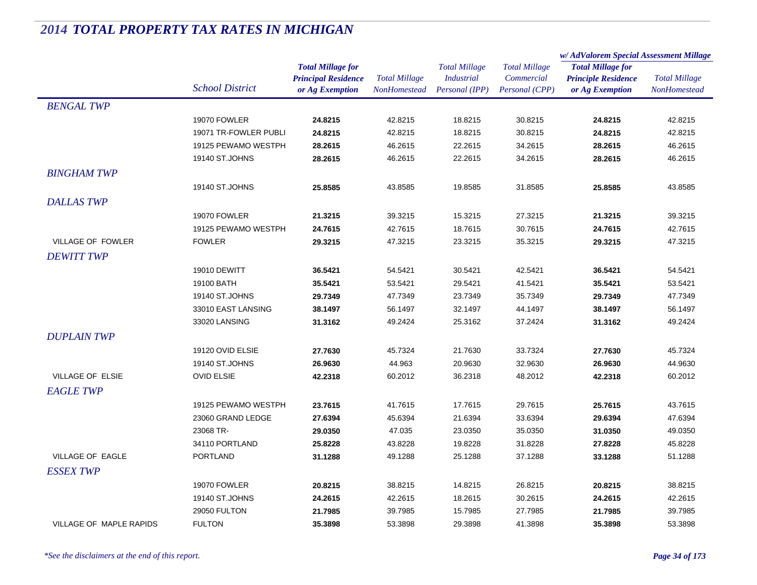|                         |                        | <b>Total Millage for</b>   |                      | <b>Total Millage</b><br><b>Industrial</b> | <b>Total Millage</b><br>Commercial | w/AdValorem Special Assessment Millage                 |                      |
|-------------------------|------------------------|----------------------------|----------------------|-------------------------------------------|------------------------------------|--------------------------------------------------------|----------------------|
|                         | <b>School District</b> |                            |                      |                                           |                                    | <b>Total Millage for</b><br><b>Principle Residence</b> | <b>Total Millage</b> |
|                         |                        | <b>Principal Residence</b> | <b>Total Millage</b> |                                           |                                    |                                                        |                      |
|                         |                        | or Ag Exemption            | NonHomestead         | Personal (IPP)                            | Personal (CPP)                     | or Ag Exemption                                        | <b>NonHomestead</b>  |
| <b>BENGAL TWP</b>       |                        |                            |                      |                                           |                                    |                                                        |                      |
|                         | 19070 FOWLER           | 24.8215                    | 42.8215              | 18.8215                                   | 30.8215                            | 24.8215                                                | 42.8215              |
|                         | 19071 TR-FOWLER PUBLI  | 24.8215                    | 42.8215              | 18.8215                                   | 30.8215                            | 24.8215                                                | 42.8215              |
|                         | 19125 PEWAMO WESTPH    | 28.2615                    | 46.2615              | 22.2615                                   | 34.2615                            | 28.2615                                                | 46.2615              |
|                         | 19140 ST.JOHNS         | 28.2615                    | 46.2615              | 22.2615                                   | 34.2615                            | 28.2615                                                | 46.2615              |
| <b>BINGHAM TWP</b>      |                        |                            |                      |                                           |                                    |                                                        |                      |
|                         | 19140 ST.JOHNS         | 25.8585                    | 43.8585              | 19.8585                                   | 31.8585                            | 25.8585                                                | 43.8585              |
| <b>DALLAS TWP</b>       |                        |                            |                      |                                           |                                    |                                                        |                      |
|                         | 19070 FOWLER           | 21.3215                    | 39.3215              | 15.3215                                   | 27.3215                            | 21.3215                                                | 39.3215              |
|                         | 19125 PEWAMO WESTPH    | 24.7615                    | 42.7615              | 18.7615                                   | 30.7615                            | 24.7615                                                | 42.7615              |
| VILLAGE OF FOWLER       | <b>FOWLER</b>          | 29.3215                    | 47.3215              | 23.3215                                   | 35.3215                            | 29.3215                                                | 47.3215              |
| <b>DEWITT TWP</b>       |                        |                            |                      |                                           |                                    |                                                        |                      |
|                         | 19010 DEWITT           | 36.5421                    | 54.5421              | 30.5421                                   | 42.5421                            | 36.5421                                                | 54.5421              |
|                         | 19100 BATH             | 35.5421                    | 53.5421              | 29.5421                                   | 41.5421                            | 35.5421                                                | 53.5421              |
|                         | 19140 ST.JOHNS         | 29.7349                    | 47.7349              | 23.7349                                   | 35.7349                            | 29.7349                                                | 47.7349              |
|                         | 33010 EAST LANSING     | 38.1497                    | 56.1497              | 32.1497                                   | 44.1497                            | 38.1497                                                | 56.1497              |
|                         | 33020 LANSING          | 31.3162                    | 49.2424              | 25.3162                                   | 37.2424                            | 31.3162                                                | 49.2424              |
| <b>DUPLAIN TWP</b>      |                        |                            |                      |                                           |                                    |                                                        |                      |
|                         | 19120 OVID ELSIE       | 27.7630                    | 45.7324              | 21.7630                                   | 33.7324                            | 27.7630                                                | 45.7324              |
|                         | 19140 ST.JOHNS         | 26.9630                    | 44.963               | 20.9630                                   | 32.9630                            | 26.9630                                                | 44.9630              |
| VILLAGE OF ELSIE        | <b>OVID ELSIE</b>      | 42.2318                    | 60.2012              | 36.2318                                   | 48.2012                            | 42.2318                                                | 60.2012              |
| <b>EAGLE TWP</b>        |                        |                            |                      |                                           |                                    |                                                        |                      |
|                         | 19125 PEWAMO WESTPH    | 23.7615                    | 41.7615              | 17.7615                                   | 29.7615                            | 25.7615                                                | 43.7615              |
|                         | 23060 GRAND LEDGE      | 27.6394                    | 45.6394              | 21.6394                                   | 33.6394                            | 29.6394                                                | 47.6394              |
|                         | 23068 TR-              | 29.0350                    | 47.035               | 23.0350                                   | 35.0350                            | 31.0350                                                | 49.0350              |
|                         | 34110 PORTLAND         | 25.8228                    | 43.8228              | 19.8228                                   | 31.8228                            | 27.8228                                                | 45.8228              |
| VILLAGE OF EAGLE        | PORTLAND               | 31.1288                    | 49.1288              | 25.1288                                   | 37.1288                            | 33.1288                                                | 51.1288              |
| <b>ESSEX TWP</b>        |                        |                            |                      |                                           |                                    |                                                        |                      |
|                         | 19070 FOWLER           | 20.8215                    | 38.8215              | 14.8215                                   | 26.8215                            | 20.8215                                                | 38.8215              |
|                         | 19140 ST.JOHNS         | 24.2615                    | 42.2615              | 18.2615                                   | 30.2615                            | 24.2615                                                | 42.2615              |
|                         | 29050 FULTON           | 21.7985                    | 39.7985              | 15.7985                                   | 27.7985                            | 21.7985                                                | 39.7985              |
| VILLAGE OF MAPLE RAPIDS | <b>FULTON</b>          | 35.3898                    | 53.3898              | 29.3898                                   | 41.3898                            | 35.3898                                                | 53.3898              |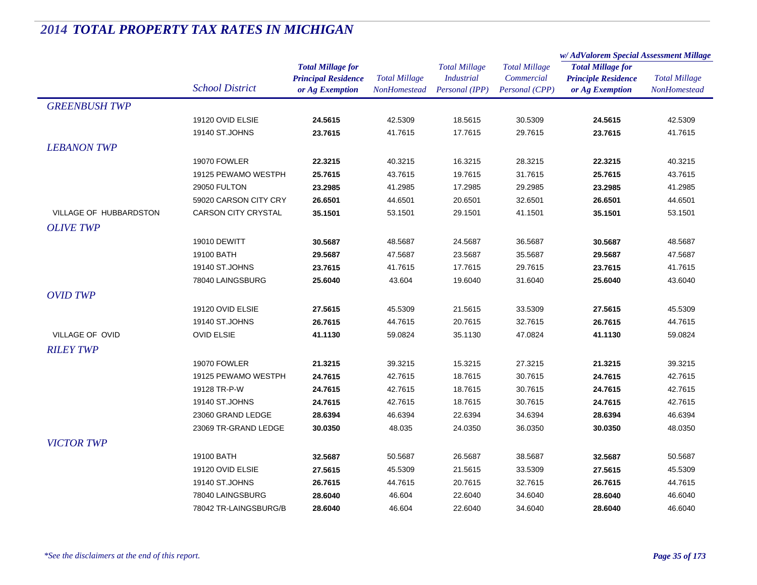|                        |                                     | <b>Total Millage for</b><br><b>Principal Residence</b> | <b>Total Millage</b> | <b>Total Millage</b> | <b>Total Millage</b> | w/AdValorem Special Assessment Millage                 |                      |
|------------------------|-------------------------------------|--------------------------------------------------------|----------------------|----------------------|----------------------|--------------------------------------------------------|----------------------|
|                        |                                     |                                                        |                      |                      |                      | <b>Total Millage for</b><br><b>Principle Residence</b> | <b>Total Millage</b> |
|                        |                                     |                                                        |                      | <b>Industrial</b>    | Commercial           |                                                        |                      |
|                        | <b>School District</b>              | or Ag Exemption                                        | NonHomestead         | Personal (IPP)       | Personal (CPP)       | or Ag Exemption                                        | <b>NonHomestead</b>  |
| <b>GREENBUSH TWP</b>   |                                     |                                                        |                      |                      |                      |                                                        |                      |
|                        | 19120 OVID ELSIE                    | 24.5615                                                | 42.5309              | 18.5615              | 30.5309              | 24.5615                                                | 42.5309              |
|                        | 19140 ST.JOHNS                      | 23.7615                                                | 41.7615              | 17.7615              | 29.7615              | 23.7615                                                | 41.7615              |
| <b>LEBANON TWP</b>     |                                     |                                                        |                      |                      |                      |                                                        |                      |
|                        | <b>19070 FOWLER</b>                 | 22.3215                                                | 40.3215              | 16.3215              | 28.3215              | 22.3215                                                | 40.3215              |
|                        | 19125 PEWAMO WESTPH                 | 25.7615                                                | 43.7615              | 19.7615              | 31.7615              | 25.7615                                                | 43.7615              |
|                        | 29050 FULTON                        | 23.2985                                                | 41.2985              | 17.2985              | 29.2985              | 23.2985                                                | 41.2985              |
|                        | 59020 CARSON CITY CRY               | 26.6501                                                | 44.6501              | 20.6501              | 32.6501              | 26.6501                                                | 44.6501              |
| VILLAGE OF HUBBARDSTON | <b>CARSON CITY CRYSTAL</b>          | 35.1501                                                | 53.1501              | 29.1501              | 41.1501              | 35.1501                                                | 53.1501              |
| <b>OLIVE TWP</b>       |                                     |                                                        |                      |                      |                      |                                                        |                      |
|                        | 19010 DEWITT                        | 30.5687                                                | 48.5687              | 24.5687              | 36.5687              | 30.5687                                                | 48.5687              |
|                        | 19100 BATH                          | 29.5687                                                | 47.5687              | 23.5687              | 35.5687              | 29.5687                                                | 47.5687              |
|                        | 19140 ST.JOHNS                      | 23.7615                                                | 41.7615              | 17.7615              | 29.7615              | 23.7615                                                | 41.7615              |
|                        | 78040 LAINGSBURG                    | 25.6040                                                | 43.604               | 19.6040              | 31.6040              | 25.6040                                                | 43.6040              |
| <b>OVID TWP</b>        |                                     |                                                        |                      |                      |                      |                                                        |                      |
|                        | 19120 OVID ELSIE                    | 27.5615                                                | 45.5309              | 21.5615              | 33.5309              | 27.5615                                                | 45.5309              |
|                        | 19140 ST.JOHNS                      | 26.7615                                                | 44.7615              | 20.7615              | 32.7615              | 26.7615                                                | 44.7615              |
| <b>VILLAGE OF OVID</b> | <b>OVID ELSIE</b>                   | 41.1130                                                | 59.0824              | 35.1130              | 47.0824              | 41.1130                                                | 59.0824              |
| <b>RILEY TWP</b>       |                                     |                                                        |                      |                      |                      |                                                        |                      |
|                        |                                     |                                                        |                      |                      |                      |                                                        |                      |
|                        | <b>19070 FOWLER</b>                 | 21.3215<br>24.7615                                     | 39.3215<br>42.7615   | 15.3215<br>18.7615   | 27.3215<br>30.7615   | 21.3215<br>24.7615                                     | 39.3215<br>42.7615   |
|                        | 19125 PEWAMO WESTPH<br>19128 TR-P-W | 24.7615                                                | 42.7615              | 18.7615              | 30.7615              | 24.7615                                                | 42.7615              |
|                        | 19140 ST.JOHNS                      | 24.7615                                                | 42.7615              | 18.7615              | 30.7615              | 24.7615                                                | 42.7615              |
|                        | 23060 GRAND LEDGE                   | 28.6394                                                | 46.6394              | 22.6394              | 34.6394              | 28.6394                                                | 46.6394              |
|                        | 23069 TR-GRAND LEDGE                | 30.0350                                                | 48.035               | 24.0350              | 36.0350              | 30.0350                                                | 48.0350              |
|                        |                                     |                                                        |                      |                      |                      |                                                        |                      |
| <b>VICTOR TWP</b>      |                                     |                                                        |                      |                      |                      |                                                        |                      |
|                        | 19100 BATH                          | 32.5687                                                | 50.5687              | 26.5687              | 38.5687              | 32.5687                                                | 50.5687              |
|                        | 19120 OVID ELSIE                    | 27.5615                                                | 45.5309              | 21.5615              | 33.5309              | 27.5615                                                | 45.5309              |
|                        | 19140 ST.JOHNS                      | 26.7615                                                | 44.7615              | 20.7615              | 32.7615              | 26.7615                                                | 44.7615              |
|                        | 78040 LAINGSBURG                    | 28.6040                                                | 46.604               | 22.6040              | 34.6040              | 28.6040                                                | 46.6040              |
|                        | 78042 TR-LAINGSBURG/B               | 28.6040                                                | 46.604               | 22.6040              | 34.6040              | 28.6040                                                | 46.6040              |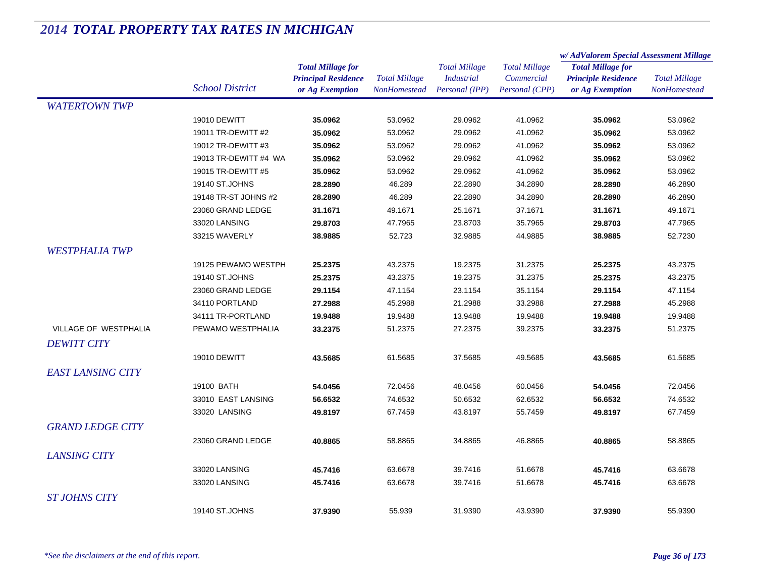|                          |                        |                            |                      |                      |                      | w/ AdValorem Special Assessment Millage |                      |  |
|--------------------------|------------------------|----------------------------|----------------------|----------------------|----------------------|-----------------------------------------|----------------------|--|
|                          |                        | <b>Total Millage for</b>   |                      | <b>Total Millage</b> | <b>Total Millage</b> | <b>Total Millage for</b>                |                      |  |
|                          |                        | <b>Principal Residence</b> | <b>Total Millage</b> | <b>Industrial</b>    | Commercial           | <b>Principle Residence</b>              | <b>Total Millage</b> |  |
|                          | <b>School District</b> | or Ag Exemption            | NonHomestead         | Personal (IPP)       | Personal (CPP)       | or Ag Exemption                         | NonHomestead         |  |
| <b>WATERTOWN TWP</b>     |                        |                            |                      |                      |                      |                                         |                      |  |
|                          | 19010 DEWITT           | 35.0962                    | 53.0962              | 29.0962              | 41.0962              | 35.0962                                 | 53.0962              |  |
|                          | 19011 TR-DEWITT #2     | 35.0962                    | 53.0962              | 29.0962              | 41.0962              | 35.0962                                 | 53.0962              |  |
|                          | 19012 TR-DEWITT #3     | 35.0962                    | 53.0962              | 29.0962              | 41.0962              | 35.0962                                 | 53.0962              |  |
|                          | 19013 TR-DEWITT #4 WA  | 35.0962                    | 53.0962              | 29.0962              | 41.0962              | 35.0962                                 | 53.0962              |  |
|                          | 19015 TR-DEWITT #5     | 35.0962                    | 53.0962              | 29.0962              | 41.0962              | 35.0962                                 | 53.0962              |  |
|                          | 19140 ST.JOHNS         | 28.2890                    | 46.289               | 22.2890              | 34.2890              | 28.2890                                 | 46.2890              |  |
|                          | 19148 TR-ST JOHNS #2   | 28.2890                    | 46.289               | 22.2890              | 34.2890              | 28.2890                                 | 46.2890              |  |
|                          | 23060 GRAND LEDGE      | 31.1671                    | 49.1671              | 25.1671              | 37.1671              | 31.1671                                 | 49.1671              |  |
|                          | 33020 LANSING          | 29.8703                    | 47.7965              | 23.8703              | 35.7965              | 29.8703                                 | 47.7965              |  |
|                          | 33215 WAVERLY          | 38.9885                    | 52.723               | 32.9885              | 44.9885              | 38.9885                                 | 52.7230              |  |
| <b>WESTPHALIA TWP</b>    |                        |                            |                      |                      |                      |                                         |                      |  |
|                          | 19125 PEWAMO WESTPH    | 25.2375                    | 43.2375              | 19.2375              | 31.2375              | 25.2375                                 | 43.2375              |  |
|                          | 19140 ST.JOHNS         | 25.2375                    | 43.2375              | 19.2375              | 31.2375              | 25.2375                                 | 43.2375              |  |
|                          | 23060 GRAND LEDGE      | 29.1154                    | 47.1154              | 23.1154              | 35.1154              | 29.1154                                 | 47.1154              |  |
|                          | 34110 PORTLAND         | 27.2988                    | 45.2988              | 21.2988              | 33.2988              | 27.2988                                 | 45.2988              |  |
|                          | 34111 TR-PORTLAND      | 19.9488                    | 19.9488              | 13.9488              | 19.9488              | 19.9488                                 | 19.9488              |  |
| VILLAGE OF WESTPHALIA    | PEWAMO WESTPHALIA      | 33.2375                    | 51.2375              | 27.2375              | 39.2375              | 33.2375                                 | 51.2375              |  |
| <b>DEWITT CITY</b>       |                        |                            |                      |                      |                      |                                         |                      |  |
|                          | 19010 DEWITT           | 43.5685                    | 61.5685              | 37.5685              | 49.5685              | 43.5685                                 | 61.5685              |  |
| <b>EAST LANSING CITY</b> |                        |                            |                      |                      |                      |                                         |                      |  |
|                          | 19100 BATH             | 54.0456                    | 72.0456              | 48.0456              | 60.0456              | 54.0456                                 | 72.0456              |  |
|                          | 33010 EAST LANSING     | 56.6532                    | 74.6532              | 50.6532              | 62.6532              | 56.6532                                 | 74.6532              |  |
|                          | 33020 LANSING          | 49.8197                    | 67.7459              | 43.8197              | 55.7459              | 49.8197                                 | 67.7459              |  |
| <b>GRAND LEDGE CITY</b>  |                        |                            |                      |                      |                      |                                         |                      |  |
|                          |                        |                            |                      |                      |                      |                                         |                      |  |
|                          | 23060 GRAND LEDGE      | 40.8865                    | 58.8865              | 34.8865              | 46.8865              | 40.8865                                 | 58.8865              |  |
| <b>LANSING CITY</b>      |                        |                            |                      |                      |                      |                                         |                      |  |
|                          | 33020 LANSING          | 45.7416                    | 63.6678              | 39.7416              | 51.6678              | 45.7416                                 | 63.6678              |  |
|                          | 33020 LANSING          | 45.7416                    | 63.6678              | 39.7416              | 51.6678              | 45.7416                                 | 63.6678              |  |
| <b>ST JOHNS CITY</b>     |                        |                            |                      |                      |                      |                                         |                      |  |
|                          | 19140 ST.JOHNS         | 37.9390                    | 55.939               | 31.9390              | 43.9390              | 37.9390                                 | 55.9390              |  |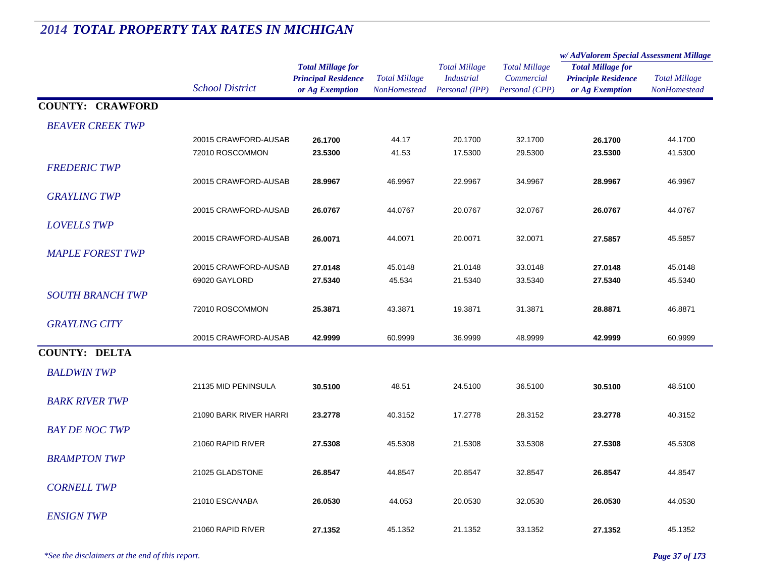#### *Total Millage for Principal Residence School District or Ag Exemption Total Millage NonHomesteadTotal Millage for Principle Residence or Ag Exemption Total Millage NonHomesteadw/ AdValorem Special Assessment Millage Total Millage CommercialPersonal (CPP) Total Millage IndustrialPersonal (IPP)* **COUNTY: CRAWFORD***BEAVER CREEK TWP* $P$ 20015 CRAWFORD-AUSAB **26.1700** 44.17 20.1700 32.1700 **26.1700** 44.1700 72010 ROSCOMMON **23.5300** 41.53 17.5300 29.5300 **23.5300** 41.5300 *FREDERIC TWP* $P$ 20015 CRAWFORD-AUSAB **28.9967** 46.9967 22.9967 34.9967 **28.9967** 46.9967 *GRAYLING TWP* $P$ 20015 CRAWFORD-AUSAB **26.0767** 44.0767 20.0767 32.0767 **26.0767** 44.0767 *LOVELLS TWP* $P$ 20015 CRAWFORD-AUSAB **26.0071** 44.0071 20.0071 32.0071 **27.5857** 45.5857 *MAPLE FOREST TWP* $P$ 20015 CRAWFORD-AUSAB **27.0148** 45.0148 21.0148 33.0148 **27.0148** 45.0148 69020 GAYLORD **27.5340** 45.534 21.5340 33.5340 **27.5340** 45.5340 *SOUTH BRANCH TWP* $P$ 72010 ROSCOMMON **25.3871** 43.3871 19.3871 31.3871 **28.8871** 46.8871 *GRAYLING CITY* $Y$ 20015 CRAWFORD-AUSAB **42.9999** 60.9999 36.9999 48.9999 **42.9999** 60.9999 **COUNTY: DELTA***BALDWIN TWP* $P$ 21135 MID PENINSULA **30.5100** 48.51 24.5100 36.5100 **30.5100** 48.5100 *BARK RIVER TWP* $P$ 21090 BARK RIVER HARRI **23.2778** 40.3152 17.2778 28.3152 **23.2778** 40.3152 *BAY DE NOC TWP* $P$ 21060 RAPID RIVER **27.5308** 45.5308 21.5308 33.5308 **27.5308** 45.5308 *BRAMPTON TWP* $P$ 21025 GLADSTONE **26.8547** 44.8547 20.8547 32.8547 **26.8547** 44.8547 *CORNELL TWP* $P$ 21010 ESCANABA **26.0530** 44.053 20.0530 32.0530 **26.0530** 44.0530 *ENSIGN TWP* $P$ 21060 RAPID RIVER **27.1352**45.1352 21.1352 33.1352 **27.1352** 45.1352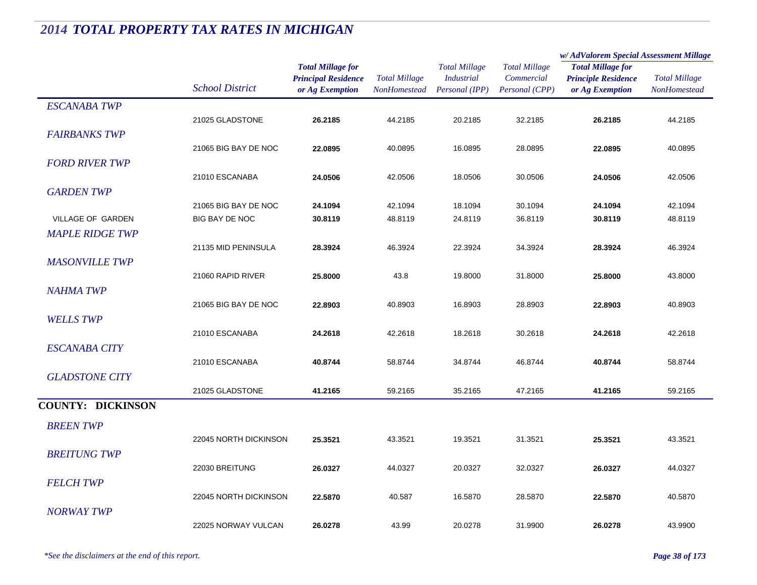|                          |                        |                                                                           |                                      |                                                             |                                                      | w/AdValorem Special Assessment Millage                                    |                                      |  |
|--------------------------|------------------------|---------------------------------------------------------------------------|--------------------------------------|-------------------------------------------------------------|------------------------------------------------------|---------------------------------------------------------------------------|--------------------------------------|--|
|                          | <b>School District</b> | <b>Total Millage for</b><br><b>Principal Residence</b><br>or Ag Exemption | <b>Total Millage</b><br>NonHomestead | <b>Total Millage</b><br><b>Industrial</b><br>Personal (IPP) | <b>Total Millage</b><br>Commercial<br>Personal (CPP) | <b>Total Millage for</b><br><b>Principle Residence</b><br>or Ag Exemption | <b>Total Millage</b><br>NonHomestead |  |
| <b>ESCANABA TWP</b>      |                        |                                                                           |                                      |                                                             |                                                      |                                                                           |                                      |  |
|                          | 21025 GLADSTONE        | 26.2185                                                                   | 44.2185                              | 20.2185                                                     | 32.2185                                              | 26.2185                                                                   | 44.2185                              |  |
| <b>FAIRBANKS TWP</b>     |                        |                                                                           |                                      |                                                             |                                                      |                                                                           |                                      |  |
|                          | 21065 BIG BAY DE NOC   | 22.0895                                                                   | 40.0895                              | 16.0895                                                     | 28.0895                                              | 22.0895                                                                   | 40.0895                              |  |
| <b>FORD RIVER TWP</b>    |                        |                                                                           |                                      |                                                             |                                                      |                                                                           |                                      |  |
|                          | 21010 ESCANABA         | 24.0506                                                                   | 42.0506                              | 18.0506                                                     | 30.0506                                              | 24.0506                                                                   | 42.0506                              |  |
| <b>GARDEN TWP</b>        |                        |                                                                           |                                      |                                                             |                                                      |                                                                           |                                      |  |
|                          | 21065 BIG BAY DE NOC   | 24.1094                                                                   | 42.1094                              | 18.1094                                                     | 30.1094                                              | 24.1094                                                                   | 42.1094                              |  |
| VILLAGE OF GARDEN        | BIG BAY DE NOC         | 30.8119                                                                   | 48.8119                              | 24.8119                                                     | 36.8119                                              | 30.8119                                                                   | 48.8119                              |  |
| <b>MAPLE RIDGE TWP</b>   |                        |                                                                           |                                      |                                                             |                                                      |                                                                           |                                      |  |
|                          | 21135 MID PENINSULA    | 28.3924                                                                   | 46.3924                              | 22.3924                                                     | 34.3924                                              | 28.3924                                                                   | 46.3924                              |  |
| <b>MASONVILLE TWP</b>    |                        |                                                                           |                                      |                                                             |                                                      |                                                                           |                                      |  |
|                          | 21060 RAPID RIVER      | 25.8000                                                                   | 43.8                                 | 19.8000                                                     | 31.8000                                              | 25.8000                                                                   | 43.8000                              |  |
| <b>NAHMA TWP</b>         |                        |                                                                           |                                      |                                                             |                                                      |                                                                           |                                      |  |
|                          | 21065 BIG BAY DE NOC   | 22.8903                                                                   | 40.8903                              | 16.8903                                                     | 28.8903                                              | 22.8903                                                                   | 40.8903                              |  |
| <b>WELLS TWP</b>         |                        |                                                                           |                                      |                                                             |                                                      |                                                                           |                                      |  |
|                          | 21010 ESCANABA         | 24.2618                                                                   | 42.2618                              | 18.2618                                                     | 30.2618                                              | 24.2618                                                                   | 42.2618                              |  |
| <b>ESCANABA CITY</b>     |                        |                                                                           |                                      |                                                             |                                                      |                                                                           |                                      |  |
|                          | 21010 ESCANABA         | 40.8744                                                                   | 58.8744                              | 34.8744                                                     | 46.8744                                              | 40.8744                                                                   | 58.8744                              |  |
| <b>GLADSTONE CITY</b>    |                        |                                                                           |                                      |                                                             |                                                      |                                                                           |                                      |  |
|                          | 21025 GLADSTONE        | 41.2165                                                                   | 59.2165                              | 35.2165                                                     | 47.2165                                              | 41.2165                                                                   | 59.2165                              |  |
| <b>COUNTY: DICKINSON</b> |                        |                                                                           |                                      |                                                             |                                                      |                                                                           |                                      |  |
| <b>BREEN TWP</b>         |                        |                                                                           |                                      |                                                             |                                                      |                                                                           |                                      |  |
|                          | 22045 NORTH DICKINSON  | 25.3521                                                                   | 43.3521                              | 19.3521                                                     | 31.3521                                              | 25.3521                                                                   | 43.3521                              |  |
| <b>BREITUNG TWP</b>      |                        |                                                                           |                                      |                                                             |                                                      |                                                                           |                                      |  |
|                          | 22030 BREITUNG         | 26.0327                                                                   | 44.0327                              | 20.0327                                                     | 32.0327                                              | 26.0327                                                                   | 44.0327                              |  |
| <b>FELCH TWP</b>         |                        |                                                                           |                                      |                                                             |                                                      |                                                                           |                                      |  |
|                          | 22045 NORTH DICKINSON  | 22.5870                                                                   | 40.587                               | 16.5870                                                     | 28.5870                                              | 22.5870                                                                   | 40.5870                              |  |
| <b>NORWAY TWP</b>        |                        |                                                                           |                                      |                                                             |                                                      |                                                                           |                                      |  |
|                          | 22025 NORWAY VULCAN    | 26.0278                                                                   | 43.99                                | 20.0278                                                     | 31.9900                                              | 26.0278                                                                   | 43.9900                              |  |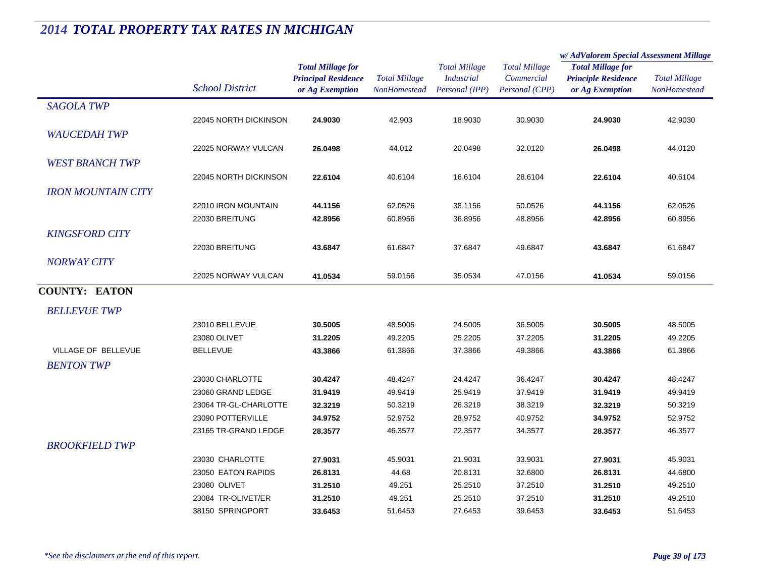|                           |                        |                            | <b>Total Millage</b> | <b>Total Millage</b> | <b>Total Millage</b> | w/AdValorem Special Assessment Millage        |                      |
|---------------------------|------------------------|----------------------------|----------------------|----------------------|----------------------|-----------------------------------------------|----------------------|
|                           |                        | <b>Total Millage for</b>   |                      |                      |                      | <b>Total Millage for</b>                      |                      |
|                           | <b>School District</b> | <b>Principal Residence</b> |                      | <b>Industrial</b>    | Commercial           | <b>Principle Residence</b><br>or Ag Exemption | <b>Total Millage</b> |
|                           |                        | or Ag Exemption            | <b>NonHomestead</b>  | Personal (IPP)       | Personal (CPP)       |                                               | <b>NonHomestead</b>  |
| <b>SAGOLA TWP</b>         |                        |                            |                      |                      |                      |                                               |                      |
|                           | 22045 NORTH DICKINSON  | 24.9030                    | 42.903               | 18.9030              | 30.9030              | 24.9030                                       | 42.9030              |
| <b>WAUCEDAH TWP</b>       |                        |                            |                      |                      |                      |                                               |                      |
|                           | 22025 NORWAY VULCAN    | 26.0498                    | 44.012               | 20.0498              | 32.0120              | 26.0498                                       | 44.0120              |
| <b>WEST BRANCH TWP</b>    |                        |                            |                      |                      |                      |                                               |                      |
|                           | 22045 NORTH DICKINSON  | 22.6104                    | 40.6104              | 16.6104              | 28.6104              | 22.6104                                       | 40.6104              |
|                           |                        |                            |                      |                      |                      |                                               |                      |
| <b>IRON MOUNTAIN CITY</b> |                        |                            |                      |                      |                      |                                               |                      |
|                           | 22010 IRON MOUNTAIN    | 44.1156                    | 62.0526              | 38.1156              | 50.0526              | 44.1156                                       | 62.0526              |
|                           | 22030 BREITUNG         | 42.8956                    | 60.8956              | 36.8956              | 48.8956              | 42.8956                                       | 60.8956              |
| <b>KINGSFORD CITY</b>     |                        |                            |                      |                      |                      |                                               |                      |
|                           | 22030 BREITUNG         | 43.6847                    | 61.6847              | 37.6847              | 49.6847              | 43.6847                                       | 61.6847              |
| <b>NORWAY CITY</b>        |                        |                            |                      |                      |                      |                                               |                      |
|                           | 22025 NORWAY VULCAN    | 41.0534                    | 59.0156              | 35.0534              | 47.0156              | 41.0534                                       | 59.0156              |
| <b>COUNTY: EATON</b>      |                        |                            |                      |                      |                      |                                               |                      |
| <b>BELLEVUE TWP</b>       |                        |                            |                      |                      |                      |                                               |                      |
|                           | 23010 BELLEVUE         | 30.5005                    | 48.5005              | 24.5005              | 36.5005              | 30.5005                                       | 48.5005              |
|                           | 23080 OLIVET           | 31.2205                    | 49.2205              | 25.2205              | 37.2205              | 31.2205                                       | 49.2205              |
| VILLAGE OF BELLEVUE       | <b>BELLEVUE</b>        | 43.3866                    | 61.3866              | 37.3866              | 49.3866              | 43.3866                                       | 61.3866              |
| <b>BENTON TWP</b>         |                        |                            |                      |                      |                      |                                               |                      |
|                           | 23030 CHARLOTTE        | 30.4247                    | 48.4247              | 24.4247              | 36.4247              | 30.4247                                       | 48.4247              |
|                           | 23060 GRAND LEDGE      | 31.9419                    | 49.9419              | 25.9419              | 37.9419              | 31.9419                                       | 49.9419              |
|                           | 23064 TR-GL-CHARLOTTE  | 32.3219                    | 50.3219              | 26.3219              | 38.3219              | 32.3219                                       | 50.3219              |
|                           | 23090 POTTERVILLE      | 34.9752                    | 52.9752              | 28.9752              | 40.9752              | 34.9752                                       | 52.9752              |
|                           | 23165 TR-GRAND LEDGE   | 28.3577                    | 46.3577              | 22.3577              | 34.3577              | 28.3577                                       | 46.3577              |
| <b>BROOKFIELD TWP</b>     |                        |                            |                      |                      |                      |                                               |                      |
|                           | 23030 CHARLOTTE        | 27.9031                    | 45.9031              | 21.9031              | 33.9031              | 27.9031                                       | 45.9031              |
|                           | 23050 EATON RAPIDS     | 26.8131                    | 44.68                | 20.8131              | 32.6800              | 26.8131                                       | 44.6800              |
|                           | 23080 OLIVET           | 31.2510                    | 49.251               | 25.2510              | 37.2510              | 31.2510                                       | 49.2510              |
|                           | 23084 TR-OLIVET/ER     | 31.2510                    | 49.251               | 25.2510              | 37.2510              | 31.2510                                       | 49.2510              |
|                           | 38150 SPRINGPORT       | 33.6453                    | 51.6453              | 27.6453              | 39.6453              | 33.6453                                       | 51.6453              |
|                           |                        |                            |                      |                      |                      |                                               |                      |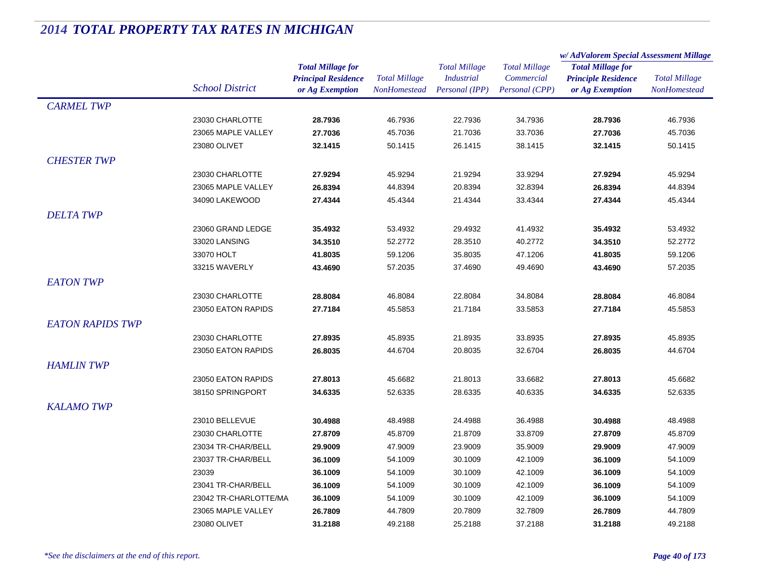|                         |                        |                            | <b>Total Millage</b><br>NonHomestead | <b>Total Millage</b><br><i>Industrial</i> | <b>Total Millage</b><br>Commercial | w/AdValorem Special Assessment Millage |                      |  |
|-------------------------|------------------------|----------------------------|--------------------------------------|-------------------------------------------|------------------------------------|----------------------------------------|----------------------|--|
|                         |                        | <b>Total Millage for</b>   |                                      |                                           |                                    | <b>Total Millage for</b>               | <b>Total Millage</b> |  |
|                         |                        | <b>Principal Residence</b> |                                      |                                           |                                    | <b>Principle Residence</b>             |                      |  |
|                         | <b>School District</b> | or Ag Exemption            |                                      | Personal (IPP)                            | Personal (CPP)                     | or Ag Exemption                        | <b>NonHomestead</b>  |  |
| <b>CARMEL TWP</b>       |                        |                            |                                      |                                           |                                    |                                        |                      |  |
|                         | 23030 CHARLOTTE        | 28.7936                    | 46.7936                              | 22.7936                                   | 34.7936                            | 28.7936                                | 46.7936              |  |
|                         | 23065 MAPLE VALLEY     | 27.7036                    | 45.7036                              | 21.7036                                   | 33.7036                            | 27.7036                                | 45.7036              |  |
|                         | 23080 OLIVET           | 32.1415                    | 50.1415                              | 26.1415                                   | 38.1415                            | 32.1415                                | 50.1415              |  |
| <b>CHESTER TWP</b>      |                        |                            |                                      |                                           |                                    |                                        |                      |  |
|                         | 23030 CHARLOTTE        | 27.9294                    | 45.9294                              | 21.9294                                   | 33.9294                            | 27.9294                                | 45.9294              |  |
|                         | 23065 MAPLE VALLEY     | 26.8394                    | 44.8394                              | 20.8394                                   | 32.8394                            | 26.8394                                | 44.8394              |  |
|                         | 34090 LAKEWOOD         | 27.4344                    | 45.4344                              | 21.4344                                   | 33.4344                            | 27.4344                                | 45.4344              |  |
| <b>DELTA TWP</b>        |                        |                            |                                      |                                           |                                    |                                        |                      |  |
|                         | 23060 GRAND LEDGE      | 35.4932                    | 53.4932                              | 29.4932                                   | 41.4932                            | 35.4932                                | 53.4932              |  |
|                         | 33020 LANSING          | 34.3510                    | 52.2772                              | 28.3510                                   | 40.2772                            | 34.3510                                | 52.2772              |  |
|                         | 33070 HOLT             | 41.8035                    | 59.1206                              | 35.8035                                   | 47.1206                            | 41.8035                                | 59.1206              |  |
|                         | 33215 WAVERLY          | 43.4690                    | 57.2035                              | 37.4690                                   | 49.4690                            | 43.4690                                | 57.2035              |  |
| <b>EATON TWP</b>        |                        |                            |                                      |                                           |                                    |                                        |                      |  |
|                         | 23030 CHARLOTTE        | 28.8084                    | 46.8084                              | 22.8084                                   | 34.8084                            |                                        | 46.8084              |  |
|                         |                        |                            |                                      |                                           |                                    | 28.8084                                |                      |  |
|                         | 23050 EATON RAPIDS     | 27.7184                    | 45.5853                              | 21.7184                                   | 33.5853                            | 27.7184                                | 45.5853              |  |
| <b>EATON RAPIDS TWP</b> |                        |                            |                                      |                                           |                                    |                                        |                      |  |
|                         | 23030 CHARLOTTE        | 27.8935                    | 45.8935                              | 21.8935                                   | 33.8935                            | 27.8935                                | 45.8935              |  |
|                         | 23050 EATON RAPIDS     | 26.8035                    | 44.6704                              | 20.8035                                   | 32.6704                            | 26.8035                                | 44.6704              |  |
| <b>HAMLIN TWP</b>       |                        |                            |                                      |                                           |                                    |                                        |                      |  |
|                         | 23050 EATON RAPIDS     | 27.8013                    | 45.6682                              | 21.8013                                   | 33.6682                            | 27.8013                                | 45.6682              |  |
|                         | 38150 SPRINGPORT       | 34.6335                    | 52.6335                              | 28.6335                                   | 40.6335                            | 34.6335                                | 52.6335              |  |
| <b>KALAMO TWP</b>       |                        |                            |                                      |                                           |                                    |                                        |                      |  |
|                         | 23010 BELLEVUE         | 30.4988                    | 48.4988                              | 24.4988                                   | 36.4988                            | 30.4988                                | 48.4988              |  |
|                         | 23030 CHARLOTTE        | 27.8709                    | 45.8709                              | 21.8709                                   | 33.8709                            | 27.8709                                | 45.8709              |  |
|                         | 23034 TR-CHAR/BELL     | 29.9009                    | 47.9009                              | 23.9009                                   | 35.9009                            | 29.9009                                | 47.9009              |  |
|                         | 23037 TR-CHAR/BELL     | 36.1009                    | 54.1009                              | 30.1009                                   | 42.1009                            | 36.1009                                | 54.1009              |  |
|                         | 23039                  | 36.1009                    | 54.1009                              | 30.1009                                   | 42.1009                            | 36.1009                                | 54.1009              |  |
|                         | 23041 TR-CHAR/BELL     | 36.1009                    | 54.1009                              | 30.1009                                   | 42.1009                            | 36.1009                                | 54.1009              |  |
|                         | 23042 TR-CHARLOTTE/MA  | 36.1009                    | 54.1009                              | 30.1009                                   | 42.1009                            | 36.1009                                | 54.1009              |  |
|                         | 23065 MAPLE VALLEY     | 26.7809                    | 44.7809                              | 20.7809                                   | 32.7809                            | 26.7809                                | 44.7809              |  |
|                         | 23080 OLIVET           | 31.2188                    | 49.2188                              | 25.2188                                   | 37.2188                            | 31.2188                                | 49.2188              |  |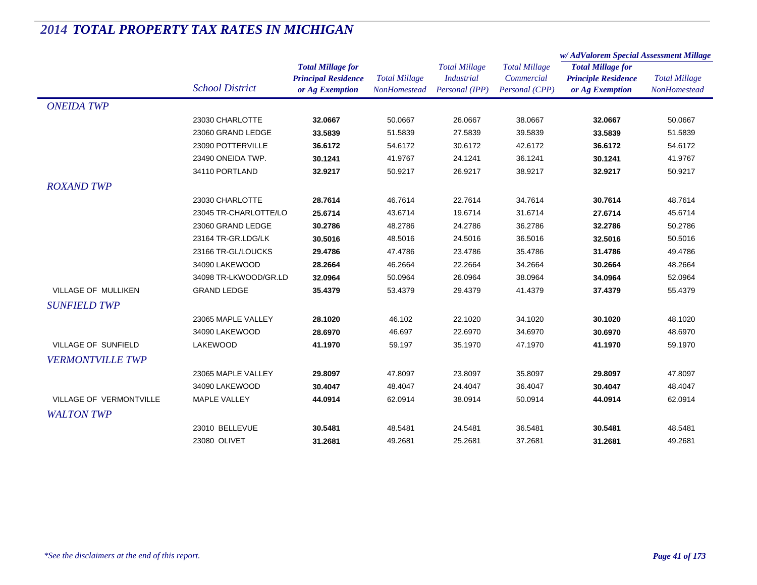|                            |                        |                                                                           |                                             |                                                             |                                                      | w/AdValorem Special Assessment Millage                                    |                                             |
|----------------------------|------------------------|---------------------------------------------------------------------------|---------------------------------------------|-------------------------------------------------------------|------------------------------------------------------|---------------------------------------------------------------------------|---------------------------------------------|
|                            | <b>School District</b> | <b>Total Millage for</b><br><b>Principal Residence</b><br>or Ag Exemption | <b>Total Millage</b><br><b>NonHomestead</b> | <b>Total Millage</b><br><b>Industrial</b><br>Personal (IPP) | <b>Total Millage</b><br>Commercial<br>Personal (CPP) | <b>Total Millage for</b><br><b>Principle Residence</b><br>or Ag Exemption | <b>Total Millage</b><br><b>NonHomestead</b> |
| <b>ONEIDA TWP</b>          |                        |                                                                           |                                             |                                                             |                                                      |                                                                           |                                             |
|                            | 23030 CHARLOTTE        | 32.0667                                                                   | 50.0667                                     | 26.0667                                                     | 38.0667                                              | 32.0667                                                                   | 50.0667                                     |
|                            | 23060 GRAND LEDGE      | 33.5839                                                                   | 51.5839                                     | 27.5839                                                     | 39.5839                                              | 33.5839                                                                   | 51.5839                                     |
|                            | 23090 POTTERVILLE      | 36.6172                                                                   | 54.6172                                     | 30.6172                                                     | 42.6172                                              | 36.6172                                                                   | 54.6172                                     |
|                            | 23490 ONEIDA TWP.      | 30.1241                                                                   | 41.9767                                     | 24.1241                                                     | 36.1241                                              | 30.1241                                                                   | 41.9767                                     |
|                            | 34110 PORTLAND         | 32.9217                                                                   | 50.9217                                     | 26.9217                                                     | 38.9217                                              | 32.9217                                                                   | 50.9217                                     |
| <b>ROXAND TWP</b>          |                        |                                                                           |                                             |                                                             |                                                      |                                                                           |                                             |
|                            | 23030 CHARLOTTE        | 28.7614                                                                   | 46.7614                                     | 22.7614                                                     | 34.7614                                              | 30.7614                                                                   | 48.7614                                     |
|                            | 23045 TR-CHARLOTTE/LO  | 25.6714                                                                   | 43.6714                                     | 19.6714                                                     | 31.6714                                              | 27.6714                                                                   | 45.6714                                     |
|                            | 23060 GRAND LEDGE      | 30.2786                                                                   | 48.2786                                     | 24.2786                                                     | 36.2786                                              | 32.2786                                                                   | 50.2786                                     |
|                            | 23164 TR-GR.LDG/LK     | 30.5016                                                                   | 48.5016                                     | 24.5016                                                     | 36.5016                                              | 32.5016                                                                   | 50.5016                                     |
|                            | 23166 TR-GL/LOUCKS     | 29.4786                                                                   | 47.4786                                     | 23.4786                                                     | 35.4786                                              | 31.4786                                                                   | 49.4786                                     |
|                            | 34090 LAKEWOOD         | 28.2664                                                                   | 46.2664                                     | 22.2664                                                     | 34.2664                                              | 30.2664                                                                   | 48.2664                                     |
|                            | 34098 TR-LKWOOD/GR.LD  | 32.0964                                                                   | 50.0964                                     | 26.0964                                                     | 38.0964                                              | 34.0964                                                                   | 52.0964                                     |
| VILLAGE OF MULLIKEN        | <b>GRAND LEDGE</b>     | 35.4379                                                                   | 53.4379                                     | 29.4379                                                     | 41.4379                                              | 37.4379                                                                   | 55.4379                                     |
| <b>SUNFIELD TWP</b>        |                        |                                                                           |                                             |                                                             |                                                      |                                                                           |                                             |
|                            | 23065 MAPLE VALLEY     | 28.1020                                                                   | 46.102                                      | 22.1020                                                     | 34.1020                                              | 30.1020                                                                   | 48.1020                                     |
|                            | 34090 LAKEWOOD         | 28.6970                                                                   | 46.697                                      | 22.6970                                                     | 34.6970                                              | 30.6970                                                                   | 48.6970                                     |
| <b>VILLAGE OF SUNFIELD</b> | <b>LAKEWOOD</b>        | 41.1970                                                                   | 59.197                                      | 35.1970                                                     | 47.1970                                              | 41.1970                                                                   | 59.1970                                     |
| <b>VERMONTVILLE TWP</b>    |                        |                                                                           |                                             |                                                             |                                                      |                                                                           |                                             |
|                            | 23065 MAPLE VALLEY     | 29.8097                                                                   | 47.8097                                     | 23.8097                                                     | 35.8097                                              | 29.8097                                                                   | 47.8097                                     |
|                            | 34090 LAKEWOOD         | 30.4047                                                                   | 48.4047                                     | 24.4047                                                     | 36.4047                                              | 30.4047                                                                   | 48.4047                                     |
| VILLAGE OF VERMONTVILLE    | <b>MAPLE VALLEY</b>    | 44.0914                                                                   | 62.0914                                     | 38.0914                                                     | 50.0914                                              | 44.0914                                                                   | 62.0914                                     |
| <b>WALTON TWP</b>          |                        |                                                                           |                                             |                                                             |                                                      |                                                                           |                                             |
|                            | 23010 BELLEVUE         | 30.5481                                                                   | 48.5481                                     | 24.5481                                                     | 36.5481                                              | 30.5481                                                                   | 48.5481                                     |
|                            | 23080 OLIVET           | 31.2681                                                                   | 49.2681                                     | 25.2681                                                     | 37.2681                                              | 31.2681                                                                   | 49.2681                                     |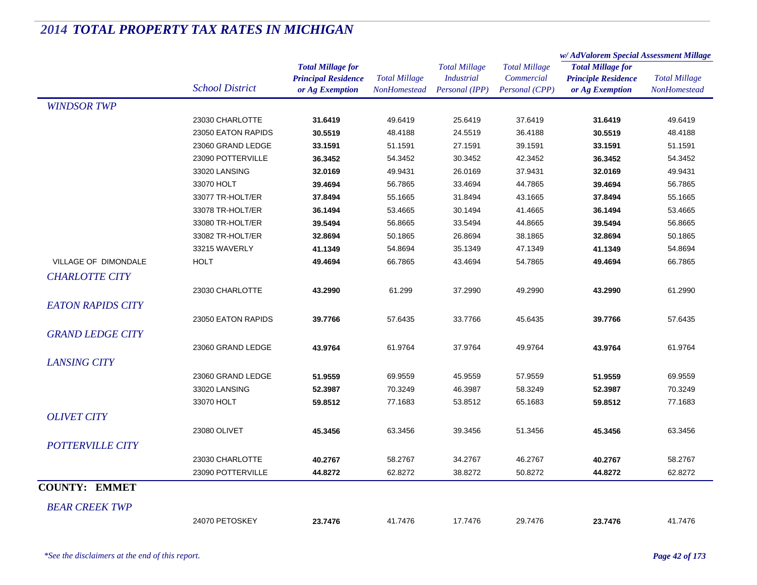|                          |                        |                            |                      | <b>Total Millage</b><br><i>Industrial</i> | <b>Total Millage</b><br>Commercial<br>Personal (CPP) | w/ AdValorem Special Assessment Millage                                   |                      |  |
|--------------------------|------------------------|----------------------------|----------------------|-------------------------------------------|------------------------------------------------------|---------------------------------------------------------------------------|----------------------|--|
|                          |                        | <b>Total Millage for</b>   |                      |                                           |                                                      | <b>Total Millage for</b><br><b>Principle Residence</b><br>or Ag Exemption | <b>Total Millage</b> |  |
|                          |                        | <b>Principal Residence</b> | <b>Total Millage</b> |                                           |                                                      |                                                                           |                      |  |
|                          | <b>School District</b> | or Ag Exemption            | NonHomestead         | Personal (IPP)                            |                                                      |                                                                           | NonHomestead         |  |
| <b>WINDSOR TWP</b>       |                        |                            |                      |                                           |                                                      |                                                                           |                      |  |
|                          | 23030 CHARLOTTE        | 31.6419                    | 49.6419              | 25.6419                                   | 37.6419                                              | 31.6419                                                                   | 49.6419              |  |
|                          | 23050 EATON RAPIDS     | 30.5519                    | 48.4188              | 24.5519                                   | 36.4188                                              | 30.5519                                                                   | 48.4188              |  |
|                          | 23060 GRAND LEDGE      | 33.1591                    | 51.1591              | 27.1591                                   | 39.1591                                              | 33.1591                                                                   | 51.1591              |  |
|                          | 23090 POTTERVILLE      | 36.3452                    | 54.3452              | 30.3452                                   | 42.3452                                              | 36.3452                                                                   | 54.3452              |  |
|                          | 33020 LANSING          | 32.0169                    | 49.9431              | 26.0169                                   | 37.9431                                              | 32.0169                                                                   | 49.9431              |  |
|                          | 33070 HOLT             | 39.4694                    | 56.7865              | 33.4694                                   | 44.7865                                              | 39.4694                                                                   | 56.7865              |  |
|                          | 33077 TR-HOLT/ER       | 37.8494                    | 55.1665              | 31.8494                                   | 43.1665                                              | 37.8494                                                                   | 55.1665              |  |
|                          | 33078 TR-HOLT/ER       | 36.1494                    | 53.4665              | 30.1494                                   | 41.4665                                              | 36.1494                                                                   | 53.4665              |  |
|                          | 33080 TR-HOLT/ER       | 39.5494                    | 56.8665              | 33.5494                                   | 44.8665                                              | 39.5494                                                                   | 56.8665              |  |
|                          | 33082 TR-HOLT/ER       | 32.8694                    | 50.1865              | 26.8694                                   | 38.1865                                              | 32.8694                                                                   | 50.1865              |  |
|                          | 33215 WAVERLY          | 41.1349                    | 54.8694              | 35.1349                                   | 47.1349                                              | 41.1349                                                                   | 54.8694              |  |
| VILLAGE OF DIMONDALE     | <b>HOLT</b>            | 49.4694                    | 66.7865              | 43.4694                                   | 54.7865                                              | 49.4694                                                                   | 66.7865              |  |
| <b>CHARLOTTE CITY</b>    |                        |                            |                      |                                           |                                                      |                                                                           |                      |  |
|                          | 23030 CHARLOTTE        | 43.2990                    | 61.299               | 37.2990                                   | 49.2990                                              | 43.2990                                                                   | 61.2990              |  |
| <b>EATON RAPIDS CITY</b> |                        |                            |                      |                                           |                                                      |                                                                           |                      |  |
|                          | 23050 EATON RAPIDS     |                            | 57.6435              | 33.7766                                   | 45.6435                                              |                                                                           | 57.6435              |  |
|                          |                        | 39.7766                    |                      |                                           |                                                      | 39.7766                                                                   |                      |  |
| <b>GRAND LEDGE CITY</b>  |                        |                            |                      |                                           |                                                      |                                                                           |                      |  |
|                          | 23060 GRAND LEDGE      | 43.9764                    | 61.9764              | 37.9764                                   | 49.9764                                              | 43.9764                                                                   | 61.9764              |  |
| <b>LANSING CITY</b>      |                        |                            |                      |                                           |                                                      |                                                                           |                      |  |
|                          | 23060 GRAND LEDGE      | 51.9559                    | 69.9559              | 45.9559                                   | 57.9559                                              | 51.9559                                                                   | 69.9559              |  |
|                          | 33020 LANSING          | 52.3987                    | 70.3249              | 46.3987                                   | 58.3249                                              | 52.3987                                                                   | 70.3249              |  |
|                          | 33070 HOLT             | 59.8512                    | 77.1683              | 53.8512                                   | 65.1683                                              | 59.8512                                                                   | 77.1683              |  |
| <b>OLIVET CITY</b>       |                        |                            |                      |                                           |                                                      |                                                                           |                      |  |
|                          | 23080 OLIVET           | 45.3456                    | 63.3456              | 39.3456                                   | 51.3456                                              | 45.3456                                                                   | 63.3456              |  |
| <b>POTTERVILLE CITY</b>  |                        |                            |                      |                                           |                                                      |                                                                           |                      |  |
|                          | 23030 CHARLOTTE        | 40.2767                    | 58.2767              | 34.2767                                   | 46.2767                                              | 40.2767                                                                   | 58.2767              |  |
|                          | 23090 POTTERVILLE      | 44.8272                    | 62.8272              | 38.8272                                   | 50.8272                                              | 44.8272                                                                   | 62.8272              |  |
| <b>COUNTY: EMMET</b>     |                        |                            |                      |                                           |                                                      |                                                                           |                      |  |
|                          |                        |                            |                      |                                           |                                                      |                                                                           |                      |  |
| <b>BEAR CREEK TWP</b>    |                        |                            |                      |                                           |                                                      |                                                                           |                      |  |
|                          | 24070 PETOSKEY         | 23.7476                    | 41.7476              | 17.7476                                   | 29.7476                                              | 23.7476                                                                   | 41.7476              |  |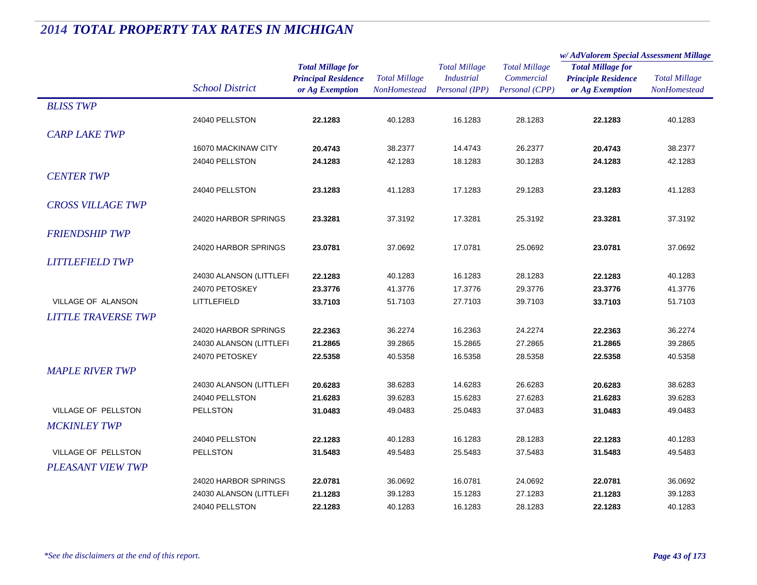|                            |                         |                            | <b>Total Millage</b><br>NonHomestead | <b>Total Millage</b><br><b>Industrial</b> | <b>Total Millage</b> | w/AdValorem Special Assessment Millage |                      |
|----------------------------|-------------------------|----------------------------|--------------------------------------|-------------------------------------------|----------------------|----------------------------------------|----------------------|
|                            |                         | <b>Total Millage for</b>   |                                      |                                           |                      | <b>Total Millage for</b>               | <b>Total Millage</b> |
|                            |                         | <b>Principal Residence</b> |                                      |                                           | Commercial           | <b>Principle Residence</b>             |                      |
|                            | <b>School District</b>  | or Ag Exemption            |                                      | Personal (IPP)                            | Personal (CPP)       | or Ag Exemption                        | <b>NonHomestead</b>  |
| <b>BLISS TWP</b>           |                         |                            |                                      |                                           |                      |                                        |                      |
|                            | 24040 PELLSTON          | 22.1283                    | 40.1283                              | 16.1283                                   | 28.1283              | 22.1283                                | 40.1283              |
| <b>CARP LAKE TWP</b>       |                         |                            |                                      |                                           |                      |                                        |                      |
|                            | 16070 MACKINAW CITY     | 20.4743                    | 38.2377                              | 14.4743                                   | 26.2377              | 20.4743                                | 38.2377              |
|                            | 24040 PELLSTON          | 24.1283                    | 42.1283                              | 18.1283                                   | 30.1283              | 24.1283                                | 42.1283              |
| <b>CENTER TWP</b>          |                         |                            |                                      |                                           |                      |                                        |                      |
|                            | 24040 PELLSTON          | 23.1283                    | 41.1283                              | 17.1283                                   | 29.1283              |                                        | 41.1283              |
|                            |                         |                            |                                      |                                           |                      | 23.1283                                |                      |
| <b>CROSS VILLAGE TWP</b>   |                         |                            |                                      |                                           |                      |                                        |                      |
|                            | 24020 HARBOR SPRINGS    | 23.3281                    | 37.3192                              | 17.3281                                   | 25.3192              | 23.3281                                | 37.3192              |
| <b>FRIENDSHIP TWP</b>      |                         |                            |                                      |                                           |                      |                                        |                      |
|                            | 24020 HARBOR SPRINGS    | 23.0781                    | 37.0692                              | 17.0781                                   | 25.0692              | 23.0781                                | 37.0692              |
| <b>LITTLEFIELD TWP</b>     |                         |                            |                                      |                                           |                      |                                        |                      |
|                            | 24030 ALANSON (LITTLEFI | 22.1283                    | 40.1283                              | 16.1283                                   | 28.1283              | 22.1283                                | 40.1283              |
|                            | 24070 PETOSKEY          | 23.3776                    | 41.3776                              | 17.3776                                   | 29.3776              | 23.3776                                | 41.3776              |
| VILLAGE OF ALANSON         | LITTLEFIELD             | 33.7103                    | 51.7103                              | 27.7103                                   | 39.7103              | 33.7103                                | 51.7103              |
| <b>LITTLE TRAVERSE TWP</b> |                         |                            |                                      |                                           |                      |                                        |                      |
|                            | 24020 HARBOR SPRINGS    | 22.2363                    | 36.2274                              | 16.2363                                   | 24.2274              | 22.2363                                | 36.2274              |
|                            | 24030 ALANSON (LITTLEFI | 21.2865                    | 39.2865                              | 15.2865                                   | 27.2865              | 21.2865                                | 39.2865              |
|                            | 24070 PETOSKEY          | 22.5358                    | 40.5358                              | 16.5358                                   | 28.5358              | 22.5358                                | 40.5358              |
| <b>MAPLE RIVER TWP</b>     |                         |                            |                                      |                                           |                      |                                        |                      |
|                            | 24030 ALANSON (LITTLEFI | 20.6283                    | 38.6283                              | 14.6283                                   | 26.6283              | 20.6283                                | 38.6283              |
|                            | 24040 PELLSTON          | 21.6283                    | 39.6283                              | 15.6283                                   | 27.6283              | 21.6283                                | 39.6283              |
| VILLAGE OF PELLSTON        | <b>PELLSTON</b>         | 31.0483                    | 49.0483                              | 25.0483                                   | 37.0483              | 31.0483                                | 49.0483              |
| <b>MCKINLEY TWP</b>        |                         |                            |                                      |                                           |                      |                                        |                      |
|                            | 24040 PELLSTON          | 22.1283                    | 40.1283                              | 16.1283                                   | 28.1283              | 22.1283                                | 40.1283              |
| VILLAGE OF PELLSTON        | <b>PELLSTON</b>         | 31.5483                    | 49.5483                              | 25.5483                                   | 37.5483              | 31.5483                                | 49.5483              |
|                            |                         |                            |                                      |                                           |                      |                                        |                      |
| <b>PLEASANT VIEW TWP</b>   |                         |                            |                                      |                                           |                      |                                        |                      |
|                            | 24020 HARBOR SPRINGS    | 22.0781                    | 36.0692                              | 16.0781                                   | 24.0692              | 22.0781                                | 36.0692              |
|                            | 24030 ALANSON (LITTLEFI | 21.1283                    | 39.1283                              | 15.1283                                   | 27.1283              | 21.1283                                | 39.1283              |
|                            | 24040 PELLSTON          | 22.1283                    | 40.1283                              | 16.1283                                   | 28.1283              | 22.1283                                | 40.1283              |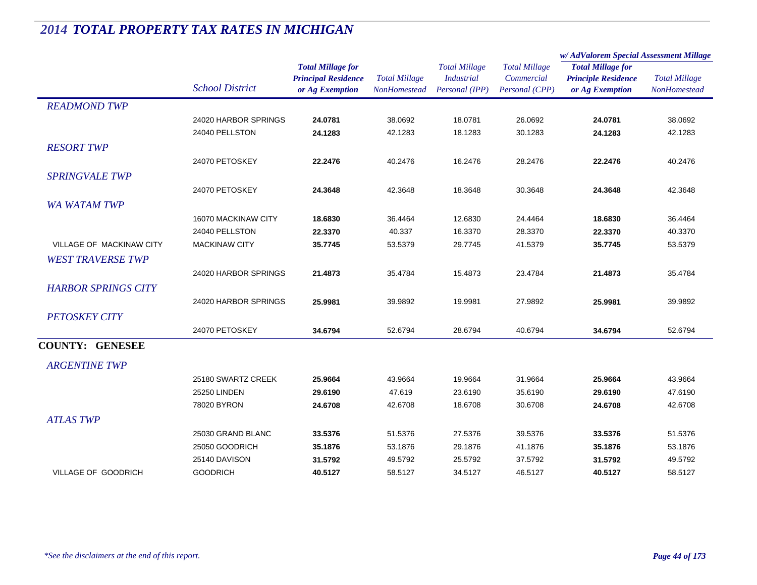|                                 |                        |                                                                           |                                      |                                                             |                                                      | w/AdValorem Special Assessment Millage                                    |                                      |  |
|---------------------------------|------------------------|---------------------------------------------------------------------------|--------------------------------------|-------------------------------------------------------------|------------------------------------------------------|---------------------------------------------------------------------------|--------------------------------------|--|
|                                 | <b>School District</b> | <b>Total Millage for</b><br><b>Principal Residence</b><br>or Ag Exemption | <b>Total Millage</b><br>NonHomestead | <b>Total Millage</b><br><b>Industrial</b><br>Personal (IPP) | <b>Total Millage</b><br>Commercial<br>Personal (CPP) | <b>Total Millage for</b><br><b>Principle Residence</b><br>or Ag Exemption | <b>Total Millage</b><br>NonHomestead |  |
| <b>READMOND TWP</b>             |                        |                                                                           |                                      |                                                             |                                                      |                                                                           |                                      |  |
|                                 | 24020 HARBOR SPRINGS   | 24.0781                                                                   | 38.0692                              | 18.0781                                                     | 26.0692                                              | 24.0781                                                                   | 38.0692                              |  |
|                                 | 24040 PELLSTON         | 24.1283                                                                   | 42.1283                              | 18.1283                                                     | 30.1283                                              | 24.1283                                                                   | 42.1283                              |  |
| <b>RESORT TWP</b>               |                        |                                                                           |                                      |                                                             |                                                      |                                                                           |                                      |  |
|                                 | 24070 PETOSKEY         | 22.2476                                                                   | 40.2476                              | 16.2476                                                     | 28.2476                                              | 22.2476                                                                   | 40.2476                              |  |
| <b>SPRINGVALE TWP</b>           |                        |                                                                           |                                      |                                                             |                                                      |                                                                           |                                      |  |
|                                 | 24070 PETOSKEY         | 24.3648                                                                   | 42.3648                              | 18.3648                                                     | 30.3648                                              | 24.3648                                                                   | 42.3648                              |  |
| <b>WA WATAM TWP</b>             |                        |                                                                           |                                      |                                                             |                                                      |                                                                           |                                      |  |
|                                 | 16070 MACKINAW CITY    | 18.6830                                                                   | 36.4464                              | 12.6830                                                     | 24.4464                                              | 18.6830                                                                   | 36.4464                              |  |
|                                 | 24040 PELLSTON         | 22.3370                                                                   | 40.337                               | 16.3370                                                     | 28.3370                                              | 22.3370                                                                   | 40.3370                              |  |
| <b>VILLAGE OF MACKINAW CITY</b> | <b>MACKINAW CITY</b>   | 35.7745                                                                   | 53.5379                              | 29.7745                                                     | 41.5379                                              | 35.7745                                                                   | 53.5379                              |  |
| <b>WEST TRAVERSE TWP</b>        |                        |                                                                           |                                      |                                                             |                                                      |                                                                           |                                      |  |
|                                 | 24020 HARBOR SPRINGS   | 21.4873                                                                   | 35.4784                              | 15.4873                                                     | 23.4784                                              | 21.4873                                                                   | 35.4784                              |  |
| <b>HARBOR SPRINGS CITY</b>      |                        |                                                                           |                                      |                                                             |                                                      |                                                                           |                                      |  |
|                                 | 24020 HARBOR SPRINGS   | 25.9981                                                                   | 39.9892                              | 19.9981                                                     | 27.9892                                              | 25.9981                                                                   | 39.9892                              |  |
| <b>PETOSKEY CITY</b>            |                        |                                                                           |                                      |                                                             |                                                      |                                                                           |                                      |  |
|                                 | 24070 PETOSKEY         | 34.6794                                                                   | 52.6794                              | 28.6794                                                     | 40.6794                                              | 34.6794                                                                   | 52.6794                              |  |
| <b>COUNTY: GENESEE</b>          |                        |                                                                           |                                      |                                                             |                                                      |                                                                           |                                      |  |
|                                 |                        |                                                                           |                                      |                                                             |                                                      |                                                                           |                                      |  |
| <b>ARGENTINE TWP</b>            |                        |                                                                           |                                      |                                                             |                                                      |                                                                           |                                      |  |
|                                 | 25180 SWARTZ CREEK     | 25.9664                                                                   | 43.9664                              | 19.9664                                                     | 31.9664                                              | 25.9664                                                                   | 43.9664                              |  |
|                                 | 25250 LINDEN           | 29.6190                                                                   | 47.619                               | 23.6190                                                     | 35.6190                                              | 29.6190                                                                   | 47.6190                              |  |
|                                 | 78020 BYRON            | 24.6708                                                                   | 42.6708                              | 18.6708                                                     | 30.6708                                              | 24.6708                                                                   | 42.6708                              |  |
| <b>ATLAS TWP</b>                |                        |                                                                           |                                      |                                                             |                                                      |                                                                           |                                      |  |
|                                 | 25030 GRAND BLANC      | 33.5376                                                                   | 51.5376                              | 27.5376                                                     | 39.5376                                              | 33.5376                                                                   | 51.5376                              |  |
|                                 | 25050 GOODRICH         | 35.1876                                                                   | 53.1876                              | 29.1876                                                     | 41.1876                                              | 35.1876                                                                   | 53.1876                              |  |
|                                 | 25140 DAVISON          | 31.5792                                                                   | 49.5792                              | 25.5792                                                     | 37.5792                                              | 31.5792                                                                   | 49.5792                              |  |
| VILLAGE OF GOODRICH             | <b>GOODRICH</b>        | 40.5127                                                                   | 58.5127                              | 34.5127                                                     | 46.5127                                              | 40.5127                                                                   | 58.5127                              |  |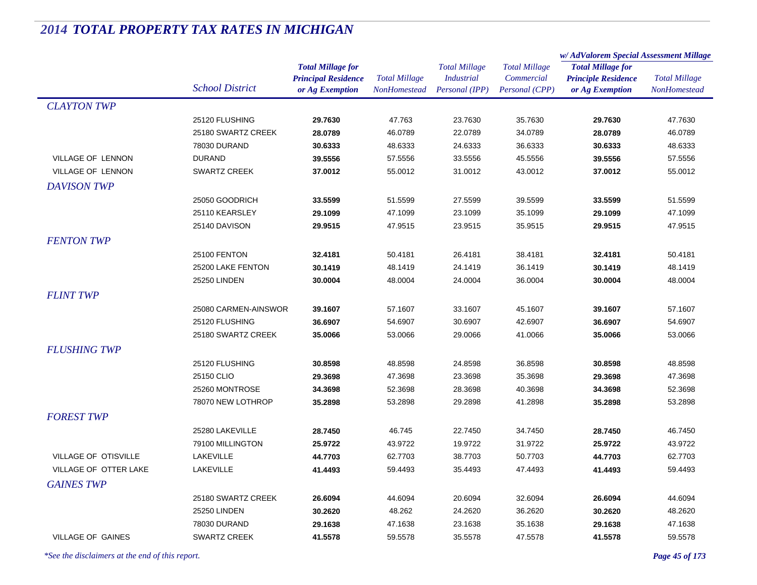|                          |                        |                            |                      | <b>Total Millage</b> | <b>Total Millage</b> | w/AdValorem Special Assessment Millage |                                      |
|--------------------------|------------------------|----------------------------|----------------------|----------------------|----------------------|----------------------------------------|--------------------------------------|
|                          |                        | <b>Total Millage for</b>   |                      |                      |                      | <b>Total Millage for</b>               | <b>Total Millage</b><br>NonHomestead |
|                          | <b>School District</b> | <b>Principal Residence</b> | <b>Total Millage</b> | <b>Industrial</b>    | Commercial           | <b>Principle Residence</b>             |                                      |
|                          |                        | or Ag Exemption            | <b>NonHomestead</b>  | Personal (IPP)       | Personal (CPP)       | or Ag Exemption                        |                                      |
| <b>CLAYTON TWP</b>       |                        |                            |                      |                      |                      |                                        |                                      |
|                          | 25120 FLUSHING         | 29.7630                    | 47.763               | 23.7630              | 35.7630              | 29.7630                                | 47.7630                              |
|                          | 25180 SWARTZ CREEK     | 28.0789                    | 46.0789              | 22.0789              | 34.0789              | 28.0789                                | 46.0789                              |
|                          | 78030 DURAND           | 30.6333                    | 48.6333              | 24.6333              | 36.6333              | 30.6333                                | 48.6333                              |
| <b>VILLAGE OF LENNON</b> | <b>DURAND</b>          | 39.5556                    | 57.5556              | 33.5556              | 45.5556              | 39.5556                                | 57.5556                              |
| <b>VILLAGE OF LENNON</b> | <b>SWARTZ CREEK</b>    | 37.0012                    | 55.0012              | 31.0012              | 43.0012              | 37.0012                                | 55.0012                              |
| <b>DAVISON TWP</b>       |                        |                            |                      |                      |                      |                                        |                                      |
|                          | 25050 GOODRICH         | 33.5599                    | 51.5599              | 27.5599              | 39.5599              | 33.5599                                | 51.5599                              |
|                          | 25110 KEARSLEY         | 29.1099                    | 47.1099              | 23.1099              | 35.1099              | 29.1099                                | 47.1099                              |
|                          | 25140 DAVISON          | 29.9515                    | 47.9515              | 23.9515              | 35.9515              | 29.9515                                | 47.9515                              |
| <b>FENTON TWP</b>        |                        |                            |                      |                      |                      |                                        |                                      |
|                          | <b>25100 FENTON</b>    | 32.4181                    | 50.4181              | 26.4181              | 38.4181              | 32.4181                                | 50.4181                              |
|                          | 25200 LAKE FENTON      | 30.1419                    | 48.1419              | 24.1419              | 36.1419              | 30.1419                                | 48.1419                              |
|                          | 25250 LINDEN           | 30.0004                    | 48.0004              | 24.0004              | 36.0004              | 30.0004                                | 48.0004                              |
| <b>FLINT TWP</b>         |                        |                            |                      |                      |                      |                                        |                                      |
|                          | 25080 CARMEN-AINSWOR   | 39.1607                    | 57.1607              | 33.1607              | 45.1607              | 39.1607                                | 57.1607                              |
|                          | 25120 FLUSHING         | 36.6907                    | 54.6907              | 30.6907              | 42.6907              | 36.6907                                | 54.6907                              |
|                          | 25180 SWARTZ CREEK     | 35.0066                    | 53.0066              | 29.0066              | 41.0066              | 35.0066                                | 53.0066                              |
| <b>FLUSHING TWP</b>      |                        |                            |                      |                      |                      |                                        |                                      |
|                          | 25120 FLUSHING         | 30.8598                    | 48.8598              | 24.8598              | 36.8598              | 30.8598                                | 48.8598                              |
|                          | 25150 CLIO             | 29.3698                    | 47.3698              | 23.3698              | 35.3698              | 29.3698                                | 47.3698                              |
|                          | 25260 MONTROSE         | 34.3698                    | 52.3698              | 28.3698              | 40.3698              | 34.3698                                | 52.3698                              |
|                          | 78070 NEW LOTHROP      | 35.2898                    | 53.2898              | 29.2898              | 41.2898              | 35.2898                                | 53.2898                              |
| <b>FOREST TWP</b>        |                        |                            |                      |                      |                      |                                        |                                      |
|                          | 25280 LAKEVILLE        | 28.7450                    | 46.745               | 22.7450              | 34.7450              | 28.7450                                | 46.7450                              |
|                          | 79100 MILLINGTON       | 25.9722                    | 43.9722              | 19.9722              | 31.9722              | 25.9722                                | 43.9722                              |
| VILLAGE OF OTISVILLE     | LAKEVILLE              | 44.7703                    | 62.7703              | 38.7703              | 50.7703              | 44.7703                                | 62.7703                              |
| VILLAGE OF OTTER LAKE    | <b>LAKEVILLE</b>       | 41.4493                    | 59.4493              | 35.4493              | 47.4493              | 41.4493                                | 59.4493                              |
|                          |                        |                            |                      |                      |                      |                                        |                                      |
| <b>GAINES TWP</b>        |                        |                            |                      |                      |                      |                                        |                                      |
|                          | 25180 SWARTZ CREEK     | 26.6094                    | 44.6094              | 20.6094              | 32.6094              | 26.6094                                | 44.6094                              |
|                          | 25250 LINDEN           | 30.2620                    | 48.262               | 24.2620              | 36.2620              | 30.2620                                | 48.2620                              |
|                          | 78030 DURAND           | 29.1638                    | 47.1638              | 23.1638              | 35.1638              | 29.1638                                | 47.1638                              |
| <b>VILLAGE OF GAINES</b> | <b>SWARTZ CREEK</b>    | 41.5578                    | 59.5578              | 35.5578              | 47.5578              | 41.5578                                | 59.5578                              |

*\*See the disclaimers at the end of this report. Page 45 of 173*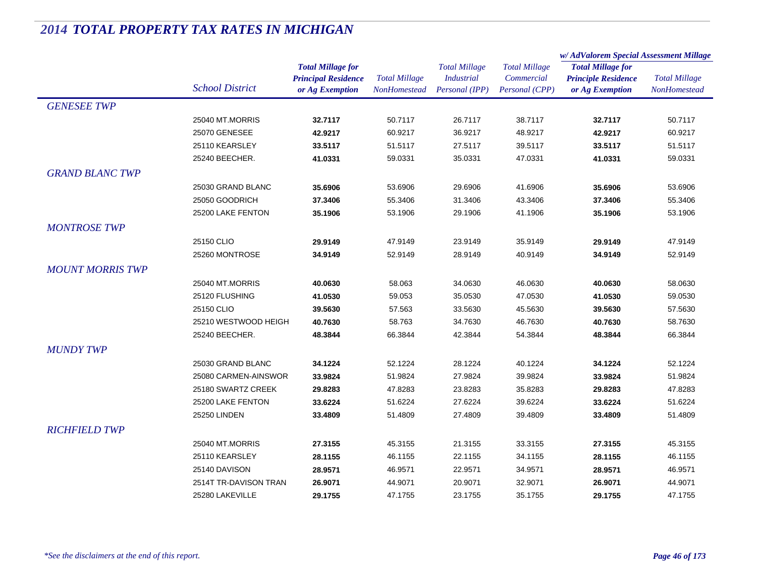|                         |                        |                            | <b>Total Millage</b> | <b>Total Millage</b><br><b>Industrial</b> | <b>Total Millage</b> | w/ AdValorem Special Assessment Millage |                      |  |
|-------------------------|------------------------|----------------------------|----------------------|-------------------------------------------|----------------------|-----------------------------------------|----------------------|--|
|                         |                        | <b>Total Millage for</b>   |                      |                                           |                      | <b>Total Millage for</b>                | <b>Total Millage</b> |  |
|                         |                        | <b>Principal Residence</b> |                      |                                           | Commercial           | <b>Principle Residence</b>              |                      |  |
|                         | <b>School District</b> | or Ag Exemption            | <b>NonHomestead</b>  | Personal (IPP)                            | Personal (CPP)       | or Ag Exemption                         | <b>NonHomestead</b>  |  |
| <b>GENESEE TWP</b>      |                        |                            |                      |                                           |                      |                                         |                      |  |
|                         | 25040 MT.MORRIS        | 32.7117                    | 50.7117              | 26.7117                                   | 38.7117              | 32.7117                                 | 50.7117              |  |
|                         | <b>25070 GENESEE</b>   | 42.9217                    | 60.9217              | 36.9217                                   | 48.9217              | 42.9217                                 | 60.9217              |  |
|                         | 25110 KEARSLEY         | 33.5117                    | 51.5117              | 27.5117                                   | 39.5117              | 33.5117                                 | 51.5117              |  |
|                         | 25240 BEECHER.         | 41.0331                    | 59.0331              | 35.0331                                   | 47.0331              | 41.0331                                 | 59.0331              |  |
| <b>GRAND BLANC TWP</b>  |                        |                            |                      |                                           |                      |                                         |                      |  |
|                         | 25030 GRAND BLANC      | 35.6906                    | 53.6906              | 29.6906                                   | 41.6906              | 35.6906                                 | 53.6906              |  |
|                         | 25050 GOODRICH         | 37.3406                    | 55.3406              | 31.3406                                   | 43.3406              | 37.3406                                 | 55.3406              |  |
|                         | 25200 LAKE FENTON      | 35.1906                    | 53.1906              | 29.1906                                   | 41.1906              | 35.1906                                 | 53.1906              |  |
| <b>MONTROSE TWP</b>     |                        |                            |                      |                                           |                      |                                         |                      |  |
|                         | 25150 CLIO             | 29.9149                    | 47.9149              | 23.9149                                   | 35.9149              | 29.9149                                 | 47.9149              |  |
|                         | 25260 MONTROSE         | 34.9149                    | 52.9149              | 28.9149                                   | 40.9149              | 34.9149                                 | 52.9149              |  |
| <b>MOUNT MORRIS TWP</b> |                        |                            |                      |                                           |                      |                                         |                      |  |
|                         | 25040 MT.MORRIS        | 40.0630                    | 58.063               | 34.0630                                   | 46.0630              | 40.0630                                 | 58.0630              |  |
|                         | 25120 FLUSHING         | 41.0530                    | 59.053               | 35.0530                                   | 47.0530              | 41.0530                                 | 59.0530              |  |
|                         | 25150 CLIO             | 39.5630                    | 57.563               | 33.5630                                   | 45.5630              | 39.5630                                 | 57.5630              |  |
|                         | 25210 WESTWOOD HEIGH   | 40.7630                    | 58.763               | 34.7630                                   | 46.7630              | 40.7630                                 | 58.7630              |  |
|                         | 25240 BEECHER.         | 48.3844                    | 66.3844              | 42.3844                                   | 54.3844              | 48.3844                                 | 66.3844              |  |
| <b>MUNDY TWP</b>        |                        |                            |                      |                                           |                      |                                         |                      |  |
|                         | 25030 GRAND BLANC      | 34.1224                    | 52.1224              | 28.1224                                   | 40.1224              | 34.1224                                 | 52.1224              |  |
|                         | 25080 CARMEN-AINSWOR   | 33.9824                    | 51.9824              | 27.9824                                   | 39.9824              | 33.9824                                 | 51.9824              |  |
|                         | 25180 SWARTZ CREEK     | 29.8283                    | 47.8283              | 23.8283                                   | 35.8283              | 29.8283                                 | 47.8283              |  |
|                         | 25200 LAKE FENTON      | 33.6224                    | 51.6224              | 27.6224                                   | 39.6224              | 33.6224                                 | 51.6224              |  |
|                         | 25250 LINDEN           | 33.4809                    | 51.4809              | 27.4809                                   | 39.4809              | 33.4809                                 | 51.4809              |  |
| <b>RICHFIELD TWP</b>    |                        |                            |                      |                                           |                      |                                         |                      |  |
|                         | 25040 MT.MORRIS        | 27.3155                    | 45.3155              | 21.3155                                   | 33.3155              | 27.3155                                 | 45.3155              |  |
|                         | 25110 KEARSLEY         | 28.1155                    | 46.1155              | 22.1155                                   | 34.1155              | 28.1155                                 | 46.1155              |  |
|                         | 25140 DAVISON          | 28.9571                    | 46.9571              | 22.9571                                   | 34.9571              | 28.9571                                 | 46.9571              |  |
|                         | 2514T TR-DAVISON TRAN  | 26.9071                    | 44.9071              | 20.9071                                   | 32.9071              | 26.9071                                 | 44.9071              |  |
|                         | 25280 LAKEVILLE        | 29.1755                    | 47.1755              | 23.1755                                   | 35.1755              | 29.1755                                 | 47.1755              |  |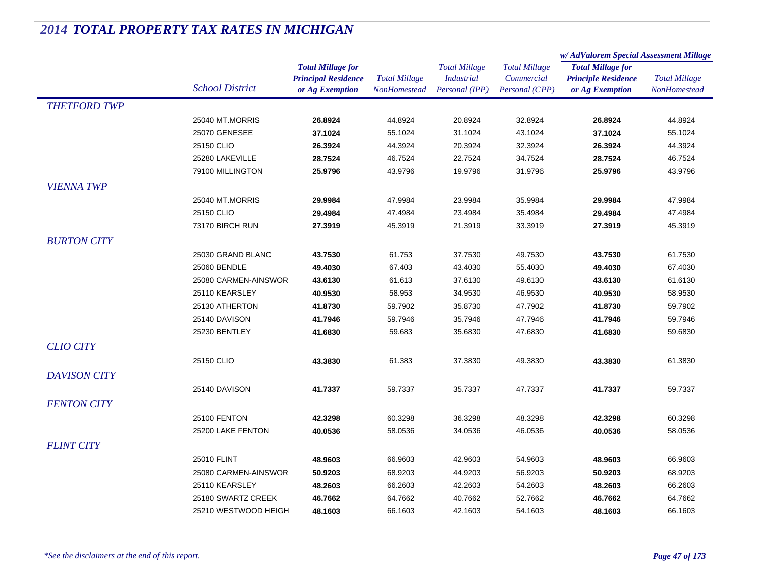|                     |                        |                            |                      | <b>Total Millage</b><br><b>Industrial</b> | <b>Total Millage</b><br>Commercial | w/AdValorem Special Assessment Millage |                                      |
|---------------------|------------------------|----------------------------|----------------------|-------------------------------------------|------------------------------------|----------------------------------------|--------------------------------------|
|                     |                        | <b>Total Millage for</b>   |                      |                                           |                                    | <b>Total Millage for</b>               | <b>Total Millage</b><br>NonHomestead |
|                     |                        | <b>Principal Residence</b> | <b>Total Millage</b> |                                           |                                    | <b>Principle Residence</b>             |                                      |
|                     | <b>School District</b> | or Ag Exemption            | <b>NonHomestead</b>  | Personal (IPP)                            | Personal (CPP)                     | or Ag Exemption                        |                                      |
| <b>THETFORD TWP</b> |                        |                            |                      |                                           |                                    |                                        |                                      |
|                     | 25040 MT.MORRIS        | 26.8924                    | 44.8924              | 20.8924                                   | 32.8924                            | 26.8924                                | 44.8924                              |
|                     | 25070 GENESEE          | 37.1024                    | 55.1024              | 31.1024                                   | 43.1024                            | 37.1024                                | 55.1024                              |
|                     | 25150 CLIO             | 26.3924                    | 44.3924              | 20.3924                                   | 32.3924                            | 26.3924                                | 44.3924                              |
|                     | 25280 LAKEVILLE        | 28.7524                    | 46.7524              | 22.7524                                   | 34.7524                            | 28.7524                                | 46.7524                              |
|                     | 79100 MILLINGTON       | 25.9796                    | 43.9796              | 19.9796                                   | 31.9796                            | 25.9796                                | 43.9796                              |
| <b>VIENNA TWP</b>   |                        |                            |                      |                                           |                                    |                                        |                                      |
|                     | 25040 MT.MORRIS        | 29.9984                    | 47.9984              | 23.9984                                   | 35.9984                            | 29.9984                                | 47.9984                              |
|                     | 25150 CLIO             | 29.4984                    | 47.4984              | 23.4984                                   | 35.4984                            | 29.4984                                | 47.4984                              |
|                     | 73170 BIRCH RUN        | 27.3919                    | 45.3919              | 21.3919                                   | 33.3919                            | 27.3919                                | 45.3919                              |
| <b>BURTON CITY</b>  |                        |                            |                      |                                           |                                    |                                        |                                      |
|                     | 25030 GRAND BLANC      |                            | 61.753               | 37.7530                                   | 49.7530                            |                                        | 61.7530                              |
|                     | 25060 BENDLE           | 43.7530                    | 67.403               | 43.4030                                   | 55.4030                            | 43.7530                                | 67.4030                              |
|                     | 25080 CARMEN-AINSWOR   | 49.4030                    |                      |                                           |                                    | 49.4030                                |                                      |
|                     |                        | 43.6130                    | 61.613               | 37.6130                                   | 49.6130                            | 43.6130                                | 61.6130                              |
|                     | 25110 KEARSLEY         | 40.9530                    | 58.953               | 34.9530                                   | 46.9530                            | 40.9530                                | 58.9530                              |
|                     | 25130 ATHERTON         | 41.8730                    | 59.7902              | 35.8730                                   | 47.7902                            | 41.8730                                | 59.7902                              |
|                     | 25140 DAVISON          | 41.7946                    | 59.7946              | 35.7946                                   | 47.7946                            | 41.7946                                | 59.7946                              |
|                     | 25230 BENTLEY          | 41.6830                    | 59.683               | 35.6830                                   | 47.6830                            | 41.6830                                | 59.6830                              |
| <b>CLIO CITY</b>    |                        |                            |                      |                                           |                                    |                                        |                                      |
|                     | 25150 CLIO             | 43.3830                    | 61.383               | 37.3830                                   | 49.3830                            | 43.3830                                | 61.3830                              |
| <b>DAVISON CITY</b> |                        |                            |                      |                                           |                                    |                                        |                                      |
|                     | 25140 DAVISON          | 41.7337                    | 59.7337              | 35.7337                                   | 47.7337                            | 41.7337                                | 59.7337                              |
| <b>FENTON CITY</b>  |                        |                            |                      |                                           |                                    |                                        |                                      |
|                     | 25100 FENTON           | 42.3298                    | 60.3298              | 36.3298                                   | 48.3298                            | 42.3298                                | 60.3298                              |
|                     | 25200 LAKE FENTON      | 40.0536                    | 58.0536              | 34.0536                                   | 46.0536                            | 40.0536                                | 58.0536                              |
| <b>FLINT CITY</b>   |                        |                            |                      |                                           |                                    |                                        |                                      |
|                     | 25010 FLINT            | 48.9603                    | 66.9603              | 42.9603                                   | 54.9603                            | 48.9603                                | 66.9603                              |
|                     | 25080 CARMEN-AINSWOR   | 50.9203                    | 68.9203              | 44.9203                                   | 56.9203                            | 50.9203                                | 68.9203                              |
|                     | 25110 KEARSLEY         | 48.2603                    | 66.2603              | 42.2603                                   | 54.2603                            | 48.2603                                | 66.2603                              |
|                     | 25180 SWARTZ CREEK     | 46.7662                    | 64.7662              | 40.7662                                   | 52.7662                            | 46.7662                                | 64.7662                              |
|                     |                        |                            |                      |                                           |                                    |                                        |                                      |
|                     | 25210 WESTWOOD HEIGH   | 48.1603                    | 66.1603              | 42.1603                                   | 54.1603                            | 48.1603                                | 66.1603                              |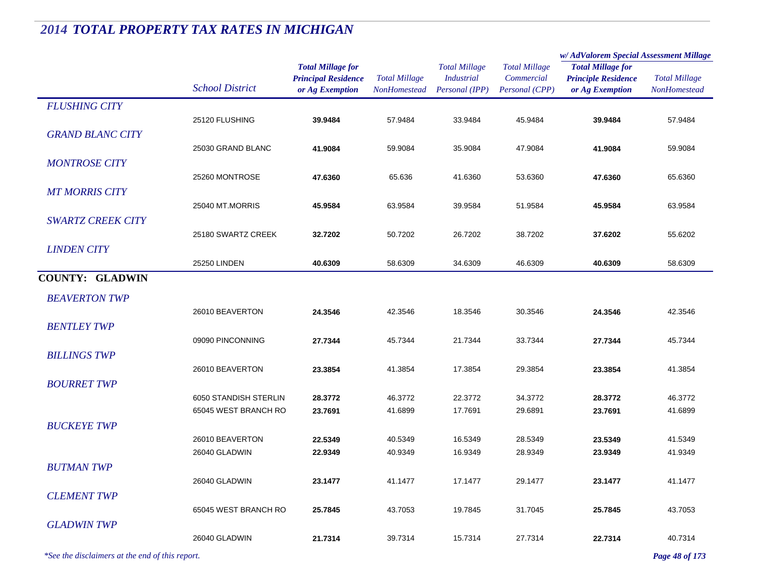|                          |                        |                                                                           |                                             |                                                             |                                                      | w/AdValorem Special Assessment Millage                                    |                                             |
|--------------------------|------------------------|---------------------------------------------------------------------------|---------------------------------------------|-------------------------------------------------------------|------------------------------------------------------|---------------------------------------------------------------------------|---------------------------------------------|
|                          | <b>School District</b> | <b>Total Millage for</b><br><b>Principal Residence</b><br>or Ag Exemption | <b>Total Millage</b><br><b>NonHomestead</b> | <b>Total Millage</b><br><b>Industrial</b><br>Personal (IPP) | <b>Total Millage</b><br>Commercial<br>Personal (CPP) | <b>Total Millage for</b><br><b>Principle Residence</b><br>or Ag Exemption | <b>Total Millage</b><br><b>NonHomestead</b> |
| <b>FLUSHING CITY</b>     |                        |                                                                           |                                             |                                                             |                                                      |                                                                           |                                             |
|                          | 25120 FLUSHING         | 39.9484                                                                   | 57.9484                                     | 33.9484                                                     | 45.9484                                              | 39.9484                                                                   | 57.9484                                     |
| <b>GRAND BLANC CITY</b>  |                        |                                                                           |                                             |                                                             |                                                      |                                                                           |                                             |
|                          | 25030 GRAND BLANC      | 41.9084                                                                   | 59.9084                                     | 35.9084                                                     | 47.9084                                              | 41.9084                                                                   | 59.9084                                     |
| <b>MONTROSE CITY</b>     |                        |                                                                           |                                             |                                                             |                                                      |                                                                           |                                             |
|                          | 25260 MONTROSE         | 47.6360                                                                   | 65.636                                      | 41.6360                                                     | 53.6360                                              | 47.6360                                                                   | 65.6360                                     |
| <b>MT MORRIS CITY</b>    |                        |                                                                           |                                             |                                                             |                                                      |                                                                           |                                             |
|                          | 25040 MT.MORRIS        | 45.9584                                                                   | 63.9584                                     | 39.9584                                                     | 51.9584                                              | 45.9584                                                                   | 63.9584                                     |
| <b>SWARTZ CREEK CITY</b> | 25180 SWARTZ CREEK     | 32.7202                                                                   | 50.7202                                     | 26.7202                                                     | 38.7202                                              | 37.6202                                                                   | 55.6202                                     |
| <b>LINDEN CITY</b>       |                        |                                                                           |                                             |                                                             |                                                      |                                                                           |                                             |
|                          | 25250 LINDEN           | 40.6309                                                                   | 58.6309                                     | 34.6309                                                     | 46.6309                                              | 40.6309                                                                   | 58.6309                                     |
| <b>COUNTY: GLADWIN</b>   |                        |                                                                           |                                             |                                                             |                                                      |                                                                           |                                             |
|                          |                        |                                                                           |                                             |                                                             |                                                      |                                                                           |                                             |
| <b>BEAVERTON TWP</b>     | 26010 BEAVERTON        | 24.3546                                                                   | 42.3546                                     | 18.3546                                                     | 30.3546                                              | 24.3546                                                                   | 42.3546                                     |
| <b>BENTLEY TWP</b>       |                        |                                                                           |                                             |                                                             |                                                      |                                                                           |                                             |
|                          | 09090 PINCONNING       | 27.7344                                                                   | 45.7344                                     | 21.7344                                                     | 33.7344                                              | 27.7344                                                                   | 45.7344                                     |
| <b>BILLINGS TWP</b>      |                        |                                                                           |                                             |                                                             |                                                      |                                                                           |                                             |
|                          | 26010 BEAVERTON        | 23.3854                                                                   | 41.3854                                     | 17.3854                                                     | 29.3854                                              | 23.3854                                                                   | 41.3854                                     |
| <b>BOURRET TWP</b>       |                        |                                                                           |                                             |                                                             |                                                      |                                                                           |                                             |
|                          | 6050 STANDISH STERLIN  | 28.3772                                                                   | 46.3772                                     | 22.3772                                                     | 34.3772                                              | 28.3772                                                                   | 46.3772                                     |
|                          | 65045 WEST BRANCH RO   | 23.7691                                                                   | 41.6899                                     | 17.7691                                                     | 29.6891                                              | 23.7691                                                                   | 41.6899                                     |
| <b>BUCKEYE TWP</b>       |                        |                                                                           |                                             |                                                             |                                                      |                                                                           |                                             |
|                          | 26010 BEAVERTON        | 22.5349                                                                   | 40.5349                                     | 16.5349                                                     | 28.5349                                              | 23.5349                                                                   | 41.5349                                     |
|                          | 26040 GLADWIN          | 22.9349                                                                   | 40.9349                                     | 16.9349                                                     | 28.9349                                              | 23.9349                                                                   | 41.9349                                     |
| <b>BUTMAN TWP</b>        |                        |                                                                           |                                             |                                                             |                                                      |                                                                           |                                             |
|                          | 26040 GLADWIN          | 23.1477                                                                   | 41.1477                                     | 17.1477                                                     | 29.1477                                              | 23.1477                                                                   | 41.1477                                     |
| <b>CLEMENT TWP</b>       | 65045 WEST BRANCH RO   | 25.7845                                                                   | 43.7053                                     | 19.7845                                                     | 31.7045                                              | 25.7845                                                                   | 43.7053                                     |
| <b>GLADWIN TWP</b>       |                        |                                                                           |                                             |                                                             |                                                      |                                                                           |                                             |
|                          | 26040 GLADWIN          | 21.7314                                                                   | 39.7314                                     | 15.7314                                                     | 27.7314                                              | 22.7314                                                                   | 40.7314                                     |
|                          |                        |                                                                           |                                             |                                                             |                                                      |                                                                           |                                             |

*\*See the disclaimers at the end of this report. Page 48 of 173*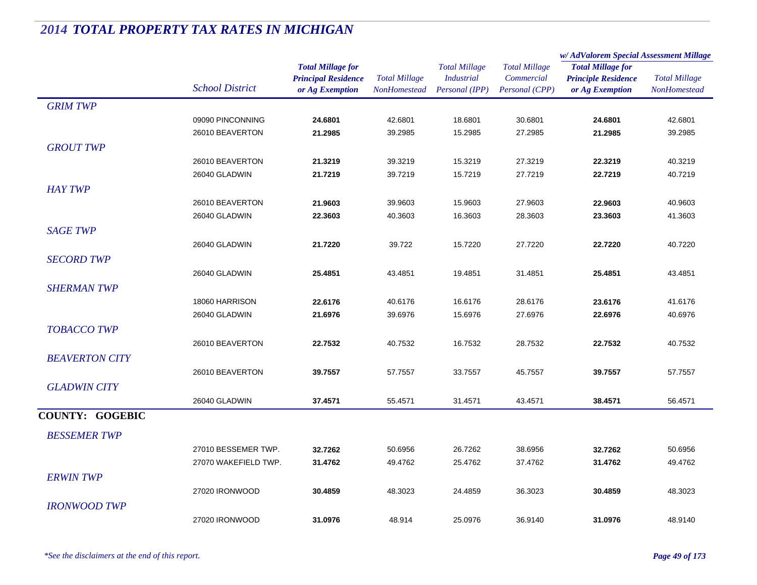|                        |                        |                            |                      |                      |                      | w/ AdValorem Special Assessment Millage |                      |
|------------------------|------------------------|----------------------------|----------------------|----------------------|----------------------|-----------------------------------------|----------------------|
|                        |                        | <b>Total Millage for</b>   |                      | <b>Total Millage</b> | <b>Total Millage</b> | <b>Total Millage for</b>                |                      |
|                        | <b>School District</b> | <b>Principal Residence</b> | <b>Total Millage</b> | <b>Industrial</b>    | Commercial           | <b>Principle Residence</b>              | <b>Total Millage</b> |
|                        |                        | or Ag Exemption            | NonHomestead         | Personal (IPP)       | Personal (CPP)       | or Ag Exemption                         | <b>NonHomestead</b>  |
| <b>GRIM TWP</b>        |                        |                            |                      |                      |                      |                                         |                      |
|                        | 09090 PINCONNING       | 24.6801                    | 42.6801              | 18.6801              | 30.6801              | 24.6801                                 | 42.6801              |
|                        | 26010 BEAVERTON        | 21.2985                    | 39.2985              | 15.2985              | 27.2985              | 21.2985                                 | 39.2985              |
| <b>GROUT TWP</b>       |                        |                            |                      |                      |                      |                                         |                      |
|                        | 26010 BEAVERTON        | 21.3219                    | 39.3219              | 15.3219              | 27.3219              | 22.3219                                 | 40.3219              |
|                        | 26040 GLADWIN          | 21.7219                    | 39.7219              | 15.7219              | 27.7219              | 22.7219                                 | 40.7219              |
| <b>HAY TWP</b>         |                        |                            |                      |                      |                      |                                         |                      |
|                        | 26010 BEAVERTON        | 21.9603                    | 39.9603              | 15.9603              | 27.9603              | 22.9603                                 | 40.9603              |
|                        | 26040 GLADWIN          | 22.3603                    | 40.3603              | 16.3603              | 28.3603              | 23.3603                                 | 41.3603              |
| <b>SAGE TWP</b>        |                        |                            |                      |                      |                      |                                         |                      |
|                        | 26040 GLADWIN          | 21.7220                    | 39.722               | 15.7220              | 27.7220              | 22.7220                                 | 40.7220              |
| <b>SECORD TWP</b>      |                        |                            |                      |                      |                      |                                         |                      |
|                        | 26040 GLADWIN          | 25.4851                    | 43.4851              | 19.4851              | 31.4851              | 25.4851                                 | 43.4851              |
| <b>SHERMAN TWP</b>     |                        |                            |                      |                      |                      |                                         |                      |
|                        | 18060 HARRISON         | 22.6176                    | 40.6176              | 16.6176              | 28.6176              | 23.6176                                 | 41.6176              |
|                        | 26040 GLADWIN          | 21.6976                    | 39.6976              | 15.6976              | 27.6976              | 22.6976                                 | 40.6976              |
| <b>TOBACCO TWP</b>     |                        |                            |                      |                      |                      |                                         |                      |
|                        | 26010 BEAVERTON        | 22.7532                    | 40.7532              | 16.7532              | 28.7532              | 22.7532                                 | 40.7532              |
| <b>BEAVERTON CITY</b>  |                        |                            |                      |                      |                      |                                         |                      |
|                        | 26010 BEAVERTON        | 39.7557                    | 57.7557              | 33.7557              | 45.7557              | 39.7557                                 | 57.7557              |
| <b>GLADWIN CITY</b>    |                        |                            |                      |                      |                      |                                         |                      |
|                        | 26040 GLADWIN          | 37.4571                    | 55.4571              | 31.4571              | 43.4571              | 38.4571                                 | 56.4571              |
| <b>COUNTY: GOGEBIC</b> |                        |                            |                      |                      |                      |                                         |                      |
|                        |                        |                            |                      |                      |                      |                                         |                      |
| <b>BESSEMER TWP</b>    |                        |                            |                      |                      |                      |                                         |                      |
|                        | 27010 BESSEMER TWP.    | 32.7262                    | 50.6956              | 26.7262              | 38.6956              | 32.7262                                 | 50.6956              |
|                        | 27070 WAKEFIELD TWP.   | 31.4762                    | 49.4762              | 25.4762              | 37.4762              | 31.4762                                 | 49.4762              |
| <b>ERWIN TWP</b>       |                        |                            |                      |                      |                      |                                         |                      |
|                        | 27020 IRONWOOD         | 30.4859                    | 48.3023              | 24.4859              | 36.3023              | 30.4859                                 | 48.3023              |
| <b>IRONWOOD TWP</b>    |                        |                            |                      |                      |                      |                                         |                      |
|                        | 27020 IRONWOOD         | 31.0976                    | 48.914               | 25.0976              | 36.9140              | 31.0976                                 | 48.9140              |
|                        |                        |                            |                      |                      |                      |                                         |                      |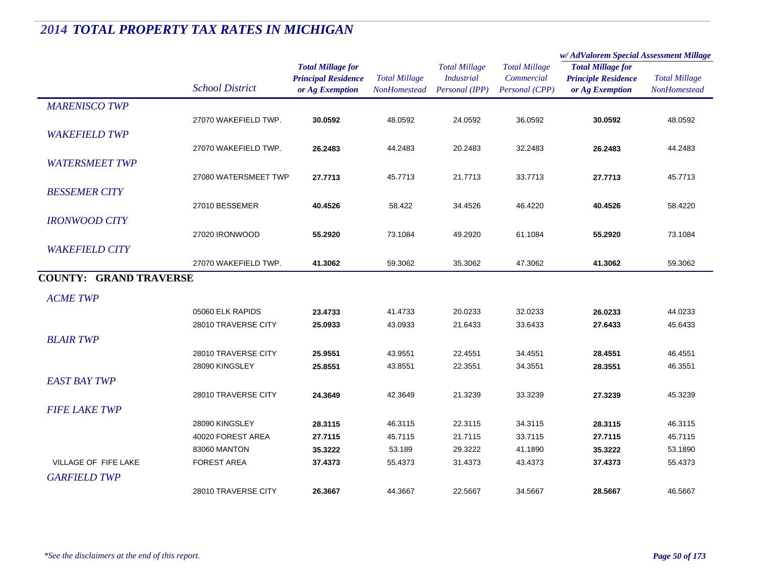|                               |                        |                                                                           |                                      |                                                             |                                                      | w/AdValorem Special Assessment Millage                                    |                                             |
|-------------------------------|------------------------|---------------------------------------------------------------------------|--------------------------------------|-------------------------------------------------------------|------------------------------------------------------|---------------------------------------------------------------------------|---------------------------------------------|
|                               | <b>School District</b> | <b>Total Millage for</b><br><b>Principal Residence</b><br>or Ag Exemption | <b>Total Millage</b><br>NonHomestead | <b>Total Millage</b><br><b>Industrial</b><br>Personal (IPP) | <b>Total Millage</b><br>Commercial<br>Personal (CPP) | <b>Total Millage for</b><br><b>Principle Residence</b><br>or Ag Exemption | <b>Total Millage</b><br><b>NonHomestead</b> |
| <b>MARENISCO TWP</b>          |                        |                                                                           |                                      |                                                             |                                                      |                                                                           |                                             |
|                               | 27070 WAKEFIELD TWP.   | 30.0592                                                                   | 48.0592                              | 24.0592                                                     | 36.0592                                              | 30.0592                                                                   | 48.0592                                     |
| <b>WAKEFIELD TWP</b>          |                        |                                                                           |                                      |                                                             |                                                      |                                                                           |                                             |
|                               | 27070 WAKEFIELD TWP.   | 26.2483                                                                   | 44.2483                              | 20.2483                                                     | 32.2483                                              | 26.2483                                                                   | 44.2483                                     |
| <b>WATERSMEET TWP</b>         |                        |                                                                           |                                      |                                                             |                                                      |                                                                           |                                             |
|                               | 27080 WATERSMEET TWP   | 27.7713                                                                   | 45.7713                              | 21.7713                                                     | 33.7713                                              | 27.7713                                                                   | 45.7713                                     |
| <b>BESSEMER CITY</b>          |                        |                                                                           |                                      |                                                             |                                                      |                                                                           |                                             |
|                               | 27010 BESSEMER         | 40.4526                                                                   | 58.422                               | 34.4526                                                     | 46.4220                                              | 40.4526                                                                   | 58.4220                                     |
| <b>IRONWOOD CITY</b>          |                        |                                                                           |                                      |                                                             |                                                      |                                                                           |                                             |
|                               | 27020 IRONWOOD         | 55.2920                                                                   | 73.1084                              | 49.2920                                                     | 61.1084                                              | 55.2920                                                                   | 73.1084                                     |
| <b>WAKEFIELD CITY</b>         |                        |                                                                           |                                      |                                                             |                                                      |                                                                           |                                             |
|                               | 27070 WAKEFIELD TWP.   | 41.3062                                                                   | 59.3062                              | 35.3062                                                     | 47.3062                                              | 41.3062                                                                   | 59.3062                                     |
| <b>COUNTY: GRAND TRAVERSE</b> |                        |                                                                           |                                      |                                                             |                                                      |                                                                           |                                             |
|                               |                        |                                                                           |                                      |                                                             |                                                      |                                                                           |                                             |
| <b>ACME TWP</b>               |                        |                                                                           |                                      |                                                             |                                                      |                                                                           |                                             |
|                               | 05060 ELK RAPIDS       | 23.4733                                                                   | 41.4733                              | 20.0233                                                     | 32.0233                                              | 26.0233                                                                   | 44.0233                                     |
|                               | 28010 TRAVERSE CITY    | 25.0933                                                                   | 43.0933                              | 21.6433                                                     | 33.6433                                              | 27.6433                                                                   | 45.6433                                     |
| <b>BLAIR TWP</b>              |                        |                                                                           |                                      |                                                             |                                                      |                                                                           |                                             |
|                               | 28010 TRAVERSE CITY    | 25.9551                                                                   | 43.9551                              | 22.4551                                                     | 34.4551                                              | 28.4551                                                                   | 46.4551                                     |
|                               | 28090 KINGSLEY         | 25.8551                                                                   | 43.8551                              | 22.3551                                                     | 34.3551                                              | 28.3551                                                                   | 46.3551                                     |
| <b>EAST BAY TWP</b>           |                        |                                                                           |                                      |                                                             |                                                      |                                                                           |                                             |
|                               | 28010 TRAVERSE CITY    | 24.3649                                                                   | 42.3649                              | 21.3239                                                     | 33.3239                                              | 27.3239                                                                   | 45.3239                                     |
| <b>FIFE LAKE TWP</b>          |                        |                                                                           |                                      |                                                             |                                                      |                                                                           |                                             |
|                               | 28090 KINGSLEY         | 28.3115                                                                   | 46.3115                              | 22.3115                                                     | 34.3115                                              | 28.3115                                                                   | 46.3115                                     |
|                               | 40020 FOREST AREA      | 27.7115                                                                   | 45.7115                              | 21.7115                                                     | 33.7115                                              | 27.7115                                                                   | 45.7115                                     |
|                               | 83060 MANTON           | 35.3222                                                                   | 53.189                               | 29.3222                                                     | 41.1890                                              | 35.3222                                                                   | 53.1890                                     |
| VILLAGE OF FIFE LAKE          | <b>FOREST AREA</b>     | 37.4373                                                                   | 55.4373                              | 31.4373                                                     | 43.4373                                              | 37.4373                                                                   | 55.4373                                     |
| <b>GARFIELD TWP</b>           |                        |                                                                           |                                      |                                                             |                                                      |                                                                           |                                             |
|                               | 28010 TRAVERSE CITY    | 26.3667                                                                   | 44.3667                              | 22.5667                                                     | 34.5667                                              | 28.5667                                                                   | 46.5667                                     |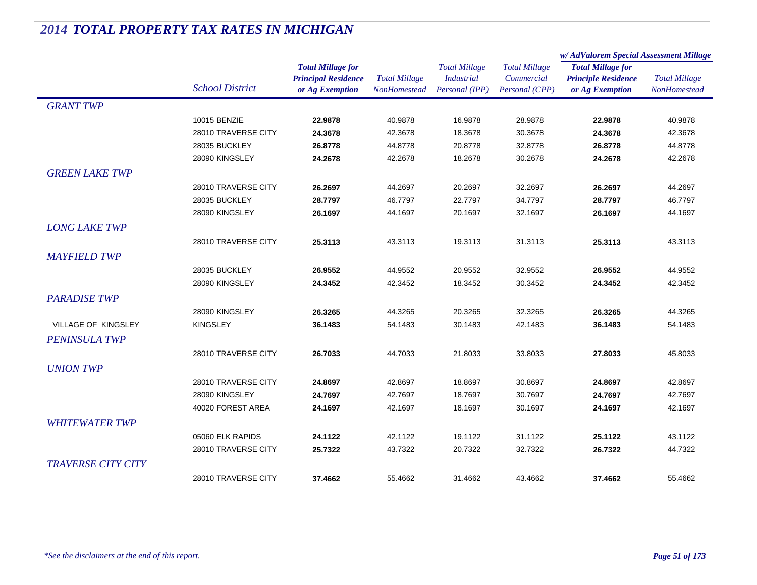|                           |                        |                                                                           |                                             |                                                             |                                                      | w/ AdValorem Special Assessment Millage                                   |                                             |
|---------------------------|------------------------|---------------------------------------------------------------------------|---------------------------------------------|-------------------------------------------------------------|------------------------------------------------------|---------------------------------------------------------------------------|---------------------------------------------|
|                           | <b>School District</b> | <b>Total Millage for</b><br><b>Principal Residence</b><br>or Ag Exemption | <b>Total Millage</b><br><b>NonHomestead</b> | <b>Total Millage</b><br><b>Industrial</b><br>Personal (IPP) | <b>Total Millage</b><br>Commercial<br>Personal (CPP) | <b>Total Millage for</b><br><b>Principle Residence</b><br>or Ag Exemption | <b>Total Millage</b><br><b>NonHomestead</b> |
| <b>GRANT TWP</b>          |                        |                                                                           |                                             |                                                             |                                                      |                                                                           |                                             |
|                           | 10015 BENZIE           | 22.9878                                                                   | 40.9878                                     | 16.9878                                                     | 28.9878                                              | 22.9878                                                                   | 40.9878                                     |
|                           | 28010 TRAVERSE CITY    | 24.3678                                                                   | 42.3678                                     | 18.3678                                                     | 30.3678                                              | 24.3678                                                                   | 42.3678                                     |
|                           | 28035 BUCKLEY          | 26.8778                                                                   | 44.8778                                     | 20.8778                                                     | 32.8778                                              | 26.8778                                                                   | 44.8778                                     |
|                           | 28090 KINGSLEY         | 24.2678                                                                   | 42.2678                                     | 18.2678                                                     | 30.2678                                              | 24.2678                                                                   | 42.2678                                     |
| <b>GREEN LAKE TWP</b>     |                        |                                                                           |                                             |                                                             |                                                      |                                                                           |                                             |
|                           | 28010 TRAVERSE CITY    | 26.2697                                                                   | 44.2697                                     | 20.2697                                                     | 32.2697                                              | 26.2697                                                                   | 44.2697                                     |
|                           | 28035 BUCKLEY          | 28.7797                                                                   | 46.7797                                     | 22.7797                                                     | 34.7797                                              | 28.7797                                                                   | 46.7797                                     |
|                           | 28090 KINGSLEY         | 26.1697                                                                   | 44.1697                                     | 20.1697                                                     | 32.1697                                              | 26.1697                                                                   | 44.1697                                     |
| <b>LONG LAKE TWP</b>      |                        |                                                                           |                                             |                                                             |                                                      |                                                                           |                                             |
|                           | 28010 TRAVERSE CITY    | 25.3113                                                                   | 43.3113                                     | 19.3113                                                     | 31.3113                                              | 25.3113                                                                   | 43.3113                                     |
| <b>MAYFIELD TWP</b>       |                        |                                                                           |                                             |                                                             |                                                      |                                                                           |                                             |
|                           | 28035 BUCKLEY          | 26.9552                                                                   | 44.9552                                     | 20.9552                                                     | 32.9552                                              | 26.9552                                                                   | 44.9552                                     |
|                           | 28090 KINGSLEY         | 24.3452                                                                   | 42.3452                                     | 18.3452                                                     | 30.3452                                              | 24.3452                                                                   | 42.3452                                     |
| <b>PARADISE TWP</b>       |                        |                                                                           |                                             |                                                             |                                                      |                                                                           |                                             |
|                           | 28090 KINGSLEY         | 26.3265                                                                   | 44.3265                                     | 20.3265                                                     | 32.3265                                              | 26.3265                                                                   | 44.3265                                     |
| VILLAGE OF KINGSLEY       | <b>KINGSLEY</b>        | 36.1483                                                                   | 54.1483                                     | 30.1483                                                     | 42.1483                                              | 36.1483                                                                   | 54.1483                                     |
| <b>PENINSULA TWP</b>      |                        |                                                                           |                                             |                                                             |                                                      |                                                                           |                                             |
|                           | 28010 TRAVERSE CITY    | 26.7033                                                                   | 44.7033                                     | 21.8033                                                     | 33.8033                                              | 27.8033                                                                   | 45.8033                                     |
|                           |                        |                                                                           |                                             |                                                             |                                                      |                                                                           |                                             |
| <b>UNION TWP</b>          |                        |                                                                           |                                             |                                                             |                                                      |                                                                           |                                             |
|                           | 28010 TRAVERSE CITY    | 24.8697                                                                   | 42.8697                                     | 18.8697                                                     | 30.8697                                              | 24.8697                                                                   | 42.8697                                     |
|                           | 28090 KINGSLEY         | 24.7697                                                                   | 42.7697                                     | 18.7697                                                     | 30.7697                                              | 24.7697                                                                   | 42.7697                                     |
|                           | 40020 FOREST AREA      | 24.1697                                                                   | 42.1697                                     | 18.1697                                                     | 30.1697                                              | 24.1697                                                                   | 42.1697                                     |
| <b>WHITEWATER TWP</b>     |                        |                                                                           |                                             |                                                             |                                                      |                                                                           |                                             |
|                           | 05060 ELK RAPIDS       | 24.1122                                                                   | 42.1122                                     | 19.1122                                                     | 31.1122                                              | 25.1122                                                                   | 43.1122                                     |
|                           | 28010 TRAVERSE CITY    | 25.7322                                                                   | 43.7322                                     | 20.7322                                                     | 32.7322                                              | 26.7322                                                                   | 44.7322                                     |
| <b>TRAVERSE CITY CITY</b> |                        |                                                                           |                                             |                                                             |                                                      |                                                                           |                                             |
|                           | 28010 TRAVERSE CITY    | 37.4662                                                                   | 55.4662                                     | 31.4662                                                     | 43.4662                                              | 37.4662                                                                   | 55.4662                                     |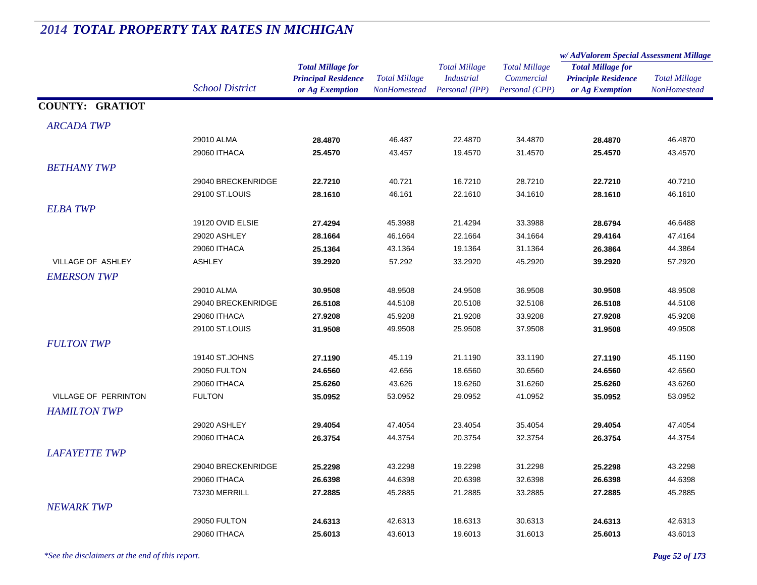#### *Total Millage for Principal Residence School District or Ag Exemption Total Millage NonHomesteadTotal Millage for Principle Residence or Ag Exemption Total Millage NonHomesteadw/ AdValorem Special Assessment Millage Total Millage CommercialPersonal (CPP) Total Millage IndustrialPersonal (IPP)* **COUNTY: GRATIOT***ARCADA TWP* $P$ 29010 ALMA **28.4870** 46.487 22.4870 34.4870 **28.4870** 46.4870 29060 ITHACA **25.4570** 43.457 19.4570 31.4570 **25.4570** 43.4570 *BETHANY TWP* $P$ 29040 BRECKENRIDGE **22.7210** 40.721 16.7210 28.7210 **22.7210** 40.7210 29100 ST.LOUIS **28.1610** 46.161 22.1610 34.1610 **28.1610** 46.1610 *ELBA TWP* $P$ 19120 OVID ELSIE **27.4294** 45.3988 21.4294 33.3988 **28.6794** 46.6488 29020 ASHLEY **28.1664** 46.1664 22.1664 34.1664 **29.4164** 47.4164 29060 ITHACA **25.1364** 43.1364 19.1364 31.1364 **26.3864** 44.3864 VILLAGE OF ASHLEY ASHLEY **39.2920** 57.292 33.2920 45.2920 **39.2920** 57.2920 *EMERSON TWP* $P$ 29010 ALMA **30.9508** 48.9508 24.9508 36.9508 **30.9508** 48.9508 29040 BRECKENRIDGE **26.5108** 44.5108 20.5108 32.5108 **26.5108** 44.5108 29060 ITHACA **27.9208** 45.9208 21.9208 33.9208 **27.9208** 45.9208 29100 ST.LOUIS **31.9508** 49.9508 25.9508 37.9508 **31.9508** 49.9508 *FULTON TWP* $P$ 19140 ST.JOHNS **27.1190** 45.119 21.1190 33.1190 **27.1190** 45.1190 29050 FULTON **24.6560** 42.656 18.6560 30.6560 **24.6560** 42.6560 29060 ITHACA **25.6260** 43.626 19.6260 31.6260 **25.6260** 43.6260 VILLAGE OF PERRINTON FULTON **35.0952** 53.0952 29.0952 41.0952 **35.0952** 53.0952 *HAMILTON TWP* $P$ 29020 ASHLEY **29.4054** 47.4054 23.4054 35.4054 **29.4054** 47.4054 29060 ITHACA **26.3754** 44.3754 20.3754 32.3754 **26.3754** 44.3754 *LAFAYETTE TWP* $P$ 29040 BRECKENRIDGE **25.2298** 43.2298 19.2298 31.2298 **25.2298** 43.2298 29060 ITHACA **26.6398** 44.6398 20.6398 32.6398 **26.6398** 44.6398 73230 MERRILL **27.2885** 45.2885 21.2885 33.2885 **27.2885** 45.2885 *NEWARK TWP* $P$ 29050 FULTON **24.6313** 42.6313 18.6313 30.6313 **24.6313** 42.6313 29060 ITHACA **25.6013**43.6013 19.6013 31.6013 **25.6013** 43.6013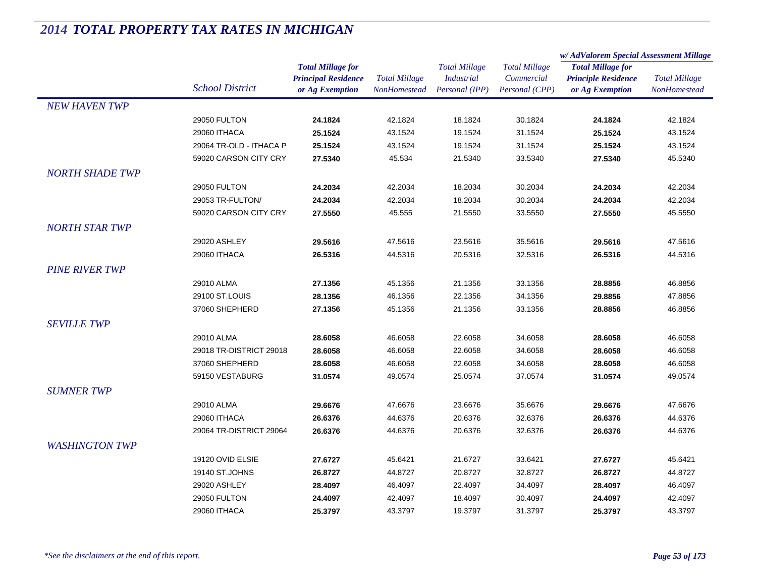|                        |                         |                            | <b>Total Millage</b><br><b>NonHomestead</b> | <b>Total Millage</b><br><b>Industrial</b> | <b>Total Millage</b><br>Commercial | w/AdValorem Special Assessment Millage                                    |                      |
|------------------------|-------------------------|----------------------------|---------------------------------------------|-------------------------------------------|------------------------------------|---------------------------------------------------------------------------|----------------------|
|                        |                         | <b>Total Millage for</b>   |                                             |                                           |                                    | <b>Total Millage for</b><br><b>Principle Residence</b><br>or Ag Exemption | <b>Total Millage</b> |
|                        |                         | <b>Principal Residence</b> |                                             |                                           |                                    |                                                                           |                      |
|                        | <b>School District</b>  | or Ag Exemption            |                                             | Personal (IPP)                            | Personal (CPP)                     |                                                                           | NonHomestead         |
| <b>NEW HAVEN TWP</b>   |                         |                            |                                             |                                           |                                    |                                                                           |                      |
|                        | 29050 FULTON            | 24.1824                    | 42.1824                                     | 18.1824                                   | 30.1824                            | 24.1824                                                                   | 42.1824              |
|                        | 29060 ITHACA            | 25.1524                    | 43.1524                                     | 19.1524                                   | 31.1524                            | 25.1524                                                                   | 43.1524              |
|                        | 29064 TR-OLD - ITHACA P | 25.1524                    | 43.1524                                     | 19.1524                                   | 31.1524                            | 25.1524                                                                   | 43.1524              |
|                        | 59020 CARSON CITY CRY   | 27.5340                    | 45.534                                      | 21.5340                                   | 33.5340                            | 27.5340                                                                   | 45.5340              |
| <b>NORTH SHADE TWP</b> |                         |                            |                                             |                                           |                                    |                                                                           |                      |
|                        | 29050 FULTON            | 24.2034                    | 42.2034                                     | 18.2034                                   | 30.2034                            | 24.2034                                                                   | 42.2034              |
|                        | 29053 TR-FULTON/        | 24.2034                    | 42.2034                                     | 18.2034                                   | 30.2034                            | 24.2034                                                                   | 42.2034              |
|                        | 59020 CARSON CITY CRY   | 27.5550                    | 45.555                                      | 21.5550                                   | 33.5550                            | 27.5550                                                                   | 45.5550              |
| <b>NORTH STAR TWP</b>  |                         |                            |                                             |                                           |                                    |                                                                           |                      |
|                        | 29020 ASHLEY            | 29.5616                    | 47.5616                                     | 23.5616                                   | 35.5616                            | 29.5616                                                                   | 47.5616              |
|                        | 29060 ITHACA            | 26.5316                    | 44.5316                                     | 20.5316                                   | 32.5316                            | 26.5316                                                                   | 44.5316              |
| <b>PINE RIVER TWP</b>  |                         |                            |                                             |                                           |                                    |                                                                           |                      |
|                        | 29010 ALMA              | 27.1356                    | 45.1356                                     | 21.1356                                   | 33.1356                            | 28.8856                                                                   | 46.8856              |
|                        | 29100 ST.LOUIS          | 28.1356                    | 46.1356                                     | 22.1356                                   | 34.1356                            | 29.8856                                                                   | 47.8856              |
|                        | 37060 SHEPHERD          | 27.1356                    | 45.1356                                     | 21.1356                                   | 33.1356                            | 28.8856                                                                   | 46.8856              |
| <b>SEVILLE TWP</b>     |                         |                            |                                             |                                           |                                    |                                                                           |                      |
|                        |                         |                            |                                             |                                           |                                    |                                                                           |                      |
|                        | 29010 ALMA              | 28.6058                    | 46.6058                                     | 22.6058                                   | 34.6058                            | 28.6058                                                                   | 46.6058              |
|                        | 29018 TR-DISTRICT 29018 | 28.6058                    | 46.6058                                     | 22.6058                                   | 34.6058                            | 28.6058                                                                   | 46.6058              |
|                        | 37060 SHEPHERD          | 28.6058                    | 46.6058                                     | 22.6058                                   | 34.6058                            | 28.6058                                                                   | 46.6058              |
|                        | 59150 VESTABURG         | 31.0574                    | 49.0574                                     | 25.0574                                   | 37.0574                            | 31.0574                                                                   | 49.0574              |
| <b>SUMNER TWP</b>      |                         |                            |                                             |                                           |                                    |                                                                           |                      |
|                        | 29010 ALMA              | 29.6676                    | 47.6676                                     | 23.6676                                   | 35.6676                            | 29.6676                                                                   | 47.6676              |
|                        | 29060 ITHACA            | 26.6376                    | 44.6376                                     | 20.6376                                   | 32.6376                            | 26.6376                                                                   | 44.6376              |
|                        | 29064 TR-DISTRICT 29064 | 26.6376                    | 44.6376                                     | 20.6376                                   | 32.6376                            | 26.6376                                                                   | 44.6376              |
| <b>WASHINGTON TWP</b>  |                         |                            |                                             |                                           |                                    |                                                                           |                      |
|                        | 19120 OVID ELSIE        | 27.6727                    | 45.6421                                     | 21.6727                                   | 33.6421                            | 27.6727                                                                   | 45.6421              |
|                        | 19140 ST.JOHNS          | 26.8727                    | 44.8727                                     | 20.8727                                   | 32.8727                            | 26.8727                                                                   | 44.8727              |
|                        | 29020 ASHLEY            | 28.4097                    | 46.4097                                     | 22.4097                                   | 34.4097                            | 28.4097                                                                   | 46.4097              |
|                        | 29050 FULTON            | 24.4097                    | 42.4097                                     | 18.4097                                   | 30.4097                            | 24.4097                                                                   | 42.4097              |
|                        | 29060 ITHACA            | 25.3797                    | 43.3797                                     | 19.3797                                   | 31.3797                            | 25.3797                                                                   | 43.3797              |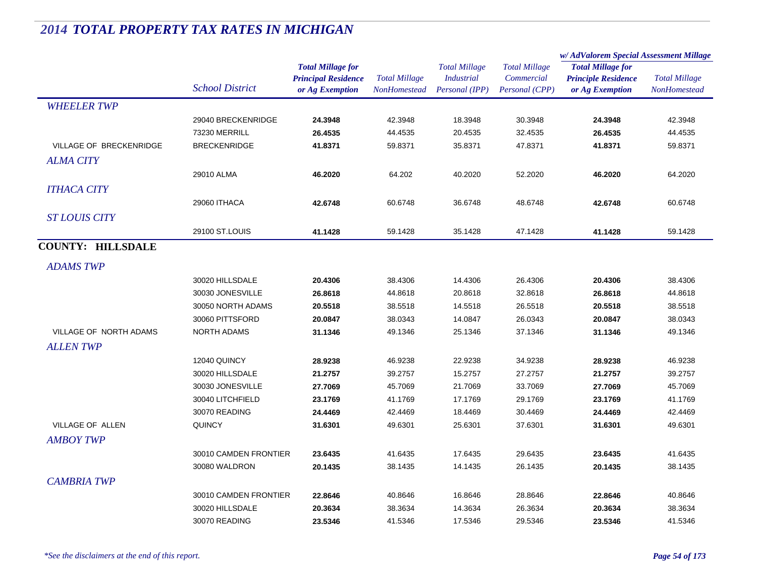|                          |                        |                            | <b>Total Millage</b> | <b>Total Millage</b><br><b>Industrial</b><br>Personal (IPP) | <b>Total Millage</b><br>Commercial | w/ AdValorem Special Assessment Millage |                      |
|--------------------------|------------------------|----------------------------|----------------------|-------------------------------------------------------------|------------------------------------|-----------------------------------------|----------------------|
|                          |                        | <b>Total Millage for</b>   |                      |                                                             |                                    | <b>Total Millage for</b>                |                      |
|                          |                        | <b>Principal Residence</b> |                      |                                                             |                                    | <b>Principle Residence</b>              | <b>Total Millage</b> |
|                          | <b>School District</b> | or Ag Exemption            | NonHomestead         |                                                             | Personal (CPP)                     | or Ag Exemption                         | NonHomestead         |
| <b>WHEELER TWP</b>       |                        |                            |                      |                                                             |                                    |                                         |                      |
|                          | 29040 BRECKENRIDGE     | 24.3948                    | 42.3948              | 18.3948                                                     | 30.3948                            | 24.3948                                 | 42.3948              |
|                          | 73230 MERRILL          | 26.4535                    | 44.4535              | 20.4535                                                     | 32.4535                            | 26.4535                                 | 44.4535              |
| VILLAGE OF BRECKENRIDGE  | <b>BRECKENRIDGE</b>    | 41.8371                    | 59.8371              | 35.8371                                                     | 47.8371                            | 41.8371                                 | 59.8371              |
| ALMA CITY                |                        |                            |                      |                                                             |                                    |                                         |                      |
|                          | 29010 ALMA             | 46.2020                    | 64.202               | 40.2020                                                     | 52.2020                            | 46.2020                                 | 64.2020              |
| <b>ITHACA CITY</b>       |                        |                            |                      |                                                             |                                    |                                         |                      |
|                          | 29060 ITHACA           | 42.6748                    | 60.6748              | 36.6748                                                     | 48.6748                            | 42.6748                                 | 60.6748              |
| <b>ST LOUIS CITY</b>     |                        |                            |                      |                                                             |                                    |                                         |                      |
|                          | 29100 ST.LOUIS         | 41.1428                    | 59.1428              | 35.1428                                                     | 47.1428                            | 41.1428                                 | 59.1428              |
| <b>COUNTY: HILLSDALE</b> |                        |                            |                      |                                                             |                                    |                                         |                      |
| <b>ADAMS TWP</b>         |                        |                            |                      |                                                             |                                    |                                         |                      |
|                          | 30020 HILLSDALE        | 20.4306                    | 38.4306              | 14.4306                                                     | 26.4306                            | 20.4306                                 | 38.4306              |
|                          | 30030 JONESVILLE       |                            | 44.8618              | 20.8618                                                     | 32.8618                            |                                         | 44.8618              |
|                          |                        | 26.8618                    |                      |                                                             |                                    | 26.8618                                 |                      |
|                          | 30050 NORTH ADAMS      | 20.5518                    | 38.5518              | 14.5518                                                     | 26.5518                            | 20.5518                                 | 38.5518              |
|                          | 30060 PITTSFORD        | 20.0847                    | 38.0343              | 14.0847                                                     | 26.0343                            | 20.0847                                 | 38.0343              |
| VILLAGE OF NORTH ADAMS   | <b>NORTH ADAMS</b>     | 31.1346                    | 49.1346              | 25.1346                                                     | 37.1346                            | 31.1346                                 | 49.1346              |
| <b>ALLENTWP</b>          |                        |                            |                      |                                                             |                                    |                                         |                      |
|                          | 12040 QUINCY           | 28.9238                    | 46.9238              | 22.9238                                                     | 34.9238                            | 28.9238                                 | 46.9238              |
|                          | 30020 HILLSDALE        | 21.2757                    | 39.2757              | 15.2757                                                     | 27.2757                            | 21.2757                                 | 39.2757              |
|                          | 30030 JONESVILLE       | 27.7069                    | 45.7069              | 21.7069                                                     | 33.7069                            | 27.7069                                 | 45.7069              |
|                          | 30040 LITCHFIELD       | 23.1769                    | 41.1769              | 17.1769                                                     | 29.1769                            | 23.1769                                 | 41.1769              |
|                          | 30070 READING          | 24.4469                    | 42.4469              | 18.4469                                                     | 30.4469                            | 24.4469                                 | 42.4469              |
| VILLAGE OF ALLEN         | <b>QUINCY</b>          | 31.6301                    | 49.6301              | 25.6301                                                     | 37.6301                            | 31.6301                                 | 49.6301              |
| <b>AMBOY TWP</b>         |                        |                            |                      |                                                             |                                    |                                         |                      |
|                          | 30010 CAMDEN FRONTIER  | 23.6435                    | 41.6435              | 17.6435                                                     | 29.6435                            | 23.6435                                 | 41.6435              |
|                          | 30080 WALDRON          | 20.1435                    | 38.1435              | 14.1435                                                     | 26.1435                            | 20.1435                                 | 38.1435              |
| <b>CAMBRIA TWP</b>       |                        |                            |                      |                                                             |                                    |                                         |                      |
|                          | 30010 CAMDEN FRONTIER  | 22.8646                    | 40.8646              | 16.8646                                                     | 28.8646                            | 22.8646                                 | 40.8646              |
|                          | 30020 HILLSDALE        | 20.3634                    | 38.3634              | 14.3634                                                     | 26.3634                            | 20.3634                                 | 38.3634              |
|                          | 30070 READING          | 23.5346                    | 41.5346              | 17.5346                                                     | 29.5346                            | 23.5346                                 | 41.5346              |
|                          |                        |                            |                      |                                                             |                                    |                                         |                      |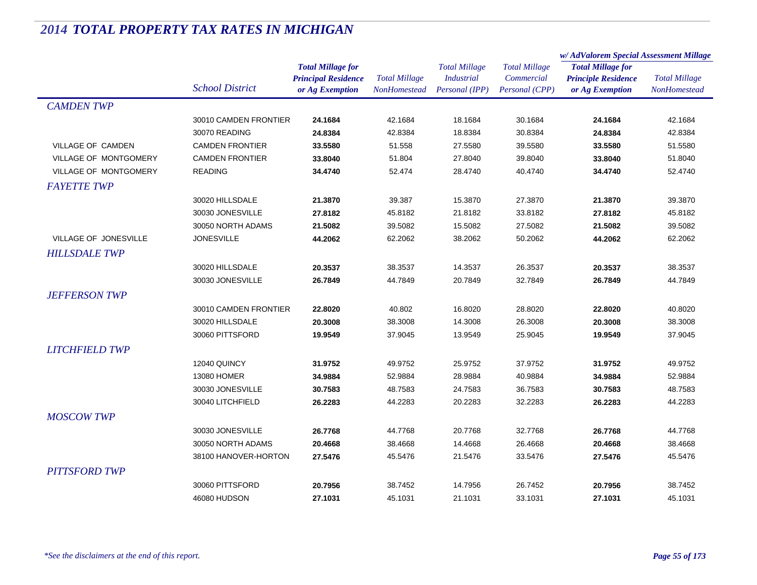|                              |                        |                            | <b>Total Millage</b><br>NonHomestead | <b>Total Millage</b><br><b>Industrial</b> | <b>Total Millage</b> | w/AdValorem Special Assessment Millage |                      |
|------------------------------|------------------------|----------------------------|--------------------------------------|-------------------------------------------|----------------------|----------------------------------------|----------------------|
|                              |                        | <b>Total Millage for</b>   |                                      |                                           |                      | <b>Total Millage for</b>               |                      |
|                              | <b>School District</b> | <b>Principal Residence</b> |                                      |                                           | Commercial           | <b>Principle Residence</b>             | <b>Total Millage</b> |
|                              |                        | or Ag Exemption            |                                      | Personal (IPP)                            | Personal (CPP)       | or Ag Exemption                        | NonHomestead         |
| <b>CAMDEN TWP</b>            |                        |                            |                                      |                                           |                      |                                        |                      |
|                              | 30010 CAMDEN FRONTIER  | 24.1684                    | 42.1684                              | 18.1684                                   | 30.1684              | 24.1684                                | 42.1684              |
|                              | 30070 READING          | 24.8384                    | 42.8384                              | 18.8384                                   | 30.8384              | 24.8384                                | 42.8384              |
| VILLAGE OF CAMDEN            | <b>CAMDEN FRONTIER</b> | 33.5580                    | 51.558                               | 27.5580                                   | 39.5580              | 33.5580                                | 51.5580              |
| <b>VILLAGE OF MONTGOMERY</b> | <b>CAMDEN FRONTIER</b> | 33.8040                    | 51.804                               | 27.8040                                   | 39.8040              | 33.8040                                | 51.8040              |
| <b>VILLAGE OF MONTGOMERY</b> | <b>READING</b>         | 34.4740                    | 52.474                               | 28.4740                                   | 40.4740              | 34.4740                                | 52.4740              |
| <b>FAYETTE TWP</b>           |                        |                            |                                      |                                           |                      |                                        |                      |
|                              | 30020 HILLSDALE        | 21.3870                    | 39.387                               | 15.3870                                   | 27.3870              | 21.3870                                | 39.3870              |
|                              | 30030 JONESVILLE       | 27.8182                    | 45.8182                              | 21.8182                                   | 33.8182              | 27.8182                                | 45.8182              |
|                              | 30050 NORTH ADAMS      | 21.5082                    | 39.5082                              | 15.5082                                   | 27.5082              | 21.5082                                | 39.5082              |
| VILLAGE OF JONESVILLE        | <b>JONESVILLE</b>      | 44.2062                    | 62.2062                              | 38.2062                                   | 50.2062              | 44.2062                                | 62.2062              |
| <b>HILLSDALE TWP</b>         |                        |                            |                                      |                                           |                      |                                        |                      |
|                              | 30020 HILLSDALE        | 20.3537                    | 38.3537                              | 14.3537                                   | 26.3537              | 20.3537                                | 38.3537              |
|                              | 30030 JONESVILLE       | 26.7849                    | 44.7849                              | 20.7849                                   | 32.7849              | 26.7849                                | 44.7849              |
| <b>JEFFERSON TWP</b>         |                        |                            |                                      |                                           |                      |                                        |                      |
|                              | 30010 CAMDEN FRONTIER  |                            | 40.802                               |                                           | 28.8020              |                                        |                      |
|                              | 30020 HILLSDALE        | 22.8020                    | 38,3008                              | 16.8020                                   | 26.3008              | 22.8020                                | 40.8020              |
|                              |                        | 20.3008                    |                                      | 14.3008                                   |                      | 20.3008                                | 38.3008              |
|                              | 30060 PITTSFORD        | 19.9549                    | 37.9045                              | 13.9549                                   | 25.9045              | 19.9549                                | 37.9045              |
| <b>LITCHFIELD TWP</b>        |                        |                            |                                      |                                           |                      |                                        |                      |
|                              | 12040 QUINCY           | 31.9752                    | 49.9752                              | 25.9752                                   | 37.9752              | 31.9752                                | 49.9752              |
|                              | 13080 HOMER            | 34.9884                    | 52.9884                              | 28.9884                                   | 40.9884              | 34.9884                                | 52.9884              |
|                              | 30030 JONESVILLE       | 30.7583                    | 48.7583                              | 24.7583                                   | 36.7583              | 30.7583                                | 48.7583              |
|                              | 30040 LITCHFIELD       | 26.2283                    | 44.2283                              | 20.2283                                   | 32.2283              | 26.2283                                | 44.2283              |
| <b>MOSCOW TWP</b>            |                        |                            |                                      |                                           |                      |                                        |                      |
|                              | 30030 JONESVILLE       | 26.7768                    | 44.7768                              | 20.7768                                   | 32.7768              | 26.7768                                | 44.7768              |
|                              | 30050 NORTH ADAMS      | 20.4668                    | 38.4668                              | 14.4668                                   | 26.4668              | 20.4668                                | 38.4668              |
|                              | 38100 HANOVER-HORTON   | 27.5476                    | 45.5476                              | 21.5476                                   | 33.5476              | 27.5476                                | 45.5476              |
| <b>PITTSFORD TWP</b>         |                        |                            |                                      |                                           |                      |                                        |                      |
|                              | 30060 PITTSFORD        | 20.7956                    | 38.7452                              | 14.7956                                   | 26.7452              | 20.7956                                | 38.7452              |
|                              | 46080 HUDSON           | 27.1031                    | 45.1031                              | 21.1031                                   | 33.1031              | 27.1031                                | 45.1031              |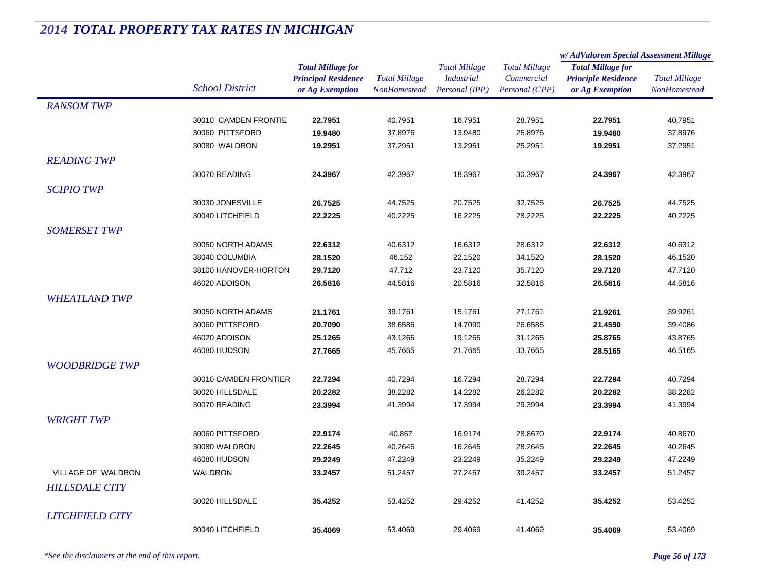|                        |                        |                            | <b>Total Millage</b><br><b>NonHomestead</b> | <b>Total Millage</b><br><b>Industrial</b> | <b>Total Millage</b><br>Commercial | w/AdValorem Special Assessment Millage                                    |                      |
|------------------------|------------------------|----------------------------|---------------------------------------------|-------------------------------------------|------------------------------------|---------------------------------------------------------------------------|----------------------|
|                        |                        | <b>Total Millage for</b>   |                                             |                                           |                                    | <b>Total Millage for</b><br><b>Principle Residence</b><br>or Ag Exemption | <b>Total Millage</b> |
|                        |                        | <b>Principal Residence</b> |                                             |                                           |                                    |                                                                           |                      |
|                        | <b>School District</b> | or Ag Exemption            |                                             | Personal (IPP)                            | Personal (CPP)                     |                                                                           | <b>NonHomestead</b>  |
| <b>RANSOM TWP</b>      |                        |                            |                                             |                                           |                                    |                                                                           |                      |
|                        | 30010 CAMDEN FRONTIE   | 22.7951                    | 40.7951                                     | 16.7951                                   | 28.7951                            | 22.7951                                                                   | 40.7951              |
|                        | 30060 PITTSFORD        | 19.9480                    | 37.8976                                     | 13.9480                                   | 25.8976                            | 19.9480                                                                   | 37.8976              |
|                        | 30080 WALDRON          | 19.2951                    | 37.2951                                     | 13.2951                                   | 25.2951                            | 19.2951                                                                   | 37.2951              |
| <b>READING TWP</b>     |                        |                            |                                             |                                           |                                    |                                                                           |                      |
|                        | 30070 READING          | 24.3967                    | 42.3967                                     | 18.3967                                   | 30.3967                            | 24.3967                                                                   | 42.3967              |
| <i>SCIPIO TWP</i>      |                        |                            |                                             |                                           |                                    |                                                                           |                      |
|                        | 30030 JONESVILLE       | 26.7525                    | 44.7525                                     | 20.7525                                   | 32.7525                            | 26.7525                                                                   | 44.7525              |
|                        | 30040 LITCHFIELD       | 22.2225                    | 40.2225                                     | 16.2225                                   | 28.2225                            | 22.2225                                                                   | 40.2225              |
| <b>SOMERSET TWP</b>    |                        |                            |                                             |                                           |                                    |                                                                           |                      |
|                        | 30050 NORTH ADAMS      |                            | 40.6312                                     | 16.6312                                   | 28.6312                            |                                                                           | 40.6312              |
|                        | 38040 COLUMBIA         | 22.6312<br>28.1520         | 46.152                                      | 22.1520                                   | 34.1520                            | 22.6312<br>28.1520                                                        | 46.1520              |
|                        | 38100 HANOVER-HORTON   | 29.7120                    | 47.712                                      | 23.7120                                   | 35.7120                            |                                                                           | 47.7120              |
|                        | 46020 ADDISON          | 26.5816                    | 44.5816                                     | 20.5816                                   | 32.5816                            | 29.7120<br>26.5816                                                        | 44.5816              |
|                        |                        |                            |                                             |                                           |                                    |                                                                           |                      |
| <b>WHEATLAND TWP</b>   |                        |                            |                                             |                                           |                                    |                                                                           |                      |
|                        | 30050 NORTH ADAMS      | 21.1761                    | 39.1761                                     | 15.1761                                   | 27.1761                            | 21.9261                                                                   | 39.9261              |
|                        | 30060 PITTSFORD        | 20.7090                    | 38.6586                                     | 14.7090                                   | 26.6586                            | 21.4590                                                                   | 39.4086              |
|                        | 46020 ADDISON          | 25.1265                    | 43.1265                                     | 19.1265                                   | 31.1265                            | 25.8765                                                                   | 43.8765              |
|                        | 46080 HUDSON           | 27.7665                    | 45.7665                                     | 21.7665                                   | 33.7665                            | 28.5165                                                                   | 46.5165              |
| <b>WOODBRIDGE TWP</b>  |                        |                            |                                             |                                           |                                    |                                                                           |                      |
|                        | 30010 CAMDEN FRONTIER  | 22.7294                    | 40.7294                                     | 16.7294                                   | 28.7294                            | 22.7294                                                                   | 40.7294              |
|                        | 30020 HILLSDALE        | 20.2282                    | 38.2282                                     | 14.2282                                   | 26.2282                            | 20.2282                                                                   | 38.2282              |
|                        | 30070 READING          | 23.3994                    | 41.3994                                     | 17.3994                                   | 29.3994                            | 23.3994                                                                   | 41.3994              |
| <b>WRIGHT TWP</b>      |                        |                            |                                             |                                           |                                    |                                                                           |                      |
|                        | 30060 PITTSFORD        | 22.9174                    | 40.867                                      | 16.9174                                   | 28.8670                            | 22.9174                                                                   | 40.8670              |
|                        | 30080 WALDRON          | 22.2645                    | 40.2645                                     | 16.2645                                   | 28.2645                            | 22.2645                                                                   | 40.2645              |
|                        | 46080 HUDSON           | 29.2249                    | 47.2249                                     | 23.2249                                   | 35.2249                            | 29.2249                                                                   | 47.2249              |
| VILLAGE OF WALDRON     | <b>WALDRON</b>         | 33.2457                    | 51.2457                                     | 27.2457                                   | 39.2457                            | 33.2457                                                                   | 51.2457              |
| <b>HILLSDALE CITY</b>  |                        |                            |                                             |                                           |                                    |                                                                           |                      |
|                        | 30020 HILLSDALE        | 35.4252                    | 53.4252                                     | 29.4252                                   | 41.4252                            | 35.4252                                                                   | 53.4252              |
| <b>LITCHFIELD CITY</b> |                        |                            |                                             |                                           |                                    |                                                                           |                      |
|                        | 30040 LITCHFIELD       | 35.4069                    | 53.4069                                     | 29.4069                                   | 41.4069                            | 35.4069                                                                   | 53.4069              |
|                        |                        |                            |                                             |                                           |                                    |                                                                           |                      |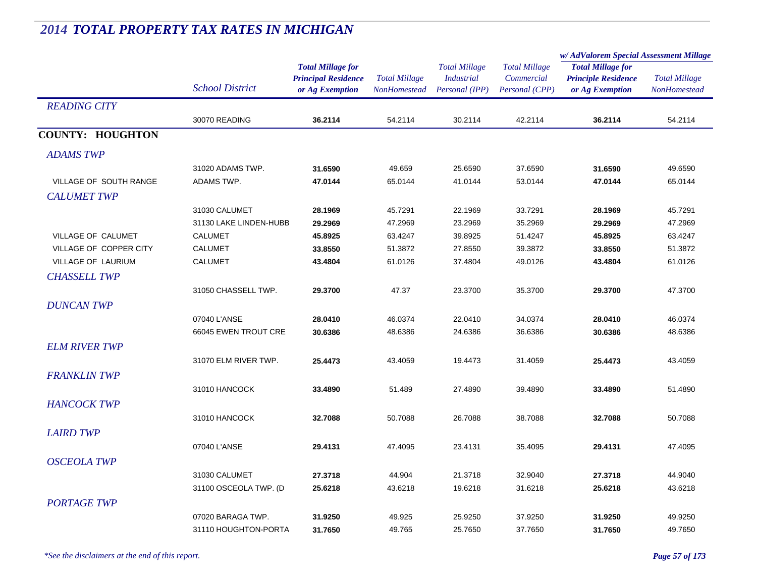|                         |                        | <b>Total Millage for</b><br><b>Principal Residence</b><br>or Ag Exemption | <b>Total Millage</b><br>NonHomestead | <b>Total Millage</b><br><b>Industrial</b><br>Personal (IPP) | <b>Total Millage</b><br>Commercial<br>Personal (CPP) | w/AdValorem Special Assessment Millage                                    |                                      |
|-------------------------|------------------------|---------------------------------------------------------------------------|--------------------------------------|-------------------------------------------------------------|------------------------------------------------------|---------------------------------------------------------------------------|--------------------------------------|
|                         | <b>School District</b> |                                                                           |                                      |                                                             |                                                      | <b>Total Millage for</b><br><b>Principle Residence</b><br>or Ag Exemption | <b>Total Millage</b><br>NonHomestead |
| <b>READING CITY</b>     |                        |                                                                           |                                      |                                                             |                                                      |                                                                           |                                      |
|                         | 30070 READING          | 36.2114                                                                   | 54.2114                              | 30.2114                                                     | 42.2114                                              | 36.2114                                                                   | 54.2114                              |
| <b>COUNTY: HOUGHTON</b> |                        |                                                                           |                                      |                                                             |                                                      |                                                                           |                                      |
| <b>ADAMS TWP</b>        |                        |                                                                           |                                      |                                                             |                                                      |                                                                           |                                      |
|                         | 31020 ADAMS TWP.       | 31.6590                                                                   | 49.659                               | 25.6590                                                     | 37.6590                                              | 31.6590                                                                   | 49.6590                              |
| VILLAGE OF SOUTH RANGE  | ADAMS TWP.             | 47.0144                                                                   | 65.0144                              | 41.0144                                                     | 53.0144                                              | 47.0144                                                                   | 65.0144                              |
| <b>CALUMET TWP</b>      |                        |                                                                           |                                      |                                                             |                                                      |                                                                           |                                      |
|                         | 31030 CALUMET          | 28.1969                                                                   | 45.7291                              | 22.1969                                                     | 33.7291                                              | 28.1969                                                                   | 45.7291                              |
|                         | 31130 LAKE LINDEN-HUBB | 29.2969                                                                   | 47.2969                              | 23.2969                                                     | 35.2969                                              | 29.2969                                                                   | 47.2969                              |
| VILLAGE OF CALUMET      | <b>CALUMET</b>         | 45.8925                                                                   | 63.4247                              | 39.8925                                                     | 51.4247                                              | 45.8925                                                                   | 63.4247                              |
| VILLAGE OF COPPER CITY  | <b>CALUMET</b>         | 33.8550                                                                   | 51.3872                              | 27.8550                                                     | 39.3872                                              | 33.8550                                                                   | 51.3872                              |
| VILLAGE OF LAURIUM      | <b>CALUMET</b>         | 43.4804                                                                   | 61.0126                              | 37.4804                                                     | 49.0126                                              | 43.4804                                                                   | 61.0126                              |
| <b>CHASSELL TWP</b>     |                        |                                                                           |                                      |                                                             |                                                      |                                                                           |                                      |
|                         | 31050 CHASSELL TWP.    | 29.3700                                                                   | 47.37                                | 23.3700                                                     | 35.3700                                              | 29.3700                                                                   | 47.3700                              |
| <b>DUNCAN TWP</b>       |                        |                                                                           |                                      |                                                             |                                                      |                                                                           |                                      |
|                         | 07040 L'ANSE           | 28.0410                                                                   | 46.0374                              | 22.0410                                                     | 34.0374                                              | 28.0410                                                                   | 46.0374                              |
|                         | 66045 EWEN TROUT CRE   | 30.6386                                                                   | 48.6386                              | 24.6386                                                     | 36.6386                                              | 30.6386                                                                   | 48.6386                              |
| <b>ELM RIVER TWP</b>    |                        |                                                                           |                                      |                                                             |                                                      |                                                                           |                                      |
|                         | 31070 ELM RIVER TWP.   | 25.4473                                                                   | 43.4059                              | 19.4473                                                     | 31.4059                                              | 25.4473                                                                   | 43.4059                              |
| <b>FRANKLIN TWP</b>     |                        |                                                                           |                                      |                                                             |                                                      |                                                                           |                                      |
|                         | 31010 HANCOCK          | 33.4890                                                                   | 51.489                               | 27.4890                                                     | 39.4890                                              | 33.4890                                                                   | 51.4890                              |
| <b>HANCOCK TWP</b>      |                        |                                                                           |                                      |                                                             |                                                      |                                                                           |                                      |
|                         | 31010 HANCOCK          | 32.7088                                                                   | 50.7088                              | 26.7088                                                     | 38.7088                                              | 32.7088                                                                   | 50.7088                              |
|                         |                        |                                                                           |                                      |                                                             |                                                      |                                                                           |                                      |
| <b>LAIRD TWP</b>        |                        |                                                                           |                                      |                                                             |                                                      |                                                                           |                                      |
|                         | 07040 L'ANSE           | 29.4131                                                                   | 47.4095                              | 23.4131                                                     | 35.4095                                              | 29.4131                                                                   | 47.4095                              |
| <b>OSCEOLA TWP</b>      |                        |                                                                           |                                      |                                                             |                                                      |                                                                           |                                      |
|                         | 31030 CALUMET          | 27.3718                                                                   | 44.904                               | 21.3718                                                     | 32.9040                                              | 27.3718                                                                   | 44.9040                              |
|                         | 31100 OSCEOLA TWP. (D  | 25.6218                                                                   | 43.6218                              | 19.6218                                                     | 31.6218                                              | 25.6218                                                                   | 43.6218                              |
| <b>PORTAGE TWP</b>      |                        |                                                                           |                                      |                                                             |                                                      |                                                                           |                                      |
|                         | 07020 BARAGA TWP.      | 31.9250                                                                   | 49.925                               | 25.9250                                                     | 37.9250                                              | 31.9250                                                                   | 49.9250                              |
|                         | 31110 HOUGHTON-PORTA   | 31.7650                                                                   | 49.765                               | 25.7650                                                     | 37.7650                                              | 31.7650                                                                   | 49.7650                              |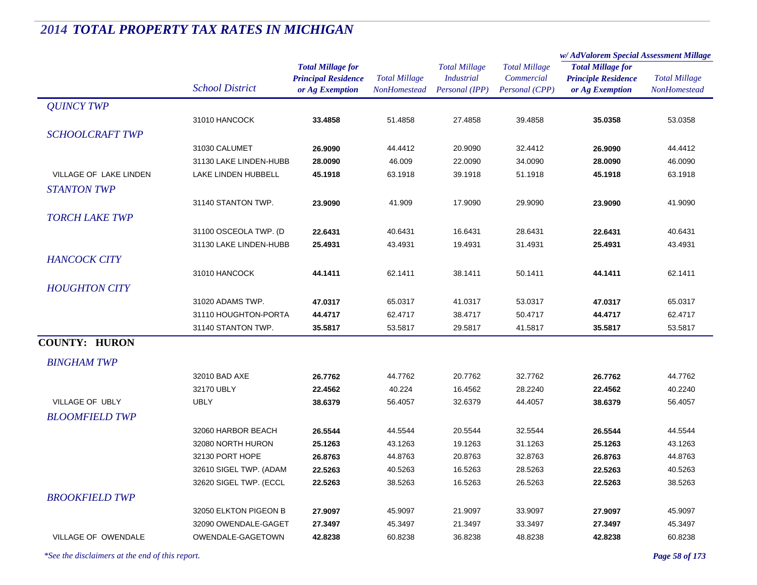|                        |                        |                                                                           |                                             |                                                             |                                                      | w/ AdValorem Special Assessment Millage                                   |                                      |  |
|------------------------|------------------------|---------------------------------------------------------------------------|---------------------------------------------|-------------------------------------------------------------|------------------------------------------------------|---------------------------------------------------------------------------|--------------------------------------|--|
|                        | <b>School District</b> | <b>Total Millage for</b><br><b>Principal Residence</b><br>or Ag Exemption | <b>Total Millage</b><br><b>NonHomestead</b> | <b>Total Millage</b><br><b>Industrial</b><br>Personal (IPP) | <b>Total Millage</b><br>Commercial<br>Personal (CPP) | <b>Total Millage for</b><br><b>Principle Residence</b><br>or Ag Exemption | <b>Total Millage</b><br>NonHomestead |  |
| <b>QUINCY TWP</b>      |                        |                                                                           |                                             |                                                             |                                                      |                                                                           |                                      |  |
|                        | 31010 HANCOCK          | 33.4858                                                                   | 51.4858                                     | 27.4858                                                     | 39.4858                                              | 35.0358                                                                   | 53.0358                              |  |
| <b>SCHOOLCRAFT TWP</b> |                        |                                                                           |                                             |                                                             |                                                      |                                                                           |                                      |  |
|                        | 31030 CALUMET          | 26.9090                                                                   | 44.4412                                     | 20.9090                                                     | 32.4412                                              | 26.9090                                                                   | 44.4412                              |  |
|                        | 31130 LAKE LINDEN-HUBB | 28.0090                                                                   | 46.009                                      | 22.0090                                                     | 34.0090                                              | 28.0090                                                                   | 46.0090                              |  |
| VILLAGE OF LAKE LINDEN | LAKE LINDEN HUBBELL    | 45.1918                                                                   | 63.1918                                     | 39.1918                                                     | 51.1918                                              | 45.1918                                                                   | 63.1918                              |  |
| STANTON TWP            |                        |                                                                           |                                             |                                                             |                                                      |                                                                           |                                      |  |
|                        | 31140 STANTON TWP.     | 23.9090                                                                   | 41.909                                      | 17.9090                                                     | 29.9090                                              | 23.9090                                                                   | 41.9090                              |  |
| <b>TORCH LAKE TWP</b>  |                        |                                                                           |                                             |                                                             |                                                      |                                                                           |                                      |  |
|                        | 31100 OSCEOLA TWP. (D  | 22.6431                                                                   | 40.6431                                     | 16.6431                                                     | 28.6431                                              | 22.6431                                                                   | 40.6431                              |  |
|                        | 31130 LAKE LINDEN-HUBB | 25.4931                                                                   | 43.4931                                     | 19.4931                                                     | 31.4931                                              | 25.4931                                                                   | 43.4931                              |  |
| <b>HANCOCK CITY</b>    |                        |                                                                           |                                             |                                                             |                                                      |                                                                           |                                      |  |
|                        | 31010 HANCOCK          | 44.1411                                                                   | 62.1411                                     | 38.1411                                                     | 50.1411                                              | 44.1411                                                                   | 62.1411                              |  |
| <b>HOUGHTON CITY</b>   |                        |                                                                           |                                             |                                                             |                                                      |                                                                           |                                      |  |
|                        | 31020 ADAMS TWP.       | 47.0317                                                                   | 65.0317                                     | 41.0317                                                     | 53.0317                                              | 47.0317                                                                   | 65.0317                              |  |
|                        | 31110 HOUGHTON-PORTA   | 44.4717                                                                   | 62.4717                                     | 38.4717                                                     | 50.4717                                              | 44.4717                                                                   | 62.4717                              |  |
|                        | 31140 STANTON TWP.     | 35.5817                                                                   | 53.5817                                     | 29.5817                                                     | 41.5817                                              | 35.5817                                                                   | 53.5817                              |  |
| <b>COUNTY: HURON</b>   |                        |                                                                           |                                             |                                                             |                                                      |                                                                           |                                      |  |
|                        |                        |                                                                           |                                             |                                                             |                                                      |                                                                           |                                      |  |
| <b>BINGHAM TWP</b>     |                        |                                                                           |                                             |                                                             |                                                      |                                                                           |                                      |  |
|                        | 32010 BAD AXE          | 26.7762                                                                   | 44.7762                                     | 20.7762                                                     | 32.7762                                              | 26.7762                                                                   | 44.7762                              |  |
|                        | 32170 UBLY             | 22.4562                                                                   | 40.224                                      | 16.4562                                                     | 28.2240                                              | 22.4562                                                                   | 40.2240                              |  |
| <b>VILLAGE OF UBLY</b> | <b>UBLY</b>            | 38.6379                                                                   | 56.4057                                     | 32.6379                                                     | 44.4057                                              | 38.6379                                                                   | 56.4057                              |  |
| <b>BLOOMFIELD TWP</b>  |                        |                                                                           |                                             |                                                             |                                                      |                                                                           |                                      |  |
|                        | 32060 HARBOR BEACH     | 26.5544                                                                   | 44.5544                                     | 20.5544                                                     | 32.5544                                              | 26.5544                                                                   | 44.5544                              |  |
|                        | 32080 NORTH HURON      | 25.1263                                                                   | 43.1263                                     | 19.1263                                                     | 31.1263                                              | 25.1263                                                                   | 43.1263                              |  |
|                        | 32130 PORT HOPE        | 26.8763                                                                   | 44.8763                                     | 20.8763                                                     | 32.8763                                              | 26.8763                                                                   | 44.8763                              |  |
|                        | 32610 SIGEL TWP. (ADAM | 22.5263                                                                   | 40.5263                                     | 16.5263                                                     | 28.5263                                              | 22.5263                                                                   | 40.5263                              |  |
|                        | 32620 SIGEL TWP. (ECCL | 22.5263                                                                   | 38.5263                                     | 16.5263                                                     | 26.5263                                              | 22.5263                                                                   | 38.5263                              |  |
| <b>BROOKFIELD TWP</b>  |                        |                                                                           |                                             |                                                             |                                                      |                                                                           |                                      |  |
|                        | 32050 ELKTON PIGEON B  | 27.9097                                                                   | 45.9097                                     | 21.9097                                                     | 33.9097                                              | 27.9097                                                                   | 45.9097                              |  |
|                        | 32090 OWENDALE-GAGET   | 27.3497                                                                   | 45.3497                                     | 21.3497                                                     | 33.3497                                              | 27.3497                                                                   | 45.3497                              |  |
| VILLAGE OF OWENDALE    | OWENDALE-GAGETOWN      | 42.8238                                                                   | 60.8238                                     | 36.8238                                                     | 48.8238                                              | 42.8238                                                                   | 60.8238                              |  |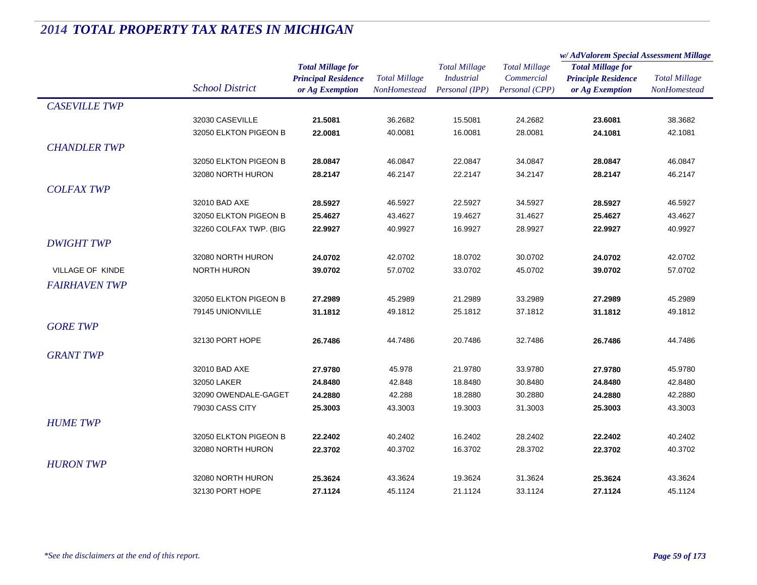|                      |                                            |                            | <b>Total Millage</b><br><b>NonHomestead</b> | <b>Total Millage</b><br><b>Industrial</b> |                      | w/AdValorem Special Assessment Millage |                      |
|----------------------|--------------------------------------------|----------------------------|---------------------------------------------|-------------------------------------------|----------------------|----------------------------------------|----------------------|
|                      |                                            | <b>Total Millage for</b>   |                                             |                                           | <b>Total Millage</b> | <b>Total Millage for</b>               | <b>Total Millage</b> |
|                      | <b>School District</b>                     | <b>Principal Residence</b> |                                             |                                           | Commercial           | <b>Principle Residence</b>             |                      |
|                      |                                            | or Ag Exemption            |                                             | Personal (IPP)                            | Personal (CPP)       | or Ag Exemption                        | NonHomestead         |
| <b>CASEVILLE TWP</b> |                                            |                            |                                             |                                           |                      |                                        |                      |
|                      | 32030 CASEVILLE                            | 21.5081                    | 36.2682                                     | 15.5081                                   | 24.2682              | 23.6081                                | 38.3682              |
|                      | 32050 ELKTON PIGEON B                      | 22.0081                    | 40.0081                                     | 16.0081                                   | 28.0081              | 24.1081                                | 42.1081              |
| <b>CHANDLER TWP</b>  |                                            |                            |                                             |                                           |                      |                                        |                      |
|                      | 32050 ELKTON PIGEON B                      | 28.0847                    | 46.0847                                     | 22.0847                                   | 34.0847              | 28.0847                                | 46.0847              |
|                      | 32080 NORTH HURON                          | 28.2147                    | 46.2147                                     | 22.2147                                   | 34.2147              | 28.2147                                | 46.2147              |
| <b>COLFAX TWP</b>    |                                            |                            |                                             |                                           |                      |                                        |                      |
|                      | 32010 BAD AXE                              | 28.5927                    | 46.5927                                     | 22.5927                                   | 34.5927              | 28.5927                                | 46.5927              |
|                      | 32050 ELKTON PIGEON B                      | 25.4627                    | 43.4627                                     | 19.4627                                   | 31.4627              | 25.4627                                | 43.4627              |
|                      | 32260 COLFAX TWP. (BIG                     | 22.9927                    | 40.9927                                     | 16.9927                                   | 28.9927              | 22.9927                                | 40.9927              |
| <b>DWIGHT TWP</b>    |                                            |                            |                                             |                                           |                      |                                        |                      |
|                      | 32080 NORTH HURON                          | 24.0702                    | 42.0702                                     | 18.0702                                   | 30.0702              | 24.0702                                | 42.0702              |
| VILLAGE OF KINDE     | <b>NORTH HURON</b>                         | 39.0702                    | 57.0702                                     | 33.0702                                   | 45.0702              | 39.0702                                | 57.0702              |
| <b>FAIRHAVEN TWP</b> |                                            |                            |                                             |                                           |                      |                                        |                      |
|                      | 32050 ELKTON PIGEON B                      | 27.2989                    | 45.2989                                     | 21.2989                                   | 33.2989              | 27.2989                                | 45.2989              |
|                      | 79145 UNIONVILLE                           | 31.1812                    | 49.1812                                     | 25.1812                                   | 37.1812              | 31.1812                                | 49.1812              |
| <b>GORE TWP</b>      |                                            |                            |                                             |                                           |                      |                                        |                      |
|                      | 32130 PORT HOPE                            | 26.7486                    | 44.7486                                     | 20.7486                                   | 32.7486              | 26.7486                                | 44.7486              |
| <b>GRANT TWP</b>     |                                            |                            |                                             |                                           |                      |                                        |                      |
|                      | 32010 BAD AXE                              | 27.9780                    |                                             | 21.9780                                   | 33.9780              | 27.9780                                | 45.9780              |
|                      | 32050 LAKER                                | 24.8480                    | 45.978<br>42.848                            | 18.8480                                   | 30.8480              | 24.8480                                | 42.8480              |
|                      | 32090 OWENDALE-GAGET                       | 24.2880                    | 42.288                                      | 18.2880                                   | 30.2880              | 24.2880                                | 42.2880              |
|                      | 79030 CASS CITY                            | 25.3003                    | 43.3003                                     | 19.3003                                   | 31.3003              | 25.3003                                | 43.3003              |
| <b>HUME TWP</b>      |                                            |                            |                                             |                                           |                      |                                        |                      |
|                      |                                            |                            |                                             |                                           |                      |                                        |                      |
|                      | 32050 ELKTON PIGEON B<br>32080 NORTH HURON | 22.2402<br>22.3702         | 40.2402<br>40.3702                          | 16.2402<br>16.3702                        | 28.2402<br>28.3702   | 22.2402<br>22.3702                     | 40.2402<br>40.3702   |
|                      |                                            |                            |                                             |                                           |                      |                                        |                      |
| <b>HURON TWP</b>     |                                            |                            |                                             |                                           |                      |                                        |                      |
|                      | 32080 NORTH HURON                          | 25.3624                    | 43.3624                                     | 19.3624                                   | 31.3624              | 25.3624                                | 43.3624              |
|                      | 32130 PORT HOPE                            | 27.1124                    | 45.1124                                     | 21.1124                                   | 33.1124              | 27.1124                                | 45.1124              |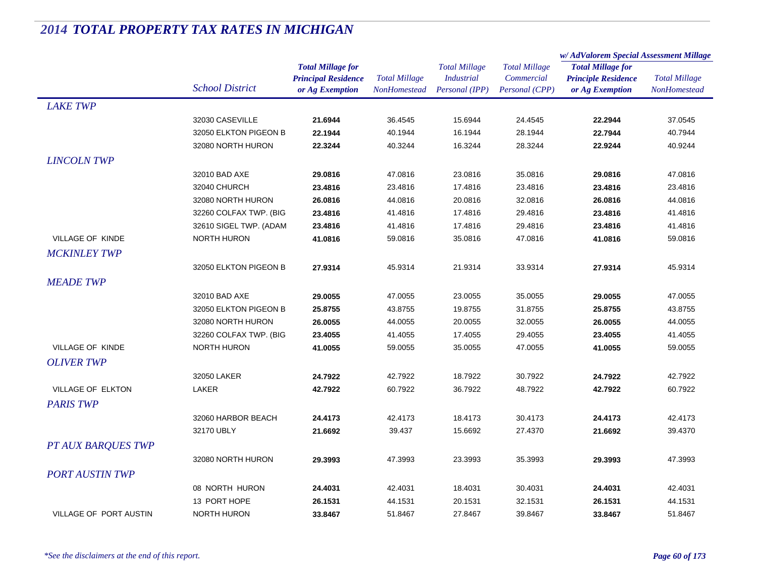|                               |                        |                            | <b>Total Millage</b><br>NonHomestead | <b>Total Millage</b> | <b>Total Millage</b> | w/AdValorem Special Assessment Millage |                      |
|-------------------------------|------------------------|----------------------------|--------------------------------------|----------------------|----------------------|----------------------------------------|----------------------|
|                               |                        | <b>Total Millage for</b>   |                                      |                      |                      | <b>Total Millage for</b>               |                      |
|                               |                        | <b>Principal Residence</b> |                                      | <b>Industrial</b>    | Commercial           | <b>Principle Residence</b>             | <b>Total Millage</b> |
|                               | <b>School District</b> | or Ag Exemption            |                                      | Personal (IPP)       | Personal (CPP)       | or Ag Exemption                        | NonHomestead         |
| <b>LAKE TWP</b>               |                        |                            |                                      |                      |                      |                                        |                      |
|                               | 32030 CASEVILLE        | 21.6944                    | 36.4545                              | 15.6944              | 24.4545              | 22.2944                                | 37.0545              |
|                               | 32050 ELKTON PIGEON B  | 22.1944                    | 40.1944                              | 16.1944              | 28.1944              | 22.7944                                | 40.7944              |
|                               | 32080 NORTH HURON      | 22.3244                    | 40.3244                              | 16.3244              | 28.3244              | 22.9244                                | 40.9244              |
| <b>LINCOLN TWP</b>            |                        |                            |                                      |                      |                      |                                        |                      |
|                               | 32010 BAD AXE          | 29.0816                    | 47.0816                              | 23.0816              | 35.0816              | 29.0816                                | 47.0816              |
|                               | 32040 CHURCH           | 23.4816                    | 23.4816                              | 17.4816              | 23.4816              | 23.4816                                | 23.4816              |
|                               | 32080 NORTH HURON      | 26.0816                    | 44.0816                              | 20.0816              | 32.0816              | 26.0816                                | 44.0816              |
|                               | 32260 COLFAX TWP. (BIG | 23.4816                    | 41.4816                              | 17.4816              | 29.4816              | 23.4816                                | 41.4816              |
|                               | 32610 SIGEL TWP. (ADAM | 23.4816                    | 41.4816                              | 17.4816              | 29.4816              | 23.4816                                | 41.4816              |
| VILLAGE OF KINDE              | <b>NORTH HURON</b>     | 41.0816                    | 59.0816                              | 35.0816              | 47.0816              | 41.0816                                | 59.0816              |
| <b>MCKINLEY TWP</b>           |                        |                            |                                      |                      |                      |                                        |                      |
|                               | 32050 ELKTON PIGEON B  | 27.9314                    | 45.9314                              | 21.9314              | 33.9314              | 27.9314                                | 45.9314              |
| <b>MEADE TWP</b>              |                        |                            |                                      |                      |                      |                                        |                      |
|                               | 32010 BAD AXE          | 29.0055                    | 47.0055                              | 23.0055              | 35.0055              | 29.0055                                | 47.0055              |
|                               | 32050 ELKTON PIGEON B  | 25.8755                    | 43.8755                              | 19.8755              | 31.8755              | 25.8755                                | 43.8755              |
|                               | 32080 NORTH HURON      | 26.0055                    | 44.0055                              | 20.0055              | 32.0055              | 26.0055                                | 44.0055              |
|                               | 32260 COLFAX TWP. (BIG | 23.4055                    | 41.4055                              | 17.4055              | 29.4055              | 23.4055                                | 41.4055              |
| VILLAGE OF KINDE              | <b>NORTH HURON</b>     | 41.0055                    | 59.0055                              | 35.0055              | 47.0055              | 41.0055                                | 59.0055              |
| <b>OLIVER TWP</b>             |                        |                            |                                      |                      |                      |                                        |                      |
|                               | 32050 LAKER            | 24.7922                    | 42.7922                              | 18.7922              | 30.7922              | 24.7922                                | 42.7922              |
| <b>VILLAGE OF ELKTON</b>      | LAKER                  | 42.7922                    | 60.7922                              | 36.7922              | 48.7922              | 42.7922                                | 60.7922              |
| <b>PARIS TWP</b>              |                        |                            |                                      |                      |                      |                                        |                      |
|                               | 32060 HARBOR BEACH     | 24.4173                    | 42.4173                              | 18.4173              | 30.4173              | 24.4173                                | 42.4173              |
|                               | 32170 UBLY             | 21.6692                    | 39.437                               | 15.6692              | 27.4370              | 21.6692                                | 39.4370              |
| <b>PT AUX BARQUES TWP</b>     |                        |                            |                                      |                      |                      |                                        |                      |
|                               | 32080 NORTH HURON      | 29.3993                    | 47.3993                              | 23.3993              | 35.3993              | 29.3993                                | 47.3993              |
| <b>PORT AUSTIN TWP</b>        |                        |                            |                                      |                      |                      |                                        |                      |
|                               |                        |                            |                                      |                      |                      |                                        |                      |
|                               | 08 NORTH HURON         | 24.4031                    | 42.4031                              | 18.4031              | 30.4031              | 24.4031                                | 42.4031              |
| <b>VILLAGE OF PORT AUSTIN</b> | 13 PORT HOPE           | 26.1531                    | 44.1531                              | 20.1531              | 32.1531              | 26.1531                                | 44.1531              |
|                               | <b>NORTH HURON</b>     | 33.8467                    | 51.8467                              | 27.8467              | 39.8467              | 33.8467                                | 51.8467              |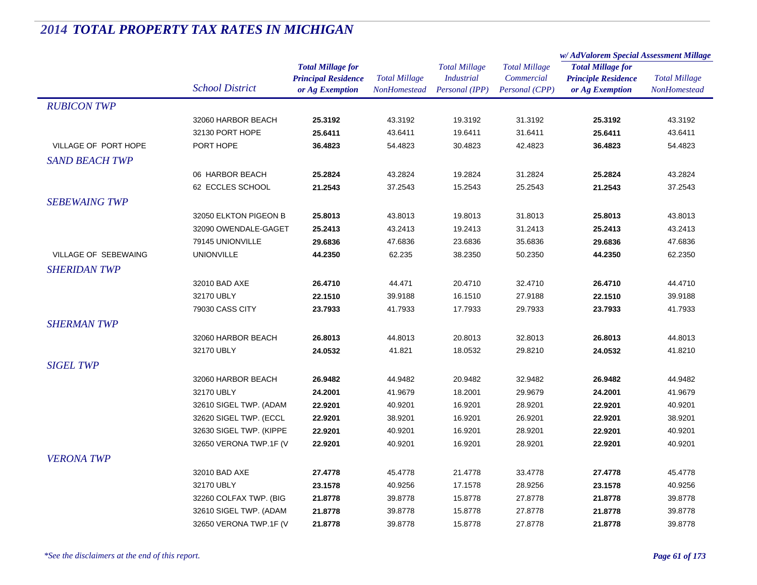|                       |                         |                            |                      |                      |                      | w/AdValorem Special Assessment Millage |                      |  |
|-----------------------|-------------------------|----------------------------|----------------------|----------------------|----------------------|----------------------------------------|----------------------|--|
|                       |                         | <b>Total Millage for</b>   |                      | <b>Total Millage</b> | <b>Total Millage</b> | <b>Total Millage for</b>               | <b>Total Millage</b> |  |
|                       |                         | <b>Principal Residence</b> | <b>Total Millage</b> | <b>Industrial</b>    | Commercial           | <b>Principle Residence</b>             |                      |  |
|                       | <b>School District</b>  | or Ag Exemption            | <b>NonHomestead</b>  | Personal (IPP)       | Personal (CPP)       | or Ag Exemption                        | <b>NonHomestead</b>  |  |
| <b>RUBICON TWP</b>    |                         |                            |                      |                      |                      |                                        |                      |  |
|                       | 32060 HARBOR BEACH      | 25.3192                    | 43.3192              | 19.3192              | 31.3192              | 25.3192                                | 43.3192              |  |
|                       | 32130 PORT HOPE         | 25.6411                    | 43.6411              | 19.6411              | 31.6411              | 25.6411                                | 43.6411              |  |
| VILLAGE OF PORT HOPE  | PORT HOPE               | 36.4823                    | 54.4823              | 30.4823              | 42.4823              | 36.4823                                | 54.4823              |  |
| <b>SAND BEACH TWP</b> |                         |                            |                      |                      |                      |                                        |                      |  |
|                       | 06 HARBOR BEACH         | 25.2824                    | 43.2824              | 19.2824              | 31.2824              | 25.2824                                | 43.2824              |  |
|                       | 62 ECCLES SCHOOL        | 21.2543                    | 37.2543              | 15.2543              | 25.2543              | 21.2543                                | 37.2543              |  |
| <b>SEBEWAING TWP</b>  |                         |                            |                      |                      |                      |                                        |                      |  |
|                       | 32050 ELKTON PIGEON B   | 25.8013                    | 43.8013              | 19.8013              | 31.8013              | 25.8013                                | 43.8013              |  |
|                       | 32090 OWENDALE-GAGET    | 25.2413                    | 43.2413              | 19.2413              | 31.2413              | 25.2413                                | 43.2413              |  |
|                       | 79145 UNIONVILLE        | 29.6836                    | 47.6836              | 23.6836              | 35.6836              | 29.6836                                | 47.6836              |  |
| VILLAGE OF SEBEWAING  | <b>UNIONVILLE</b>       | 44.2350                    | 62.235               | 38.2350              | 50.2350              | 44.2350                                | 62.2350              |  |
| <b>SHERIDAN TWP</b>   |                         |                            |                      |                      |                      |                                        |                      |  |
|                       | 32010 BAD AXE           | 26.4710                    | 44.471               | 20.4710              | 32.4710              | 26.4710                                | 44.4710              |  |
|                       | 32170 UBLY              | 22.1510                    | 39.9188              | 16.1510              | 27.9188              | 22.1510                                | 39.9188              |  |
|                       | 79030 CASS CITY         | 23.7933                    | 41.7933              | 17.7933              | 29.7933              | 23.7933                                | 41.7933              |  |
| <b>SHERMAN TWP</b>    |                         |                            |                      |                      |                      |                                        |                      |  |
|                       | 32060 HARBOR BEACH      | 26.8013                    | 44.8013              | 20.8013              | 32.8013              | 26.8013                                | 44.8013              |  |
|                       | 32170 UBLY              | 24.0532                    | 41.821               | 18.0532              | 29.8210              | 24.0532                                | 41.8210              |  |
| <b>SIGEL TWP</b>      |                         |                            |                      |                      |                      |                                        |                      |  |
|                       | 32060 HARBOR BEACH      | 26.9482                    | 44.9482              | 20.9482              | 32.9482              | 26.9482                                | 44.9482              |  |
|                       | 32170 UBLY              | 24.2001                    | 41.9679              | 18.2001              | 29.9679              | 24.2001                                | 41.9679              |  |
|                       | 32610 SIGEL TWP. (ADAM  | 22.9201                    | 40.9201              | 16.9201              | 28.9201              | 22.9201                                | 40.9201              |  |
|                       | 32620 SIGEL TWP. (ECCL  | 22.9201                    | 38.9201              | 16.9201              | 26.9201              | 22.9201                                | 38.9201              |  |
|                       | 32630 SIGEL TWP. (KIPPE | 22.9201                    | 40.9201              | 16.9201              | 28.9201              | 22.9201                                | 40.9201              |  |
|                       | 32650 VERONA TWP.1F (V  | 22.9201                    | 40.9201              | 16.9201              | 28.9201              | 22.9201                                | 40.9201              |  |
| <b>VERONA TWP</b>     |                         |                            |                      |                      |                      |                                        |                      |  |
|                       | 32010 BAD AXE           | 27.4778                    | 45.4778              | 21.4778              | 33.4778              | 27.4778                                | 45.4778              |  |
|                       | 32170 UBLY              | 23.1578                    | 40.9256              | 17.1578              | 28.9256              | 23.1578                                | 40.9256              |  |
|                       | 32260 COLFAX TWP. (BIG  | 21.8778                    | 39.8778              | 15.8778              | 27.8778              | 21.8778                                | 39.8778              |  |
|                       | 32610 SIGEL TWP. (ADAM  | 21.8778                    | 39.8778              | 15.8778              | 27.8778              | 21.8778                                | 39.8778              |  |
|                       | 32650 VERONA TWP.1F (V  | 21.8778                    | 39.8778              | 15.8778              | 27.8778              | 21.8778                                | 39.8778              |  |
|                       |                         |                            |                      |                      |                      |                                        |                      |  |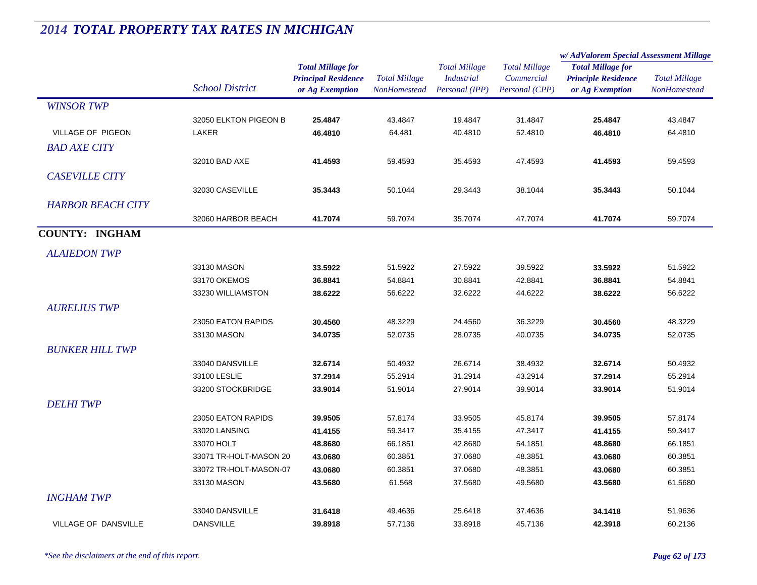|                             |                                      |                            | <b>Total Millage</b> | <b>Total Millage</b><br><b>Industrial</b> | <b>Total Millage</b> | w/AdValorem Special Assessment Millage                 |                      |
|-----------------------------|--------------------------------------|----------------------------|----------------------|-------------------------------------------|----------------------|--------------------------------------------------------|----------------------|
|                             |                                      | <b>Total Millage for</b>   |                      |                                           |                      | <b>Total Millage for</b><br><b>Principle Residence</b> |                      |
|                             |                                      | <b>Principal Residence</b> |                      |                                           | Commercial           |                                                        | <b>Total Millage</b> |
|                             | <b>School District</b>               | or Ag Exemption            | <b>NonHomestead</b>  | Personal (IPP)                            | Personal (CPP)       | or Ag Exemption                                        | NonHomestead         |
| <b>WINSOR TWP</b>           |                                      |                            |                      |                                           |                      |                                                        |                      |
|                             | 32050 ELKTON PIGEON B                | 25.4847                    | 43.4847              | 19.4847                                   | 31.4847              | 25.4847                                                | 43.4847              |
| VILLAGE OF PIGEON           | <b>LAKER</b>                         | 46.4810                    | 64.481               | 40.4810                                   | 52.4810              | 46.4810                                                | 64.4810              |
| <b>BAD AXE CITY</b>         |                                      |                            |                      |                                           |                      |                                                        |                      |
|                             | 32010 BAD AXE                        | 41.4593                    | 59.4593              | 35.4593                                   | 47.4593              | 41.4593                                                | 59.4593              |
| <b>CASEVILLE CITY</b>       |                                      |                            |                      |                                           |                      |                                                        |                      |
|                             | 32030 CASEVILLE                      | 35.3443                    | 50.1044              | 29.3443                                   | 38.1044              | 35.3443                                                | 50.1044              |
| <b>HARBOR BEACH CITY</b>    |                                      |                            |                      |                                           |                      |                                                        |                      |
|                             | 32060 HARBOR BEACH                   | 41.7074                    | 59.7074              | 35.7074                                   | 47.7074              | 41.7074                                                | 59.7074              |
| <b>COUNTY: INGHAM</b>       |                                      |                            |                      |                                           |                      |                                                        |                      |
| <b>ALAIEDON TWP</b>         |                                      |                            |                      |                                           |                      |                                                        |                      |
|                             | 33130 MASON                          | 33.5922                    | 51.5922              | 27.5922                                   | 39.5922              | 33.5922                                                | 51.5922              |
|                             | 33170 OKEMOS                         | 36.8841                    | 54.8841              | 30.8841                                   | 42.8841              | 36.8841                                                | 54.8841              |
|                             | 33230 WILLIAMSTON                    | 38.6222                    | 56.6222              | 32.6222                                   | 44.6222              | 38.6222                                                | 56.6222              |
| <b>AURELIUS TWP</b>         |                                      |                            |                      |                                           |                      |                                                        |                      |
|                             | 23050 EATON RAPIDS                   | 30.4560                    | 48.3229              | 24.4560                                   | 36.3229              | 30.4560                                                | 48.3229              |
|                             | 33130 MASON                          | 34.0735                    | 52.0735              | 28.0735                                   | 40.0735              | 34.0735                                                | 52.0735              |
| <b>BUNKER HILL TWP</b>      |                                      |                            |                      |                                           |                      |                                                        |                      |
|                             |                                      |                            |                      |                                           |                      |                                                        |                      |
|                             | 33040 DANSVILLE<br>33100 LESLIE      | 32.6714<br>37.2914         | 50.4932<br>55.2914   | 26.6714<br>31.2914                        | 38.4932<br>43.2914   | 32.6714<br>37.2914                                     | 50.4932<br>55.2914   |
|                             | 33200 STOCKBRIDGE                    | 33.9014                    | 51.9014              | 27.9014                                   | 39.9014              | 33.9014                                                | 51.9014              |
|                             |                                      |                            |                      |                                           |                      |                                                        |                      |
| <b>DELHI TWP</b>            |                                      |                            |                      |                                           |                      |                                                        |                      |
|                             | 23050 EATON RAPIDS                   | 39.9505                    | 57.8174              | 33.9505                                   | 45.8174              | 39.9505                                                | 57.8174              |
|                             | 33020 LANSING                        | 41.4155                    | 59.3417              | 35.4155                                   | 47.3417              | 41.4155                                                | 59.3417              |
|                             | 33070 HOLT<br>33071 TR-HOLT-MASON 20 | 48.8680<br>43.0680         | 66.1851<br>60.3851   | 42.8680<br>37.0680                        | 54.1851<br>48.3851   | 48.8680<br>43.0680                                     | 66.1851<br>60.3851   |
|                             | 33072 TR-HOLT-MASON-07               | 43.0680                    | 60.3851              | 37.0680                                   | 48.3851              | 43.0680                                                | 60.3851              |
|                             | 33130 MASON                          | 43.5680                    | 61.568               | 37.5680                                   | 49.5680              | 43.5680                                                | 61.5680              |
|                             |                                      |                            |                      |                                           |                      |                                                        |                      |
| <b>INGHAM TWP</b>           |                                      |                            |                      |                                           |                      |                                                        |                      |
|                             | 33040 DANSVILLE                      | 31.6418                    | 49.4636              | 25.6418                                   | 37.4636              | 34.1418                                                | 51.9636              |
| <b>VILLAGE OF DANSVILLE</b> | <b>DANSVILLE</b>                     | 39.8918                    | 57.7136              | 33.8918                                   | 45.7136              | 42.3918                                                | 60.2136              |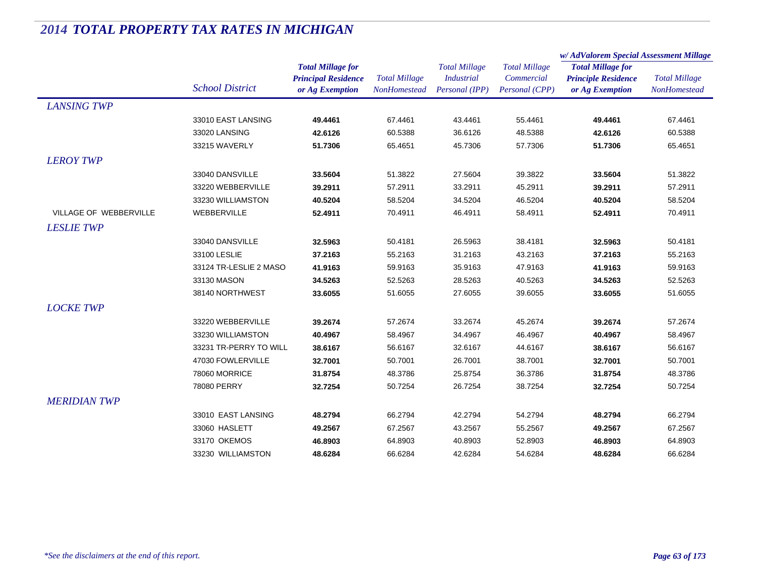|                               |                        |                                                                           |                                             |                                                             |                                                      | w/AdValorem Special Assessment Millage                                    |                                             |  |
|-------------------------------|------------------------|---------------------------------------------------------------------------|---------------------------------------------|-------------------------------------------------------------|------------------------------------------------------|---------------------------------------------------------------------------|---------------------------------------------|--|
|                               | <b>School District</b> | <b>Total Millage for</b><br><b>Principal Residence</b><br>or Ag Exemption | <b>Total Millage</b><br><b>NonHomestead</b> | <b>Total Millage</b><br><b>Industrial</b><br>Personal (IPP) | <b>Total Millage</b><br>Commercial<br>Personal (CPP) | <b>Total Millage for</b><br><b>Principle Residence</b><br>or Ag Exemption | <b>Total Millage</b><br><b>NonHomestead</b> |  |
| <b>LANSING TWP</b>            |                        |                                                                           |                                             |                                                             |                                                      |                                                                           |                                             |  |
|                               | 33010 EAST LANSING     | 49.4461                                                                   | 67.4461                                     | 43.4461                                                     | 55.4461                                              | 49.4461                                                                   | 67.4461                                     |  |
|                               | 33020 LANSING          | 42.6126                                                                   | 60.5388                                     | 36.6126                                                     | 48.5388                                              | 42.6126                                                                   | 60.5388                                     |  |
|                               | 33215 WAVERLY          | 51.7306                                                                   | 65.4651                                     | 45.7306                                                     | 57.7306                                              | 51.7306                                                                   | 65.4651                                     |  |
| <b>LEROY TWP</b>              |                        |                                                                           |                                             |                                                             |                                                      |                                                                           |                                             |  |
|                               | 33040 DANSVILLE        | 33.5604                                                                   | 51.3822                                     | 27.5604                                                     | 39.3822                                              | 33.5604                                                                   | 51.3822                                     |  |
|                               | 33220 WEBBERVILLE      | 39.2911                                                                   | 57.2911                                     | 33.2911                                                     | 45.2911                                              | 39.2911                                                                   | 57.2911                                     |  |
|                               | 33230 WILLIAMSTON      | 40.5204                                                                   | 58.5204                                     | 34.5204                                                     | 46.5204                                              | 40.5204                                                                   | 58.5204                                     |  |
| <b>VILLAGE OF WEBBERVILLE</b> | WEBBERVILLE            | 52.4911                                                                   | 70.4911                                     | 46.4911                                                     | 58.4911                                              | 52.4911                                                                   | 70.4911                                     |  |
| <b>LESLIE TWP</b>             |                        |                                                                           |                                             |                                                             |                                                      |                                                                           |                                             |  |
|                               | 33040 DANSVILLE        | 32.5963                                                                   | 50.4181                                     | 26.5963                                                     | 38.4181                                              | 32.5963                                                                   | 50.4181                                     |  |
|                               | 33100 LESLIE           | 37.2163                                                                   | 55.2163                                     | 31.2163                                                     | 43.2163                                              | 37.2163                                                                   | 55.2163                                     |  |
|                               | 33124 TR-LESLIE 2 MASO | 41.9163                                                                   | 59.9163                                     | 35.9163                                                     | 47.9163                                              | 41.9163                                                                   | 59.9163                                     |  |
|                               | 33130 MASON            | 34.5263                                                                   | 52.5263                                     | 28.5263                                                     | 40.5263                                              | 34.5263                                                                   | 52.5263                                     |  |
|                               | 38140 NORTHWEST        | 33.6055                                                                   | 51.6055                                     | 27.6055                                                     | 39.6055                                              | 33.6055                                                                   | 51.6055                                     |  |
| <b>LOCKE TWP</b>              |                        |                                                                           |                                             |                                                             |                                                      |                                                                           |                                             |  |
|                               | 33220 WEBBERVILLE      | 39.2674                                                                   | 57.2674                                     | 33.2674                                                     | 45.2674                                              | 39.2674                                                                   | 57.2674                                     |  |
|                               | 33230 WILLIAMSTON      | 40.4967                                                                   | 58.4967                                     | 34.4967                                                     | 46.4967                                              | 40.4967                                                                   | 58.4967                                     |  |
|                               | 33231 TR-PERRY TO WILL | 38.6167                                                                   | 56.6167                                     | 32.6167                                                     | 44.6167                                              | 38.6167                                                                   | 56.6167                                     |  |
|                               | 47030 FOWLERVILLE      | 32.7001                                                                   | 50.7001                                     | 26.7001                                                     | 38.7001                                              | 32.7001                                                                   | 50.7001                                     |  |
|                               | 78060 MORRICE          | 31.8754                                                                   | 48.3786                                     | 25.8754                                                     | 36.3786                                              | 31.8754                                                                   | 48.3786                                     |  |
|                               | 78080 PERRY            | 32.7254                                                                   | 50.7254                                     | 26.7254                                                     | 38.7254                                              | 32.7254                                                                   | 50.7254                                     |  |
| <b>MERIDIAN TWP</b>           |                        |                                                                           |                                             |                                                             |                                                      |                                                                           |                                             |  |
|                               | 33010 EAST LANSING     | 48.2794                                                                   | 66.2794                                     | 42.2794                                                     | 54.2794                                              | 48.2794                                                                   | 66.2794                                     |  |
|                               | 33060 HASLETT          | 49.2567                                                                   | 67.2567                                     | 43.2567                                                     | 55.2567                                              | 49.2567                                                                   | 67.2567                                     |  |
|                               | 33170 OKEMOS           | 46.8903                                                                   | 64.8903                                     | 40.8903                                                     | 52.8903                                              | 46.8903                                                                   | 64.8903                                     |  |
|                               | 33230 WILLIAMSTON      | 48.6284                                                                   | 66.6284                                     | 42.6284                                                     | 54.6284                                              | 48.6284                                                                   | 66.6284                                     |  |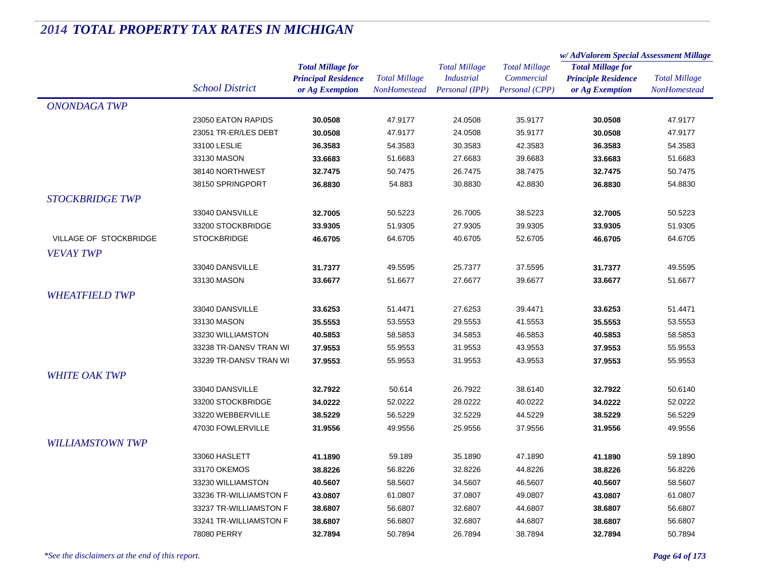|                         |                        | <b>Total Millage for</b><br><b>Principal Residence</b> | <b>Total Millage</b> | <b>Total Millage</b> | <b>Total Millage</b><br>Commercial | w/AdValorem Special Assessment Millage                 |                      |
|-------------------------|------------------------|--------------------------------------------------------|----------------------|----------------------|------------------------------------|--------------------------------------------------------|----------------------|
|                         |                        |                                                        |                      |                      |                                    | <b>Total Millage for</b><br><b>Principle Residence</b> | <b>Total Millage</b> |
|                         |                        |                                                        |                      | <b>Industrial</b>    |                                    |                                                        |                      |
|                         | <b>School District</b> | or Ag Exemption                                        | NonHomestead         | Personal (IPP)       | Personal (CPP)                     | or Ag Exemption                                        | NonHomestead         |
| <b>ONONDAGA TWP</b>     |                        |                                                        |                      |                      |                                    |                                                        |                      |
|                         | 23050 EATON RAPIDS     | 30.0508                                                | 47.9177              | 24.0508              | 35.9177                            | 30.0508                                                | 47.9177              |
|                         | 23051 TR-ER/LES DEBT   | 30.0508                                                | 47.9177              | 24.0508              | 35.9177                            | 30.0508                                                | 47.9177              |
|                         | 33100 LESLIE           | 36.3583                                                | 54.3583              | 30.3583              | 42.3583                            | 36.3583                                                | 54.3583              |
|                         | 33130 MASON            | 33.6683                                                | 51.6683              | 27.6683              | 39.6683                            | 33.6683                                                | 51.6683              |
|                         | 38140 NORTHWEST        | 32.7475                                                | 50.7475              | 26.7475              | 38.7475                            | 32.7475                                                | 50.7475              |
|                         | 38150 SPRINGPORT       | 36.8830                                                | 54.883               | 30.8830              | 42.8830                            | 36.8830                                                | 54.8830              |
| <b>STOCKBRIDGE TWP</b>  |                        |                                                        |                      |                      |                                    |                                                        |                      |
|                         | 33040 DANSVILLE        | 32.7005                                                | 50.5223              | 26.7005              | 38.5223                            | 32.7005                                                | 50.5223              |
|                         | 33200 STOCKBRIDGE      | 33.9305                                                | 51.9305              | 27.9305              | 39.9305                            | 33.9305                                                | 51.9305              |
| VILLAGE OF STOCKBRIDGE  | <b>STOCKBRIDGE</b>     | 46.6705                                                | 64.6705              | 40.6705              | 52.6705                            | 46.6705                                                | 64.6705              |
| <b>VEVAY TWP</b>        |                        |                                                        |                      |                      |                                    |                                                        |                      |
|                         | 33040 DANSVILLE        | 31.7377                                                | 49.5595              | 25.7377              | 37.5595                            | 31.7377                                                | 49.5595              |
|                         | 33130 MASON            | 33.6677                                                | 51.6677              | 27.6677              | 39.6677                            | 33.6677                                                | 51.6677              |
| <b>WHEATFIELD TWP</b>   |                        |                                                        |                      |                      |                                    |                                                        |                      |
|                         | 33040 DANSVILLE        | 33.6253                                                | 51.4471              | 27.6253              | 39.4471                            | 33.6253                                                | 51.4471              |
|                         | 33130 MASON            | 35.5553                                                | 53.5553              | 29.5553              | 41.5553                            | 35.5553                                                | 53.5553              |
|                         | 33230 WILLIAMSTON      | 40.5853                                                | 58.5853              | 34.5853              | 46.5853                            | 40.5853                                                | 58.5853              |
|                         | 33238 TR-DANSV TRAN WI | 37.9553                                                | 55.9553              | 31.9553              | 43.9553                            | 37.9553                                                | 55.9553              |
|                         | 33239 TR-DANSV TRAN WI | 37.9553                                                | 55.9553              | 31.9553              | 43.9553                            | 37.9553                                                | 55.9553              |
|                         |                        |                                                        |                      |                      |                                    |                                                        |                      |
| <b>WHITE OAK TWP</b>    |                        |                                                        |                      |                      |                                    |                                                        |                      |
|                         | 33040 DANSVILLE        | 32.7922                                                | 50.614               | 26.7922              | 38.6140                            | 32.7922                                                | 50.6140              |
|                         | 33200 STOCKBRIDGE      | 34.0222                                                | 52.0222              | 28.0222              | 40.0222                            | 34.0222                                                | 52.0222              |
|                         | 33220 WEBBERVILLE      | 38.5229                                                | 56.5229              | 32.5229              | 44.5229                            | 38.5229                                                | 56.5229              |
|                         | 47030 FOWLERVILLE      | 31.9556                                                | 49.9556              | 25.9556              | 37.9556                            | 31.9556                                                | 49.9556              |
| <b>WILLIAMSTOWN TWP</b> |                        |                                                        |                      |                      |                                    |                                                        |                      |
|                         | 33060 HASLETT          | 41.1890                                                | 59.189               | 35.1890              | 47.1890                            | 41.1890                                                | 59.1890              |
|                         | 33170 OKEMOS           | 38.8226                                                | 56.8226              | 32.8226              | 44.8226                            | 38.8226                                                | 56.8226              |
|                         | 33230 WILLIAMSTON      | 40.5607                                                | 58.5607              | 34.5607              | 46.5607                            | 40.5607                                                | 58.5607              |
|                         | 33236 TR-WILLIAMSTON F | 43.0807                                                | 61.0807              | 37.0807              | 49.0807                            | 43.0807                                                | 61.0807              |
|                         | 33237 TR-WILLIAMSTON F | 38.6807                                                | 56.6807              | 32.6807              | 44.6807                            | 38.6807                                                | 56.6807              |
|                         | 33241 TR-WILLIAMSTON F | 38.6807                                                | 56.6807              | 32.6807              | 44.6807                            | 38.6807                                                | 56.6807              |
|                         | 78080 PERRY            | 32.7894                                                | 50.7894              | 26.7894              | 38.7894                            | 32.7894                                                | 50.7894              |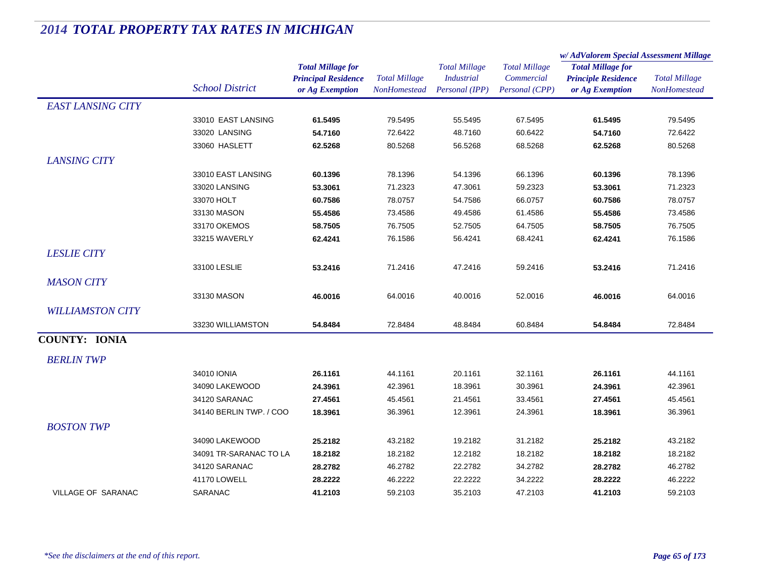|                          |                         | <b>Total Millage for</b>   |                      | <b>Total Millage</b> | <b>Total Millage</b> | w/ AdValorem Special Assessment Millage                |                      |
|--------------------------|-------------------------|----------------------------|----------------------|----------------------|----------------------|--------------------------------------------------------|----------------------|
|                          |                         |                            |                      |                      |                      | <b>Total Millage for</b><br><b>Principle Residence</b> |                      |
|                          |                         | <b>Principal Residence</b> | <b>Total Millage</b> | <b>Industrial</b>    | Commercial           |                                                        | <b>Total Millage</b> |
|                          | <b>School District</b>  | or Ag Exemption            | <b>NonHomestead</b>  | Personal (IPP)       | Personal (CPP)       | or Ag Exemption                                        | NonHomestead         |
| <b>EAST LANSING CITY</b> |                         |                            |                      |                      |                      |                                                        |                      |
|                          | 33010 EAST LANSING      | 61.5495                    | 79.5495              | 55.5495              | 67.5495              | 61.5495                                                | 79.5495              |
|                          | 33020 LANSING           | 54.7160                    | 72.6422              | 48.7160              | 60.6422              | 54.7160                                                | 72.6422              |
|                          | 33060 HASLETT           | 62.5268                    | 80.5268              | 56.5268              | 68.5268              | 62.5268                                                | 80.5268              |
| <b>LANSING CITY</b>      |                         |                            |                      |                      |                      |                                                        |                      |
|                          | 33010 EAST LANSING      | 60.1396                    | 78.1396              | 54.1396              | 66.1396              | 60.1396                                                | 78.1396              |
|                          | 33020 LANSING           | 53.3061                    | 71.2323              | 47.3061              | 59.2323              | 53.3061                                                | 71.2323              |
|                          | 33070 HOLT              | 60.7586                    | 78.0757              | 54.7586              | 66.0757              | 60.7586                                                | 78.0757              |
|                          | 33130 MASON             | 55.4586                    | 73.4586              | 49.4586              | 61.4586              | 55.4586                                                | 73.4586              |
|                          | 33170 OKEMOS            | 58.7505                    | 76.7505              | 52.7505              | 64.7505              | 58.7505                                                | 76.7505              |
|                          | 33215 WAVERLY           | 62.4241                    | 76.1586              | 56.4241              | 68.4241              | 62.4241                                                | 76.1586              |
| <b>LESLIE CITY</b>       |                         |                            |                      |                      |                      |                                                        |                      |
|                          | 33100 LESLIE            | 53.2416                    | 71.2416              | 47.2416              | 59.2416              | 53.2416                                                | 71.2416              |
| <b>MASON CITY</b>        |                         |                            |                      |                      |                      |                                                        |                      |
|                          | 33130 MASON             | 46.0016                    | 64.0016              | 40.0016              | 52.0016              | 46.0016                                                | 64.0016              |
| <b>WILLIAMSTON CITY</b>  |                         |                            |                      |                      |                      |                                                        |                      |
|                          |                         |                            |                      |                      |                      |                                                        |                      |
|                          | 33230 WILLIAMSTON       | 54.8484                    | 72.8484              | 48.8484              | 60.8484              | 54.8484                                                | 72.8484              |
| <b>COUNTY: IONIA</b>     |                         |                            |                      |                      |                      |                                                        |                      |
| <b>BERLIN TWP</b>        |                         |                            |                      |                      |                      |                                                        |                      |
|                          | 34010 IONIA             | 26.1161                    | 44.1161              | 20.1161              | 32.1161              | 26.1161                                                | 44.1161              |
|                          | 34090 LAKEWOOD          | 24.3961                    | 42.3961              | 18.3961              | 30.3961              | 24.3961                                                | 42.3961              |
|                          | 34120 SARANAC           | 27.4561                    | 45.4561              | 21.4561              | 33.4561              | 27.4561                                                | 45.4561              |
|                          | 34140 BERLIN TWP. / COO | 18.3961                    | 36.3961              | 12.3961              | 24.3961              | 18.3961                                                | 36.3961              |
| <b>BOSTON TWP</b>        |                         |                            |                      |                      |                      |                                                        |                      |
|                          | 34090 LAKEWOOD          | 25.2182                    | 43.2182              | 19.2182              | 31.2182              | 25.2182                                                | 43.2182              |
|                          | 34091 TR-SARANAC TO LA  | 18.2182                    | 18.2182              | 12.2182              | 18.2182              | 18.2182                                                | 18.2182              |
|                          | 34120 SARANAC           | 28.2782                    | 46.2782              | 22.2782              | 34.2782              | 28.2782                                                | 46.2782              |
|                          | 41170 LOWELL            | 28.2222                    | 46.2222              | 22.2222              | 34.2222              | 28.2222                                                | 46.2222              |
| VILLAGE OF SARANAC       | <b>SARANAC</b>          | 41.2103                    | 59.2103              | 35.2103              | 47.2103              | 41.2103                                                | 59.2103              |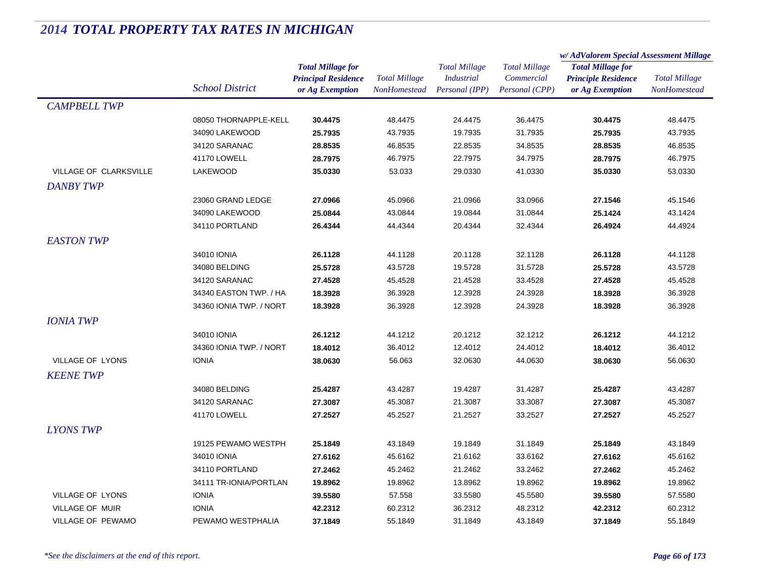|                               |                         |                            | <b>Total Millage</b> | <b>Total Millage</b><br><b>Total Millage</b> |                          | w/AdValorem Special Assessment Millage |                      |
|-------------------------------|-------------------------|----------------------------|----------------------|----------------------------------------------|--------------------------|----------------------------------------|----------------------|
|                               |                         | <b>Total Millage for</b>   |                      |                                              | <b>Total Millage for</b> |                                        |                      |
|                               |                         | <b>Principal Residence</b> |                      | <b>Industrial</b>                            | Commercial               | <b>Principle Residence</b>             | <b>Total Millage</b> |
|                               | <b>School District</b>  | or Ag Exemption            | NonHomestead         | Personal (IPP)                               | Personal (CPP)           | or Ag Exemption                        | NonHomestead         |
| <b>CAMPBELL TWP</b>           |                         |                            |                      |                                              |                          |                                        |                      |
|                               | 08050 THORNAPPLE-KELL   | 30.4475                    | 48.4475              | 24.4475                                      | 36.4475                  | 30.4475                                | 48.4475              |
|                               | 34090 LAKEWOOD          | 25.7935                    | 43.7935              | 19.7935                                      | 31.7935                  | 25.7935                                | 43.7935              |
|                               | 34120 SARANAC           | 28.8535                    | 46.8535              | 22.8535                                      | 34.8535                  | 28.8535                                | 46.8535              |
|                               | 41170 LOWELL            | 28.7975                    | 46.7975              | 22.7975                                      | 34.7975                  | 28.7975                                | 46.7975              |
| <b>VILLAGE OF CLARKSVILLE</b> | <b>LAKEWOOD</b>         | 35.0330                    | 53.033               | 29.0330                                      | 41.0330                  | 35.0330                                | 53.0330              |
| <b>DANBY TWP</b>              |                         |                            |                      |                                              |                          |                                        |                      |
|                               | 23060 GRAND LEDGE       | 27.0966                    | 45.0966              | 21.0966                                      | 33.0966                  | 27.1546                                | 45.1546              |
|                               | 34090 LAKEWOOD          | 25.0844                    | 43.0844              | 19.0844                                      | 31.0844                  | 25.1424                                | 43.1424              |
|                               | 34110 PORTLAND          | 26.4344                    | 44.4344              | 20.4344                                      | 32.4344                  | 26.4924                                | 44.4924              |
| <b>EASTON TWP</b>             |                         |                            |                      |                                              |                          |                                        |                      |
|                               | 34010 IONIA             | 26.1128                    | 44.1128              | 20.1128                                      | 32.1128                  | 26.1128                                | 44.1128              |
|                               | 34080 BELDING           | 25.5728                    | 43.5728              | 19.5728                                      | 31.5728                  | 25.5728                                | 43.5728              |
|                               | 34120 SARANAC           | 27.4528                    | 45.4528              | 21.4528                                      | 33.4528                  | 27.4528                                | 45.4528              |
|                               | 34340 EASTON TWP. / HA  | 18.3928                    | 36.3928              | 12.3928                                      | 24.3928                  | 18.3928                                | 36.3928              |
|                               | 34360 IONIA TWP. / NORT | 18.3928                    | 36.3928              | 12.3928                                      | 24.3928                  | 18.3928                                | 36.3928              |
| <b>IONIA TWP</b>              |                         |                            |                      |                                              |                          |                                        |                      |
|                               | 34010 IONIA             | 26.1212                    | 44.1212              | 20.1212                                      | 32.1212                  | 26.1212                                | 44.1212              |
|                               | 34360 IONIA TWP. / NORT | 18.4012                    | 36.4012              | 12.4012                                      | 24.4012                  | 18.4012                                | 36.4012              |
| <b>VILLAGE OF LYONS</b>       | <b>IONIA</b>            | 38.0630                    | 56.063               | 32.0630                                      | 44.0630                  | 38.0630                                | 56.0630              |
| <b>KEENE TWP</b>              |                         |                            |                      |                                              |                          |                                        |                      |
|                               | 34080 BELDING           | 25.4287                    | 43.4287              | 19.4287                                      | 31.4287                  | 25.4287                                | 43.4287              |
|                               | 34120 SARANAC           | 27.3087                    | 45.3087              | 21.3087                                      | 33.3087                  | 27.3087                                | 45.3087              |
|                               | 41170 LOWELL            | 27.2527                    | 45.2527              | 21.2527                                      | 33.2527                  | 27.2527                                | 45.2527              |
|                               |                         |                            |                      |                                              |                          |                                        |                      |
| <b>LYONS TWP</b>              |                         |                            |                      |                                              |                          |                                        |                      |
|                               | 19125 PEWAMO WESTPH     | 25.1849                    | 43.1849              | 19.1849                                      | 31.1849                  | 25.1849                                | 43.1849              |
|                               | 34010 IONIA             | 27.6162                    | 45.6162              | 21.6162                                      | 33.6162                  | 27.6162                                | 45.6162              |
|                               | 34110 PORTLAND          | 27.2462                    | 45.2462              | 21.2462                                      | 33.2462                  | 27.2462                                | 45.2462              |
|                               | 34111 TR-IONIA/PORTLAN  | 19.8962                    | 19.8962              | 13.8962                                      | 19.8962                  | 19.8962                                | 19.8962              |
| VILLAGE OF LYONS              | <b>IONIA</b>            | 39.5580                    | 57.558               | 33.5580                                      | 45.5580                  | 39.5580                                | 57.5580              |
| VILLAGE OF MUIR               | <b>IONIA</b>            | 42.2312                    | 60.2312              | 36.2312                                      | 48.2312                  | 42.2312                                | 60.2312              |
| VILLAGE OF PEWAMO             | PEWAMO WESTPHALIA       | 37.1849                    | 55.1849              | 31.1849                                      | 43.1849                  | 37.1849                                | 55.1849              |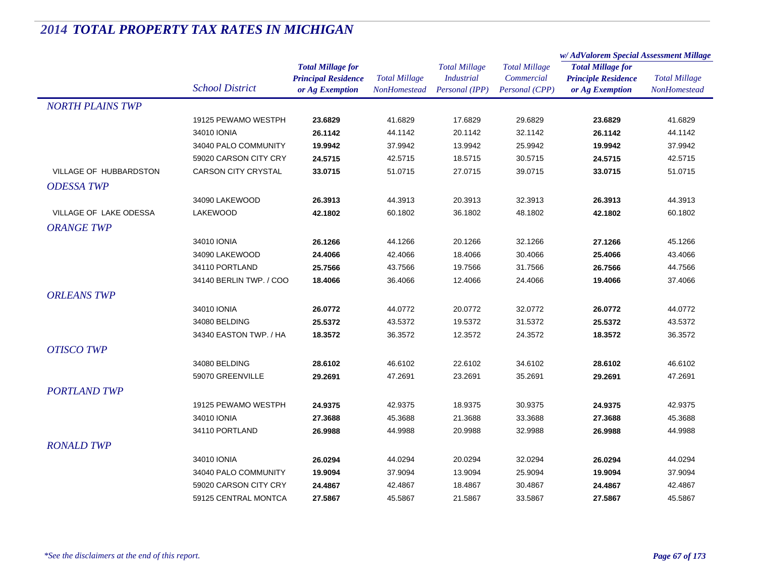| <b>Total Millage for</b><br><b>Total Millage</b><br><b>Total Millage</b><br><b>Total Millage for</b><br><b>Principal Residence</b><br><b>Total Millage</b><br><b>Industrial</b><br>Commercial<br><b>Principle Residence</b><br><b>Total Millage</b><br><b>School District</b><br>or Ag Exemption<br>Personal (IPP)<br>Personal (CPP)<br>NonHomestead<br><b>NonHomestead</b><br>or Ag Exemption<br><b>NORTH PLAINS TWP</b><br>41.6829<br>17.6829<br>29.6829<br>41.6829<br>19125 PEWAMO WESTPH<br>23.6829<br>23.6829<br>34010 IONIA<br>26.1142<br>44.1142<br>20.1142<br>32.1142<br>26.1142<br>44.1142<br>34040 PALO COMMUNITY<br>37.9942<br>13.9942<br>25.9942<br>37.9942<br>19.9942<br>19.9942<br>59020 CARSON CITY CRY<br>42.5715<br>18.5715<br>30.5715<br>42.5715<br>24.5715<br>24.5715<br>VILLAGE OF HUBBARDSTON<br><b>CARSON CITY CRYSTAL</b><br>51.0715<br>33.0715<br>27.0715<br>39.0715<br>33.0715<br>51.0715<br><b>ODESSA TWP</b><br>34090 LAKEWOOD<br>44.3913<br>20.3913<br>32.3913<br>44.3913<br>26.3913<br>26.3913<br>VILLAGE OF LAKE ODESSA<br><b>LAKEWOOD</b><br>42.1802<br>60.1802<br>36.1802<br>48.1802<br>60.1802<br>42.1802<br><b>ORANGE TWP</b><br>34010 IONIA<br>32.1266<br>26.1266<br>44.1266<br>20.1266<br>27.1266<br>45.1266<br>34090 LAKEWOOD<br>24.4066<br>42.4066<br>18.4066<br>30.4066<br>25.4066<br>43.4066 |
|--------------------------------------------------------------------------------------------------------------------------------------------------------------------------------------------------------------------------------------------------------------------------------------------------------------------------------------------------------------------------------------------------------------------------------------------------------------------------------------------------------------------------------------------------------------------------------------------------------------------------------------------------------------------------------------------------------------------------------------------------------------------------------------------------------------------------------------------------------------------------------------------------------------------------------------------------------------------------------------------------------------------------------------------------------------------------------------------------------------------------------------------------------------------------------------------------------------------------------------------------------------------------------------------------------------------------------------|
|                                                                                                                                                                                                                                                                                                                                                                                                                                                                                                                                                                                                                                                                                                                                                                                                                                                                                                                                                                                                                                                                                                                                                                                                                                                                                                                                      |
|                                                                                                                                                                                                                                                                                                                                                                                                                                                                                                                                                                                                                                                                                                                                                                                                                                                                                                                                                                                                                                                                                                                                                                                                                                                                                                                                      |
|                                                                                                                                                                                                                                                                                                                                                                                                                                                                                                                                                                                                                                                                                                                                                                                                                                                                                                                                                                                                                                                                                                                                                                                                                                                                                                                                      |
|                                                                                                                                                                                                                                                                                                                                                                                                                                                                                                                                                                                                                                                                                                                                                                                                                                                                                                                                                                                                                                                                                                                                                                                                                                                                                                                                      |
|                                                                                                                                                                                                                                                                                                                                                                                                                                                                                                                                                                                                                                                                                                                                                                                                                                                                                                                                                                                                                                                                                                                                                                                                                                                                                                                                      |
|                                                                                                                                                                                                                                                                                                                                                                                                                                                                                                                                                                                                                                                                                                                                                                                                                                                                                                                                                                                                                                                                                                                                                                                                                                                                                                                                      |
|                                                                                                                                                                                                                                                                                                                                                                                                                                                                                                                                                                                                                                                                                                                                                                                                                                                                                                                                                                                                                                                                                                                                                                                                                                                                                                                                      |
|                                                                                                                                                                                                                                                                                                                                                                                                                                                                                                                                                                                                                                                                                                                                                                                                                                                                                                                                                                                                                                                                                                                                                                                                                                                                                                                                      |
|                                                                                                                                                                                                                                                                                                                                                                                                                                                                                                                                                                                                                                                                                                                                                                                                                                                                                                                                                                                                                                                                                                                                                                                                                                                                                                                                      |
|                                                                                                                                                                                                                                                                                                                                                                                                                                                                                                                                                                                                                                                                                                                                                                                                                                                                                                                                                                                                                                                                                                                                                                                                                                                                                                                                      |
|                                                                                                                                                                                                                                                                                                                                                                                                                                                                                                                                                                                                                                                                                                                                                                                                                                                                                                                                                                                                                                                                                                                                                                                                                                                                                                                                      |
|                                                                                                                                                                                                                                                                                                                                                                                                                                                                                                                                                                                                                                                                                                                                                                                                                                                                                                                                                                                                                                                                                                                                                                                                                                                                                                                                      |
|                                                                                                                                                                                                                                                                                                                                                                                                                                                                                                                                                                                                                                                                                                                                                                                                                                                                                                                                                                                                                                                                                                                                                                                                                                                                                                                                      |
|                                                                                                                                                                                                                                                                                                                                                                                                                                                                                                                                                                                                                                                                                                                                                                                                                                                                                                                                                                                                                                                                                                                                                                                                                                                                                                                                      |
|                                                                                                                                                                                                                                                                                                                                                                                                                                                                                                                                                                                                                                                                                                                                                                                                                                                                                                                                                                                                                                                                                                                                                                                                                                                                                                                                      |
| 34110 PORTLAND<br>44.7566<br>25.7566<br>43.7566<br>19.7566<br>31.7566<br>26.7566                                                                                                                                                                                                                                                                                                                                                                                                                                                                                                                                                                                                                                                                                                                                                                                                                                                                                                                                                                                                                                                                                                                                                                                                                                                     |
| 34140 BERLIN TWP. / COO<br>36.4066<br>12.4066<br>24.4066<br>37.4066<br>18.4066<br>19.4066                                                                                                                                                                                                                                                                                                                                                                                                                                                                                                                                                                                                                                                                                                                                                                                                                                                                                                                                                                                                                                                                                                                                                                                                                                            |
| <b>ORLEANS TWP</b>                                                                                                                                                                                                                                                                                                                                                                                                                                                                                                                                                                                                                                                                                                                                                                                                                                                                                                                                                                                                                                                                                                                                                                                                                                                                                                                   |
| 34010 IONIA<br>44.0772<br>32.0772<br>26.0772<br>20.0772<br>26.0772<br>44.0772                                                                                                                                                                                                                                                                                                                                                                                                                                                                                                                                                                                                                                                                                                                                                                                                                                                                                                                                                                                                                                                                                                                                                                                                                                                        |
| 34080 BELDING<br>25.5372<br>43.5372<br>19.5372<br>31.5372<br>43.5372<br>25.5372                                                                                                                                                                                                                                                                                                                                                                                                                                                                                                                                                                                                                                                                                                                                                                                                                                                                                                                                                                                                                                                                                                                                                                                                                                                      |
| 18.3572<br>34340 EASTON TWP. / HA<br>36.3572<br>12.3572<br>24.3572<br>18.3572<br>36.3572                                                                                                                                                                                                                                                                                                                                                                                                                                                                                                                                                                                                                                                                                                                                                                                                                                                                                                                                                                                                                                                                                                                                                                                                                                             |
| <b>OTISCO TWP</b>                                                                                                                                                                                                                                                                                                                                                                                                                                                                                                                                                                                                                                                                                                                                                                                                                                                                                                                                                                                                                                                                                                                                                                                                                                                                                                                    |
| 34080 BELDING<br>28.6102<br>46.6102<br>22.6102<br>34.6102<br>28.6102<br>46.6102                                                                                                                                                                                                                                                                                                                                                                                                                                                                                                                                                                                                                                                                                                                                                                                                                                                                                                                                                                                                                                                                                                                                                                                                                                                      |
| 59070 GREENVILLE<br>29.2691<br>47.2691<br>23.2691<br>29.2691<br>47.2691<br>35.2691                                                                                                                                                                                                                                                                                                                                                                                                                                                                                                                                                                                                                                                                                                                                                                                                                                                                                                                                                                                                                                                                                                                                                                                                                                                   |
| <b>PORTLAND TWP</b>                                                                                                                                                                                                                                                                                                                                                                                                                                                                                                                                                                                                                                                                                                                                                                                                                                                                                                                                                                                                                                                                                                                                                                                                                                                                                                                  |
| 19125 PEWAMO WESTPH<br>24.9375<br>42.9375<br>18.9375<br>30.9375<br>24.9375<br>42.9375                                                                                                                                                                                                                                                                                                                                                                                                                                                                                                                                                                                                                                                                                                                                                                                                                                                                                                                                                                                                                                                                                                                                                                                                                                                |
| 34010 IONIA<br>27.3688<br>27.3688<br>45.3688<br>21.3688<br>33.3688<br>45.3688                                                                                                                                                                                                                                                                                                                                                                                                                                                                                                                                                                                                                                                                                                                                                                                                                                                                                                                                                                                                                                                                                                                                                                                                                                                        |
| 34110 PORTLAND<br>26.9988<br>44.9988<br>20.9988<br>32.9988<br>26.9988<br>44.9988                                                                                                                                                                                                                                                                                                                                                                                                                                                                                                                                                                                                                                                                                                                                                                                                                                                                                                                                                                                                                                                                                                                                                                                                                                                     |
| <b>RONALD TWP</b>                                                                                                                                                                                                                                                                                                                                                                                                                                                                                                                                                                                                                                                                                                                                                                                                                                                                                                                                                                                                                                                                                                                                                                                                                                                                                                                    |
| 34010 IONIA<br>26.0294<br>44.0294<br>20.0294<br>32.0294<br>26.0294<br>44.0294                                                                                                                                                                                                                                                                                                                                                                                                                                                                                                                                                                                                                                                                                                                                                                                                                                                                                                                                                                                                                                                                                                                                                                                                                                                        |
| 34040 PALO COMMUNITY<br>19.9094<br>37.9094<br>13.9094<br>25.9094<br>19.9094<br>37.9094                                                                                                                                                                                                                                                                                                                                                                                                                                                                                                                                                                                                                                                                                                                                                                                                                                                                                                                                                                                                                                                                                                                                                                                                                                               |
| 59020 CARSON CITY CRY<br>24.4867<br>24.4867<br>42.4867<br>18.4867<br>30.4867<br>42.4867                                                                                                                                                                                                                                                                                                                                                                                                                                                                                                                                                                                                                                                                                                                                                                                                                                                                                                                                                                                                                                                                                                                                                                                                                                              |
| 59125 CENTRAL MONTCA<br>27.5867<br>33.5867<br>27.5867<br>45.5867<br>45.5867<br>21.5867                                                                                                                                                                                                                                                                                                                                                                                                                                                                                                                                                                                                                                                                                                                                                                                                                                                                                                                                                                                                                                                                                                                                                                                                                                               |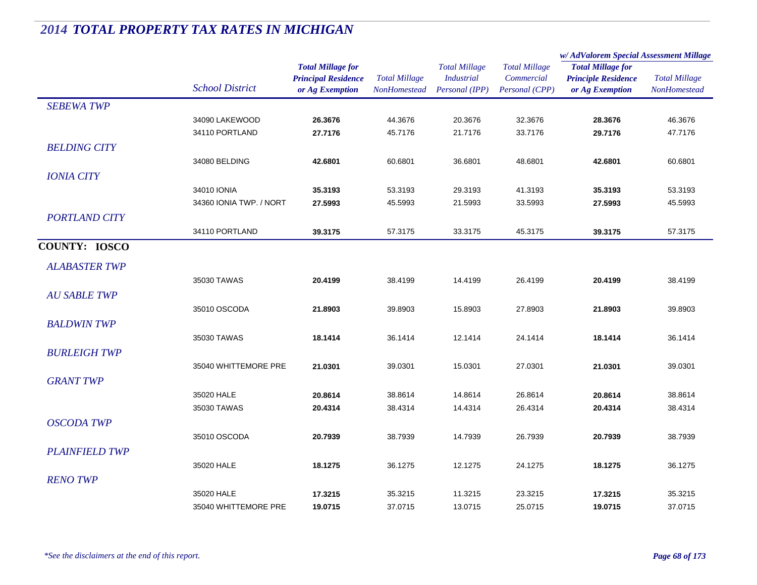|                       |                         | <b>Total Millage for</b><br><b>Principal Residence</b> | <b>Total Millage</b> | <b>Total Millage</b><br><b>Industrial</b> | <b>Total Millage</b><br>Commercial | w/AdValorem Special Assessment Millage                 |                      |
|-----------------------|-------------------------|--------------------------------------------------------|----------------------|-------------------------------------------|------------------------------------|--------------------------------------------------------|----------------------|
|                       |                         |                                                        |                      |                                           |                                    | <b>Total Millage for</b><br><b>Principle Residence</b> | <b>Total Millage</b> |
|                       | <b>School District</b>  | or Ag Exemption                                        | NonHomestead         | Personal (IPP)                            | Personal (CPP)                     | or Ag Exemption                                        | NonHomestead         |
| <b>SEBEWA TWP</b>     |                         |                                                        |                      |                                           |                                    |                                                        |                      |
|                       | 34090 LAKEWOOD          | 26.3676                                                | 44.3676              | 20.3676                                   | 32.3676                            | 28.3676                                                | 46.3676              |
|                       | 34110 PORTLAND          | 27.7176                                                | 45.7176              | 21.7176                                   | 33.7176                            | 29.7176                                                | 47.7176              |
| <b>BELDING CITY</b>   |                         |                                                        |                      |                                           |                                    |                                                        |                      |
|                       | 34080 BELDING           | 42.6801                                                | 60.6801              | 36.6801                                   | 48.6801                            | 42.6801                                                | 60.6801              |
| <b>IONIA CITY</b>     |                         |                                                        |                      |                                           |                                    |                                                        |                      |
|                       | 34010 IONIA             | 35.3193                                                | 53.3193              | 29.3193                                   | 41.3193                            | 35.3193                                                | 53.3193              |
|                       | 34360 IONIA TWP. / NORT | 27.5993                                                | 45.5993              | 21.5993                                   | 33.5993                            | 27.5993                                                | 45.5993              |
| <b>PORTLAND CITY</b>  |                         |                                                        |                      |                                           |                                    |                                                        |                      |
|                       | 34110 PORTLAND          | 39.3175                                                | 57.3175              | 33.3175                                   | 45.3175                            | 39.3175                                                | 57.3175              |
| <b>COUNTY: IOSCO</b>  |                         |                                                        |                      |                                           |                                    |                                                        |                      |
| <b>ALABASTER TWP</b>  |                         |                                                        |                      |                                           |                                    |                                                        |                      |
|                       | 35030 TAWAS             | 20.4199                                                | 38.4199              | 14.4199                                   | 26.4199                            | 20.4199                                                | 38.4199              |
| <b>AU SABLE TWP</b>   |                         |                                                        |                      |                                           |                                    |                                                        |                      |
|                       | 35010 OSCODA            | 21.8903                                                | 39.8903              | 15.8903                                   | 27.8903                            | 21.8903                                                | 39.8903              |
| <b>BALDWIN TWP</b>    |                         |                                                        |                      |                                           |                                    |                                                        |                      |
|                       | 35030 TAWAS             | 18.1414                                                | 36.1414              | 12.1414                                   | 24.1414                            | 18.1414                                                | 36.1414              |
| <b>BURLEIGH TWP</b>   |                         |                                                        |                      |                                           |                                    |                                                        |                      |
|                       | 35040 WHITTEMORE PRE    | 21.0301                                                | 39.0301              | 15.0301                                   | 27.0301                            | 21.0301                                                | 39.0301              |
| <b>GRANT TWP</b>      |                         |                                                        |                      |                                           |                                    |                                                        |                      |
|                       | 35020 HALE              | 20.8614                                                | 38.8614              | 14.8614                                   | 26.8614                            | 20.8614                                                | 38.8614              |
|                       | 35030 TAWAS             | 20.4314                                                | 38.4314              | 14.4314                                   | 26.4314                            | 20.4314                                                | 38.4314              |
| <b>OSCODA TWP</b>     |                         |                                                        |                      |                                           |                                    |                                                        |                      |
|                       | 35010 OSCODA            | 20.7939                                                | 38.7939              | 14.7939                                   | 26.7939                            | 20.7939                                                | 38.7939              |
| <b>PLAINFIELD TWP</b> |                         |                                                        |                      |                                           |                                    |                                                        |                      |
|                       | 35020 HALE              | 18.1275                                                | 36.1275              | 12.1275                                   | 24.1275                            | 18.1275                                                | 36.1275              |
| <b>RENO TWP</b>       |                         |                                                        |                      |                                           |                                    |                                                        |                      |
|                       | 35020 HALE              | 17.3215                                                | 35.3215              | 11.3215                                   | 23.3215                            | 17.3215                                                | 35.3215              |
|                       | 35040 WHITTEMORE PRE    | 19.0715                                                | 37.0715              | 13.0715                                   | 25.0715                            | 19.0715                                                | 37.0715              |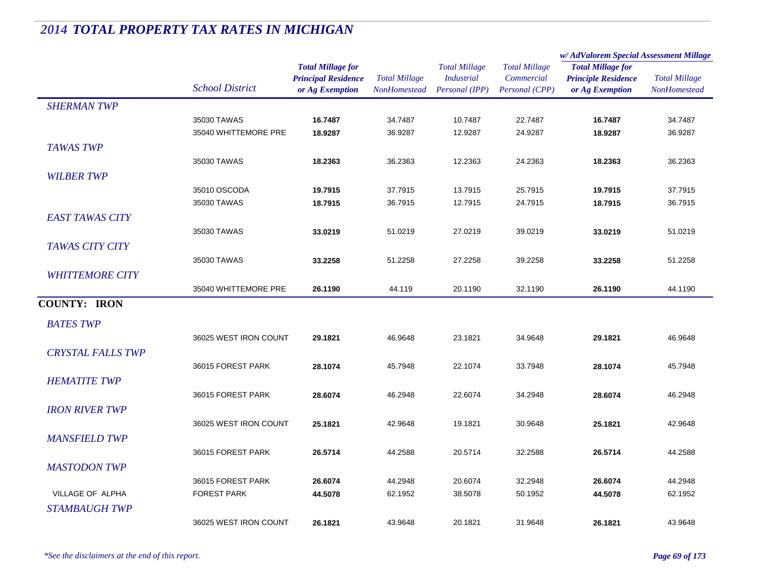|                          |                        |                                                                           |                                             |                                                             |                                                      | w/AdValorem Special Assessment Millage                                    |                                      |
|--------------------------|------------------------|---------------------------------------------------------------------------|---------------------------------------------|-------------------------------------------------------------|------------------------------------------------------|---------------------------------------------------------------------------|--------------------------------------|
|                          | <b>School District</b> | <b>Total Millage for</b><br><b>Principal Residence</b><br>or Ag Exemption | <b>Total Millage</b><br><b>NonHomestead</b> | <b>Total Millage</b><br><b>Industrial</b><br>Personal (IPP) | <b>Total Millage</b><br>Commercial<br>Personal (CPP) | <b>Total Millage for</b><br><b>Principle Residence</b><br>or Ag Exemption | <b>Total Millage</b><br>NonHomestead |
| <b>SHERMAN TWP</b>       |                        |                                                                           |                                             |                                                             |                                                      |                                                                           |                                      |
|                          | 35030 TAWAS            | 16.7487                                                                   | 34.7487                                     | 10.7487                                                     | 22.7487                                              | 16.7487                                                                   | 34.7487                              |
|                          | 35040 WHITTEMORE PRE   | 18.9287                                                                   | 36.9287                                     | 12.9287                                                     | 24.9287                                              | 18.9287                                                                   | 36.9287                              |
| <b>TAWAS TWP</b>         |                        |                                                                           |                                             |                                                             |                                                      |                                                                           |                                      |
|                          | 35030 TAWAS            | 18.2363                                                                   | 36.2363                                     | 12.2363                                                     | 24.2363                                              | 18.2363                                                                   | 36.2363                              |
| <b>WILBER TWP</b>        |                        |                                                                           |                                             |                                                             |                                                      |                                                                           |                                      |
|                          | 35010 OSCODA           | 19.7915                                                                   | 37.7915                                     | 13.7915                                                     | 25.7915                                              | 19.7915                                                                   | 37.7915                              |
|                          | 35030 TAWAS            | 18.7915                                                                   | 36.7915                                     | 12.7915                                                     | 24.7915                                              | 18.7915                                                                   | 36.7915                              |
| <b>EAST TAWAS CITY</b>   |                        |                                                                           |                                             |                                                             |                                                      |                                                                           |                                      |
|                          | 35030 TAWAS            | 33.0219                                                                   | 51.0219                                     | 27.0219                                                     | 39.0219                                              | 33.0219                                                                   | 51.0219                              |
| <b>TAWAS CITY CITY</b>   |                        |                                                                           |                                             |                                                             |                                                      |                                                                           |                                      |
|                          | 35030 TAWAS            | 33.2258                                                                   | 51.2258                                     | 27.2258                                                     | 39.2258                                              | 33.2258                                                                   | 51.2258                              |
| <b>WHITTEMORE CITY</b>   |                        |                                                                           |                                             |                                                             |                                                      |                                                                           |                                      |
|                          | 35040 WHITTEMORE PRE   | 26.1190                                                                   | 44.119                                      | 20.1190                                                     | 32.1190                                              | 26.1190                                                                   | 44.1190                              |
| <b>COUNTY: IRON</b>      |                        |                                                                           |                                             |                                                             |                                                      |                                                                           |                                      |
| <b>BATES TWP</b>         |                        |                                                                           |                                             |                                                             |                                                      |                                                                           |                                      |
|                          | 36025 WEST IRON COUNT  | 29.1821                                                                   | 46.9648                                     | 23.1821                                                     | 34.9648                                              | 29.1821                                                                   | 46.9648                              |
| <b>CRYSTAL FALLS TWP</b> |                        |                                                                           |                                             |                                                             |                                                      |                                                                           |                                      |
|                          | 36015 FOREST PARK      | 28.1074                                                                   | 45.7948                                     | 22.1074                                                     | 33.7948                                              | 28.1074                                                                   | 45.7948                              |
| <b>HEMATITE TWP</b>      |                        |                                                                           |                                             |                                                             |                                                      |                                                                           |                                      |
|                          | 36015 FOREST PARK      | 28.6074                                                                   | 46.2948                                     | 22.6074                                                     | 34.2948                                              | 28.6074                                                                   | 46.2948                              |
| <b>IRON RIVER TWP</b>    |                        |                                                                           |                                             |                                                             |                                                      |                                                                           |                                      |
|                          | 36025 WEST IRON COUNT  | 25.1821                                                                   | 42.9648                                     | 19.1821                                                     | 30.9648                                              | 25.1821                                                                   | 42.9648                              |
| <b>MANSFIELD TWP</b>     |                        |                                                                           |                                             |                                                             |                                                      |                                                                           |                                      |
|                          | 36015 FOREST PARK      | 26.5714                                                                   | 44.2588                                     | 20.5714                                                     | 32.2588                                              | 26.5714                                                                   | 44.2588                              |
| <b>MASTODON TWP</b>      |                        |                                                                           |                                             |                                                             |                                                      |                                                                           |                                      |
|                          | 36015 FOREST PARK      | 26.6074                                                                   | 44.2948                                     | 20.6074                                                     | 32.2948                                              | 26.6074                                                                   | 44.2948                              |
| VILLAGE OF ALPHA         | <b>FOREST PARK</b>     | 44.5078                                                                   | 62.1952                                     | 38.5078                                                     | 50.1952                                              | 44.5078                                                                   | 62.1952                              |
| <b>STAMBAUGH TWP</b>     |                        |                                                                           |                                             |                                                             |                                                      |                                                                           |                                      |
|                          | 36025 WEST IRON COUNT  | 26.1821                                                                   | 43.9648                                     | 20.1821                                                     | 31.9648                                              | 26.1821                                                                   | 43.9648                              |
|                          |                        |                                                                           |                                             |                                                             |                                                      |                                                                           |                                      |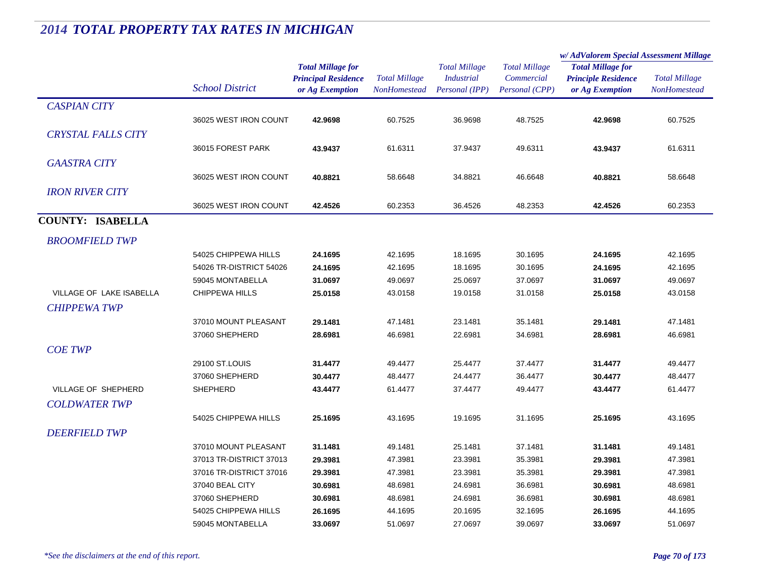|                           |                         | <b>Total Millage for</b><br><b>Principal Residence</b><br><b>Total Millage</b> |                      |                      |                          | w/AdValorem Special Assessment Millage |                      |
|---------------------------|-------------------------|--------------------------------------------------------------------------------|----------------------|----------------------|--------------------------|----------------------------------------|----------------------|
|                           |                         |                                                                                | <b>Total Millage</b> | <b>Total Millage</b> | <b>Total Millage for</b> |                                        |                      |
|                           | <b>School District</b>  |                                                                                |                      | <i>Industrial</i>    | Commercial               | <b>Principle Residence</b>             | <b>Total Millage</b> |
|                           |                         | or Ag Exemption                                                                | <b>NonHomestead</b>  | Personal (IPP)       | Personal (CPP)           | or Ag Exemption                        | <b>NonHomestead</b>  |
| <b>CASPIAN CITY</b>       |                         |                                                                                |                      |                      |                          |                                        |                      |
|                           | 36025 WEST IRON COUNT   | 42.9698                                                                        | 60.7525              | 36.9698              | 48.7525                  | 42.9698                                | 60.7525              |
| <b>CRYSTAL FALLS CITY</b> |                         |                                                                                |                      |                      |                          |                                        |                      |
|                           | 36015 FOREST PARK       | 43.9437                                                                        | 61.6311              | 37.9437              | 49.6311                  | 43.9437                                | 61.6311              |
| <b>GAASTRA CITY</b>       |                         |                                                                                |                      |                      |                          |                                        |                      |
|                           | 36025 WEST IRON COUNT   | 40.8821                                                                        | 58.6648              | 34.8821              | 46.6648                  | 40.8821                                | 58.6648              |
|                           |                         |                                                                                |                      |                      |                          |                                        |                      |
| <b>IRON RIVER CITY</b>    |                         |                                                                                |                      |                      |                          |                                        |                      |
|                           | 36025 WEST IRON COUNT   | 42.4526                                                                        | 60.2353              | 36.4526              | 48.2353                  | 42.4526                                | 60.2353              |
| <b>COUNTY: ISABELLA</b>   |                         |                                                                                |                      |                      |                          |                                        |                      |
| <b>BROOMFIELD TWP</b>     |                         |                                                                                |                      |                      |                          |                                        |                      |
|                           | 54025 CHIPPEWA HILLS    | 24.1695                                                                        | 42.1695              | 18.1695              | 30.1695                  | 24.1695                                | 42.1695              |
|                           | 54026 TR-DISTRICT 54026 | 24.1695                                                                        | 42.1695              | 18.1695              | 30.1695                  | 24.1695                                | 42.1695              |
|                           | 59045 MONTABELLA        | 31.0697                                                                        | 49.0697              | 25.0697              | 37.0697                  | 31.0697                                | 49.0697              |
| VILLAGE OF LAKE ISABELLA  | <b>CHIPPEWA HILLS</b>   | 25.0158                                                                        | 43.0158              | 19.0158              | 31.0158                  | 25.0158                                | 43.0158              |
| <b>CHIPPEWA TWP</b>       |                         |                                                                                |                      |                      |                          |                                        |                      |
|                           | 37010 MOUNT PLEASANT    | 29.1481                                                                        | 47.1481              | 23.1481              | 35.1481                  | 29.1481                                | 47.1481              |
|                           | 37060 SHEPHERD          | 28.6981                                                                        | 46.6981              | 22.6981              | 34.6981                  | 28.6981                                | 46.6981              |
| <b>COE TWP</b>            |                         |                                                                                |                      |                      |                          |                                        |                      |
|                           | 29100 ST.LOUIS          | 31.4477                                                                        | 49.4477              | 25.4477              | 37.4477                  | 31.4477                                | 49.4477              |
|                           | 37060 SHEPHERD          | 30.4477                                                                        | 48.4477              | 24.4477              | 36.4477                  | 30.4477                                | 48.4477              |
| VILLAGE OF SHEPHERD       | SHEPHERD                | 43.4477                                                                        | 61.4477              | 37.4477              | 49.4477                  | 43.4477                                | 61.4477              |
| <b>COLDWATER TWP</b>      |                         |                                                                                |                      |                      |                          |                                        |                      |
|                           |                         |                                                                                |                      |                      |                          |                                        |                      |
|                           | 54025 CHIPPEWA HILLS    | 25.1695                                                                        | 43.1695              | 19.1695              | 31.1695                  | 25.1695                                | 43.1695              |
| <b>DEERFIELD TWP</b>      |                         |                                                                                |                      |                      |                          |                                        |                      |
|                           | 37010 MOUNT PLEASANT    | 31.1481                                                                        | 49.1481              | 25.1481              | 37.1481                  | 31.1481                                | 49.1481              |
|                           | 37013 TR-DISTRICT 37013 | 29.3981                                                                        | 47.3981              | 23.3981              | 35.3981                  | 29.3981                                | 47.3981              |
|                           | 37016 TR-DISTRICT 37016 | 29.3981                                                                        | 47.3981              | 23.3981              | 35.3981                  | 29.3981                                | 47.3981              |
|                           | 37040 BEAL CITY         | 30.6981                                                                        | 48.6981              | 24.6981              | 36.6981                  | 30.6981                                | 48.6981              |
|                           | 37060 SHEPHERD          | 30.6981                                                                        | 48.6981              | 24.6981              | 36.6981                  | 30.6981                                | 48.6981              |
|                           | 54025 CHIPPEWA HILLS    | 26.1695                                                                        | 44.1695              | 20.1695              | 32.1695                  | 26.1695                                | 44.1695              |
|                           | 59045 MONTABELLA        | 33.0697                                                                        | 51.0697              | 27.0697              | 39.0697                  | 33.0697                                | 51.0697              |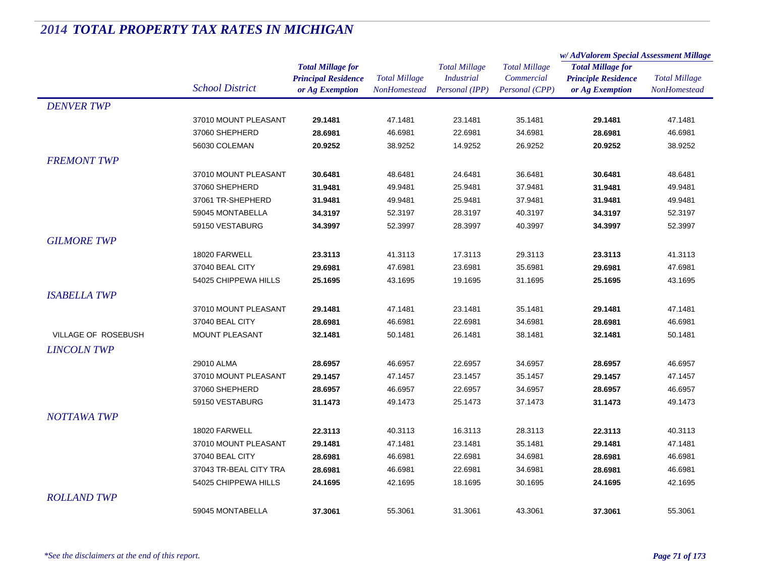|                            |                        |                            | <b>Total Millage</b> | <b>Total Millage</b> | <b>Total Millage</b> | w/AdValorem Special Assessment Millage |                      |
|----------------------------|------------------------|----------------------------|----------------------|----------------------|----------------------|----------------------------------------|----------------------|
|                            |                        | <b>Total Millage for</b>   |                      |                      |                      | <b>Total Millage for</b>               | <b>Total Millage</b> |
|                            |                        | <b>Principal Residence</b> |                      | <b>Industrial</b>    | Commercial           | <b>Principle Residence</b>             |                      |
|                            | <b>School District</b> | or Ag Exemption            | NonHomestead         | Personal (IPP)       | Personal (CPP)       | or Ag Exemption                        | <b>NonHomestead</b>  |
| <b>DENVER TWP</b>          |                        |                            |                      |                      |                      |                                        |                      |
|                            | 37010 MOUNT PLEASANT   | 29.1481                    | 47.1481              | 23.1481              | 35.1481              | 29.1481                                | 47.1481              |
|                            | 37060 SHEPHERD         | 28.6981                    | 46.6981              | 22.6981              | 34.6981              | 28.6981                                | 46.6981              |
|                            | 56030 COLEMAN          | 20.9252                    | 38.9252              | 14.9252              | 26.9252              | 20.9252                                | 38.9252              |
| <b>FREMONT TWP</b>         |                        |                            |                      |                      |                      |                                        |                      |
|                            | 37010 MOUNT PLEASANT   | 30.6481                    | 48.6481              | 24.6481              | 36.6481              | 30.6481                                | 48.6481              |
|                            | 37060 SHEPHERD         | 31.9481                    | 49.9481              | 25.9481              | 37.9481              | 31.9481                                | 49.9481              |
|                            | 37061 TR-SHEPHERD      | 31.9481                    | 49.9481              | 25.9481              | 37.9481              | 31.9481                                | 49.9481              |
|                            | 59045 MONTABELLA       | 34.3197                    | 52.3197              | 28.3197              | 40.3197              | 34.3197                                | 52.3197              |
|                            | 59150 VESTABURG        | 34.3997                    | 52.3997              | 28.3997              | 40.3997              | 34.3997                                | 52.3997              |
| <b>GILMORE TWP</b>         |                        |                            |                      |                      |                      |                                        |                      |
|                            | 18020 FARWELL          | 23.3113                    | 41.3113              | 17.3113              | 29.3113              | 23.3113                                | 41.3113              |
|                            | 37040 BEAL CITY        | 29.6981                    | 47.6981              | 23.6981              | 35.6981              | 29.6981                                | 47.6981              |
|                            | 54025 CHIPPEWA HILLS   | 25.1695                    | 43.1695              | 19.1695              | 31.1695              | 25.1695                                | 43.1695              |
| <b>ISABELLA TWP</b>        |                        |                            |                      |                      |                      |                                        |                      |
|                            | 37010 MOUNT PLEASANT   | 29.1481                    | 47.1481              | 23.1481              | 35.1481              | 29.1481                                | 47.1481              |
|                            | 37040 BEAL CITY        | 28.6981                    | 46.6981              | 22.6981              | 34.6981              | 28.6981                                | 46.6981              |
| <b>VILLAGE OF ROSEBUSH</b> | <b>MOUNT PLEASANT</b>  | 32.1481                    | 50.1481              | 26.1481              | 38.1481              | 32.1481                                | 50.1481              |
|                            |                        |                            |                      |                      |                      |                                        |                      |
| <b>LINCOLN TWP</b>         |                        |                            |                      |                      |                      |                                        |                      |
|                            | 29010 ALMA             | 28.6957                    | 46.6957              | 22.6957              | 34.6957              | 28.6957                                | 46.6957              |
|                            | 37010 MOUNT PLEASANT   | 29.1457                    | 47.1457              | 23.1457              | 35.1457              | 29.1457                                | 47.1457              |
|                            | 37060 SHEPHERD         | 28.6957                    | 46.6957              | 22.6957              | 34.6957              | 28.6957                                | 46.6957              |
|                            | 59150 VESTABURG        | 31.1473                    | 49.1473              | 25.1473              | 37.1473              | 31.1473                                | 49.1473              |
| <b>NOTTAWA TWP</b>         |                        |                            |                      |                      |                      |                                        |                      |
|                            | 18020 FARWELL          | 22.3113                    | 40.3113              | 16.3113              | 28.3113              | 22.3113                                | 40.3113              |
|                            | 37010 MOUNT PLEASANT   | 29.1481                    | 47.1481              | 23.1481              | 35.1481              | 29.1481                                | 47.1481              |
|                            | 37040 BEAL CITY        | 28.6981                    | 46.6981              | 22.6981              | 34.6981              | 28.6981                                | 46.6981              |
|                            | 37043 TR-BEAL CITY TRA | 28.6981                    | 46.6981              | 22.6981              | 34.6981              | 28.6981                                | 46.6981              |
|                            | 54025 CHIPPEWA HILLS   | 24.1695                    | 42.1695              | 18.1695              | 30.1695              | 24.1695                                | 42.1695              |
| <b>ROLLAND TWP</b>         |                        |                            |                      |                      |                      |                                        |                      |
|                            | 59045 MONTABELLA       | 37.3061                    | 55.3061              | 31.3061              | 43.3061              | 37.3061                                | 55.3061              |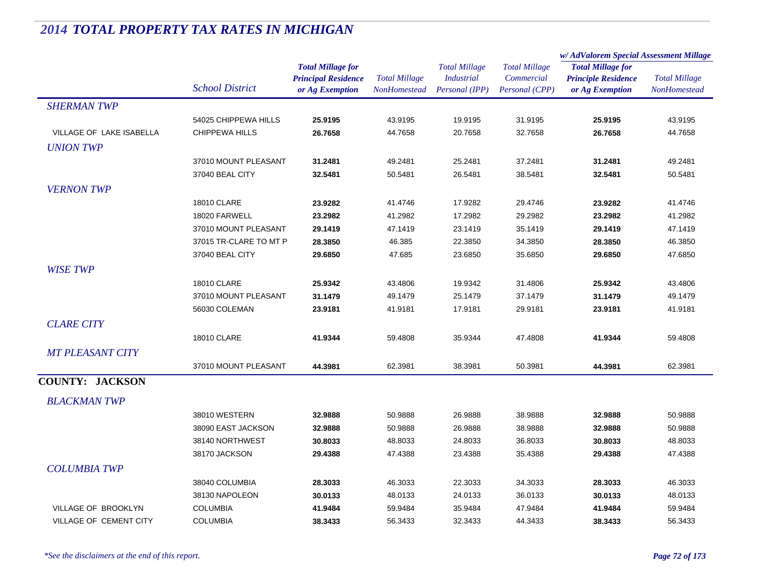|                            |                        |                                                                           |                                      |                                                             |                                                      | w/AdValorem Special Assessment Millage                                    |                                      |
|----------------------------|------------------------|---------------------------------------------------------------------------|--------------------------------------|-------------------------------------------------------------|------------------------------------------------------|---------------------------------------------------------------------------|--------------------------------------|
|                            | <b>School District</b> | <b>Total Millage for</b><br><b>Principal Residence</b><br>or Ag Exemption | <b>Total Millage</b><br>NonHomestead | <b>Total Millage</b><br><b>Industrial</b><br>Personal (IPP) | <b>Total Millage</b><br>Commercial<br>Personal (CPP) | <b>Total Millage for</b><br><b>Principle Residence</b><br>or Ag Exemption | <b>Total Millage</b><br>NonHomestead |
| <b>SHERMAN TWP</b>         |                        |                                                                           |                                      |                                                             |                                                      |                                                                           |                                      |
|                            | 54025 CHIPPEWA HILLS   | 25.9195                                                                   | 43.9195                              | 19.9195                                                     | 31.9195                                              | 25.9195                                                                   | 43.9195                              |
| VILLAGE OF LAKE ISABELLA   | <b>CHIPPEWA HILLS</b>  | 26.7658                                                                   | 44.7658                              | 20.7658                                                     | 32.7658                                              | 26.7658                                                                   | 44.7658                              |
| <b>UNION TWP</b>           |                        |                                                                           |                                      |                                                             |                                                      |                                                                           |                                      |
|                            | 37010 MOUNT PLEASANT   | 31.2481                                                                   | 49.2481                              | 25.2481                                                     | 37.2481                                              | 31.2481                                                                   | 49.2481                              |
|                            | 37040 BEAL CITY        | 32.5481                                                                   | 50.5481                              | 26.5481                                                     | 38.5481                                              | 32.5481                                                                   | 50.5481                              |
| <b>VERNON TWP</b>          |                        |                                                                           |                                      |                                                             |                                                      |                                                                           |                                      |
|                            | <b>18010 CLARE</b>     | 23.9282                                                                   | 41.4746                              | 17.9282                                                     | 29.4746                                              | 23.9282                                                                   | 41.4746                              |
|                            | 18020 FARWELL          | 23.2982                                                                   | 41.2982                              | 17.2982                                                     | 29.2982                                              | 23.2982                                                                   | 41.2982                              |
|                            | 37010 MOUNT PLEASANT   | 29.1419                                                                   | 47.1419                              | 23.1419                                                     | 35.1419                                              | 29.1419                                                                   | 47.1419                              |
|                            | 37015 TR-CLARE TO MT P | 28.3850                                                                   | 46.385                               | 22.3850                                                     | 34.3850                                              | 28.3850                                                                   | 46.3850                              |
|                            | 37040 BEAL CITY        | 29.6850                                                                   | 47.685                               | 23.6850                                                     | 35.6850                                              | 29.6850                                                                   | 47.6850                              |
| <b>WISE TWP</b>            |                        |                                                                           |                                      |                                                             |                                                      |                                                                           |                                      |
|                            | <b>18010 CLARE</b>     | 25.9342                                                                   | 43.4806                              | 19.9342                                                     | 31.4806                                              | 25.9342                                                                   | 43.4806                              |
|                            | 37010 MOUNT PLEASANT   | 31.1479                                                                   | 49.1479                              | 25.1479                                                     | 37.1479                                              | 31.1479                                                                   | 49.1479                              |
|                            | 56030 COLEMAN          | 23.9181                                                                   | 41.9181                              | 17.9181                                                     | 29.9181                                              | 23.9181                                                                   | 41.9181                              |
| <b>CLARE CITY</b>          |                        |                                                                           |                                      |                                                             |                                                      |                                                                           |                                      |
|                            | <b>18010 CLARE</b>     | 41.9344                                                                   | 59.4808                              | 35.9344                                                     | 47.4808                                              | 41.9344                                                                   | 59.4808                              |
| <b>MT PLEASANT CITY</b>    |                        |                                                                           |                                      |                                                             |                                                      |                                                                           |                                      |
|                            | 37010 MOUNT PLEASANT   | 44.3981                                                                   | 62.3981                              | 38.3981                                                     | 50.3981                                              | 44.3981                                                                   | 62.3981                              |
| <b>COUNTY: JACKSON</b>     |                        |                                                                           |                                      |                                                             |                                                      |                                                                           |                                      |
| <b>BLACKMAN TWP</b>        |                        |                                                                           |                                      |                                                             |                                                      |                                                                           |                                      |
|                            | 38010 WESTERN          | 32.9888                                                                   | 50.9888                              | 26.9888                                                     | 38.9888                                              | 32.9888                                                                   | 50.9888                              |
|                            | 38090 EAST JACKSON     | 32.9888                                                                   | 50.9888                              | 26.9888                                                     | 38.9888                                              | 32.9888                                                                   | 50.9888                              |
|                            | 38140 NORTHWEST        | 30.8033                                                                   | 48.8033                              | 24.8033                                                     | 36.8033                                              | 30.8033                                                                   | 48.8033                              |
|                            | 38170 JACKSON          | 29.4388                                                                   | 47.4388                              | 23.4388                                                     | 35.4388                                              | 29.4388                                                                   | 47.4388                              |
| <b>COLUMBIA TWP</b>        |                        |                                                                           |                                      |                                                             |                                                      |                                                                           |                                      |
|                            | 38040 COLUMBIA         | 28.3033                                                                   | 46.3033                              | 22.3033                                                     | 34.3033                                              | 28.3033                                                                   | 46.3033                              |
|                            | 38130 NAPOLEON         | 30.0133                                                                   | 48.0133                              | 24.0133                                                     | 36.0133                                              | 30.0133                                                                   | 48.0133                              |
| <b>VILLAGE OF BROOKLYN</b> | <b>COLUMBIA</b>        | 41.9484                                                                   | 59.9484                              | 35.9484                                                     | 47.9484                                              | 41.9484                                                                   | 59.9484                              |
| VILLAGE OF CEMENT CITY     | <b>COLUMBIA</b>        | 38.3433                                                                   | 56.3433                              | 32.3433                                                     | 44.3433                                              | 38.3433                                                                   | 56.3433                              |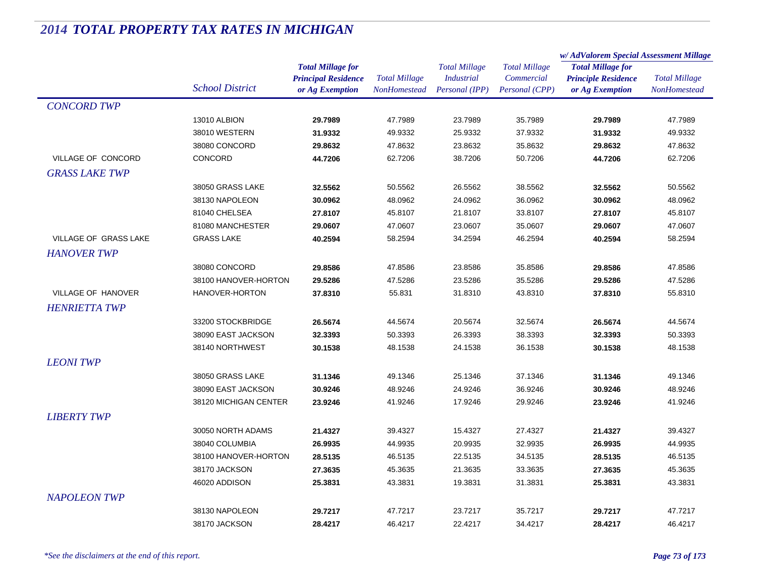|                           |                        |                            |                      | <b>Total Millage</b> | <b>Total Millage</b> | w/AdValorem Special Assessment Millage |                                             |
|---------------------------|------------------------|----------------------------|----------------------|----------------------|----------------------|----------------------------------------|---------------------------------------------|
|                           |                        | <b>Total Millage for</b>   |                      |                      |                      | <b>Total Millage for</b>               | <b>Total Millage</b><br><b>NonHomestead</b> |
|                           |                        | <b>Principal Residence</b> | <b>Total Millage</b> | <b>Industrial</b>    | Commercial           | <b>Principle Residence</b>             |                                             |
|                           | <b>School District</b> | or Ag Exemption            | <b>NonHomestead</b>  | Personal (IPP)       | Personal (CPP)       | or Ag Exemption                        |                                             |
| <b>CONCORD TWP</b>        |                        |                            |                      |                      |                      |                                        |                                             |
|                           | 13010 ALBION           | 29.7989                    | 47.7989              | 23.7989              | 35.7989              | 29.7989                                | 47.7989                                     |
|                           | 38010 WESTERN          | 31.9332                    | 49.9332              | 25.9332              | 37.9332              | 31.9332                                | 49.9332                                     |
|                           | 38080 CONCORD          | 29.8632                    | 47.8632              | 23.8632              | 35.8632              | 29.8632                                | 47.8632                                     |
| VILLAGE OF CONCORD        | CONCORD                | 44.7206                    | 62.7206              | 38.7206              | 50.7206              | 44.7206                                | 62.7206                                     |
| <b>GRASS LAKE TWP</b>     |                        |                            |                      |                      |                      |                                        |                                             |
|                           | 38050 GRASS LAKE       | 32.5562                    | 50.5562              | 26.5562              | 38.5562              | 32.5562                                | 50.5562                                     |
|                           | 38130 NAPOLEON         | 30.0962                    | 48.0962              | 24.0962              | 36.0962              | 30.0962                                | 48.0962                                     |
|                           | 81040 CHELSEA          | 27.8107                    | 45.8107              | 21.8107              | 33.8107              | 27.8107                                | 45.8107                                     |
|                           | 81080 MANCHESTER       | 29.0607                    | 47.0607              | 23.0607              | 35.0607              | 29.0607                                | 47.0607                                     |
| VILLAGE OF GRASS LAKE     | <b>GRASS LAKE</b>      | 40.2594                    | 58.2594              | 34.2594              | 46.2594              | 40.2594                                | 58.2594                                     |
| <b>HANOVER TWP</b>        |                        |                            |                      |                      |                      |                                        |                                             |
|                           | 38080 CONCORD          | 29.8586                    | 47.8586              | 23.8586              | 35.8586              | 29.8586                                | 47.8586                                     |
|                           | 38100 HANOVER-HORTON   | 29.5286                    | 47.5286              | 23.5286              | 35.5286              | 29.5286                                | 47.5286                                     |
| <b>VILLAGE OF HANOVER</b> | HANOVER-HORTON         | 37.8310                    | 55.831               | 31.8310              | 43.8310              | 37.8310                                | 55.8310                                     |
| <b>HENRIETTA TWP</b>      |                        |                            |                      |                      |                      |                                        |                                             |
|                           | 33200 STOCKBRIDGE      | 26.5674                    | 44.5674              | 20.5674              | 32.5674              | 26.5674                                | 44.5674                                     |
|                           | 38090 EAST JACKSON     | 32.3393                    | 50.3393              | 26.3393              | 38.3393              | 32.3393                                | 50.3393                                     |
|                           | 38140 NORTHWEST        | 30.1538                    | 48.1538              | 24.1538              | 36.1538              | 30.1538                                | 48.1538                                     |
|                           |                        |                            |                      |                      |                      |                                        |                                             |
| <b>LEONITWP</b>           |                        |                            |                      |                      |                      |                                        |                                             |
|                           | 38050 GRASS LAKE       | 31.1346                    | 49.1346              | 25.1346              | 37.1346              | 31.1346                                | 49.1346                                     |
|                           | 38090 EAST JACKSON     | 30.9246                    | 48.9246              | 24.9246              | 36.9246              | 30.9246                                | 48.9246                                     |
|                           | 38120 MICHIGAN CENTER  | 23.9246                    | 41.9246              | 17.9246              | 29.9246              | 23.9246                                | 41.9246                                     |
| <b>LIBERTY TWP</b>        |                        |                            |                      |                      |                      |                                        |                                             |
|                           | 30050 NORTH ADAMS      | 21.4327                    | 39.4327              | 15.4327              | 27.4327              | 21.4327                                | 39.4327                                     |
|                           | 38040 COLUMBIA         | 26.9935                    | 44.9935              | 20.9935              | 32.9935              | 26.9935                                | 44.9935                                     |
|                           | 38100 HANOVER-HORTON   | 28.5135                    | 46.5135              | 22.5135              | 34.5135              | 28.5135                                | 46.5135                                     |
|                           | 38170 JACKSON          | 27.3635                    | 45.3635              | 21.3635              | 33.3635              | 27.3635                                | 45.3635                                     |
|                           | 46020 ADDISON          | 25.3831                    | 43.3831              | 19.3831              | 31.3831              | 25.3831                                | 43.3831                                     |
| <b>NAPOLEON TWP</b>       |                        |                            |                      |                      |                      |                                        |                                             |
|                           | 38130 NAPOLEON         | 29.7217                    | 47.7217              | 23.7217              | 35.7217              | 29.7217                                | 47.7217                                     |
|                           | 38170 JACKSON          | 28.4217                    | 46.4217              | 22.4217              | 34.4217              | 28.4217                                | 46.4217                                     |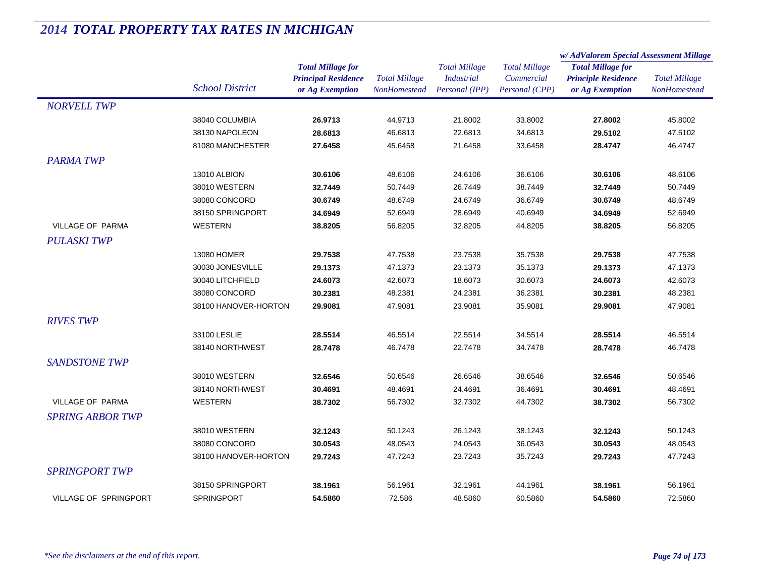|                              |                        |                            | <b>Total Millage</b> | <b>Total Millage</b> |                      | w/ AdValorem Special Assessment Millage |                      |
|------------------------------|------------------------|----------------------------|----------------------|----------------------|----------------------|-----------------------------------------|----------------------|
|                              |                        | <b>Total Millage for</b>   |                      |                      | <b>Total Millage</b> | <b>Total Millage for</b>                | <b>Total Millage</b> |
|                              |                        | <b>Principal Residence</b> |                      | <b>Industrial</b>    | Commercial           | <b>Principle Residence</b>              |                      |
|                              | <b>School District</b> | or Ag Exemption            | <b>NonHomestead</b>  | Personal (IPP)       | Personal (CPP)       | or Ag Exemption                         | NonHomestead         |
| <b>NORVELL TWP</b>           |                        |                            |                      |                      |                      |                                         |                      |
|                              | 38040 COLUMBIA         | 26.9713                    | 44.9713              | 21.8002              | 33.8002              | 27.8002                                 | 45.8002              |
|                              | 38130 NAPOLEON         | 28.6813                    | 46.6813              | 22.6813              | 34.6813              | 29.5102                                 | 47.5102              |
|                              | 81080 MANCHESTER       | 27.6458                    | 45.6458              | 21.6458              | 33.6458              | 28.4747                                 | 46.4747              |
| <b>PARMA TWP</b>             |                        |                            |                      |                      |                      |                                         |                      |
|                              | 13010 ALBION           | 30.6106                    | 48.6106              | 24.6106              | 36.6106              | 30.6106                                 | 48.6106              |
|                              | 38010 WESTERN          | 32.7449                    | 50.7449              | 26.7449              | 38.7449              | 32.7449                                 | 50.7449              |
|                              | 38080 CONCORD          | 30.6749                    | 48.6749              | 24.6749              | 36.6749              | 30.6749                                 | 48.6749              |
|                              | 38150 SPRINGPORT       | 34.6949                    | 52.6949              | 28.6949              | 40.6949              | 34.6949                                 | 52.6949              |
| <b>VILLAGE OF PARMA</b>      | <b>WESTERN</b>         | 38.8205                    | 56.8205              | 32.8205              | 44.8205              | 38.8205                                 | 56.8205              |
| <b>PULASKI TWP</b>           |                        |                            |                      |                      |                      |                                         |                      |
|                              | 13080 HOMER            | 29.7538                    | 47.7538              | 23.7538              | 35.7538              | 29.7538                                 | 47.7538              |
|                              | 30030 JONESVILLE       | 29.1373                    | 47.1373              | 23.1373              | 35.1373              | 29.1373                                 | 47.1373              |
|                              | 30040 LITCHFIELD       | 24.6073                    | 42.6073              | 18.6073              | 30.6073              | 24.6073                                 | 42.6073              |
|                              | 38080 CONCORD          | 30.2381                    | 48.2381              | 24.2381              | 36.2381              | 30.2381                                 | 48.2381              |
|                              | 38100 HANOVER-HORTON   | 29.9081                    | 47.9081              | 23.9081              | 35.9081              | 29.9081                                 | 47.9081              |
| <b>RIVES TWP</b>             |                        |                            |                      |                      |                      |                                         |                      |
|                              | 33100 LESLIE           | 28.5514                    | 46.5514              | 22.5514              | 34.5514              | 28.5514                                 | 46.5514              |
|                              | 38140 NORTHWEST        | 28.7478                    | 46.7478              | 22.7478              | 34.7478              | 28.7478                                 | 46.7478              |
|                              |                        |                            |                      |                      |                      |                                         |                      |
| <b>SANDSTONE TWP</b>         |                        |                            |                      |                      |                      |                                         |                      |
|                              | 38010 WESTERN          | 32.6546                    | 50.6546              | 26.6546              | 38.6546              | 32.6546                                 | 50.6546              |
|                              | 38140 NORTHWEST        | 30.4691                    | 48.4691              | 24.4691              | 36.4691              | 30.4691                                 | 48.4691              |
| <b>VILLAGE OF PARMA</b>      | <b>WESTERN</b>         | 38.7302                    | 56.7302              | 32.7302              | 44.7302              | 38.7302                                 | 56.7302              |
| <b>SPRING ARBOR TWP</b>      |                        |                            |                      |                      |                      |                                         |                      |
|                              | 38010 WESTERN          | 32.1243                    | 50.1243              | 26.1243              | 38.1243              | 32.1243                                 | 50.1243              |
|                              | 38080 CONCORD          | 30.0543                    | 48.0543              | 24.0543              | 36.0543              | 30.0543                                 | 48.0543              |
|                              | 38100 HANOVER-HORTON   | 29.7243                    | 47.7243              | 23.7243              | 35.7243              | 29.7243                                 | 47.7243              |
| <b>SPRINGPORT TWP</b>        |                        |                            |                      |                      |                      |                                         |                      |
|                              | 38150 SPRINGPORT       | 38.1961                    | 56.1961              | 32.1961              | 44.1961              | 38.1961                                 | 56.1961              |
| <b>VILLAGE OF SPRINGPORT</b> | <b>SPRINGPORT</b>      | 54.5860                    | 72.586               | 48.5860              | 60.5860              | 54.5860                                 | 72.5860              |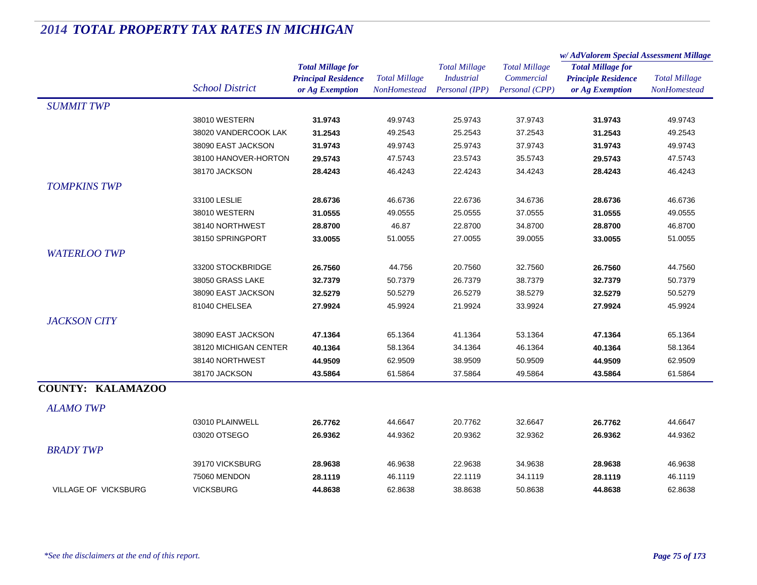|                             |                        | <b>Total Millage for</b><br><b>Principal Residence</b> | <b>Total Millage</b><br><b>NonHomestead</b> | <b>Total Millage</b><br><b>Industrial</b> | <b>Total Millage</b><br>Commercial | w/AdValorem Special Assessment Millage                 |                      |  |
|-----------------------------|------------------------|--------------------------------------------------------|---------------------------------------------|-------------------------------------------|------------------------------------|--------------------------------------------------------|----------------------|--|
|                             | <b>School District</b> |                                                        |                                             |                                           |                                    | <b>Total Millage for</b><br><b>Principle Residence</b> | <b>Total Millage</b> |  |
|                             |                        | or Ag Exemption                                        |                                             | Personal (IPP)                            | Personal (CPP)                     | or Ag Exemption                                        | NonHomestead         |  |
| <b>SUMMIT TWP</b>           |                        |                                                        |                                             |                                           |                                    |                                                        |                      |  |
|                             | 38010 WESTERN          | 31.9743                                                | 49.9743                                     | 25.9743                                   | 37.9743                            | 31.9743                                                | 49.9743              |  |
|                             | 38020 VANDERCOOK LAK   | 31.2543                                                | 49.2543                                     | 25.2543                                   | 37.2543                            | 31.2543                                                | 49.2543              |  |
|                             | 38090 EAST JACKSON     | 31.9743                                                | 49.9743                                     | 25.9743                                   | 37.9743                            | 31.9743                                                | 49.9743              |  |
|                             | 38100 HANOVER-HORTON   | 29.5743                                                | 47.5743                                     | 23.5743                                   | 35.5743                            | 29.5743                                                | 47.5743              |  |
|                             | 38170 JACKSON          | 28.4243                                                | 46.4243                                     | 22.4243                                   | 34.4243                            | 28.4243                                                | 46.4243              |  |
| <b>TOMPKINS TWP</b>         |                        |                                                        |                                             |                                           |                                    |                                                        |                      |  |
|                             | 33100 LESLIE           | 28.6736                                                | 46.6736                                     | 22.6736                                   | 34.6736                            | 28.6736                                                | 46.6736              |  |
|                             | 38010 WESTERN          | 31.0555                                                | 49.0555                                     | 25.0555                                   | 37.0555                            | 31.0555                                                | 49.0555              |  |
|                             | 38140 NORTHWEST        | 28.8700                                                | 46.87                                       | 22.8700                                   | 34.8700                            | 28.8700                                                | 46.8700              |  |
|                             | 38150 SPRINGPORT       | 33.0055                                                | 51.0055                                     | 27.0055                                   | 39.0055                            | 33.0055                                                | 51.0055              |  |
| <b>WATERLOO TWP</b>         |                        |                                                        |                                             |                                           |                                    |                                                        |                      |  |
|                             | 33200 STOCKBRIDGE      | 26.7560                                                | 44.756                                      | 20.7560                                   | 32.7560                            | 26.7560                                                | 44.7560              |  |
|                             | 38050 GRASS LAKE       | 32.7379                                                | 50.7379                                     | 26.7379                                   | 38.7379                            | 32.7379                                                | 50.7379              |  |
|                             | 38090 EAST JACKSON     | 32.5279                                                | 50.5279                                     | 26.5279                                   | 38.5279                            | 32.5279                                                | 50.5279              |  |
|                             | 81040 CHELSEA          | 27.9924                                                | 45.9924                                     | 21.9924                                   | 33.9924                            | 27.9924                                                | 45.9924              |  |
| <b>JACKSON CITY</b>         |                        |                                                        |                                             |                                           |                                    |                                                        |                      |  |
|                             | 38090 EAST JACKSON     | 47.1364                                                | 65.1364                                     | 41.1364                                   | 53.1364                            | 47.1364                                                | 65.1364              |  |
|                             | 38120 MICHIGAN CENTER  | 40.1364                                                | 58.1364                                     | 34.1364                                   | 46.1364                            | 40.1364                                                | 58.1364              |  |
|                             | 38140 NORTHWEST        | 44.9509                                                | 62.9509                                     | 38.9509                                   | 50.9509                            | 44.9509                                                | 62.9509              |  |
|                             | 38170 JACKSON          | 43.5864                                                | 61.5864                                     | 37.5864                                   | 49.5864                            | 43.5864                                                | 61.5864              |  |
| <b>COUNTY: KALAMAZOO</b>    |                        |                                                        |                                             |                                           |                                    |                                                        |                      |  |
| <b>ALAMO TWP</b>            |                        |                                                        |                                             |                                           |                                    |                                                        |                      |  |
|                             | 03010 PLAINWELL        | 26.7762                                                | 44.6647                                     | 20.7762                                   | 32.6647                            | 26.7762                                                | 44.6647              |  |
|                             | 03020 OTSEGO           | 26.9362                                                | 44.9362                                     | 20.9362                                   | 32.9362                            | 26.9362                                                | 44.9362              |  |
| <b>BRADY TWP</b>            |                        |                                                        |                                             |                                           |                                    |                                                        |                      |  |
|                             | 39170 VICKSBURG        | 28.9638                                                | 46.9638                                     | 22.9638                                   | 34.9638                            | 28.9638                                                | 46.9638              |  |
|                             | 75060 MENDON           | 28.1119                                                | 46.1119                                     | 22.1119                                   | 34.1119                            | 28.1119                                                | 46.1119              |  |
| <b>VILLAGE OF VICKSBURG</b> | <b>VICKSBURG</b>       | 44.8638                                                | 62.8638                                     | 38.8638                                   | 50.8638                            | 44.8638                                                | 62.8638              |  |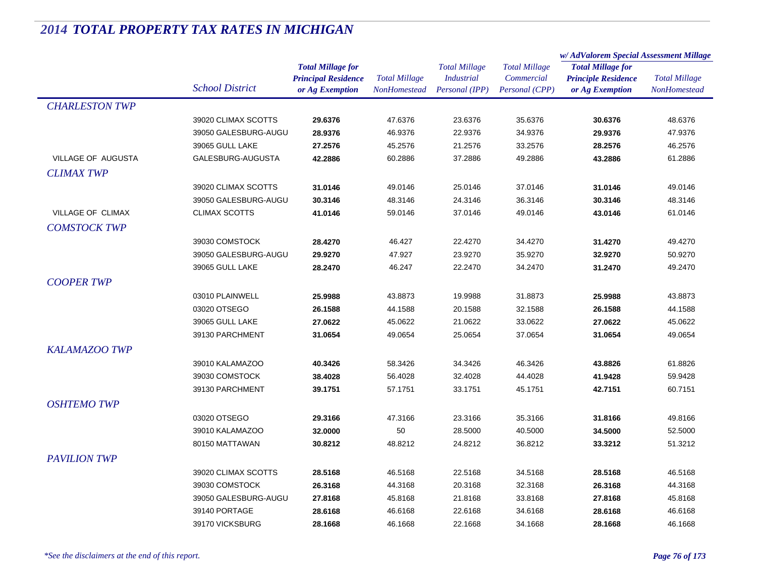|                       |                                   |                            |                      | <b>Total Millage</b> | <b>Total Millage</b> | w/AdValorem Special Assessment Millage                 |                      |
|-----------------------|-----------------------------------|----------------------------|----------------------|----------------------|----------------------|--------------------------------------------------------|----------------------|
|                       |                                   | <b>Total Millage for</b>   |                      |                      |                      | <b>Total Millage for</b><br><b>Principle Residence</b> | <b>Total Millage</b> |
|                       | <b>School District</b>            | <b>Principal Residence</b> | <b>Total Millage</b> | <b>Industrial</b>    | Commercial           |                                                        |                      |
|                       |                                   | or Ag Exemption            | <b>NonHomestead</b>  | Personal (IPP)       | Personal (CPP)       | or Ag Exemption                                        | <b>NonHomestead</b>  |
| <b>CHARLESTON TWP</b> |                                   |                            |                      |                      |                      |                                                        |                      |
|                       | 39020 CLIMAX SCOTTS               | 29.6376                    | 47.6376              | 23.6376              | 35.6376              | 30.6376                                                | 48.6376              |
|                       | 39050 GALESBURG-AUGU              | 28.9376                    | 46.9376              | 22.9376              | 34.9376              | 29.9376                                                | 47.9376              |
|                       | 39065 GULL LAKE                   | 27.2576                    | 45.2576              | 21.2576              | 33.2576              | 28.2576                                                | 46.2576              |
| VILLAGE OF AUGUSTA    | GALESBURG-AUGUSTA                 | 42.2886                    | 60.2886              | 37.2886              | 49.2886              | 43.2886                                                | 61.2886              |
| <b>CLIMAX TWP</b>     |                                   |                            |                      |                      |                      |                                                        |                      |
|                       | 39020 CLIMAX SCOTTS               | 31.0146                    | 49.0146              | 25.0146              | 37.0146              | 31.0146                                                | 49.0146              |
|                       | 39050 GALESBURG-AUGU              | 30.3146                    | 48.3146              | 24.3146              | 36.3146              | 30.3146                                                | 48.3146              |
| VILLAGE OF CLIMAX     | <b>CLIMAX SCOTTS</b>              | 41.0146                    | 59.0146              | 37.0146              | 49.0146              | 43.0146                                                | 61.0146              |
| <b>COMSTOCK TWP</b>   |                                   |                            |                      |                      |                      |                                                        |                      |
|                       | 39030 COMSTOCK                    | 28.4270                    | 46.427               | 22.4270              | 34.4270              | 31.4270                                                | 49.4270              |
|                       | 39050 GALESBURG-AUGU              | 29.9270                    | 47.927               | 23.9270              | 35.9270              | 32.9270                                                | 50.9270              |
|                       | 39065 GULL LAKE                   | 28.2470                    | 46.247               | 22.2470              | 34.2470              | 31.2470                                                | 49.2470              |
| <b>COOPER TWP</b>     |                                   |                            |                      |                      |                      |                                                        |                      |
|                       | 03010 PLAINWELL                   | 25.9988                    | 43.8873              | 19.9988              | 31.8873              | 25.9988                                                | 43.8873              |
|                       | 03020 OTSEGO                      | 26.1588                    | 44.1588              | 20.1588              | 32.1588              | 26.1588                                                | 44.1588              |
|                       | 39065 GULL LAKE                   | 27.0622                    | 45.0622              | 21.0622              | 33.0622              | 27.0622                                                | 45.0622              |
|                       | 39130 PARCHMENT                   | 31.0654                    | 49.0654              | 25.0654              | 37.0654              | 31.0654                                                | 49.0654              |
| <b>KALAMAZOO TWP</b>  |                                   |                            |                      |                      |                      |                                                        |                      |
|                       |                                   |                            |                      |                      |                      |                                                        |                      |
|                       | 39010 KALAMAZOO                   | 40.3426                    | 58.3426              | 34.3426              | 46.3426              | 43.8826                                                | 61.8826              |
|                       | 39030 COMSTOCK<br>39130 PARCHMENT | 38.4028<br>39.1751         | 56.4028              | 32.4028              | 44.4028<br>45.1751   | 41.9428<br>42.7151                                     | 59.9428<br>60.7151   |
|                       |                                   |                            | 57.1751              | 33.1751              |                      |                                                        |                      |
| <b>OSHTEMO TWP</b>    |                                   |                            |                      |                      |                      |                                                        |                      |
|                       | 03020 OTSEGO                      | 29.3166                    | 47.3166              | 23.3166              | 35.3166              | 31.8166                                                | 49.8166              |
|                       | 39010 KALAMAZOO                   | 32.0000                    | 50                   | 28.5000              | 40.5000              | 34.5000                                                | 52.5000              |
|                       | 80150 MATTAWAN                    | 30.8212                    | 48.8212              | 24.8212              | 36.8212              | 33.3212                                                | 51.3212              |
| <b>PAVILION TWP</b>   |                                   |                            |                      |                      |                      |                                                        |                      |
|                       | 39020 CLIMAX SCOTTS               | 28.5168                    | 46.5168              | 22.5168              | 34.5168              | 28.5168                                                | 46.5168              |
|                       | 39030 COMSTOCK                    | 26.3168                    | 44.3168              | 20.3168              | 32.3168              | 26.3168                                                | 44.3168              |
|                       | 39050 GALESBURG-AUGU              | 27.8168                    | 45.8168              | 21.8168              | 33.8168              | 27.8168                                                | 45.8168              |
|                       | 39140 PORTAGE                     | 28.6168                    | 46.6168              | 22.6168              | 34.6168              | 28.6168                                                | 46.6168              |
|                       | 39170 VICKSBURG                   | 28.1668                    | 46.1668              | 22.1668              | 34.1668              | 28.1668                                                | 46.1668              |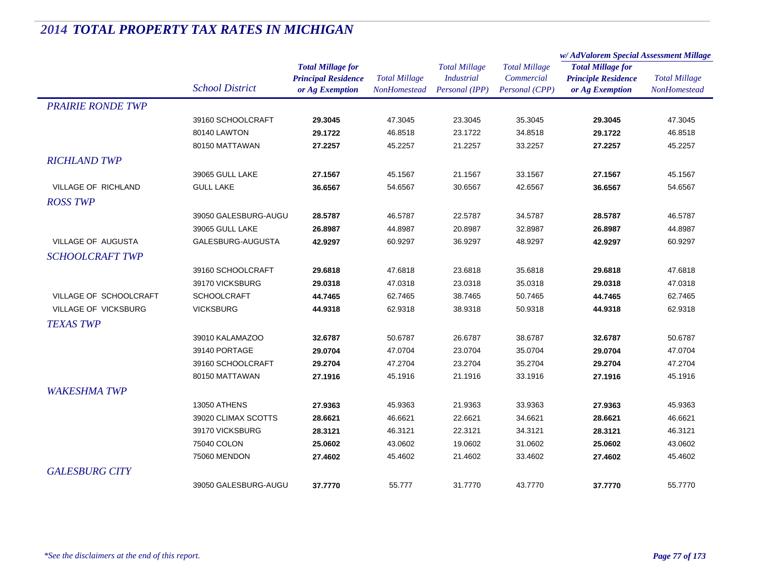|                            |                        |                                                        | <b>Total Millage</b> |                                           |                                    | w/AdValorem Special Assessment Millage                 |                      |
|----------------------------|------------------------|--------------------------------------------------------|----------------------|-------------------------------------------|------------------------------------|--------------------------------------------------------|----------------------|
|                            |                        | <b>Total Millage for</b><br><b>Principal Residence</b> |                      | <b>Total Millage</b><br><b>Industrial</b> | <b>Total Millage</b><br>Commercial | <b>Total Millage for</b><br><b>Principle Residence</b> | <b>Total Millage</b> |
|                            | <b>School District</b> | or Ag Exemption                                        | <b>NonHomestead</b>  | Personal (IPP)                            | Personal (CPP)                     | or Ag Exemption                                        | NonHomestead         |
| <b>PRAIRIE RONDE TWP</b>   |                        |                                                        |                      |                                           |                                    |                                                        |                      |
|                            | 39160 SCHOOLCRAFT      | 29.3045                                                | 47.3045              | 23.3045                                   | 35.3045                            | 29.3045                                                | 47.3045              |
|                            | 80140 LAWTON           | 29.1722                                                | 46.8518              | 23.1722                                   | 34.8518                            | 29.1722                                                | 46.8518              |
|                            | 80150 MATTAWAN         | 27.2257                                                | 45.2257              | 21.2257                                   | 33.2257                            | 27.2257                                                | 45.2257              |
| <b>RICHLAND TWP</b>        |                        |                                                        |                      |                                           |                                    |                                                        |                      |
|                            | 39065 GULL LAKE        | 27.1567                                                | 45.1567              | 21.1567                                   | 33.1567                            | 27.1567                                                | 45.1567              |
| <b>VILLAGE OF RICHLAND</b> | <b>GULL LAKE</b>       | 36.6567                                                | 54.6567              | 30.6567                                   | 42.6567                            | 36.6567                                                | 54.6567              |
| <b>ROSS TWP</b>            |                        |                                                        |                      |                                           |                                    |                                                        |                      |
|                            | 39050 GALESBURG-AUGU   | 28.5787                                                | 46.5787              | 22.5787                                   | 34.5787                            | 28.5787                                                | 46.5787              |
|                            | 39065 GULL LAKE        | 26.8987                                                | 44.8987              | 20.8987                                   | 32.8987                            | 26.8987                                                | 44.8987              |
| <b>VILLAGE OF AUGUSTA</b>  | GALESBURG-AUGUSTA      | 42.9297                                                | 60.9297              | 36.9297                                   | 48.9297                            | 42.9297                                                | 60.9297              |
| <b>SCHOOLCRAFT TWP</b>     |                        |                                                        |                      |                                           |                                    |                                                        |                      |
|                            | 39160 SCHOOLCRAFT      | 29.6818                                                | 47.6818              | 23.6818                                   | 35.6818                            | 29.6818                                                | 47.6818              |
|                            | 39170 VICKSBURG        | 29.0318                                                | 47.0318              | 23.0318                                   | 35.0318                            | 29.0318                                                | 47.0318              |
| VILLAGE OF SCHOOLCRAFT     | <b>SCHOOLCRAFT</b>     | 44.7465                                                | 62.7465              | 38.7465                                   | 50.7465                            | 44.7465                                                | 62.7465              |
| VILLAGE OF VICKSBURG       | <b>VICKSBURG</b>       | 44.9318                                                | 62.9318              | 38.9318                                   | 50.9318                            | 44.9318                                                | 62.9318              |
| <b>TEXAS TWP</b>           |                        |                                                        |                      |                                           |                                    |                                                        |                      |
|                            | 39010 KALAMAZOO        | 32.6787                                                | 50.6787              | 26.6787                                   | 38.6787                            | 32.6787                                                | 50.6787              |
|                            | 39140 PORTAGE          | 29.0704                                                | 47.0704              | 23.0704                                   | 35.0704                            | 29.0704                                                | 47.0704              |
|                            | 39160 SCHOOLCRAFT      | 29.2704                                                | 47.2704              | 23.2704                                   | 35.2704                            | 29.2704                                                | 47.2704              |
|                            | 80150 MATTAWAN         | 27.1916                                                | 45.1916              | 21.1916                                   | 33.1916                            | 27.1916                                                | 45.1916              |
| <b>WAKESHMA TWP</b>        |                        |                                                        |                      |                                           |                                    |                                                        |                      |
|                            | 13050 ATHENS           | 27.9363                                                | 45.9363              | 21.9363                                   | 33.9363                            | 27.9363                                                | 45.9363              |
|                            | 39020 CLIMAX SCOTTS    | 28.6621                                                | 46.6621              | 22.6621                                   | 34.6621                            | 28.6621                                                | 46.6621              |
|                            | 39170 VICKSBURG        | 28.3121                                                | 46.3121              | 22.3121                                   | 34.3121                            | 28.3121                                                | 46.3121              |
|                            | 75040 COLON            | 25.0602                                                | 43.0602              | 19.0602                                   | 31.0602                            | 25.0602                                                | 43.0602              |
|                            | 75060 MENDON           | 27.4602                                                | 45.4602              | 21.4602                                   | 33.4602                            | 27.4602                                                | 45.4602              |
| <b>GALESBURG CITY</b>      |                        |                                                        |                      |                                           |                                    |                                                        |                      |
|                            | 39050 GALESBURG-AUGU   | 37.7770                                                | 55.777               | 31.7770                                   | 43.7770                            | 37.7770                                                | 55.7770              |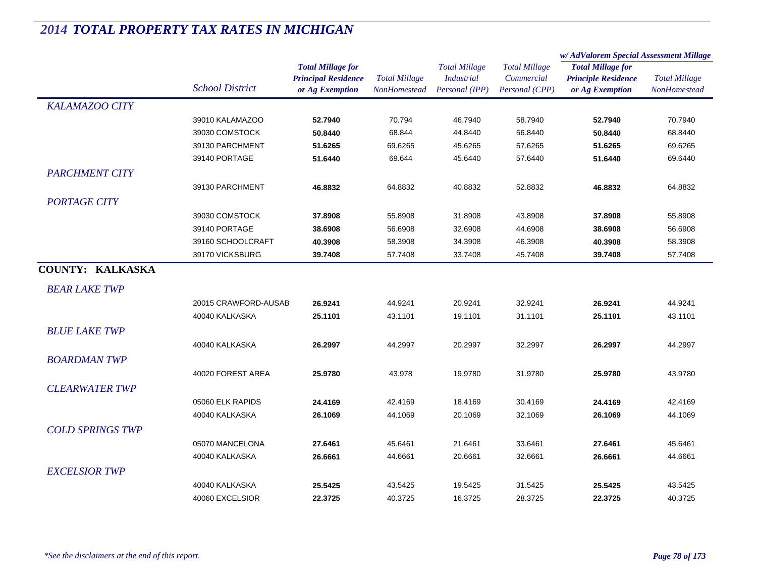|                         |                        | <b>Total Millage for</b><br><b>Principal Residence</b> | <b>Total Millage</b><br><b>NonHomestead</b> | <b>Total Millage</b><br><b>Industrial</b> | <b>Total Millage</b> | w/ AdValorem Special Assessment Millage |                      |
|-------------------------|------------------------|--------------------------------------------------------|---------------------------------------------|-------------------------------------------|----------------------|-----------------------------------------|----------------------|
|                         |                        |                                                        |                                             |                                           |                      | <b>Total Millage for</b>                | <b>Total Millage</b> |
|                         |                        |                                                        |                                             |                                           | Commercial           | <b>Principle Residence</b>              |                      |
|                         | <b>School District</b> | or Ag Exemption                                        |                                             | Personal (IPP)                            | Personal (CPP)       | or Ag Exemption                         | NonHomestead         |
| <b>KALAMAZOO CITY</b>   |                        |                                                        |                                             |                                           |                      |                                         |                      |
|                         | 39010 KALAMAZOO        | 52.7940                                                | 70.794                                      | 46.7940                                   | 58.7940              | 52.7940                                 | 70.7940              |
|                         | 39030 COMSTOCK         | 50.8440                                                | 68.844                                      | 44.8440                                   | 56.8440              | 50.8440                                 | 68.8440              |
|                         | 39130 PARCHMENT        | 51.6265                                                | 69.6265                                     | 45.6265                                   | 57.6265              | 51.6265                                 | 69.6265              |
|                         | 39140 PORTAGE          | 51.6440                                                | 69.644                                      | 45.6440                                   | 57.6440              | 51.6440                                 | 69.6440              |
| <b>PARCHMENT CITY</b>   |                        |                                                        |                                             |                                           |                      |                                         |                      |
|                         | 39130 PARCHMENT        | 46.8832                                                | 64.8832                                     | 40.8832                                   | 52.8832              | 46.8832                                 | 64.8832              |
| <b>PORTAGE CITY</b>     |                        |                                                        |                                             |                                           |                      |                                         |                      |
|                         | 39030 COMSTOCK         | 37.8908                                                | 55.8908                                     | 31.8908                                   | 43.8908              | 37.8908                                 | 55.8908              |
|                         | 39140 PORTAGE          | 38.6908                                                | 56.6908                                     | 32.6908                                   | 44.6908              | 38.6908                                 | 56.6908              |
|                         | 39160 SCHOOLCRAFT      | 40.3908                                                | 58.3908                                     | 34.3908                                   | 46.3908              | 40.3908                                 | 58.3908              |
|                         | 39170 VICKSBURG        | 39.7408                                                | 57.7408                                     | 33.7408                                   | 45.7408              | 39.7408                                 | 57.7408              |
| <b>COUNTY: KALKASKA</b> |                        |                                                        |                                             |                                           |                      |                                         |                      |
| <b>BEAR LAKE TWP</b>    |                        |                                                        |                                             |                                           |                      |                                         |                      |
|                         | 20015 CRAWFORD-AUSAB   | 26.9241                                                | 44.9241                                     | 20.9241                                   | 32.9241              | 26.9241                                 | 44.9241              |
|                         | 40040 KALKASKA         | 25.1101                                                | 43.1101                                     | 19.1101                                   | 31.1101              | 25.1101                                 | 43.1101              |
| <b>BLUE LAKE TWP</b>    |                        |                                                        |                                             |                                           |                      |                                         |                      |
|                         | 40040 KALKASKA         | 26.2997                                                | 44.2997                                     | 20.2997                                   | 32.2997              | 26.2997                                 | 44.2997              |
| <b>BOARDMAN TWP</b>     |                        |                                                        |                                             |                                           |                      |                                         |                      |
|                         |                        |                                                        |                                             |                                           |                      |                                         |                      |
|                         | 40020 FOREST AREA      | 25.9780                                                | 43.978                                      | 19.9780                                   | 31.9780              | 25.9780                                 | 43.9780              |
| <b>CLEARWATER TWP</b>   |                        |                                                        |                                             |                                           |                      |                                         |                      |
|                         | 05060 ELK RAPIDS       | 24.4169                                                | 42.4169                                     | 18.4169                                   | 30.4169              | 24.4169                                 | 42.4169              |
|                         | 40040 KALKASKA         | 26.1069                                                | 44.1069                                     | 20.1069                                   | 32.1069              | 26.1069                                 | 44.1069              |
| <b>COLD SPRINGS TWP</b> |                        |                                                        |                                             |                                           |                      |                                         |                      |
|                         | 05070 MANCELONA        | 27.6461                                                | 45.6461                                     | 21.6461                                   | 33.6461              | 27.6461                                 | 45.6461              |
|                         | 40040 KALKASKA         | 26.6661                                                | 44.6661                                     | 20.6661                                   | 32.6661              | 26.6661                                 | 44.6661              |
| <b>EXCELSIOR TWP</b>    |                        |                                                        |                                             |                                           |                      |                                         |                      |
|                         | 40040 KALKASKA         | 25.5425                                                | 43.5425                                     | 19.5425                                   | 31.5425              | 25.5425                                 | 43.5425              |
|                         | 40060 EXCELSIOR        | 22.3725                                                | 40.3725                                     | 16.3725                                   | 28.3725              | 22.3725                                 | 40.3725              |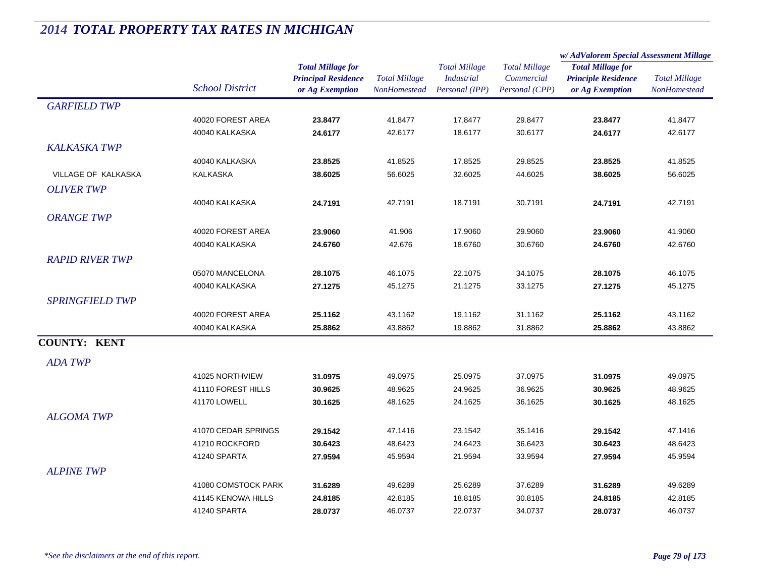|                        |                        |                                                                           |                                      |                                                             |                                                      | w/AdValorem Special Assessment Millage                                    |                                      |
|------------------------|------------------------|---------------------------------------------------------------------------|--------------------------------------|-------------------------------------------------------------|------------------------------------------------------|---------------------------------------------------------------------------|--------------------------------------|
|                        | <b>School District</b> | <b>Total Millage for</b><br><b>Principal Residence</b><br>or Ag Exemption | <b>Total Millage</b><br>NonHomestead | <b>Total Millage</b><br><b>Industrial</b><br>Personal (IPP) | <b>Total Millage</b><br>Commercial<br>Personal (CPP) | <b>Total Millage for</b><br><b>Principle Residence</b><br>or Ag Exemption | <b>Total Millage</b><br>NonHomestead |
| <b>GARFIELD TWP</b>    |                        |                                                                           |                                      |                                                             |                                                      |                                                                           |                                      |
|                        | 40020 FOREST AREA      | 23.8477                                                                   | 41.8477                              | 17.8477                                                     | 29.8477                                              | 23.8477                                                                   | 41.8477                              |
|                        | 40040 KALKASKA         | 24.6177                                                                   | 42.6177                              | 18.6177                                                     | 30.6177                                              | 24.6177                                                                   | 42.6177                              |
| <b>KALKASKA TWP</b>    |                        |                                                                           |                                      |                                                             |                                                      |                                                                           |                                      |
|                        | 40040 KALKASKA         | 23.8525                                                                   | 41.8525                              | 17.8525                                                     | 29.8525                                              | 23.8525                                                                   | 41.8525                              |
| VILLAGE OF KALKASKA    | <b>KALKASKA</b>        | 38.6025                                                                   | 56.6025                              | 32.6025                                                     | 44.6025                                              | 38.6025                                                                   | 56.6025                              |
| <b>OLIVER TWP</b>      |                        |                                                                           |                                      |                                                             |                                                      |                                                                           |                                      |
|                        | 40040 KALKASKA         | 24.7191                                                                   | 42.7191                              | 18.7191                                                     | 30.7191                                              | 24.7191                                                                   | 42.7191                              |
| <b>ORANGE TWP</b>      |                        |                                                                           |                                      |                                                             |                                                      |                                                                           |                                      |
|                        | 40020 FOREST AREA      | 23.9060                                                                   | 41.906                               | 17.9060                                                     | 29.9060                                              | 23.9060                                                                   | 41.9060                              |
|                        | 40040 KALKASKA         | 24.6760                                                                   | 42.676                               | 18.6760                                                     | 30.6760                                              | 24.6760                                                                   | 42.6760                              |
| <b>RAPID RIVER TWP</b> |                        |                                                                           |                                      |                                                             |                                                      |                                                                           |                                      |
|                        | 05070 MANCELONA        | 28.1075                                                                   | 46.1075                              | 22.1075                                                     | 34.1075                                              | 28.1075                                                                   | 46.1075                              |
|                        | 40040 KALKASKA         | 27.1275                                                                   | 45.1275                              | 21.1275                                                     | 33.1275                                              | 27.1275                                                                   | 45.1275                              |
| <b>SPRINGFIELD TWP</b> |                        |                                                                           |                                      |                                                             |                                                      |                                                                           |                                      |
|                        | 40020 FOREST AREA      | 25.1162                                                                   | 43.1162                              | 19.1162                                                     | 31.1162                                              | 25.1162                                                                   | 43.1162                              |
|                        | 40040 KALKASKA         | 25.8862                                                                   | 43.8862                              | 19.8862                                                     | 31.8862                                              | 25.8862                                                                   | 43.8862                              |
| <b>COUNTY: KENT</b>    |                        |                                                                           |                                      |                                                             |                                                      |                                                                           |                                      |
| <b>ADA TWP</b>         |                        |                                                                           |                                      |                                                             |                                                      |                                                                           |                                      |
|                        | 41025 NORTHVIEW        | 31.0975                                                                   | 49.0975                              | 25.0975                                                     | 37.0975                                              | 31.0975                                                                   | 49.0975                              |
|                        | 41110 FOREST HILLS     | 30.9625                                                                   | 48.9625                              | 24.9625                                                     | 36.9625                                              | 30.9625                                                                   | 48.9625                              |
|                        | 41170 LOWELL           | 30.1625                                                                   | 48.1625                              | 24.1625                                                     | 36.1625                                              | 30.1625                                                                   | 48.1625                              |
| <b>ALGOMA TWP</b>      |                        |                                                                           |                                      |                                                             |                                                      |                                                                           |                                      |
|                        | 41070 CEDAR SPRINGS    | 29.1542                                                                   | 47.1416                              | 23.1542                                                     | 35.1416                                              | 29.1542                                                                   | 47.1416                              |
|                        | 41210 ROCKFORD         | 30.6423                                                                   | 48.6423                              | 24.6423                                                     | 36.6423                                              | 30.6423                                                                   | 48.6423                              |
|                        | 41240 SPARTA           | 27.9594                                                                   | 45.9594                              | 21.9594                                                     | 33.9594                                              | 27.9594                                                                   | 45.9594                              |
| <b>ALPINE TWP</b>      |                        |                                                                           |                                      |                                                             |                                                      |                                                                           |                                      |
|                        | 41080 COMSTOCK PARK    | 31.6289                                                                   | 49.6289                              | 25.6289                                                     | 37.6289                                              | 31.6289                                                                   | 49.6289                              |
|                        | 41145 KENOWA HILLS     | 24.8185                                                                   | 42.8185                              | 18.8185                                                     | 30.8185                                              | 24.8185                                                                   | 42.8185                              |
|                        | 41240 SPARTA           | 28.0737                                                                   | 46.0737                              | 22.0737                                                     | 34.0737                                              | 28.0737                                                                   | 46.0737                              |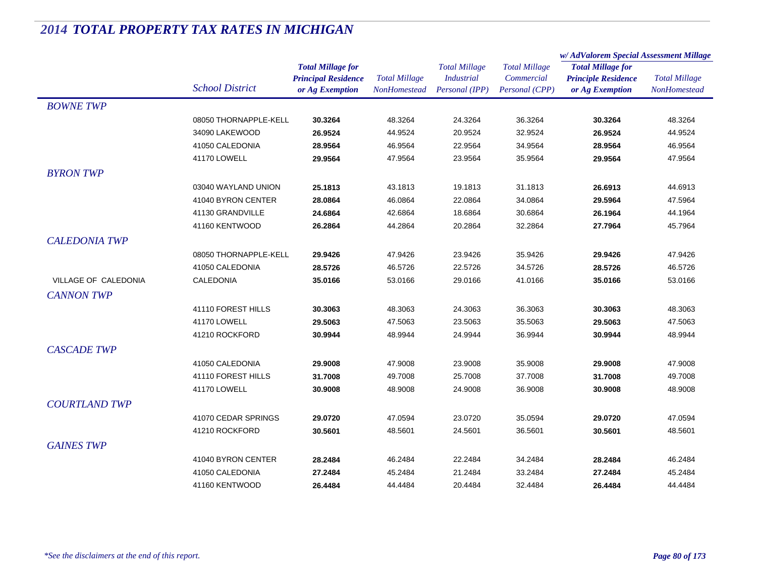|                      |                        | <b>Total Millage for</b>                      | <b>Total Millage</b><br>NonHomestead | <b>Total Millage</b><br><b>Industrial</b> |                              | w/AdValorem Special Assessment Millage        |                                      |
|----------------------|------------------------|-----------------------------------------------|--------------------------------------|-------------------------------------------|------------------------------|-----------------------------------------------|--------------------------------------|
|                      |                        |                                               |                                      |                                           | <b>Total Millage</b>         | <b>Total Millage for</b>                      | <b>Total Millage</b><br>NonHomestead |
|                      | <b>School District</b> | <b>Principal Residence</b><br>or Ag Exemption |                                      | Personal (IPP)                            | Commercial<br>Personal (CPP) | <b>Principle Residence</b><br>or Ag Exemption |                                      |
| <b>BOWNETWP</b>      |                        |                                               |                                      |                                           |                              |                                               |                                      |
|                      | 08050 THORNAPPLE-KELL  | 30.3264                                       | 48.3264                              | 24.3264                                   | 36.3264                      | 30.3264                                       | 48.3264                              |
|                      | 34090 LAKEWOOD         | 26.9524                                       | 44.9524                              | 20.9524                                   | 32.9524                      | 26.9524                                       | 44.9524                              |
|                      | 41050 CALEDONIA        | 28.9564                                       | 46.9564                              | 22.9564                                   | 34.9564                      | 28.9564                                       | 46.9564                              |
|                      | 41170 LOWELL           | 29.9564                                       | 47.9564                              | 23.9564                                   | 35.9564                      | 29.9564                                       | 47.9564                              |
| <b>BYRON TWP</b>     |                        |                                               |                                      |                                           |                              |                                               |                                      |
|                      | 03040 WAYLAND UNION    | 25.1813                                       | 43.1813                              | 19.1813                                   | 31.1813                      | 26.6913                                       | 44.6913                              |
|                      | 41040 BYRON CENTER     | 28.0864                                       | 46.0864                              | 22.0864                                   | 34.0864                      | 29.5964                                       | 47.5964                              |
|                      | 41130 GRANDVILLE       | 24.6864                                       | 42.6864                              | 18.6864                                   | 30.6864                      | 26.1964                                       | 44.1964                              |
|                      | 41160 KENTWOOD         | 26.2864                                       | 44.2864                              | 20.2864                                   | 32.2864                      | 27.7964                                       | 45.7964                              |
| <b>CALEDONIA TWP</b> |                        |                                               |                                      |                                           |                              |                                               |                                      |
|                      | 08050 THORNAPPLE-KELL  | 29.9426                                       | 47.9426                              | 23.9426                                   | 35.9426                      | 29.9426                                       | 47.9426                              |
|                      | 41050 CALEDONIA        | 28.5726                                       | 46.5726                              | 22.5726                                   | 34.5726                      | 28.5726                                       | 46.5726                              |
| VILLAGE OF CALEDONIA | <b>CALEDONIA</b>       | 35.0166                                       | 53.0166                              | 29.0166                                   | 41.0166                      | 35.0166                                       | 53.0166                              |
| <b>CANNON TWP</b>    |                        |                                               |                                      |                                           |                              |                                               |                                      |
|                      | 41110 FOREST HILLS     | 30.3063                                       | 48.3063                              | 24.3063                                   | 36.3063                      | 30.3063                                       | 48.3063                              |
|                      | 41170 LOWELL           | 29.5063                                       | 47.5063                              | 23.5063                                   | 35.5063                      | 29.5063                                       | 47.5063                              |
|                      | 41210 ROCKFORD         | 30.9944                                       | 48.9944                              | 24.9944                                   | 36.9944                      | 30.9944                                       | 48.9944                              |
| <b>CASCADE TWP</b>   |                        |                                               |                                      |                                           |                              |                                               |                                      |
|                      | 41050 CALEDONIA        | 29.9008                                       | 47.9008                              | 23.9008                                   | 35.9008                      | 29.9008                                       | 47.9008                              |
|                      | 41110 FOREST HILLS     | 31.7008                                       | 49.7008                              | 25.7008                                   | 37.7008                      | 31.7008                                       | 49.7008                              |
|                      | 41170 LOWELL           | 30.9008                                       | 48.9008                              | 24.9008                                   | 36.9008                      | 30.9008                                       | 48.9008                              |
| <b>COURTLAND TWP</b> |                        |                                               |                                      |                                           |                              |                                               |                                      |
|                      | 41070 CEDAR SPRINGS    | 29.0720                                       | 47.0594                              | 23.0720                                   | 35.0594                      | 29.0720                                       | 47.0594                              |
|                      | 41210 ROCKFORD         | 30.5601                                       | 48.5601                              | 24.5601                                   | 36.5601                      | 30.5601                                       | 48.5601                              |
| <b>GAINES TWP</b>    |                        |                                               |                                      |                                           |                              |                                               |                                      |
|                      | 41040 BYRON CENTER     | 28.2484                                       | 46.2484                              | 22.2484                                   | 34.2484                      | 28.2484                                       | 46.2484                              |
|                      | 41050 CALEDONIA        | 27.2484                                       | 45.2484                              | 21.2484                                   | 33.2484                      | 27.2484                                       | 45.2484                              |
|                      | 41160 KENTWOOD         | 26.4484                                       | 44.4484                              | 20.4484                                   | 32.4484                      | 26.4484                                       | 44.4484                              |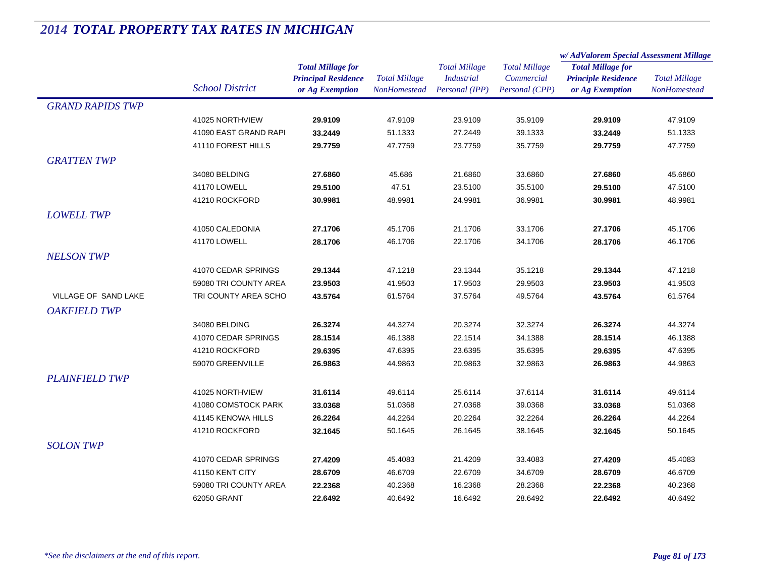|                         |                        | <b>Total Millage for</b>   | <b>Total Millage</b><br><b>NonHomestead</b> | <b>Total Millage</b><br><b>Industrial</b> |                      | w/AdValorem Special Assessment Millage |                                      |
|-------------------------|------------------------|----------------------------|---------------------------------------------|-------------------------------------------|----------------------|----------------------------------------|--------------------------------------|
|                         |                        |                            |                                             |                                           | <b>Total Millage</b> | <b>Total Millage for</b>               | <b>Total Millage</b><br>NonHomestead |
|                         |                        | <b>Principal Residence</b> |                                             |                                           | Commercial           | <b>Principle Residence</b>             |                                      |
|                         | <b>School District</b> | or Ag Exemption            |                                             | Personal (IPP)                            | Personal (CPP)       | or Ag Exemption                        |                                      |
| <b>GRAND RAPIDS TWP</b> |                        |                            |                                             |                                           |                      |                                        |                                      |
|                         | 41025 NORTHVIEW        | 29.9109                    | 47.9109                                     | 23.9109                                   | 35.9109              | 29.9109                                | 47.9109                              |
|                         | 41090 EAST GRAND RAPI  | 33.2449                    | 51.1333                                     | 27.2449                                   | 39.1333              | 33.2449                                | 51.1333                              |
|                         | 41110 FOREST HILLS     | 29.7759                    | 47.7759                                     | 23.7759                                   | 35.7759              | 29.7759                                | 47.7759                              |
| <b>GRATTEN TWP</b>      |                        |                            |                                             |                                           |                      |                                        |                                      |
|                         | 34080 BELDING          | 27.6860                    | 45.686                                      | 21.6860                                   | 33.6860              | 27.6860                                | 45.6860                              |
|                         | 41170 LOWELL           | 29.5100                    | 47.51                                       | 23.5100                                   | 35.5100              | 29.5100                                | 47.5100                              |
|                         | 41210 ROCKFORD         | 30.9981                    | 48.9981                                     | 24.9981                                   | 36.9981              | 30.9981                                | 48.9981                              |
| <b>LOWELL TWP</b>       |                        |                            |                                             |                                           |                      |                                        |                                      |
|                         | 41050 CALEDONIA        | 27.1706                    | 45.1706                                     | 21.1706                                   | 33.1706              | 27.1706                                | 45.1706                              |
|                         | 41170 LOWELL           | 28.1706                    | 46.1706                                     | 22.1706                                   | 34.1706              | 28.1706                                | 46.1706                              |
| <b>NELSON TWP</b>       |                        |                            |                                             |                                           |                      |                                        |                                      |
|                         | 41070 CEDAR SPRINGS    | 29.1344                    | 47.1218                                     | 23.1344                                   | 35.1218              | 29.1344                                | 47.1218                              |
|                         | 59080 TRI COUNTY AREA  | 23.9503                    | 41.9503                                     | 17.9503                                   | 29.9503              | 23.9503                                | 41.9503                              |
| VILLAGE OF SAND LAKE    | TRI COUNTY AREA SCHO   | 43.5764                    | 61.5764                                     | 37.5764                                   | 49.5764              | 43.5764                                | 61.5764                              |
|                         |                        |                            |                                             |                                           |                      |                                        |                                      |
| <b>OAKFIELD TWP</b>     |                        |                            |                                             |                                           |                      |                                        |                                      |
|                         | 34080 BELDING          | 26.3274                    | 44.3274                                     | 20.3274                                   | 32.3274              | 26.3274                                | 44.3274                              |
|                         | 41070 CEDAR SPRINGS    | 28.1514                    | 46.1388                                     | 22.1514                                   | 34.1388              | 28.1514                                | 46.1388                              |
|                         | 41210 ROCKFORD         | 29.6395                    | 47.6395                                     | 23.6395                                   | 35.6395              | 29.6395                                | 47.6395                              |
|                         | 59070 GREENVILLE       | 26.9863                    | 44.9863                                     | 20.9863                                   | 32.9863              | 26.9863                                | 44.9863                              |
| <b>PLAINFIELD TWP</b>   |                        |                            |                                             |                                           |                      |                                        |                                      |
|                         | 41025 NORTHVIEW        | 31.6114                    | 49.6114                                     | 25.6114                                   | 37.6114              | 31.6114                                | 49.6114                              |
|                         | 41080 COMSTOCK PARK    | 33.0368                    | 51.0368                                     | 27.0368                                   | 39.0368              | 33.0368                                | 51.0368                              |
|                         | 41145 KENOWA HILLS     | 26.2264                    | 44.2264                                     | 20.2264                                   | 32.2264              | 26.2264                                | 44.2264                              |
|                         | 41210 ROCKFORD         | 32.1645                    | 50.1645                                     | 26.1645                                   | 38.1645              | 32.1645                                | 50.1645                              |
| <b>SOLON TWP</b>        |                        |                            |                                             |                                           |                      |                                        |                                      |
|                         | 41070 CEDAR SPRINGS    | 27.4209                    | 45.4083                                     | 21.4209                                   | 33.4083              | 27.4209                                | 45.4083                              |
|                         | 41150 KENT CITY        | 28.6709                    | 46.6709                                     | 22.6709                                   | 34.6709              | 28.6709                                | 46.6709                              |
|                         | 59080 TRI COUNTY AREA  | 22.2368                    | 40.2368                                     | 16.2368                                   | 28.2368              | 22.2368                                | 40.2368                              |
|                         | 62050 GRANT            | 22.6492                    | 40.6492                                     | 16.6492                                   | 28.6492              | 22.6492                                | 40.6492                              |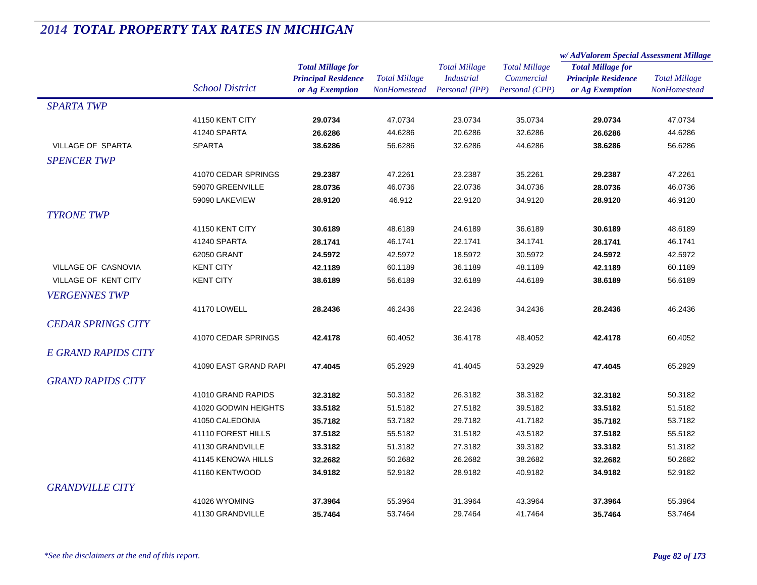|                            |                        |                            |                      | <b>Total Millage</b><br><b>Industrial</b> | <b>Total Millage</b> | w/AdValorem Special Assessment Millage                 |                                             |
|----------------------------|------------------------|----------------------------|----------------------|-------------------------------------------|----------------------|--------------------------------------------------------|---------------------------------------------|
|                            |                        | <b>Total Millage for</b>   |                      |                                           |                      | <b>Total Millage for</b><br><b>Principle Residence</b> | <b>Total Millage</b><br><b>NonHomestead</b> |
|                            |                        | <b>Principal Residence</b> | <b>Total Millage</b> |                                           | Commercial           |                                                        |                                             |
|                            | <b>School District</b> | or Ag Exemption            | NonHomestead         | Personal (IPP)                            | Personal (CPP)       | or Ag Exemption                                        |                                             |
| <b>SPARTA TWP</b>          |                        |                            |                      |                                           |                      |                                                        |                                             |
|                            | 41150 KENT CITY        | 29.0734                    | 47.0734              | 23.0734                                   | 35.0734              | 29.0734                                                | 47.0734                                     |
|                            | 41240 SPARTA           | 26.6286                    | 44.6286              | 20.6286                                   | 32.6286              | 26.6286                                                | 44.6286                                     |
| VILLAGE OF SPARTA          | <b>SPARTA</b>          | 38.6286                    | 56.6286              | 32.6286                                   | 44.6286              | 38.6286                                                | 56.6286                                     |
| <b>SPENCER TWP</b>         |                        |                            |                      |                                           |                      |                                                        |                                             |
|                            | 41070 CEDAR SPRINGS    | 29.2387                    | 47.2261              | 23.2387                                   | 35.2261              | 29.2387                                                | 47.2261                                     |
|                            | 59070 GREENVILLE       | 28.0736                    | 46.0736              | 22.0736                                   | 34.0736              | 28.0736                                                | 46.0736                                     |
|                            | 59090 LAKEVIEW         | 28.9120                    | 46.912               | 22.9120                                   | 34.9120              | 28.9120                                                | 46.9120                                     |
| <b>TYRONE TWP</b>          |                        |                            |                      |                                           |                      |                                                        |                                             |
|                            | 41150 KENT CITY        | 30.6189                    | 48.6189              | 24.6189                                   | 36.6189              | 30.6189                                                | 48.6189                                     |
|                            | 41240 SPARTA           | 28.1741                    | 46.1741              | 22.1741                                   | 34.1741              | 28.1741                                                | 46.1741                                     |
|                            | 62050 GRANT            | 24.5972                    | 42.5972              | 18.5972                                   | 30.5972              | 24.5972                                                | 42.5972                                     |
| VILLAGE OF CASNOVIA        | <b>KENT CITY</b>       | 42.1189                    | 60.1189              | 36.1189                                   | 48.1189              | 42.1189                                                | 60.1189                                     |
| VILLAGE OF KENT CITY       | <b>KENT CITY</b>       | 38.6189                    | 56.6189              | 32.6189                                   | 44.6189              | 38.6189                                                | 56.6189                                     |
| <b>VERGENNES TWP</b>       |                        |                            |                      |                                           |                      |                                                        |                                             |
|                            | 41170 LOWELL           | 28.2436                    | 46.2436              | 22.2436                                   | 34.2436              | 28.2436                                                | 46.2436                                     |
| <b>CEDAR SPRINGS CITY</b>  |                        |                            |                      |                                           |                      |                                                        |                                             |
|                            | 41070 CEDAR SPRINGS    | 42.4178                    | 60.4052              | 36.4178                                   | 48.4052              | 42.4178                                                | 60.4052                                     |
| <b>E GRAND RAPIDS CITY</b> |                        |                            |                      |                                           |                      |                                                        |                                             |
|                            |                        |                            |                      |                                           |                      |                                                        |                                             |
|                            | 41090 EAST GRAND RAPI  | 47.4045                    | 65.2929              | 41.4045                                   | 53.2929              | 47.4045                                                | 65.2929                                     |
| <b>GRAND RAPIDS CITY</b>   |                        |                            |                      |                                           |                      |                                                        |                                             |
|                            | 41010 GRAND RAPIDS     | 32.3182                    | 50.3182              | 26.3182                                   | 38.3182              | 32.3182                                                | 50.3182                                     |
|                            | 41020 GODWIN HEIGHTS   | 33.5182                    | 51.5182              | 27.5182                                   | 39.5182              | 33.5182                                                | 51.5182                                     |
|                            | 41050 CALEDONIA        | 35.7182                    | 53.7182              | 29.7182                                   | 41.7182              | 35.7182                                                | 53.7182                                     |
|                            | 41110 FOREST HILLS     | 37.5182                    | 55.5182              | 31.5182                                   | 43.5182              | 37.5182                                                | 55.5182                                     |
|                            | 41130 GRANDVILLE       | 33.3182                    | 51.3182              | 27.3182                                   | 39.3182              | 33.3182                                                | 51.3182                                     |
|                            | 41145 KENOWA HILLS     | 32.2682                    | 50.2682              | 26.2682                                   | 38.2682              | 32.2682                                                | 50.2682                                     |
|                            | 41160 KENTWOOD         | 34.9182                    | 52.9182              | 28.9182                                   | 40.9182              | 34.9182                                                | 52.9182                                     |
| <b>GRANDVILLE CITY</b>     |                        |                            |                      |                                           |                      |                                                        |                                             |
|                            | 41026 WYOMING          | 37.3964                    | 55.3964              | 31.3964                                   | 43.3964              | 37.3964                                                | 55.3964                                     |
|                            | 41130 GRANDVILLE       | 35.7464                    | 53.7464              | 29.7464                                   | 41.7464              | 35.7464                                                | 53.7464                                     |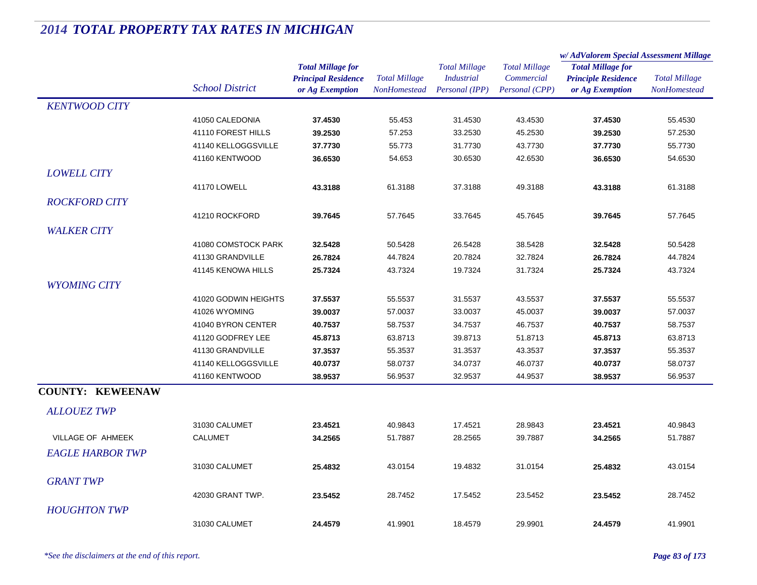|                         |                        |                            |                      | <b>Total Millage</b><br><b>Industrial</b> | <b>Total Millage</b> | w/AdValorem Special Assessment Millage |                      |
|-------------------------|------------------------|----------------------------|----------------------|-------------------------------------------|----------------------|----------------------------------------|----------------------|
|                         |                        | <b>Total Millage for</b>   |                      |                                           |                      | <b>Total Millage for</b>               | <b>Total Millage</b> |
|                         |                        | <b>Principal Residence</b> | <b>Total Millage</b> |                                           | Commercial           | <b>Principle Residence</b>             |                      |
|                         | <b>School District</b> | or Ag Exemption            | NonHomestead         | Personal (IPP)                            | Personal (CPP)       | or Ag Exemption                        | NonHomestead         |
| <b>KENTWOOD CITY</b>    |                        |                            |                      |                                           |                      |                                        |                      |
|                         | 41050 CALEDONIA        | 37.4530                    | 55.453               | 31.4530                                   | 43.4530              | 37.4530                                | 55.4530              |
|                         | 41110 FOREST HILLS     | 39.2530                    | 57.253               | 33.2530                                   | 45.2530              | 39.2530                                | 57.2530              |
|                         | 41140 KELLOGGSVILLE    | 37.7730                    | 55.773               | 31.7730                                   | 43.7730              | 37.7730                                | 55.7730              |
|                         | 41160 KENTWOOD         | 36.6530                    | 54.653               | 30.6530                                   | 42.6530              | 36.6530                                | 54.6530              |
| <b>LOWELL CITY</b>      |                        |                            |                      |                                           |                      |                                        |                      |
|                         | 41170 LOWELL           | 43.3188                    | 61.3188              | 37.3188                                   | 49.3188              | 43.3188                                | 61.3188              |
| <b>ROCKFORD CITY</b>    |                        |                            |                      |                                           |                      |                                        |                      |
|                         | 41210 ROCKFORD         | 39.7645                    | 57.7645              | 33.7645                                   | 45.7645              | 39.7645                                | 57.7645              |
| <b>WALKER CITY</b>      |                        |                            |                      |                                           |                      |                                        |                      |
|                         | 41080 COMSTOCK PARK    | 32.5428                    | 50.5428              | 26.5428                                   | 38.5428              | 32.5428                                | 50.5428              |
|                         | 41130 GRANDVILLE       | 26.7824                    | 44.7824              | 20.7824                                   | 32.7824              | 26.7824                                | 44.7824              |
|                         | 41145 KENOWA HILLS     | 25.7324                    | 43.7324              | 19.7324                                   | 31.7324              | 25.7324                                | 43.7324              |
| <b>WYOMING CITY</b>     |                        |                            |                      |                                           |                      |                                        |                      |
|                         | 41020 GODWIN HEIGHTS   | 37.5537                    | 55.5537              | 31.5537                                   | 43.5537              | 37.5537                                | 55.5537              |
|                         | 41026 WYOMING          | 39.0037                    | 57.0037              | 33.0037                                   | 45.0037              | 39.0037                                | 57.0037              |
|                         | 41040 BYRON CENTER     | 40.7537                    | 58.7537              | 34.7537                                   | 46.7537              | 40.7537                                | 58.7537              |
|                         | 41120 GODFREY LEE      | 45.8713                    | 63.8713              | 39.8713                                   | 51.8713              | 45.8713                                | 63.8713              |
|                         | 41130 GRANDVILLE       | 37.3537                    | 55.3537              | 31.3537                                   | 43.3537              | 37.3537                                | 55.3537              |
|                         | 41140 KELLOGGSVILLE    | 40.0737                    | 58.0737              | 34.0737                                   | 46.0737              | 40.0737                                | 58.0737              |
|                         | 41160 KENTWOOD         | 38.9537                    | 56.9537              | 32.9537                                   | 44.9537              | 38.9537                                | 56.9537              |
| <b>COUNTY: KEWEENAW</b> |                        |                            |                      |                                           |                      |                                        |                      |
| <b>ALLOUEZ TWP</b>      |                        |                            |                      |                                           |                      |                                        |                      |
|                         | 31030 CALUMET          | 23.4521                    | 40.9843              | 17.4521                                   | 28.9843              | 23.4521                                | 40.9843              |
| VILLAGE OF AHMEEK       | <b>CALUMET</b>         | 34.2565                    | 51.7887              | 28.2565                                   | 39.7887              | 34.2565                                | 51.7887              |
| <b>EAGLE HARBOR TWP</b> |                        |                            |                      |                                           |                      |                                        |                      |
|                         | 31030 CALUMET          | 25.4832                    | 43.0154              | 19.4832                                   | 31.0154              | 25.4832                                | 43.0154              |
| <b>GRANT TWP</b>        |                        |                            |                      |                                           |                      |                                        |                      |
|                         | 42030 GRANT TWP.       | 23.5452                    | 28.7452              | 17.5452                                   | 23.5452              | 23.5452                                | 28.7452              |
| <b>HOUGHTON TWP</b>     |                        |                            |                      |                                           |                      |                                        |                      |
|                         | 31030 CALUMET          | 24.4579                    | 41.9901              | 18.4579                                   | 29.9901              | 24.4579                                | 41.9901              |
|                         |                        |                            |                      |                                           |                      |                                        |                      |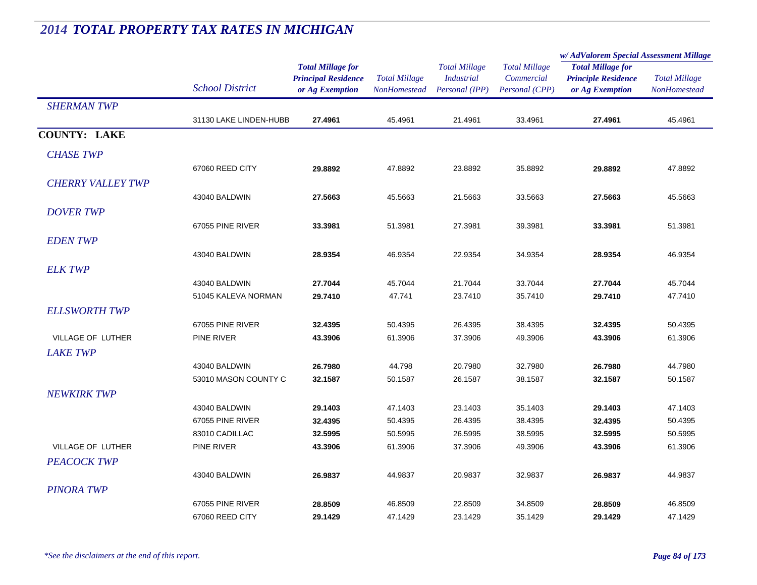|                          |                        |                            | <b>Total Millage</b><br>NonHomestead | <b>Total Millage</b><br><i>Industrial</i> | <b>Total Millage</b> | w/ AdValorem Special Assessment Millage |                      |
|--------------------------|------------------------|----------------------------|--------------------------------------|-------------------------------------------|----------------------|-----------------------------------------|----------------------|
|                          |                        | <b>Total Millage for</b>   |                                      |                                           |                      | <b>Total Millage for</b>                | <b>Total Millage</b> |
|                          |                        | <b>Principal Residence</b> |                                      |                                           | Commercial           | <b>Principle Residence</b>              |                      |
|                          | <b>School District</b> | or Ag Exemption            |                                      | Personal (IPP)                            | Personal (CPP)       | or Ag Exemption                         | <b>NonHomestead</b>  |
| <b>SHERMAN TWP</b>       |                        |                            |                                      |                                           |                      |                                         |                      |
|                          | 31130 LAKE LINDEN-HUBB | 27.4961                    | 45.4961                              | 21.4961                                   | 33.4961              | 27.4961                                 | 45.4961              |
| <b>COUNTY: LAKE</b>      |                        |                            |                                      |                                           |                      |                                         |                      |
| <b>CHASE TWP</b>         |                        |                            |                                      |                                           |                      |                                         |                      |
|                          | 67060 REED CITY        | 29.8892                    | 47.8892                              | 23.8892                                   | 35.8892              | 29.8892                                 | 47.8892              |
| <b>CHERRY VALLEY TWP</b> |                        |                            |                                      |                                           |                      |                                         |                      |
|                          | 43040 BALDWIN          | 27.5663                    | 45.5663                              | 21.5663                                   | 33.5663              | 27.5663                                 | 45.5663              |
| <b>DOVER TWP</b>         |                        |                            |                                      |                                           |                      |                                         |                      |
|                          | 67055 PINE RIVER       | 33.3981                    | 51.3981                              | 27.3981                                   | 39.3981              | 33.3981                                 | 51.3981              |
| <b>EDENTWP</b>           |                        |                            |                                      |                                           |                      |                                         |                      |
|                          | 43040 BALDWIN          | 28.9354                    | 46.9354                              | 22.9354                                   | 34.9354              | 28.9354                                 | 46.9354              |
| <b>ELK TWP</b>           |                        |                            |                                      |                                           |                      |                                         |                      |
|                          | 43040 BALDWIN          | 27.7044                    | 45.7044                              | 21.7044                                   | 33.7044              | 27.7044                                 | 45.7044              |
|                          | 51045 KALEVA NORMAN    | 29.7410                    | 47.741                               | 23.7410                                   | 35.7410              | 29.7410                                 | 47.7410              |
| <b>ELLSWORTH TWP</b>     |                        |                            |                                      |                                           |                      |                                         |                      |
|                          | 67055 PINE RIVER       | 32.4395                    | 50.4395                              | 26.4395                                   | 38.4395              | 32.4395                                 | 50.4395              |
| VILLAGE OF LUTHER        | PINE RIVER             | 43.3906                    | 61.3906                              | 37.3906                                   | 49.3906              | 43.3906                                 | 61.3906              |
| <b>LAKE TWP</b>          |                        |                            |                                      |                                           |                      |                                         |                      |
|                          | 43040 BALDWIN          | 26.7980                    | 44.798                               | 20.7980                                   | 32.7980              | 26.7980                                 | 44.7980              |
|                          | 53010 MASON COUNTY C   | 32.1587                    | 50.1587                              | 26.1587                                   | 38.1587              | 32.1587                                 | 50.1587              |
| <b>NEWKIRK TWP</b>       |                        |                            |                                      |                                           |                      |                                         |                      |
|                          | 43040 BALDWIN          | 29.1403                    | 47.1403                              | 23.1403                                   | 35.1403              | 29.1403                                 | 47.1403              |
|                          | 67055 PINE RIVER       | 32.4395                    | 50.4395                              | 26.4395                                   | 38.4395              | 32.4395                                 | 50.4395              |
|                          | 83010 CADILLAC         | 32.5995                    | 50.5995                              | 26.5995                                   | 38.5995              | 32.5995                                 | 50.5995              |
| VILLAGE OF LUTHER        | PINE RIVER             | 43.3906                    | 61.3906                              | 37.3906                                   | 49.3906              | 43.3906                                 | 61.3906              |
| <b>PEACOCK TWP</b>       |                        |                            |                                      |                                           |                      |                                         |                      |
|                          | 43040 BALDWIN          | 26.9837                    | 44.9837                              | 20.9837                                   | 32.9837              | 26.9837                                 | 44.9837              |
| <b>PINORA TWP</b>        |                        |                            |                                      |                                           |                      |                                         |                      |
|                          | 67055 PINE RIVER       | 28.8509                    | 46.8509                              | 22.8509                                   | 34.8509              | 28.8509                                 | 46.8509              |
|                          | 67060 REED CITY        | 29.1429                    | 47.1429                              | 23.1429                                   | 35.1429              | 29.1429                                 | 47.1429              |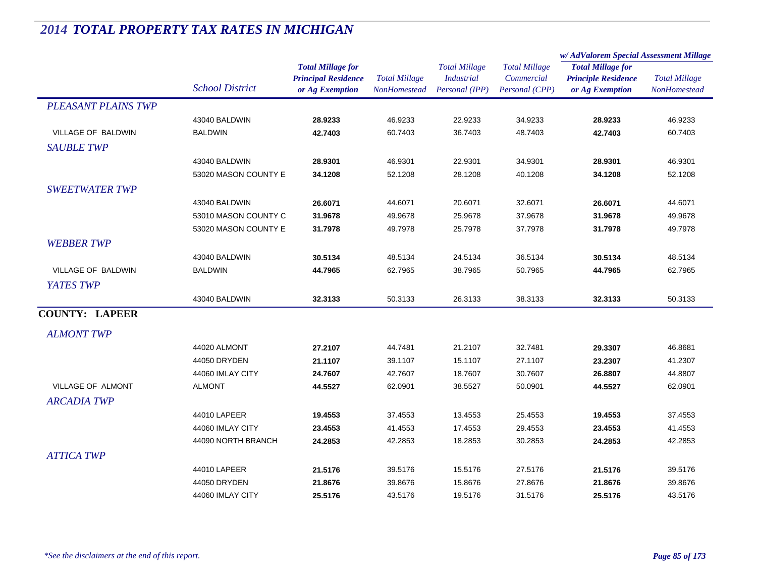|                            |                        |                                               | <b>Total Millage</b><br>NonHomestead | <b>Total Millage</b>                | <b>Total Millage</b><br>Commercial<br>Personal (CPP) | w/ AdValorem Special Assessment Millage       |                                      |
|----------------------------|------------------------|-----------------------------------------------|--------------------------------------|-------------------------------------|------------------------------------------------------|-----------------------------------------------|--------------------------------------|
|                            |                        | <b>Total Millage for</b>                      |                                      |                                     |                                                      | <b>Total Millage for</b>                      | <b>Total Millage</b><br>NonHomestead |
|                            | <b>School District</b> | <b>Principal Residence</b><br>or Ag Exemption |                                      | <b>Industrial</b><br>Personal (IPP) |                                                      | <b>Principle Residence</b><br>or Ag Exemption |                                      |
|                            |                        |                                               |                                      |                                     |                                                      |                                               |                                      |
| <b>PLEASANT PLAINS TWP</b> |                        |                                               |                                      |                                     |                                                      |                                               |                                      |
|                            | 43040 BALDWIN          | 28.9233                                       | 46.9233                              | 22.9233                             | 34.9233                                              | 28.9233                                       | 46.9233                              |
| VILLAGE OF BALDWIN         | <b>BALDWIN</b>         | 42.7403                                       | 60.7403                              | 36.7403                             | 48.7403                                              | 42.7403                                       | 60.7403                              |
| <b>SAUBLE TWP</b>          |                        |                                               |                                      |                                     |                                                      |                                               |                                      |
|                            | 43040 BALDWIN          | 28.9301                                       | 46.9301                              | 22.9301                             | 34.9301                                              | 28.9301                                       | 46.9301                              |
|                            | 53020 MASON COUNTY E   | 34.1208                                       | 52.1208                              | 28.1208                             | 40.1208                                              | 34.1208                                       | 52.1208                              |
| <b>SWEETWATER TWP</b>      |                        |                                               |                                      |                                     |                                                      |                                               |                                      |
|                            | 43040 BALDWIN          | 26.6071                                       | 44.6071                              | 20.6071                             | 32.6071                                              | 26.6071                                       | 44.6071                              |
|                            | 53010 MASON COUNTY C   | 31.9678                                       | 49.9678                              | 25.9678                             | 37.9678                                              | 31.9678                                       | 49.9678                              |
|                            | 53020 MASON COUNTY E   | 31.7978                                       | 49.7978                              | 25.7978                             | 37.7978                                              | 31.7978                                       | 49.7978                              |
| <b>WEBBER TWP</b>          |                        |                                               |                                      |                                     |                                                      |                                               |                                      |
|                            | 43040 BALDWIN          |                                               | 48.5134                              | 24.5134                             | 36.5134                                              |                                               | 48.5134                              |
| VILLAGE OF BALDWIN         | <b>BALDWIN</b>         | 30.5134<br>44.7965                            | 62.7965                              | 38.7965                             | 50.7965                                              | 30.5134<br>44.7965                            | 62.7965                              |
|                            |                        |                                               |                                      |                                     |                                                      |                                               |                                      |
| YATES TWP                  |                        |                                               |                                      |                                     |                                                      |                                               |                                      |
|                            | 43040 BALDWIN          | 32.3133                                       | 50.3133                              | 26.3133                             | 38.3133                                              | 32.3133                                       | 50.3133                              |
| <b>COUNTY: LAPEER</b>      |                        |                                               |                                      |                                     |                                                      |                                               |                                      |
| <b>ALMONT TWP</b>          |                        |                                               |                                      |                                     |                                                      |                                               |                                      |
|                            | 44020 ALMONT           | 27.2107                                       | 44.7481                              | 21.2107                             | 32.7481                                              | 29.3307                                       | 46.8681                              |
|                            | 44050 DRYDEN           | 21.1107                                       | 39.1107                              | 15.1107                             | 27.1107                                              | 23.2307                                       | 41.2307                              |
|                            | 44060 IMLAY CITY       | 24.7607                                       | 42.7607                              | 18.7607                             | 30.7607                                              | 26.8807                                       | 44.8807                              |
| VILLAGE OF ALMONT          | <b>ALMONT</b>          | 44.5527                                       | 62.0901                              | 38.5527                             | 50.0901                                              | 44.5527                                       | 62.0901                              |
| <b>ARCADIA TWP</b>         |                        |                                               |                                      |                                     |                                                      |                                               |                                      |
|                            | 44010 LAPEER           | 19.4553                                       | 37.4553                              | 13.4553                             | 25.4553                                              | 19.4553                                       | 37.4553                              |
|                            | 44060 IMLAY CITY       | 23.4553                                       | 41.4553                              | 17.4553                             | 29.4553                                              | 23.4553                                       | 41.4553                              |
|                            | 44090 NORTH BRANCH     | 24.2853                                       | 42.2853                              | 18.2853                             | 30.2853                                              | 24.2853                                       | 42.2853                              |
|                            |                        |                                               |                                      |                                     |                                                      |                                               |                                      |
| <b>ATTICA TWP</b>          |                        |                                               |                                      |                                     |                                                      |                                               |                                      |
|                            | 44010 LAPEER           | 21.5176                                       | 39.5176                              | 15.5176                             | 27.5176                                              | 21.5176                                       | 39.5176                              |
|                            | 44050 DRYDEN           | 21.8676                                       | 39.8676                              | 15.8676                             | 27.8676                                              | 21.8676                                       | 39.8676                              |
|                            | 44060 IMLAY CITY       | 25.5176                                       | 43.5176                              | 19.5176                             | 31.5176                                              | 25.5176                                       | 43.5176                              |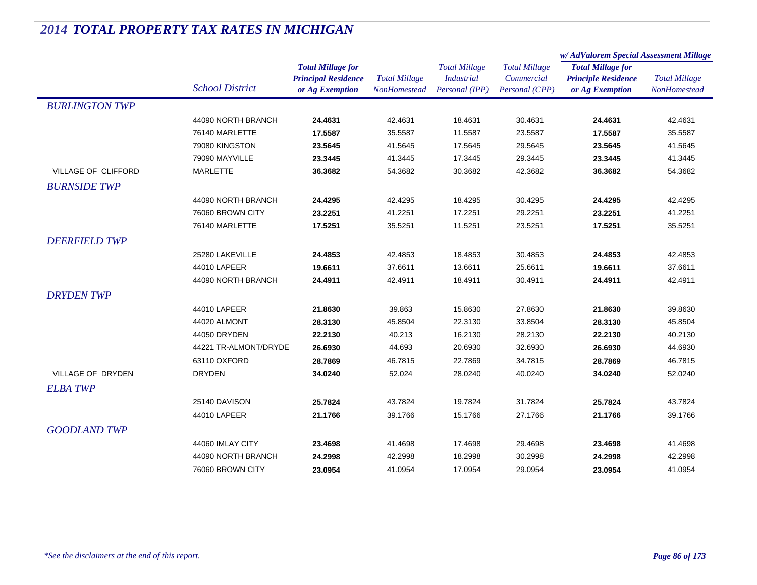|                       |                        |                                                                           |                                      |                                                             |                                                      | w/AdValorem Special Assessment Millage                                    |                                      |
|-----------------------|------------------------|---------------------------------------------------------------------------|--------------------------------------|-------------------------------------------------------------|------------------------------------------------------|---------------------------------------------------------------------------|--------------------------------------|
|                       | <b>School District</b> | <b>Total Millage for</b><br><b>Principal Residence</b><br>or Ag Exemption | <b>Total Millage</b><br>NonHomestead | <b>Total Millage</b><br><b>Industrial</b><br>Personal (IPP) | <b>Total Millage</b><br>Commercial<br>Personal (CPP) | <b>Total Millage for</b><br><b>Principle Residence</b><br>or Ag Exemption | <b>Total Millage</b><br>NonHomestead |
| <b>BURLINGTON TWP</b> |                        |                                                                           |                                      |                                                             |                                                      |                                                                           |                                      |
|                       | 44090 NORTH BRANCH     | 24.4631                                                                   | 42.4631                              | 18.4631                                                     | 30.4631                                              | 24.4631                                                                   | 42.4631                              |
|                       | 76140 MARLETTE         | 17.5587                                                                   | 35.5587                              | 11.5587                                                     | 23.5587                                              | 17.5587                                                                   | 35.5587                              |
|                       | 79080 KINGSTON         | 23.5645                                                                   | 41.5645                              | 17.5645                                                     | 29.5645                                              | 23.5645                                                                   | 41.5645                              |
|                       | 79090 MAYVILLE         | 23.3445                                                                   | 41.3445                              | 17.3445                                                     | 29.3445                                              | 23.3445                                                                   | 41.3445                              |
| VILLAGE OF CLIFFORD   | <b>MARLETTE</b>        | 36.3682                                                                   | 54.3682                              | 30.3682                                                     | 42.3682                                              | 36.3682                                                                   | 54.3682                              |
| <b>BURNSIDE TWP</b>   |                        |                                                                           |                                      |                                                             |                                                      |                                                                           |                                      |
|                       | 44090 NORTH BRANCH     | 24.4295                                                                   | 42.4295                              | 18.4295                                                     | 30.4295                                              | 24.4295                                                                   | 42.4295                              |
|                       | 76060 BROWN CITY       | 23.2251                                                                   | 41.2251                              | 17.2251                                                     | 29.2251                                              | 23.2251                                                                   | 41.2251                              |
|                       | 76140 MARLETTE         | 17.5251                                                                   | 35.5251                              | 11.5251                                                     | 23.5251                                              | 17.5251                                                                   | 35.5251                              |
| <b>DEERFIELD TWP</b>  |                        |                                                                           |                                      |                                                             |                                                      |                                                                           |                                      |
|                       | 25280 LAKEVILLE        | 24.4853                                                                   | 42.4853                              | 18.4853                                                     | 30.4853                                              | 24.4853                                                                   | 42.4853                              |
|                       | 44010 LAPEER           | 19.6611                                                                   | 37.6611                              | 13.6611                                                     | 25.6611                                              | 19.6611                                                                   | 37.6611                              |
|                       | 44090 NORTH BRANCH     | 24.4911                                                                   | 42.4911                              | 18.4911                                                     | 30.4911                                              | 24.4911                                                                   | 42.4911                              |
| <b>DRYDENTWP</b>      |                        |                                                                           |                                      |                                                             |                                                      |                                                                           |                                      |
|                       | 44010 LAPEER           | 21.8630                                                                   | 39.863                               | 15.8630                                                     | 27.8630                                              | 21.8630                                                                   | 39.8630                              |
|                       | 44020 ALMONT           | 28.3130                                                                   | 45.8504                              | 22.3130                                                     | 33.8504                                              | 28.3130                                                                   | 45.8504                              |
|                       | 44050 DRYDEN           | 22.2130                                                                   | 40.213                               | 16.2130                                                     | 28.2130                                              | 22.2130                                                                   | 40.2130                              |
|                       | 44221 TR-ALMONT/DRYDE  | 26.6930                                                                   | 44.693                               | 20.6930                                                     | 32.6930                                              | 26.6930                                                                   | 44.6930                              |
|                       | 63110 OXFORD           | 28.7869                                                                   | 46.7815                              | 22.7869                                                     | 34.7815                                              | 28.7869                                                                   | 46.7815                              |
| VILLAGE OF DRYDEN     | <b>DRYDEN</b>          | 34.0240                                                                   | 52.024                               | 28.0240                                                     | 40.0240                                              | 34.0240                                                                   | 52.0240                              |
| <b>ELBA TWP</b>       |                        |                                                                           |                                      |                                                             |                                                      |                                                                           |                                      |
|                       | 25140 DAVISON          | 25.7824                                                                   | 43.7824                              | 19.7824                                                     | 31.7824                                              | 25.7824                                                                   | 43.7824                              |
|                       | 44010 LAPEER           | 21.1766                                                                   | 39.1766                              | 15.1766                                                     | 27.1766                                              | 21.1766                                                                   | 39.1766                              |
| <b>GOODLAND TWP</b>   |                        |                                                                           |                                      |                                                             |                                                      |                                                                           |                                      |
|                       | 44060 IMLAY CITY       | 23.4698                                                                   | 41.4698                              | 17.4698                                                     | 29.4698                                              | 23.4698                                                                   | 41.4698                              |
|                       | 44090 NORTH BRANCH     | 24.2998                                                                   | 42.2998                              | 18.2998                                                     | 30.2998                                              | 24.2998                                                                   | 42.2998                              |
|                       | 76060 BROWN CITY       | 23.0954                                                                   | 41.0954                              | 17.0954                                                     | 29.0954                                              | 23.0954                                                                   | 41.0954                              |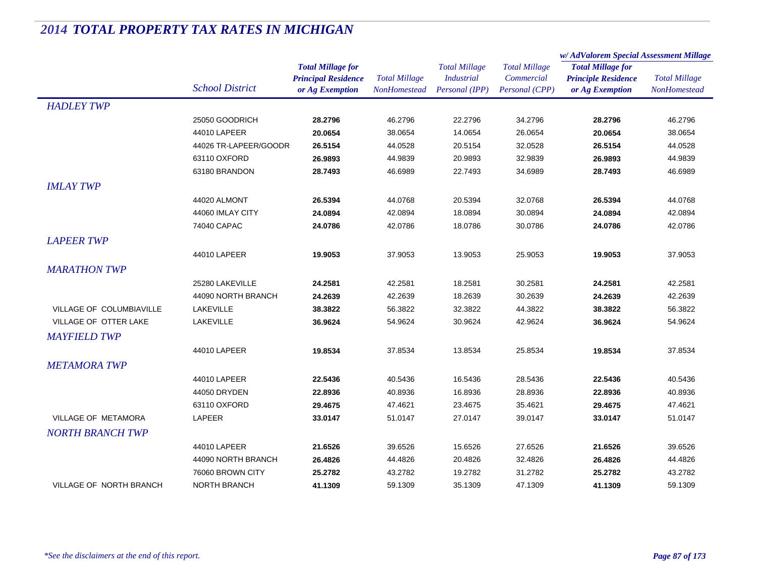|                                 |                        |                                               |                                             | <b>Total Millage</b>                | <b>Total Millage</b>         | w/AdValorem Special Assessment Millage        |                                      |
|---------------------------------|------------------------|-----------------------------------------------|---------------------------------------------|-------------------------------------|------------------------------|-----------------------------------------------|--------------------------------------|
|                                 |                        | <b>Total Millage for</b>                      |                                             |                                     |                              | <b>Total Millage for</b>                      |                                      |
|                                 | <b>School District</b> | <b>Principal Residence</b><br>or Ag Exemption | <b>Total Millage</b><br><b>NonHomestead</b> | <b>Industrial</b><br>Personal (IPP) | Commercial<br>Personal (CPP) | <b>Principle Residence</b><br>or Ag Exemption | <b>Total Millage</b><br>NonHomestead |
| <b>HADLEY TWP</b>               |                        |                                               |                                             |                                     |                              |                                               |                                      |
|                                 | 25050 GOODRICH         | 28.2796                                       | 46.2796                                     | 22.2796                             | 34.2796                      | 28.2796                                       | 46.2796                              |
|                                 | 44010 LAPEER           | 20.0654                                       | 38.0654                                     | 14.0654                             | 26.0654                      | 20.0654                                       | 38.0654                              |
|                                 | 44026 TR-LAPEER/GOODR  | 26.5154                                       | 44.0528                                     | 20.5154                             | 32.0528                      | 26.5154                                       | 44.0528                              |
|                                 | 63110 OXFORD           | 26.9893                                       | 44.9839                                     | 20.9893                             | 32.9839                      | 26.9893                                       | 44.9839                              |
|                                 | 63180 BRANDON          | 28.7493                                       | 46.6989                                     | 22.7493                             | 34.6989                      | 28.7493                                       | 46.6989                              |
| <b>IMLAY TWP</b>                |                        |                                               |                                             |                                     |                              |                                               |                                      |
|                                 | 44020 ALMONT           | 26.5394                                       | 44.0768                                     | 20.5394                             | 32.0768                      | 26.5394                                       | 44.0768                              |
|                                 | 44060 IMLAY CITY       | 24.0894                                       | 42.0894                                     | 18.0894                             | 30.0894                      | 24.0894                                       | 42.0894                              |
|                                 | 74040 CAPAC            | 24.0786                                       | 42.0786                                     | 18.0786                             | 30.0786                      | 24.0786                                       | 42.0786                              |
| <b>LAPEER TWP</b>               |                        |                                               |                                             |                                     |                              |                                               |                                      |
|                                 | 44010 LAPEER           | 19.9053                                       | 37.9053                                     | 13.9053                             | 25.9053                      | 19.9053                                       | 37.9053                              |
| <b>MARATHON TWP</b>             |                        |                                               |                                             |                                     |                              |                                               |                                      |
|                                 | 25280 LAKEVILLE        | 24.2581                                       | 42.2581                                     | 18.2581                             | 30.2581                      | 24.2581                                       | 42.2581                              |
|                                 | 44090 NORTH BRANCH     | 24.2639                                       | 42.2639                                     | 18.2639                             | 30.2639                      | 24.2639                                       | 42.2639                              |
| <b>VILLAGE OF COLUMBIAVILLE</b> | LAKEVILLE              | 38.3822                                       | 56.3822                                     | 32.3822                             | 44.3822                      | 38.3822                                       | 56.3822                              |
| VILLAGE OF OTTER LAKE           | LAKEVILLE              | 36.9624                                       | 54.9624                                     | 30.9624                             | 42.9624                      | 36.9624                                       | 54.9624                              |
| <b>MAYFIELD TWP</b>             |                        |                                               |                                             |                                     |                              |                                               |                                      |
|                                 | 44010 LAPEER           | 19.8534                                       | 37.8534                                     | 13.8534                             | 25.8534                      | 19.8534                                       | 37.8534                              |
| <b>METAMORA TWP</b>             |                        |                                               |                                             |                                     |                              |                                               |                                      |
|                                 | 44010 LAPEER           | 22.5436                                       | 40.5436                                     | 16.5436                             | 28.5436                      | 22.5436                                       | 40.5436                              |
|                                 | 44050 DRYDEN           | 22.8936                                       | 40.8936                                     | 16.8936                             | 28.8936                      | 22.8936                                       | 40.8936                              |
|                                 | 63110 OXFORD           | 29.4675                                       | 47.4621                                     | 23.4675                             | 35.4621                      | 29.4675                                       | 47.4621                              |
| <b>VILLAGE OF METAMORA</b>      | LAPEER                 | 33.0147                                       | 51.0147                                     | 27.0147                             | 39.0147                      | 33.0147                                       | 51.0147                              |
| <b>NORTH BRANCH TWP</b>         |                        |                                               |                                             |                                     |                              |                                               |                                      |
|                                 | 44010 LAPEER           | 21.6526                                       | 39.6526                                     | 15.6526                             | 27.6526                      | 21.6526                                       | 39.6526                              |
|                                 | 44090 NORTH BRANCH     | 26.4826                                       | 44.4826                                     | 20.4826                             | 32.4826                      | 26.4826                                       | 44.4826                              |
|                                 | 76060 BROWN CITY       | 25.2782                                       | 43.2782                                     | 19.2782                             | 31.2782                      | 25.2782                                       | 43.2782                              |
| <b>VILLAGE OF NORTH BRANCH</b>  | <b>NORTH BRANCH</b>    | 41.1309                                       | 59.1309                                     | 35.1309                             | 47.1309                      | 41.1309                                       | 59.1309                              |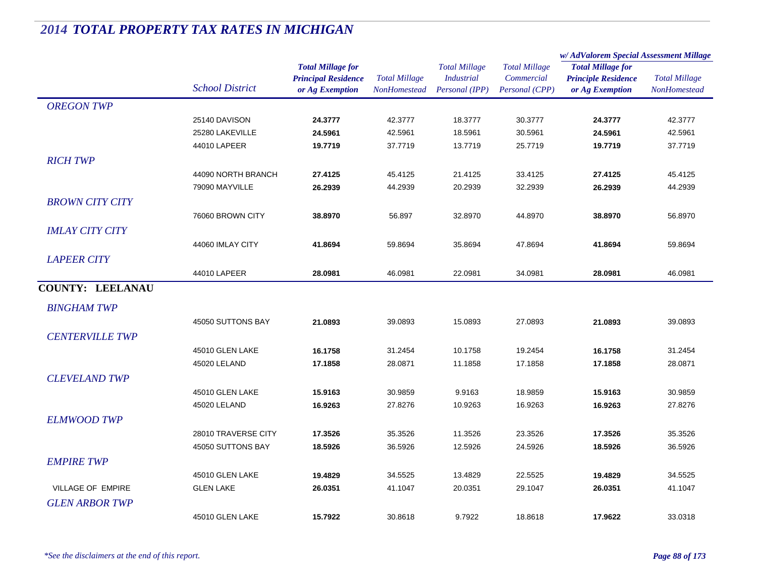|                         |                        | <b>Total Millage for</b><br><b>Principal Residence</b> | <b>Total Millage</b><br>NonHomestead | <b>Total Millage</b><br><i>Industrial</i> | <b>Total Millage</b><br>Commercial | w/AdValorem Special Assessment Millage                 |                      |
|-------------------------|------------------------|--------------------------------------------------------|--------------------------------------|-------------------------------------------|------------------------------------|--------------------------------------------------------|----------------------|
|                         |                        |                                                        |                                      |                                           |                                    | <b>Total Millage for</b><br><b>Principle Residence</b> | <b>Total Millage</b> |
|                         | <b>School District</b> | or Ag Exemption                                        |                                      | Personal (IPP)                            | Personal (CPP)                     | or Ag Exemption                                        | NonHomestead         |
| <b>OREGON TWP</b>       |                        |                                                        |                                      |                                           |                                    |                                                        |                      |
|                         | 25140 DAVISON          | 24.3777                                                | 42.3777                              | 18.3777                                   | 30.3777                            | 24.3777                                                | 42.3777              |
|                         | 25280 LAKEVILLE        | 24.5961                                                | 42.5961                              | 18.5961                                   | 30.5961                            | 24.5961                                                | 42.5961              |
|                         | 44010 LAPEER           | 19.7719                                                | 37.7719                              | 13.7719                                   | 25.7719                            | 19.7719                                                | 37.7719              |
| <b>RICH TWP</b>         |                        |                                                        |                                      |                                           |                                    |                                                        |                      |
|                         | 44090 NORTH BRANCH     | 27.4125                                                | 45.4125                              | 21.4125                                   | 33.4125                            | 27.4125                                                | 45.4125              |
|                         | 79090 MAYVILLE         | 26.2939                                                | 44.2939                              | 20.2939                                   | 32.2939                            | 26.2939                                                | 44.2939              |
| <b>BROWN CITY CITY</b>  |                        |                                                        |                                      |                                           |                                    |                                                        |                      |
|                         | 76060 BROWN CITY       | 38.8970                                                | 56.897                               | 32.8970                                   | 44.8970                            | 38.8970                                                | 56.8970              |
| <b>IMLAY CITY CITY</b>  |                        |                                                        |                                      |                                           |                                    |                                                        |                      |
|                         | 44060 IMLAY CITY       | 41.8694                                                | 59.8694                              | 35.8694                                   | 47.8694                            | 41.8694                                                | 59.8694              |
| <b>LAPEER CITY</b>      |                        |                                                        |                                      |                                           |                                    |                                                        |                      |
|                         | 44010 LAPEER           | 28.0981                                                | 46.0981                              | 22.0981                                   | 34.0981                            | 28.0981                                                | 46.0981              |
| <b>COUNTY: LEELANAU</b> |                        |                                                        |                                      |                                           |                                    |                                                        |                      |
|                         |                        |                                                        |                                      |                                           |                                    |                                                        |                      |
| <b>BINGHAM TWP</b>      |                        |                                                        |                                      |                                           |                                    |                                                        |                      |
|                         | 45050 SUTTONS BAY      | 21.0893                                                | 39.0893                              | 15.0893                                   | 27.0893                            | 21.0893                                                | 39.0893              |
| <b>CENTERVILLE TWP</b>  |                        |                                                        |                                      |                                           |                                    |                                                        |                      |
|                         | 45010 GLEN LAKE        | 16.1758                                                | 31.2454                              | 10.1758                                   | 19.2454                            | 16.1758                                                | 31.2454              |
|                         | 45020 LELAND           | 17.1858                                                | 28.0871                              | 11.1858                                   | 17.1858                            | 17.1858                                                | 28.0871              |
| <b>CLEVELAND TWP</b>    |                        |                                                        |                                      |                                           |                                    |                                                        |                      |
|                         | 45010 GLEN LAKE        | 15.9163                                                | 30.9859                              | 9.9163                                    | 18.9859                            | 15.9163                                                | 30.9859              |
|                         | 45020 LELAND           | 16.9263                                                | 27.8276                              | 10.9263                                   | 16.9263                            | 16.9263                                                | 27.8276              |
| <b>ELMWOOD TWP</b>      |                        |                                                        |                                      |                                           |                                    |                                                        |                      |
|                         | 28010 TRAVERSE CITY    | 17.3526                                                | 35.3526                              | 11.3526                                   | 23.3526                            | 17.3526                                                | 35.3526              |
|                         | 45050 SUTTONS BAY      | 18.5926                                                | 36.5926                              | 12.5926                                   | 24.5926                            | 18.5926                                                | 36.5926              |
| <b>EMPIRE TWP</b>       |                        |                                                        |                                      |                                           |                                    |                                                        |                      |
|                         | 45010 GLEN LAKE        | 19.4829                                                | 34.5525                              | 13.4829                                   | 22.5525                            | 19.4829                                                | 34.5525              |
| VILLAGE OF EMPIRE       | <b>GLEN LAKE</b>       | 26.0351                                                | 41.1047                              | 20.0351                                   | 29.1047                            | 26.0351                                                | 41.1047              |
| <b>GLEN ARBOR TWP</b>   |                        |                                                        |                                      |                                           |                                    |                                                        |                      |
|                         | 45010 GLEN LAKE        | 15.7922                                                | 30.8618                              | 9.7922                                    | 18.8618                            | 17.9622                                                | 33.0318              |
|                         |                        |                                                        |                                      |                                           |                                    |                                                        |                      |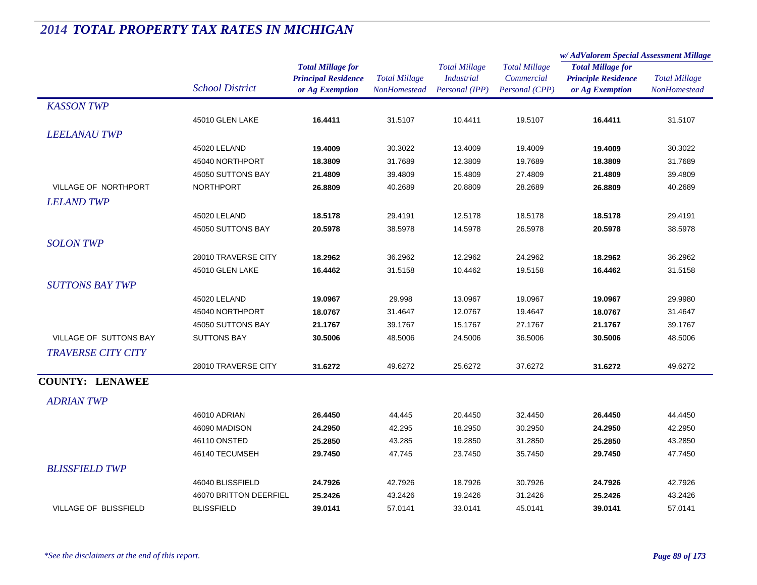|                               |                                 |                            | <b>Total Millage</b><br><b>NonHomestead</b> | <b>Total Millage</b><br><b>Industrial</b> | <b>Total Millage</b> | w/ AdValorem Special Assessment Millage |                      |
|-------------------------------|---------------------------------|----------------------------|---------------------------------------------|-------------------------------------------|----------------------|-----------------------------------------|----------------------|
|                               |                                 | <b>Total Millage for</b>   |                                             |                                           |                      | <b>Total Millage for</b>                |                      |
|                               |                                 | <b>Principal Residence</b> |                                             |                                           | Commercial           | <b>Principle Residence</b>              | <b>Total Millage</b> |
|                               | <b>School District</b>          | or Ag Exemption            |                                             | Personal (IPP)                            | Personal (CPP)       | or Ag Exemption                         | <b>NonHomestead</b>  |
| <b>KASSON TWP</b>             |                                 |                            |                                             |                                           |                      |                                         |                      |
|                               | 45010 GLEN LAKE                 | 16.4411                    | 31.5107                                     | 10.4411                                   | 19.5107              | 16.4411                                 | 31.5107              |
| <b>LEELANAU TWP</b>           |                                 |                            |                                             |                                           |                      |                                         |                      |
|                               | 45020 LELAND                    | 19.4009                    | 30.3022                                     | 13.4009                                   | 19.4009              | 19.4009                                 | 30.3022              |
|                               | 45040 NORTHPORT                 | 18.3809                    | 31.7689                                     | 12.3809                                   | 19.7689              | 18.3809                                 | 31.7689              |
|                               | 45050 SUTTONS BAY               | 21.4809                    | 39.4809                                     | 15.4809                                   | 27.4809              | 21.4809                                 | 39.4809              |
| <b>VILLAGE OF NORTHPORT</b>   | <b>NORTHPORT</b>                | 26.8809                    | 40.2689                                     | 20.8809                                   | 28.2689              | 26.8809                                 | 40.2689              |
| <b>LELAND TWP</b>             |                                 |                            |                                             |                                           |                      |                                         |                      |
|                               | 45020 LELAND                    | 18.5178                    | 29.4191                                     | 12.5178                                   | 18.5178              | 18.5178                                 | 29.4191              |
|                               | 45050 SUTTONS BAY               | 20.5978                    | 38.5978                                     | 14.5978                                   | 26.5978              | 20.5978                                 | 38.5978              |
| <b>SOLON TWP</b>              |                                 |                            |                                             |                                           |                      |                                         |                      |
|                               | 28010 TRAVERSE CITY             | 18.2962                    | 36.2962                                     | 12.2962                                   | 24.2962              | 18.2962                                 | 36.2962              |
|                               | 45010 GLEN LAKE                 | 16.4462                    | 31.5158                                     | 10.4462                                   | 19.5158              | 16.4462                                 | 31.5158              |
| <b>SUTTONS BAY TWP</b>        |                                 |                            |                                             |                                           |                      |                                         |                      |
|                               |                                 |                            |                                             |                                           |                      |                                         |                      |
|                               | 45020 LELAND<br>45040 NORTHPORT | 19.0967<br>18.0767         | 29.998<br>31.4647                           | 13.0967<br>12.0767                        | 19.0967<br>19.4647   | 19.0967                                 | 29.9980<br>31.4647   |
|                               | 45050 SUTTONS BAY               | 21.1767                    | 39.1767                                     | 15.1767                                   | 27.1767              | 18.0767<br>21.1767                      | 39.1767              |
| <b>VILLAGE OF SUTTONS BAY</b> | <b>SUTTONS BAY</b>              | 30.5006                    | 48.5006                                     | 24.5006                                   |                      | 30.5006                                 | 48.5006              |
|                               |                                 |                            |                                             |                                           | 36.5006              |                                         |                      |
| <b>TRAVERSE CITY CITY</b>     |                                 |                            |                                             |                                           |                      |                                         |                      |
|                               | 28010 TRAVERSE CITY             | 31.6272                    | 49.6272                                     | 25.6272                                   | 37.6272              | 31.6272                                 | 49.6272              |
| <b>COUNTY: LENAWEE</b>        |                                 |                            |                                             |                                           |                      |                                         |                      |
| <b>ADRIAN TWP</b>             |                                 |                            |                                             |                                           |                      |                                         |                      |
|                               | 46010 ADRIAN                    | 26.4450                    | 44.445                                      | 20.4450                                   | 32.4450              | 26.4450                                 | 44.4450              |
|                               | 46090 MADISON                   | 24.2950                    | 42.295                                      | 18.2950                                   | 30.2950              | 24.2950                                 | 42.2950              |
|                               | 46110 ONSTED                    | 25.2850                    | 43.285                                      | 19.2850                                   | 31.2850              | 25.2850                                 | 43.2850              |
|                               | 46140 TECUMSEH                  | 29.7450                    | 47.745                                      | 23.7450                                   | 35.7450              | 29.7450                                 | 47.7450              |
| <b>BLISSFIELD TWP</b>         |                                 |                            |                                             |                                           |                      |                                         |                      |
|                               | 46040 BLISSFIELD                | 24.7926                    | 42.7926                                     | 18.7926                                   | 30.7926              | 24.7926                                 | 42.7926              |
|                               | 46070 BRITTON DEERFIEL          | 25.2426                    | 43.2426                                     | 19.2426                                   | 31.2426              | 25.2426                                 | 43.2426              |
| <b>VILLAGE OF BLISSFIELD</b>  | <b>BLISSFIELD</b>               | 39.0141                    | 57.0141                                     | 33.0141                                   | 45.0141              | 39.0141                                 | 57.0141              |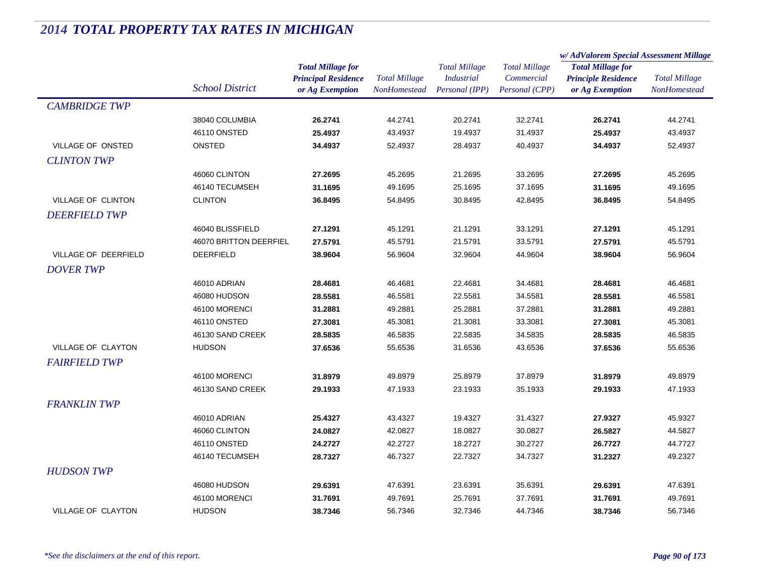|                           |                        |                            |                      | <b>Total Millage</b> | <b>Total Millage</b> | w/AdValorem Special Assessment Millage |                                      |
|---------------------------|------------------------|----------------------------|----------------------|----------------------|----------------------|----------------------------------------|--------------------------------------|
|                           |                        | <b>Total Millage for</b>   |                      |                      |                      | <b>Total Millage for</b>               | <b>Total Millage</b><br>NonHomestead |
|                           |                        | <b>Principal Residence</b> | <b>Total Millage</b> | <b>Industrial</b>    | Commercial           | <b>Principle Residence</b>             |                                      |
|                           | <b>School District</b> | or Ag Exemption            | <b>NonHomestead</b>  | Personal (IPP)       | Personal (CPP)       | or Ag Exemption                        |                                      |
| <b>CAMBRIDGE TWP</b>      |                        |                            |                      |                      |                      |                                        |                                      |
|                           | 38040 COLUMBIA         | 26.2741                    | 44.2741              | 20.2741              | 32.2741              | 26.2741                                | 44.2741                              |
|                           | 46110 ONSTED           | 25.4937                    | 43.4937              | 19.4937              | 31.4937              | 25.4937                                | 43.4937                              |
| <b>VILLAGE OF ONSTED</b>  | ONSTED                 | 34.4937                    | 52.4937              | 28.4937              | 40.4937              | 34.4937                                | 52.4937                              |
| <b>CLINTON TWP</b>        |                        |                            |                      |                      |                      |                                        |                                      |
|                           | 46060 CLINTON          | 27.2695                    | 45.2695              | 21.2695              | 33.2695              | 27.2695                                | 45.2695                              |
|                           | 46140 TECUMSEH         | 31.1695                    | 49.1695              | 25.1695              | 37.1695              | 31.1695                                | 49.1695                              |
| <b>VILLAGE OF CLINTON</b> | <b>CLINTON</b>         | 36.8495                    | 54.8495              | 30.8495              | 42.8495              | 36.8495                                | 54.8495                              |
| <b>DEERFIELD TWP</b>      |                        |                            |                      |                      |                      |                                        |                                      |
|                           | 46040 BLISSFIELD       | 27.1291                    | 45.1291              | 21.1291              | 33.1291              | 27.1291                                | 45.1291                              |
|                           | 46070 BRITTON DEERFIEL | 27.5791                    | 45.5791              | 21.5791              | 33.5791              | 27.5791                                | 45.5791                              |
| VILLAGE OF DEERFIELD      | <b>DEERFIELD</b>       | 38.9604                    | 56.9604              | 32.9604              | 44.9604              | 38.9604                                | 56.9604                              |
| <b>DOVER TWP</b>          |                        |                            |                      |                      |                      |                                        |                                      |
|                           | 46010 ADRIAN           | 28.4681                    | 46.4681              | 22.4681              | 34.4681              | 28.4681                                | 46.4681                              |
|                           | 46080 HUDSON           | 28.5581                    | 46.5581              | 22.5581              | 34.5581              | 28.5581                                | 46.5581                              |
|                           | 46100 MORENCI          | 31.2881                    | 49.2881              | 25.2881              | 37.2881              | 31.2881                                | 49.2881                              |
|                           | 46110 ONSTED           | 27.3081                    | 45.3081              | 21.3081              | 33.3081              | 27.3081                                | 45.3081                              |
|                           | 46130 SAND CREEK       | 28.5835                    | 46.5835              | 22.5835              | 34.5835              | 28.5835                                | 46.5835                              |
| VILLAGE OF CLAYTON        | <b>HUDSON</b>          | 37.6536                    | 55.6536              | 31.6536              | 43.6536              | 37.6536                                | 55.6536                              |
| <b>FAIRFIELD TWP</b>      |                        |                            |                      |                      |                      |                                        |                                      |
|                           | 46100 MORENCI          | 31.8979                    | 49.8979              | 25.8979              | 37.8979              | 31.8979                                | 49.8979                              |
|                           | 46130 SAND CREEK       | 29.1933                    | 47.1933              | 23.1933              | 35.1933              | 29.1933                                | 47.1933                              |
| <b>FRANKLIN TWP</b>       |                        |                            |                      |                      |                      |                                        |                                      |
|                           | 46010 ADRIAN           | 25.4327                    | 43.4327              | 19.4327              | 31.4327              | 27.9327                                | 45.9327                              |
|                           | 46060 CLINTON          | 24.0827                    | 42.0827              | 18.0827              | 30.0827              | 26.5827                                | 44.5827                              |
|                           | 46110 ONSTED           | 24.2727                    | 42.2727              | 18.2727              | 30.2727              | 26.7727                                | 44.7727                              |
|                           | 46140 TECUMSEH         | 28.7327                    | 46.7327              | 22.7327              | 34.7327              | 31.2327                                | 49.2327                              |
| <b>HUDSON TWP</b>         |                        |                            |                      |                      |                      |                                        |                                      |
|                           | 46080 HUDSON           | 29.6391                    | 47.6391              | 23.6391              | 35.6391              | 29.6391                                | 47.6391                              |
|                           | 46100 MORENCI          | 31.7691                    | 49.7691              | 25.7691              | 37.7691              | 31.7691                                | 49.7691                              |
| <b>VILLAGE OF CLAYTON</b> | <b>HUDSON</b>          | 38.7346                    | 56.7346              | 32.7346              | 44.7346              | 38.7346                                | 56.7346                              |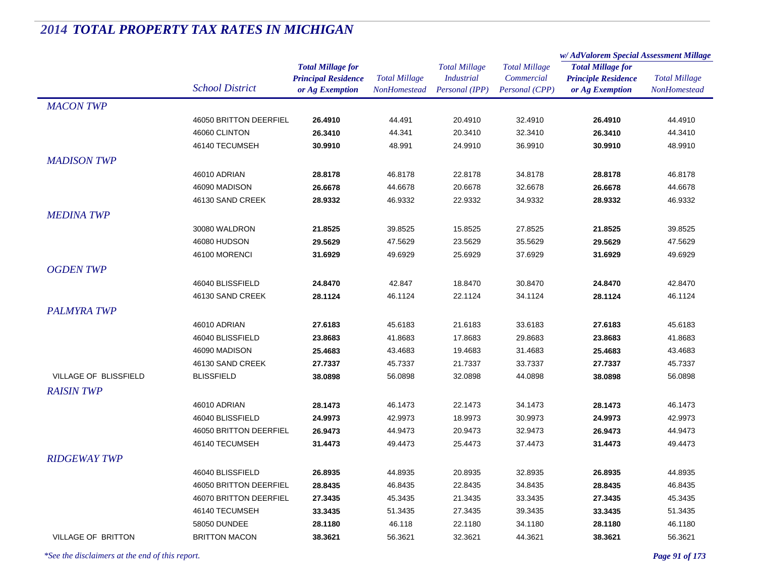|                           |                        |                            | <b>Total Millage</b> | <b>Total Millage</b> | <b>Total Millage</b> | w/AdValorem Special Assessment Millage                 |                      |
|---------------------------|------------------------|----------------------------|----------------------|----------------------|----------------------|--------------------------------------------------------|----------------------|
|                           |                        | <b>Total Millage for</b>   |                      |                      |                      | <b>Total Millage for</b><br><b>Principle Residence</b> | <b>Total Millage</b> |
|                           | <b>School District</b> | <b>Principal Residence</b> |                      | <b>Industrial</b>    | Commercial           |                                                        |                      |
|                           |                        | or Ag Exemption            | <b>NonHomestead</b>  | Personal (IPP)       | Personal (CPP)       | or Ag Exemption                                        | <b>NonHomestead</b>  |
| <b>MACON TWP</b>          |                        |                            |                      |                      |                      |                                                        |                      |
|                           | 46050 BRITTON DEERFIEL | 26.4910                    | 44.491               | 20.4910              | 32.4910              | 26.4910                                                | 44.4910              |
|                           | 46060 CLINTON          | 26.3410                    | 44.341               | 20.3410              | 32.3410              | 26.3410                                                | 44.3410              |
|                           | 46140 TECUMSEH         | 30.9910                    | 48.991               | 24.9910              | 36.9910              | 30.9910                                                | 48.9910              |
| <b>MADISON TWP</b>        |                        |                            |                      |                      |                      |                                                        |                      |
|                           | 46010 ADRIAN           | 28.8178                    | 46.8178              | 22.8178              | 34.8178              | 28.8178                                                | 46.8178              |
|                           | 46090 MADISON          | 26.6678                    | 44.6678              | 20.6678              | 32.6678              | 26.6678                                                | 44.6678              |
|                           | 46130 SAND CREEK       | 28.9332                    | 46.9332              | 22.9332              | 34.9332              | 28.9332                                                | 46.9332              |
| <b>MEDINA TWP</b>         |                        |                            |                      |                      |                      |                                                        |                      |
|                           | 30080 WALDRON          | 21.8525                    | 39.8525              | 15.8525              | 27.8525              | 21.8525                                                | 39.8525              |
|                           | 46080 HUDSON           | 29.5629                    | 47.5629              | 23.5629              | 35.5629              | 29.5629                                                | 47.5629              |
|                           | 46100 MORENCI          | 31.6929                    | 49.6929              | 25.6929              | 37.6929              | 31.6929                                                | 49.6929              |
|                           |                        |                            |                      |                      |                      |                                                        |                      |
| <b>OGDENTWP</b>           |                        |                            |                      |                      |                      |                                                        |                      |
|                           | 46040 BLISSFIELD       | 24.8470                    | 42.847               | 18.8470              | 30.8470              | 24.8470                                                | 42.8470              |
|                           | 46130 SAND CREEK       | 28.1124                    | 46.1124              | 22.1124              | 34.1124              | 28.1124                                                | 46.1124              |
| <b>PALMYRA TWP</b>        |                        |                            |                      |                      |                      |                                                        |                      |
|                           | 46010 ADRIAN           | 27.6183                    | 45.6183              | 21.6183              | 33.6183              | 27.6183                                                | 45.6183              |
|                           | 46040 BLISSFIELD       | 23.8683                    | 41.8683              | 17.8683              | 29.8683              | 23.8683                                                | 41.8683              |
|                           | 46090 MADISON          | 25.4683                    | 43.4683              | 19.4683              | 31.4683              | 25.4683                                                | 43.4683              |
|                           | 46130 SAND CREEK       | 27.7337                    | 45.7337              | 21.7337              | 33.7337              | 27.7337                                                | 45.7337              |
| VILLAGE OF BLISSFIELD     | <b>BLISSFIELD</b>      | 38.0898                    | 56.0898              | 32.0898              | 44.0898              | 38.0898                                                | 56.0898              |
| <b>RAISIN TWP</b>         |                        |                            |                      |                      |                      |                                                        |                      |
|                           | 46010 ADRIAN           | 28.1473                    | 46.1473              | 22.1473              | 34.1473              | 28.1473                                                | 46.1473              |
|                           | 46040 BLISSFIELD       | 24.9973                    | 42.9973              | 18.9973              | 30.9973              | 24.9973                                                | 42.9973              |
|                           | 46050 BRITTON DEERFIEL | 26.9473                    | 44.9473              | 20.9473              | 32.9473              | 26.9473                                                | 44.9473              |
|                           | 46140 TECUMSEH         | 31.4473                    | 49.4473              | 25.4473              | 37.4473              | 31.4473                                                | 49.4473              |
| <b>RIDGEWAY TWP</b>       |                        |                            |                      |                      |                      |                                                        |                      |
|                           | 46040 BLISSFIELD       | 26.8935                    | 44.8935              | 20.8935              | 32.8935              | 26.8935                                                | 44.8935              |
|                           | 46050 BRITTON DEERFIEL | 28.8435                    | 46.8435              | 22.8435              | 34.8435              | 28.8435                                                | 46.8435              |
|                           | 46070 BRITTON DEERFIEL | 27.3435                    | 45.3435              | 21.3435              | 33.3435              | 27.3435                                                | 45.3435              |
|                           | 46140 TECUMSEH         | 33.3435                    | 51.3435              | 27.3435              | 39.3435              | 33.3435                                                | 51.3435              |
|                           | 58050 DUNDEE           | 28.1180                    | 46.118               | 22.1180              | 34.1180              | 28.1180                                                | 46.1180              |
| <b>VILLAGE OF BRITTON</b> | <b>BRITTON MACON</b>   | 38.3621                    | 56.3621              | 32.3621              | 44.3621              | 38.3621                                                | 56.3621              |
|                           |                        |                            |                      |                      |                      |                                                        |                      |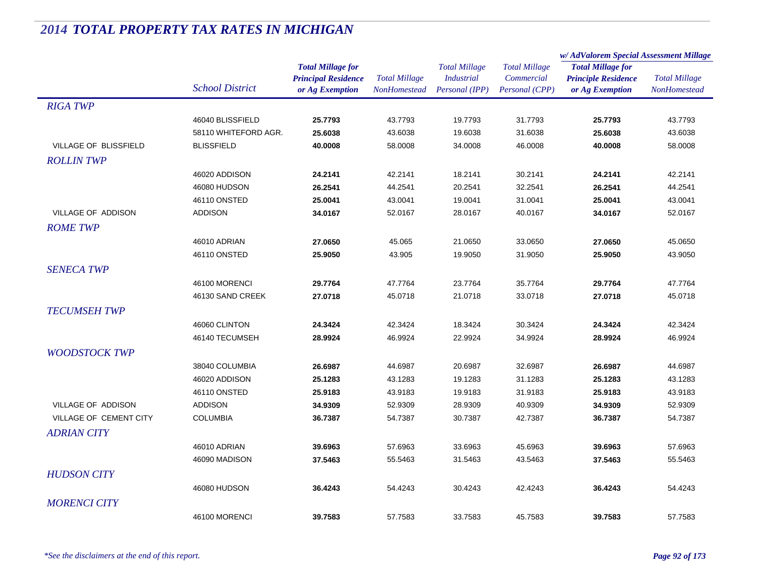|                        |                        |                            | <b>Total Millage</b> | <b>Total Millage</b> | <b>Total Millage</b><br>Commercial | w/AdValorem Special Assessment Millage |                      |
|------------------------|------------------------|----------------------------|----------------------|----------------------|------------------------------------|----------------------------------------|----------------------|
|                        |                        | <b>Total Millage for</b>   |                      |                      |                                    | <b>Total Millage for</b>               | <b>Total Millage</b> |
|                        | <b>School District</b> | <b>Principal Residence</b> |                      | <b>Industrial</b>    |                                    | <b>Principle Residence</b>             |                      |
|                        |                        | or Ag Exemption            | NonHomestead         | Personal (IPP)       | Personal (CPP)                     | or Ag Exemption                        | NonHomestead         |
| <b>RIGA TWP</b>        |                        |                            |                      |                      |                                    |                                        |                      |
|                        | 46040 BLISSFIELD       | 25.7793                    | 43.7793              | 19.7793              | 31.7793                            | 25.7793                                | 43.7793              |
|                        | 58110 WHITEFORD AGR.   | 25.6038                    | 43.6038              | 19.6038              | 31.6038                            | 25.6038                                | 43.6038              |
| VILLAGE OF BLISSFIELD  | <b>BLISSFIELD</b>      | 40.0008                    | 58.0008              | 34.0008              | 46.0008                            | 40.0008                                | 58.0008              |
| <b>ROLLIN TWP</b>      |                        |                            |                      |                      |                                    |                                        |                      |
|                        | 46020 ADDISON          | 24.2141                    | 42.2141              | 18.2141              | 30.2141                            | 24.2141                                | 42.2141              |
|                        | 46080 HUDSON           | 26.2541                    | 44.2541              | 20.2541              | 32.2541                            | 26.2541                                | 44.2541              |
|                        | 46110 ONSTED           | 25.0041                    | 43.0041              | 19.0041              | 31.0041                            | 25.0041                                | 43.0041              |
| VILLAGE OF ADDISON     | <b>ADDISON</b>         | 34.0167                    | 52.0167              | 28.0167              | 40.0167                            | 34.0167                                | 52.0167              |
| <b>ROME TWP</b>        |                        |                            |                      |                      |                                    |                                        |                      |
|                        | 46010 ADRIAN           | 27.0650                    | 45.065               | 21.0650              | 33.0650                            | 27.0650                                | 45.0650              |
|                        | 46110 ONSTED           | 25.9050                    | 43.905               | 19.9050              | 31.9050                            | 25.9050                                | 43.9050              |
| <b>SENECA TWP</b>      |                        |                            |                      |                      |                                    |                                        |                      |
|                        | 46100 MORENCI          | 29.7764                    | 47.7764              | 23.7764              | 35.7764                            | 29.7764                                | 47.7764              |
|                        | 46130 SAND CREEK       | 27.0718                    | 45.0718              | 21.0718              | 33.0718                            | 27.0718                                | 45.0718              |
| <b>TECUMSEH TWP</b>    |                        |                            |                      |                      |                                    |                                        |                      |
|                        | 46060 CLINTON          | 24.3424                    | 42.3424              | 18.3424              | 30.3424                            | 24.3424                                | 42.3424              |
|                        | 46140 TECUMSEH         | 28.9924                    | 46.9924              | 22.9924              | 34.9924                            | 28.9924                                | 46.9924              |
| <b>WOODSTOCK TWP</b>   |                        |                            |                      |                      |                                    |                                        |                      |
|                        | 38040 COLUMBIA         | 26.6987                    | 44.6987              | 20.6987              | 32.6987                            | 26.6987                                | 44.6987              |
|                        | 46020 ADDISON          | 25.1283                    | 43.1283              | 19.1283              | 31.1283                            | 25.1283                                | 43.1283              |
|                        | 46110 ONSTED           | 25.9183                    | 43.9183              | 19.9183              | 31.9183                            | 25.9183                                | 43.9183              |
| VILLAGE OF ADDISON     | <b>ADDISON</b>         | 34.9309                    | 52.9309              | 28.9309              | 40.9309                            | 34.9309                                | 52.9309              |
| VILLAGE OF CEMENT CITY | <b>COLUMBIA</b>        | 36.7387                    | 54.7387              | 30.7387              | 42.7387                            | 36.7387                                | 54.7387              |
| <b>ADRIAN CITY</b>     |                        |                            |                      |                      |                                    |                                        |                      |
|                        | 46010 ADRIAN           | 39.6963                    | 57.6963              | 33.6963              | 45.6963                            | 39.6963                                | 57.6963              |
|                        | 46090 MADISON          | 37.5463                    | 55.5463              | 31.5463              | 43.5463                            | 37.5463                                | 55.5463              |
|                        |                        |                            |                      |                      |                                    |                                        |                      |
| <b>HUDSON CITY</b>     |                        |                            |                      |                      |                                    |                                        |                      |
|                        | 46080 HUDSON           | 36.4243                    | 54.4243              | 30.4243              | 42.4243                            | 36.4243                                | 54.4243              |
| <b>MORENCI CITY</b>    |                        |                            |                      |                      |                                    |                                        |                      |
|                        | 46100 MORENCI          | 39.7583                    | 57.7583              | 33.7583              | 45.7583                            | 39.7583                                | 57.7583              |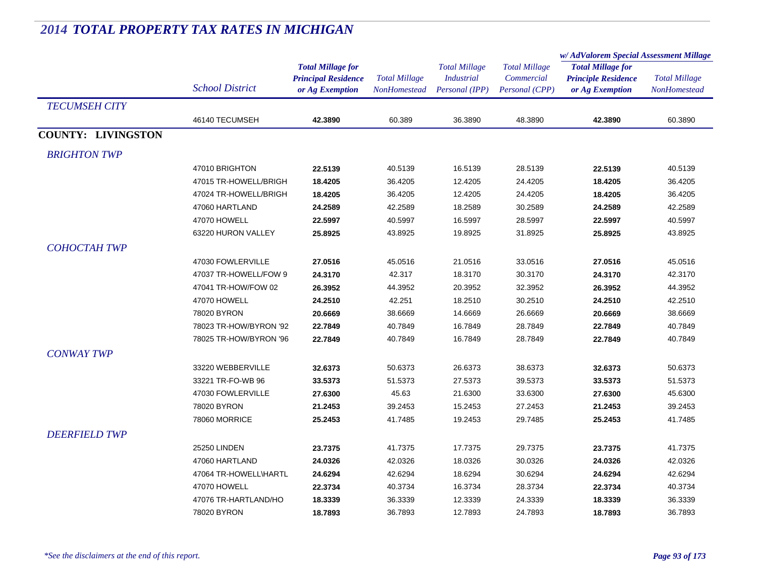|                           |                        |                            |                      | <b>Total Millage</b><br><i>Industrial</i><br>Personal (IPP) | <b>Total Millage</b><br>Commercial<br>Personal (CPP) | w/AdValorem Special Assessment Millage        |                      |
|---------------------------|------------------------|----------------------------|----------------------|-------------------------------------------------------------|------------------------------------------------------|-----------------------------------------------|----------------------|
|                           |                        | <b>Total Millage for</b>   |                      |                                                             |                                                      | <b>Total Millage for</b>                      | <b>Total Millage</b> |
|                           |                        | <b>Principal Residence</b> | <b>Total Millage</b> |                                                             |                                                      | <b>Principle Residence</b><br>or Ag Exemption |                      |
|                           | <b>School District</b> | or Ag Exemption            | <b>NonHomestead</b>  |                                                             |                                                      |                                               | <b>NonHomestead</b>  |
| <b>TECUMSEH CITY</b>      |                        |                            |                      |                                                             |                                                      |                                               |                      |
|                           | 46140 TECUMSEH         | 42.3890                    | 60.389               | 36.3890                                                     | 48.3890                                              | 42.3890                                       | 60.3890              |
| <b>COUNTY: LIVINGSTON</b> |                        |                            |                      |                                                             |                                                      |                                               |                      |
| <b>BRIGHTON TWP</b>       |                        |                            |                      |                                                             |                                                      |                                               |                      |
|                           | 47010 BRIGHTON         | 22.5139                    | 40.5139              | 16.5139                                                     | 28.5139                                              | 22.5139                                       | 40.5139              |
|                           | 47015 TR-HOWELL/BRIGH  | 18.4205                    | 36.4205              | 12.4205                                                     | 24.4205                                              | 18.4205                                       | 36.4205              |
|                           | 47024 TR-HOWELL/BRIGH  | 18.4205                    | 36.4205              | 12.4205                                                     | 24.4205                                              | 18.4205                                       | 36.4205              |
|                           | 47060 HARTLAND         | 24.2589                    | 42.2589              | 18.2589                                                     | 30.2589                                              | 24.2589                                       | 42.2589              |
|                           | 47070 HOWELL           | 22.5997                    | 40.5997              | 16.5997                                                     | 28.5997                                              | 22.5997                                       | 40.5997              |
|                           | 63220 HURON VALLEY     | 25.8925                    | 43.8925              | 19.8925                                                     | 31.8925                                              | 25.8925                                       | 43.8925              |
| СОНОСТАН ТWP              |                        |                            |                      |                                                             |                                                      |                                               |                      |
|                           | 47030 FOWLERVILLE      | 27.0516                    | 45.0516              | 21.0516                                                     | 33.0516                                              | 27.0516                                       | 45.0516              |
|                           | 47037 TR-HOWELL/FOW 9  | 24.3170                    | 42.317               | 18.3170                                                     | 30.3170                                              | 24.3170                                       | 42.3170              |
|                           | 47041 TR-HOW/FOW 02    | 26.3952                    | 44.3952              | 20.3952                                                     | 32.3952                                              | 26.3952                                       | 44.3952              |
|                           | 47070 HOWELL           | 24.2510                    | 42.251               | 18.2510                                                     | 30.2510                                              | 24.2510                                       | 42.2510              |
|                           | 78020 BYRON            | 20.6669                    | 38.6669              | 14.6669                                                     | 26.6669                                              | 20.6669                                       | 38.6669              |
|                           | 78023 TR-HOW/BYRON '92 | 22.7849                    | 40.7849              | 16.7849                                                     | 28.7849                                              | 22.7849                                       | 40.7849              |
|                           | 78025 TR-HOW/BYRON '96 | 22.7849                    | 40.7849              | 16.7849                                                     | 28.7849                                              | 22.7849                                       | 40.7849              |
| <b>CONWAY TWP</b>         |                        |                            |                      |                                                             |                                                      |                                               |                      |
|                           | 33220 WEBBERVILLE      | 32.6373                    | 50.6373              | 26.6373                                                     | 38.6373                                              | 32.6373                                       | 50.6373              |
|                           | 33221 TR-FO-WB 96      | 33.5373                    | 51.5373              | 27.5373                                                     | 39.5373                                              | 33.5373                                       | 51.5373              |
|                           | 47030 FOWLERVILLE      | 27.6300                    | 45.63                | 21.6300                                                     | 33.6300                                              | 27.6300                                       | 45.6300              |
|                           | 78020 BYRON            | 21.2453                    | 39.2453              | 15.2453                                                     | 27.2453                                              | 21.2453                                       | 39.2453              |
|                           | 78060 MORRICE          | 25.2453                    | 41.7485              | 19.2453                                                     | 29.7485                                              | 25.2453                                       | 41.7485              |
| <b>DEERFIELD TWP</b>      |                        |                            |                      |                                                             |                                                      |                                               |                      |
|                           | 25250 LINDEN           | 23.7375                    | 41.7375              | 17.7375                                                     | 29.7375                                              | 23.7375                                       | 41.7375              |
|                           | 47060 HARTLAND         | 24.0326                    | 42.0326              | 18.0326                                                     | 30.0326                                              | 24.0326                                       | 42.0326              |
|                           | 47064 TR-HOWELL\HARTL  | 24.6294                    | 42.6294              | 18.6294                                                     | 30.6294                                              | 24.6294                                       | 42.6294              |
|                           | 47070 HOWELL           | 22.3734                    | 40.3734              | 16.3734                                                     | 28.3734                                              | 22.3734                                       | 40.3734              |
|                           | 47076 TR-HARTLAND/HO   | 18.3339                    | 36.3339              | 12.3339                                                     | 24.3339                                              | 18.3339                                       | 36.3339              |
|                           | 78020 BYRON            | 18.7893                    | 36.7893              | 12.7893                                                     | 24.7893                                              | 18.7893                                       | 36.7893              |
|                           |                        |                            |                      |                                                             |                                                      |                                               |                      |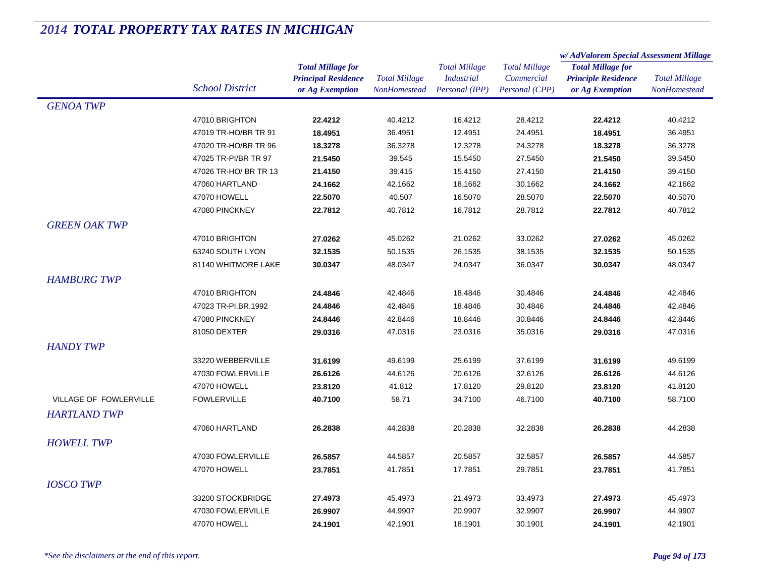|                        |                        |                            |                      | <b>Total Millage</b> | <b>Total Millage</b> | w/AdValorem Special Assessment Millage |                      |
|------------------------|------------------------|----------------------------|----------------------|----------------------|----------------------|----------------------------------------|----------------------|
|                        |                        | <b>Total Millage for</b>   |                      |                      |                      | <b>Total Millage for</b>               | <b>Total Millage</b> |
|                        |                        | <b>Principal Residence</b> | <b>Total Millage</b> | <b>Industrial</b>    | Commercial           | <b>Principle Residence</b>             |                      |
|                        | <b>School District</b> | or Ag Exemption            | NonHomestead         | Personal (IPP)       | Personal (CPP)       | or Ag Exemption                        | NonHomestead         |
| <b>GENOA TWP</b>       |                        |                            |                      |                      |                      |                                        |                      |
|                        | 47010 BRIGHTON         | 22.4212                    | 40.4212              | 16.4212              | 28.4212              | 22.4212                                | 40.4212              |
|                        | 47019 TR-HO/BR TR 91   | 18.4951                    | 36.4951              | 12.4951              | 24.4951              | 18.4951                                | 36.4951              |
|                        | 47020 TR-HO/BR TR 96   | 18.3278                    | 36.3278              | 12.3278              | 24.3278              | 18.3278                                | 36.3278              |
|                        | 47025 TR-PI/BR TR 97   | 21.5450                    | 39.545               | 15.5450              | 27.5450              | 21.5450                                | 39.5450              |
|                        | 47026 TR-HO/ BR TR 13  | 21.4150                    | 39.415               | 15.4150              | 27.4150              | 21.4150                                | 39.4150              |
|                        | 47060 HARTLAND         | 24.1662                    | 42.1662              | 18.1662              | 30.1662              | 24.1662                                | 42.1662              |
|                        | 47070 HOWELL           | 22.5070                    | 40.507               | 16.5070              | 28.5070              | 22.5070                                | 40.5070              |
|                        | 47080 PINCKNEY         | 22.7812                    | 40.7812              | 16.7812              | 28.7812              | 22.7812                                | 40.7812              |
| <b>GREEN OAK TWP</b>   |                        |                            |                      |                      |                      |                                        |                      |
|                        | 47010 BRIGHTON         | 27.0262                    | 45.0262              | 21.0262              | 33.0262              | 27.0262                                | 45.0262              |
|                        | 63240 SOUTH LYON       | 32.1535                    | 50.1535              | 26.1535              | 38.1535              | 32.1535                                | 50.1535              |
|                        | 81140 WHITMORE LAKE    | 30.0347                    | 48.0347              | 24.0347              | 36.0347              | 30.0347                                | 48.0347              |
| <b>HAMBURG TWP</b>     |                        |                            |                      |                      |                      |                                        |                      |
|                        | 47010 BRIGHTON         | 24.4846                    | 42.4846              | 18.4846              | 30.4846              | 24.4846                                | 42.4846              |
|                        | 47023 TR-PI.BR.1992    | 24.4846                    | 42.4846              | 18.4846              | 30.4846              | 24.4846                                | 42.4846              |
|                        | 47080 PINCKNEY         | 24.8446                    | 42.8446              | 18.8446              | 30.8446              | 24.8446                                | 42.8446              |
|                        | 81050 DEXTER           | 29.0316                    | 47.0316              | 23.0316              | 35.0316              | 29.0316                                | 47.0316              |
| <b>HANDY TWP</b>       |                        |                            |                      |                      |                      |                                        |                      |
|                        | 33220 WEBBERVILLE      | 31.6199                    | 49.6199              | 25.6199              | 37.6199              | 31.6199                                | 49.6199              |
|                        | 47030 FOWLERVILLE      | 26.6126                    | 44.6126              | 20.6126              | 32.6126              | 26.6126                                | 44.6126              |
|                        | 47070 HOWELL           | 23.8120                    | 41.812               | 17.8120              | 29.8120              | 23.8120                                | 41.8120              |
| VILLAGE OF FOWLERVILLE | <b>FOWLERVILLE</b>     | 40.7100                    | 58.71                | 34.7100              | 46.7100              | 40.7100                                | 58.7100              |
| <b>HARTLAND TWP</b>    |                        |                            |                      |                      |                      |                                        |                      |
|                        | 47060 HARTLAND         | 26.2838                    | 44.2838              | 20.2838              | 32.2838              | 26.2838                                | 44.2838              |
| <b>HOWELL TWP</b>      |                        |                            |                      |                      |                      |                                        |                      |
|                        |                        |                            |                      |                      |                      |                                        |                      |
|                        | 47030 FOWLERVILLE      | 26.5857<br>23.7851         | 44.5857              | 20.5857<br>17.7851   | 32.5857              | 26.5857                                | 44.5857              |
|                        | 47070 HOWELL           |                            | 41.7851              |                      | 29.7851              | 23.7851                                | 41.7851              |
| <b>IOSCO TWP</b>       |                        |                            |                      |                      |                      |                                        |                      |
|                        | 33200 STOCKBRIDGE      | 27.4973                    | 45.4973              | 21.4973              | 33.4973              | 27.4973                                | 45.4973              |
|                        | 47030 FOWLERVILLE      | 26.9907                    | 44.9907              | 20.9907              | 32.9907              | 26.9907                                | 44.9907              |
|                        | 47070 HOWELL           | 24.1901                    | 42.1901              | 18.1901              | 30.1901              | 24.1901                                | 42.1901              |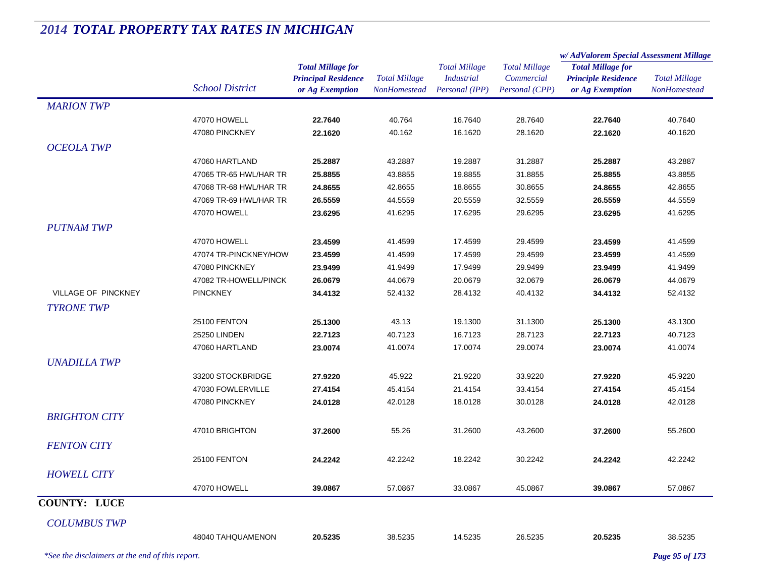|                      |                        |                                                                           |                                             |                                                             |                                                      | w/AdValorem Special Assessment Millage                                    |                                      |
|----------------------|------------------------|---------------------------------------------------------------------------|---------------------------------------------|-------------------------------------------------------------|------------------------------------------------------|---------------------------------------------------------------------------|--------------------------------------|
|                      | <b>School District</b> | <b>Total Millage for</b><br><b>Principal Residence</b><br>or Ag Exemption | <b>Total Millage</b><br><b>NonHomestead</b> | <b>Total Millage</b><br><b>Industrial</b><br>Personal (IPP) | <b>Total Millage</b><br>Commercial<br>Personal (CPP) | <b>Total Millage for</b><br><b>Principle Residence</b><br>or Ag Exemption | <b>Total Millage</b><br>NonHomestead |
| <b>MARION TWP</b>    |                        |                                                                           |                                             |                                                             |                                                      |                                                                           |                                      |
|                      | 47070 HOWELL           | 22.7640                                                                   | 40.764                                      | 16.7640                                                     | 28.7640                                              | 22.7640                                                                   | 40.7640                              |
|                      | 47080 PINCKNEY         | 22.1620                                                                   | 40.162                                      | 16.1620                                                     | 28.1620                                              | 22.1620                                                                   | 40.1620                              |
| <b>OCEOLA TWP</b>    |                        |                                                                           |                                             |                                                             |                                                      |                                                                           |                                      |
|                      | 47060 HARTLAND         | 25.2887                                                                   | 43.2887                                     | 19.2887                                                     | 31.2887                                              | 25.2887                                                                   | 43.2887                              |
|                      | 47065 TR-65 HWL/HAR TR | 25.8855                                                                   | 43.8855                                     | 19.8855                                                     | 31.8855                                              | 25.8855                                                                   | 43.8855                              |
|                      | 47068 TR-68 HWL/HAR TR | 24.8655                                                                   | 42.8655                                     | 18.8655                                                     | 30.8655                                              | 24.8655                                                                   | 42.8655                              |
|                      | 47069 TR-69 HWL/HAR TR | 26.5559                                                                   | 44.5559                                     | 20.5559                                                     | 32.5559                                              | 26.5559                                                                   | 44.5559                              |
|                      | 47070 HOWELL           | 23.6295                                                                   | 41.6295                                     | 17.6295                                                     | 29.6295                                              | 23.6295                                                                   | 41.6295                              |
| <b>PUTNAM TWP</b>    |                        |                                                                           |                                             |                                                             |                                                      |                                                                           |                                      |
|                      | 47070 HOWELL           | 23.4599                                                                   | 41.4599                                     | 17.4599                                                     | 29.4599                                              | 23.4599                                                                   | 41.4599                              |
|                      | 47074 TR-PINCKNEY/HOW  | 23.4599                                                                   | 41.4599                                     | 17.4599                                                     | 29.4599                                              | 23.4599                                                                   | 41.4599                              |
|                      | 47080 PINCKNEY         | 23.9499                                                                   | 41.9499                                     | 17.9499                                                     | 29.9499                                              | 23.9499                                                                   | 41.9499                              |
|                      | 47082 TR-HOWELL/PINCK  | 26.0679                                                                   | 44.0679                                     | 20.0679                                                     | 32.0679                                              | 26.0679                                                                   | 44.0679                              |
| VILLAGE OF PINCKNEY  | <b>PINCKNEY</b>        | 34.4132                                                                   | 52.4132                                     | 28.4132                                                     | 40.4132                                              | 34.4132                                                                   | 52.4132                              |
| <b>TYRONE TWP</b>    |                        |                                                                           |                                             |                                                             |                                                      |                                                                           |                                      |
|                      | 25100 FENTON           | 25.1300                                                                   | 43.13                                       | 19.1300                                                     | 31.1300                                              | 25.1300                                                                   | 43.1300                              |
|                      | 25250 LINDEN           | 22.7123                                                                   | 40.7123                                     | 16.7123                                                     | 28.7123                                              | 22.7123                                                                   | 40.7123                              |
|                      | 47060 HARTLAND         | 23.0074                                                                   | 41.0074                                     | 17.0074                                                     | 29.0074                                              | 23.0074                                                                   | 41.0074                              |
| <b>UNADILLA TWP</b>  |                        |                                                                           |                                             |                                                             |                                                      |                                                                           |                                      |
|                      | 33200 STOCKBRIDGE      | 27.9220                                                                   | 45.922                                      | 21.9220                                                     | 33.9220                                              | 27.9220                                                                   | 45.9220                              |
|                      | 47030 FOWLERVILLE      | 27.4154                                                                   | 45.4154                                     | 21.4154                                                     | 33.4154                                              | 27.4154                                                                   | 45.4154                              |
|                      | 47080 PINCKNEY         | 24.0128                                                                   | 42.0128                                     | 18.0128                                                     | 30.0128                                              | 24.0128                                                                   | 42.0128                              |
| <b>BRIGHTON CITY</b> |                        |                                                                           |                                             |                                                             |                                                      |                                                                           |                                      |
|                      |                        |                                                                           |                                             |                                                             |                                                      |                                                                           |                                      |
|                      | 47010 BRIGHTON         | 37.2600                                                                   | 55.26                                       | 31.2600                                                     | 43.2600                                              | 37.2600                                                                   | 55.2600                              |
| <b>FENTON CITY</b>   |                        |                                                                           |                                             |                                                             |                                                      |                                                                           |                                      |
|                      | 25100 FENTON           | 24.2242                                                                   | 42.2242                                     | 18.2242                                                     | 30.2242                                              | 24.2242                                                                   | 42.2242                              |
| <b>HOWELL CITY</b>   |                        |                                                                           |                                             |                                                             |                                                      |                                                                           |                                      |
|                      | 47070 HOWELL           | 39.0867                                                                   | 57.0867                                     | 33.0867                                                     | 45.0867                                              | 39.0867                                                                   | 57.0867                              |
| <b>COUNTY: LUCE</b>  |                        |                                                                           |                                             |                                                             |                                                      |                                                                           |                                      |
| <b>COLUMBUS TWP</b>  |                        |                                                                           |                                             |                                                             |                                                      |                                                                           |                                      |
|                      | 48040 TAHQUAMENON      | 20.5235                                                                   | 38.5235                                     | 14.5235                                                     | 26.5235                                              | 20.5235                                                                   | 38.5235                              |
|                      |                        |                                                                           |                                             |                                                             |                                                      |                                                                           |                                      |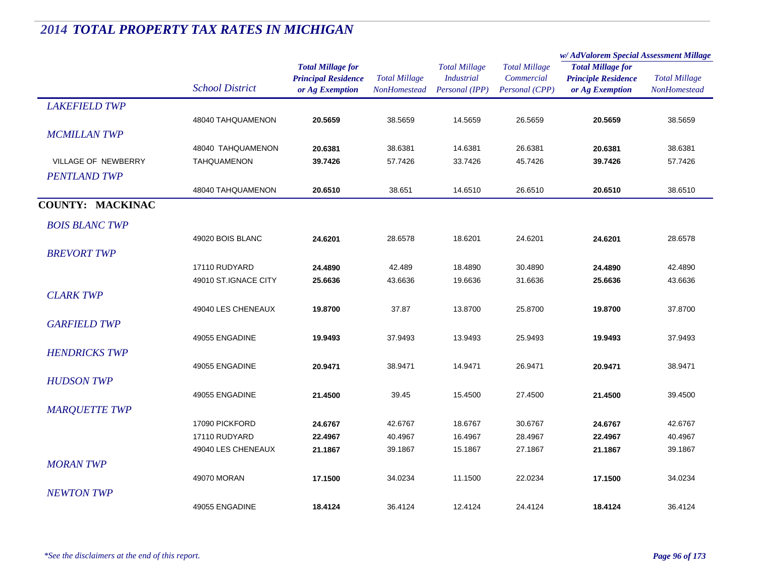|                         |                        |                            |                      | <b>Total Millage</b> | <b>Total Millage</b> | w/AdValorem Special Assessment Millage |                      |
|-------------------------|------------------------|----------------------------|----------------------|----------------------|----------------------|----------------------------------------|----------------------|
|                         |                        | <b>Total Millage for</b>   |                      |                      |                      | <b>Total Millage for</b>               | <b>Total Millage</b> |
|                         |                        | <b>Principal Residence</b> | <b>Total Millage</b> | <b>Industrial</b>    | Commercial           | <b>Principle Residence</b>             |                      |
|                         | <b>School District</b> | or Ag Exemption            | <b>NonHomestead</b>  | Personal (IPP)       | Personal (CPP)       | or Ag Exemption                        | NonHomestead         |
| <b>LAKEFIELD TWP</b>    |                        |                            |                      |                      |                      |                                        |                      |
|                         | 48040 TAHQUAMENON      | 20.5659                    | 38.5659              | 14.5659              | 26.5659              | 20.5659                                | 38.5659              |
| <b>MCMILLAN TWP</b>     |                        |                            |                      |                      |                      |                                        |                      |
|                         | 48040 TAHQUAMENON      | 20.6381                    | 38.6381              | 14.6381              | 26.6381              | 20.6381                                | 38.6381              |
| VILLAGE OF NEWBERRY     | <b>TAHQUAMENON</b>     | 39.7426                    | 57.7426              | 33.7426              | 45.7426              | 39.7426                                | 57.7426              |
| <b>PENTLAND TWP</b>     |                        |                            |                      |                      |                      |                                        |                      |
|                         | 48040 TAHQUAMENON      | 20.6510                    | 38.651               | 14.6510              | 26.6510              | 20.6510                                | 38.6510              |
| <b>COUNTY: MACKINAC</b> |                        |                            |                      |                      |                      |                                        |                      |
| <b>BOIS BLANC TWP</b>   |                        |                            |                      |                      |                      |                                        |                      |
|                         | 49020 BOIS BLANC       | 24.6201                    | 28.6578              | 18.6201              | 24.6201              | 24.6201                                | 28.6578              |
| <b>BREVORT TWP</b>      |                        |                            |                      |                      |                      |                                        |                      |
|                         | 17110 RUDYARD          | 24.4890                    | 42.489               | 18.4890              | 30.4890              | 24.4890                                | 42.4890              |
|                         | 49010 ST.IGNACE CITY   | 25.6636                    | 43.6636              | 19.6636              | 31.6636              | 25.6636                                | 43.6636              |
| <b>CLARK TWP</b>        |                        |                            |                      |                      |                      |                                        |                      |
|                         | 49040 LES CHENEAUX     | 19.8700                    | 37.87                | 13.8700              | 25.8700              | 19.8700                                | 37.8700              |
| <b>GARFIELD TWP</b>     |                        |                            |                      |                      |                      |                                        |                      |
|                         | 49055 ENGADINE         | 19.9493                    | 37.9493              | 13.9493              | 25.9493              | 19.9493                                | 37.9493              |
| <b>HENDRICKS TWP</b>    |                        |                            |                      |                      |                      |                                        |                      |
|                         | 49055 ENGADINE         | 20.9471                    | 38.9471              | 14.9471              | 26.9471              | 20.9471                                | 38.9471              |
| <b>HUDSON TWP</b>       |                        |                            |                      |                      |                      |                                        |                      |
|                         | 49055 ENGADINE         | 21.4500                    | 39.45                | 15.4500              | 27.4500              | 21.4500                                | 39.4500              |
| <b>MARQUETTE TWP</b>    |                        |                            |                      |                      |                      |                                        |                      |
|                         | 17090 PICKFORD         | 24.6767                    | 42.6767              | 18.6767              | 30.6767              | 24.6767                                | 42.6767              |
|                         | 17110 RUDYARD          | 22.4967                    | 40.4967              | 16.4967              | 28.4967              | 22.4967                                | 40.4967              |
|                         | 49040 LES CHENEAUX     | 21.1867                    | 39.1867              | 15.1867              | 27.1867              | 21.1867                                | 39.1867              |
| <b>MORANTWP</b>         |                        |                            |                      |                      |                      |                                        |                      |
|                         | 49070 MORAN            | 17.1500                    | 34.0234              | 11.1500              | 22.0234              | 17.1500                                | 34.0234              |
| <b>NEWTON TWP</b>       |                        |                            |                      |                      |                      |                                        |                      |
|                         | 49055 ENGADINE         | 18.4124                    | 36.4124              | 12.4124              | 24.4124              | 18.4124                                | 36.4124              |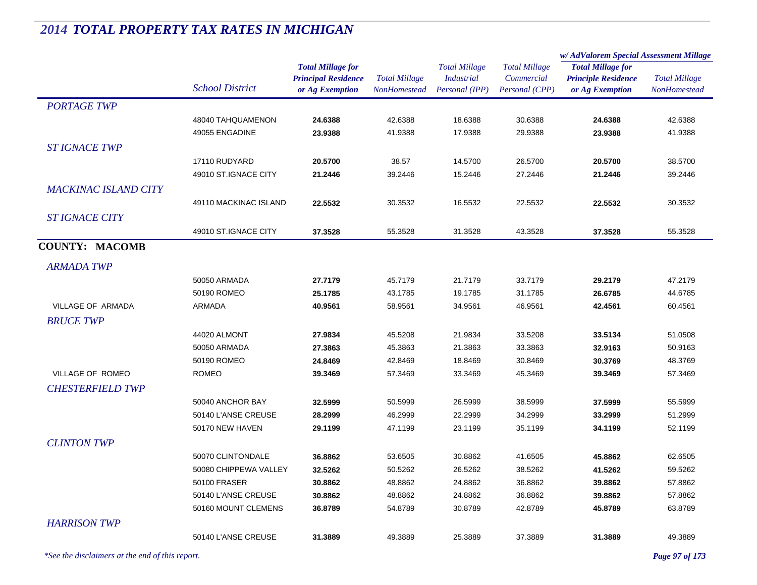|                             |                        |                                                                           |                                             |                                                             |                                                      | w/AdValorem Special Assessment Millage                                    |                                      |
|-----------------------------|------------------------|---------------------------------------------------------------------------|---------------------------------------------|-------------------------------------------------------------|------------------------------------------------------|---------------------------------------------------------------------------|--------------------------------------|
|                             | <b>School District</b> | <b>Total Millage for</b><br><b>Principal Residence</b><br>or Ag Exemption | <b>Total Millage</b><br><b>NonHomestead</b> | <b>Total Millage</b><br><b>Industrial</b><br>Personal (IPP) | <b>Total Millage</b><br>Commercial<br>Personal (CPP) | <b>Total Millage for</b><br><b>Principle Residence</b><br>or Ag Exemption | <b>Total Millage</b><br>NonHomestead |
| <b>PORTAGE TWP</b>          |                        |                                                                           |                                             |                                                             |                                                      |                                                                           |                                      |
|                             | 48040 TAHQUAMENON      | 24.6388                                                                   | 42.6388                                     | 18.6388                                                     | 30.6388                                              | 24.6388                                                                   | 42.6388                              |
|                             | 49055 ENGADINE         | 23.9388                                                                   | 41.9388                                     | 17.9388                                                     | 29.9388                                              | 23.9388                                                                   | 41.9388                              |
| <b>ST IGNACE TWP</b>        |                        |                                                                           |                                             |                                                             |                                                      |                                                                           |                                      |
|                             | 17110 RUDYARD          | 20.5700                                                                   | 38.57                                       | 14.5700                                                     | 26.5700                                              | 20.5700                                                                   | 38.5700                              |
|                             | 49010 ST.IGNACE CITY   | 21.2446                                                                   | 39.2446                                     | 15.2446                                                     | 27.2446                                              | 21.2446                                                                   | 39.2446                              |
| <b>MACKINAC ISLAND CITY</b> |                        |                                                                           |                                             |                                                             |                                                      |                                                                           |                                      |
|                             | 49110 MACKINAC ISLAND  | 22.5532                                                                   | 30.3532                                     | 16.5532                                                     | 22.5532                                              | 22.5532                                                                   | 30.3532                              |
| <b>ST IGNACE CITY</b>       |                        |                                                                           |                                             |                                                             |                                                      |                                                                           |                                      |
|                             | 49010 ST.IGNACE CITY   | 37.3528                                                                   | 55.3528                                     | 31.3528                                                     | 43.3528                                              | 37.3528                                                                   | 55.3528                              |
| <b>COUNTY: MACOMB</b>       |                        |                                                                           |                                             |                                                             |                                                      |                                                                           |                                      |
|                             |                        |                                                                           |                                             |                                                             |                                                      |                                                                           |                                      |
| <b>ARMADA TWP</b>           |                        |                                                                           |                                             |                                                             |                                                      |                                                                           |                                      |
|                             | 50050 ARMADA           | 27.7179                                                                   | 45.7179                                     | 21.7179                                                     | 33.7179                                              | 29.2179                                                                   | 47.2179                              |
|                             | 50190 ROMEO            | 25.1785                                                                   | 43.1785                                     | 19.1785                                                     | 31.1785                                              | 26.6785                                                                   | 44.6785                              |
| <b>VILLAGE OF ARMADA</b>    | <b>ARMADA</b>          | 40.9561                                                                   | 58.9561                                     | 34.9561                                                     | 46.9561                                              | 42.4561                                                                   | 60.4561                              |
| <b>BRUCE TWP</b>            |                        |                                                                           |                                             |                                                             |                                                      |                                                                           |                                      |
|                             | 44020 ALMONT           | 27.9834                                                                   | 45.5208                                     | 21.9834                                                     | 33.5208                                              | 33.5134                                                                   | 51.0508                              |
|                             | 50050 ARMADA           | 27.3863                                                                   | 45.3863                                     | 21.3863                                                     | 33.3863                                              | 32.9163                                                                   | 50.9163                              |
|                             | 50190 ROMEO            | 24.8469                                                                   | 42.8469                                     | 18.8469                                                     | 30.8469                                              | 30.3769                                                                   | 48.3769                              |
| VILLAGE OF ROMEO            | <b>ROMEO</b>           | 39.3469                                                                   | 57.3469                                     | 33.3469                                                     | 45.3469                                              | 39.3469                                                                   | 57.3469                              |
| <b>CHESTERFIELD TWP</b>     |                        |                                                                           |                                             |                                                             |                                                      |                                                                           |                                      |
|                             | 50040 ANCHOR BAY       | 32.5999                                                                   | 50.5999                                     | 26.5999                                                     | 38.5999                                              | 37.5999                                                                   | 55.5999                              |
|                             | 50140 L'ANSE CREUSE    | 28.2999                                                                   | 46.2999                                     | 22.2999                                                     | 34.2999                                              | 33.2999                                                                   | 51.2999                              |
|                             | 50170 NEW HAVEN        | 29.1199                                                                   | 47.1199                                     | 23.1199                                                     | 35.1199                                              | 34.1199                                                                   | 52.1199                              |
| <b>CLINTON TWP</b>          |                        |                                                                           |                                             |                                                             |                                                      |                                                                           |                                      |
|                             | 50070 CLINTONDALE      | 36.8862                                                                   | 53.6505                                     | 30.8862                                                     | 41.6505                                              | 45.8862                                                                   | 62.6505                              |
|                             | 50080 CHIPPEWA VALLEY  | 32.5262                                                                   | 50.5262                                     | 26.5262                                                     | 38.5262                                              | 41.5262                                                                   | 59.5262                              |
|                             | 50100 FRASER           | 30.8862                                                                   | 48.8862                                     | 24.8862                                                     | 36.8862                                              | 39.8862                                                                   | 57.8862                              |
|                             | 50140 L'ANSE CREUSE    | 30.8862                                                                   | 48.8862                                     | 24.8862                                                     | 36.8862                                              | 39.8862                                                                   | 57.8862                              |
|                             | 50160 MOUNT CLEMENS    | 36.8789                                                                   | 54.8789                                     | 30.8789                                                     | 42.8789                                              | 45.8789                                                                   | 63.8789                              |
| <b>HARRISON TWP</b>         |                        |                                                                           |                                             |                                                             |                                                      |                                                                           |                                      |
|                             | 50140 L'ANSE CREUSE    | 31.3889                                                                   | 49.3889                                     | 25.3889                                                     | 37.3889                                              | 31.3889                                                                   | 49.3889                              |
|                             |                        |                                                                           |                                             |                                                             |                                                      |                                                                           |                                      |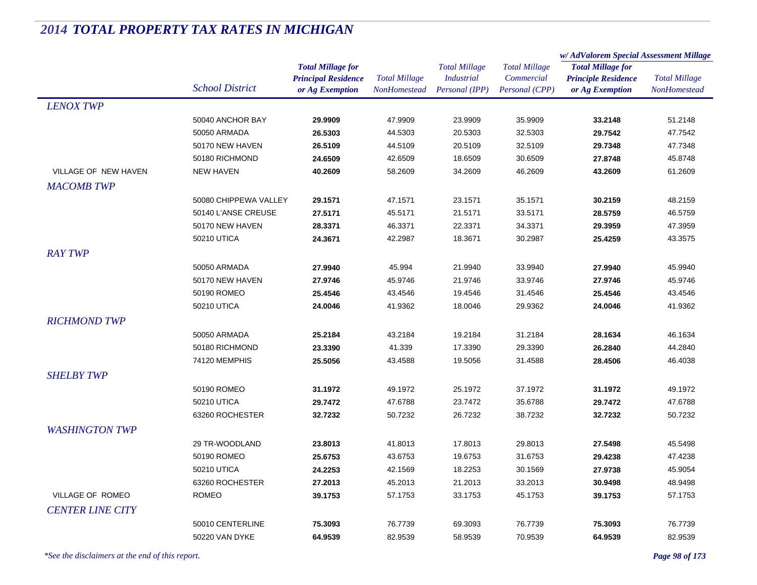|                         |                        |                            |                      |                      | <b>Total Millage</b> | w/AdValorem Special Assessment Millage |                      |
|-------------------------|------------------------|----------------------------|----------------------|----------------------|----------------------|----------------------------------------|----------------------|
|                         |                        | <b>Total Millage for</b>   |                      | <b>Total Millage</b> |                      | <b>Total Millage for</b>               | <b>Total Millage</b> |
|                         | <b>School District</b> | <b>Principal Residence</b> | <b>Total Millage</b> | <b>Industrial</b>    | Commercial           | <b>Principle Residence</b>             |                      |
|                         |                        | or Ag Exemption            | NonHomestead         | Personal (IPP)       | Personal (CPP)       | or Ag Exemption                        | NonHomestead         |
| <b>LENOX TWP</b>        |                        |                            |                      |                      |                      |                                        |                      |
|                         | 50040 ANCHOR BAY       | 29.9909                    | 47.9909              | 23.9909              | 35.9909              | 33.2148                                | 51.2148              |
|                         | 50050 ARMADA           | 26.5303                    | 44.5303              | 20.5303              | 32.5303              | 29.7542                                | 47.7542              |
|                         | 50170 NEW HAVEN        | 26.5109                    | 44.5109              | 20.5109              | 32.5109              | 29.7348                                | 47.7348              |
|                         | 50180 RICHMOND         | 24.6509                    | 42.6509              | 18.6509              | 30.6509              | 27.8748                                | 45.8748              |
| VILLAGE OF NEW HAVEN    | <b>NEW HAVEN</b>       | 40.2609                    | 58.2609              | 34.2609              | 46.2609              | 43.2609                                | 61.2609              |
| <b>MACOMB TWP</b>       |                        |                            |                      |                      |                      |                                        |                      |
|                         | 50080 CHIPPEWA VALLEY  | 29.1571                    | 47.1571              | 23.1571              | 35.1571              | 30.2159                                | 48.2159              |
|                         | 50140 L'ANSE CREUSE    | 27.5171                    | 45.5171              | 21.5171              | 33.5171              | 28.5759                                | 46.5759              |
|                         | 50170 NEW HAVEN        | 28.3371                    | 46.3371              | 22.3371              | 34.3371              | 29.3959                                | 47.3959              |
|                         | 50210 UTICA            | 24.3671                    | 42.2987              | 18.3671              | 30.2987              | 25.4259                                | 43.3575              |
| <b>RAY TWP</b>          |                        |                            |                      |                      |                      |                                        |                      |
|                         | 50050 ARMADA           | 27.9940                    | 45.994               | 21.9940              | 33.9940              | 27.9940                                | 45.9940              |
|                         | 50170 NEW HAVEN        | 27.9746                    | 45.9746              | 21.9746              | 33.9746              | 27.9746                                | 45.9746              |
|                         | 50190 ROMEO            | 25.4546                    | 43.4546              | 19.4546              | 31.4546              | 25.4546                                | 43.4546              |
|                         | 50210 UTICA            | 24.0046                    | 41.9362              | 18.0046              | 29.9362              | 24.0046                                | 41.9362              |
| <b>RICHMOND TWP</b>     |                        |                            |                      |                      |                      |                                        |                      |
|                         |                        |                            |                      |                      |                      |                                        |                      |
|                         | 50050 ARMADA           | 25.2184                    | 43.2184              | 19.2184              | 31.2184              | 28.1634                                | 46.1634              |
|                         | 50180 RICHMOND         | 23.3390                    | 41.339               | 17.3390              | 29.3390              | 26.2840                                | 44.2840              |
|                         | 74120 MEMPHIS          | 25.5056                    | 43.4588              | 19.5056              | 31.4588              | 28.4506                                | 46.4038              |
| <b>SHELBY TWP</b>       |                        |                            |                      |                      |                      |                                        |                      |
|                         | 50190 ROMEO            | 31.1972                    | 49.1972              | 25.1972              | 37.1972              | 31.1972                                | 49.1972              |
|                         | 50210 UTICA            | 29.7472                    | 47.6788              | 23.7472              | 35.6788              | 29.7472                                | 47.6788              |
|                         | 63260 ROCHESTER        | 32.7232                    | 50.7232              | 26.7232              | 38.7232              | 32.7232                                | 50.7232              |
| <b>WASHINGTON TWP</b>   |                        |                            |                      |                      |                      |                                        |                      |
|                         | 29 TR-WOODLAND         | 23.8013                    | 41.8013              | 17.8013              | 29.8013              | 27.5498                                | 45.5498              |
|                         | 50190 ROMEO            | 25.6753                    | 43.6753              | 19.6753              | 31.6753              | 29.4238                                | 47.4238              |
|                         | 50210 UTICA            | 24.2253                    | 42.1569              | 18.2253              | 30.1569              | 27.9738                                | 45.9054              |
|                         | 63260 ROCHESTER        | 27.2013                    | 45.2013              | 21.2013              | 33.2013              | 30.9498                                | 48.9498              |
| VILLAGE OF ROMEO        | <b>ROMEO</b>           | 39.1753                    | 57.1753              | 33.1753              | 45.1753              | 39.1753                                | 57.1753              |
| <b>CENTER LINE CITY</b> |                        |                            |                      |                      |                      |                                        |                      |
|                         | 50010 CENTERLINE       | 75.3093                    | 76.7739              | 69.3093              | 76.7739              | 75.3093                                | 76.7739              |
|                         | 50220 VAN DYKE         | 64.9539                    | 82.9539              | 58.9539              | 70.9539              | 64.9539                                | 82.9539              |
|                         |                        |                            |                      |                      |                      |                                        |                      |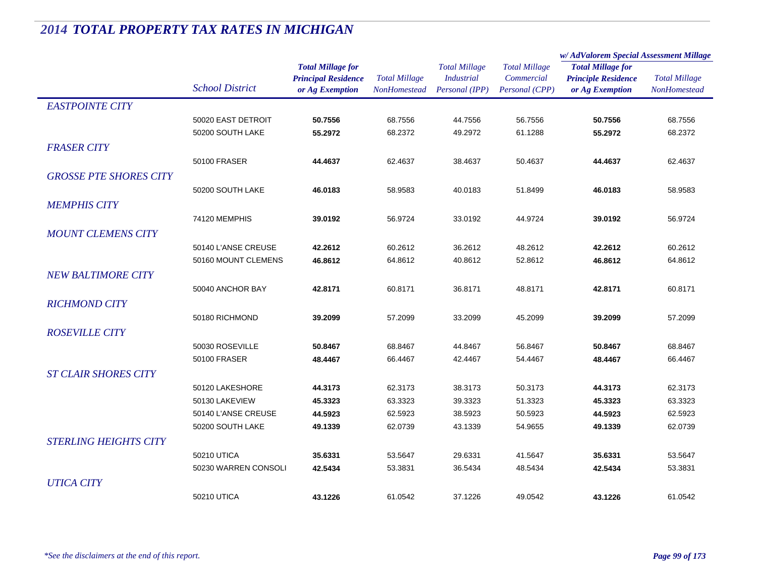|                               |                        |                            | <b>Total Millage</b> | <b>Total Millage</b><br><b>Industrial</b> | <b>Total Millage</b> | w/AdValorem Special Assessment Millage |                      |
|-------------------------------|------------------------|----------------------------|----------------------|-------------------------------------------|----------------------|----------------------------------------|----------------------|
|                               |                        | <b>Total Millage for</b>   |                      |                                           |                      | <b>Total Millage for</b>               | <b>Total Millage</b> |
|                               |                        | <b>Principal Residence</b> |                      |                                           | Commercial           | <b>Principle Residence</b>             |                      |
|                               | <b>School District</b> | or Ag Exemption            | <b>NonHomestead</b>  | Personal (IPP)                            | Personal (CPP)       | or Ag Exemption                        | <b>NonHomestead</b>  |
| <b>EASTPOINTE CITY</b>        |                        |                            |                      |                                           |                      |                                        |                      |
|                               | 50020 EAST DETROIT     | 50.7556                    | 68.7556              | 44.7556                                   | 56.7556              | 50.7556                                | 68.7556              |
|                               | 50200 SOUTH LAKE       | 55.2972                    | 68.2372              | 49.2972                                   | 61.1288              | 55.2972                                | 68.2372              |
| <b>FRASER CITY</b>            |                        |                            |                      |                                           |                      |                                        |                      |
|                               | 50100 FRASER           | 44.4637                    | 62.4637              | 38.4637                                   | 50.4637              | 44.4637                                | 62.4637              |
| <b>GROSSE PTE SHORES CITY</b> |                        |                            |                      |                                           |                      |                                        |                      |
|                               | 50200 SOUTH LAKE       | 46.0183                    | 58.9583              | 40.0183                                   | 51.8499              | 46.0183                                | 58.9583              |
| <b>MEMPHIS CITY</b>           |                        |                            |                      |                                           |                      |                                        |                      |
|                               | 74120 MEMPHIS          | 39.0192                    | 56.9724              | 33.0192                                   | 44.9724              | 39.0192                                | 56.9724              |
|                               |                        |                            |                      |                                           |                      |                                        |                      |
| <b>MOUNT CLEMENS CITY</b>     |                        |                            |                      |                                           |                      |                                        |                      |
|                               | 50140 L'ANSE CREUSE    | 42.2612                    | 60.2612              | 36.2612                                   | 48.2612              | 42.2612                                | 60.2612              |
|                               | 50160 MOUNT CLEMENS    | 46.8612                    | 64.8612              | 40.8612                                   | 52.8612              | 46.8612                                | 64.8612              |
| <b>NEW BALTIMORE CITY</b>     |                        |                            |                      |                                           |                      |                                        |                      |
|                               | 50040 ANCHOR BAY       | 42.8171                    | 60.8171              | 36.8171                                   | 48.8171              | 42.8171                                | 60.8171              |
| <b>RICHMOND CITY</b>          |                        |                            |                      |                                           |                      |                                        |                      |
|                               | 50180 RICHMOND         | 39.2099                    | 57.2099              | 33.2099                                   | 45.2099              | 39.2099                                | 57.2099              |
| <b>ROSEVILLE CITY</b>         |                        |                            |                      |                                           |                      |                                        |                      |
|                               | 50030 ROSEVILLE        | 50.8467                    | 68.8467              | 44.8467                                   | 56.8467              | 50.8467                                | 68.8467              |
|                               | 50100 FRASER           | 48.4467                    | 66.4467              | 42.4467                                   | 54.4467              | 48.4467                                | 66.4467              |
| <b>ST CLAIR SHORES CITY</b>   |                        |                            |                      |                                           |                      |                                        |                      |
|                               | 50120 LAKESHORE        | 44.3173                    | 62.3173              | 38.3173                                   | 50.3173              | 44.3173                                | 62.3173              |
|                               | 50130 LAKEVIEW         | 45.3323                    | 63.3323              | 39.3323                                   | 51.3323              | 45.3323                                | 63.3323              |
|                               | 50140 L'ANSE CREUSE    | 44.5923                    | 62.5923              | 38.5923                                   | 50.5923              | 44.5923                                | 62.5923              |
|                               | 50200 SOUTH LAKE       | 49.1339                    | 62.0739              | 43.1339                                   | 54.9655              | 49.1339                                | 62.0739              |
| <b>STERLING HEIGHTS CITY</b>  |                        |                            |                      |                                           |                      |                                        |                      |
|                               | 50210 UTICA            | 35.6331                    | 53.5647              | 29.6331                                   | 41.5647              | 35.6331                                | 53.5647              |
|                               | 50230 WARREN CONSOLI   | 42.5434                    | 53.3831              | 36.5434                                   | 48.5434              | 42.5434                                | 53.3831              |
| <b>UTICA CITY</b>             |                        |                            |                      |                                           |                      |                                        |                      |
|                               | 50210 UTICA            | 43.1226                    | 61.0542              | 37.1226                                   | 49.0542              | 43.1226                                | 61.0542              |
|                               |                        |                            |                      |                                           |                      |                                        |                      |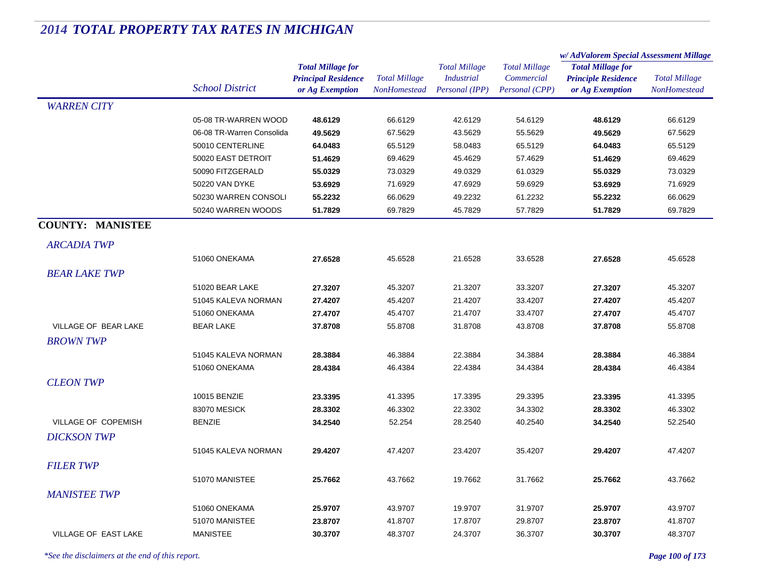|                         |                           |                                                                           |                                      |                                                             |                                                      | w/AdValorem Special Assessment Millage                                    |                                      |
|-------------------------|---------------------------|---------------------------------------------------------------------------|--------------------------------------|-------------------------------------------------------------|------------------------------------------------------|---------------------------------------------------------------------------|--------------------------------------|
|                         | <b>School District</b>    | <b>Total Millage for</b><br><b>Principal Residence</b><br>or Ag Exemption | <b>Total Millage</b><br>NonHomestead | <b>Total Millage</b><br><b>Industrial</b><br>Personal (IPP) | <b>Total Millage</b><br>Commercial<br>Personal (CPP) | <b>Total Millage for</b><br><b>Principle Residence</b><br>or Ag Exemption | <b>Total Millage</b><br>NonHomestead |
| <b>WARREN CITY</b>      |                           |                                                                           |                                      |                                                             |                                                      |                                                                           |                                      |
|                         | 05-08 TR-WARREN WOOD      | 48.6129                                                                   | 66.6129                              | 42.6129                                                     | 54.6129                                              | 48.6129                                                                   | 66.6129                              |
|                         | 06-08 TR-Warren Consolida | 49.5629                                                                   | 67.5629                              | 43.5629                                                     | 55.5629                                              | 49.5629                                                                   | 67.5629                              |
|                         | 50010 CENTERLINE          | 64.0483                                                                   | 65.5129                              | 58.0483                                                     | 65.5129                                              | 64.0483                                                                   | 65.5129                              |
|                         | 50020 EAST DETROIT        | 51.4629                                                                   | 69.4629                              | 45.4629                                                     | 57.4629                                              | 51.4629                                                                   | 69.4629                              |
|                         | 50090 FITZGERALD          | 55.0329                                                                   | 73.0329                              | 49.0329                                                     | 61.0329                                              | 55.0329                                                                   | 73.0329                              |
|                         | 50220 VAN DYKE            | 53.6929                                                                   | 71.6929                              | 47.6929                                                     | 59.6929                                              | 53.6929                                                                   | 71.6929                              |
|                         | 50230 WARREN CONSOLI      | 55.2232                                                                   | 66.0629                              | 49.2232                                                     | 61.2232                                              | 55.2232                                                                   | 66.0629                              |
|                         | 50240 WARREN WOODS        | 51.7829                                                                   | 69.7829                              | 45.7829                                                     | 57.7829                                              | 51.7829                                                                   | 69.7829                              |
| <b>COUNTY: MANISTEE</b> |                           |                                                                           |                                      |                                                             |                                                      |                                                                           |                                      |
| <b>ARCADIA TWP</b>      |                           |                                                                           |                                      |                                                             |                                                      |                                                                           |                                      |
|                         | 51060 ONEKAMA             | 27.6528                                                                   | 45.6528                              | 21.6528                                                     | 33.6528                                              | 27.6528                                                                   | 45.6528                              |
| <b>BEAR LAKE TWP</b>    |                           |                                                                           |                                      |                                                             |                                                      |                                                                           |                                      |
|                         | 51020 BEAR LAKE           | 27.3207                                                                   | 45.3207                              | 21.3207                                                     | 33.3207                                              | 27.3207                                                                   | 45.3207                              |
|                         | 51045 KALEVA NORMAN       | 27.4207                                                                   | 45.4207                              | 21.4207                                                     | 33.4207                                              | 27.4207                                                                   | 45.4207                              |
|                         | 51060 ONEKAMA             | 27.4707                                                                   | 45.4707                              | 21.4707                                                     | 33.4707                                              | 27.4707                                                                   | 45.4707                              |
| VILLAGE OF BEAR LAKE    | <b>BEAR LAKE</b>          | 37.8708                                                                   | 55.8708                              | 31.8708                                                     | 43.8708                                              | 37.8708                                                                   | 55.8708                              |
| <b>BROWN TWP</b>        |                           |                                                                           |                                      |                                                             |                                                      |                                                                           |                                      |
|                         | 51045 KALEVA NORMAN       | 28.3884                                                                   | 46.3884                              | 22.3884                                                     | 34.3884                                              | 28.3884                                                                   | 46.3884                              |
|                         | 51060 ONEKAMA             | 28.4384                                                                   | 46.4384                              | 22.4384                                                     | 34.4384                                              | 28.4384                                                                   | 46.4384                              |
| <b>CLEON TWP</b>        |                           |                                                                           |                                      |                                                             |                                                      |                                                                           |                                      |
|                         | 10015 BENZIE              | 23.3395                                                                   | 41.3395                              | 17.3395                                                     | 29.3395                                              | 23.3395                                                                   | 41.3395                              |
|                         | 83070 MESICK              | 28.3302                                                                   | 46.3302                              | 22.3302                                                     | 34.3302                                              | 28.3302                                                                   | 46.3302                              |
| VILLAGE OF COPEMISH     | <b>BENZIE</b>             | 34.2540                                                                   | 52.254                               | 28.2540                                                     | 40.2540                                              | 34.2540                                                                   | 52.2540                              |
|                         |                           |                                                                           |                                      |                                                             |                                                      |                                                                           |                                      |
| <b>DICKSON TWP</b>      |                           |                                                                           |                                      |                                                             |                                                      |                                                                           |                                      |
|                         | 51045 KALEVA NORMAN       | 29.4207                                                                   | 47.4207                              | 23.4207                                                     | 35.4207                                              | 29.4207                                                                   | 47.4207                              |
| <b>FILER TWP</b>        |                           |                                                                           |                                      |                                                             |                                                      |                                                                           |                                      |
|                         | 51070 MANISTEE            | 25.7662                                                                   | 43.7662                              | 19.7662                                                     | 31.7662                                              | 25.7662                                                                   | 43.7662                              |
| <b>MANISTEE TWP</b>     |                           |                                                                           |                                      |                                                             |                                                      |                                                                           |                                      |
|                         | 51060 ONEKAMA             | 25.9707                                                                   | 43.9707                              | 19.9707                                                     | 31.9707                                              | 25.9707                                                                   | 43.9707                              |
|                         | 51070 MANISTEE            | 23.8707                                                                   | 41.8707                              | 17.8707                                                     | 29.8707                                              | 23.8707                                                                   | 41.8707                              |
| VILLAGE OF EAST LAKE    | <b>MANISTEE</b>           | 30.3707                                                                   | 48.3707                              | 24.3707                                                     | 36.3707                                              | 30.3707                                                                   | 48.3707                              |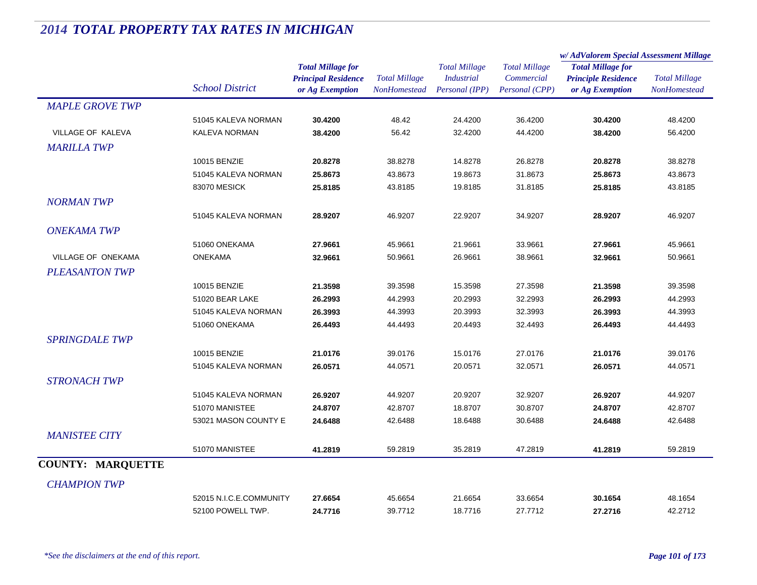|                          |                         |                            |                      | <b>Total Millage</b> | <b>Total Millage</b> | w/ AdValorem Special Assessment Millage |                      |
|--------------------------|-------------------------|----------------------------|----------------------|----------------------|----------------------|-----------------------------------------|----------------------|
|                          |                         | <b>Total Millage for</b>   |                      |                      |                      | <b>Total Millage for</b>                |                      |
|                          |                         | <b>Principal Residence</b> | <b>Total Millage</b> | <b>Industrial</b>    | Commercial           | <b>Principle Residence</b>              | <b>Total Millage</b> |
|                          | <b>School District</b>  | or Ag Exemption            | NonHomestead         | Personal (IPP)       | Personal (CPP)       | or Ag Exemption                         | <b>NonHomestead</b>  |
| <b>MAPLE GROVE TWP</b>   |                         |                            |                      |                      |                      |                                         |                      |
|                          | 51045 KALEVA NORMAN     | 30.4200                    | 48.42                | 24.4200              | 36.4200              | 30.4200                                 | 48.4200              |
| VILLAGE OF KALEVA        | KALEVA NORMAN           | 38.4200                    | 56.42                | 32.4200              | 44.4200              | 38.4200                                 | 56.4200              |
| <b>MARILLA TWP</b>       |                         |                            |                      |                      |                      |                                         |                      |
|                          | 10015 BENZIE            | 20.8278                    | 38.8278              | 14.8278              | 26.8278              | 20.8278                                 | 38.8278              |
|                          | 51045 KALEVA NORMAN     | 25.8673                    | 43.8673              | 19.8673              | 31.8673              | 25.8673                                 | 43.8673              |
|                          | 83070 MESICK            | 25.8185                    | 43.8185              | 19.8185              | 31.8185              | 25.8185                                 | 43.8185              |
| <b>NORMAN TWP</b>        |                         |                            |                      |                      |                      |                                         |                      |
|                          | 51045 KALEVA NORMAN     | 28.9207                    | 46.9207              | 22.9207              | 34.9207              | 28.9207                                 | 46.9207              |
| <b>ONEKAMA TWP</b>       |                         |                            |                      |                      |                      |                                         |                      |
|                          | 51060 ONEKAMA           | 27.9661                    | 45.9661              | 21.9661              | 33.9661              | 27.9661                                 | 45.9661              |
| VILLAGE OF ONEKAMA       | <b>ONEKAMA</b>          | 32.9661                    | 50.9661              | 26.9661              | 38.9661              | 32.9661                                 | 50.9661              |
| <b>PLEASANTON TWP</b>    |                         |                            |                      |                      |                      |                                         |                      |
|                          | 10015 BENZIE            | 21.3598                    | 39.3598              | 15.3598              | 27.3598              | 21.3598                                 | 39.3598              |
|                          | 51020 BEAR LAKE         | 26.2993                    | 44.2993              | 20.2993              | 32.2993              | 26.2993                                 | 44.2993              |
|                          | 51045 KALEVA NORMAN     | 26.3993                    | 44.3993              | 20.3993              | 32.3993              | 26.3993                                 | 44.3993              |
|                          | 51060 ONEKAMA           | 26.4493                    | 44.4493              | 20.4493              | 32.4493              | 26.4493                                 | 44.4493              |
| <b>SPRINGDALE TWP</b>    |                         |                            |                      |                      |                      |                                         |                      |
|                          | 10015 BENZIE            | 21.0176                    | 39.0176              | 15.0176              | 27.0176              | 21.0176                                 | 39.0176              |
|                          | 51045 KALEVA NORMAN     | 26.0571                    | 44.0571              | 20.0571              | 32.0571              | 26.0571                                 | 44.0571              |
| <b>STRONACH TWP</b>      |                         |                            |                      |                      |                      |                                         |                      |
|                          | 51045 KALEVA NORMAN     | 26.9207                    | 44.9207              | 20.9207              | 32.9207              | 26.9207                                 | 44.9207              |
|                          | 51070 MANISTEE          | 24.8707                    | 42.8707              | 18.8707              | 30.8707              | 24.8707                                 | 42.8707              |
|                          | 53021 MASON COUNTY E    | 24.6488                    | 42.6488              | 18.6488              | 30.6488              | 24.6488                                 | 42.6488              |
| <b>MANISTEE CITY</b>     |                         |                            |                      |                      |                      |                                         |                      |
|                          | 51070 MANISTEE          | 41.2819                    | 59.2819              | 35.2819              | 47.2819              | 41.2819                                 | 59.2819              |
| <b>COUNTY: MARQUETTE</b> |                         |                            |                      |                      |                      |                                         |                      |
|                          |                         |                            |                      |                      |                      |                                         |                      |
| <b>CHAMPION TWP</b>      |                         |                            |                      |                      |                      |                                         |                      |
|                          | 52015 N.I.C.E.COMMUNITY | 27.6654                    | 45.6654              | 21.6654              | 33.6654              | 30.1654                                 | 48.1654              |
|                          | 52100 POWELL TWP.       | 24.7716                    | 39.7712              | 18.7716              | 27.7712              | 27.2716                                 | 42.2712              |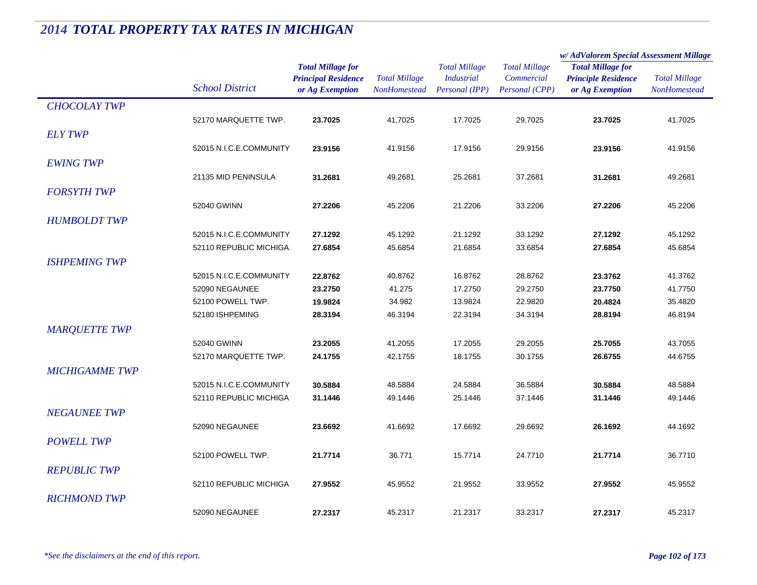|                       |                         |                            |                                      |                      |                      | w/ AdValorem Special Assessment Millage |                      |
|-----------------------|-------------------------|----------------------------|--------------------------------------|----------------------|----------------------|-----------------------------------------|----------------------|
|                       |                         | <b>Total Millage for</b>   |                                      | <b>Total Millage</b> | <b>Total Millage</b> | <b>Total Millage for</b>                | <b>Total Millage</b> |
|                       | <b>School District</b>  | <b>Principal Residence</b> | <b>Total Millage</b><br>NonHomestead | <b>Industrial</b>    | Commercial           | <b>Principle Residence</b>              |                      |
|                       |                         | or Ag Exemption            |                                      | Personal (IPP)       | Personal (CPP)       | or Ag Exemption                         | <b>NonHomestead</b>  |
| <b>CHOCOLAY TWP</b>   |                         |                            |                                      |                      |                      |                                         |                      |
|                       | 52170 MARQUETTE TWP.    | 23.7025                    | 41.7025                              | 17.7025              | 29.7025              | 23.7025                                 | 41.7025              |
| <b>ELY TWP</b>        |                         |                            |                                      |                      |                      |                                         |                      |
|                       | 52015 N.I.C.E.COMMUNITY | 23.9156                    | 41.9156                              | 17.9156              | 29.9156              | 23.9156                                 | 41.9156              |
| <b>EWING TWP</b>      |                         |                            |                                      |                      |                      |                                         |                      |
|                       | 21135 MID PENINSULA     | 31.2681                    | 49.2681                              | 25.2681              | 37.2681              | 31.2681                                 | 49.2681              |
|                       |                         |                            |                                      |                      |                      |                                         |                      |
| <b>FORSYTH TWP</b>    |                         |                            |                                      |                      |                      |                                         |                      |
|                       | 52040 GWINN             | 27.2206                    | 45.2206                              | 21.2206              | 33.2206              | 27.2206                                 | 45.2206              |
| <b>HUMBOLDT TWP</b>   |                         |                            |                                      |                      |                      |                                         |                      |
|                       | 52015 N.I.C.E.COMMUNITY | 27.1292                    | 45.1292                              | 21.1292              | 33.1292              | 27.1292                                 | 45.1292              |
|                       | 52110 REPUBLIC MICHIGA  | 27.6854                    | 45.6854                              | 21.6854              | 33.6854              | 27.6854                                 | 45.6854              |
| <b>ISHPEMING TWP</b>  |                         |                            |                                      |                      |                      |                                         |                      |
|                       | 52015 N.I.C.E.COMMUNITY | 22.8762                    | 40.8762                              | 16.8762              | 28.8762              | 23.3762                                 | 41.3762              |
|                       | 52090 NEGAUNEE          | 23.2750                    | 41.275                               | 17.2750              | 29.2750              | 23.7750                                 | 41.7750              |
|                       | 52100 POWELL TWP.       | 19.9824                    | 34.982                               | 13.9824              | 22.9820              | 20.4824                                 | 35.4820              |
|                       | 52180 ISHPEMING         | 28.3194                    | 46.3194                              | 22.3194              | 34.3194              | 28.8194                                 | 46.8194              |
| <b>MARQUETTE TWP</b>  |                         |                            |                                      |                      |                      |                                         |                      |
|                       | 52040 GWINN             | 23.2055                    | 41.2055                              | 17.2055              | 29.2055              | 25.7055                                 | 43.7055              |
|                       | 52170 MARQUETTE TWP.    | 24.1755                    | 42.1755                              | 18.1755              | 30.1755              | 26.6755                                 | 44.6755              |
| <b>MICHIGAMME TWP</b> |                         |                            |                                      |                      |                      |                                         |                      |
|                       | 52015 N.I.C.E.COMMUNITY | 30.5884                    | 48.5884                              | 24.5884              | 36.5884              | 30.5884                                 | 48.5884              |
|                       | 52110 REPUBLIC MICHIGA  | 31.1446                    | 49.1446                              | 25.1446              | 37.1446              | 31.1446                                 | 49.1446              |
| <b>NEGAUNEE TWP</b>   |                         |                            |                                      |                      |                      |                                         |                      |
|                       |                         |                            |                                      |                      |                      |                                         |                      |
|                       | 52090 NEGAUNEE          | 23.6692                    | 41.6692                              | 17.6692              | 29.6692              | 26.1692                                 | 44.1692              |
| <b>POWELL TWP</b>     |                         |                            |                                      |                      |                      |                                         |                      |
|                       | 52100 POWELL TWP.       | 21.7714                    | 36.771                               | 15.7714              | 24.7710              | 21.7714                                 | 36.7710              |
| <b>REPUBLIC TWP</b>   |                         |                            |                                      |                      |                      |                                         |                      |
|                       | 52110 REPUBLIC MICHIGA  | 27.9552                    | 45.9552                              | 21.9552              | 33.9552              | 27.9552                                 | 45.9552              |
| <b>RICHMOND TWP</b>   |                         |                            |                                      |                      |                      |                                         |                      |
|                       | 52090 NEGAUNEE          | 27.2317                    | 45.2317                              | 21.2317              | 33.2317              | 27.2317                                 | 45.2317              |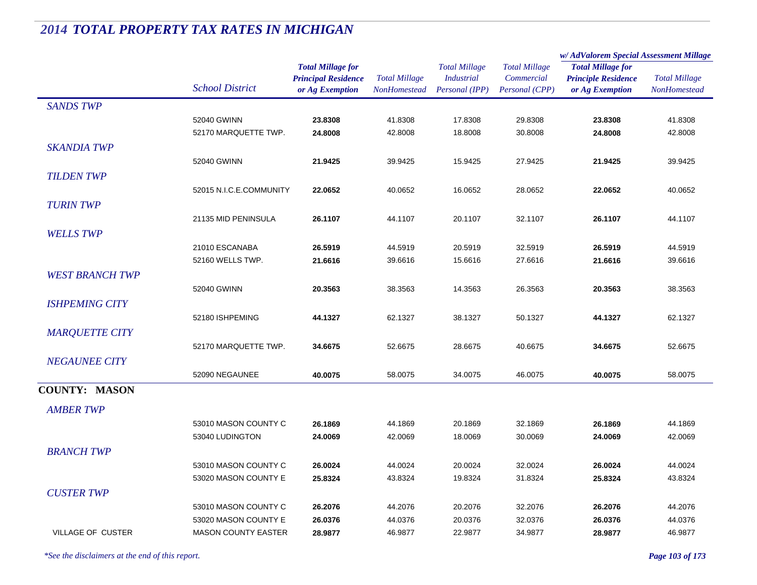|                        |                            |                                                                           |                                             |                                                             |                                                      | w/AdValorem Special Assessment Millage                                    |                                      |  |
|------------------------|----------------------------|---------------------------------------------------------------------------|---------------------------------------------|-------------------------------------------------------------|------------------------------------------------------|---------------------------------------------------------------------------|--------------------------------------|--|
|                        | <b>School District</b>     | <b>Total Millage for</b><br><b>Principal Residence</b><br>or Ag Exemption | <b>Total Millage</b><br><b>NonHomestead</b> | <b>Total Millage</b><br><b>Industrial</b><br>Personal (IPP) | <b>Total Millage</b><br>Commercial<br>Personal (CPP) | <b>Total Millage for</b><br><b>Principle Residence</b><br>or Ag Exemption | <b>Total Millage</b><br>NonHomestead |  |
| <b>SANDS TWP</b>       |                            |                                                                           |                                             |                                                             |                                                      |                                                                           |                                      |  |
|                        | 52040 GWINN                | 23.8308                                                                   | 41.8308                                     | 17.8308                                                     | 29.8308                                              | 23.8308                                                                   | 41.8308                              |  |
|                        | 52170 MARQUETTE TWP.       | 24.8008                                                                   | 42.8008                                     | 18.8008                                                     | 30.8008                                              | 24.8008                                                                   | 42.8008                              |  |
| <b>SKANDIA TWP</b>     |                            |                                                                           |                                             |                                                             |                                                      |                                                                           |                                      |  |
|                        | 52040 GWINN                | 21.9425                                                                   | 39.9425                                     | 15.9425                                                     | 27.9425                                              | 21.9425                                                                   | 39.9425                              |  |
| <b>TILDEN TWP</b>      |                            |                                                                           |                                             |                                                             |                                                      |                                                                           |                                      |  |
|                        | 52015 N.I.C.E.COMMUNITY    | 22.0652                                                                   | 40.0652                                     | 16.0652                                                     | 28.0652                                              | 22.0652                                                                   | 40.0652                              |  |
| <b>TURIN TWP</b>       |                            |                                                                           |                                             |                                                             |                                                      |                                                                           |                                      |  |
|                        | 21135 MID PENINSULA        | 26.1107                                                                   | 44.1107                                     | 20.1107                                                     | 32.1107                                              | 26.1107                                                                   | 44.1107                              |  |
| <b>WELLS TWP</b>       |                            |                                                                           |                                             |                                                             |                                                      |                                                                           |                                      |  |
|                        | 21010 ESCANABA             | 26.5919                                                                   | 44.5919                                     | 20.5919                                                     | 32.5919                                              | 26.5919                                                                   | 44.5919                              |  |
|                        | 52160 WELLS TWP.           | 21.6616                                                                   | 39.6616                                     | 15.6616                                                     | 27.6616                                              | 21.6616                                                                   | 39.6616                              |  |
| <b>WEST BRANCH TWP</b> |                            |                                                                           |                                             |                                                             |                                                      |                                                                           |                                      |  |
|                        |                            |                                                                           |                                             |                                                             |                                                      |                                                                           |                                      |  |
|                        | 52040 GWINN                | 20.3563                                                                   | 38.3563                                     | 14.3563                                                     | 26.3563                                              | 20.3563                                                                   | 38.3563                              |  |
| <b>ISHPEMING CITY</b>  |                            |                                                                           |                                             |                                                             |                                                      |                                                                           |                                      |  |
|                        | 52180 ISHPEMING            | 44.1327                                                                   | 62.1327                                     | 38.1327                                                     | 50.1327                                              | 44.1327                                                                   | 62.1327                              |  |
| <b>MARQUETTE CITY</b>  |                            |                                                                           |                                             |                                                             |                                                      |                                                                           |                                      |  |
|                        | 52170 MARQUETTE TWP.       | 34.6675                                                                   | 52.6675                                     | 28.6675                                                     | 40.6675                                              | 34.6675                                                                   | 52.6675                              |  |
| <b>NEGAUNEE CITY</b>   |                            |                                                                           |                                             |                                                             |                                                      |                                                                           |                                      |  |
|                        | 52090 NEGAUNEE             | 40.0075                                                                   | 58.0075                                     | 34.0075                                                     | 46.0075                                              | 40.0075                                                                   | 58.0075                              |  |
| <b>COUNTY: MASON</b>   |                            |                                                                           |                                             |                                                             |                                                      |                                                                           |                                      |  |
| <b>AMBER TWP</b>       |                            |                                                                           |                                             |                                                             |                                                      |                                                                           |                                      |  |
|                        | 53010 MASON COUNTY C       | 26.1869                                                                   | 44.1869                                     | 20.1869                                                     | 32.1869                                              | 26.1869                                                                   | 44.1869                              |  |
|                        | 53040 LUDINGTON            | 24.0069                                                                   | 42.0069                                     | 18.0069                                                     | 30.0069                                              | 24.0069                                                                   | 42.0069                              |  |
| <b>BRANCH TWP</b>      |                            |                                                                           |                                             |                                                             |                                                      |                                                                           |                                      |  |
|                        | 53010 MASON COUNTY C       | 26.0024                                                                   | 44.0024                                     | 20.0024                                                     | 32.0024                                              | 26.0024                                                                   | 44.0024                              |  |
|                        | 53020 MASON COUNTY E       | 25.8324                                                                   | 43.8324                                     | 19.8324                                                     | 31.8324                                              | 25.8324                                                                   | 43.8324                              |  |
| <b>CUSTER TWP</b>      |                            |                                                                           |                                             |                                                             |                                                      |                                                                           |                                      |  |
|                        | 53010 MASON COUNTY C       | 26.2076                                                                   | 44.2076                                     | 20.2076                                                     | 32.2076                                              | 26.2076                                                                   | 44.2076                              |  |
|                        | 53020 MASON COUNTY E       | 26.0376                                                                   | 44.0376                                     | 20.0376                                                     | 32.0376                                              | 26.0376                                                                   | 44.0376                              |  |
| VILLAGE OF CUSTER      | <b>MASON COUNTY EASTER</b> | 28.9877                                                                   | 46.9877                                     | 22.9877                                                     | 34.9877                                              | 28.9877                                                                   | 46.9877                              |  |
|                        |                            |                                                                           |                                             |                                                             |                                                      |                                                                           |                                      |  |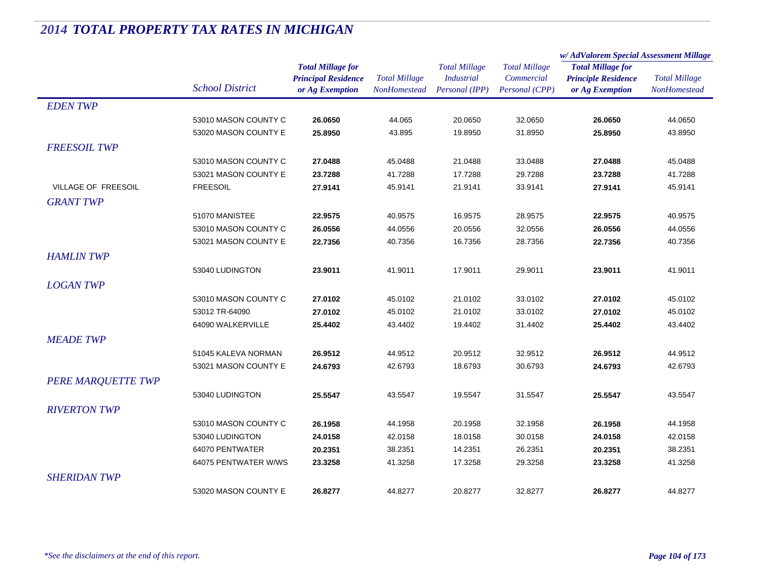|                     |                        |                            |                      | <b>Total Millage</b> | <b>Total Millage</b> | w/AdValorem Special Assessment Millage |                      |
|---------------------|------------------------|----------------------------|----------------------|----------------------|----------------------|----------------------------------------|----------------------|
|                     |                        | <b>Total Millage for</b>   |                      |                      |                      | <b>Total Millage for</b>               |                      |
|                     | <b>School District</b> | <b>Principal Residence</b> | <b>Total Millage</b> | <b>Industrial</b>    | Commercial           | <b>Principle Residence</b>             | <b>Total Millage</b> |
|                     |                        | or Ag Exemption            | NonHomestead         | Personal (IPP)       | Personal (CPP)       | or Ag Exemption                        | <b>NonHomestead</b>  |
| <b>EDENTWP</b>      |                        |                            |                      |                      |                      |                                        |                      |
|                     | 53010 MASON COUNTY C   | 26.0650                    | 44.065               | 20.0650              | 32.0650              | 26.0650                                | 44.0650              |
|                     | 53020 MASON COUNTY E   | 25.8950                    | 43.895               | 19.8950              | 31.8950              | 25.8950                                | 43.8950              |
| <b>FREESOIL TWP</b> |                        |                            |                      |                      |                      |                                        |                      |
|                     | 53010 MASON COUNTY C   | 27.0488                    | 45.0488              | 21.0488              | 33.0488              | 27.0488                                | 45.0488              |
|                     | 53021 MASON COUNTY E   | 23.7288                    | 41.7288              | 17.7288              | 29.7288              | 23.7288                                | 41.7288              |
| VILLAGE OF FREESOIL | <b>FREESOIL</b>        | 27.9141                    | 45.9141              | 21.9141              | 33.9141              | 27.9141                                | 45.9141              |
| <b>GRANT TWP</b>    |                        |                            |                      |                      |                      |                                        |                      |
|                     | 51070 MANISTEE         | 22.9575                    | 40.9575              | 16.9575              | 28.9575              | 22.9575                                | 40.9575              |
|                     | 53010 MASON COUNTY C   | 26.0556                    | 44.0556              | 20.0556              | 32.0556              | 26.0556                                | 44.0556              |
|                     | 53021 MASON COUNTY E   | 22.7356                    | 40.7356              | 16.7356              | 28.7356              | 22.7356                                | 40.7356              |
| <b>HAMLIN TWP</b>   |                        |                            |                      |                      |                      |                                        |                      |
|                     | 53040 LUDINGTON        | 23.9011                    | 41.9011              | 17.9011              | 29.9011              | 23.9011                                | 41.9011              |
| <b>LOGAN TWP</b>    |                        |                            |                      |                      |                      |                                        |                      |
|                     | 53010 MASON COUNTY C   | 27.0102                    | 45.0102              | 21.0102              | 33.0102              | 27.0102                                | 45.0102              |
|                     | 53012 TR-64090         | 27.0102                    | 45.0102              | 21.0102              | 33.0102              | 27.0102                                | 45.0102              |
|                     | 64090 WALKERVILLE      | 25.4402                    | 43.4402              | 19.4402              | 31.4402              | 25.4402                                | 43.4402              |
|                     |                        |                            |                      |                      |                      |                                        |                      |
| <b>MEADE TWP</b>    |                        |                            |                      |                      |                      |                                        |                      |
|                     | 51045 KALEVA NORMAN    | 26.9512                    | 44.9512              | 20.9512              | 32.9512              | 26.9512                                | 44.9512              |
|                     | 53021 MASON COUNTY E   | 24.6793                    | 42.6793              | 18.6793              | 30.6793              | 24.6793                                | 42.6793              |
| PERE MARQUETTE TWP  |                        |                            |                      |                      |                      |                                        |                      |
|                     | 53040 LUDINGTON        | 25.5547                    | 43.5547              | 19.5547              | 31.5547              | 25.5547                                | 43.5547              |
| <b>RIVERTON TWP</b> |                        |                            |                      |                      |                      |                                        |                      |
|                     | 53010 MASON COUNTY C   | 26.1958                    | 44.1958              | 20.1958              | 32.1958              | 26.1958                                | 44.1958              |
|                     | 53040 LUDINGTON        | 24.0158                    | 42.0158              | 18.0158              | 30.0158              | 24.0158                                | 42.0158              |
|                     | 64070 PENTWATER        | 20.2351                    | 38.2351              | 14.2351              | 26.2351              | 20.2351                                | 38.2351              |
|                     | 64075 PENTWATER W/WS   | 23.3258                    | 41.3258              | 17.3258              | 29.3258              | 23.3258                                | 41.3258              |
| <b>SHERIDAN TWP</b> |                        |                            |                      |                      |                      |                                        |                      |
|                     | 53020 MASON COUNTY E   | 26.8277                    | 44.8277              | 20.8277              | 32.8277              | 26.8277                                | 44.8277              |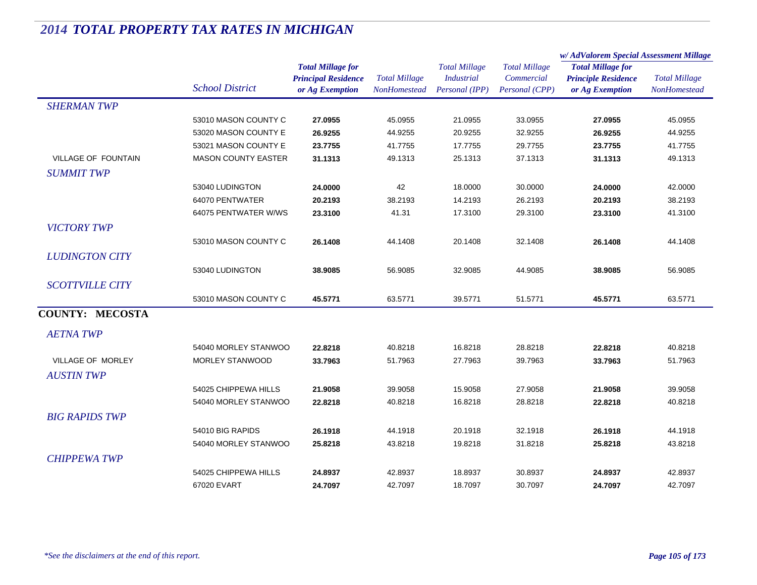|                            |                            | <b>Total Millage for</b><br><b>Principal Residence</b> | <b>Total Millage</b><br><b>NonHomestead</b> | <b>Total Millage</b><br><b>Industrial</b><br>Personal (IPP) | <b>Total Millage</b><br>Commercial<br>Personal (CPP) | w/AdValorem Special Assessment Millage                                    |                      |  |
|----------------------------|----------------------------|--------------------------------------------------------|---------------------------------------------|-------------------------------------------------------------|------------------------------------------------------|---------------------------------------------------------------------------|----------------------|--|
|                            | <b>School District</b>     |                                                        |                                             |                                                             |                                                      | <b>Total Millage for</b><br><b>Principle Residence</b><br>or Ag Exemption | <b>Total Millage</b> |  |
|                            |                            | or Ag Exemption                                        |                                             |                                                             |                                                      |                                                                           | NonHomestead         |  |
| <b>SHERMAN TWP</b>         |                            |                                                        |                                             |                                                             |                                                      |                                                                           |                      |  |
|                            | 53010 MASON COUNTY C       | 27.0955                                                | 45.0955                                     | 21.0955                                                     | 33.0955                                              | 27.0955                                                                   | 45.0955              |  |
|                            | 53020 MASON COUNTY E       | 26.9255                                                | 44.9255                                     | 20.9255                                                     | 32.9255                                              | 26.9255                                                                   | 44.9255              |  |
|                            | 53021 MASON COUNTY E       | 23.7755                                                | 41.7755                                     | 17.7755                                                     | 29.7755                                              | 23.7755                                                                   | 41.7755              |  |
| <b>VILLAGE OF FOUNTAIN</b> | <b>MASON COUNTY EASTER</b> | 31.1313                                                | 49.1313                                     | 25.1313                                                     | 37.1313                                              | 31.1313                                                                   | 49.1313              |  |
| <b>SUMMIT TWP</b>          |                            |                                                        |                                             |                                                             |                                                      |                                                                           |                      |  |
|                            | 53040 LUDINGTON            | 24.0000                                                | 42                                          | 18.0000                                                     | 30.0000                                              | 24.0000                                                                   | 42.0000              |  |
|                            | 64070 PENTWATER            | 20.2193                                                | 38.2193                                     | 14.2193                                                     | 26.2193                                              | 20.2193                                                                   | 38.2193              |  |
|                            | 64075 PENTWATER W/WS       | 23.3100                                                | 41.31                                       | 17.3100                                                     | 29.3100                                              | 23.3100                                                                   | 41.3100              |  |
| <b>VICTORY TWP</b>         |                            |                                                        |                                             |                                                             |                                                      |                                                                           |                      |  |
|                            | 53010 MASON COUNTY C       | 26.1408                                                | 44.1408                                     | 20.1408                                                     | 32.1408                                              | 26.1408                                                                   | 44.1408              |  |
| <b>LUDINGTON CITY</b>      |                            |                                                        |                                             |                                                             |                                                      |                                                                           |                      |  |
|                            | 53040 LUDINGTON            | 38.9085                                                | 56.9085                                     | 32.9085                                                     | 44.9085                                              | 38.9085                                                                   | 56.9085              |  |
|                            |                            |                                                        |                                             |                                                             |                                                      |                                                                           |                      |  |
| <b>SCOTTVILLE CITY</b>     |                            |                                                        |                                             |                                                             |                                                      |                                                                           |                      |  |
|                            | 53010 MASON COUNTY C       | 45.5771                                                | 63.5771                                     | 39.5771                                                     | 51.5771                                              | 45.5771                                                                   | 63.5771              |  |
| <b>COUNTY: MECOSTA</b>     |                            |                                                        |                                             |                                                             |                                                      |                                                                           |                      |  |
| <b>AETNA TWP</b>           |                            |                                                        |                                             |                                                             |                                                      |                                                                           |                      |  |
|                            | 54040 MORLEY STANWOO       | 22.8218                                                | 40.8218                                     | 16.8218                                                     | 28.8218                                              | 22.8218                                                                   | 40.8218              |  |
| <b>VILLAGE OF MORLEY</b>   | <b>MORLEY STANWOOD</b>     | 33.7963                                                | 51.7963                                     | 27.7963                                                     | 39.7963                                              | 33.7963                                                                   | 51.7963              |  |
| <b>AUSTINTWP</b>           |                            |                                                        |                                             |                                                             |                                                      |                                                                           |                      |  |
|                            | 54025 CHIPPEWA HILLS       | 21.9058                                                | 39.9058                                     | 15.9058                                                     | 27.9058                                              | 21.9058                                                                   | 39.9058              |  |
|                            | 54040 MORLEY STANWOO       | 22.8218                                                | 40.8218                                     | 16.8218                                                     | 28.8218                                              | 22.8218                                                                   | 40.8218              |  |
| <b>BIG RAPIDS TWP</b>      |                            |                                                        |                                             |                                                             |                                                      |                                                                           |                      |  |
|                            |                            |                                                        |                                             |                                                             |                                                      |                                                                           |                      |  |
|                            | 54010 BIG RAPIDS           | 26.1918                                                | 44.1918                                     | 20.1918                                                     | 32.1918                                              | 26.1918                                                                   | 44.1918              |  |
|                            | 54040 MORLEY STANWOO       | 25.8218                                                | 43.8218                                     | 19.8218                                                     | 31.8218                                              | 25.8218                                                                   | 43.8218              |  |
| <b>CHIPPEWA TWP</b>        |                            |                                                        |                                             |                                                             |                                                      |                                                                           |                      |  |
|                            | 54025 CHIPPEWA HILLS       | 24.8937                                                | 42.8937                                     | 18.8937                                                     | 30.8937                                              | 24.8937                                                                   | 42.8937              |  |
|                            | 67020 EVART                | 24.7097                                                | 42.7097                                     | 18.7097                                                     | 30.7097                                              | 24.7097                                                                   | 42.7097              |  |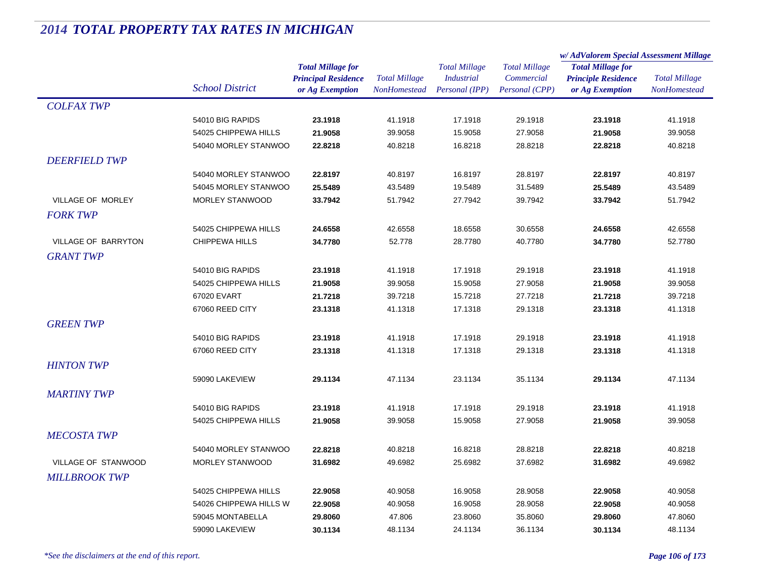|                      |                        |                            |                      | <b>Total Millage</b> | <b>Total Millage</b> | w/AdValorem Special Assessment Millage |                      |
|----------------------|------------------------|----------------------------|----------------------|----------------------|----------------------|----------------------------------------|----------------------|
|                      |                        | <b>Total Millage for</b>   |                      |                      |                      | <b>Total Millage for</b>               | <b>Total Millage</b> |
|                      |                        | <b>Principal Residence</b> | <b>Total Millage</b> | <b>Industrial</b>    | Commercial           | <b>Principle Residence</b>             |                      |
|                      | <b>School District</b> | or Ag Exemption            | NonHomestead         | Personal (IPP)       | Personal (CPP)       | or Ag Exemption                        | NonHomestead         |
| <b>COLFAX TWP</b>    |                        |                            |                      |                      |                      |                                        |                      |
|                      | 54010 BIG RAPIDS       | 23.1918                    | 41.1918              | 17.1918              | 29.1918              | 23.1918                                | 41.1918              |
|                      | 54025 CHIPPEWA HILLS   | 21.9058                    | 39.9058              | 15.9058              | 27.9058              | 21.9058                                | 39.9058              |
|                      | 54040 MORLEY STANWOO   | 22.8218                    | 40.8218              | 16.8218              | 28.8218              | 22.8218                                | 40.8218              |
| <b>DEERFIELD TWP</b> |                        |                            |                      |                      |                      |                                        |                      |
|                      | 54040 MORLEY STANWOO   | 22.8197                    | 40.8197              | 16.8197              | 28.8197              | 22.8197                                | 40.8197              |
|                      | 54045 MORLEY STANWOO   | 25.5489                    | 43.5489              | 19.5489              | 31.5489              | 25.5489                                | 43.5489              |
| VILLAGE OF MORLEY    | <b>MORLEY STANWOOD</b> | 33.7942                    | 51.7942              | 27.7942              | 39.7942              | 33.7942                                | 51.7942              |
| <b>FORK TWP</b>      |                        |                            |                      |                      |                      |                                        |                      |
|                      | 54025 CHIPPEWA HILLS   | 24.6558                    | 42.6558              | 18.6558              | 30.6558              | 24.6558                                | 42.6558              |
| VILLAGE OF BARRYTON  | <b>CHIPPEWA HILLS</b>  | 34.7780                    | 52.778               | 28.7780              | 40.7780              | 34.7780                                | 52.7780              |
| <b>GRANT TWP</b>     |                        |                            |                      |                      |                      |                                        |                      |
|                      | 54010 BIG RAPIDS       | 23.1918                    | 41.1918              | 17.1918              | 29.1918              | 23.1918                                | 41.1918              |
|                      | 54025 CHIPPEWA HILLS   | 21.9058                    | 39.9058              | 15.9058              | 27.9058              | 21.9058                                | 39.9058              |
|                      | 67020 EVART            | 21.7218                    | 39.7218              | 15.7218              | 27.7218              | 21.7218                                | 39.7218              |
|                      | 67060 REED CITY        | 23.1318                    | 41.1318              | 17.1318              | 29.1318              | 23.1318                                | 41.1318              |
| <b>GREEN TWP</b>     |                        |                            |                      |                      |                      |                                        |                      |
|                      | 54010 BIG RAPIDS       | 23.1918                    | 41.1918              | 17.1918              | 29.1918              | 23.1918                                | 41.1918              |
|                      | 67060 REED CITY        | 23.1318                    | 41.1318              | 17.1318              | 29.1318              | 23.1318                                | 41.1318              |
|                      |                        |                            |                      |                      |                      |                                        |                      |
| <b>HINTON TWP</b>    |                        |                            |                      |                      |                      |                                        |                      |
|                      | 59090 LAKEVIEW         | 29.1134                    | 47.1134              | 23.1134              | 35.1134              | 29.1134                                | 47.1134              |
| <b>MARTINY TWP</b>   |                        |                            |                      |                      |                      |                                        |                      |
|                      | 54010 BIG RAPIDS       | 23.1918                    | 41.1918              | 17.1918              | 29.1918              | 23.1918                                | 41.1918              |
|                      | 54025 CHIPPEWA HILLS   | 21.9058                    | 39.9058              | 15.9058              | 27.9058              | 21.9058                                | 39.9058              |
| <b>MECOSTA TWP</b>   |                        |                            |                      |                      |                      |                                        |                      |
|                      | 54040 MORLEY STANWOO   | 22.8218                    | 40.8218              | 16.8218              | 28.8218              | 22.8218                                | 40.8218              |
| VILLAGE OF STANWOOD  | <b>MORLEY STANWOOD</b> | 31.6982                    | 49.6982              | 25.6982              | 37.6982              | 31.6982                                | 49.6982              |
| <b>MILLBROOK TWP</b> |                        |                            |                      |                      |                      |                                        |                      |
|                      | 54025 CHIPPEWA HILLS   | 22.9058                    | 40.9058              | 16.9058              | 28.9058              | 22.9058                                | 40.9058              |
|                      | 54026 CHIPPEWA HILLS W | 22.9058                    | 40.9058              | 16.9058              | 28.9058              | 22.9058                                | 40.9058              |
|                      | 59045 MONTABELLA       | 29.8060                    | 47.806               | 23.8060              | 35.8060              | 29.8060                                | 47.8060              |
|                      | 59090 LAKEVIEW         | 30.1134                    | 48.1134              | 24.1134              | 36.1134              | 30.1134                                | 48.1134              |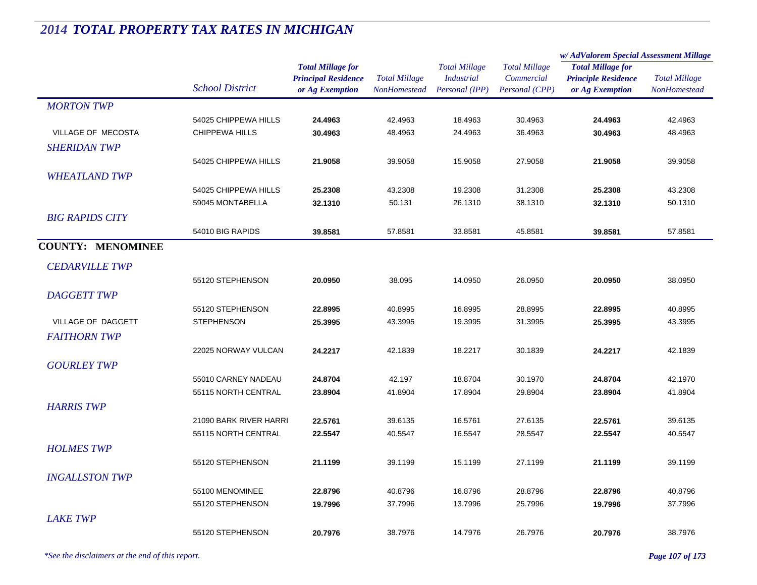|                              |                        |                            |                      | <b>Total Millage</b> | <b>Total Millage</b> | w/ AdValorem Special Assessment Millage |                      |
|------------------------------|------------------------|----------------------------|----------------------|----------------------|----------------------|-----------------------------------------|----------------------|
|                              |                        | <b>Total Millage for</b>   |                      |                      |                      | <b>Total Millage for</b>                | <b>Total Millage</b> |
|                              | <b>School District</b> | <b>Principal Residence</b> | <b>Total Millage</b> | <b>Industrial</b>    | Commercial           | <b>Principle Residence</b>              |                      |
|                              |                        | or Ag Exemption            | <b>NonHomestead</b>  | Personal (IPP)       | Personal (CPP)       | or Ag Exemption                         | <b>NonHomestead</b>  |
| <b>MORTON TWP</b>            |                        |                            |                      |                      |                      |                                         |                      |
|                              | 54025 CHIPPEWA HILLS   | 24.4963                    | 42.4963              | 18.4963              | 30.4963              | 24.4963                                 | 42.4963              |
| VILLAGE OF MECOSTA           | <b>CHIPPEWA HILLS</b>  | 30.4963                    | 48.4963              | 24.4963              | 36.4963              | 30.4963                                 | 48.4963              |
| <b>SHERIDAN TWP</b>          |                        |                            |                      |                      |                      |                                         |                      |
|                              | 54025 CHIPPEWA HILLS   | 21.9058                    | 39.9058              | 15.9058              | 27.9058              | 21.9058                                 | 39.9058              |
| <b>WHEATLAND TWP</b>         |                        |                            |                      |                      |                      |                                         |                      |
|                              | 54025 CHIPPEWA HILLS   | 25.2308                    | 43.2308              | 19.2308              | 31.2308              | 25.2308                                 | 43.2308              |
|                              | 59045 MONTABELLA       | 32.1310                    | 50.131               | 26.1310              | 38.1310              | 32.1310                                 | 50.1310              |
| <b>BIG RAPIDS CITY</b>       |                        |                            |                      |                      |                      |                                         |                      |
|                              | 54010 BIG RAPIDS       | 39.8581                    | 57.8581              | 33.8581              | 45.8581              | 39.8581                                 | 57.8581              |
|                              |                        |                            |                      |                      |                      |                                         |                      |
| <b>COUNTY: MENOMINEE</b>     |                        |                            |                      |                      |                      |                                         |                      |
| <b>CEDARVILLE TWP</b>        |                        |                            |                      |                      |                      |                                         |                      |
|                              | 55120 STEPHENSON       | 20.0950                    | 38.095               | 14.0950              | 26.0950              | 20.0950                                 | 38.0950              |
| <b>DAGGETT TWP</b>           |                        |                            |                      |                      |                      |                                         |                      |
|                              | 55120 STEPHENSON       | 22.8995                    | 40.8995              | 16.8995              | 28.8995              | 22.8995                                 | 40.8995              |
| VILLAGE OF DAGGETT           | <b>STEPHENSON</b>      | 25.3995                    | 43.3995              | 19.3995              | 31.3995              | 25.3995                                 | 43.3995              |
| <b>FAITHORN TWP</b>          |                        |                            |                      |                      |                      |                                         |                      |
|                              | 22025 NORWAY VULCAN    | 24.2217                    | 42.1839              | 18.2217              | 30.1839              | 24.2217                                 | 42.1839              |
| <b>GOURLEY TWP</b>           |                        |                            |                      |                      |                      |                                         |                      |
|                              |                        |                            |                      |                      |                      |                                         |                      |
|                              | 55010 CARNEY NADEAU    | 24.8704                    | 42.197               | 18.8704              | 30.1970              | 24.8704                                 | 42.1970              |
|                              | 55115 NORTH CENTRAL    | 23.8904                    | 41.8904              | 17.8904              | 29.8904              | 23.8904                                 | 41.8904              |
| <b>HARRIS TWP</b>            |                        |                            |                      |                      |                      |                                         |                      |
|                              | 21090 BARK RIVER HARRI | 22.5761                    | 39.6135              | 16.5761              | 27.6135              | 22.5761                                 | 39.6135              |
|                              | 55115 NORTH CENTRAL    | 22.5547                    | 40.5547              | 16.5547              | 28.5547              | 22.5547                                 | 40.5547              |
| <b>HOLMES TWP</b>            |                        |                            |                      |                      |                      |                                         |                      |
|                              | 55120 STEPHENSON       | 21.1199                    | 39.1199              | 15.1199              | 27.1199              | 21.1199                                 | 39.1199              |
| <i><b>INGALLSTON TWP</b></i> |                        |                            |                      |                      |                      |                                         |                      |
|                              | 55100 MENOMINEE        | 22.8796                    | 40.8796              | 16.8796              | 28.8796              | 22.8796                                 | 40.8796              |
|                              | 55120 STEPHENSON       | 19.7996                    | 37.7996              | 13.7996              | 25.7996              | 19.7996                                 | 37.7996              |
| <b>LAKE TWP</b>              |                        |                            |                      |                      |                      |                                         |                      |
|                              | 55120 STEPHENSON       | 20.7976                    | 38.7976              | 14.7976              | 26.7976              | 20.7976                                 | 38.7976              |
|                              |                        |                            |                      |                      |                      |                                         |                      |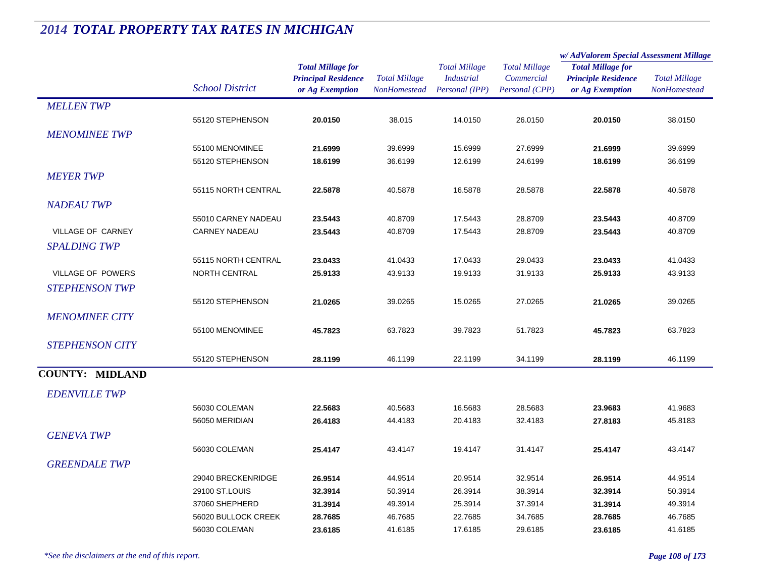|                        |                        |                                                                           |                                             |                                                             |                                                      | w/AdValorem Special Assessment Millage                                    |                                             |  |
|------------------------|------------------------|---------------------------------------------------------------------------|---------------------------------------------|-------------------------------------------------------------|------------------------------------------------------|---------------------------------------------------------------------------|---------------------------------------------|--|
|                        | <b>School District</b> | <b>Total Millage for</b><br><b>Principal Residence</b><br>or Ag Exemption | <b>Total Millage</b><br><b>NonHomestead</b> | <b>Total Millage</b><br><b>Industrial</b><br>Personal (IPP) | <b>Total Millage</b><br>Commercial<br>Personal (CPP) | <b>Total Millage for</b><br><b>Principle Residence</b><br>or Ag Exemption | <b>Total Millage</b><br><b>NonHomestead</b> |  |
| <b>MELLENTWP</b>       |                        |                                                                           |                                             |                                                             |                                                      |                                                                           |                                             |  |
|                        | 55120 STEPHENSON       | 20.0150                                                                   | 38.015                                      | 14.0150                                                     | 26.0150                                              | 20.0150                                                                   | 38.0150                                     |  |
| <b>MENOMINEE TWP</b>   |                        |                                                                           |                                             |                                                             |                                                      |                                                                           |                                             |  |
|                        | 55100 MENOMINEE        | 21.6999                                                                   | 39.6999                                     | 15.6999                                                     | 27.6999                                              | 21.6999                                                                   | 39.6999                                     |  |
|                        | 55120 STEPHENSON       | 18.6199                                                                   | 36.6199                                     | 12.6199                                                     | 24.6199                                              | 18.6199                                                                   | 36.6199                                     |  |
| <b>MEYER TWP</b>       |                        |                                                                           |                                             |                                                             |                                                      |                                                                           |                                             |  |
|                        | 55115 NORTH CENTRAL    | 22.5878                                                                   | 40.5878                                     | 16.5878                                                     | 28.5878                                              | 22.5878                                                                   | 40.5878                                     |  |
| <b>NADEAU TWP</b>      |                        |                                                                           |                                             |                                                             |                                                      |                                                                           |                                             |  |
|                        | 55010 CARNEY NADEAU    | 23.5443                                                                   | 40.8709                                     | 17.5443                                                     | 28.8709                                              | 23.5443                                                                   | 40.8709                                     |  |
| VILLAGE OF CARNEY      | <b>CARNEY NADEAU</b>   | 23.5443                                                                   | 40.8709                                     | 17.5443                                                     | 28.8709                                              | 23.5443                                                                   | 40.8709                                     |  |
| <b>SPALDING TWP</b>    |                        |                                                                           |                                             |                                                             |                                                      |                                                                           |                                             |  |
|                        | 55115 NORTH CENTRAL    | 23.0433                                                                   | 41.0433                                     | 17.0433                                                     | 29.0433                                              | 23.0433                                                                   | 41.0433                                     |  |
| VILLAGE OF POWERS      | NORTH CENTRAL          | 25.9133                                                                   | 43.9133                                     | 19.9133                                                     | 31.9133                                              | 25.9133                                                                   | 43.9133                                     |  |
| <b>STEPHENSON TWP</b>  |                        |                                                                           |                                             |                                                             |                                                      |                                                                           |                                             |  |
|                        | 55120 STEPHENSON       | 21.0265                                                                   | 39.0265                                     | 15.0265                                                     | 27.0265                                              | 21.0265                                                                   | 39.0265                                     |  |
| <b>MENOMINEE CITY</b>  |                        |                                                                           |                                             |                                                             |                                                      |                                                                           |                                             |  |
|                        | 55100 MENOMINEE        | 45.7823                                                                   | 63.7823                                     | 39.7823                                                     | 51.7823                                              | 45.7823                                                                   | 63.7823                                     |  |
| <b>STEPHENSON CITY</b> |                        |                                                                           |                                             |                                                             |                                                      |                                                                           |                                             |  |
|                        | 55120 STEPHENSON       | 28.1199                                                                   | 46.1199                                     | 22.1199                                                     | 34.1199                                              | 28.1199                                                                   | 46.1199                                     |  |
|                        |                        |                                                                           |                                             |                                                             |                                                      |                                                                           |                                             |  |
| <b>COUNTY: MIDLAND</b> |                        |                                                                           |                                             |                                                             |                                                      |                                                                           |                                             |  |
| <b>EDENVILLE TWP</b>   |                        |                                                                           |                                             |                                                             |                                                      |                                                                           |                                             |  |
|                        | 56030 COLEMAN          | 22.5683                                                                   | 40.5683                                     | 16.5683                                                     | 28.5683                                              | 23.9683                                                                   | 41.9683                                     |  |
|                        | 56050 MERIDIAN         | 26.4183                                                                   | 44.4183                                     | 20.4183                                                     | 32.4183                                              | 27.8183                                                                   | 45.8183                                     |  |
| <b>GENEVA TWP</b>      |                        |                                                                           |                                             |                                                             |                                                      |                                                                           |                                             |  |
|                        | 56030 COLEMAN          | 25.4147                                                                   | 43.4147                                     | 19.4147                                                     | 31.4147                                              | 25.4147                                                                   | 43.4147                                     |  |
| <b>GREENDALE TWP</b>   |                        |                                                                           |                                             |                                                             |                                                      |                                                                           |                                             |  |
|                        | 29040 BRECKENRIDGE     | 26.9514                                                                   | 44.9514                                     | 20.9514                                                     | 32.9514                                              | 26.9514                                                                   | 44.9514                                     |  |
|                        | 29100 ST.LOUIS         | 32.3914                                                                   | 50.3914                                     | 26.3914                                                     | 38.3914                                              | 32.3914                                                                   | 50.3914                                     |  |
|                        | 37060 SHEPHERD         | 31.3914                                                                   | 49.3914                                     | 25.3914                                                     | 37.3914                                              | 31.3914                                                                   | 49.3914                                     |  |
|                        | 56020 BULLOCK CREEK    | 28.7685                                                                   | 46.7685                                     | 22.7685                                                     | 34.7685                                              | 28.7685                                                                   | 46.7685                                     |  |
|                        | 56030 COLEMAN          | 23.6185                                                                   | 41.6185                                     | 17.6185                                                     | 29.6185                                              | 23.6185                                                                   | 41.6185                                     |  |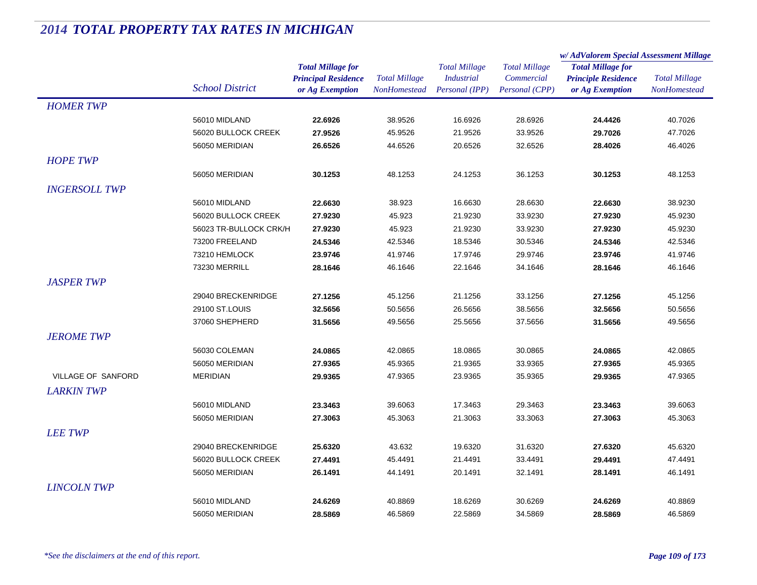|                      |                        |                            | <b>Total Millage</b> | <b>Total Millage</b><br><b>Industrial</b><br>Personal (IPP) | <b>Total Millage</b><br>Commercial | w/AdValorem Special Assessment Millage                                    |                      |
|----------------------|------------------------|----------------------------|----------------------|-------------------------------------------------------------|------------------------------------|---------------------------------------------------------------------------|----------------------|
|                      |                        | <b>Total Millage for</b>   |                      |                                                             |                                    | <b>Total Millage for</b><br><b>Principle Residence</b><br>or Ag Exemption | <b>Total Millage</b> |
|                      |                        | <b>Principal Residence</b> |                      |                                                             |                                    |                                                                           |                      |
|                      | <b>School District</b> | or Ag Exemption            | NonHomestead         |                                                             | Personal (CPP)                     |                                                                           | NonHomestead         |
| <b>HOMER TWP</b>     |                        |                            |                      |                                                             |                                    |                                                                           |                      |
|                      | 56010 MIDLAND          | 22.6926                    | 38.9526              | 16.6926                                                     | 28.6926                            | 24.4426                                                                   | 40.7026              |
|                      | 56020 BULLOCK CREEK    | 27.9526                    | 45.9526              | 21.9526                                                     | 33.9526                            | 29.7026                                                                   | 47.7026              |
|                      | 56050 MERIDIAN         | 26.6526                    | 44.6526              | 20.6526                                                     | 32.6526                            | 28.4026                                                                   | 46.4026              |
| <b>HOPE TWP</b>      |                        |                            |                      |                                                             |                                    |                                                                           |                      |
|                      | 56050 MERIDIAN         | 30.1253                    | 48.1253              | 24.1253                                                     | 36.1253                            | 30.1253                                                                   | 48.1253              |
| <b>INGERSOLL TWP</b> |                        |                            |                      |                                                             |                                    |                                                                           |                      |
|                      | 56010 MIDLAND          | 22.6630                    | 38.923               | 16.6630                                                     | 28.6630                            | 22.6630                                                                   | 38.9230              |
|                      | 56020 BULLOCK CREEK    | 27.9230                    | 45.923               | 21.9230                                                     | 33.9230                            | 27.9230                                                                   | 45.9230              |
|                      | 56023 TR-BULLOCK CRK/H | 27.9230                    | 45.923               | 21.9230                                                     | 33.9230                            | 27.9230                                                                   | 45.9230              |
|                      | 73200 FREELAND         | 24.5346                    | 42.5346              | 18.5346                                                     | 30.5346                            | 24.5346                                                                   | 42.5346              |
|                      | 73210 HEMLOCK          | 23.9746                    | 41.9746              | 17.9746                                                     | 29.9746                            | 23.9746                                                                   | 41.9746              |
|                      | 73230 MERRILL          | 28.1646                    | 46.1646              | 22.1646                                                     | 34.1646                            | 28.1646                                                                   | 46.1646              |
| <b>JASPER TWP</b>    |                        |                            |                      |                                                             |                                    |                                                                           |                      |
|                      | 29040 BRECKENRIDGE     | 27.1256                    | 45.1256              | 21.1256                                                     | 33.1256                            | 27.1256                                                                   | 45.1256              |
|                      | 29100 ST.LOUIS         | 32.5656                    | 50.5656              | 26.5656                                                     | 38.5656                            | 32.5656                                                                   | 50.5656              |
|                      | 37060 SHEPHERD         | 31.5656                    | 49.5656              | 25.5656                                                     | 37.5656                            | 31.5656                                                                   | 49.5656              |
| <b>JEROME TWP</b>    |                        |                            |                      |                                                             |                                    |                                                                           |                      |
|                      | 56030 COLEMAN          | 24.0865                    | 42.0865              | 18.0865                                                     | 30.0865                            | 24.0865                                                                   | 42.0865              |
|                      | 56050 MERIDIAN         | 27.9365                    | 45.9365              | 21.9365                                                     | 33.9365                            | 27.9365                                                                   | 45.9365              |
| VILLAGE OF SANFORD   | <b>MERIDIAN</b>        | 29.9365                    | 47.9365              | 23.9365                                                     | 35.9365                            | 29.9365                                                                   | 47.9365              |
| <b>LARKIN TWP</b>    |                        |                            |                      |                                                             |                                    |                                                                           |                      |
|                      | 56010 MIDLAND          | 23.3463                    | 39.6063              | 17.3463                                                     | 29.3463                            | 23.3463                                                                   | 39.6063              |
|                      | 56050 MERIDIAN         | 27.3063                    | 45.3063              | 21.3063                                                     | 33.3063                            | 27.3063                                                                   | 45.3063              |
| <b>LEE TWP</b>       |                        |                            |                      |                                                             |                                    |                                                                           |                      |
|                      | 29040 BRECKENRIDGE     | 25.6320                    | 43.632               | 19.6320                                                     | 31.6320                            | 27.6320                                                                   | 45.6320              |
|                      | 56020 BULLOCK CREEK    | 27.4491                    | 45.4491              | 21.4491                                                     | 33.4491                            | 29.4491                                                                   | 47.4491              |
|                      | 56050 MERIDIAN         | 26.1491                    | 44.1491              | 20.1491                                                     | 32.1491                            | 28.1491                                                                   | 46.1491              |
| <b>LINCOLN TWP</b>   |                        |                            |                      |                                                             |                                    |                                                                           |                      |
|                      | 56010 MIDLAND          | 24.6269                    | 40.8869              | 18.6269                                                     | 30.6269                            | 24.6269                                                                   | 40.8869              |
|                      | 56050 MERIDIAN         | 28.5869                    | 46.5869              | 22.5869                                                     | 34.5869                            | 28.5869                                                                   | 46.5869              |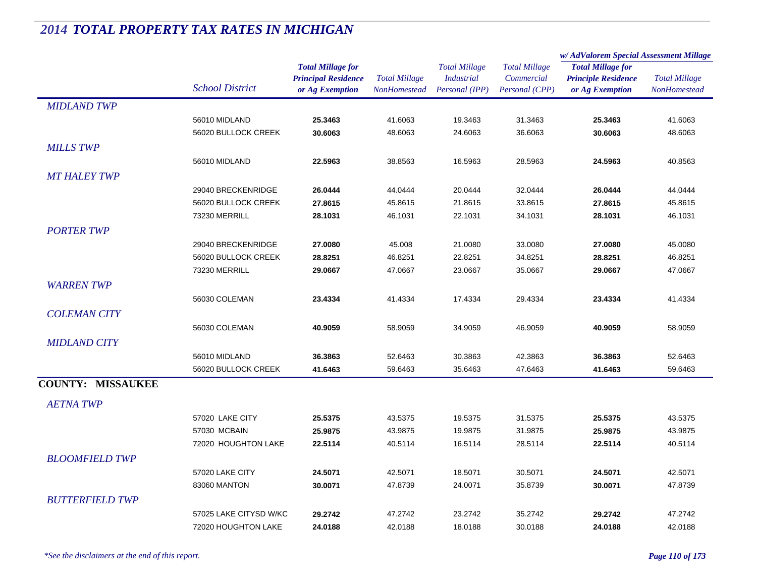|                          |                        |                            | <b>Total Millage</b> | <b>Total Millage</b> | <b>Total Millage</b><br><b>Industrial</b><br>Commercial | w/AdValorem Special Assessment Millage                                    |                      |  |
|--------------------------|------------------------|----------------------------|----------------------|----------------------|---------------------------------------------------------|---------------------------------------------------------------------------|----------------------|--|
|                          |                        | <b>Total Millage for</b>   |                      |                      |                                                         | <b>Total Millage for</b><br><b>Principle Residence</b><br>or Ag Exemption | <b>Total Millage</b> |  |
|                          | <b>School District</b> | <b>Principal Residence</b> |                      |                      |                                                         |                                                                           |                      |  |
|                          |                        | or Ag Exemption            | <b>NonHomestead</b>  | Personal (IPP)       | Personal (CPP)                                          |                                                                           | NonHomestead         |  |
| <b>MIDLAND TWP</b>       |                        |                            |                      |                      |                                                         |                                                                           |                      |  |
|                          | 56010 MIDLAND          | 25.3463                    | 41.6063              | 19.3463              | 31.3463                                                 | 25.3463                                                                   | 41.6063              |  |
|                          | 56020 BULLOCK CREEK    | 30.6063                    | 48.6063              | 24.6063              | 36.6063                                                 | 30.6063                                                                   | 48.6063              |  |
| <b>MILLS TWP</b>         |                        |                            |                      |                      |                                                         |                                                                           |                      |  |
|                          | 56010 MIDLAND          | 22.5963                    | 38.8563              | 16.5963              | 28.5963                                                 | 24.5963                                                                   | 40.8563              |  |
| <b>MT HALEY TWP</b>      |                        |                            |                      |                      |                                                         |                                                                           |                      |  |
|                          | 29040 BRECKENRIDGE     | 26.0444                    | 44.0444              | 20.0444              | 32.0444                                                 | 26.0444                                                                   | 44.0444              |  |
|                          | 56020 BULLOCK CREEK    | 27.8615                    | 45.8615              | 21.8615              | 33.8615                                                 | 27.8615                                                                   | 45.8615              |  |
|                          | 73230 MERRILL          | 28.1031                    | 46.1031              | 22.1031              | 34.1031                                                 | 28.1031                                                                   | 46.1031              |  |
|                          |                        |                            |                      |                      |                                                         |                                                                           |                      |  |
| <b>PORTER TWP</b>        |                        |                            |                      |                      |                                                         |                                                                           |                      |  |
|                          | 29040 BRECKENRIDGE     | 27.0080                    | 45.008               | 21.0080              | 33.0080                                                 | 27.0080                                                                   | 45.0080              |  |
|                          | 56020 BULLOCK CREEK    | 28.8251                    | 46.8251              | 22.8251              | 34.8251                                                 | 28.8251                                                                   | 46.8251              |  |
|                          | 73230 MERRILL          | 29.0667                    | 47.0667              | 23.0667              | 35.0667                                                 | 29.0667                                                                   | 47.0667              |  |
| <b>WARRENTWP</b>         |                        |                            |                      |                      |                                                         |                                                                           |                      |  |
|                          | 56030 COLEMAN          | 23.4334                    | 41.4334              | 17.4334              | 29.4334                                                 | 23.4334                                                                   | 41.4334              |  |
| <b>COLEMAN CITY</b>      |                        |                            |                      |                      |                                                         |                                                                           |                      |  |
|                          | 56030 COLEMAN          | 40.9059                    | 58.9059              | 34.9059              | 46.9059                                                 | 40.9059                                                                   | 58.9059              |  |
| <b>MIDLAND CITY</b>      |                        |                            |                      |                      |                                                         |                                                                           |                      |  |
|                          | 56010 MIDLAND          | 36.3863                    | 52.6463              | 30.3863              | 42.3863                                                 | 36.3863                                                                   | 52.6463              |  |
|                          | 56020 BULLOCK CREEK    | 41.6463                    | 59.6463              | 35.6463              | 47.6463                                                 | 41.6463                                                                   | 59.6463              |  |
| <b>COUNTY: MISSAUKEE</b> |                        |                            |                      |                      |                                                         |                                                                           |                      |  |
|                          |                        |                            |                      |                      |                                                         |                                                                           |                      |  |
| <b>AETNA TWP</b>         |                        |                            |                      |                      |                                                         |                                                                           |                      |  |
|                          | 57020 LAKE CITY        | 25.5375                    | 43.5375              | 19.5375              | 31.5375                                                 | 25.5375                                                                   | 43.5375              |  |
|                          | 57030 MCBAIN           | 25.9875                    | 43.9875              | 19.9875              | 31.9875                                                 | 25.9875                                                                   | 43.9875              |  |
|                          | 72020 HOUGHTON LAKE    | 22.5114                    | 40.5114              | 16.5114              | 28.5114                                                 | 22.5114                                                                   | 40.5114              |  |
| <b>BLOOMFIELD TWP</b>    |                        |                            |                      |                      |                                                         |                                                                           |                      |  |
|                          | 57020 LAKE CITY        | 24.5071                    | 42.5071              | 18.5071              | 30.5071                                                 | 24.5071                                                                   | 42.5071              |  |
|                          | 83060 MANTON           | 30.0071                    | 47.8739              | 24.0071              | 35.8739                                                 | 30.0071                                                                   | 47.8739              |  |
| <b>BUTTERFIELD TWP</b>   |                        |                            |                      |                      |                                                         |                                                                           |                      |  |
|                          |                        |                            |                      |                      |                                                         |                                                                           |                      |  |
|                          | 57025 LAKE CITYSD W/KC | 29.2742                    | 47.2742              | 23.2742              | 35.2742                                                 | 29.2742                                                                   | 47.2742              |  |
|                          | 72020 HOUGHTON LAKE    | 24.0188                    | 42.0188              | 18.0188              | 30.0188                                                 | 24.0188                                                                   | 42.0188              |  |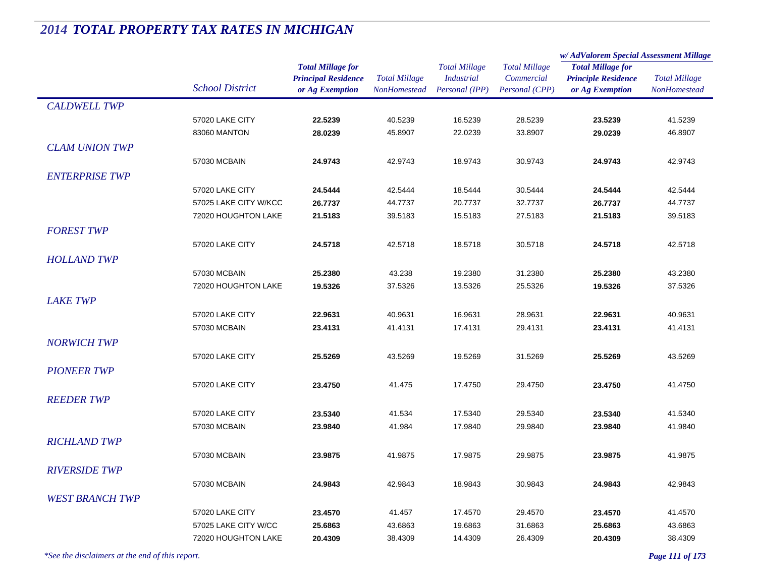|                        |                        |                                                                           |                                      |                                                             |                                                      | w/AdValorem Special Assessment Millage                                    |                                      |  |
|------------------------|------------------------|---------------------------------------------------------------------------|--------------------------------------|-------------------------------------------------------------|------------------------------------------------------|---------------------------------------------------------------------------|--------------------------------------|--|
|                        | <b>School District</b> | <b>Total Millage for</b><br><b>Principal Residence</b><br>or Ag Exemption | <b>Total Millage</b><br>NonHomestead | <b>Total Millage</b><br><b>Industrial</b><br>Personal (IPP) | <b>Total Millage</b><br>Commercial<br>Personal (CPP) | <b>Total Millage for</b><br><b>Principle Residence</b><br>or Ag Exemption | <b>Total Millage</b><br>NonHomestead |  |
| <b>CALDWELL TWP</b>    |                        |                                                                           |                                      |                                                             |                                                      |                                                                           |                                      |  |
|                        | 57020 LAKE CITY        | 22.5239                                                                   | 40.5239                              | 16.5239                                                     | 28.5239                                              | 23.5239                                                                   | 41.5239                              |  |
|                        | 83060 MANTON           | 28.0239                                                                   | 45.8907                              | 22.0239                                                     | 33.8907                                              | 29.0239                                                                   | 46.8907                              |  |
| <b>CLAM UNION TWP</b>  |                        |                                                                           |                                      |                                                             |                                                      |                                                                           |                                      |  |
|                        | 57030 MCBAIN           | 24.9743                                                                   | 42.9743                              | 18.9743                                                     | 30.9743                                              | 24.9743                                                                   | 42.9743                              |  |
| <b>ENTERPRISE TWP</b>  |                        |                                                                           |                                      |                                                             |                                                      |                                                                           |                                      |  |
|                        | 57020 LAKE CITY        | 24.5444                                                                   | 42.5444                              | 18.5444                                                     | 30.5444                                              | 24.5444                                                                   | 42.5444                              |  |
|                        | 57025 LAKE CITY W/KCC  | 26.7737                                                                   | 44.7737                              | 20.7737                                                     | 32.7737                                              | 26.7737                                                                   | 44.7737                              |  |
|                        | 72020 HOUGHTON LAKE    | 21.5183                                                                   | 39.5183                              | 15.5183                                                     | 27.5183                                              | 21.5183                                                                   | 39.5183                              |  |
| <b>FOREST TWP</b>      |                        |                                                                           |                                      |                                                             |                                                      |                                                                           |                                      |  |
|                        | 57020 LAKE CITY        | 24.5718                                                                   | 42.5718                              | 18.5718                                                     | 30.5718                                              | 24.5718                                                                   | 42.5718                              |  |
| <b>HOLLAND TWP</b>     |                        |                                                                           |                                      |                                                             |                                                      |                                                                           |                                      |  |
|                        | 57030 MCBAIN           | 25.2380                                                                   | 43.238                               | 19.2380                                                     | 31.2380                                              | 25.2380                                                                   | 43.2380                              |  |
|                        | 72020 HOUGHTON LAKE    | 19.5326                                                                   | 37.5326                              | 13.5326                                                     | 25.5326                                              | 19.5326                                                                   | 37.5326                              |  |
| <b>LAKE TWP</b>        |                        |                                                                           |                                      |                                                             |                                                      |                                                                           |                                      |  |
|                        | 57020 LAKE CITY        | 22.9631                                                                   | 40.9631                              | 16.9631                                                     | 28.9631                                              | 22.9631                                                                   | 40.9631                              |  |
|                        | 57030 MCBAIN           | 23.4131                                                                   | 41.4131                              | 17.4131                                                     | 29.4131                                              | 23.4131                                                                   | 41.4131                              |  |
| <b>NORWICH TWP</b>     |                        |                                                                           |                                      |                                                             |                                                      |                                                                           |                                      |  |
|                        | 57020 LAKE CITY        | 25.5269                                                                   | 43.5269                              | 19.5269                                                     | 31.5269                                              | 25.5269                                                                   | 43.5269                              |  |
| <b>PIONEER TWP</b>     |                        |                                                                           |                                      |                                                             |                                                      |                                                                           |                                      |  |
|                        | 57020 LAKE CITY        | 23.4750                                                                   | 41.475                               | 17.4750                                                     | 29.4750                                              | 23.4750                                                                   | 41.4750                              |  |
|                        |                        |                                                                           |                                      |                                                             |                                                      |                                                                           |                                      |  |
| <b>REEDER TWP</b>      |                        |                                                                           |                                      |                                                             |                                                      |                                                                           |                                      |  |
|                        | 57020 LAKE CITY        | 23.5340                                                                   | 41.534                               | 17.5340                                                     | 29.5340                                              | 23.5340                                                                   | 41.5340                              |  |
|                        | 57030 MCBAIN           | 23.9840                                                                   | 41.984                               | 17.9840                                                     | 29.9840                                              | 23.9840                                                                   | 41.9840                              |  |
| <b>RICHLAND TWP</b>    |                        |                                                                           |                                      |                                                             |                                                      |                                                                           |                                      |  |
|                        | 57030 MCBAIN           | 23.9875                                                                   | 41.9875                              | 17.9875                                                     | 29.9875                                              | 23.9875                                                                   | 41.9875                              |  |
| <b>RIVERSIDE TWP</b>   |                        |                                                                           |                                      |                                                             |                                                      |                                                                           |                                      |  |
|                        | 57030 MCBAIN           | 24.9843                                                                   | 42.9843                              | 18.9843                                                     | 30.9843                                              | 24.9843                                                                   | 42.9843                              |  |
| <b>WEST BRANCH TWP</b> |                        |                                                                           |                                      |                                                             |                                                      |                                                                           |                                      |  |
|                        | 57020 LAKE CITY        | 23.4570                                                                   | 41.457                               | 17.4570                                                     | 29.4570                                              | 23.4570                                                                   | 41.4570                              |  |
|                        | 57025 LAKE CITY W/CC   | 25.6863                                                                   | 43.6863                              | 19.6863                                                     | 31.6863                                              | 25.6863                                                                   | 43.6863                              |  |
|                        | 72020 HOUGHTON LAKE    | 20.4309                                                                   | 38.4309                              | 14.4309                                                     | 26.4309                                              | 20.4309                                                                   | 38.4309                              |  |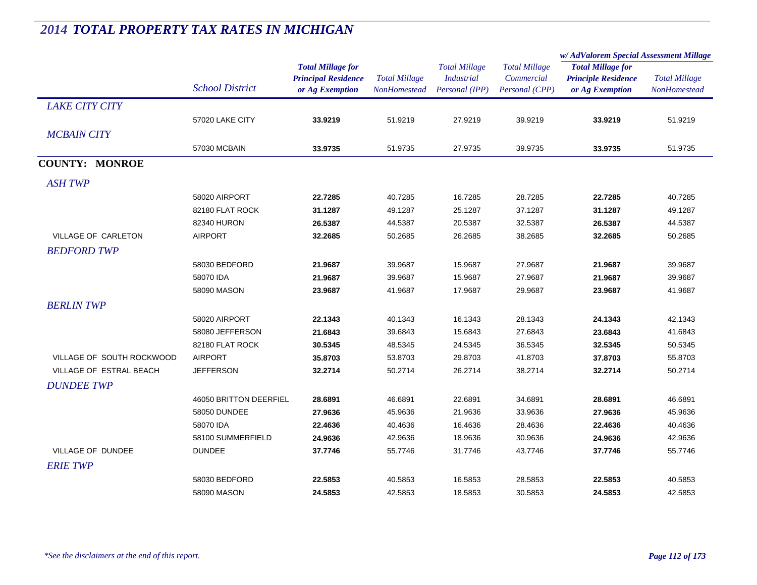|                           |                        |                                                                           |                                             |                                                             |                                                      | w/AdValorem Special Assessment Millage                                    |                                             |
|---------------------------|------------------------|---------------------------------------------------------------------------|---------------------------------------------|-------------------------------------------------------------|------------------------------------------------------|---------------------------------------------------------------------------|---------------------------------------------|
|                           | <b>School District</b> | <b>Total Millage for</b><br><b>Principal Residence</b><br>or Ag Exemption | <b>Total Millage</b><br><b>NonHomestead</b> | <b>Total Millage</b><br><b>Industrial</b><br>Personal (IPP) | <b>Total Millage</b><br>Commercial<br>Personal (CPP) | <b>Total Millage for</b><br><b>Principle Residence</b><br>or Ag Exemption | <b>Total Millage</b><br><b>NonHomestead</b> |
| <b>LAKE CITY CITY</b>     |                        |                                                                           |                                             |                                                             |                                                      |                                                                           |                                             |
|                           | 57020 LAKE CITY        | 33.9219                                                                   | 51.9219                                     | 27.9219                                                     | 39.9219                                              | 33.9219                                                                   | 51.9219                                     |
| <b>MCBAIN CITY</b>        |                        |                                                                           |                                             |                                                             |                                                      |                                                                           |                                             |
|                           | 57030 MCBAIN           | 33.9735                                                                   | 51.9735                                     | 27.9735                                                     | 39.9735                                              | 33.9735                                                                   | 51.9735                                     |
| <b>COUNTY: MONROE</b>     |                        |                                                                           |                                             |                                                             |                                                      |                                                                           |                                             |
| <b>ASH TWP</b>            |                        |                                                                           |                                             |                                                             |                                                      |                                                                           |                                             |
|                           | 58020 AIRPORT          | 22.7285                                                                   | 40.7285                                     | 16.7285                                                     | 28.7285                                              | 22.7285                                                                   | 40.7285                                     |
|                           | 82180 FLAT ROCK        | 31.1287                                                                   | 49.1287                                     | 25.1287                                                     | 37.1287                                              | 31.1287                                                                   | 49.1287                                     |
|                           | 82340 HURON            | 26.5387                                                                   | 44.5387                                     | 20.5387                                                     | 32.5387                                              | 26.5387                                                                   | 44.5387                                     |
| VILLAGE OF CARLETON       | <b>AIRPORT</b>         | 32.2685                                                                   | 50.2685                                     | 26.2685                                                     | 38.2685                                              | 32.2685                                                                   | 50.2685                                     |
| <b>BEDFORD TWP</b>        |                        |                                                                           |                                             |                                                             |                                                      |                                                                           |                                             |
|                           | 58030 BEDFORD          | 21.9687                                                                   | 39.9687                                     | 15.9687                                                     | 27.9687                                              | 21.9687                                                                   | 39.9687                                     |
|                           | 58070 IDA              | 21.9687                                                                   | 39.9687                                     | 15.9687                                                     | 27.9687                                              | 21.9687                                                                   | 39.9687                                     |
|                           | 58090 MASON            | 23.9687                                                                   | 41.9687                                     | 17.9687                                                     | 29.9687                                              | 23.9687                                                                   | 41.9687                                     |
| <b>BERLIN TWP</b>         |                        |                                                                           |                                             |                                                             |                                                      |                                                                           |                                             |
|                           | 58020 AIRPORT          | 22.1343                                                                   | 40.1343                                     | 16.1343                                                     | 28.1343                                              | 24.1343                                                                   | 42.1343                                     |
|                           | 58080 JEFFERSON        | 21.6843                                                                   | 39.6843                                     | 15.6843                                                     | 27.6843                                              | 23.6843                                                                   | 41.6843                                     |
|                           | 82180 FLAT ROCK        | 30.5345                                                                   | 48.5345                                     | 24.5345                                                     | 36.5345                                              | 32.5345                                                                   | 50.5345                                     |
| VILLAGE OF SOUTH ROCKWOOD | <b>AIRPORT</b>         | 35.8703                                                                   | 53.8703                                     | 29.8703                                                     | 41.8703                                              | 37.8703                                                                   | 55.8703                                     |
| VILLAGE OF ESTRAL BEACH   | <b>JEFFERSON</b>       | 32.2714                                                                   | 50.2714                                     | 26.2714                                                     | 38.2714                                              | 32.2714                                                                   | 50.2714                                     |
| <b>DUNDEE TWP</b>         |                        |                                                                           |                                             |                                                             |                                                      |                                                                           |                                             |
|                           | 46050 BRITTON DEERFIEL | 28.6891                                                                   | 46.6891                                     | 22.6891                                                     | 34.6891                                              | 28.6891                                                                   | 46.6891                                     |
|                           | 58050 DUNDEE           | 27.9636                                                                   | 45.9636                                     | 21.9636                                                     | 33.9636                                              | 27.9636                                                                   | 45.9636                                     |
|                           | 58070 IDA              | 22.4636                                                                   | 40.4636                                     | 16.4636                                                     | 28.4636                                              | 22.4636                                                                   | 40.4636                                     |
|                           | 58100 SUMMERFIELD      | 24.9636                                                                   | 42.9636                                     | 18.9636                                                     | 30.9636                                              | 24.9636                                                                   | 42.9636                                     |
| VILLAGE OF DUNDEE         | <b>DUNDEE</b>          | 37.7746                                                                   | 55.7746                                     | 31.7746                                                     | 43.7746                                              | 37.7746                                                                   | 55.7746                                     |
| <b>ERIE TWP</b>           |                        |                                                                           |                                             |                                                             |                                                      |                                                                           |                                             |
|                           | 58030 BEDFORD          | 22.5853                                                                   | 40.5853                                     | 16.5853                                                     | 28.5853                                              | 22.5853                                                                   | 40.5853                                     |
|                           | 58090 MASON            | 24.5853                                                                   | 42.5853                                     | 18.5853                                                     | 30.5853                                              | 24.5853                                                                   | 42.5853                                     |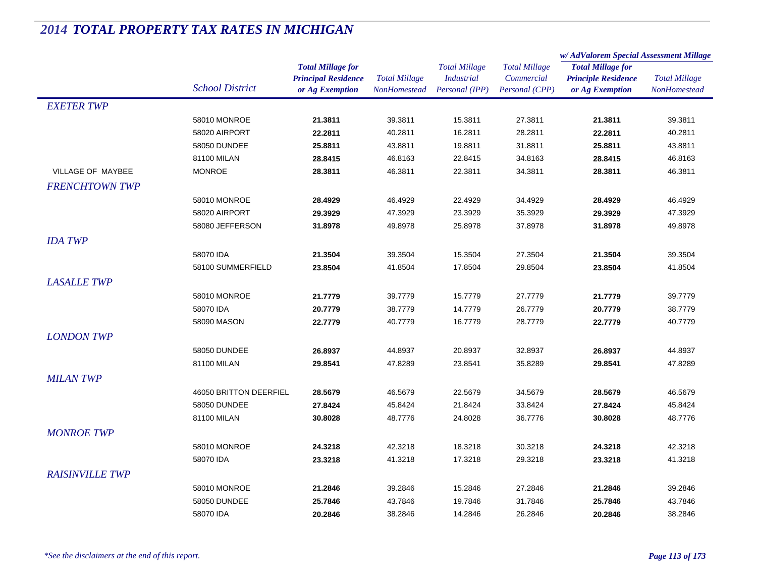|                          |                        |                            | <b>Total Millage</b> | <b>Total Millage</b> | <b>Total Millage</b><br>Commercial | w/AdValorem Special Assessment Millage                                    |                      |
|--------------------------|------------------------|----------------------------|----------------------|----------------------|------------------------------------|---------------------------------------------------------------------------|----------------------|
|                          |                        | <b>Total Millage for</b>   |                      |                      |                                    | <b>Total Millage for</b><br><b>Principle Residence</b><br>or Ag Exemption | <b>Total Millage</b> |
|                          |                        | <b>Principal Residence</b> |                      | <b>Industrial</b>    |                                    |                                                                           |                      |
|                          | <b>School District</b> | or Ag Exemption            | <b>NonHomestead</b>  | Personal (IPP)       | Personal (CPP)                     |                                                                           | NonHomestead         |
| <b>EXETER TWP</b>        |                        |                            |                      |                      |                                    |                                                                           |                      |
|                          | 58010 MONROE           | 21.3811                    | 39.3811              | 15.3811              | 27.3811                            | 21.3811                                                                   | 39.3811              |
|                          | 58020 AIRPORT          | 22.2811                    | 40.2811              | 16.2811              | 28.2811                            | 22.2811                                                                   | 40.2811              |
|                          | 58050 DUNDEE           | 25.8811                    | 43.8811              | 19.8811              | 31.8811                            | 25.8811                                                                   | 43.8811              |
|                          | 81100 MILAN            | 28.8415                    | 46.8163              | 22.8415              | 34.8163                            | 28.8415                                                                   | 46.8163              |
| <b>VILLAGE OF MAYBEE</b> | <b>MONROE</b>          | 28.3811                    | 46.3811              | 22.3811              | 34.3811                            | 28.3811                                                                   | 46.3811              |
| <b>FRENCHTOWN TWP</b>    |                        |                            |                      |                      |                                    |                                                                           |                      |
|                          | 58010 MONROE           | 28.4929                    | 46.4929              | 22.4929              | 34.4929                            | 28.4929                                                                   | 46.4929              |
|                          | 58020 AIRPORT          | 29.3929                    | 47.3929              | 23.3929              | 35.3929                            | 29.3929                                                                   | 47.3929              |
|                          | 58080 JEFFERSON        | 31.8978                    | 49.8978              | 25.8978              | 37.8978                            | 31.8978                                                                   | 49.8978              |
| <b>IDA TWP</b>           |                        |                            |                      |                      |                                    |                                                                           |                      |
|                          | 58070 IDA              | 21.3504                    | 39.3504              | 15.3504              | 27.3504                            | 21.3504                                                                   | 39.3504              |
|                          | 58100 SUMMERFIELD      | 23.8504                    | 41.8504              | 17.8504              | 29.8504                            | 23.8504                                                                   | 41.8504              |
| <b>LASALLE TWP</b>       |                        |                            |                      |                      |                                    |                                                                           |                      |
|                          | 58010 MONROE           | 21.7779                    | 39.7779              | 15.7779              | 27.7779                            | 21.7779                                                                   | 39.7779              |
|                          | 58070 IDA              | 20.7779                    | 38.7779              | 14.7779              | 26.7779                            | 20.7779                                                                   | 38.7779              |
|                          | 58090 MASON            | 22.7779                    | 40.7779              | 16.7779              | 28.7779                            | 22.7779                                                                   | 40.7779              |
| <b>LONDON TWP</b>        |                        |                            |                      |                      |                                    |                                                                           |                      |
|                          | 58050 DUNDEE           | 26.8937                    | 44.8937              | 20.8937              | 32.8937                            | 26.8937                                                                   | 44.8937              |
|                          | 81100 MILAN            | 29.8541                    | 47.8289              | 23.8541              | 35.8289                            | 29.8541                                                                   | 47.8289              |
|                          |                        |                            |                      |                      |                                    |                                                                           |                      |
| <b>MILAN TWP</b>         |                        |                            |                      |                      |                                    |                                                                           |                      |
|                          | 46050 BRITTON DEERFIEL | 28.5679                    | 46.5679              | 22.5679              | 34.5679                            | 28.5679                                                                   | 46.5679              |
|                          | 58050 DUNDEE           | 27.8424                    | 45.8424              | 21.8424              | 33.8424                            | 27.8424                                                                   | 45.8424              |
|                          | 81100 MILAN            | 30.8028                    | 48.7776              | 24.8028              | 36.7776                            | 30.8028                                                                   | 48.7776              |
| <b>MONROE TWP</b>        |                        |                            |                      |                      |                                    |                                                                           |                      |
|                          | 58010 MONROE           | 24.3218                    | 42.3218              | 18.3218              | 30.3218                            | 24.3218                                                                   | 42.3218              |
|                          | 58070 IDA              | 23.3218                    | 41.3218              | 17.3218              | 29.3218                            | 23.3218                                                                   | 41.3218              |
| <b>RAISINVILLE TWP</b>   |                        |                            |                      |                      |                                    |                                                                           |                      |
|                          | 58010 MONROE           | 21.2846                    | 39.2846              | 15.2846              | 27.2846                            | 21.2846                                                                   | 39.2846              |
|                          | 58050 DUNDEE           | 25.7846                    | 43.7846              | 19.7846              | 31.7846                            | 25.7846                                                                   | 43.7846              |
|                          | 58070 IDA              | 20.2846                    | 38.2846              | 14.2846              | 26.2846                            | 20.2846                                                                   | 38.2846              |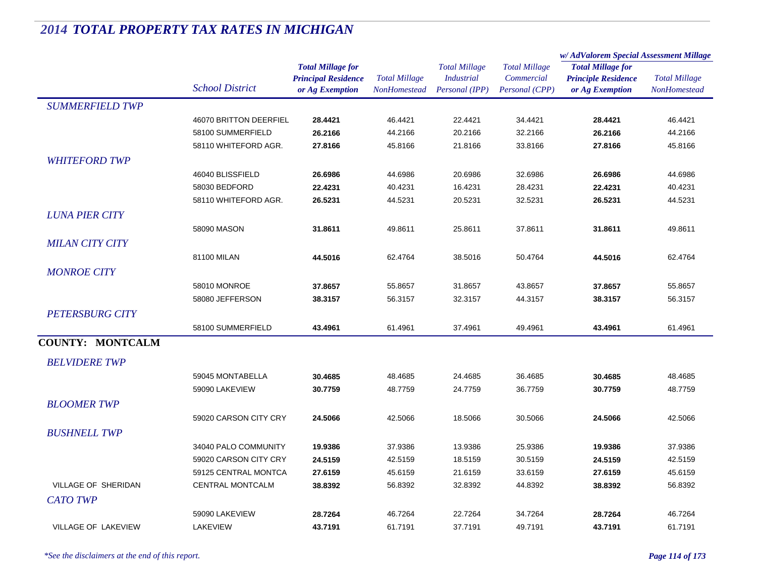|                            |                         |                                                                           |                                             |                                                             |                                                      | w/AdValorem Special Assessment Millage                                    |                                             |
|----------------------------|-------------------------|---------------------------------------------------------------------------|---------------------------------------------|-------------------------------------------------------------|------------------------------------------------------|---------------------------------------------------------------------------|---------------------------------------------|
|                            | <b>School District</b>  | <b>Total Millage for</b><br><b>Principal Residence</b><br>or Ag Exemption | <b>Total Millage</b><br><b>NonHomestead</b> | <b>Total Millage</b><br><b>Industrial</b><br>Personal (IPP) | <b>Total Millage</b><br>Commercial<br>Personal (CPP) | <b>Total Millage for</b><br><b>Principle Residence</b><br>or Ag Exemption | <b>Total Millage</b><br><b>NonHomestead</b> |
| <b>SUMMERFIELD TWP</b>     |                         |                                                                           |                                             |                                                             |                                                      |                                                                           |                                             |
|                            | 46070 BRITTON DEERFIEL  | 28.4421                                                                   | 46.4421                                     | 22.4421                                                     | 34.4421                                              | 28.4421                                                                   | 46.4421                                     |
|                            | 58100 SUMMERFIELD       | 26.2166                                                                   | 44.2166                                     | 20.2166                                                     | 32.2166                                              | 26.2166                                                                   | 44.2166                                     |
|                            | 58110 WHITEFORD AGR.    | 27.8166                                                                   | 45.8166                                     | 21.8166                                                     | 33.8166                                              | 27.8166                                                                   | 45.8166                                     |
| <b>WHITEFORD TWP</b>       |                         |                                                                           |                                             |                                                             |                                                      |                                                                           |                                             |
|                            | 46040 BLISSFIELD        | 26.6986                                                                   | 44.6986                                     | 20.6986                                                     | 32.6986                                              | 26.6986                                                                   | 44.6986                                     |
|                            | 58030 BEDFORD           | 22.4231                                                                   | 40.4231                                     | 16.4231                                                     | 28.4231                                              | 22.4231                                                                   | 40.4231                                     |
|                            | 58110 WHITEFORD AGR.    | 26.5231                                                                   | 44.5231                                     | 20.5231                                                     | 32.5231                                              | 26.5231                                                                   | 44.5231                                     |
| <b>LUNA PIER CITY</b>      |                         |                                                                           |                                             |                                                             |                                                      |                                                                           |                                             |
|                            | 58090 MASON             | 31.8611                                                                   | 49.8611                                     | 25.8611                                                     | 37.8611                                              | 31.8611                                                                   | 49.8611                                     |
| <b>MILAN CITY CITY</b>     |                         |                                                                           |                                             |                                                             |                                                      |                                                                           |                                             |
|                            | 81100 MILAN             | 44.5016                                                                   | 62.4764                                     | 38.5016                                                     | 50.4764                                              | 44.5016                                                                   | 62.4764                                     |
| <b>MONROE CITY</b>         |                         |                                                                           |                                             |                                                             |                                                      |                                                                           |                                             |
|                            | 58010 MONROE            | 37.8657                                                                   | 55.8657                                     | 31.8657                                                     | 43.8657                                              | 37.8657                                                                   | 55.8657                                     |
|                            | 58080 JEFFERSON         | 38.3157                                                                   | 56.3157                                     | 32.3157                                                     | 44.3157                                              | 38.3157                                                                   | 56.3157                                     |
| <b>PETERSBURG CITY</b>     |                         |                                                                           |                                             |                                                             |                                                      |                                                                           |                                             |
|                            | 58100 SUMMERFIELD       |                                                                           | 61.4961                                     | 37.4961                                                     |                                                      |                                                                           | 61.4961                                     |
|                            |                         | 43.4961                                                                   |                                             |                                                             | 49.4961                                              | 43.4961                                                                   |                                             |
| <b>COUNTY: MONTCALM</b>    |                         |                                                                           |                                             |                                                             |                                                      |                                                                           |                                             |
| <b>BELVIDERE TWP</b>       |                         |                                                                           |                                             |                                                             |                                                      |                                                                           |                                             |
|                            | 59045 MONTABELLA        | 30.4685                                                                   | 48.4685                                     | 24.4685                                                     | 36.4685                                              | 30.4685                                                                   | 48.4685                                     |
|                            | 59090 LAKEVIEW          | 30.7759                                                                   | 48.7759                                     | 24.7759                                                     | 36.7759                                              | 30.7759                                                                   | 48.7759                                     |
| <b>BLOOMER TWP</b>         |                         |                                                                           |                                             |                                                             |                                                      |                                                                           |                                             |
|                            | 59020 CARSON CITY CRY   | 24.5066                                                                   | 42.5066                                     | 18.5066                                                     | 30.5066                                              | 24.5066                                                                   | 42.5066                                     |
| <b>BUSHNELL TWP</b>        |                         |                                                                           |                                             |                                                             |                                                      |                                                                           |                                             |
|                            | 34040 PALO COMMUNITY    | 19.9386                                                                   | 37.9386                                     | 13.9386                                                     | 25.9386                                              | 19.9386                                                                   | 37.9386                                     |
|                            | 59020 CARSON CITY CRY   | 24.5159                                                                   | 42.5159                                     | 18.5159                                                     | 30.5159                                              | 24.5159                                                                   | 42.5159                                     |
|                            | 59125 CENTRAL MONTCA    | 27.6159                                                                   | 45.6159                                     | 21.6159                                                     | 33.6159                                              | 27.6159                                                                   | 45.6159                                     |
| VILLAGE OF SHERIDAN        | <b>CENTRAL MONTCALM</b> | 38.8392                                                                   | 56.8392                                     | 32.8392                                                     | 44.8392                                              | 38.8392                                                                   | 56.8392                                     |
| <b>CATO TWP</b>            |                         |                                                                           |                                             |                                                             |                                                      |                                                                           |                                             |
|                            | 59090 LAKEVIEW          | 28.7264                                                                   | 46.7264                                     | 22.7264                                                     | 34.7264                                              | 28.7264                                                                   | 46.7264                                     |
| <b>VILLAGE OF LAKEVIEW</b> | LAKEVIEW                | 43.7191                                                                   | 61.7191                                     | 37.7191                                                     | 49.7191                                              | 43.7191                                                                   | 61.7191                                     |
|                            |                         |                                                                           |                                             |                                                             |                                                      |                                                                           |                                             |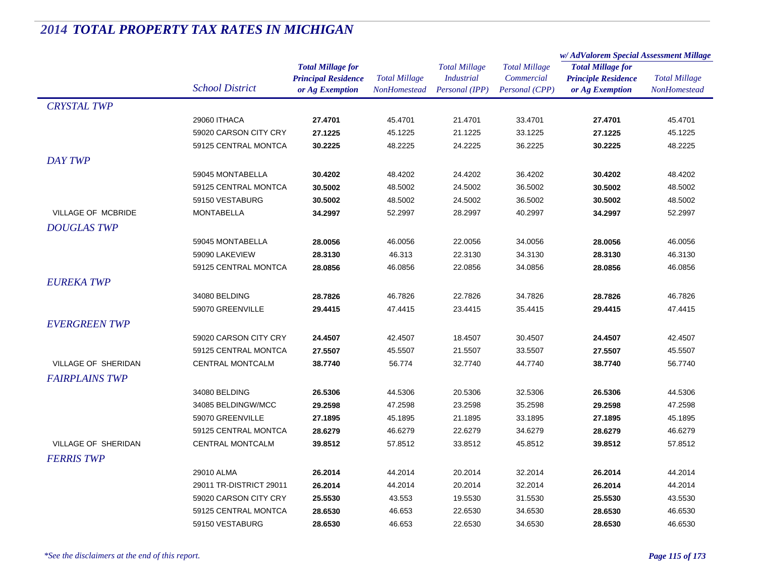|                       |                         |                            |                      |                      | w/AdValorem Special Assessment Millage |                                                                           |                      |
|-----------------------|-------------------------|----------------------------|----------------------|----------------------|----------------------------------------|---------------------------------------------------------------------------|----------------------|
|                       |                         | <b>Total Millage for</b>   | <b>Total Millage</b> | <b>Total Millage</b> | <b>Total Millage</b><br>Commercial     | <b>Total Millage for</b><br><b>Principle Residence</b><br>or Ag Exemption | <b>Total Millage</b> |
|                       |                         | <b>Principal Residence</b> |                      | <b>Industrial</b>    |                                        |                                                                           |                      |
|                       | <b>School District</b>  | or Ag Exemption            | <b>NonHomestead</b>  | Personal (IPP)       | Personal (CPP)                         |                                                                           | <b>NonHomestead</b>  |
| <b>CRYSTAL TWP</b>    |                         |                            |                      |                      |                                        |                                                                           |                      |
|                       | 29060 ITHACA            | 27.4701                    | 45.4701              | 21.4701              | 33.4701                                | 27.4701                                                                   | 45.4701              |
|                       | 59020 CARSON CITY CRY   | 27.1225                    | 45.1225              | 21.1225              | 33.1225                                | 27.1225                                                                   | 45.1225              |
|                       | 59125 CENTRAL MONTCA    | 30.2225                    | 48.2225              | 24.2225              | 36.2225                                | 30.2225                                                                   | 48.2225              |
| <b>DAY TWP</b>        |                         |                            |                      |                      |                                        |                                                                           |                      |
|                       | 59045 MONTABELLA        | 30.4202                    | 48.4202              | 24.4202              | 36.4202                                | 30.4202                                                                   | 48.4202              |
|                       | 59125 CENTRAL MONTCA    | 30.5002                    | 48.5002              | 24.5002              | 36.5002                                | 30.5002                                                                   | 48.5002              |
|                       | 59150 VESTABURG         | 30.5002                    | 48.5002              | 24.5002              | 36.5002                                | 30.5002                                                                   | 48.5002              |
| VILLAGE OF MCBRIDE    | <b>MONTABELLA</b>       | 34.2997                    | 52.2997              | 28.2997              | 40.2997                                | 34.2997                                                                   | 52.2997              |
| <b>DOUGLAS TWP</b>    |                         |                            |                      |                      |                                        |                                                                           |                      |
|                       | 59045 MONTABELLA        | 28.0056                    | 46.0056              | 22.0056              | 34.0056                                | 28.0056                                                                   | 46.0056              |
|                       | 59090 LAKEVIEW          | 28.3130                    | 46.313               | 22.3130              | 34.3130                                | 28.3130                                                                   | 46.3130              |
|                       | 59125 CENTRAL MONTCA    | 28.0856                    | 46.0856              | 22.0856              | 34.0856                                | 28.0856                                                                   | 46.0856              |
| <b>EUREKA TWP</b>     |                         |                            |                      |                      |                                        |                                                                           |                      |
|                       | 34080 BELDING           | 28.7826                    | 46.7826              | 22.7826              | 34.7826                                | 28.7826                                                                   | 46.7826              |
|                       | 59070 GREENVILLE        | 29.4415                    | 47.4415              | 23.4415              | 35.4415                                | 29.4415                                                                   | 47.4415              |
| <b>EVERGREEN TWP</b>  |                         |                            |                      |                      |                                        |                                                                           |                      |
|                       | 59020 CARSON CITY CRY   | 24.4507                    | 42.4507              | 18.4507              | 30.4507                                | 24.4507                                                                   | 42.4507              |
|                       | 59125 CENTRAL MONTCA    | 27.5507                    | 45.5507              | 21.5507              | 33.5507                                | 27.5507                                                                   | 45.5507              |
| VILLAGE OF SHERIDAN   | <b>CENTRAL MONTCALM</b> | 38.7740                    | 56.774               | 32.7740              | 44.7740                                | 38.7740                                                                   | 56.7740              |
| <b>FAIRPLAINS TWP</b> |                         |                            |                      |                      |                                        |                                                                           |                      |
|                       | 34080 BELDING           | 26.5306                    | 44.5306              | 20.5306              | 32.5306                                | 26.5306                                                                   | 44.5306              |
|                       | 34085 BELDINGW/MCC      | 29.2598                    | 47.2598              | 23.2598              | 35.2598                                | 29.2598                                                                   | 47.2598              |
|                       | 59070 GREENVILLE        | 27.1895                    | 45.1895              | 21.1895              | 33.1895                                | 27.1895                                                                   | 45.1895              |
|                       | 59125 CENTRAL MONTCA    | 28.6279                    | 46.6279              | 22.6279              | 34.6279                                | 28.6279                                                                   | 46.6279              |
| VILLAGE OF SHERIDAN   | <b>CENTRAL MONTCALM</b> | 39.8512                    | 57.8512              | 33.8512              | 45.8512                                | 39.8512                                                                   | 57.8512              |
| <b>FERRIS TWP</b>     |                         |                            |                      |                      |                                        |                                                                           |                      |
|                       | 29010 ALMA              | 26.2014                    | 44.2014              | 20.2014              | 32.2014                                | 26.2014                                                                   | 44.2014              |
|                       | 29011 TR-DISTRICT 29011 | 26.2014                    | 44.2014              | 20.2014              | 32.2014                                | 26.2014                                                                   | 44.2014              |
|                       | 59020 CARSON CITY CRY   | 25.5530                    | 43.553               | 19.5530              | 31.5530                                | 25.5530                                                                   | 43.5530              |
|                       | 59125 CENTRAL MONTCA    | 28.6530                    | 46.653               | 22.6530              | 34.6530                                | 28.6530                                                                   | 46.6530              |
|                       | 59150 VESTABURG         | 28.6530                    | 46.653               | 22.6530              | 34.6530                                | 28.6530                                                                   | 46.6530              |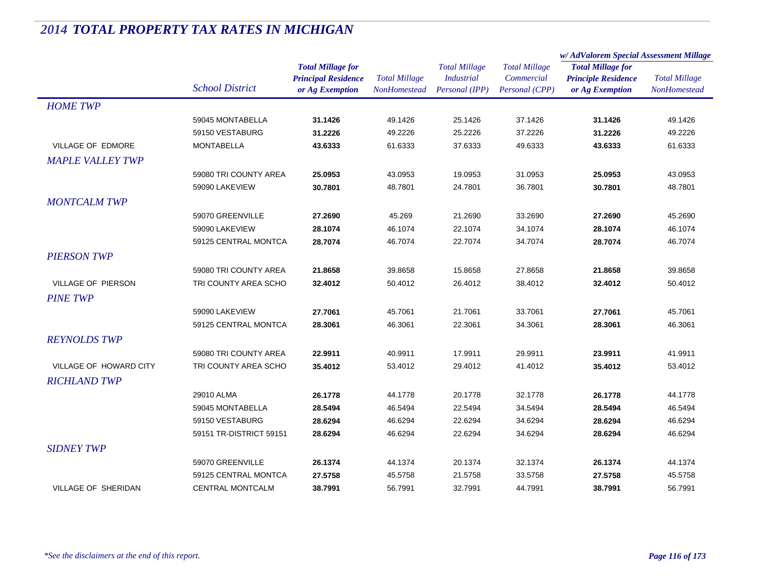| <b>Total Millage for</b><br><b>Total Millage</b><br><b>Total Millage</b><br><b>Total Millage for</b><br><b>Principal Residence</b><br><b>Total Millage</b><br><b>Total Millage</b><br><b>Industrial</b><br>Commercial<br><b>Principle Residence</b><br><b>School District</b><br>Personal (IPP)<br>Personal (CPP)<br><b>NonHomestead</b><br>or Ag Exemption<br>NonHomestead<br>or Ag Exemption<br><b>HOME TWP</b><br>59045 MONTABELLA<br>49.1426<br>37.1426<br>31.1426<br>25.1426<br>31.1426<br>49.1426<br>59150 VESTABURG<br>31.2226<br>49.2226<br>25.2226<br>37.2226<br>49.2226<br>31.2226<br><b>VILLAGE OF EDMORE</b><br><b>MONTABELLA</b><br>43.6333<br>61.6333<br>37.6333<br>49.6333<br>61.6333<br>43.6333<br><b>MAPLE VALLEY TWP</b><br>59080 TRI COUNTY AREA<br>43.0953<br>31.0953<br>43.0953<br>25.0953<br>19.0953<br>25.0953<br>59090 LAKEVIEW<br>30.7801<br>48.7801<br>24.7801<br>36.7801<br>30.7801<br>48.7801<br><b>MONTCALM TWP</b><br>59070 GREENVILLE<br>45.269<br>21.2690<br>33.2690<br>45.2690<br>27.2690<br>27.2690<br>59090 LAKEVIEW<br>28.1074<br>46.1074<br>22.1074<br>34.1074<br>28.1074<br>46.1074<br>59125 CENTRAL MONTCA<br>28.7074<br>46.7074<br>22.7074<br>34.7074<br>28.7074<br>46.7074<br><b>PIERSON TWP</b><br>59080 TRI COUNTY AREA<br>21.8658<br>39.8658<br>15.8658<br>27.8658<br>39.8658<br>21.8658<br><b>VILLAGE OF PIERSON</b><br>TRI COUNTY AREA SCHO<br>50.4012<br>50.4012<br>32.4012<br>26.4012<br>38.4012<br>32.4012<br><b>PINE TWP</b><br>59090 LAKEVIEW<br>27.7061<br>45.7061<br>21.7061<br>33.7061<br>27.7061<br>45.7061<br>59125 CENTRAL MONTCA<br>28.3061<br>46.3061<br>22.3061<br>34.3061<br>28.3061<br>46.3061<br><b>REYNOLDS TWP</b><br>22.9911<br>17.9911<br>59080 TRI COUNTY AREA<br>40.9911<br>29.9911<br>23.9911<br>41.9911<br>VILLAGE OF HOWARD CITY<br>TRI COUNTY AREA SCHO<br>35.4012<br>29.4012<br>35,4012<br>53.4012<br>53.4012<br>41.4012<br><b>RICHLAND TWP</b><br>26.1778<br>44.1778<br>20.1778<br>32.1778<br>29010 ALMA<br>26.1778<br>44.1778<br>59045 MONTABELLA<br>28.5494<br>46.5494<br>28.5494<br>22.5494<br>34.5494<br>46.5494<br>59150 VESTABURG<br>28.6294<br>46.6294<br>22.6294<br>34.6294<br>28.6294<br>46.6294<br>59151 TR-DISTRICT 59151<br>28.6294<br>46.6294<br>22.6294<br>34.6294<br>28.6294<br>46.6294<br><b>SIDNEY TWP</b><br>59070 GREENVILLE<br>26.1374<br>32.1374<br>26.1374<br>44.1374<br>20.1374<br>44.1374 |                      |         |         |         |         | w/AdValorem Special Assessment Millage |         |
|----------------------------------------------------------------------------------------------------------------------------------------------------------------------------------------------------------------------------------------------------------------------------------------------------------------------------------------------------------------------------------------------------------------------------------------------------------------------------------------------------------------------------------------------------------------------------------------------------------------------------------------------------------------------------------------------------------------------------------------------------------------------------------------------------------------------------------------------------------------------------------------------------------------------------------------------------------------------------------------------------------------------------------------------------------------------------------------------------------------------------------------------------------------------------------------------------------------------------------------------------------------------------------------------------------------------------------------------------------------------------------------------------------------------------------------------------------------------------------------------------------------------------------------------------------------------------------------------------------------------------------------------------------------------------------------------------------------------------------------------------------------------------------------------------------------------------------------------------------------------------------------------------------------------------------------------------------------------------------------------------------------------------------------------------------------------------------------------------------------------------------------------------------------------------------------------------------------------------------------------------------------------------------------------------------------------------------------------------------------------------------------------|----------------------|---------|---------|---------|---------|----------------------------------------|---------|
|                                                                                                                                                                                                                                                                                                                                                                                                                                                                                                                                                                                                                                                                                                                                                                                                                                                                                                                                                                                                                                                                                                                                                                                                                                                                                                                                                                                                                                                                                                                                                                                                                                                                                                                                                                                                                                                                                                                                                                                                                                                                                                                                                                                                                                                                                                                                                                                              |                      |         |         |         |         |                                        |         |
|                                                                                                                                                                                                                                                                                                                                                                                                                                                                                                                                                                                                                                                                                                                                                                                                                                                                                                                                                                                                                                                                                                                                                                                                                                                                                                                                                                                                                                                                                                                                                                                                                                                                                                                                                                                                                                                                                                                                                                                                                                                                                                                                                                                                                                                                                                                                                                                              |                      |         |         |         |         |                                        |         |
|                                                                                                                                                                                                                                                                                                                                                                                                                                                                                                                                                                                                                                                                                                                                                                                                                                                                                                                                                                                                                                                                                                                                                                                                                                                                                                                                                                                                                                                                                                                                                                                                                                                                                                                                                                                                                                                                                                                                                                                                                                                                                                                                                                                                                                                                                                                                                                                              |                      |         |         |         |         |                                        |         |
|                                                                                                                                                                                                                                                                                                                                                                                                                                                                                                                                                                                                                                                                                                                                                                                                                                                                                                                                                                                                                                                                                                                                                                                                                                                                                                                                                                                                                                                                                                                                                                                                                                                                                                                                                                                                                                                                                                                                                                                                                                                                                                                                                                                                                                                                                                                                                                                              |                      |         |         |         |         |                                        |         |
|                                                                                                                                                                                                                                                                                                                                                                                                                                                                                                                                                                                                                                                                                                                                                                                                                                                                                                                                                                                                                                                                                                                                                                                                                                                                                                                                                                                                                                                                                                                                                                                                                                                                                                                                                                                                                                                                                                                                                                                                                                                                                                                                                                                                                                                                                                                                                                                              |                      |         |         |         |         |                                        |         |
|                                                                                                                                                                                                                                                                                                                                                                                                                                                                                                                                                                                                                                                                                                                                                                                                                                                                                                                                                                                                                                                                                                                                                                                                                                                                                                                                                                                                                                                                                                                                                                                                                                                                                                                                                                                                                                                                                                                                                                                                                                                                                                                                                                                                                                                                                                                                                                                              |                      |         |         |         |         |                                        |         |
|                                                                                                                                                                                                                                                                                                                                                                                                                                                                                                                                                                                                                                                                                                                                                                                                                                                                                                                                                                                                                                                                                                                                                                                                                                                                                                                                                                                                                                                                                                                                                                                                                                                                                                                                                                                                                                                                                                                                                                                                                                                                                                                                                                                                                                                                                                                                                                                              |                      |         |         |         |         |                                        |         |
|                                                                                                                                                                                                                                                                                                                                                                                                                                                                                                                                                                                                                                                                                                                                                                                                                                                                                                                                                                                                                                                                                                                                                                                                                                                                                                                                                                                                                                                                                                                                                                                                                                                                                                                                                                                                                                                                                                                                                                                                                                                                                                                                                                                                                                                                                                                                                                                              |                      |         |         |         |         |                                        |         |
|                                                                                                                                                                                                                                                                                                                                                                                                                                                                                                                                                                                                                                                                                                                                                                                                                                                                                                                                                                                                                                                                                                                                                                                                                                                                                                                                                                                                                                                                                                                                                                                                                                                                                                                                                                                                                                                                                                                                                                                                                                                                                                                                                                                                                                                                                                                                                                                              |                      |         |         |         |         |                                        |         |
|                                                                                                                                                                                                                                                                                                                                                                                                                                                                                                                                                                                                                                                                                                                                                                                                                                                                                                                                                                                                                                                                                                                                                                                                                                                                                                                                                                                                                                                                                                                                                                                                                                                                                                                                                                                                                                                                                                                                                                                                                                                                                                                                                                                                                                                                                                                                                                                              |                      |         |         |         |         |                                        |         |
|                                                                                                                                                                                                                                                                                                                                                                                                                                                                                                                                                                                                                                                                                                                                                                                                                                                                                                                                                                                                                                                                                                                                                                                                                                                                                                                                                                                                                                                                                                                                                                                                                                                                                                                                                                                                                                                                                                                                                                                                                                                                                                                                                                                                                                                                                                                                                                                              |                      |         |         |         |         |                                        |         |
|                                                                                                                                                                                                                                                                                                                                                                                                                                                                                                                                                                                                                                                                                                                                                                                                                                                                                                                                                                                                                                                                                                                                                                                                                                                                                                                                                                                                                                                                                                                                                                                                                                                                                                                                                                                                                                                                                                                                                                                                                                                                                                                                                                                                                                                                                                                                                                                              |                      |         |         |         |         |                                        |         |
|                                                                                                                                                                                                                                                                                                                                                                                                                                                                                                                                                                                                                                                                                                                                                                                                                                                                                                                                                                                                                                                                                                                                                                                                                                                                                                                                                                                                                                                                                                                                                                                                                                                                                                                                                                                                                                                                                                                                                                                                                                                                                                                                                                                                                                                                                                                                                                                              |                      |         |         |         |         |                                        |         |
|                                                                                                                                                                                                                                                                                                                                                                                                                                                                                                                                                                                                                                                                                                                                                                                                                                                                                                                                                                                                                                                                                                                                                                                                                                                                                                                                                                                                                                                                                                                                                                                                                                                                                                                                                                                                                                                                                                                                                                                                                                                                                                                                                                                                                                                                                                                                                                                              |                      |         |         |         |         |                                        |         |
|                                                                                                                                                                                                                                                                                                                                                                                                                                                                                                                                                                                                                                                                                                                                                                                                                                                                                                                                                                                                                                                                                                                                                                                                                                                                                                                                                                                                                                                                                                                                                                                                                                                                                                                                                                                                                                                                                                                                                                                                                                                                                                                                                                                                                                                                                                                                                                                              |                      |         |         |         |         |                                        |         |
|                                                                                                                                                                                                                                                                                                                                                                                                                                                                                                                                                                                                                                                                                                                                                                                                                                                                                                                                                                                                                                                                                                                                                                                                                                                                                                                                                                                                                                                                                                                                                                                                                                                                                                                                                                                                                                                                                                                                                                                                                                                                                                                                                                                                                                                                                                                                                                                              |                      |         |         |         |         |                                        |         |
|                                                                                                                                                                                                                                                                                                                                                                                                                                                                                                                                                                                                                                                                                                                                                                                                                                                                                                                                                                                                                                                                                                                                                                                                                                                                                                                                                                                                                                                                                                                                                                                                                                                                                                                                                                                                                                                                                                                                                                                                                                                                                                                                                                                                                                                                                                                                                                                              |                      |         |         |         |         |                                        |         |
|                                                                                                                                                                                                                                                                                                                                                                                                                                                                                                                                                                                                                                                                                                                                                                                                                                                                                                                                                                                                                                                                                                                                                                                                                                                                                                                                                                                                                                                                                                                                                                                                                                                                                                                                                                                                                                                                                                                                                                                                                                                                                                                                                                                                                                                                                                                                                                                              |                      |         |         |         |         |                                        |         |
|                                                                                                                                                                                                                                                                                                                                                                                                                                                                                                                                                                                                                                                                                                                                                                                                                                                                                                                                                                                                                                                                                                                                                                                                                                                                                                                                                                                                                                                                                                                                                                                                                                                                                                                                                                                                                                                                                                                                                                                                                                                                                                                                                                                                                                                                                                                                                                                              |                      |         |         |         |         |                                        |         |
|                                                                                                                                                                                                                                                                                                                                                                                                                                                                                                                                                                                                                                                                                                                                                                                                                                                                                                                                                                                                                                                                                                                                                                                                                                                                                                                                                                                                                                                                                                                                                                                                                                                                                                                                                                                                                                                                                                                                                                                                                                                                                                                                                                                                                                                                                                                                                                                              |                      |         |         |         |         |                                        |         |
|                                                                                                                                                                                                                                                                                                                                                                                                                                                                                                                                                                                                                                                                                                                                                                                                                                                                                                                                                                                                                                                                                                                                                                                                                                                                                                                                                                                                                                                                                                                                                                                                                                                                                                                                                                                                                                                                                                                                                                                                                                                                                                                                                                                                                                                                                                                                                                                              |                      |         |         |         |         |                                        |         |
|                                                                                                                                                                                                                                                                                                                                                                                                                                                                                                                                                                                                                                                                                                                                                                                                                                                                                                                                                                                                                                                                                                                                                                                                                                                                                                                                                                                                                                                                                                                                                                                                                                                                                                                                                                                                                                                                                                                                                                                                                                                                                                                                                                                                                                                                                                                                                                                              |                      |         |         |         |         |                                        |         |
|                                                                                                                                                                                                                                                                                                                                                                                                                                                                                                                                                                                                                                                                                                                                                                                                                                                                                                                                                                                                                                                                                                                                                                                                                                                                                                                                                                                                                                                                                                                                                                                                                                                                                                                                                                                                                                                                                                                                                                                                                                                                                                                                                                                                                                                                                                                                                                                              |                      |         |         |         |         |                                        |         |
|                                                                                                                                                                                                                                                                                                                                                                                                                                                                                                                                                                                                                                                                                                                                                                                                                                                                                                                                                                                                                                                                                                                                                                                                                                                                                                                                                                                                                                                                                                                                                                                                                                                                                                                                                                                                                                                                                                                                                                                                                                                                                                                                                                                                                                                                                                                                                                                              |                      |         |         |         |         |                                        |         |
|                                                                                                                                                                                                                                                                                                                                                                                                                                                                                                                                                                                                                                                                                                                                                                                                                                                                                                                                                                                                                                                                                                                                                                                                                                                                                                                                                                                                                                                                                                                                                                                                                                                                                                                                                                                                                                                                                                                                                                                                                                                                                                                                                                                                                                                                                                                                                                                              |                      |         |         |         |         |                                        |         |
|                                                                                                                                                                                                                                                                                                                                                                                                                                                                                                                                                                                                                                                                                                                                                                                                                                                                                                                                                                                                                                                                                                                                                                                                                                                                                                                                                                                                                                                                                                                                                                                                                                                                                                                                                                                                                                                                                                                                                                                                                                                                                                                                                                                                                                                                                                                                                                                              |                      |         |         |         |         |                                        |         |
|                                                                                                                                                                                                                                                                                                                                                                                                                                                                                                                                                                                                                                                                                                                                                                                                                                                                                                                                                                                                                                                                                                                                                                                                                                                                                                                                                                                                                                                                                                                                                                                                                                                                                                                                                                                                                                                                                                                                                                                                                                                                                                                                                                                                                                                                                                                                                                                              |                      |         |         |         |         |                                        |         |
|                                                                                                                                                                                                                                                                                                                                                                                                                                                                                                                                                                                                                                                                                                                                                                                                                                                                                                                                                                                                                                                                                                                                                                                                                                                                                                                                                                                                                                                                                                                                                                                                                                                                                                                                                                                                                                                                                                                                                                                                                                                                                                                                                                                                                                                                                                                                                                                              |                      |         |         |         |         |                                        |         |
|                                                                                                                                                                                                                                                                                                                                                                                                                                                                                                                                                                                                                                                                                                                                                                                                                                                                                                                                                                                                                                                                                                                                                                                                                                                                                                                                                                                                                                                                                                                                                                                                                                                                                                                                                                                                                                                                                                                                                                                                                                                                                                                                                                                                                                                                                                                                                                                              |                      |         |         |         |         |                                        |         |
|                                                                                                                                                                                                                                                                                                                                                                                                                                                                                                                                                                                                                                                                                                                                                                                                                                                                                                                                                                                                                                                                                                                                                                                                                                                                                                                                                                                                                                                                                                                                                                                                                                                                                                                                                                                                                                                                                                                                                                                                                                                                                                                                                                                                                                                                                                                                                                                              | 59125 CENTRAL MONTCA | 27.5758 | 45.5758 | 21.5758 | 33.5758 | 27.5758                                | 45.5758 |
| VILLAGE OF SHERIDAN<br><b>CENTRAL MONTCALM</b><br>38.7991<br>56.7991<br>32.7991<br>44.7991<br>38.7991<br>56.7991                                                                                                                                                                                                                                                                                                                                                                                                                                                                                                                                                                                                                                                                                                                                                                                                                                                                                                                                                                                                                                                                                                                                                                                                                                                                                                                                                                                                                                                                                                                                                                                                                                                                                                                                                                                                                                                                                                                                                                                                                                                                                                                                                                                                                                                                             |                      |         |         |         |         |                                        |         |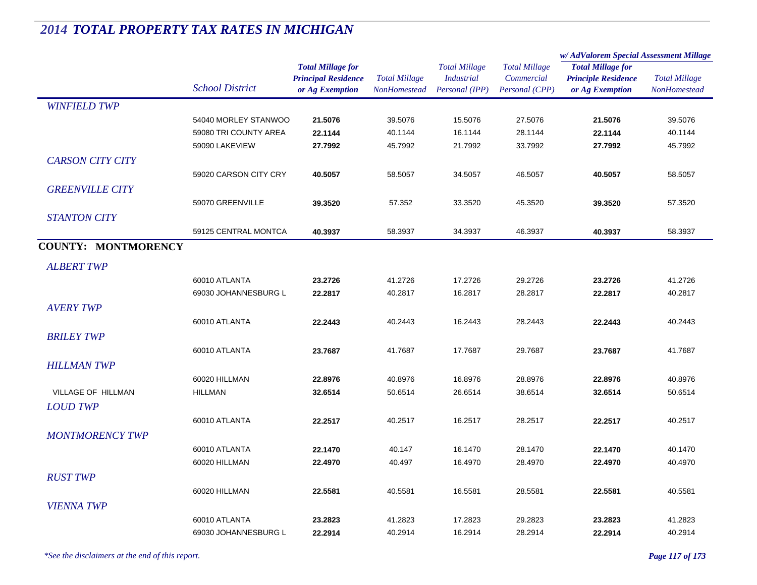|                            |                        | <b>Total Millage for</b><br><b>Principal Residence</b> | <b>Total Millage</b> | <b>Total Millage</b><br><b>Industrial</b><br>Personal (IPP) | <b>Total Millage</b><br>Commercial<br>Personal (CPP) | w/AdValorem Special Assessment Millage                 |                      |
|----------------------------|------------------------|--------------------------------------------------------|----------------------|-------------------------------------------------------------|------------------------------------------------------|--------------------------------------------------------|----------------------|
|                            |                        |                                                        |                      |                                                             |                                                      | <b>Total Millage for</b><br><b>Principle Residence</b> | <b>Total Millage</b> |
|                            |                        |                                                        |                      |                                                             |                                                      |                                                        |                      |
|                            | <b>School District</b> | or Ag Exemption                                        | <b>NonHomestead</b>  |                                                             |                                                      | or Ag Exemption                                        | <b>NonHomestead</b>  |
| <b>WINFIELD TWP</b>        |                        |                                                        |                      |                                                             |                                                      |                                                        |                      |
|                            | 54040 MORLEY STANWOO   | 21.5076                                                | 39.5076              | 15.5076                                                     | 27.5076                                              | 21.5076                                                | 39.5076              |
|                            | 59080 TRI COUNTY AREA  | 22.1144                                                | 40.1144              | 16.1144                                                     | 28.1144                                              | 22.1144                                                | 40.1144              |
|                            | 59090 LAKEVIEW         | 27.7992                                                | 45.7992              | 21.7992                                                     | 33.7992                                              | 27.7992                                                | 45.7992              |
| <b>CARSON CITY CITY</b>    |                        |                                                        |                      |                                                             |                                                      |                                                        |                      |
|                            | 59020 CARSON CITY CRY  | 40.5057                                                | 58.5057              | 34.5057                                                     | 46.5057                                              | 40.5057                                                | 58.5057              |
| <b>GREENVILLE CITY</b>     |                        |                                                        |                      |                                                             |                                                      |                                                        |                      |
|                            | 59070 GREENVILLE       | 39.3520                                                | 57.352               | 33.3520                                                     | 45.3520                                              | 39.3520                                                | 57.3520              |
| <b>STANTON CITY</b>        |                        |                                                        |                      |                                                             |                                                      |                                                        |                      |
|                            | 59125 CENTRAL MONTCA   | 40.3937                                                | 58.3937              | 34.3937                                                     | 46.3937                                              | 40.3937                                                | 58.3937              |
| <b>COUNTY: MONTMORENCY</b> |                        |                                                        |                      |                                                             |                                                      |                                                        |                      |
|                            |                        |                                                        |                      |                                                             |                                                      |                                                        |                      |
| <b>ALBERT TWP</b>          |                        |                                                        |                      |                                                             |                                                      |                                                        |                      |
|                            | 60010 ATLANTA          | 23.2726                                                | 41.2726              | 17.2726                                                     | 29.2726                                              | 23.2726                                                | 41.2726              |
|                            | 69030 JOHANNESBURG L   | 22.2817                                                | 40.2817              | 16.2817                                                     | 28.2817                                              | 22.2817                                                | 40.2817              |
| <b>AVERY TWP</b>           |                        |                                                        |                      |                                                             |                                                      |                                                        |                      |
|                            | 60010 ATLANTA          | 22.2443                                                | 40.2443              | 16.2443                                                     | 28.2443                                              | 22.2443                                                | 40.2443              |
| <b>BRILEY TWP</b>          |                        |                                                        |                      |                                                             |                                                      |                                                        |                      |
|                            | 60010 ATLANTA          | 23.7687                                                | 41.7687              | 17.7687                                                     | 29.7687                                              | 23.7687                                                | 41.7687              |
| <b>HILLMAN TWP</b>         |                        |                                                        |                      |                                                             |                                                      |                                                        |                      |
|                            | 60020 HILLMAN          | 22.8976                                                | 40.8976              | 16.8976                                                     | 28.8976                                              | 22.8976                                                | 40.8976              |
| VILLAGE OF HILLMAN         | <b>HILLMAN</b>         | 32.6514                                                | 50.6514              | 26.6514                                                     | 38.6514                                              | 32.6514                                                | 50.6514              |
| <b>LOUD TWP</b>            |                        |                                                        |                      |                                                             |                                                      |                                                        |                      |
|                            | 60010 ATLANTA          | 22.2517                                                | 40.2517              | 16.2517                                                     | 28.2517                                              | 22.2517                                                | 40.2517              |
| <b>MONTMORENCY TWP</b>     |                        |                                                        |                      |                                                             |                                                      |                                                        |                      |
|                            | 60010 ATLANTA          | 22.1470                                                | 40.147               | 16.1470                                                     | 28.1470                                              | 22.1470                                                | 40.1470              |
|                            | 60020 HILLMAN          | 22.4970                                                | 40.497               | 16.4970                                                     | 28.4970                                              | 22.4970                                                | 40.4970              |
| <b>RUST TWP</b>            |                        |                                                        |                      |                                                             |                                                      |                                                        |                      |
|                            | 60020 HILLMAN          | 22.5581                                                | 40.5581              | 16.5581                                                     | 28.5581                                              | 22.5581                                                | 40.5581              |
| <b>VIENNA TWP</b>          |                        |                                                        |                      |                                                             |                                                      |                                                        |                      |
|                            | 60010 ATLANTA          | 23.2823                                                | 41.2823              | 17.2823                                                     | 29.2823                                              | 23.2823                                                | 41.2823              |
|                            | 69030 JOHANNESBURG L   | 22.2914                                                | 40.2914              | 16.2914                                                     | 28.2914                                              | 22.2914                                                | 40.2914              |
|                            |                        |                                                        |                      |                                                             |                                                      |                                                        |                      |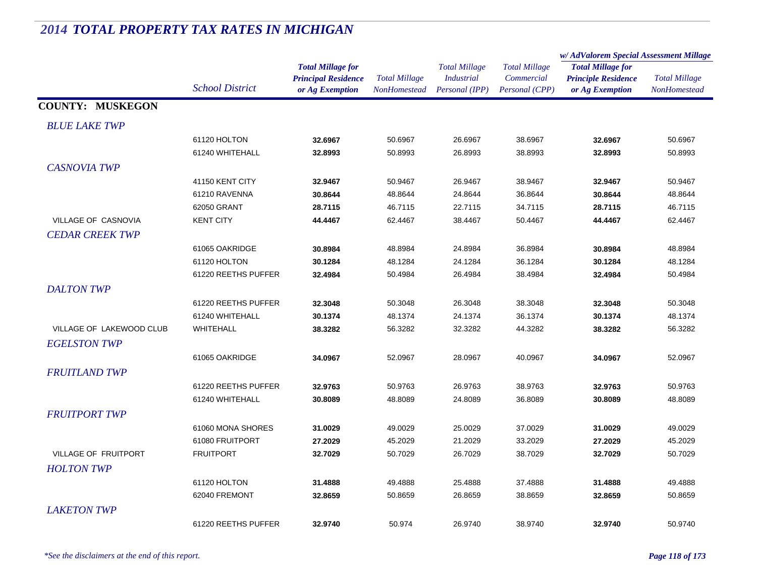#### *Total Millage for Principal Residence School District or Ag Exemption Total Millage NonHomesteadTotal Millage for Principle Residence or Ag Exemption Total Millage NonHomesteadw/ AdValorem Special Assessment Millage Total Millage CommercialPersonal (CPP) Total Millage IndustrialPersonal (IPP)* **COUNTY: MUSKEGON***BLUE LAKE TWP* $P$ 61120 HOLTON **32.6967** 50.6967 26.6967 38.6967 **32.6967** 50.6967 61240 WHITEHALL **32.8993** 50.8993 26.8993 38.8993 **32.8993** 50.8993 *CASNOVIA TWP* $P$ 41150 KENT CITY **32.9467** 50.9467 26.9467 38.9467 **32.9467** 50.9467 61210 RAVENNA **30.8644** 48.8644 24.8644 36.8644 **30.8644** 48.8644 62050 GRANT **28.7115** 46.7115 22.7115 34.7115 **28.7115** 46.7115 VILLAGE OF CASNOVIA KENT CITY **44.4467** 62.4467 38.4467 50.4467 **44.4467** 62.4467 *CEDAR CREEK TWP* $P$ 61065 OAKRIDGE **30.8984** 48.8984 24.8984 36.8984 **30.8984** 48.8984 61120 HOLTON **30.1284** 48.1284 24.1284 36.1284 **30.1284** 48.1284 61220 REETHS PUFFER **32.4984** 50.4984 26.4984 38.4984 **32.4984** 50.4984 *DALTON TWP* $P$ 61220 REETHS PUFFER **32.3048** 50.3048 26.3048 38.3048 **32.3048** 50.3048 61240 WHITEHALL **30.1374** 48.1374 24.1374 36.1374 **30.1374** 48.1374 VILLAGE OF LAKEWOOD CLUB WHITEHALL **38.3282** 56.3282 32.3282 44.3282 **38.3282** 56.3282 *EGELSTON TWP* $P$ 61065 OAKRIDGE **34.0967** 52.0967 28.0967 40.0967 **34.0967** 52.0967 *FRUITLAND TWP* $P$ 61220 REETHS PUFFER **32.9763** 50.9763 26.9763 38.9763 **32.9763** 50.9763 61240 WHITEHALL **30.8089** 48.8089 24.8089 36.8089 **30.8089** 48.8089 *FRUITPORT TWP* $P$ 61060 MONA SHORES **31.0029** 49.0029 25.0029 37.0029 **31.0029** 49.0029 61080 FRUITPORT **27.2029** 45.2029 21.2029 33.2029 **27.2029** 45.2029 VILLAGE OF FRUITPORT FRUITPORT **32.7029** 50.7029 26.7029 38.7029 **32.7029** 50.7029 *HOLTON TWP* $P$ 61120 HOLTON **31.4888** 49.4888 25.4888 37.4888 **31.4888** 49.4888 62040 FREMONT **32.8659**50.8659 26.8659 38.8659 **32.8659** 50.8659

**32.9740**

# *2014 TOTAL PROPERTY TAX RATES IN MICHIGAN*

*\*See the disclaimers at the end of this report. Page 118 of 173*

 $P$ 

61220 REETHS PUFFER

*LAKETON TWP*

50.974 26.9740 38.9740 **32.9740** 50.9740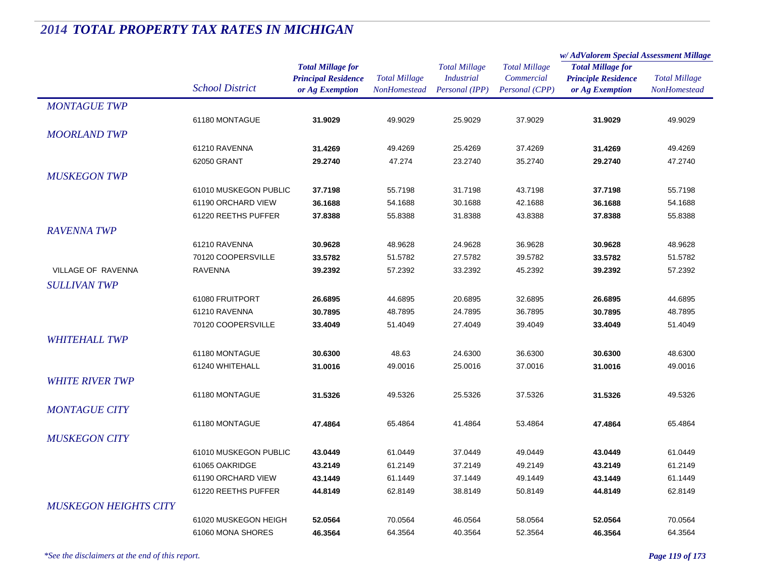|                              |                                  |                                                                           |                                      |                                                             |                                                      | w/AdValorem Special Assessment Millage                                    |                                      |  |
|------------------------------|----------------------------------|---------------------------------------------------------------------------|--------------------------------------|-------------------------------------------------------------|------------------------------------------------------|---------------------------------------------------------------------------|--------------------------------------|--|
|                              | <b>School District</b>           | <b>Total Millage for</b><br><b>Principal Residence</b><br>or Ag Exemption | <b>Total Millage</b><br>NonHomestead | <b>Total Millage</b><br><b>Industrial</b><br>Personal (IPP) | <b>Total Millage</b><br>Commercial<br>Personal (CPP) | <b>Total Millage for</b><br><b>Principle Residence</b><br>or Ag Exemption | <b>Total Millage</b><br>NonHomestead |  |
| <b>MONTAGUE TWP</b>          |                                  |                                                                           |                                      |                                                             |                                                      |                                                                           |                                      |  |
|                              | 61180 MONTAGUE                   | 31.9029                                                                   | 49.9029                              | 25.9029                                                     | 37.9029                                              | 31.9029                                                                   | 49.9029                              |  |
| <b>MOORLAND TWP</b>          |                                  |                                                                           |                                      |                                                             |                                                      |                                                                           |                                      |  |
|                              | 61210 RAVENNA                    | 31.4269                                                                   | 49.4269                              | 25.4269                                                     | 37.4269                                              | 31.4269                                                                   | 49.4269                              |  |
|                              | 62050 GRANT                      | 29.2740                                                                   | 47.274                               | 23.2740                                                     | 35.2740                                              | 29.2740                                                                   | 47.2740                              |  |
| <b>MUSKEGON TWP</b>          |                                  |                                                                           |                                      |                                                             |                                                      |                                                                           |                                      |  |
|                              | 61010 MUSKEGON PUBLIC            | 37.7198                                                                   | 55.7198                              | 31.7198                                                     | 43.7198                                              | 37.7198                                                                   | 55.7198                              |  |
|                              | 61190 ORCHARD VIEW               | 36.1688                                                                   | 54.1688                              | 30.1688                                                     | 42.1688                                              | 36.1688                                                                   | 54.1688                              |  |
|                              | 61220 REETHS PUFFER              | 37.8388                                                                   | 55.8388                              | 31.8388                                                     | 43.8388                                              | 37.8388                                                                   | 55.8388                              |  |
| <b>RAVENNA TWP</b>           |                                  |                                                                           |                                      |                                                             |                                                      |                                                                           |                                      |  |
|                              | 61210 RAVENNA                    | 30.9628                                                                   | 48.9628                              | 24.9628                                                     | 36.9628                                              | 30.9628                                                                   | 48.9628                              |  |
|                              | 70120 COOPERSVILLE               | 33.5782                                                                   | 51.5782                              | 27.5782                                                     | 39.5782                                              | 33.5782                                                                   | 51.5782                              |  |
| <b>VILLAGE OF RAVENNA</b>    | <b>RAVENNA</b>                   | 39.2392                                                                   | 57.2392                              | 33.2392                                                     | 45.2392                                              | 39.2392                                                                   | 57.2392                              |  |
| <b>SULLIVAN TWP</b>          |                                  |                                                                           |                                      |                                                             |                                                      |                                                                           |                                      |  |
|                              |                                  |                                                                           |                                      |                                                             |                                                      |                                                                           |                                      |  |
|                              | 61080 FRUITPORT<br>61210 RAVENNA | 26.6895                                                                   | 44.6895<br>48.7895                   | 20.6895<br>24.7895                                          | 32.6895<br>36.7895                                   | 26.6895                                                                   | 44.6895                              |  |
|                              | 70120 COOPERSVILLE               | 30.7895<br>33.4049                                                        | 51.4049                              | 27.4049                                                     | 39.4049                                              | 30.7895                                                                   | 48.7895<br>51.4049                   |  |
|                              |                                  |                                                                           |                                      |                                                             |                                                      | 33.4049                                                                   |                                      |  |
| <b>WHITEHALL TWP</b>         |                                  |                                                                           |                                      |                                                             |                                                      |                                                                           |                                      |  |
|                              | 61180 MONTAGUE                   | 30.6300                                                                   | 48.63                                | 24.6300                                                     | 36.6300                                              | 30.6300                                                                   | 48.6300                              |  |
|                              | 61240 WHITEHALL                  | 31.0016                                                                   | 49.0016                              | 25.0016                                                     | 37.0016                                              | 31.0016                                                                   | 49.0016                              |  |
| <b>WHITE RIVER TWP</b>       |                                  |                                                                           |                                      |                                                             |                                                      |                                                                           |                                      |  |
|                              | 61180 MONTAGUE                   | 31.5326                                                                   | 49.5326                              | 25.5326                                                     | 37.5326                                              | 31.5326                                                                   | 49.5326                              |  |
| <b>MONTAGUE CITY</b>         |                                  |                                                                           |                                      |                                                             |                                                      |                                                                           |                                      |  |
|                              | 61180 MONTAGUE                   | 47.4864                                                                   | 65.4864                              | 41.4864                                                     | 53.4864                                              | 47.4864                                                                   | 65.4864                              |  |
| <b>MUSKEGON CITY</b>         |                                  |                                                                           |                                      |                                                             |                                                      |                                                                           |                                      |  |
|                              | 61010 MUSKEGON PUBLIC            | 43.0449                                                                   | 61.0449                              | 37.0449                                                     | 49.0449                                              | 43.0449                                                                   | 61.0449                              |  |
|                              | 61065 OAKRIDGE                   | 43.2149                                                                   | 61.2149                              | 37.2149                                                     | 49.2149                                              | 43.2149                                                                   | 61.2149                              |  |
|                              | 61190 ORCHARD VIEW               | 43.1449                                                                   | 61.1449                              | 37.1449                                                     | 49.1449                                              | 43.1449                                                                   | 61.1449                              |  |
|                              | 61220 REETHS PUFFER              | 44.8149                                                                   | 62.8149                              | 38.8149                                                     | 50.8149                                              | 44.8149                                                                   | 62.8149                              |  |
| <b>MUSKEGON HEIGHTS CITY</b> |                                  |                                                                           |                                      |                                                             |                                                      |                                                                           |                                      |  |
|                              | 61020 MUSKEGON HEIGH             | 52.0564                                                                   | 70.0564                              | 46.0564                                                     | 58.0564                                              | 52.0564                                                                   | 70.0564                              |  |
|                              | 61060 MONA SHORES                | 46.3564                                                                   | 64.3564                              | 40.3564                                                     | 52.3564                                              | 46.3564                                                                   | 64.3564                              |  |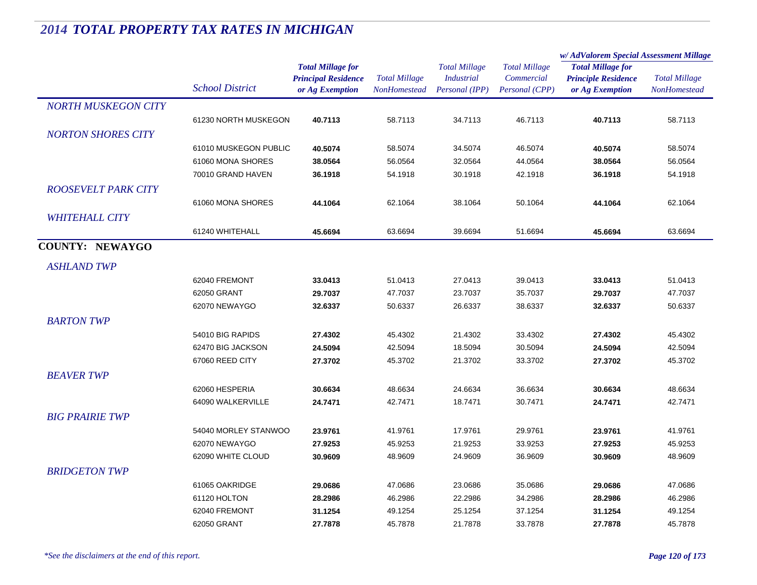|                            |                        | <b>Total Millage for</b><br><b>Principal Residence</b><br>or Ag Exemption | <b>Total Millage</b><br><b>NonHomestead</b> | <b>Total Millage</b><br><b>Industrial</b><br>Personal (IPP) | <b>Total Millage</b><br>Commercial<br>Personal (CPP) | w/ AdValorem Special Assessment Millage                                   |                                      |
|----------------------------|------------------------|---------------------------------------------------------------------------|---------------------------------------------|-------------------------------------------------------------|------------------------------------------------------|---------------------------------------------------------------------------|--------------------------------------|
|                            | <b>School District</b> |                                                                           |                                             |                                                             |                                                      | <b>Total Millage for</b><br><b>Principle Residence</b><br>or Ag Exemption | <b>Total Millage</b><br>NonHomestead |
|                            |                        |                                                                           |                                             |                                                             |                                                      |                                                                           |                                      |
| <b>NORTH MUSKEGON CITY</b> |                        |                                                                           |                                             |                                                             |                                                      |                                                                           |                                      |
|                            | 61230 NORTH MUSKEGON   | 40.7113                                                                   | 58.7113                                     | 34.7113                                                     | 46.7113                                              | 40.7113                                                                   | 58.7113                              |
| <b>NORTON SHORES CITY</b>  |                        |                                                                           |                                             |                                                             |                                                      |                                                                           |                                      |
|                            | 61010 MUSKEGON PUBLIC  | 40.5074                                                                   | 58.5074                                     | 34.5074                                                     | 46.5074                                              | 40.5074                                                                   | 58.5074                              |
|                            | 61060 MONA SHORES      | 38.0564                                                                   | 56.0564                                     | 32.0564                                                     | 44.0564                                              | 38.0564                                                                   | 56.0564                              |
|                            | 70010 GRAND HAVEN      | 36.1918                                                                   | 54.1918                                     | 30.1918                                                     | 42.1918                                              | 36.1918                                                                   | 54.1918                              |
| <b>ROOSEVELT PARK CITY</b> |                        |                                                                           |                                             |                                                             |                                                      |                                                                           |                                      |
|                            | 61060 MONA SHORES      | 44.1064                                                                   | 62.1064                                     | 38.1064                                                     | 50.1064                                              | 44.1064                                                                   | 62.1064                              |
| <b>WHITEHALL CITY</b>      |                        |                                                                           |                                             |                                                             |                                                      |                                                                           |                                      |
|                            | 61240 WHITEHALL        | 45.6694                                                                   | 63.6694                                     | 39.6694                                                     | 51.6694                                              | 45.6694                                                                   | 63.6694                              |
| <b>COUNTY: NEWAYGO</b>     |                        |                                                                           |                                             |                                                             |                                                      |                                                                           |                                      |
|                            |                        |                                                                           |                                             |                                                             |                                                      |                                                                           |                                      |
| <b>ASHLAND TWP</b>         |                        |                                                                           |                                             |                                                             |                                                      |                                                                           |                                      |
|                            | 62040 FREMONT          | 33.0413                                                                   | 51.0413                                     | 27.0413                                                     | 39.0413                                              | 33.0413                                                                   | 51.0413                              |
|                            | 62050 GRANT            | 29.7037                                                                   | 47.7037                                     | 23.7037                                                     | 35.7037                                              | 29.7037                                                                   | 47.7037                              |
|                            | 62070 NEWAYGO          | 32.6337                                                                   | 50.6337                                     | 26.6337                                                     | 38.6337                                              | 32.6337                                                                   | 50.6337                              |
| <b>BARTON TWP</b>          |                        |                                                                           |                                             |                                                             |                                                      |                                                                           |                                      |
|                            | 54010 BIG RAPIDS       | 27.4302                                                                   | 45.4302                                     | 21.4302                                                     | 33.4302                                              | 27.4302                                                                   | 45.4302                              |
|                            | 62470 BIG JACKSON      | 24.5094                                                                   | 42.5094                                     | 18.5094                                                     | 30.5094                                              | 24.5094                                                                   | 42.5094                              |
|                            | 67060 REED CITY        | 27.3702                                                                   | 45.3702                                     | 21.3702                                                     | 33.3702                                              | 27.3702                                                                   | 45.3702                              |
| <b>BEAVER TWP</b>          |                        |                                                                           |                                             |                                                             |                                                      |                                                                           |                                      |
|                            | 62060 HESPERIA         | 30.6634                                                                   | 48.6634                                     | 24.6634                                                     | 36.6634                                              | 30.6634                                                                   | 48.6634                              |
|                            | 64090 WALKERVILLE      | 24.7471                                                                   | 42.7471                                     | 18.7471                                                     | 30.7471                                              | 24.7471                                                                   | 42.7471                              |
| <b>BIG PRAIRIE TWP</b>     |                        |                                                                           |                                             |                                                             |                                                      |                                                                           |                                      |
|                            |                        |                                                                           |                                             |                                                             |                                                      |                                                                           |                                      |
|                            | 54040 MORLEY STANWOO   | 23.9761                                                                   | 41.9761                                     | 17.9761                                                     | 29.9761                                              | 23.9761                                                                   | 41.9761                              |
|                            | 62070 NEWAYGO          | 27.9253                                                                   | 45.9253                                     | 21.9253                                                     | 33.9253                                              | 27.9253                                                                   | 45.9253                              |
|                            | 62090 WHITE CLOUD      | 30.9609                                                                   | 48.9609                                     | 24.9609                                                     | 36.9609                                              | 30.9609                                                                   | 48.9609                              |
| <b>BRIDGETON TWP</b>       |                        |                                                                           |                                             |                                                             |                                                      |                                                                           |                                      |
|                            | 61065 OAKRIDGE         | 29.0686                                                                   | 47.0686                                     | 23.0686                                                     | 35.0686                                              | 29.0686                                                                   | 47.0686                              |
|                            | 61120 HOLTON           | 28.2986                                                                   | 46.2986                                     | 22.2986                                                     | 34.2986                                              | 28.2986                                                                   | 46.2986                              |
|                            | 62040 FREMONT          | 31.1254                                                                   | 49.1254                                     | 25.1254                                                     | 37.1254                                              | 31.1254                                                                   | 49.1254                              |
|                            | 62050 GRANT            | 27.7878                                                                   | 45.7878                                     | 21.7878                                                     | 33.7878                                              | 27.7878                                                                   | 45.7878                              |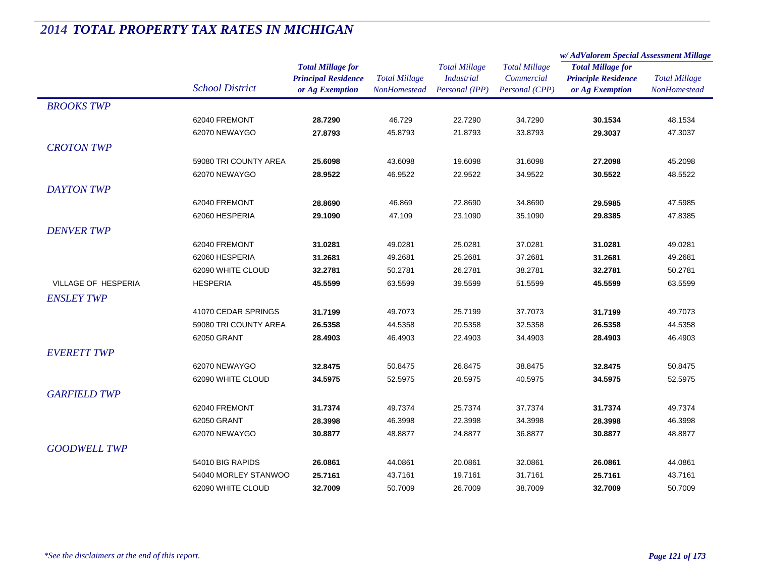|                     |                                      |                            | <b>Total Millage</b> | <b>Total Millage</b><br><b>Industrial</b><br>Personal (IPP) | <b>Total Millage</b><br>Commercial | w/AdValorem Special Assessment Millage                 |                      |
|---------------------|--------------------------------------|----------------------------|----------------------|-------------------------------------------------------------|------------------------------------|--------------------------------------------------------|----------------------|
|                     |                                      | <b>Total Millage for</b>   |                      |                                                             |                                    | <b>Total Millage for</b><br><b>Principle Residence</b> | <b>Total Millage</b> |
|                     | <b>School District</b>               | <b>Principal Residence</b> |                      |                                                             |                                    |                                                        |                      |
|                     |                                      | or Ag Exemption            | <b>NonHomestead</b>  |                                                             | Personal (CPP)                     | or Ag Exemption                                        | <b>NonHomestead</b>  |
| <b>BROOKS TWP</b>   |                                      |                            |                      |                                                             |                                    |                                                        |                      |
|                     | 62040 FREMONT                        | 28.7290                    | 46.729               | 22.7290                                                     | 34.7290                            | 30.1534                                                | 48.1534              |
|                     | 62070 NEWAYGO                        | 27.8793                    | 45.8793              | 21.8793                                                     | 33.8793                            | 29.3037                                                | 47.3037              |
| <b>CROTON TWP</b>   |                                      |                            |                      |                                                             |                                    |                                                        |                      |
|                     | 59080 TRI COUNTY AREA                | 25.6098                    | 43.6098              | 19.6098                                                     | 31.6098                            | 27.2098                                                | 45.2098              |
|                     | 62070 NEWAYGO                        | 28.9522                    | 46.9522              | 22.9522                                                     | 34.9522                            | 30.5522                                                | 48.5522              |
| <b>DAYTON TWP</b>   |                                      |                            |                      |                                                             |                                    |                                                        |                      |
|                     | 62040 FREMONT                        | 28.8690                    | 46.869               | 22.8690                                                     | 34.8690                            | 29.5985                                                | 47.5985              |
|                     | 62060 HESPERIA                       | 29.1090                    | 47.109               | 23.1090                                                     | 35.1090                            | 29.8385                                                | 47.8385              |
| <b>DENVER TWP</b>   |                                      |                            |                      |                                                             |                                    |                                                        |                      |
|                     | 62040 FREMONT                        |                            | 49.0281              | 25.0281                                                     | 37.0281                            |                                                        |                      |
|                     | 62060 HESPERIA                       | 31.0281                    |                      |                                                             | 37.2681                            | 31.0281                                                | 49.0281              |
|                     |                                      | 31.2681                    | 49.2681              | 25.2681                                                     |                                    | 31.2681                                                | 49.2681              |
| VILLAGE OF HESPERIA | 62090 WHITE CLOUD<br><b>HESPERIA</b> | 32.2781                    | 50.2781<br>63.5599   | 26.2781<br>39.5599                                          | 38.2781<br>51.5599                 | 32.2781                                                | 50.2781              |
|                     |                                      | 45.5599                    |                      |                                                             |                                    | 45.5599                                                | 63.5599              |
| <b>ENSLEY TWP</b>   |                                      |                            |                      |                                                             |                                    |                                                        |                      |
|                     | 41070 CEDAR SPRINGS                  | 31.7199                    | 49.7073              | 25.7199                                                     | 37.7073                            | 31.7199                                                | 49.7073              |
|                     | 59080 TRI COUNTY AREA                | 26.5358                    | 44.5358              | 20.5358                                                     | 32.5358                            | 26.5358                                                | 44.5358              |
|                     | 62050 GRANT                          | 28.4903                    | 46.4903              | 22.4903                                                     | 34.4903                            | 28.4903                                                | 46.4903              |
| <b>EVERETT TWP</b>  |                                      |                            |                      |                                                             |                                    |                                                        |                      |
|                     | 62070 NEWAYGO                        | 32.8475                    | 50.8475              | 26.8475                                                     | 38.8475                            | 32.8475                                                | 50.8475              |
|                     | 62090 WHITE CLOUD                    | 34.5975                    | 52.5975              | 28.5975                                                     | 40.5975                            | 34.5975                                                | 52.5975              |
| <b>GARFIELD TWP</b> |                                      |                            |                      |                                                             |                                    |                                                        |                      |
|                     | 62040 FREMONT                        | 31.7374                    | 49.7374              | 25.7374                                                     | 37.7374                            | 31.7374                                                | 49.7374              |
|                     | 62050 GRANT                          | 28.3998                    | 46.3998              | 22.3998                                                     | 34.3998                            | 28.3998                                                | 46.3998              |
|                     | 62070 NEWAYGO                        | 30.8877                    | 48.8877              | 24.8877                                                     | 36.8877                            | 30.8877                                                | 48.8877              |
| <b>GOODWELL TWP</b> |                                      |                            |                      |                                                             |                                    |                                                        |                      |
|                     | 54010 BIG RAPIDS                     | 26.0861                    | 44.0861              | 20.0861                                                     | 32.0861                            | 26.0861                                                | 44.0861              |
|                     | 54040 MORLEY STANWOO                 | 25.7161                    | 43.7161              | 19.7161                                                     | 31.7161                            | 25.7161                                                | 43.7161              |
|                     | 62090 WHITE CLOUD                    | 32.7009                    | 50.7009              | 26.7009                                                     | 38.7009                            | 32.7009                                                | 50.7009              |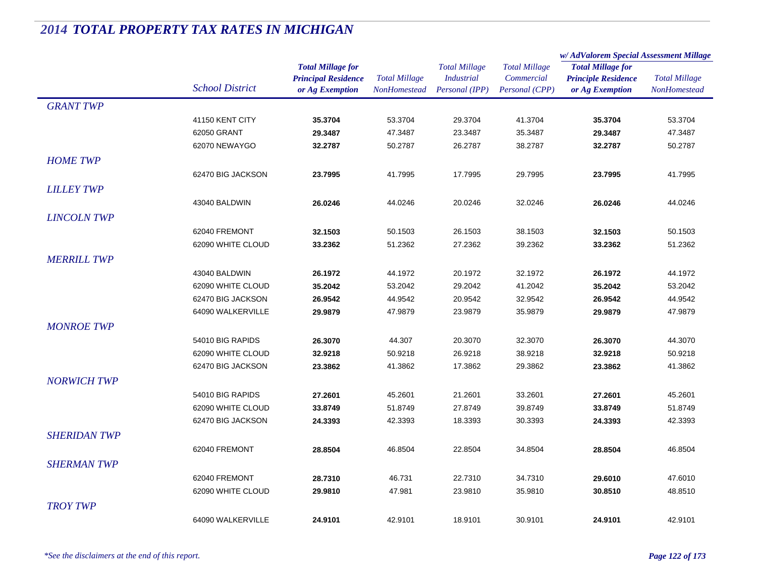|                     |                        |                            | <b>Total Millage</b><br>NonHomestead | <b>Total Millage</b><br><b>Industrial</b> | <b>Total Millage</b> | w/AdValorem Special Assessment Millage                 |                      |
|---------------------|------------------------|----------------------------|--------------------------------------|-------------------------------------------|----------------------|--------------------------------------------------------|----------------------|
|                     |                        | <b>Total Millage for</b>   |                                      |                                           |                      | <b>Total Millage for</b><br><b>Principle Residence</b> | <b>Total Millage</b> |
|                     | <b>School District</b> | <b>Principal Residence</b> |                                      |                                           | Commercial           |                                                        |                      |
|                     |                        | or Ag Exemption            |                                      | Personal (IPP)                            | Personal (CPP)       | or Ag Exemption                                        | NonHomestead         |
| <b>GRANT TWP</b>    |                        |                            |                                      |                                           |                      |                                                        |                      |
|                     | 41150 KENT CITY        | 35.3704                    | 53.3704                              | 29.3704                                   | 41.3704              | 35.3704                                                | 53.3704              |
|                     | 62050 GRANT            | 29.3487                    | 47.3487                              | 23.3487                                   | 35.3487              | 29.3487                                                | 47.3487              |
|                     | 62070 NEWAYGO          | 32.2787                    | 50.2787                              | 26.2787                                   | 38.2787              | 32.2787                                                | 50.2787              |
| <b>HOME TWP</b>     |                        |                            |                                      |                                           |                      |                                                        |                      |
|                     | 62470 BIG JACKSON      | 23.7995                    | 41.7995                              | 17.7995                                   | 29.7995              | 23.7995                                                | 41.7995              |
| <b>LILLEY TWP</b>   |                        |                            |                                      |                                           |                      |                                                        |                      |
|                     | 43040 BALDWIN          | 26.0246                    | 44.0246                              | 20.0246                                   | 32.0246              | 26.0246                                                | 44.0246              |
| <b>LINCOLN TWP</b>  |                        |                            |                                      |                                           |                      |                                                        |                      |
|                     |                        |                            |                                      |                                           |                      |                                                        |                      |
|                     | 62040 FREMONT          | 32.1503                    | 50.1503                              | 26.1503                                   | 38.1503              | 32.1503                                                | 50.1503              |
|                     | 62090 WHITE CLOUD      | 33.2362                    | 51.2362                              | 27.2362                                   | 39.2362              | 33.2362                                                | 51.2362              |
| <b>MERRILL TWP</b>  |                        |                            |                                      |                                           |                      |                                                        |                      |
|                     | 43040 BALDWIN          | 26.1972                    | 44.1972                              | 20.1972                                   | 32.1972              | 26.1972                                                | 44.1972              |
|                     | 62090 WHITE CLOUD      | 35.2042                    | 53.2042                              | 29.2042                                   | 41.2042              | 35.2042                                                | 53.2042              |
|                     | 62470 BIG JACKSON      | 26.9542                    | 44.9542                              | 20.9542                                   | 32.9542              | 26.9542                                                | 44.9542              |
|                     | 64090 WALKERVILLE      | 29.9879                    | 47.9879                              | 23.9879                                   | 35.9879              | 29.9879                                                | 47.9879              |
| <b>MONROE TWP</b>   |                        |                            |                                      |                                           |                      |                                                        |                      |
|                     | 54010 BIG RAPIDS       | 26.3070                    | 44.307                               | 20.3070                                   | 32.3070              | 26.3070                                                | 44.3070              |
|                     | 62090 WHITE CLOUD      | 32.9218                    | 50.9218                              | 26.9218                                   | 38.9218              | 32.9218                                                | 50.9218              |
|                     | 62470 BIG JACKSON      | 23.3862                    | 41.3862                              | 17.3862                                   | 29.3862              | 23.3862                                                | 41.3862              |
| <b>NORWICH TWP</b>  |                        |                            |                                      |                                           |                      |                                                        |                      |
|                     | 54010 BIG RAPIDS       | 27.2601                    | 45.2601                              | 21.2601                                   | 33.2601              | 27.2601                                                | 45.2601              |
|                     | 62090 WHITE CLOUD      | 33.8749                    | 51.8749                              | 27.8749                                   | 39.8749              | 33.8749                                                | 51.8749              |
|                     | 62470 BIG JACKSON      | 24.3393                    | 42.3393                              | 18.3393                                   | 30.3393              | 24.3393                                                | 42.3393              |
| <b>SHERIDAN TWP</b> |                        |                            |                                      |                                           |                      |                                                        |                      |
|                     | 62040 FREMONT          | 28.8504                    | 46.8504                              | 22.8504                                   | 34.8504              | 28.8504                                                | 46.8504              |
| <b>SHERMAN TWP</b>  |                        |                            |                                      |                                           |                      |                                                        |                      |
|                     |                        |                            |                                      |                                           |                      |                                                        |                      |
|                     | 62040 FREMONT          | 28.7310                    | 46.731                               | 22.7310                                   | 34.7310              | 29.6010                                                | 47.6010              |
|                     | 62090 WHITE CLOUD      | 29.9810                    | 47.981                               | 23.9810                                   | 35.9810              | 30.8510                                                | 48.8510              |
| <b>TROY TWP</b>     |                        |                            |                                      |                                           |                      |                                                        |                      |
|                     | 64090 WALKERVILLE      | 24.9101                    | 42.9101                              | 18.9101                                   | 30.9101              | 24.9101                                                | 42.9101              |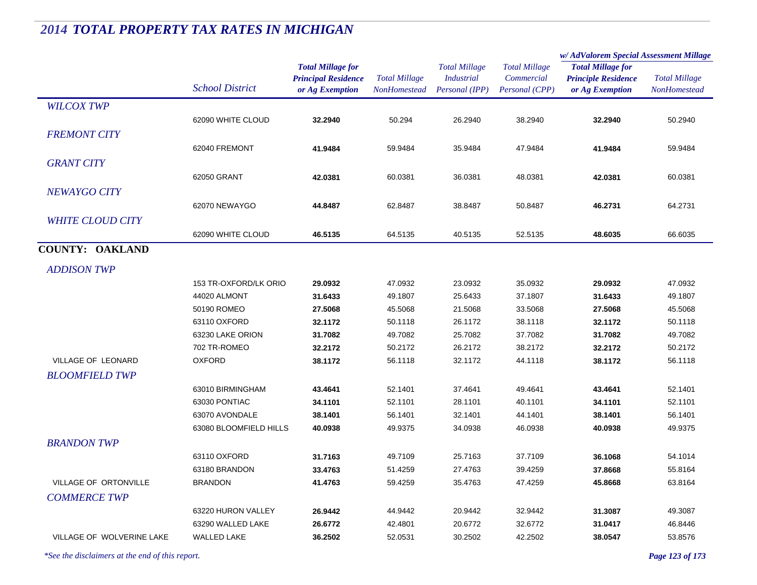|                           |                        |                                                                           |                                      |                                                             |                                                      | w/AdValorem Special Assessment Millage                                    |                                      |
|---------------------------|------------------------|---------------------------------------------------------------------------|--------------------------------------|-------------------------------------------------------------|------------------------------------------------------|---------------------------------------------------------------------------|--------------------------------------|
|                           | <b>School District</b> | <b>Total Millage for</b><br><b>Principal Residence</b><br>or Ag Exemption | <b>Total Millage</b><br>NonHomestead | <b>Total Millage</b><br><b>Industrial</b><br>Personal (IPP) | <b>Total Millage</b><br>Commercial<br>Personal (CPP) | <b>Total Millage for</b><br><b>Principle Residence</b><br>or Ag Exemption | <b>Total Millage</b><br>NonHomestead |
| <b>WILCOX TWP</b>         |                        |                                                                           |                                      |                                                             |                                                      |                                                                           |                                      |
|                           | 62090 WHITE CLOUD      | 32.2940                                                                   | 50.294                               | 26.2940                                                     | 38.2940                                              | 32.2940                                                                   | 50.2940                              |
| <b>FREMONT CITY</b>       |                        |                                                                           |                                      |                                                             |                                                      |                                                                           |                                      |
|                           | 62040 FREMONT          | 41.9484                                                                   | 59.9484                              | 35.9484                                                     | 47.9484                                              | 41.9484                                                                   | 59.9484                              |
| <b>GRANT CITY</b>         |                        |                                                                           |                                      |                                                             |                                                      |                                                                           |                                      |
|                           | 62050 GRANT            | 42.0381                                                                   | 60.0381                              | 36.0381                                                     | 48.0381                                              | 42.0381                                                                   | 60.0381                              |
| NEWAYGO CITY              |                        |                                                                           |                                      |                                                             |                                                      |                                                                           |                                      |
|                           | 62070 NEWAYGO          | 44.8487                                                                   | 62.8487                              | 38.8487                                                     | 50.8487                                              | 46.2731                                                                   | 64.2731                              |
| <b>WHITE CLOUD CITY</b>   |                        |                                                                           |                                      |                                                             |                                                      |                                                                           |                                      |
|                           | 62090 WHITE CLOUD      |                                                                           | 64.5135                              |                                                             |                                                      |                                                                           | 66.6035                              |
|                           |                        | 46.5135                                                                   |                                      | 40.5135                                                     | 52.5135                                              | 48.6035                                                                   |                                      |
| <b>COUNTY: OAKLAND</b>    |                        |                                                                           |                                      |                                                             |                                                      |                                                                           |                                      |
| <b>ADDISON TWP</b>        |                        |                                                                           |                                      |                                                             |                                                      |                                                                           |                                      |
|                           | 153 TR-OXFORD/LK ORIO  | 29.0932                                                                   | 47.0932                              | 23.0932                                                     | 35.0932                                              | 29.0932                                                                   | 47.0932                              |
|                           | 44020 ALMONT           | 31.6433                                                                   | 49.1807                              | 25.6433                                                     | 37.1807                                              | 31.6433                                                                   | 49.1807                              |
|                           | 50190 ROMEO            | 27.5068                                                                   | 45.5068                              | 21.5068                                                     | 33.5068                                              | 27.5068                                                                   | 45.5068                              |
|                           | 63110 OXFORD           | 32.1172                                                                   | 50.1118                              | 26.1172                                                     | 38.1118                                              | 32.1172                                                                   | 50.1118                              |
|                           | 63230 LAKE ORION       | 31.7082                                                                   | 49.7082                              | 25.7082                                                     | 37.7082                                              | 31.7082                                                                   | 49.7082                              |
|                           | 702 TR-ROMEO           | 32.2172                                                                   | 50.2172                              | 26.2172                                                     | 38.2172                                              | 32.2172                                                                   | 50.2172                              |
| <b>VILLAGE OF LEONARD</b> | <b>OXFORD</b>          | 38.1172                                                                   | 56.1118                              | 32.1172                                                     | 44.1118                                              | 38.1172                                                                   | 56.1118                              |
| <b>BLOOMFIELD TWP</b>     |                        |                                                                           |                                      |                                                             |                                                      |                                                                           |                                      |
|                           | 63010 BIRMINGHAM       | 43.4641                                                                   | 52.1401                              | 37.4641                                                     | 49.4641                                              | 43.4641                                                                   | 52.1401                              |
|                           | 63030 PONTIAC          | 34.1101                                                                   | 52.1101                              | 28.1101                                                     | 40.1101                                              | 34.1101                                                                   | 52.1101                              |
|                           | 63070 AVONDALE         | 38.1401                                                                   | 56.1401                              | 32.1401                                                     | 44.1401                                              | 38.1401                                                                   | 56.1401                              |
|                           | 63080 BLOOMFIELD HILLS | 40.0938                                                                   | 49.9375                              | 34.0938                                                     | 46.0938                                              | 40.0938                                                                   | 49.9375                              |
| <b>BRANDON TWP</b>        |                        |                                                                           |                                      |                                                             |                                                      |                                                                           |                                      |
|                           | 63110 OXFORD           | 31.7163                                                                   | 49.7109                              | 25.7163                                                     | 37.7109                                              | 36.1068                                                                   | 54.1014                              |
|                           | 63180 BRANDON          | 33.4763                                                                   | 51.4259                              | 27.4763                                                     | 39.4259                                              | 37.8668                                                                   | 55.8164                              |
| VILLAGE OF ORTONVILLE     | <b>BRANDON</b>         | 41.4763                                                                   | 59.4259                              | 35.4763                                                     | 47.4259                                              | 45.8668                                                                   | 63.8164                              |
| <b>COMMERCE TWP</b>       |                        |                                                                           |                                      |                                                             |                                                      |                                                                           |                                      |
|                           | 63220 HURON VALLEY     | 26.9442                                                                   | 44.9442                              | 20.9442                                                     | 32.9442                                              | 31.3087                                                                   | 49.3087                              |
|                           | 63290 WALLED LAKE      | 26.6772                                                                   | 42.4801                              | 20.6772                                                     | 32.6772                                              | 31.0417                                                                   | 46.8446                              |
| VILLAGE OF WOLVERINE LAKE | <b>WALLED LAKE</b>     | 36.2502                                                                   | 52.0531                              | 30.2502                                                     | 42.2502                                              | 38.0547                                                                   | 53.8576                              |
|                           |                        |                                                                           |                                      |                                                             |                                                      |                                                                           |                                      |

*\*See the disclaimers at the end of this report. Page 123 of 173*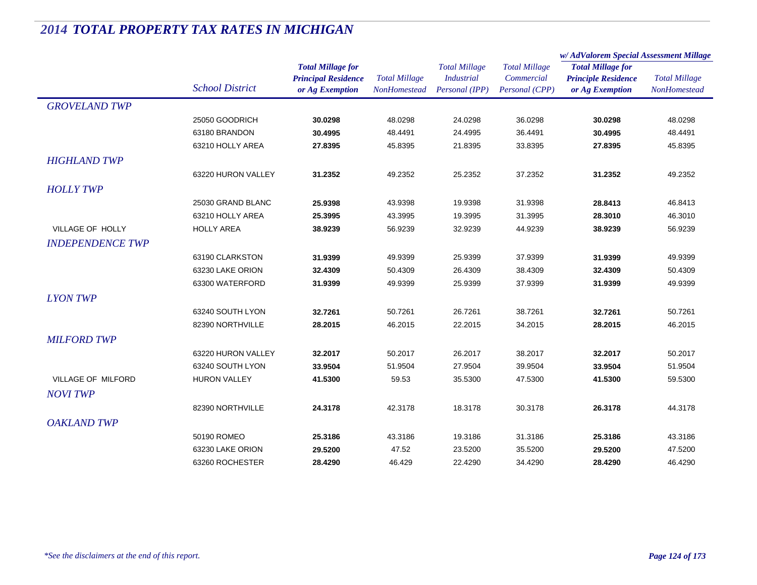|                           |                        |                                                                           |                                             |                                                             |                                                      | w/AdValorem Special Assessment Millage                                    |                                      |  |
|---------------------------|------------------------|---------------------------------------------------------------------------|---------------------------------------------|-------------------------------------------------------------|------------------------------------------------------|---------------------------------------------------------------------------|--------------------------------------|--|
|                           | <b>School District</b> | <b>Total Millage for</b><br><b>Principal Residence</b><br>or Ag Exemption | <b>Total Millage</b><br><b>NonHomestead</b> | <b>Total Millage</b><br><b>Industrial</b><br>Personal (IPP) | <b>Total Millage</b><br>Commercial<br>Personal (CPP) | <b>Total Millage for</b><br><b>Principle Residence</b><br>or Ag Exemption | <b>Total Millage</b><br>NonHomestead |  |
| <b>GROVELAND TWP</b>      |                        |                                                                           |                                             |                                                             |                                                      |                                                                           |                                      |  |
|                           | 25050 GOODRICH         | 30.0298                                                                   | 48.0298                                     | 24.0298                                                     | 36.0298                                              | 30.0298                                                                   | 48.0298                              |  |
|                           | 63180 BRANDON          | 30.4995                                                                   | 48.4491                                     | 24.4995                                                     | 36.4491                                              | 30.4995                                                                   | 48.4491                              |  |
|                           | 63210 HOLLY AREA       | 27.8395                                                                   | 45.8395                                     | 21.8395                                                     | 33.8395                                              | 27.8395                                                                   | 45.8395                              |  |
| <b>HIGHLAND TWP</b>       |                        |                                                                           |                                             |                                                             |                                                      |                                                                           |                                      |  |
|                           | 63220 HURON VALLEY     | 31.2352                                                                   | 49.2352                                     | 25.2352                                                     | 37.2352                                              | 31.2352                                                                   | 49.2352                              |  |
| <b>HOLLY TWP</b>          |                        |                                                                           |                                             |                                                             |                                                      |                                                                           |                                      |  |
|                           | 25030 GRAND BLANC      | 25.9398                                                                   | 43.9398                                     | 19.9398                                                     | 31.9398                                              | 28.8413                                                                   | 46.8413                              |  |
|                           | 63210 HOLLY AREA       | 25.3995                                                                   | 43.3995                                     | 19.3995                                                     | 31.3995                                              | 28.3010                                                                   | 46.3010                              |  |
| VILLAGE OF HOLLY          | <b>HOLLY AREA</b>      | 38.9239                                                                   | 56.9239                                     | 32.9239                                                     | 44.9239                                              | 38.9239                                                                   | 56.9239                              |  |
| <b>INDEPENDENCE TWP</b>   |                        |                                                                           |                                             |                                                             |                                                      |                                                                           |                                      |  |
|                           | 63190 CLARKSTON        | 31.9399                                                                   | 49.9399                                     | 25.9399                                                     | 37.9399                                              | 31.9399                                                                   | 49.9399                              |  |
|                           | 63230 LAKE ORION       | 32.4309                                                                   | 50.4309                                     | 26.4309                                                     | 38.4309                                              | 32.4309                                                                   | 50.4309                              |  |
|                           | 63300 WATERFORD        | 31.9399                                                                   | 49.9399                                     | 25.9399                                                     | 37.9399                                              | 31.9399                                                                   | 49.9399                              |  |
| <b>LYON TWP</b>           |                        |                                                                           |                                             |                                                             |                                                      |                                                                           |                                      |  |
|                           | 63240 SOUTH LYON       | 32.7261                                                                   | 50.7261                                     | 26.7261                                                     | 38.7261                                              | 32.7261                                                                   | 50.7261                              |  |
|                           | 82390 NORTHVILLE       | 28.2015                                                                   | 46.2015                                     | 22.2015                                                     | 34.2015                                              | 28.2015                                                                   | 46.2015                              |  |
| <b>MILFORD TWP</b>        |                        |                                                                           |                                             |                                                             |                                                      |                                                                           |                                      |  |
|                           | 63220 HURON VALLEY     | 32.2017                                                                   | 50.2017                                     | 26.2017                                                     | 38.2017                                              | 32.2017                                                                   | 50.2017                              |  |
|                           | 63240 SOUTH LYON       | 33.9504                                                                   | 51.9504                                     | 27.9504                                                     | 39.9504                                              | 33.9504                                                                   | 51.9504                              |  |
| <b>VILLAGE OF MILFORD</b> | <b>HURON VALLEY</b>    | 41.5300                                                                   | 59.53                                       | 35.5300                                                     | 47.5300                                              | 41.5300                                                                   | 59.5300                              |  |
| <b>NOVI TWP</b>           |                        |                                                                           |                                             |                                                             |                                                      |                                                                           |                                      |  |
|                           | 82390 NORTHVILLE       | 24.3178                                                                   | 42.3178                                     | 18.3178                                                     | 30.3178                                              | 26.3178                                                                   | 44.3178                              |  |
| <b>OAKLAND TWP</b>        |                        |                                                                           |                                             |                                                             |                                                      |                                                                           |                                      |  |
|                           | 50190 ROMEO            | 25.3186                                                                   | 43.3186                                     | 19.3186                                                     | 31.3186                                              | 25.3186                                                                   | 43.3186                              |  |
|                           | 63230 LAKE ORION       | 29.5200                                                                   | 47.52                                       | 23.5200                                                     | 35.5200                                              | 29.5200                                                                   | 47.5200                              |  |
|                           | 63260 ROCHESTER        | 28.4290                                                                   | 46.429                                      | 22.4290                                                     | 34.4290                                              | 28.4290                                                                   | 46.4290                              |  |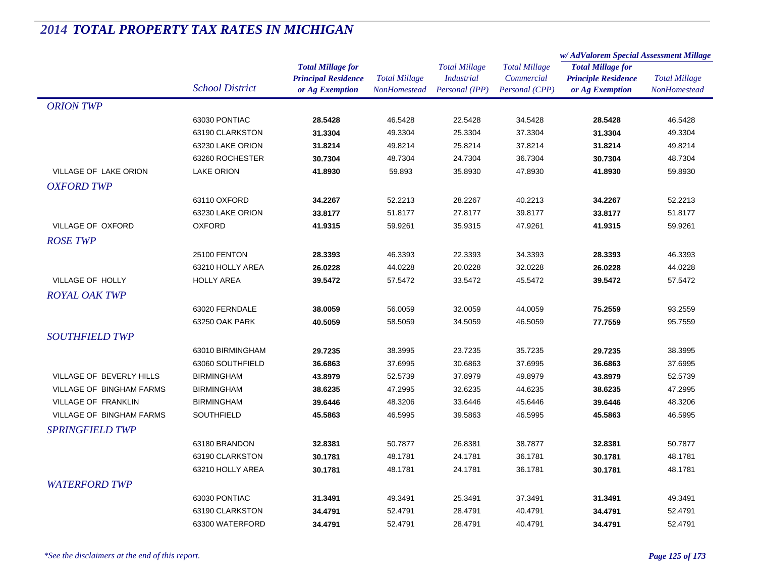|                              |                        |                            | <b>Total Millage</b><br>NonHomestead | <b>Total Millage</b><br><b>Industrial</b> | <b>Total Millage</b><br>Commercial | w/AdValorem Special Assessment Millage                                    |                      |
|------------------------------|------------------------|----------------------------|--------------------------------------|-------------------------------------------|------------------------------------|---------------------------------------------------------------------------|----------------------|
|                              |                        | <b>Total Millage for</b>   |                                      |                                           |                                    | <b>Total Millage for</b><br><b>Principle Residence</b><br>or Ag Exemption | <b>Total Millage</b> |
|                              |                        | <b>Principal Residence</b> |                                      |                                           |                                    |                                                                           |                      |
|                              | <b>School District</b> | or Ag Exemption            |                                      | Personal (IPP)                            | Personal (CPP)                     |                                                                           | NonHomestead         |
| <b>ORION TWP</b>             |                        |                            |                                      |                                           |                                    |                                                                           |                      |
|                              | 63030 PONTIAC          | 28.5428                    | 46.5428                              | 22.5428                                   | 34.5428                            | 28.5428                                                                   | 46.5428              |
|                              | 63190 CLARKSTON        | 31.3304                    | 49.3304                              | 25.3304                                   | 37.3304                            | 31.3304                                                                   | 49.3304              |
|                              | 63230 LAKE ORION       | 31.8214                    | 49.8214                              | 25.8214                                   | 37.8214                            | 31.8214                                                                   | 49.8214              |
|                              | 63260 ROCHESTER        | 30.7304                    | 48.7304                              | 24.7304                                   | 36.7304                            | 30.7304                                                                   | 48.7304              |
| <b>VILLAGE OF LAKE ORION</b> | <b>LAKE ORION</b>      | 41.8930                    | 59.893                               | 35.8930                                   | 47.8930                            | 41.8930                                                                   | 59.8930              |
| <b>OXFORD TWP</b>            |                        |                            |                                      |                                           |                                    |                                                                           |                      |
|                              | 63110 OXFORD           | 34.2267                    | 52.2213                              | 28.2267                                   | 40.2213                            | 34.2267                                                                   | 52.2213              |
|                              | 63230 LAKE ORION       | 33.8177                    | 51.8177                              | 27.8177                                   | 39.8177                            | 33.8177                                                                   | 51.8177              |
| VILLAGE OF OXFORD            | <b>OXFORD</b>          | 41.9315                    | 59.9261                              | 35.9315                                   | 47.9261                            | 41.9315                                                                   | 59.9261              |
| <b>ROSE TWP</b>              |                        |                            |                                      |                                           |                                    |                                                                           |                      |
|                              | 25100 FENTON           | 28.3393                    | 46.3393                              | 22.3393                                   | 34.3393                            | 28.3393                                                                   | 46.3393              |
|                              | 63210 HOLLY AREA       | 26.0228                    | 44.0228                              | 20.0228                                   | 32.0228                            | 26.0228                                                                   | 44.0228              |
| VILLAGE OF HOLLY             | <b>HOLLY AREA</b>      | 39.5472                    | 57.5472                              | 33.5472                                   | 45.5472                            | 39.5472                                                                   | 57.5472              |
| <b>ROYAL OAK TWP</b>         |                        |                            |                                      |                                           |                                    |                                                                           |                      |
|                              | 63020 FERNDALE         | 38.0059                    | 56.0059                              | 32.0059                                   | 44.0059                            | 75.2559                                                                   | 93.2559              |
|                              | 63250 OAK PARK         | 40.5059                    | 58.5059                              | 34.5059                                   | 46.5059                            | 77.7559                                                                   | 95.7559              |
| <b>SOUTHFIELD TWP</b>        |                        |                            |                                      |                                           |                                    |                                                                           |                      |
|                              | 63010 BIRMINGHAM       | 29.7235                    | 38.3995                              | 23.7235                                   | 35.7235                            | 29.7235                                                                   | 38.3995              |
|                              | 63060 SOUTHFIELD       | 36.6863                    | 37.6995                              | 30.6863                                   | 37.6995                            | 36.6863                                                                   | 37.6995              |
| VILLAGE OF BEVERLY HILLS     | <b>BIRMINGHAM</b>      | 43.8979                    | 52.5739                              | 37.8979                                   | 49.8979                            | 43.8979                                                                   | 52.5739              |
| VILLAGE OF BINGHAM FARMS     | <b>BIRMINGHAM</b>      | 38.6235                    | 47.2995                              | 32.6235                                   | 44.6235                            | 38.6235                                                                   | 47.2995              |
| VILLAGE OF FRANKLIN          | <b>BIRMINGHAM</b>      | 39.6446                    | 48.3206                              | 33.6446                                   | 45.6446                            | 39.6446                                                                   | 48.3206              |
| VILLAGE OF BINGHAM FARMS     | <b>SOUTHFIELD</b>      | 45.5863                    | 46.5995                              | 39.5863                                   | 46.5995                            | 45.5863                                                                   | 46.5995              |
| <i>SPRINGFIELD TWP</i>       |                        |                            |                                      |                                           |                                    |                                                                           |                      |
|                              | 63180 BRANDON          | 32.8381                    | 50.7877                              | 26.8381                                   | 38.7877                            | 32.8381                                                                   | 50.7877              |
|                              | 63190 CLARKSTON        | 30.1781                    | 48.1781                              | 24.1781                                   | 36.1781                            | 30.1781                                                                   | 48.1781              |
|                              | 63210 HOLLY AREA       | 30.1781                    | 48.1781                              | 24.1781                                   | 36.1781                            | 30.1781                                                                   | 48.1781              |
| <b>WATERFORD TWP</b>         |                        |                            |                                      |                                           |                                    |                                                                           |                      |
|                              | 63030 PONTIAC          | 31.3491                    | 49.3491                              | 25.3491                                   | 37.3491                            | 31.3491                                                                   | 49.3491              |
|                              | 63190 CLARKSTON        | 34.4791                    | 52.4791                              | 28.4791                                   | 40.4791                            | 34.4791                                                                   | 52.4791              |
|                              | 63300 WATERFORD        | 34.4791                    | 52.4791                              | 28.4791                                   | 40.4791                            | 34.4791                                                                   | 52.4791              |
|                              |                        |                            |                                      |                                           |                                    |                                                                           |                      |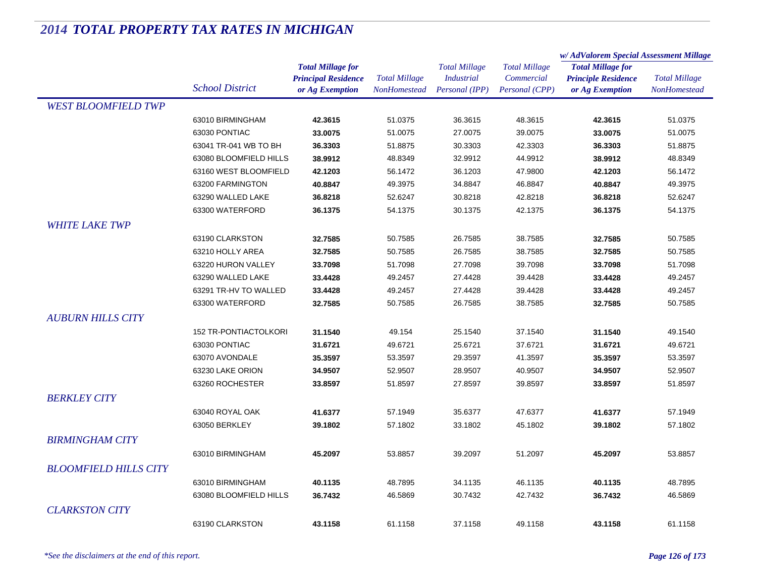|                              |                              |                            | <b>Total Millage</b><br><b>NonHomestead</b> | <b>Total Millage</b><br><b>Industrial</b> | <b>Total Millage</b><br>Commercial | w/AdValorem Special Assessment Millage                                    |                      |
|------------------------------|------------------------------|----------------------------|---------------------------------------------|-------------------------------------------|------------------------------------|---------------------------------------------------------------------------|----------------------|
|                              |                              | <b>Total Millage for</b>   |                                             |                                           |                                    | <b>Total Millage for</b><br><b>Principle Residence</b><br>or Ag Exemption | <b>Total Millage</b> |
|                              |                              | <b>Principal Residence</b> |                                             |                                           |                                    |                                                                           |                      |
|                              | <b>School District</b>       | or Ag Exemption            |                                             | Personal (IPP)                            | Personal (CPP)                     |                                                                           | <b>NonHomestead</b>  |
| <b>WEST BLOOMFIELD TWP</b>   |                              |                            |                                             |                                           |                                    |                                                                           |                      |
|                              | 63010 BIRMINGHAM             | 42.3615                    | 51.0375                                     | 36.3615                                   | 48.3615                            | 42.3615                                                                   | 51.0375              |
|                              | 63030 PONTIAC                | 33.0075                    | 51.0075                                     | 27.0075                                   | 39.0075                            | 33.0075                                                                   | 51.0075              |
|                              | 63041 TR-041 WB TO BH        | 36.3303                    | 51.8875                                     | 30.3303                                   | 42.3303                            | 36.3303                                                                   | 51.8875              |
|                              | 63080 BLOOMFIELD HILLS       | 38.9912                    | 48.8349                                     | 32.9912                                   | 44.9912                            | 38.9912                                                                   | 48.8349              |
|                              | 63160 WEST BLOOMFIELD        | 42.1203                    | 56.1472                                     | 36.1203                                   | 47.9800                            | 42.1203                                                                   | 56.1472              |
|                              | 63200 FARMINGTON             | 40.8847                    | 49.3975                                     | 34.8847                                   | 46.8847                            | 40.8847                                                                   | 49.3975              |
|                              | 63290 WALLED LAKE            | 36.8218                    | 52.6247                                     | 30.8218                                   | 42.8218                            | 36.8218                                                                   | 52.6247              |
|                              | 63300 WATERFORD              | 36.1375                    | 54.1375                                     | 30.1375                                   | 42.1375                            | 36.1375                                                                   | 54.1375              |
| <b>WHITE LAKE TWP</b>        |                              |                            |                                             |                                           |                                    |                                                                           |                      |
|                              | 63190 CLARKSTON              | 32.7585                    | 50.7585                                     | 26.7585                                   | 38.7585                            | 32.7585                                                                   | 50.7585              |
|                              | 63210 HOLLY AREA             | 32.7585                    | 50.7585                                     | 26.7585                                   | 38.7585                            | 32.7585                                                                   | 50.7585              |
|                              | 63220 HURON VALLEY           | 33.7098                    | 51.7098                                     | 27.7098                                   | 39.7098                            | 33.7098                                                                   | 51.7098              |
|                              | 63290 WALLED LAKE            | 33.4428                    | 49.2457                                     | 27.4428                                   | 39.4428                            | 33.4428                                                                   | 49.2457              |
|                              | 63291 TR-HV TO WALLED        | 33.4428                    | 49.2457                                     | 27.4428                                   | 39.4428                            | 33.4428                                                                   | 49.2457              |
|                              | 63300 WATERFORD              | 32.7585                    | 50.7585                                     | 26.7585                                   | 38.7585                            | 32.7585                                                                   | 50.7585              |
| <b>AUBURN HILLS CITY</b>     |                              |                            |                                             |                                           |                                    |                                                                           |                      |
|                              | <b>152 TR-PONTIACTOLKORI</b> | 31.1540                    | 49.154                                      | 25.1540                                   | 37.1540                            | 31.1540                                                                   | 49.1540              |
|                              | 63030 PONTIAC                | 31.6721                    | 49.6721                                     | 25.6721                                   | 37.6721                            | 31.6721                                                                   | 49.6721              |
|                              | 63070 AVONDALE               | 35.3597                    | 53.3597                                     | 29.3597                                   | 41.3597                            | 35.3597                                                                   | 53.3597              |
|                              | 63230 LAKE ORION             | 34.9507                    | 52.9507                                     | 28.9507                                   | 40.9507                            | 34.9507                                                                   | 52.9507              |
|                              | 63260 ROCHESTER              | 33.8597                    | 51.8597                                     | 27.8597                                   | 39.8597                            | 33.8597                                                                   | 51.8597              |
| <b>BERKLEY CITY</b>          |                              |                            |                                             |                                           |                                    |                                                                           |                      |
|                              | 63040 ROYAL OAK              | 41.6377                    | 57.1949                                     | 35.6377                                   | 47.6377                            | 41.6377                                                                   | 57.1949              |
|                              | 63050 BERKLEY                | 39.1802                    | 57.1802                                     | 33.1802                                   | 45.1802                            | 39.1802                                                                   | 57.1802              |
| <b>BIRMINGHAM CITY</b>       |                              |                            |                                             |                                           |                                    |                                                                           |                      |
|                              | 63010 BIRMINGHAM             | 45.2097                    | 53.8857                                     | 39.2097                                   | 51.2097                            | 45.2097                                                                   | 53.8857              |
| <b>BLOOMFIELD HILLS CITY</b> |                              |                            |                                             |                                           |                                    |                                                                           |                      |
|                              |                              |                            |                                             |                                           |                                    |                                                                           |                      |
|                              | 63010 BIRMINGHAM             | 40.1135                    | 48.7895                                     | 34.1135                                   | 46.1135                            | 40.1135                                                                   | 48.7895              |
|                              | 63080 BLOOMFIELD HILLS       | 36.7432                    | 46.5869                                     | 30.7432                                   | 42.7432                            | 36.7432                                                                   | 46.5869              |
| <b>CLARKSTON CITY</b>        |                              |                            |                                             |                                           |                                    |                                                                           |                      |
|                              | 63190 CLARKSTON              | 43.1158                    | 61.1158                                     | 37.1158                                   | 49.1158                            | 43.1158                                                                   | 61.1158              |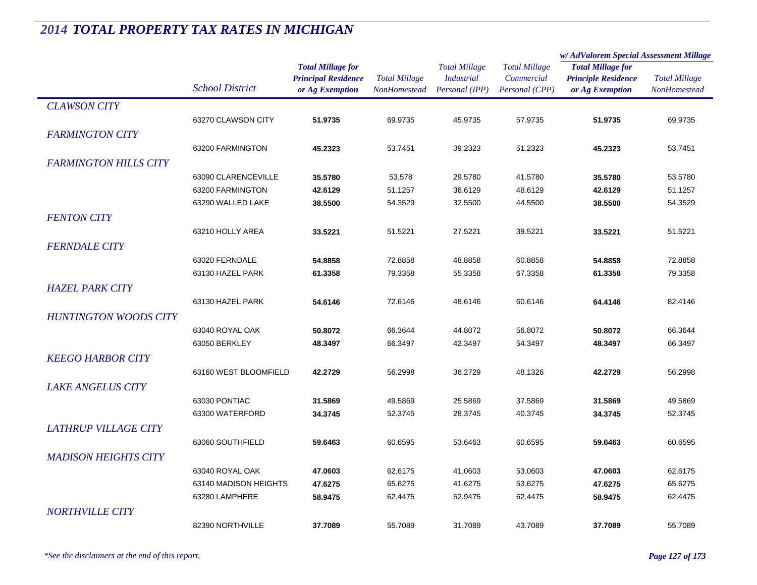|                              |                        |                            |                      |                      |                      | w/AdValorem Special Assessment Millage |                      |
|------------------------------|------------------------|----------------------------|----------------------|----------------------|----------------------|----------------------------------------|----------------------|
|                              |                        | <b>Total Millage for</b>   |                      | <b>Total Millage</b> | <b>Total Millage</b> | <b>Total Millage for</b>               |                      |
|                              |                        | <b>Principal Residence</b> | <b>Total Millage</b> | <b>Industrial</b>    | Commercial           | <b>Principle Residence</b>             | <b>Total Millage</b> |
|                              | <b>School District</b> | or Ag Exemption            | NonHomestead         | Personal (IPP)       | Personal (CPP)       | or Ag Exemption                        | NonHomestead         |
| <b>CLAWSON CITY</b>          |                        |                            |                      |                      |                      |                                        |                      |
|                              | 63270 CLAWSON CITY     | 51.9735                    | 69.9735              | 45.9735              | 57.9735              | 51.9735                                | 69.9735              |
| <b>FARMINGTON CITY</b>       |                        |                            |                      |                      |                      |                                        |                      |
|                              | 63200 FARMINGTON       | 45.2323                    | 53.7451              | 39.2323              | 51.2323              | 45.2323                                | 53.7451              |
|                              |                        |                            |                      |                      |                      |                                        |                      |
| <b>FARMINGTON HILLS CITY</b> |                        |                            |                      |                      |                      |                                        |                      |
|                              | 63090 CLARENCEVILLE    | 35.5780                    | 53.578               | 29.5780              | 41.5780              | 35.5780                                | 53.5780              |
|                              | 63200 FARMINGTON       | 42.6129                    | 51.1257              | 36.6129              | 48.6129              | 42.6129                                | 51.1257              |
|                              | 63290 WALLED LAKE      | 38.5500                    | 54.3529              | 32.5500              | 44.5500              | 38.5500                                | 54.3529              |
| <b>FENTON CITY</b>           |                        |                            |                      |                      |                      |                                        |                      |
|                              | 63210 HOLLY AREA       | 33.5221                    | 51.5221              | 27.5221              | 39.5221              | 33.5221                                | 51.5221              |
| <b>FERNDALE CITY</b>         |                        |                            |                      |                      |                      |                                        |                      |
|                              | 63020 FERNDALE         | 54.8858                    | 72.8858              | 48.8858              | 60.8858              | 54.8858                                | 72.8858              |
|                              | 63130 HAZEL PARK       | 61.3358                    | 79.3358              | 55.3358              | 67.3358              | 61.3358                                | 79.3358              |
| <b>HAZEL PARK CITY</b>       |                        |                            |                      |                      |                      |                                        |                      |
|                              | 63130 HAZEL PARK       | 54.6146                    | 72.6146              | 48.6146              | 60.6146              |                                        | 82.4146              |
|                              |                        |                            |                      |                      |                      | 64.4146                                |                      |
| <b>HUNTINGTON WOODS CITY</b> |                        |                            |                      |                      |                      |                                        |                      |
|                              | 63040 ROYAL OAK        | 50.8072                    | 66.3644              | 44.8072              | 56.8072              | 50.8072                                | 66.3644              |
|                              | 63050 BERKLEY          | 48.3497                    | 66.3497              | 42.3497              | 54.3497              | 48.3497                                | 66.3497              |
| <b>KEEGO HARBOR CITY</b>     |                        |                            |                      |                      |                      |                                        |                      |
|                              | 63160 WEST BLOOMFIELD  | 42.2729                    | 56.2998              | 36.2729              | 48.1326              | 42.2729                                | 56.2998              |
| <b>LAKE ANGELUS CITY</b>     |                        |                            |                      |                      |                      |                                        |                      |
|                              | 63030 PONTIAC          | 31.5869                    | 49.5869              | 25.5869              | 37.5869              | 31.5869                                | 49.5869              |
|                              | 63300 WATERFORD        | 34.3745                    | 52.3745              | 28.3745              | 40.3745              | 34.3745                                | 52.3745              |
| <b>LATHRUP VILLAGE CITY</b>  |                        |                            |                      |                      |                      |                                        |                      |
|                              | 63060 SOUTHFIELD       | 59.6463                    | 60.6595              |                      |                      | 59.6463                                |                      |
|                              |                        |                            |                      | 53.6463              | 60.6595              |                                        | 60.6595              |
| <b>MADISON HEIGHTS CITY</b>  |                        |                            |                      |                      |                      |                                        |                      |
|                              | 63040 ROYAL OAK        | 47.0603                    | 62.6175              | 41.0603              | 53.0603              | 47.0603                                | 62.6175              |
|                              | 63140 MADISON HEIGHTS  | 47.6275                    | 65.6275              | 41.6275              | 53.6275              | 47.6275                                | 65.6275              |
|                              | 63280 LAMPHERE         | 58.9475                    | 62.4475              | 52.9475              | 62.4475              | 58.9475                                | 62.4475              |
| <b>NORTHVILLE CITY</b>       |                        |                            |                      |                      |                      |                                        |                      |
|                              | 82390 NORTHVILLE       | 37.7089                    | 55.7089              | 31.7089              | 43.7089              | 37.7089                                | 55.7089              |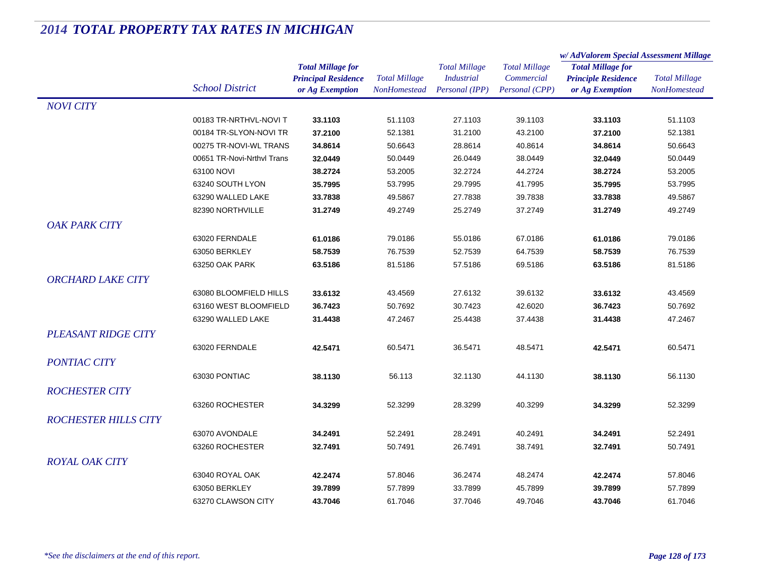|                             |                            |                            | <b>Total Millage</b><br>NonHomestead | <b>Total Millage</b><br><b>Industrial</b><br>Personal (IPP) | <b>Total Millage</b><br>Commercial<br>Personal (CPP) | w/AdValorem Special Assessment Millage |                      |
|-----------------------------|----------------------------|----------------------------|--------------------------------------|-------------------------------------------------------------|------------------------------------------------------|----------------------------------------|----------------------|
|                             |                            | <b>Total Millage for</b>   |                                      |                                                             |                                                      | <b>Total Millage for</b>               | <b>Total Millage</b> |
|                             | <b>School District</b>     | <b>Principal Residence</b> |                                      |                                                             |                                                      | <b>Principle Residence</b>             |                      |
|                             |                            | or Ag Exemption            |                                      |                                                             |                                                      | or Ag Exemption                        | <b>NonHomestead</b>  |
| <b>NOVI CITY</b>            |                            |                            |                                      |                                                             |                                                      |                                        |                      |
|                             | 00183 TR-NRTHVL-NOVI T     | 33.1103                    | 51.1103                              | 27.1103                                                     | 39.1103                                              | 33.1103                                | 51.1103              |
|                             | 00184 TR-SLYON-NOVI TR     | 37.2100                    | 52.1381                              | 31.2100                                                     | 43.2100                                              | 37.2100                                | 52.1381              |
|                             | 00275 TR-NOVI-WL TRANS     | 34.8614                    | 50.6643                              | 28.8614                                                     | 40.8614                                              | 34.8614                                | 50.6643              |
|                             | 00651 TR-Novi-Nrthyl Trans | 32.0449                    | 50.0449                              | 26.0449                                                     | 38.0449                                              | 32.0449                                | 50.0449              |
|                             | 63100 NOVI                 | 38.2724                    | 53.2005                              | 32.2724                                                     | 44.2724                                              | 38.2724                                | 53.2005              |
|                             | 63240 SOUTH LYON           | 35.7995                    | 53.7995                              | 29.7995                                                     | 41.7995                                              | 35.7995                                | 53.7995              |
|                             | 63290 WALLED LAKE          | 33.7838                    | 49.5867                              | 27.7838                                                     | 39.7838                                              | 33.7838                                | 49.5867              |
|                             | 82390 NORTHVILLE           | 31.2749                    | 49.2749                              | 25.2749                                                     | 37.2749                                              | 31.2749                                | 49.2749              |
| <b>OAK PARK CITY</b>        |                            |                            |                                      |                                                             |                                                      |                                        |                      |
|                             | 63020 FERNDALE             | 61.0186                    | 79.0186                              | 55.0186                                                     | 67.0186                                              | 61.0186                                | 79.0186              |
|                             | 63050 BERKLEY              | 58.7539                    | 76.7539                              | 52.7539                                                     | 64.7539                                              | 58.7539                                | 76.7539              |
|                             | 63250 OAK PARK             | 63.5186                    | 81.5186                              | 57.5186                                                     | 69.5186                                              | 63.5186                                | 81.5186              |
| <b>ORCHARD LAKE CITY</b>    |                            |                            |                                      |                                                             |                                                      |                                        |                      |
|                             | 63080 BLOOMFIELD HILLS     | 33.6132                    | 43.4569                              | 27.6132                                                     | 39.6132                                              | 33.6132                                | 43.4569              |
|                             | 63160 WEST BLOOMFIELD      | 36.7423                    | 50.7692                              | 30.7423                                                     | 42.6020                                              | 36.7423                                | 50.7692              |
|                             | 63290 WALLED LAKE          | 31.4438                    | 47.2467                              | 25.4438                                                     | 37.4438                                              | 31.4438                                | 47.2467              |
| <b>PLEASANT RIDGE CITY</b>  |                            |                            |                                      |                                                             |                                                      |                                        |                      |
|                             | 63020 FERNDALE             | 42.5471                    | 60.5471                              | 36.5471                                                     | 48.5471                                              | 42.5471                                | 60.5471              |
|                             |                            |                            |                                      |                                                             |                                                      |                                        |                      |
| <b>PONTIAC CITY</b>         |                            |                            |                                      |                                                             |                                                      |                                        |                      |
|                             | 63030 PONTIAC              | 38.1130                    | 56.113                               | 32.1130                                                     | 44.1130                                              | 38.1130                                | 56.1130              |
| <b>ROCHESTER CITY</b>       |                            |                            |                                      |                                                             |                                                      |                                        |                      |
|                             | 63260 ROCHESTER            | 34.3299                    | 52.3299                              | 28.3299                                                     | 40.3299                                              | 34.3299                                | 52.3299              |
| <b>ROCHESTER HILLS CITY</b> |                            |                            |                                      |                                                             |                                                      |                                        |                      |
|                             | 63070 AVONDALE             | 34.2491                    | 52.2491                              | 28.2491                                                     | 40.2491                                              | 34.2491                                | 52.2491              |
|                             | 63260 ROCHESTER            | 32.7491                    | 50.7491                              | 26.7491                                                     | 38.7491                                              | 32.7491                                | 50.7491              |
| <b>ROYAL OAK CITY</b>       |                            |                            |                                      |                                                             |                                                      |                                        |                      |
|                             | 63040 ROYAL OAK            | 42.2474                    | 57.8046                              | 36.2474                                                     | 48.2474                                              | 42.2474                                | 57.8046              |
|                             | 63050 BERKLEY              | 39.7899                    | 57.7899                              | 33.7899                                                     | 45.7899                                              | 39.7899                                | 57.7899              |
|                             | 63270 CLAWSON CITY         | 43.7046                    | 61.7046                              | 37.7046                                                     | 49.7046                                              | 43.7046                                | 61.7046              |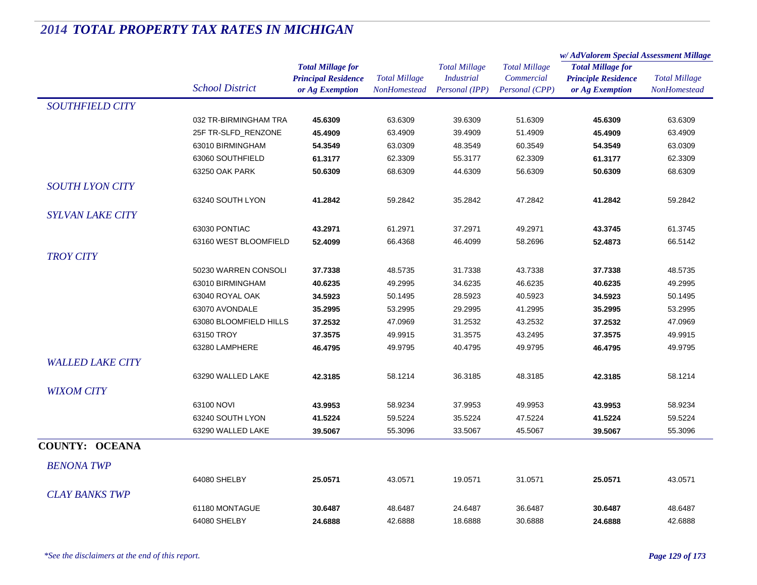|                         |                        |                                                        | <b>Total Millage</b><br>NonHomestead | <b>Total Millage</b><br><b>Industrial</b> | <b>Total Millage</b><br>Commercial | w/AdValorem Special Assessment Millage                                    |                      |
|-------------------------|------------------------|--------------------------------------------------------|--------------------------------------|-------------------------------------------|------------------------------------|---------------------------------------------------------------------------|----------------------|
|                         |                        | <b>Total Millage for</b><br><b>Principal Residence</b> |                                      |                                           |                                    | <b>Total Millage for</b><br><b>Principle Residence</b><br>or Ag Exemption | <b>Total Millage</b> |
|                         | <b>School District</b> | or Ag Exemption                                        |                                      | Personal (IPP)                            | Personal (CPP)                     |                                                                           | <b>NonHomestead</b>  |
| <b>SOUTHFIELD CITY</b>  |                        |                                                        |                                      |                                           |                                    |                                                                           |                      |
|                         | 032 TR-BIRMINGHAM TRA  | 45.6309                                                | 63.6309                              | 39.6309                                   | 51.6309                            | 45.6309                                                                   | 63.6309              |
|                         | 25F TR-SLFD RENZONE    | 45.4909                                                | 63.4909                              | 39.4909                                   | 51.4909                            | 45.4909                                                                   | 63.4909              |
|                         | 63010 BIRMINGHAM       | 54.3549                                                | 63.0309                              | 48.3549                                   | 60.3549                            | 54.3549                                                                   | 63.0309              |
|                         | 63060 SOUTHFIELD       | 61.3177                                                | 62.3309                              | 55.3177                                   | 62.3309                            | 61.3177                                                                   | 62.3309              |
|                         | 63250 OAK PARK         | 50.6309                                                | 68.6309                              | 44.6309                                   | 56.6309                            | 50.6309                                                                   | 68.6309              |
| <b>SOUTH LYON CITY</b>  |                        |                                                        |                                      |                                           |                                    |                                                                           |                      |
|                         | 63240 SOUTH LYON       | 41.2842                                                | 59.2842                              | 35.2842                                   | 47.2842                            | 41.2842                                                                   | 59.2842              |
| <b>SYLVAN LAKE CITY</b> |                        |                                                        |                                      |                                           |                                    |                                                                           |                      |
|                         | 63030 PONTIAC          | 43.2971                                                | 61.2971                              | 37.2971                                   | 49.2971                            | 43.3745                                                                   | 61.3745              |
|                         | 63160 WEST BLOOMFIELD  | 52.4099                                                | 66.4368                              | 46.4099                                   | 58.2696                            | 52.4873                                                                   | 66.5142              |
| <b>TROY CITY</b>        |                        |                                                        |                                      |                                           |                                    |                                                                           |                      |
|                         | 50230 WARREN CONSOLI   | 37.7338                                                | 48.5735                              | 31.7338                                   | 43.7338                            | 37.7338                                                                   | 48.5735              |
|                         | 63010 BIRMINGHAM       | 40.6235                                                | 49.2995                              | 34.6235                                   | 46.6235                            | 40.6235                                                                   | 49.2995              |
|                         | 63040 ROYAL OAK        | 34.5923                                                | 50.1495                              | 28.5923                                   | 40.5923                            | 34.5923                                                                   | 50.1495              |
|                         | 63070 AVONDALE         | 35.2995                                                | 53.2995                              | 29.2995                                   | 41.2995                            | 35.2995                                                                   | 53.2995              |
|                         | 63080 BLOOMFIELD HILLS | 37.2532                                                | 47.0969                              | 31.2532                                   | 43.2532                            | 37.2532                                                                   | 47.0969              |
|                         | 63150 TROY             | 37.3575                                                | 49.9915                              | 31.3575                                   | 43.2495                            | 37.3575                                                                   | 49.9915              |
|                         | 63280 LAMPHERE         | 46.4795                                                | 49.9795                              | 40.4795                                   | 49.9795                            | 46.4795                                                                   | 49.9795              |
| <b>WALLED LAKE CITY</b> |                        |                                                        |                                      |                                           |                                    |                                                                           |                      |
|                         | 63290 WALLED LAKE      | 42.3185                                                | 58.1214                              | 36.3185                                   | 48.3185                            | 42.3185                                                                   | 58.1214              |
| <b>WIXOM CITY</b>       |                        |                                                        |                                      |                                           |                                    |                                                                           |                      |
|                         | 63100 NOVI             | 43.9953                                                | 58.9234                              | 37.9953                                   | 49.9953                            | 43.9953                                                                   | 58.9234              |
|                         | 63240 SOUTH LYON       | 41.5224                                                | 59.5224                              | 35.5224                                   | 47.5224                            | 41.5224                                                                   | 59.5224              |
|                         | 63290 WALLED LAKE      | 39.5067                                                | 55.3096                              | 33.5067                                   | 45.5067                            | 39.5067                                                                   | 55.3096              |
| <b>COUNTY: OCEANA</b>   |                        |                                                        |                                      |                                           |                                    |                                                                           |                      |
|                         |                        |                                                        |                                      |                                           |                                    |                                                                           |                      |
| <b>BENONA TWP</b>       |                        |                                                        |                                      |                                           |                                    |                                                                           |                      |
|                         | 64080 SHELBY           | 25.0571                                                | 43.0571                              | 19.0571                                   | 31.0571                            | 25.0571                                                                   | 43.0571              |
| <b>CLAY BANKS TWP</b>   |                        |                                                        |                                      |                                           |                                    |                                                                           |                      |
|                         | 61180 MONTAGUE         | 30.6487                                                | 48.6487                              | 24.6487                                   | 36.6487                            | 30.6487                                                                   | 48.6487              |
|                         | 64080 SHELBY           | 24.6888                                                | 42.6888                              | 18.6888                                   | 30.6888                            | 24.6888                                                                   | 42.6888              |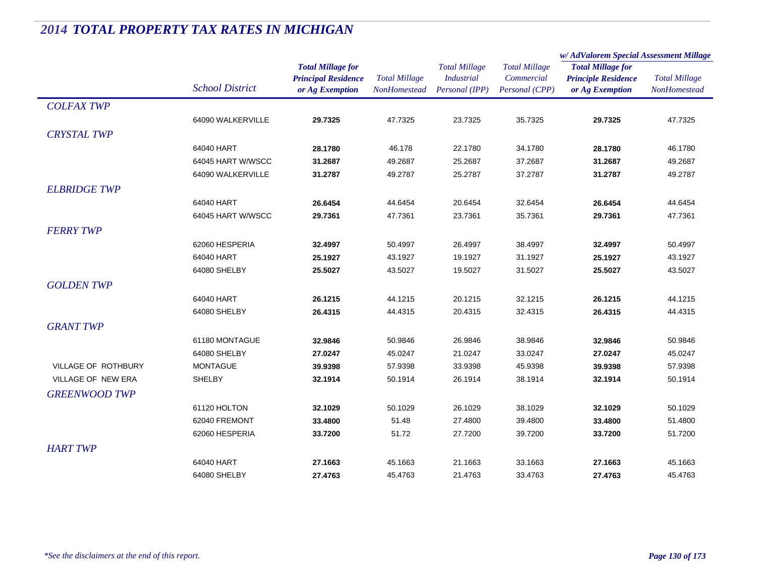|                      |                        |                                                                           |                                      |                                                             |                                                      | w/AdValorem Special Assessment Millage                                    |                                      |
|----------------------|------------------------|---------------------------------------------------------------------------|--------------------------------------|-------------------------------------------------------------|------------------------------------------------------|---------------------------------------------------------------------------|--------------------------------------|
|                      | <b>School District</b> | <b>Total Millage for</b><br><b>Principal Residence</b><br>or Ag Exemption | <b>Total Millage</b><br>NonHomestead | <b>Total Millage</b><br><b>Industrial</b><br>Personal (IPP) | <b>Total Millage</b><br>Commercial<br>Personal (CPP) | <b>Total Millage for</b><br><b>Principle Residence</b><br>or Ag Exemption | <b>Total Millage</b><br>NonHomestead |
| <b>COLFAX TWP</b>    |                        |                                                                           |                                      |                                                             |                                                      |                                                                           |                                      |
|                      | 64090 WALKERVILLE      | 29.7325                                                                   | 47.7325                              | 23.7325                                                     | 35.7325                                              | 29.7325                                                                   | 47.7325                              |
| <b>CRYSTAL TWP</b>   |                        |                                                                           |                                      |                                                             |                                                      |                                                                           |                                      |
|                      | 64040 HART             | 28.1780                                                                   | 46.178                               | 22.1780                                                     | 34.1780                                              | 28.1780                                                                   | 46.1780                              |
|                      | 64045 HART W/WSCC      | 31.2687                                                                   | 49.2687                              | 25.2687                                                     | 37.2687                                              | 31.2687                                                                   | 49.2687                              |
|                      | 64090 WALKERVILLE      | 31.2787                                                                   | 49.2787                              | 25.2787                                                     | 37.2787                                              | 31.2787                                                                   | 49.2787                              |
| <b>ELBRIDGE TWP</b>  |                        |                                                                           |                                      |                                                             |                                                      |                                                                           |                                      |
|                      | 64040 HART             | 26.6454                                                                   | 44.6454                              | 20.6454                                                     | 32.6454                                              | 26.6454                                                                   | 44.6454                              |
|                      | 64045 HART W/WSCC      | 29.7361                                                                   | 47.7361                              | 23.7361                                                     | 35.7361                                              | 29.7361                                                                   | 47.7361                              |
| <b>FERRY TWP</b>     |                        |                                                                           |                                      |                                                             |                                                      |                                                                           |                                      |
|                      | 62060 HESPERIA         | 32.4997                                                                   | 50.4997                              | 26.4997                                                     | 38.4997                                              | 32.4997                                                                   | 50.4997                              |
|                      | 64040 HART             | 25.1927                                                                   | 43.1927                              | 19.1927                                                     | 31.1927                                              | 25.1927                                                                   | 43.1927                              |
|                      | 64080 SHELBY           | 25.5027                                                                   | 43.5027                              | 19.5027                                                     | 31.5027                                              | 25.5027                                                                   | 43.5027                              |
| <b>GOLDEN TWP</b>    |                        |                                                                           |                                      |                                                             |                                                      |                                                                           |                                      |
|                      | 64040 HART             | 26.1215                                                                   | 44.1215                              | 20.1215                                                     | 32.1215                                              | 26.1215                                                                   | 44.1215                              |
|                      | 64080 SHELBY           | 26.4315                                                                   | 44.4315                              | 20.4315                                                     | 32.4315                                              | 26.4315                                                                   | 44.4315                              |
| <b>GRANT TWP</b>     |                        |                                                                           |                                      |                                                             |                                                      |                                                                           |                                      |
|                      | 61180 MONTAGUE         | 32.9846                                                                   | 50.9846                              | 26.9846                                                     | 38.9846                                              | 32.9846                                                                   | 50.9846                              |
|                      | 64080 SHELBY           | 27.0247                                                                   | 45.0247                              | 21.0247                                                     | 33.0247                                              | 27.0247                                                                   | 45.0247                              |
| VILLAGE OF ROTHBURY  | <b>MONTAGUE</b>        | 39.9398                                                                   | 57.9398                              | 33.9398                                                     | 45.9398                                              | 39.9398                                                                   | 57.9398                              |
| VILLAGE OF NEW ERA   | SHELBY                 | 32.1914                                                                   | 50.1914                              | 26.1914                                                     | 38.1914                                              | 32.1914                                                                   | 50.1914                              |
| <b>GREENWOOD TWP</b> |                        |                                                                           |                                      |                                                             |                                                      |                                                                           |                                      |
|                      | 61120 HOLTON           | 32.1029                                                                   | 50.1029                              | 26.1029                                                     | 38.1029                                              | 32.1029                                                                   | 50.1029                              |
|                      | 62040 FREMONT          | 33.4800                                                                   | 51.48                                | 27.4800                                                     | 39.4800                                              | 33.4800                                                                   | 51.4800                              |
|                      | 62060 HESPERIA         | 33.7200                                                                   | 51.72                                | 27.7200                                                     | 39.7200                                              | 33.7200                                                                   | 51.7200                              |
| <b>HART TWP</b>      |                        |                                                                           |                                      |                                                             |                                                      |                                                                           |                                      |
|                      | 64040 HART             | 27.1663                                                                   | 45.1663                              | 21.1663                                                     | 33.1663                                              | 27.1663                                                                   | 45.1663                              |
|                      | 64080 SHELBY           | 27.4763                                                                   | 45.4763                              | 21.4763                                                     | 33.4763                                              | 27.4763                                                                   | 45.4763                              |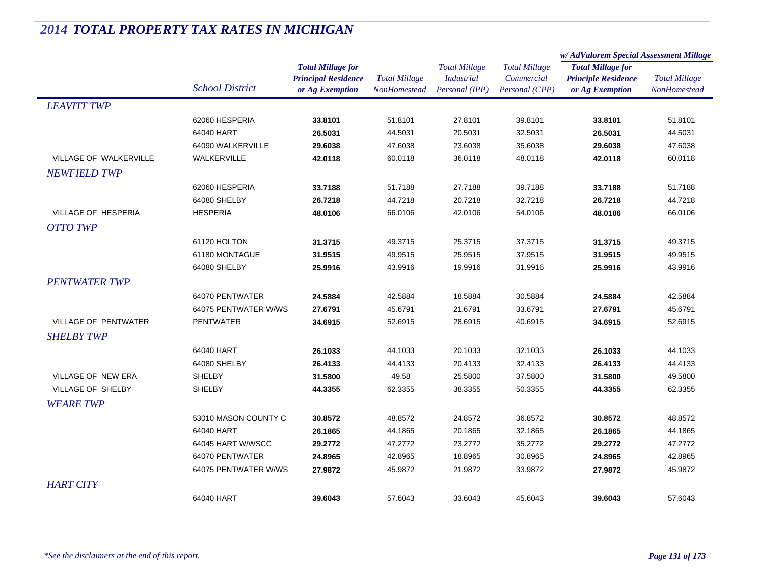|                             |                        |                            | <b>Total Millage</b><br><b>NonHomestead</b> | <b>Total Millage</b> | <b>Total Millage</b><br>Commercial | w/AdValorem Special Assessment Millage |                      |
|-----------------------------|------------------------|----------------------------|---------------------------------------------|----------------------|------------------------------------|----------------------------------------|----------------------|
|                             |                        | <b>Total Millage for</b>   |                                             |                      |                                    | <b>Total Millage for</b>               | <b>Total Millage</b> |
|                             |                        | <b>Principal Residence</b> |                                             | <b>Industrial</b>    |                                    | <b>Principle Residence</b>             |                      |
|                             | <b>School District</b> | or Ag Exemption            |                                             | Personal (IPP)       | Personal (CPP)                     | or Ag Exemption                        | <b>NonHomestead</b>  |
| <b>LEAVITT TWP</b>          |                        |                            |                                             |                      |                                    |                                        |                      |
|                             | 62060 HESPERIA         | 33.8101                    | 51.8101                                     | 27.8101              | 39.8101                            | 33.8101                                | 51.8101              |
|                             | 64040 HART             | 26.5031                    | 44.5031                                     | 20.5031              | 32.5031                            | 26.5031                                | 44.5031              |
|                             | 64090 WALKERVILLE      | 29.6038                    | 47.6038                                     | 23.6038              | 35.6038                            | 29.6038                                | 47.6038              |
| VILLAGE OF WALKERVILLE      | WALKERVILLE            | 42.0118                    | 60.0118                                     | 36.0118              | 48.0118                            | 42.0118                                | 60.0118              |
| <b>NEWFIELD TWP</b>         |                        |                            |                                             |                      |                                    |                                        |                      |
|                             | 62060 HESPERIA         | 33.7188                    | 51.7188                                     | 27.7188              | 39.7188                            | 33.7188                                | 51.7188              |
|                             | 64080 SHELBY           | 26.7218                    | 44.7218                                     | 20.7218              | 32.7218                            | 26.7218                                | 44.7218              |
| VILLAGE OF HESPERIA         | <b>HESPERIA</b>        | 48.0106                    | 66.0106                                     | 42.0106              | 54.0106                            | 48.0106                                | 66.0106              |
| <b>OTTO TWP</b>             |                        |                            |                                             |                      |                                    |                                        |                      |
|                             | 61120 HOLTON           | 31.3715                    | 49.3715                                     | 25.3715              | 37.3715                            | 31.3715                                | 49.3715              |
|                             | 61180 MONTAGUE         | 31.9515                    | 49.9515                                     | 25.9515              | 37.9515                            | 31.9515                                | 49.9515              |
|                             | 64080 SHELBY           | 25.9916                    | 43.9916                                     | 19.9916              | 31.9916                            | 25.9916                                | 43.9916              |
| <b>PENTWATER TWP</b>        |                        |                            |                                             |                      |                                    |                                        |                      |
|                             | 64070 PENTWATER        | 24.5884                    | 42.5884                                     | 18.5884              | 30.5884                            | 24.5884                                | 42.5884              |
|                             | 64075 PENTWATER W/WS   | 27.6791                    | 45.6791                                     | 21.6791              | 33.6791                            | 27.6791                                | 45.6791              |
| <b>VILLAGE OF PENTWATER</b> | <b>PENTWATER</b>       | 34.6915                    | 52.6915                                     | 28.6915              | 40.6915                            | 34.6915                                | 52.6915              |
| <b>SHELBY TWP</b>           |                        |                            |                                             |                      |                                    |                                        |                      |
|                             | 64040 HART             | 26.1033                    | 44.1033                                     | 20.1033              | 32.1033                            | 26.1033                                | 44.1033              |
|                             | 64080 SHELBY           | 26.4133                    | 44.4133                                     | 20.4133              | 32.4133                            | 26.4133                                | 44.4133              |
| VILLAGE OF NEW ERA          | <b>SHELBY</b>          | 31.5800                    | 49.58                                       | 25.5800              | 37.5800                            | 31.5800                                | 49.5800              |
| VILLAGE OF SHELBY           | <b>SHELBY</b>          | 44.3355                    | 62.3355                                     | 38.3355              | 50.3355                            | 44.3355                                | 62.3355              |
| <b>WEARE TWP</b>            |                        |                            |                                             |                      |                                    |                                        |                      |
|                             | 53010 MASON COUNTY C   | 30.8572                    | 48.8572                                     | 24.8572              | 36.8572                            | 30.8572                                | 48.8572              |
|                             | 64040 HART             | 26.1865                    | 44.1865                                     | 20.1865              | 32.1865                            | 26.1865                                | 44.1865              |
|                             | 64045 HART W/WSCC      | 29.2772                    | 47.2772                                     | 23.2772              | 35.2772                            | 29.2772                                | 47.2772              |
|                             | 64070 PENTWATER        | 24.8965                    | 42.8965                                     | 18.8965              | 30.8965                            | 24.8965                                | 42.8965              |
|                             | 64075 PENTWATER W/WS   | 27.9872                    | 45.9872                                     | 21.9872              | 33.9872                            | 27.9872                                | 45.9872              |
| <b>HART CITY</b>            |                        |                            |                                             |                      |                                    |                                        |                      |
|                             | 64040 HART             |                            |                                             |                      |                                    |                                        |                      |
|                             |                        | 39.6043                    | 57.6043                                     | 33.6043              | 45.6043                            | 39.6043                                | 57.6043              |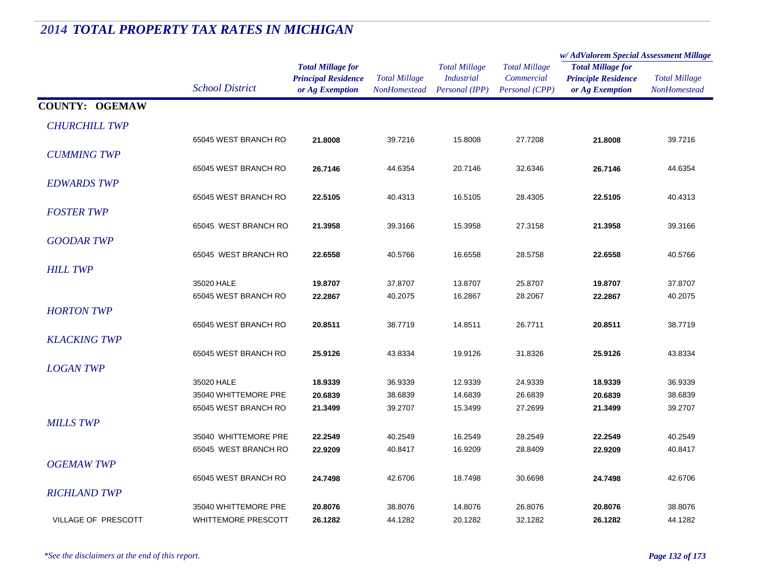#### *Total Millage for Principal Residence School District or Ag Exemption Total Millage NonHomesteadTotal Millage for Principle Residence or Ag Exemption Total Millage NonHomesteadw/ AdValorem Special Assessment Millage Total Millage CommercialPersonal (CPP) Total Millage IndustrialPersonal (IPP)* **COUNTY: OGEMAW***CHURCHILL TWP* $\overline{P}$ 65045 WEST BRANCH RO **21.8008** 39.7216 15.8008 27.7208 **21.8008** 39.7216 *CUMMING TWP* $\overline{P}$ 65045 WEST BRANCH RO **26.7146** 44.6354 20.7146 32.6346 **26.7146** 44.6354 *EDWARDS TWP* $\overline{P}$ 65045 WEST BRANCH RO **22.5105** 40.4313 16.5105 28.4305 **22.5105** 40.4313 *FOSTER TWP* $P$ 65045 WEST BRANCH RO **21.3958** 39.3166 15.3958 27.3158 **21.3958** 39.3166 *GOODAR TWP* $P$ 65045 WEST BRANCH RO **22.6558** 40.5766 16.6558 28.5758 **22.6558** 40.5766 *HILL TWP* $P$ 35020 HALE **19.8707** 37.8707 13.8707 25.8707 **19.8707** 37.8707 65045 WEST BRANCH RO **22.2867** 40.2075 16.2867 28.2067 **22.2867** 40.2075 *HORTON TWP* $\overline{P}$ 65045 WEST BRANCH RO **20.8511** 38.7719 14.8511 26.7711 **20.8511** 38.7719 *KLACKING TWP* $\overline{P}$ 65045 WEST BRANCH RO **25.9126** 43.8334 19.9126 31.8326 **25.9126** 43.8334 *LOGAN TWP* $\overline{P}$ 35020 HALE **18.9339** 36.9339 12.9339 24.9339 **18.9339** 36.9339 35040 WHITTEMORE PRE **20.6839** 38.6839 14.6839 26.6839 **20.6839** 38.6839 65045 WEST BRANCH RO **21.3499** 39.2707 15.3499 27.2699 **21.3499** 39.2707 *MILLS TWP* $\overline{P}$ 35040 WHITTEMORE PRE **22.2549** 40.2549 16.2549 28.2549 **22.2549** 40.2549 65045 WEST BRANCH RO **22.9209** 40.8417 16.9209 28.8409 **22.9209** 40.8417 *OGEMAW TWP* $\overline{P}$ 65045 WEST BRANCH RO **24.7498** 42.6706 18.7498 30.6698 **24.7498** 42.6706 *RICHLAND TWP* $\overline{P}$ 35040 WHITTEMORE PRE **20.8076** 38.8076 14.8076 26.8076 **20.8076** 38.8076 **VILLAGE OF PRESCOTT**  PRESCOTT WHITTEMORE PRESCOTT **26.1282**44.1282 20.1282 32.1282 **26.1282** 44.1282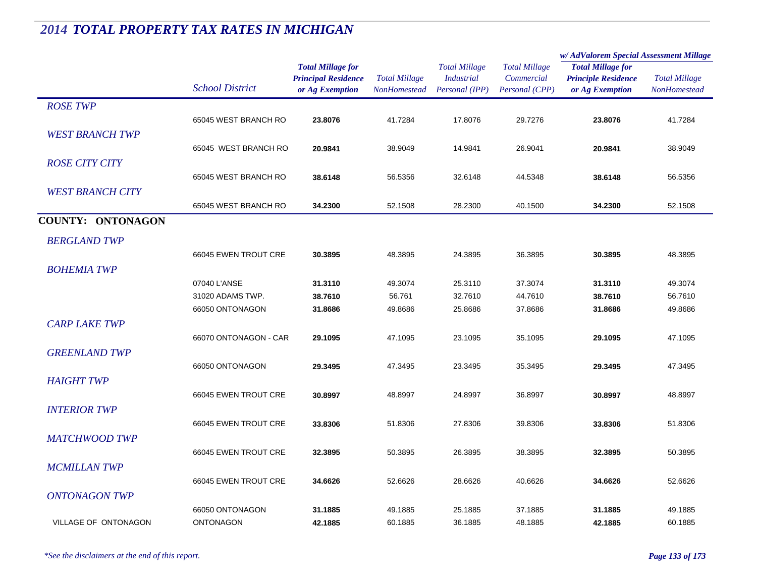|                          |                        | <b>Total Millage for</b>   | <b>Total Millage</b><br><b>NonHomestead</b> | <b>Total Millage</b><br><b>Industrial</b> | <b>Total Millage</b> | w/AdValorem Special Assessment Millage                                    |                      |
|--------------------------|------------------------|----------------------------|---------------------------------------------|-------------------------------------------|----------------------|---------------------------------------------------------------------------|----------------------|
|                          |                        |                            |                                             |                                           |                      | <b>Total Millage for</b><br><b>Principle Residence</b><br>or Ag Exemption | <b>Total Millage</b> |
|                          |                        | <b>Principal Residence</b> |                                             |                                           | Commercial           |                                                                           |                      |
|                          | <b>School District</b> | or Ag Exemption            |                                             | Personal (IPP)                            | Personal (CPP)       |                                                                           | NonHomestead         |
| <b>ROSE TWP</b>          |                        |                            |                                             |                                           |                      |                                                                           |                      |
|                          | 65045 WEST BRANCH RO   | 23.8076                    | 41.7284                                     | 17.8076                                   | 29.7276              | 23.8076                                                                   | 41.7284              |
| <b>WEST BRANCH TWP</b>   |                        |                            |                                             |                                           |                      |                                                                           |                      |
|                          |                        |                            |                                             |                                           |                      |                                                                           |                      |
|                          | 65045 WEST BRANCH RO   | 20.9841                    | 38.9049                                     | 14.9841                                   | 26.9041              | 20.9841                                                                   | 38.9049              |
| <b>ROSE CITY CITY</b>    |                        |                            |                                             |                                           |                      |                                                                           |                      |
|                          | 65045 WEST BRANCH RO   | 38.6148                    | 56.5356                                     | 32.6148                                   | 44.5348              | 38.6148                                                                   | 56.5356              |
| <b>WEST BRANCH CITY</b>  |                        |                            |                                             |                                           |                      |                                                                           |                      |
|                          | 65045 WEST BRANCH RO   | 34.2300                    | 52.1508                                     | 28.2300                                   | 40.1500              | 34.2300                                                                   | 52.1508              |
| <b>COUNTY: ONTONAGON</b> |                        |                            |                                             |                                           |                      |                                                                           |                      |
|                          |                        |                            |                                             |                                           |                      |                                                                           |                      |
| <b>BERGLAND TWP</b>      |                        |                            |                                             |                                           |                      |                                                                           |                      |
|                          | 66045 EWEN TROUT CRE   | 30.3895                    | 48.3895                                     | 24.3895                                   | 36.3895              | 30.3895                                                                   | 48.3895              |
| <b>BOHEMIA TWP</b>       |                        |                            |                                             |                                           |                      |                                                                           |                      |
|                          | 07040 L'ANSE           | 31.3110                    | 49.3074                                     | 25.3110                                   | 37.3074              | 31.3110                                                                   | 49.3074              |
|                          | 31020 ADAMS TWP.       | 38.7610                    | 56.761                                      | 32.7610                                   | 44.7610              | 38.7610                                                                   | 56.7610              |
|                          | 66050 ONTONAGON        | 31.8686                    | 49.8686                                     | 25.8686                                   | 37.8686              | 31.8686                                                                   | 49.8686              |
| <b>CARP LAKE TWP</b>     |                        |                            |                                             |                                           |                      |                                                                           |                      |
|                          |                        |                            |                                             |                                           |                      |                                                                           |                      |
|                          | 66070 ONTONAGON - CAR  | 29.1095                    | 47.1095                                     | 23.1095                                   | 35.1095              | 29.1095                                                                   | 47.1095              |
| <b>GREENLAND TWP</b>     |                        |                            |                                             |                                           |                      |                                                                           |                      |
|                          | 66050 ONTONAGON        | 29.3495                    | 47.3495                                     | 23.3495                                   | 35.3495              | 29.3495                                                                   | 47.3495              |
| <b>HAIGHT TWP</b>        |                        |                            |                                             |                                           |                      |                                                                           |                      |
|                          | 66045 EWEN TROUT CRE   | 30.8997                    | 48.8997                                     | 24.8997                                   | 36.8997              | 30.8997                                                                   | 48.8997              |
| <b>INTERIOR TWP</b>      |                        |                            |                                             |                                           |                      |                                                                           |                      |
|                          | 66045 EWEN TROUT CRE   | 33.8306                    | 51.8306                                     | 27.8306                                   | 39.8306              | 33.8306                                                                   | 51.8306              |
|                          |                        |                            |                                             |                                           |                      |                                                                           |                      |
| <b>MATCHWOOD TWP</b>     |                        |                            |                                             |                                           |                      |                                                                           |                      |
|                          | 66045 EWEN TROUT CRE   | 32.3895                    | 50.3895                                     | 26.3895                                   | 38.3895              | 32.3895                                                                   | 50.3895              |
| <b>MCMILLAN TWP</b>      |                        |                            |                                             |                                           |                      |                                                                           |                      |
|                          | 66045 EWEN TROUT CRE   | 34.6626                    | 52.6626                                     | 28.6626                                   | 40.6626              | 34.6626                                                                   | 52.6626              |
| <b>ONTONAGON TWP</b>     |                        |                            |                                             |                                           |                      |                                                                           |                      |
|                          | 66050 ONTONAGON        | 31.1885                    | 49.1885                                     | 25.1885                                   | 37.1885              | 31.1885                                                                   | 49.1885              |
| VILLAGE OF ONTONAGON     | <b>ONTONAGON</b>       | 42.1885                    | 60.1885                                     | 36.1885                                   | 48.1885              | 42.1885                                                                   | 60.1885              |
|                          |                        |                            |                                             |                                           |                      |                                                                           |                      |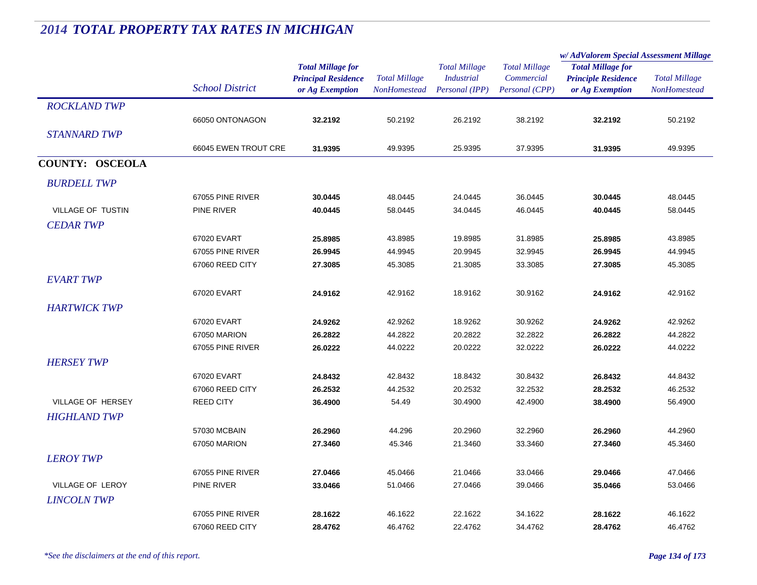|                         |                        |                                                                           |                                      |                                                             |                                                      | w/ AdValorem Special Assessment Millage                                   |                                      |
|-------------------------|------------------------|---------------------------------------------------------------------------|--------------------------------------|-------------------------------------------------------------|------------------------------------------------------|---------------------------------------------------------------------------|--------------------------------------|
|                         | <b>School District</b> | <b>Total Millage for</b><br><b>Principal Residence</b><br>or Ag Exemption | <b>Total Millage</b><br>NonHomestead | <b>Total Millage</b><br><b>Industrial</b><br>Personal (IPP) | <b>Total Millage</b><br>Commercial<br>Personal (CPP) | <b>Total Millage for</b><br><b>Principle Residence</b><br>or Ag Exemption | <b>Total Millage</b><br>NonHomestead |
| <b>ROCKLAND TWP</b>     |                        |                                                                           |                                      |                                                             |                                                      |                                                                           |                                      |
|                         | 66050 ONTONAGON        | 32.2192                                                                   | 50.2192                              | 26.2192                                                     | 38.2192                                              | 32.2192                                                                   | 50.2192                              |
| <b>STANNARD TWP</b>     |                        |                                                                           |                                      |                                                             |                                                      |                                                                           |                                      |
|                         | 66045 EWEN TROUT CRE   | 31.9395                                                                   | 49.9395                              | 25.9395                                                     | 37.9395                                              | 31.9395                                                                   | 49.9395                              |
| <b>COUNTY: OSCEOLA</b>  |                        |                                                                           |                                      |                                                             |                                                      |                                                                           |                                      |
| <b>BURDELL TWP</b>      |                        |                                                                           |                                      |                                                             |                                                      |                                                                           |                                      |
|                         | 67055 PINE RIVER       | 30.0445                                                                   | 48.0445                              | 24.0445                                                     | 36.0445                                              | 30.0445                                                                   | 48.0445                              |
| VILLAGE OF TUSTIN       | <b>PINE RIVER</b>      | 40.0445                                                                   | 58.0445                              | 34.0445                                                     | 46.0445                                              | 40.0445                                                                   | 58.0445                              |
| <b>CEDAR TWP</b>        |                        |                                                                           |                                      |                                                             |                                                      |                                                                           |                                      |
|                         | 67020 EVART            | 25.8985                                                                   | 43.8985                              | 19.8985                                                     | 31.8985                                              | 25.8985                                                                   | 43.8985                              |
|                         | 67055 PINE RIVER       | 26.9945                                                                   | 44.9945                              | 20.9945                                                     | 32.9945                                              | 26.9945                                                                   | 44.9945                              |
|                         | 67060 REED CITY        | 27.3085                                                                   | 45.3085                              | 21.3085                                                     | 33.3085                                              | 27.3085                                                                   | 45.3085                              |
| <b>EVART TWP</b>        |                        |                                                                           |                                      |                                                             |                                                      |                                                                           |                                      |
|                         | 67020 EVART            | 24.9162                                                                   | 42.9162                              | 18.9162                                                     | 30.9162                                              | 24.9162                                                                   | 42.9162                              |
| <b>HARTWICK TWP</b>     |                        |                                                                           |                                      |                                                             |                                                      |                                                                           |                                      |
|                         | 67020 EVART            | 24.9262                                                                   | 42.9262                              | 18.9262                                                     | 30.9262                                              | 24.9262                                                                   | 42.9262                              |
|                         | 67050 MARION           | 26.2822                                                                   | 44.2822                              | 20.2822                                                     | 32.2822                                              | 26.2822                                                                   | 44.2822                              |
|                         | 67055 PINE RIVER       | 26.0222                                                                   | 44.0222                              | 20.0222                                                     | 32.0222                                              | 26.0222                                                                   | 44.0222                              |
| <b>HERSEY TWP</b>       |                        |                                                                           |                                      |                                                             |                                                      |                                                                           |                                      |
|                         | 67020 EVART            | 24.8432                                                                   | 42.8432                              | 18.8432                                                     | 30.8432                                              | 26.8432                                                                   | 44.8432                              |
|                         | 67060 REED CITY        | 26.2532                                                                   | 44.2532                              | 20.2532                                                     | 32.2532                                              | 28.2532                                                                   | 46.2532                              |
| VILLAGE OF HERSEY       | <b>REED CITY</b>       | 36.4900                                                                   | 54.49                                | 30.4900                                                     | 42.4900                                              | 38.4900                                                                   | 56.4900                              |
| <b>HIGHLAND TWP</b>     |                        |                                                                           |                                      |                                                             |                                                      |                                                                           |                                      |
|                         | 57030 MCBAIN           | 26.2960                                                                   | 44.296                               | 20.2960                                                     | 32.2960                                              | 26.2960                                                                   | 44.2960                              |
|                         | 67050 MARION           | 27.3460                                                                   | 45.346                               | 21.3460                                                     | 33.3460                                              | 27.3460                                                                   | 45.3460                              |
| <b>LEROY TWP</b>        |                        |                                                                           |                                      |                                                             |                                                      |                                                                           |                                      |
|                         | 67055 PINE RIVER       | 27.0466                                                                   | 45.0466                              | 21.0466                                                     | 33.0466                                              | 29.0466                                                                   | 47.0466                              |
| <b>VILLAGE OF LEROY</b> | <b>PINE RIVER</b>      | 33.0466                                                                   | 51.0466                              | 27.0466                                                     | 39.0466                                              | 35.0466                                                                   | 53.0466                              |
| <b>LINCOLN TWP</b>      |                        |                                                                           |                                      |                                                             |                                                      |                                                                           |                                      |
|                         | 67055 PINE RIVER       | 28.1622                                                                   | 46.1622                              | 22.1622                                                     | 34.1622                                              | 28.1622                                                                   | 46.1622                              |
|                         | 67060 REED CITY        | 28.4762                                                                   | 46.4762                              | 22.4762                                                     | 34.4762                                              | 28.4762                                                                   | 46.4762                              |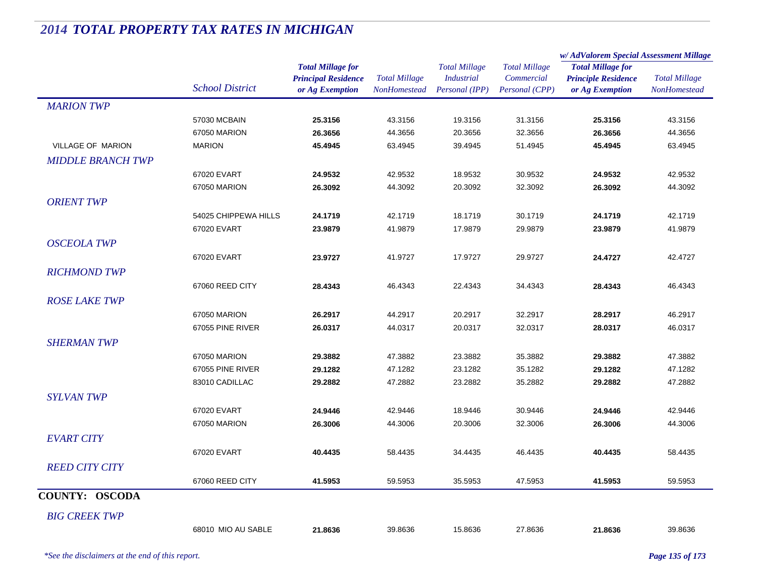|                          |                        |                                                                           |                                             |                                                             |                                                      | w/AdValorem Special Assessment Millage                                    |                                             |  |
|--------------------------|------------------------|---------------------------------------------------------------------------|---------------------------------------------|-------------------------------------------------------------|------------------------------------------------------|---------------------------------------------------------------------------|---------------------------------------------|--|
|                          | <b>School District</b> | <b>Total Millage for</b><br><b>Principal Residence</b><br>or Ag Exemption | <b>Total Millage</b><br><b>NonHomestead</b> | <b>Total Millage</b><br><b>Industrial</b><br>Personal (IPP) | <b>Total Millage</b><br>Commercial<br>Personal (CPP) | <b>Total Millage for</b><br><b>Principle Residence</b><br>or Ag Exemption | <b>Total Millage</b><br><b>NonHomestead</b> |  |
| <b>MARION TWP</b>        |                        |                                                                           |                                             |                                                             |                                                      |                                                                           |                                             |  |
|                          | 57030 MCBAIN           | 25.3156                                                                   | 43.3156                                     | 19.3156                                                     | 31.3156                                              | 25.3156                                                                   | 43.3156                                     |  |
|                          | 67050 MARION           | 26.3656                                                                   | 44.3656                                     | 20.3656                                                     | 32.3656                                              | 26.3656                                                                   | 44.3656                                     |  |
| VILLAGE OF MARION        | <b>MARION</b>          | 45.4945                                                                   | 63.4945                                     | 39.4945                                                     | 51.4945                                              | 45.4945                                                                   | 63.4945                                     |  |
| <b>MIDDLE BRANCH TWP</b> |                        |                                                                           |                                             |                                                             |                                                      |                                                                           |                                             |  |
|                          | 67020 EVART            | 24.9532                                                                   | 42.9532                                     | 18.9532                                                     | 30.9532                                              | 24.9532                                                                   | 42.9532                                     |  |
|                          | 67050 MARION           | 26.3092                                                                   | 44.3092                                     | 20.3092                                                     | 32.3092                                              | 26.3092                                                                   | 44.3092                                     |  |
| <b>ORIENT TWP</b>        |                        |                                                                           |                                             |                                                             |                                                      |                                                                           |                                             |  |
|                          | 54025 CHIPPEWA HILLS   | 24.1719                                                                   | 42.1719                                     | 18.1719                                                     | 30.1719                                              | 24.1719                                                                   | 42.1719                                     |  |
|                          | 67020 EVART            | 23.9879                                                                   | 41.9879                                     | 17.9879                                                     | 29.9879                                              | 23.9879                                                                   | 41.9879                                     |  |
| <b>OSCEOLA TWP</b>       |                        |                                                                           |                                             |                                                             |                                                      |                                                                           |                                             |  |
|                          | 67020 EVART            | 23.9727                                                                   | 41.9727                                     | 17.9727                                                     | 29.9727                                              | 24.4727                                                                   | 42.4727                                     |  |
| <b>RICHMOND TWP</b>      |                        |                                                                           |                                             |                                                             |                                                      |                                                                           |                                             |  |
|                          | 67060 REED CITY        | 28.4343                                                                   | 46.4343                                     | 22.4343                                                     | 34.4343                                              | 28.4343                                                                   | 46.4343                                     |  |
| <b>ROSE LAKE TWP</b>     |                        |                                                                           |                                             |                                                             |                                                      |                                                                           |                                             |  |
|                          | 67050 MARION           | 26.2917                                                                   | 44.2917                                     | 20.2917                                                     | 32.2917                                              | 28.2917                                                                   | 46.2917                                     |  |
|                          | 67055 PINE RIVER       | 26.0317                                                                   | 44.0317                                     | 20.0317                                                     | 32.0317                                              | 28.0317                                                                   | 46.0317                                     |  |
| <b>SHERMAN TWP</b>       |                        |                                                                           |                                             |                                                             |                                                      |                                                                           |                                             |  |
|                          | 67050 MARION           | 29.3882                                                                   | 47.3882                                     | 23.3882                                                     | 35.3882                                              | 29.3882                                                                   | 47.3882                                     |  |
|                          | 67055 PINE RIVER       | 29.1282                                                                   | 47.1282                                     | 23.1282                                                     | 35.1282                                              | 29.1282                                                                   | 47.1282                                     |  |
|                          | 83010 CADILLAC         | 29.2882                                                                   | 47.2882                                     | 23.2882                                                     | 35.2882                                              | 29.2882                                                                   | 47.2882                                     |  |
| <b>SYLVAN TWP</b>        |                        |                                                                           |                                             |                                                             |                                                      |                                                                           |                                             |  |
|                          | 67020 EVART            | 24.9446                                                                   | 42.9446                                     | 18.9446                                                     | 30.9446                                              | 24.9446                                                                   | 42.9446                                     |  |
|                          | 67050 MARION           | 26.3006                                                                   | 44.3006                                     | 20.3006                                                     | 32.3006                                              | 26.3006                                                                   | 44.3006                                     |  |
| <b>EVART CITY</b>        |                        |                                                                           |                                             |                                                             |                                                      |                                                                           |                                             |  |
|                          | 67020 EVART            | 40.4435                                                                   | 58.4435                                     | 34.4435                                                     | 46.4435                                              | 40.4435                                                                   | 58.4435                                     |  |
| <b>REED CITY CITY</b>    |                        |                                                                           |                                             |                                                             |                                                      |                                                                           |                                             |  |
|                          | 67060 REED CITY        | 41.5953                                                                   | 59.5953                                     | 35.5953                                                     | 47.5953                                              | 41.5953                                                                   | 59.5953                                     |  |
| <b>COUNTY: OSCODA</b>    |                        |                                                                           |                                             |                                                             |                                                      |                                                                           |                                             |  |
|                          |                        |                                                                           |                                             |                                                             |                                                      |                                                                           |                                             |  |
| <b>BIG CREEK TWP</b>     |                        |                                                                           |                                             |                                                             |                                                      |                                                                           |                                             |  |
|                          | 68010 MIO AU SABLE     | 21.8636                                                                   | 39.8636                                     | 15.8636                                                     | 27.8636                                              | 21.8636                                                                   | 39.8636                                     |  |
|                          |                        |                                                                           |                                             |                                                             |                                                      |                                                                           |                                             |  |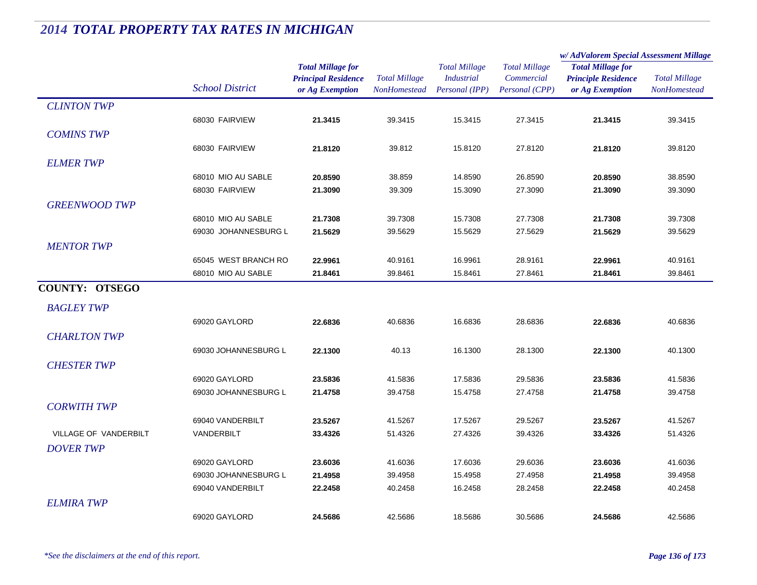|                       |                        |                                                                           |                                             |                                                             |                                                      | w/AdValorem Special Assessment Millage                                    |                                      |
|-----------------------|------------------------|---------------------------------------------------------------------------|---------------------------------------------|-------------------------------------------------------------|------------------------------------------------------|---------------------------------------------------------------------------|--------------------------------------|
|                       | <b>School District</b> | <b>Total Millage for</b><br><b>Principal Residence</b><br>or Ag Exemption | <b>Total Millage</b><br><b>NonHomestead</b> | <b>Total Millage</b><br><b>Industrial</b><br>Personal (IPP) | <b>Total Millage</b><br>Commercial<br>Personal (CPP) | <b>Total Millage for</b><br><b>Principle Residence</b><br>or Ag Exemption | <b>Total Millage</b><br>NonHomestead |
| <b>CLINTON TWP</b>    |                        |                                                                           |                                             |                                                             |                                                      |                                                                           |                                      |
|                       | 68030 FAIRVIEW         | 21.3415                                                                   | 39.3415                                     | 15.3415                                                     | 27.3415                                              | 21.3415                                                                   | 39.3415                              |
| <b>COMINS TWP</b>     |                        |                                                                           |                                             |                                                             |                                                      |                                                                           |                                      |
|                       | 68030 FAIRVIEW         | 21.8120                                                                   | 39.812                                      | 15.8120                                                     | 27.8120                                              | 21.8120                                                                   | 39.8120                              |
| <b>ELMER TWP</b>      |                        |                                                                           |                                             |                                                             |                                                      |                                                                           |                                      |
|                       | 68010 MIO AU SABLE     | 20.8590                                                                   | 38.859                                      | 14.8590                                                     | 26.8590                                              | 20.8590                                                                   | 38.8590                              |
|                       | 68030 FAIRVIEW         | 21.3090                                                                   | 39.309                                      | 15.3090                                                     | 27.3090                                              | 21.3090                                                                   | 39.3090                              |
| <b>GREENWOOD TWP</b>  |                        |                                                                           |                                             |                                                             |                                                      |                                                                           |                                      |
|                       | 68010 MIO AU SABLE     | 21.7308                                                                   | 39.7308                                     | 15.7308                                                     | 27.7308                                              | 21.7308                                                                   | 39.7308                              |
|                       | 69030 JOHANNESBURG L   | 21.5629                                                                   | 39.5629                                     | 15.5629                                                     | 27.5629                                              | 21.5629                                                                   | 39.5629                              |
| <b>MENTOR TWP</b>     |                        |                                                                           |                                             |                                                             |                                                      |                                                                           |                                      |
|                       | 65045 WEST BRANCH RO   | 22.9961                                                                   | 40.9161                                     | 16.9961                                                     | 28.9161                                              | 22.9961                                                                   | 40.9161                              |
|                       | 68010 MIO AU SABLE     | 21.8461                                                                   | 39.8461                                     | 15.8461                                                     | 27.8461                                              | 21.8461                                                                   | 39.8461                              |
| <b>COUNTY: OTSEGO</b> |                        |                                                                           |                                             |                                                             |                                                      |                                                                           |                                      |
| <b>BAGLEY TWP</b>     |                        |                                                                           |                                             |                                                             |                                                      |                                                                           |                                      |
|                       | 69020 GAYLORD          | 22.6836                                                                   | 40.6836                                     | 16.6836                                                     | 28.6836                                              | 22.6836                                                                   | 40.6836                              |
| <b>CHARLTON TWP</b>   |                        |                                                                           |                                             |                                                             |                                                      |                                                                           |                                      |
|                       | 69030 JOHANNESBURG L   | 22.1300                                                                   | 40.13                                       | 16.1300                                                     | 28.1300                                              | 22.1300                                                                   | 40.1300                              |
| <b>CHESTER TWP</b>    |                        |                                                                           |                                             |                                                             |                                                      |                                                                           |                                      |
|                       | 69020 GAYLORD          | 23.5836                                                                   | 41.5836                                     | 17.5836                                                     | 29.5836                                              | 23.5836                                                                   | 41.5836                              |
|                       | 69030 JOHANNESBURG L   | 21.4758                                                                   | 39.4758                                     | 15.4758                                                     | 27.4758                                              | 21.4758                                                                   | 39.4758                              |
| <b>CORWITH TWP</b>    |                        |                                                                           |                                             |                                                             |                                                      |                                                                           |                                      |
|                       | 69040 VANDERBILT       | 23.5267                                                                   | 41.5267                                     | 17.5267                                                     | 29.5267                                              | 23.5267                                                                   | 41.5267                              |
| VILLAGE OF VANDERBILT | VANDERBILT             | 33.4326                                                                   | 51.4326                                     | 27.4326                                                     | 39.4326                                              | 33.4326                                                                   | 51.4326                              |
| <b>DOVER TWP</b>      |                        |                                                                           |                                             |                                                             |                                                      |                                                                           |                                      |
|                       | 69020 GAYLORD          | 23.6036                                                                   | 41.6036                                     | 17.6036                                                     | 29.6036                                              | 23.6036                                                                   | 41.6036                              |
|                       | 69030 JOHANNESBURG L   | 21.4958                                                                   | 39.4958                                     | 15.4958                                                     | 27.4958                                              | 21.4958                                                                   | 39.4958                              |
|                       | 69040 VANDERBILT       | 22.2458                                                                   | 40.2458                                     | 16.2458                                                     | 28.2458                                              | 22.2458                                                                   | 40.2458                              |
| <b>ELMIRA TWP</b>     |                        |                                                                           |                                             |                                                             |                                                      |                                                                           |                                      |
|                       | 69020 GAYLORD          | 24.5686                                                                   | 42.5686                                     | 18.5686                                                     | 30.5686                                              | 24.5686                                                                   | 42.5686                              |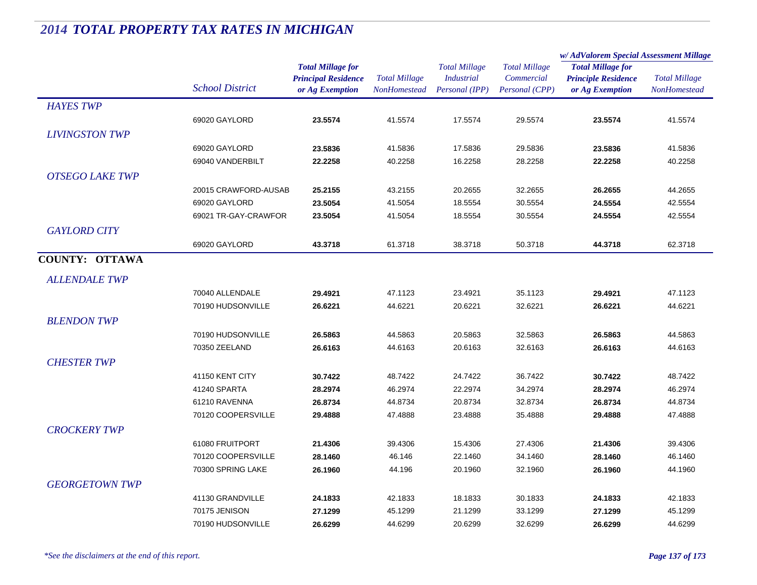|                        | <b>School District</b> |                                                                           |                                             |                                                             |                                                      | w/AdValorem Special Assessment Millage                                    |                                             |
|------------------------|------------------------|---------------------------------------------------------------------------|---------------------------------------------|-------------------------------------------------------------|------------------------------------------------------|---------------------------------------------------------------------------|---------------------------------------------|
|                        |                        | <b>Total Millage for</b><br><b>Principal Residence</b><br>or Ag Exemption | <b>Total Millage</b><br><b>NonHomestead</b> | <b>Total Millage</b><br><b>Industrial</b><br>Personal (IPP) | <b>Total Millage</b><br>Commercial<br>Personal (CPP) | <b>Total Millage for</b><br><b>Principle Residence</b><br>or Ag Exemption | <b>Total Millage</b><br><b>NonHomestead</b> |
| <b>HAYES TWP</b>       |                        |                                                                           |                                             |                                                             |                                                      |                                                                           |                                             |
|                        | 69020 GAYLORD          | 23.5574                                                                   | 41.5574                                     | 17.5574                                                     | 29.5574                                              | 23.5574                                                                   | 41.5574                                     |
| <b>LIVINGSTON TWP</b>  |                        |                                                                           |                                             |                                                             |                                                      |                                                                           |                                             |
|                        | 69020 GAYLORD          | 23.5836                                                                   | 41.5836                                     | 17.5836                                                     | 29.5836                                              | 23.5836                                                                   | 41.5836                                     |
|                        | 69040 VANDERBILT       | 22.2258                                                                   | 40.2258                                     | 16.2258                                                     | 28.2258                                              | 22.2258                                                                   | 40.2258                                     |
|                        |                        |                                                                           |                                             |                                                             |                                                      |                                                                           |                                             |
| <b>OTSEGO LAKE TWP</b> |                        |                                                                           |                                             |                                                             |                                                      |                                                                           |                                             |
|                        | 20015 CRAWFORD-AUSAB   | 25.2155                                                                   | 43.2155                                     | 20.2655                                                     | 32.2655                                              | 26.2655                                                                   | 44.2655                                     |
|                        | 69020 GAYLORD          | 23.5054                                                                   | 41.5054                                     | 18.5554                                                     | 30.5554                                              | 24.5554                                                                   | 42.5554                                     |
|                        | 69021 TR-GAY-CRAWFOR   | 23.5054                                                                   | 41.5054                                     | 18.5554                                                     | 30.5554                                              | 24.5554                                                                   | 42.5554                                     |
| <b>GAYLORD CITY</b>    |                        |                                                                           |                                             |                                                             |                                                      |                                                                           |                                             |
|                        | 69020 GAYLORD          | 43.3718                                                                   | 61.3718                                     | 38.3718                                                     | 50.3718                                              | 44.3718                                                                   | 62.3718                                     |
| <b>COUNTY: OTTAWA</b>  |                        |                                                                           |                                             |                                                             |                                                      |                                                                           |                                             |
| <b>ALLENDALE TWP</b>   |                        |                                                                           |                                             |                                                             |                                                      |                                                                           |                                             |
|                        | 70040 ALLENDALE        | 29.4921                                                                   | 47.1123                                     | 23.4921                                                     | 35.1123                                              | 29.4921                                                                   | 47.1123                                     |
|                        | 70190 HUDSONVILLE      | 26.6221                                                                   | 44.6221                                     | 20.6221                                                     | 32.6221                                              | 26.6221                                                                   | 44.6221                                     |
| <b>BLENDON TWP</b>     |                        |                                                                           |                                             |                                                             |                                                      |                                                                           |                                             |
|                        | 70190 HUDSONVILLE      | 26.5863                                                                   | 44.5863                                     | 20.5863                                                     | 32.5863                                              | 26.5863                                                                   | 44.5863                                     |
|                        | 70350 ZEELAND          | 26.6163                                                                   | 44.6163                                     | 20.6163                                                     | 32.6163                                              | 26.6163                                                                   | 44.6163                                     |
| <b>CHESTER TWP</b>     |                        |                                                                           |                                             |                                                             |                                                      |                                                                           |                                             |
|                        |                        |                                                                           |                                             |                                                             |                                                      |                                                                           |                                             |
|                        | 41150 KENT CITY        | 30.7422                                                                   | 48.7422                                     | 24.7422                                                     | 36.7422                                              | 30.7422                                                                   | 48.7422                                     |
|                        | 41240 SPARTA           | 28.2974                                                                   | 46.2974                                     | 22.2974                                                     | 34.2974                                              | 28.2974                                                                   | 46.2974                                     |
|                        | 61210 RAVENNA          | 26.8734                                                                   | 44.8734                                     | 20.8734                                                     | 32.8734                                              | 26.8734                                                                   | 44.8734                                     |
|                        | 70120 COOPERSVILLE     | 29.4888                                                                   | 47.4888                                     | 23.4888                                                     | 35.4888                                              | 29.4888                                                                   | 47.4888                                     |
| <b>CROCKERY TWP</b>    |                        |                                                                           |                                             |                                                             |                                                      |                                                                           |                                             |
|                        | 61080 FRUITPORT        | 21.4306                                                                   | 39.4306                                     | 15.4306                                                     | 27.4306                                              | 21.4306                                                                   | 39.4306                                     |
|                        | 70120 COOPERSVILLE     | 28.1460                                                                   | 46.146                                      | 22.1460                                                     | 34.1460                                              | 28.1460                                                                   | 46.1460                                     |
|                        | 70300 SPRING LAKE      | 26.1960                                                                   | 44.196                                      | 20.1960                                                     | 32.1960                                              | 26.1960                                                                   | 44.1960                                     |
| <b>GEORGETOWN TWP</b>  |                        |                                                                           |                                             |                                                             |                                                      |                                                                           |                                             |
|                        | 41130 GRANDVILLE       | 24.1833                                                                   | 42.1833                                     | 18.1833                                                     | 30.1833                                              | 24.1833                                                                   | 42.1833                                     |
|                        | 70175 JENISON          | 27.1299                                                                   | 45.1299                                     | 21.1299                                                     | 33.1299                                              | 27.1299                                                                   | 45.1299                                     |
|                        | 70190 HUDSONVILLE      | 26.6299                                                                   | 44.6299                                     | 20.6299                                                     | 32.6299                                              | 26.6299                                                                   | 44.6299                                     |
|                        |                        |                                                                           |                                             |                                                             |                                                      |                                                                           |                                             |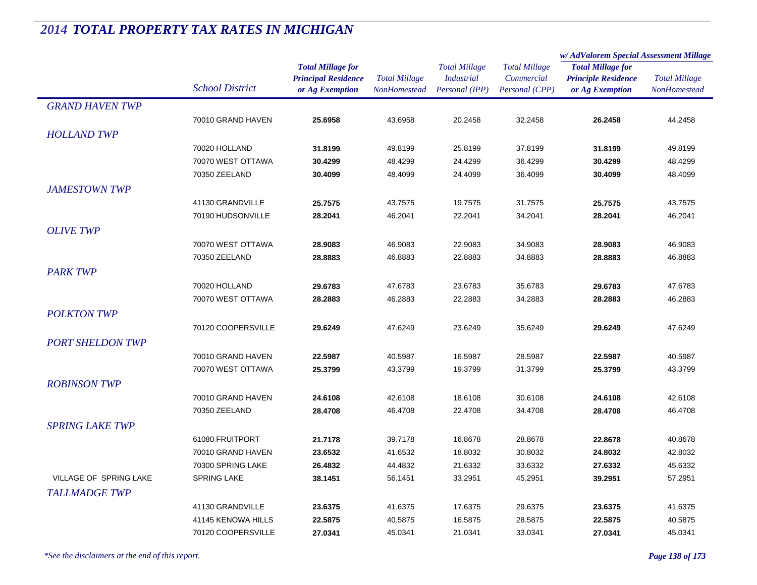|                               |                        |                                                                           |                                      |                                                             |                                                      | w/AdValorem Special Assessment Millage                                    |                                      |
|-------------------------------|------------------------|---------------------------------------------------------------------------|--------------------------------------|-------------------------------------------------------------|------------------------------------------------------|---------------------------------------------------------------------------|--------------------------------------|
|                               | <b>School District</b> | <b>Total Millage for</b><br><b>Principal Residence</b><br>or Ag Exemption | <b>Total Millage</b><br>NonHomestead | <b>Total Millage</b><br><b>Industrial</b><br>Personal (IPP) | <b>Total Millage</b><br>Commercial<br>Personal (CPP) | <b>Total Millage for</b><br><b>Principle Residence</b><br>or Ag Exemption | <b>Total Millage</b><br>NonHomestead |
| <b>GRAND HAVEN TWP</b>        |                        |                                                                           |                                      |                                                             |                                                      |                                                                           |                                      |
|                               | 70010 GRAND HAVEN      | 25.6958                                                                   | 43.6958                              | 20.2458                                                     | 32.2458                                              | 26.2458                                                                   | 44.2458                              |
| <b>HOLLAND TWP</b>            |                        |                                                                           |                                      |                                                             |                                                      |                                                                           |                                      |
|                               | 70020 HOLLAND          | 31.8199                                                                   | 49.8199                              | 25.8199                                                     | 37.8199                                              | 31.8199                                                                   | 49.8199                              |
|                               | 70070 WEST OTTAWA      | 30.4299                                                                   | 48.4299                              | 24.4299                                                     | 36.4299                                              | 30.4299                                                                   | 48.4299                              |
|                               | 70350 ZEELAND          | 30.4099                                                                   | 48.4099                              | 24.4099                                                     | 36.4099                                              | 30.4099                                                                   | 48.4099                              |
| <b>JAMESTOWN TWP</b>          |                        |                                                                           |                                      |                                                             |                                                      |                                                                           |                                      |
|                               | 41130 GRANDVILLE       | 25.7575                                                                   | 43.7575                              | 19.7575                                                     | 31.7575                                              | 25.7575                                                                   | 43.7575                              |
|                               | 70190 HUDSONVILLE      | 28.2041                                                                   | 46.2041                              | 22.2041                                                     | 34.2041                                              | 28.2041                                                                   | 46.2041                              |
| <b>OLIVE TWP</b>              |                        |                                                                           |                                      |                                                             |                                                      |                                                                           |                                      |
|                               | 70070 WEST OTTAWA      | 28.9083                                                                   | 46.9083                              | 22.9083                                                     | 34.9083                                              | 28.9083                                                                   | 46.9083                              |
|                               | 70350 ZEELAND          | 28.8883                                                                   | 46.8883                              | 22.8883                                                     | 34.8883                                              | 28.8883                                                                   | 46.8883                              |
| <b>PARK TWP</b>               |                        |                                                                           |                                      |                                                             |                                                      |                                                                           |                                      |
|                               | 70020 HOLLAND          | 29.6783                                                                   | 47.6783                              | 23.6783                                                     | 35.6783                                              | 29.6783                                                                   | 47.6783                              |
|                               | 70070 WEST OTTAWA      | 28.2883                                                                   | 46.2883                              | 22.2883                                                     | 34.2883                                              | 28.2883                                                                   | 46.2883                              |
| <b>POLKTON TWP</b>            |                        |                                                                           |                                      |                                                             |                                                      |                                                                           |                                      |
|                               | 70120 COOPERSVILLE     | 29.6249                                                                   | 47.6249                              | 23.6249                                                     | 35.6249                                              | 29.6249                                                                   | 47.6249                              |
|                               |                        |                                                                           |                                      |                                                             |                                                      |                                                                           |                                      |
| <b>PORT SHELDON TWP</b>       |                        |                                                                           |                                      |                                                             |                                                      |                                                                           |                                      |
|                               | 70010 GRAND HAVEN      | 22.5987                                                                   | 40.5987                              | 16.5987                                                     | 28.5987                                              | 22.5987                                                                   | 40.5987                              |
|                               | 70070 WEST OTTAWA      | 25.3799                                                                   | 43.3799                              | 19.3799                                                     | 31.3799                                              | 25.3799                                                                   | 43.3799                              |
| <b>ROBINSON TWP</b>           |                        |                                                                           |                                      |                                                             |                                                      |                                                                           |                                      |
|                               | 70010 GRAND HAVEN      | 24.6108                                                                   | 42.6108                              | 18.6108                                                     | 30.6108                                              | 24.6108                                                                   | 42.6108                              |
|                               | 70350 ZEELAND          | 28.4708                                                                   | 46.4708                              | 22.4708                                                     | 34.4708                                              | 28.4708                                                                   | 46.4708                              |
| <b>SPRING LAKE TWP</b>        |                        |                                                                           |                                      |                                                             |                                                      |                                                                           |                                      |
|                               | 61080 FRUITPORT        | 21.7178                                                                   | 39.7178                              | 16.8678                                                     | 28.8678                                              | 22.8678                                                                   | 40.8678                              |
|                               | 70010 GRAND HAVEN      | 23.6532                                                                   | 41.6532                              | 18.8032                                                     | 30.8032                                              | 24.8032                                                                   | 42.8032                              |
|                               | 70300 SPRING LAKE      | 26.4832                                                                   | 44.4832                              | 21.6332                                                     | 33.6332                                              | 27.6332                                                                   | 45.6332                              |
| <b>VILLAGE OF SPRING LAKE</b> | <b>SPRING LAKE</b>     | 38.1451                                                                   | 56.1451                              | 33.2951                                                     | 45.2951                                              | 39.2951                                                                   | 57.2951                              |
| <b>TALLMADGE TWP</b>          |                        |                                                                           |                                      |                                                             |                                                      |                                                                           |                                      |
|                               | 41130 GRANDVILLE       | 23.6375                                                                   | 41.6375                              | 17.6375                                                     | 29.6375                                              | 23.6375                                                                   | 41.6375                              |
|                               | 41145 KENOWA HILLS     | 22.5875                                                                   | 40.5875                              | 16.5875                                                     | 28.5875                                              | 22.5875                                                                   | 40.5875                              |
|                               | 70120 COOPERSVILLE     | 27.0341                                                                   | 45.0341                              | 21.0341                                                     | 33.0341                                              | 27.0341                                                                   | 45.0341                              |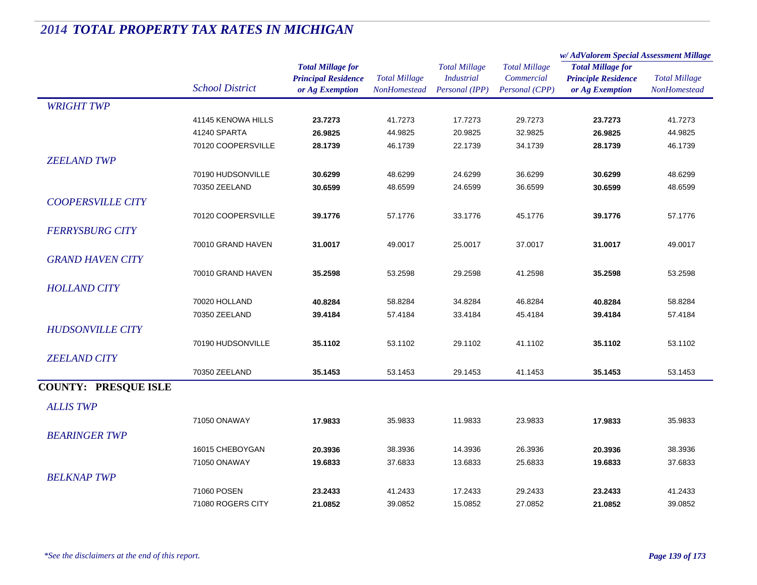|                             | <b>School District</b> |                                                                           |                                             |                                                             |                                                      | w/AdValorem Special Assessment Millage                                    |                                             |  |
|-----------------------------|------------------------|---------------------------------------------------------------------------|---------------------------------------------|-------------------------------------------------------------|------------------------------------------------------|---------------------------------------------------------------------------|---------------------------------------------|--|
|                             |                        | <b>Total Millage for</b><br><b>Principal Residence</b><br>or Ag Exemption | <b>Total Millage</b><br><b>NonHomestead</b> | <b>Total Millage</b><br><b>Industrial</b><br>Personal (IPP) | <b>Total Millage</b><br>Commercial<br>Personal (CPP) | <b>Total Millage for</b><br><b>Principle Residence</b><br>or Ag Exemption | <b>Total Millage</b><br><b>NonHomestead</b> |  |
| <b>WRIGHT TWP</b>           |                        |                                                                           |                                             |                                                             |                                                      |                                                                           |                                             |  |
|                             | 41145 KENOWA HILLS     | 23.7273                                                                   | 41.7273                                     | 17.7273                                                     | 29.7273                                              | 23.7273                                                                   | 41.7273                                     |  |
|                             | 41240 SPARTA           | 26.9825                                                                   | 44.9825                                     | 20.9825                                                     | 32.9825                                              | 26.9825                                                                   | 44.9825                                     |  |
|                             | 70120 COOPERSVILLE     | 28.1739                                                                   | 46.1739                                     | 22.1739                                                     | 34.1739                                              | 28.1739                                                                   | 46.1739                                     |  |
| <b>ZEELAND TWP</b>          |                        |                                                                           |                                             |                                                             |                                                      |                                                                           |                                             |  |
|                             | 70190 HUDSONVILLE      | 30.6299                                                                   | 48.6299                                     | 24.6299                                                     | 36.6299                                              | 30.6299                                                                   | 48.6299                                     |  |
|                             | 70350 ZEELAND          | 30.6599                                                                   | 48.6599                                     | 24.6599                                                     | 36.6599                                              | 30.6599                                                                   | 48.6599                                     |  |
| <b>COOPERSVILLE CITY</b>    |                        |                                                                           |                                             |                                                             |                                                      |                                                                           |                                             |  |
|                             | 70120 COOPERSVILLE     | 39.1776                                                                   | 57.1776                                     | 33.1776                                                     | 45.1776                                              | 39.1776                                                                   | 57.1776                                     |  |
| <b>FERRYSBURG CITY</b>      |                        |                                                                           |                                             |                                                             |                                                      |                                                                           |                                             |  |
|                             | 70010 GRAND HAVEN      | 31.0017                                                                   | 49.0017                                     | 25.0017                                                     | 37.0017                                              | 31.0017                                                                   | 49.0017                                     |  |
| <b>GRAND HAVEN CITY</b>     |                        |                                                                           |                                             |                                                             |                                                      |                                                                           |                                             |  |
|                             | 70010 GRAND HAVEN      | 35.2598                                                                   | 53.2598                                     | 29.2598                                                     | 41.2598                                              | 35.2598                                                                   | 53.2598                                     |  |
| <b>HOLLAND CITY</b>         |                        |                                                                           |                                             |                                                             |                                                      |                                                                           |                                             |  |
|                             | 70020 HOLLAND          | 40.8284                                                                   | 58.8284                                     | 34.8284                                                     | 46.8284                                              | 40.8284                                                                   | 58.8284                                     |  |
|                             | 70350 ZEELAND          | 39.4184                                                                   | 57.4184                                     | 33.4184                                                     | 45.4184                                              | 39.4184                                                                   | 57.4184                                     |  |
|                             |                        |                                                                           |                                             |                                                             |                                                      |                                                                           |                                             |  |
| <b>HUDSONVILLE CITY</b>     |                        |                                                                           |                                             |                                                             |                                                      |                                                                           |                                             |  |
|                             | 70190 HUDSONVILLE      | 35.1102                                                                   | 53.1102                                     | 29.1102                                                     | 41.1102                                              | 35.1102                                                                   | 53.1102                                     |  |
| <b>ZEELAND CITY</b>         |                        |                                                                           |                                             |                                                             |                                                      |                                                                           |                                             |  |
|                             | 70350 ZEELAND          | 35.1453                                                                   | 53.1453                                     | 29.1453                                                     | 41.1453                                              | 35.1453                                                                   | 53.1453                                     |  |
| <b>COUNTY: PRESQUE ISLE</b> |                        |                                                                           |                                             |                                                             |                                                      |                                                                           |                                             |  |
| <b>ALLIS TWP</b>            |                        |                                                                           |                                             |                                                             |                                                      |                                                                           |                                             |  |
|                             | 71050 ONAWAY           | 17.9833                                                                   | 35.9833                                     | 11.9833                                                     | 23.9833                                              | 17.9833                                                                   | 35.9833                                     |  |
| <b>BEARINGER TWP</b>        |                        |                                                                           |                                             |                                                             |                                                      |                                                                           |                                             |  |
|                             | 16015 CHEBOYGAN        | 20.3936                                                                   | 38.3936                                     | 14.3936                                                     | 26.3936                                              | 20.3936                                                                   | 38.3936                                     |  |
|                             | 71050 ONAWAY           | 19.6833                                                                   | 37.6833                                     | 13.6833                                                     | 25.6833                                              | 19.6833                                                                   | 37.6833                                     |  |
| <b>BELKNAP TWP</b>          |                        |                                                                           |                                             |                                                             |                                                      |                                                                           |                                             |  |
|                             | 71060 POSEN            | 23.2433                                                                   | 41.2433                                     | 17.2433                                                     | 29.2433                                              | 23.2433                                                                   | 41.2433                                     |  |
|                             | 71080 ROGERS CITY      | 21.0852                                                                   | 39.0852                                     | 15.0852                                                     | 27.0852                                              | 21.0852                                                                   | 39.0852                                     |  |
|                             |                        |                                                                           |                                             |                                                             |                                                      |                                                                           |                                             |  |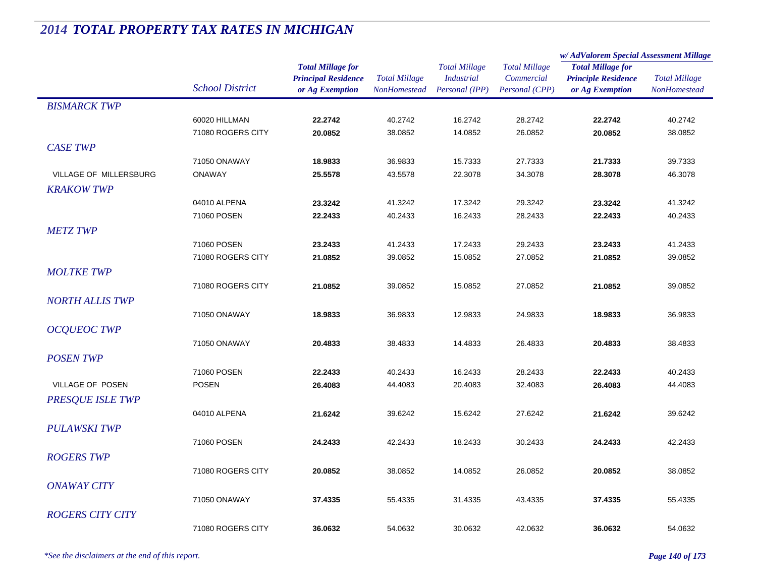|                         |                        |                            |                      |                      |                      | w/AdValorem Special Assessment Millage |                      |
|-------------------------|------------------------|----------------------------|----------------------|----------------------|----------------------|----------------------------------------|----------------------|
|                         |                        | <b>Total Millage for</b>   |                      | <b>Total Millage</b> | <b>Total Millage</b> | <b>Total Millage for</b>               |                      |
|                         | <b>School District</b> | <b>Principal Residence</b> | <b>Total Millage</b> | <b>Industrial</b>    | Commercial           | <b>Principle Residence</b>             | <b>Total Millage</b> |
|                         |                        | or Ag Exemption            | <b>NonHomestead</b>  | Personal (IPP)       | Personal (CPP)       | or Ag Exemption                        | NonHomestead         |
| <b>BISMARCK TWP</b>     |                        |                            |                      |                      |                      |                                        |                      |
|                         | 60020 HILLMAN          | 22.2742                    | 40.2742              | 16.2742              | 28.2742              | 22.2742                                | 40.2742              |
|                         | 71080 ROGERS CITY      | 20.0852                    | 38.0852              | 14.0852              | 26.0852              | 20.0852                                | 38.0852              |
| <b>CASE TWP</b>         |                        |                            |                      |                      |                      |                                        |                      |
|                         | 71050 ONAWAY           | 18.9833                    | 36.9833              | 15.7333              | 27.7333              | 21.7333                                | 39.7333              |
| VILLAGE OF MILLERSBURG  | <b>ONAWAY</b>          | 25.5578                    | 43.5578              | 22.3078              | 34.3078              | 28.3078                                | 46.3078              |
| <b>KRAKOW TWP</b>       |                        |                            |                      |                      |                      |                                        |                      |
|                         | 04010 ALPENA           | 23.3242                    | 41.3242              | 17.3242              | 29.3242              | 23.3242                                | 41.3242              |
|                         | 71060 POSEN            | 22.2433                    | 40.2433              | 16.2433              | 28.2433              | 22.2433                                | 40.2433              |
| <b>METZ TWP</b>         |                        |                            |                      |                      |                      |                                        |                      |
|                         | 71060 POSEN            | 23.2433                    | 41.2433              | 17.2433              | 29.2433              | 23.2433                                | 41.2433              |
|                         | 71080 ROGERS CITY      | 21.0852                    | 39.0852              | 15.0852              | 27.0852              | 21.0852                                | 39.0852              |
| <b>MOLTKE TWP</b>       |                        |                            |                      |                      |                      |                                        |                      |
|                         | 71080 ROGERS CITY      | 21.0852                    | 39.0852              | 15.0852              | 27.0852              | 21.0852                                | 39.0852              |
|                         |                        |                            |                      |                      |                      |                                        |                      |
| <b>NORTH ALLIS TWP</b>  |                        |                            |                      |                      |                      |                                        |                      |
|                         | 71050 ONAWAY           | 18.9833                    | 36.9833              | 12.9833              | 24.9833              | 18.9833                                | 36.9833              |
| <b>OCQUEOC TWP</b>      |                        |                            |                      |                      |                      |                                        |                      |
|                         | 71050 ONAWAY           | 20.4833                    | 38.4833              | 14.4833              | 26.4833              | 20.4833                                | 38.4833              |
| <b>POSENTWP</b>         |                        |                            |                      |                      |                      |                                        |                      |
|                         | 71060 POSEN            | 22.2433                    | 40.2433              | 16.2433              | 28.2433              | 22.2433                                | 40.2433              |
| VILLAGE OF POSEN        | <b>POSEN</b>           | 26.4083                    | 44.4083              | 20.4083              | 32.4083              | 26.4083                                | 44.4083              |
| <b>PRESQUE ISLE TWP</b> |                        |                            |                      |                      |                      |                                        |                      |
|                         | 04010 ALPENA           | 21.6242                    | 39.6242              | 15.6242              | 27.6242              | 21.6242                                | 39.6242              |
| <b>PULAWSKI TWP</b>     |                        |                            |                      |                      |                      |                                        |                      |
|                         | 71060 POSEN            | 24.2433                    | 42.2433              | 18.2433              | 30.2433              | 24.2433                                | 42.2433              |
| <b>ROGERS TWP</b>       |                        |                            |                      |                      |                      |                                        |                      |
|                         | 71080 ROGERS CITY      | 20.0852                    | 38.0852              | 14.0852              | 26.0852              | 20.0852                                | 38.0852              |
| <i>ONAWAY CITY</i>      |                        |                            |                      |                      |                      |                                        |                      |
|                         | 71050 ONAWAY           | 37.4335                    | 55.4335              | 31.4335              | 43.4335              | 37.4335                                | 55.4335              |
|                         |                        |                            |                      |                      |                      |                                        |                      |
| <b>ROGERS CITY CITY</b> |                        |                            |                      |                      |                      |                                        |                      |
|                         | 71080 ROGERS CITY      | 36.0632                    | 54.0632              | 30.0632              | 42.0632              | 36.0632                                | 54.0632              |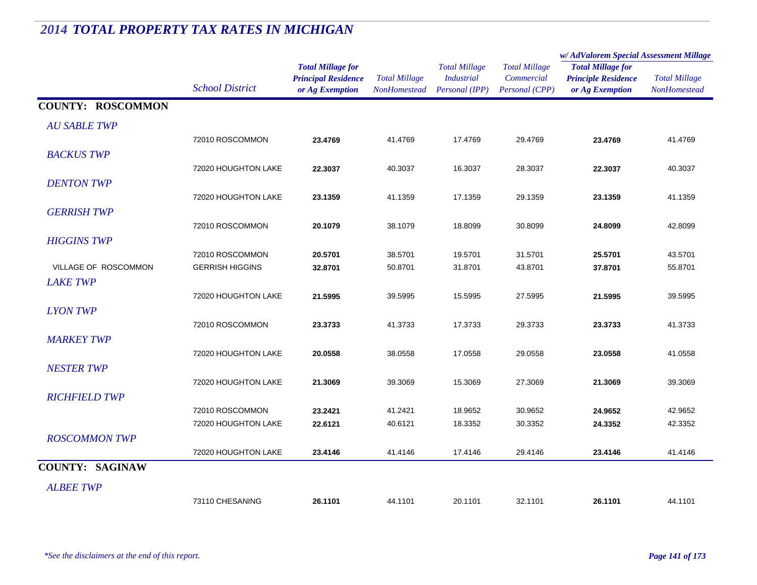#### *Total Millage for Principal Residence School District or Ag Exemption Total Millage NonHomesteadTotal Millage for Principle Residence or Ag Exemption Total Millage NonHomesteadw/ AdValorem Special Assessment Millage Total Millage CommercialPersonal (CPP) Total Millage IndustrialPersonal (IPP)* **COUNTY: ROSCOMMON***AU SABLE TWP* $P$ 72010 ROSCOMMON **23.4769** 41.4769 17.4769 29.4769 **23.4769** 41.4769 *BACKUS TWP* $\mathbf{P}$ 72020 HOUGHTON LAKE **22.3037** 40.3037 16.3037 28.3037 **22.3037** 40.3037 *DENTON TWP* $P$ 72020 HOUGHTON LAKE **23.1359** 41.1359 17.1359 29.1359 **23.1359** 41.1359 *GERRISH TWP* $P$ 72010 ROSCOMMON **20.1079** 38.1079 18.8099 30.8099 **24.8099** 42.8099 *HIGGINS TWP* $P$ 72010 ROSCOMMON **20.5701** 38.5701 19.5701 31.5701 **25.5701** 43.5701 VILLAGE OF ROSCOMMON GERRISH HIGGINS **32.8701** 50.8701 31.8701 43.8701 **37.8701** 55.8701 *LAKE TWP* $P$ 72020 HOUGHTON LAKE **21.5995** 39.5995 15.5995 27.5995 **21.5995** 39.5995 *LYON TWP* $\overline{P}$ 72010 ROSCOMMON **23.3733** 41.3733 17.3733 29.3733 **23.3733** 41.3733 *MARKEY TWP* $P$ 72020 HOUGHTON LAKE **20.0558** 38.0558 17.0558 29.0558 **23.0558** 41.0558 *NESTER TWP* $P$ 72020 HOUGHTON LAKE **21.3069** 39.3069 15.3069 27.3069 **21.3069** 39.3069 *RICHFIELD TWP* $P$ 72010 ROSCOMMON **23.2421** 41.2421 18.9652 30.9652 **24.9652** 42.9652 72020 HOUGHTON LAKE **22.6121** 40.6121 18.3352 30.3352 **24.3352** 42.3352 *ROSCOMMON TWP* $P$ 72020 HOUGHTON LAKE **23.4146** 41.4146 17.4146 29.4146 **23.4146** 41.4146 **COUNTY: SAGINAW***ALBEE TWP* $\overline{P}$ 73110 CHESANING **26.1101**44.1101 20.1101 32.1101 **26.1101** 44.1101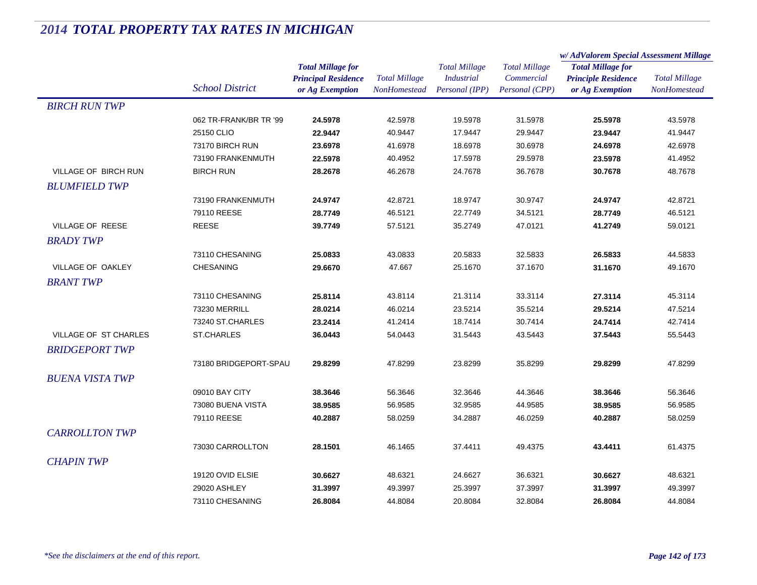|                              |                        | <b>Total Millage for</b><br><b>Principal Residence</b> | <b>Total Millage</b> | <b>Total Millage</b> | <b>Total Millage</b> | w/AdValorem Special Assessment Millage                 |                      |  |
|------------------------------|------------------------|--------------------------------------------------------|----------------------|----------------------|----------------------|--------------------------------------------------------|----------------------|--|
|                              |                        |                                                        |                      |                      |                      | <b>Total Millage for</b><br><b>Principle Residence</b> | <b>Total Millage</b> |  |
|                              |                        |                                                        |                      | <b>Industrial</b>    | Commercial           |                                                        |                      |  |
|                              | <b>School District</b> | or Ag Exemption                                        | <b>NonHomestead</b>  | Personal (IPP)       | Personal (CPP)       | or Ag Exemption                                        | <b>NonHomestead</b>  |  |
| <b>BIRCH RUN TWP</b>         |                        |                                                        |                      |                      |                      |                                                        |                      |  |
|                              | 062 TR-FRANK/BR TR '99 | 24.5978                                                | 42.5978              | 19.5978              | 31.5978              | 25.5978                                                | 43.5978              |  |
|                              | 25150 CLIO             | 22.9447                                                | 40.9447              | 17.9447              | 29.9447              | 23.9447                                                | 41.9447              |  |
|                              | 73170 BIRCH RUN        | 23.6978                                                | 41.6978              | 18.6978              | 30.6978              | 24.6978                                                | 42.6978              |  |
|                              | 73190 FRANKENMUTH      | 22.5978                                                | 40.4952              | 17.5978              | 29.5978              | 23.5978                                                | 41.4952              |  |
| <b>VILLAGE OF BIRCH RUN</b>  | <b>BIRCH RUN</b>       | 28.2678                                                | 46.2678              | 24.7678              | 36.7678              | 30.7678                                                | 48.7678              |  |
| <b>BLUMFIELD TWP</b>         |                        |                                                        |                      |                      |                      |                                                        |                      |  |
|                              | 73190 FRANKENMUTH      | 24.9747                                                | 42.8721              | 18.9747              | 30.9747              | 24.9747                                                | 42.8721              |  |
|                              | 79110 REESE            | 28.7749                                                | 46.5121              | 22.7749              | 34.5121              | 28.7749                                                | 46.5121              |  |
| <b>VILLAGE OF REESE</b>      | <b>REESE</b>           | 39.7749                                                | 57.5121              | 35.2749              | 47.0121              | 41.2749                                                | 59.0121              |  |
| <b>BRADY TWP</b>             |                        |                                                        |                      |                      |                      |                                                        |                      |  |
|                              | 73110 CHESANING        | 25.0833                                                | 43.0833              | 20.5833              | 32.5833              | 26.5833                                                | 44.5833              |  |
| VILLAGE OF OAKLEY            | CHESANING              | 29.6670                                                | 47.667               | 25.1670              | 37.1670              | 31.1670                                                | 49.1670              |  |
| <b>BRANT TWP</b>             |                        |                                                        |                      |                      |                      |                                                        |                      |  |
|                              | 73110 CHESANING        | 25.8114                                                | 43.8114              | 21.3114              | 33.3114              | 27.3114                                                | 45.3114              |  |
|                              | 73230 MERRILL          | 28.0214                                                | 46.0214              | 23.5214              | 35.5214              | 29.5214                                                | 47.5214              |  |
|                              | 73240 ST.CHARLES       | 23.2414                                                | 41.2414              | 18.7414              | 30.7414              | 24.7414                                                | 42.7414              |  |
| <b>VILLAGE OF ST CHARLES</b> | <b>ST.CHARLES</b>      | 36.0443                                                | 54.0443              | 31.5443              | 43.5443              | 37.5443                                                | 55.5443              |  |
| <b>BRIDGEPORT TWP</b>        |                        |                                                        |                      |                      |                      |                                                        |                      |  |
|                              | 73180 BRIDGEPORT-SPAU  | 29.8299                                                | 47.8299              | 23.8299              | 35.8299              | 29.8299                                                | 47.8299              |  |
| <b>BUENA VISTA TWP</b>       |                        |                                                        |                      |                      |                      |                                                        |                      |  |
|                              | 09010 BAY CITY         | 38.3646                                                | 56.3646              | 32.3646              | 44.3646              | 38.3646                                                | 56.3646              |  |
|                              | 73080 BUENA VISTA      | 38.9585                                                | 56.9585              | 32.9585              | 44.9585              | 38.9585                                                | 56.9585              |  |
|                              | 79110 REESE            | 40.2887                                                | 58.0259              | 34.2887              | 46.0259              | 40.2887                                                | 58.0259              |  |
| <b>CARROLLTON TWP</b>        |                        |                                                        |                      |                      |                      |                                                        |                      |  |
|                              | 73030 CARROLLTON       | 28.1501                                                | 46.1465              | 37.4411              | 49.4375              | 43.4411                                                | 61.4375              |  |
| <b>CHAPIN TWP</b>            |                        |                                                        |                      |                      |                      |                                                        |                      |  |
|                              | 19120 OVID ELSIE       | 30.6627                                                | 48.6321              | 24.6627              | 36.6321              | 30.6627                                                | 48.6321              |  |
|                              | 29020 ASHLEY           | 31.3997                                                | 49.3997              | 25.3997              | 37.3997              | 31.3997                                                | 49.3997              |  |
|                              | 73110 CHESANING        | 26.8084                                                | 44.8084              | 20.8084              | 32.8084              | 26.8084                                                | 44.8084              |  |
|                              |                        |                                                        |                      |                      |                      |                                                        |                      |  |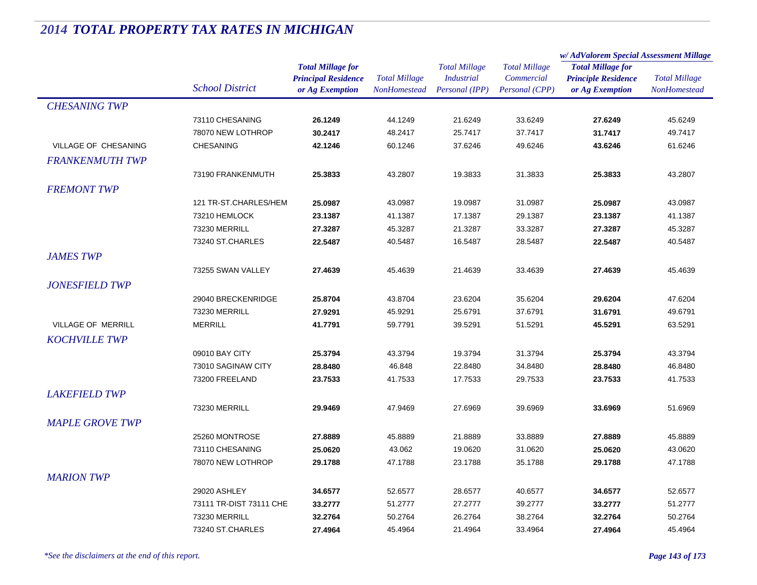|                        |                         |                            | <b>Total Millage</b> |                      | <b>Total Millage</b> | w/AdValorem Special Assessment Millage |                      |  |
|------------------------|-------------------------|----------------------------|----------------------|----------------------|----------------------|----------------------------------------|----------------------|--|
|                        |                         | <b>Total Millage for</b>   |                      | <b>Total Millage</b> |                      | <b>Total Millage for</b>               | <b>Total Millage</b> |  |
|                        |                         | <b>Principal Residence</b> |                      | <b>Industrial</b>    | Commercial           | <b>Principle Residence</b>             |                      |  |
|                        | <b>School District</b>  | or Ag Exemption            | <b>NonHomestead</b>  | Personal (IPP)       | Personal (CPP)       | or Ag Exemption                        | <b>NonHomestead</b>  |  |
| <b>CHESANING TWP</b>   |                         |                            |                      |                      |                      |                                        |                      |  |
|                        | 73110 CHESANING         | 26.1249                    | 44.1249              | 21.6249              | 33.6249              | 27.6249                                | 45.6249              |  |
|                        | 78070 NEW LOTHROP       | 30.2417                    | 48.2417              | 25.7417              | 37.7417              | 31.7417                                | 49.7417              |  |
| VILLAGE OF CHESANING   | <b>CHESANING</b>        | 42.1246                    | 60.1246              | 37.6246              | 49.6246              | 43.6246                                | 61.6246              |  |
| <b>FRANKENMUTH TWP</b> |                         |                            |                      |                      |                      |                                        |                      |  |
|                        | 73190 FRANKENMUTH       | 25.3833                    | 43.2807              | 19.3833              | 31.3833              | 25.3833                                | 43.2807              |  |
| <b>FREMONT TWP</b>     |                         |                            |                      |                      |                      |                                        |                      |  |
|                        | 121 TR-ST.CHARLES/HEM   | 25.0987                    | 43.0987              | 19.0987              | 31.0987              | 25.0987                                | 43.0987              |  |
|                        | 73210 HEMLOCK           | 23.1387                    | 41.1387              | 17.1387              | 29.1387              | 23.1387                                | 41.1387              |  |
|                        | 73230 MERRILL           | 27.3287                    | 45.3287              | 21.3287              | 33.3287              | 27.3287                                | 45.3287              |  |
|                        | 73240 ST.CHARLES        | 22.5487                    | 40.5487              | 16.5487              | 28.5487              | 22.5487                                | 40.5487              |  |
| <b>JAMES TWP</b>       |                         |                            |                      |                      |                      |                                        |                      |  |
|                        | 73255 SWAN VALLEY       | 27.4639                    | 45.4639              | 21.4639              | 33.4639              | 27.4639                                | 45.4639              |  |
| <b>JONESFIELD TWP</b>  |                         |                            |                      |                      |                      |                                        |                      |  |
|                        | 29040 BRECKENRIDGE      | 25.8704                    | 43.8704              | 23.6204              | 35.6204              | 29.6204                                | 47.6204              |  |
|                        | 73230 MERRILL           | 27.9291                    | 45.9291              | 25.6791              | 37.6791              | 31.6791                                | 49.6791              |  |
| VILLAGE OF MERRILL     | <b>MERRILL</b>          | 41.7791                    | 59.7791              | 39.5291              | 51.5291              | 45.5291                                | 63.5291              |  |
| <b>KOCHVILLE TWP</b>   |                         |                            |                      |                      |                      |                                        |                      |  |
|                        | 09010 BAY CITY          | 25.3794                    | 43.3794              | 19.3794              | 31.3794              | 25.3794                                | 43.3794              |  |
|                        | 73010 SAGINAW CITY      | 28.8480                    | 46.848               | 22.8480              | 34.8480              | 28.8480                                | 46.8480              |  |
|                        | 73200 FREELAND          | 23.7533                    | 41.7533              | 17.7533              | 29.7533              | 23.7533                                | 41.7533              |  |
| <b>LAKEFIELD TWP</b>   |                         |                            |                      |                      |                      |                                        |                      |  |
|                        | 73230 MERRILL           | 29.9469                    | 47.9469              | 27.6969              | 39.6969              | 33.6969                                | 51.6969              |  |
|                        |                         |                            |                      |                      |                      |                                        |                      |  |
| <b>MAPLE GROVE TWP</b> |                         |                            |                      |                      |                      |                                        |                      |  |
|                        | 25260 MONTROSE          | 27.8889                    | 45.8889              | 21.8889              | 33.8889              | 27.8889                                | 45.8889              |  |
|                        | 73110 CHESANING         | 25.0620                    | 43.062               | 19.0620              | 31.0620              | 25.0620                                | 43.0620              |  |
|                        | 78070 NEW LOTHROP       | 29.1788                    | 47.1788              | 23.1788              | 35.1788              | 29.1788                                | 47.1788              |  |
| <b>MARION TWP</b>      |                         |                            |                      |                      |                      |                                        |                      |  |
|                        | 29020 ASHLEY            | 34.6577                    | 52.6577              | 28.6577              | 40.6577              | 34.6577                                | 52.6577              |  |
|                        | 73111 TR-DIST 73111 CHE | 33.2777                    | 51.2777              | 27.2777              | 39.2777              | 33.2777                                | 51.2777              |  |
|                        | 73230 MERRILL           | 32.2764                    | 50.2764              | 26.2764              | 38.2764              | 32.2764                                | 50.2764              |  |
|                        | 73240 ST.CHARLES        | 27.4964                    | 45.4964              | 21.4964              | 33.4964              | 27.4964                                | 45.4964              |  |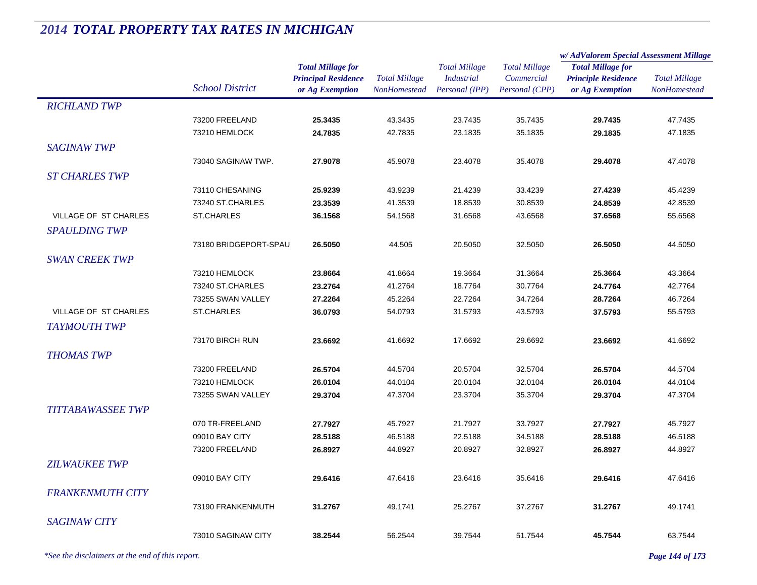|                          |                        |                                                                           |                                             |                                                             |                                                      | w/AdValorem Special Assessment Millage                                    |                                             |
|--------------------------|------------------------|---------------------------------------------------------------------------|---------------------------------------------|-------------------------------------------------------------|------------------------------------------------------|---------------------------------------------------------------------------|---------------------------------------------|
|                          | <b>School District</b> | <b>Total Millage for</b><br><b>Principal Residence</b><br>or Ag Exemption | <b>Total Millage</b><br><b>NonHomestead</b> | <b>Total Millage</b><br><b>Industrial</b><br>Personal (IPP) | <b>Total Millage</b><br>Commercial<br>Personal (CPP) | <b>Total Millage for</b><br><b>Principle Residence</b><br>or Ag Exemption | <b>Total Millage</b><br><b>NonHomestead</b> |
| <b>RICHLAND TWP</b>      |                        |                                                                           |                                             |                                                             |                                                      |                                                                           |                                             |
|                          | 73200 FREELAND         | 25.3435                                                                   | 43.3435                                     | 23.7435                                                     | 35.7435                                              | 29.7435                                                                   | 47.7435                                     |
|                          | 73210 HEMLOCK          | 24.7835                                                                   | 42.7835                                     | 23.1835                                                     | 35.1835                                              | 29.1835                                                                   | 47.1835                                     |
| <b>SAGINAW TWP</b>       |                        |                                                                           |                                             |                                                             |                                                      |                                                                           |                                             |
|                          | 73040 SAGINAW TWP.     | 27.9078                                                                   | 45.9078                                     | 23.4078                                                     | 35.4078                                              | 29.4078                                                                   | 47.4078                                     |
| <b>ST CHARLES TWP</b>    |                        |                                                                           |                                             |                                                             |                                                      |                                                                           |                                             |
|                          | 73110 CHESANING        | 25.9239                                                                   | 43.9239                                     | 21.4239                                                     | 33.4239                                              | 27.4239                                                                   | 45.4239                                     |
|                          | 73240 ST.CHARLES       | 23.3539                                                                   | 41.3539                                     | 18.8539                                                     | 30.8539                                              | 24.8539                                                                   | 42.8539                                     |
| VILLAGE OF ST CHARLES    | <b>ST.CHARLES</b>      | 36.1568                                                                   | 54.1568                                     | 31.6568                                                     | 43.6568                                              | 37.6568                                                                   | 55.6568                                     |
| <b>SPAULDING TWP</b>     |                        |                                                                           |                                             |                                                             |                                                      |                                                                           |                                             |
|                          | 73180 BRIDGEPORT-SPAU  | 26.5050                                                                   | 44.505                                      | 20.5050                                                     | 32.5050                                              | 26.5050                                                                   | 44.5050                                     |
| <b>SWAN CREEK TWP</b>    |                        |                                                                           |                                             |                                                             |                                                      |                                                                           |                                             |
|                          | 73210 HEMLOCK          | 23.8664                                                                   | 41.8664                                     | 19.3664                                                     | 31.3664                                              | 25.3664                                                                   | 43.3664                                     |
|                          | 73240 ST.CHARLES       | 23.2764                                                                   | 41.2764                                     | 18.7764                                                     | 30.7764                                              | 24.7764                                                                   | 42.7764                                     |
|                          | 73255 SWAN VALLEY      | 27.2264                                                                   | 45.2264                                     | 22.7264                                                     | 34.7264                                              | 28.7264                                                                   | 46.7264                                     |
| VILLAGE OF ST CHARLES    | <b>ST.CHARLES</b>      | 36.0793                                                                   | 54.0793                                     | 31.5793                                                     | 43.5793                                              | 37.5793                                                                   | 55.5793                                     |
| <b>TAYMOUTH TWP</b>      |                        |                                                                           |                                             |                                                             |                                                      |                                                                           |                                             |
|                          | 73170 BIRCH RUN        | 23.6692                                                                   | 41.6692                                     | 17.6692                                                     | 29.6692                                              | 23.6692                                                                   | 41.6692                                     |
| <b>THOMAS TWP</b>        |                        |                                                                           |                                             |                                                             |                                                      |                                                                           |                                             |
|                          | 73200 FREELAND         | 26.5704                                                                   | 44.5704                                     | 20.5704                                                     | 32.5704                                              | 26.5704                                                                   | 44.5704                                     |
|                          | 73210 HEMLOCK          | 26.0104                                                                   | 44.0104                                     | 20.0104                                                     | 32.0104                                              | 26.0104                                                                   | 44.0104                                     |
|                          | 73255 SWAN VALLEY      | 29.3704                                                                   | 47.3704                                     | 23.3704                                                     | 35.3704                                              | 29.3704                                                                   | 47.3704                                     |
| <b>TITTABAWASSEE TWP</b> |                        |                                                                           |                                             |                                                             |                                                      |                                                                           |                                             |
|                          | 070 TR-FREELAND        | 27.7927                                                                   | 45.7927                                     | 21.7927                                                     | 33.7927                                              | 27.7927                                                                   | 45.7927                                     |
|                          | 09010 BAY CITY         | 28.5188                                                                   | 46.5188                                     | 22.5188                                                     | 34.5188                                              | 28.5188                                                                   | 46.5188                                     |
|                          | 73200 FREELAND         | 26.8927                                                                   | 44.8927                                     | 20.8927                                                     | 32.8927                                              | 26.8927                                                                   | 44.8927                                     |
| <b>ZILWAUKEE TWP</b>     |                        |                                                                           |                                             |                                                             |                                                      |                                                                           |                                             |
|                          | 09010 BAY CITY         | 29.6416                                                                   | 47.6416                                     | 23.6416                                                     | 35.6416                                              | 29.6416                                                                   | 47.6416                                     |
| <b>FRANKENMUTH CITY</b>  |                        |                                                                           |                                             |                                                             |                                                      |                                                                           |                                             |
|                          | 73190 FRANKENMUTH      | 31.2767                                                                   | 49.1741                                     | 25.2767                                                     | 37.2767                                              | 31.2767                                                                   | 49.1741                                     |
| <b>SAGINAW CITY</b>      |                        |                                                                           |                                             |                                                             |                                                      |                                                                           |                                             |
|                          | 73010 SAGINAW CITY     | 38.2544                                                                   | 56.2544                                     | 39.7544                                                     | 51.7544                                              | 45.7544                                                                   | 63.7544                                     |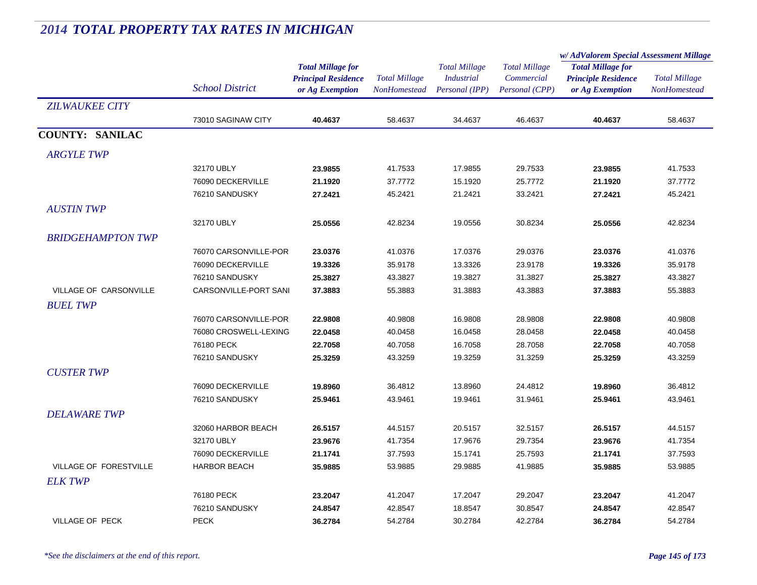|                               |                        |                            |                      | <b>Total Millage</b><br><b>Industrial</b><br>Personal (IPP) | <b>Total Millage</b><br>Commercial | w/AdValorem Special Assessment Millage |                      |
|-------------------------------|------------------------|----------------------------|----------------------|-------------------------------------------------------------|------------------------------------|----------------------------------------|----------------------|
|                               |                        | <b>Total Millage for</b>   |                      |                                                             |                                    | <b>Total Millage for</b>               | <b>Total Millage</b> |
|                               |                        | <b>Principal Residence</b> | <b>Total Millage</b> |                                                             |                                    | <b>Principle Residence</b>             |                      |
|                               | <b>School District</b> | or Ag Exemption            | <b>NonHomestead</b>  |                                                             | Personal (CPP)                     | or Ag Exemption                        | <b>NonHomestead</b>  |
| <b>ZILWAUKEE CITY</b>         |                        |                            |                      |                                                             |                                    |                                        |                      |
|                               | 73010 SAGINAW CITY     | 40.4637                    | 58.4637              | 34.4637                                                     | 46.4637                            | 40.4637                                | 58.4637              |
| <b>COUNTY: SANILAC</b>        |                        |                            |                      |                                                             |                                    |                                        |                      |
| <b>ARGYLE TWP</b>             |                        |                            |                      |                                                             |                                    |                                        |                      |
|                               | 32170 UBLY             | 23.9855                    | 41.7533              | 17.9855                                                     | 29.7533                            | 23.9855                                | 41.7533              |
|                               | 76090 DECKERVILLE      | 21.1920                    | 37.7772              | 15.1920                                                     | 25.7772                            | 21.1920                                | 37.7772              |
|                               | 76210 SANDUSKY         | 27.2421                    | 45.2421              | 21.2421                                                     | 33.2421                            | 27.2421                                | 45.2421              |
| <b>AUSTINTWP</b>              |                        |                            |                      |                                                             |                                    |                                        |                      |
|                               | 32170 UBLY             | 25.0556                    | 42.8234              | 19.0556                                                     | 30.8234                            | 25.0556                                | 42.8234              |
| <b>BRIDGEHAMPTON TWP</b>      |                        |                            |                      |                                                             |                                    |                                        |                      |
|                               | 76070 CARSONVILLE-POR  | 23.0376                    | 41.0376              | 17.0376                                                     | 29.0376                            | 23.0376                                | 41.0376              |
|                               | 76090 DECKERVILLE      | 19.3326                    | 35.9178              | 13.3326                                                     | 23.9178                            | 19.3326                                | 35.9178              |
|                               | 76210 SANDUSKY         | 25.3827                    | 43.3827              | 19.3827                                                     | 31.3827                            | 25.3827                                | 43.3827              |
| <b>VILLAGE OF CARSONVILLE</b> | CARSONVILLE-PORT SANI  | 37.3883                    | 55.3883              | 31.3883                                                     | 43.3883                            | 37.3883                                | 55.3883              |
| <b>BUEL TWP</b>               |                        |                            |                      |                                                             |                                    |                                        |                      |
|                               | 76070 CARSONVILLE-POR  | 22.9808                    | 40.9808              | 16.9808                                                     | 28.9808                            | 22.9808                                | 40.9808              |
|                               | 76080 CROSWELL-LEXING  | 22.0458                    | 40.0458              | 16.0458                                                     | 28.0458                            | 22.0458                                | 40.0458              |
|                               | 76180 PECK             | 22.7058                    | 40.7058              | 16.7058                                                     | 28.7058                            | 22.7058                                | 40.7058              |
|                               | 76210 SANDUSKY         | 25.3259                    | 43.3259              | 19.3259                                                     | 31.3259                            | 25.3259                                | 43.3259              |
| <b>CUSTER TWP</b>             |                        |                            |                      |                                                             |                                    |                                        |                      |
|                               | 76090 DECKERVILLE      | 19.8960                    | 36.4812              | 13.8960                                                     | 24.4812                            | 19.8960                                | 36.4812              |
|                               | 76210 SANDUSKY         | 25.9461                    | 43.9461              | 19.9461                                                     | 31.9461                            | 25.9461                                | 43.9461              |
| <b>DELAWARE TWP</b>           |                        |                            |                      |                                                             |                                    |                                        |                      |
|                               | 32060 HARBOR BEACH     | 26.5157                    | 44.5157              | 20.5157                                                     | 32.5157                            | 26.5157                                | 44.5157              |
|                               | 32170 UBLY             | 23.9676                    | 41.7354              | 17.9676                                                     | 29.7354                            | 23.9676                                | 41.7354              |
|                               | 76090 DECKERVILLE      | 21.1741                    | 37.7593              | 15.1741                                                     | 25.7593                            | 21.1741                                | 37.7593              |
| <b>VILLAGE OF FORESTVILLE</b> | <b>HARBOR BEACH</b>    | 35.9885                    | 53.9885              | 29.9885                                                     | 41.9885                            | 35.9885                                | 53.9885              |
| <b>ELK TWP</b>                |                        |                            |                      |                                                             |                                    |                                        |                      |
|                               | 76180 PECK             | 23.2047                    | 41.2047              | 17.2047                                                     | 29.2047                            | 23.2047                                | 41.2047              |
|                               | 76210 SANDUSKY         | 24.8547                    | 42.8547              | 18.8547                                                     | 30.8547                            | 24.8547                                | 42.8547              |
| <b>VILLAGE OF PECK</b>        | <b>PECK</b>            | 36.2784                    | 54.2784              | 30.2784                                                     | 42.2784                            | 36.2784                                | 54.2784              |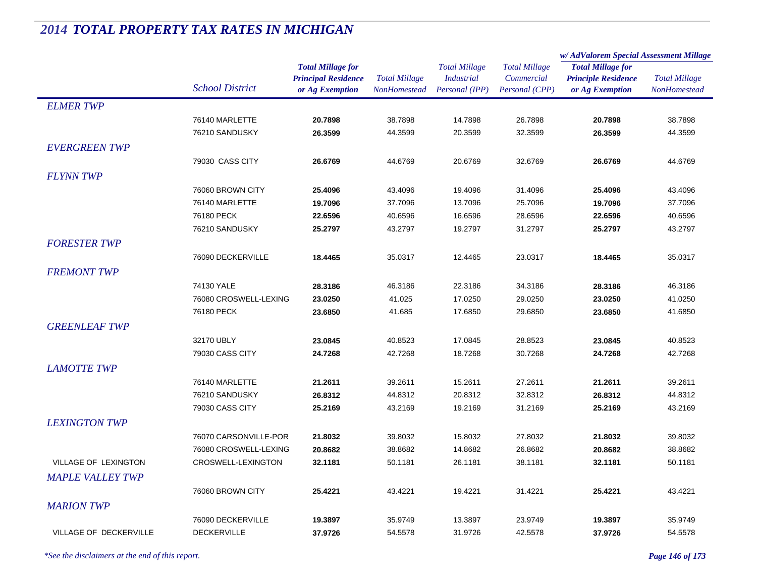|                         |                        |                            | <b>Total Millage</b><br>NonHomestead | <b>Total Millage</b><br><b>Industrial</b> | <b>Total Millage</b> | w/AdValorem Special Assessment Millage        |                      |
|-------------------------|------------------------|----------------------------|--------------------------------------|-------------------------------------------|----------------------|-----------------------------------------------|----------------------|
|                         |                        | <b>Total Millage for</b>   |                                      |                                           |                      | <b>Total Millage for</b>                      | <b>Total Millage</b> |
|                         | <b>School District</b> | <b>Principal Residence</b> |                                      |                                           | Commercial           | <b>Principle Residence</b><br>or Ag Exemption |                      |
|                         |                        | or Ag Exemption            |                                      | Personal (IPP)                            | Personal (CPP)       |                                               | NonHomestead         |
| <b>ELMER TWP</b>        |                        |                            |                                      |                                           |                      |                                               |                      |
|                         | 76140 MARLETTE         | 20.7898                    | 38.7898                              | 14.7898                                   | 26.7898              | 20.7898                                       | 38.7898              |
|                         | 76210 SANDUSKY         | 26.3599                    | 44.3599                              | 20.3599                                   | 32.3599              | 26.3599                                       | 44.3599              |
| <b>EVERGREEN TWP</b>    |                        |                            |                                      |                                           |                      |                                               |                      |
|                         | 79030 CASS CITY        | 26.6769                    | 44.6769                              | 20.6769                                   | 32.6769              | 26.6769                                       | 44.6769              |
| <b>FLYNN TWP</b>        |                        |                            |                                      |                                           |                      |                                               |                      |
|                         | 76060 BROWN CITY       | 25.4096                    | 43.4096                              | 19.4096                                   | 31.4096              | 25.4096                                       | 43.4096              |
|                         | 76140 MARLETTE         | 19.7096                    | 37.7096                              | 13.7096                                   | 25.7096              | 19.7096                                       | 37.7096              |
|                         | 76180 PECK             | 22.6596                    | 40.6596                              | 16.6596                                   | 28.6596              | 22.6596                                       | 40.6596              |
|                         | 76210 SANDUSKY         | 25.2797                    | 43.2797                              | 19.2797                                   | 31.2797              | 25.2797                                       | 43.2797              |
| <b>FORESTER TWP</b>     |                        |                            |                                      |                                           |                      |                                               |                      |
|                         | 76090 DECKERVILLE      | 18.4465                    | 35.0317                              | 12.4465                                   | 23.0317              | 18.4465                                       | 35.0317              |
|                         |                        |                            |                                      |                                           |                      |                                               |                      |
| <b>FREMONT TWP</b>      |                        |                            |                                      |                                           |                      |                                               |                      |
|                         | 74130 YALE             | 28.3186                    | 46.3186                              | 22.3186                                   | 34.3186              | 28.3186                                       | 46.3186              |
|                         | 76080 CROSWELL-LEXING  | 23.0250                    | 41.025                               | 17.0250                                   | 29.0250              | 23.0250                                       | 41.0250              |
|                         | 76180 PECK             | 23.6850                    | 41.685                               | 17.6850                                   | 29.6850              | 23.6850                                       | 41.6850              |
| <b>GREENLEAF TWP</b>    |                        |                            |                                      |                                           |                      |                                               |                      |
|                         | 32170 UBLY             | 23.0845                    | 40.8523                              | 17.0845                                   | 28.8523              | 23.0845                                       | 40.8523              |
|                         | 79030 CASS CITY        | 24.7268                    | 42.7268                              | 18.7268                                   | 30.7268              | 24.7268                                       | 42.7268              |
| <b>LAMOTTE TWP</b>      |                        |                            |                                      |                                           |                      |                                               |                      |
|                         | 76140 MARLETTE         | 21.2611                    | 39.2611                              | 15.2611                                   | 27.2611              | 21.2611                                       | 39.2611              |
|                         | 76210 SANDUSKY         | 26.8312                    | 44.8312                              | 20.8312                                   | 32.8312              | 26.8312                                       | 44.8312              |
|                         | 79030 CASS CITY        | 25.2169                    | 43.2169                              | 19.2169                                   | 31.2169              | 25.2169                                       | 43.2169              |
| <b>LEXINGTON TWP</b>    |                        |                            |                                      |                                           |                      |                                               |                      |
|                         | 76070 CARSONVILLE-POR  | 21.8032                    | 39.8032                              | 15.8032                                   | 27.8032              | 21.8032                                       | 39.8032              |
|                         | 76080 CROSWELL-LEXING  | 20.8682                    | 38.8682                              | 14.8682                                   | 26.8682              | 20.8682                                       | 38.8682              |
| VILLAGE OF LEXINGTON    | CROSWELL-LEXINGTON     | 32.1181                    | 50.1181                              | 26.1181                                   | 38.1181              | 32.1181                                       | 50.1181              |
| <b>MAPLE VALLEY TWP</b> |                        |                            |                                      |                                           |                      |                                               |                      |
|                         | 76060 BROWN CITY       | 25.4221                    | 43.4221                              | 19.4221                                   | 31.4221              | 25.4221                                       | 43.4221              |
| <b>MARION TWP</b>       |                        |                            |                                      |                                           |                      |                                               |                      |
|                         | 76090 DECKERVILLE      | 19.3897                    | 35.9749                              | 13.3897                                   | 23.9749              | 19.3897                                       | 35.9749              |
| VILLAGE OF DECKERVILLE  | <b>DECKERVILLE</b>     | 37.9726                    | 54.5578                              | 31.9726                                   | 42.5578              | 37.9726                                       | 54.5578              |
|                         |                        |                            |                                      |                                           |                      |                                               |                      |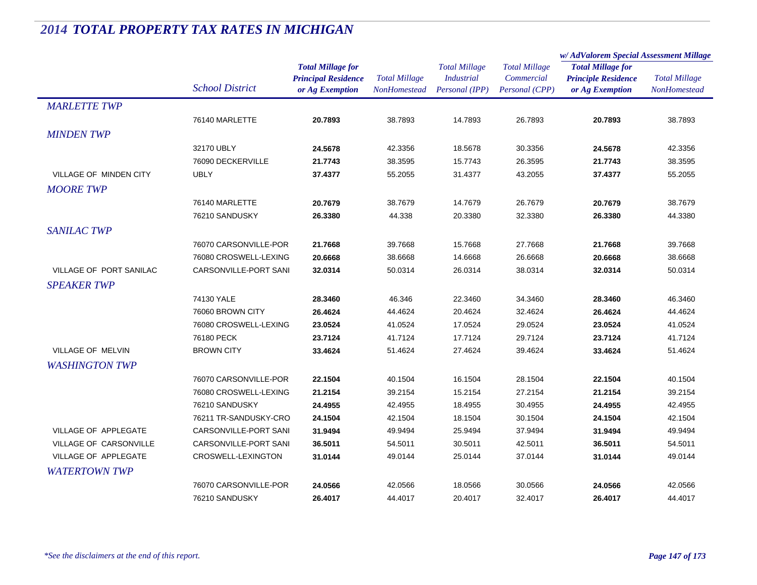|                               |                        |                            |                      | <b>Total Millage</b> | <b>Total Millage</b> | w/AdValorem Special Assessment Millage |                      |
|-------------------------------|------------------------|----------------------------|----------------------|----------------------|----------------------|----------------------------------------|----------------------|
|                               |                        | <b>Total Millage for</b>   |                      |                      |                      | <b>Total Millage for</b>               | <b>Total Millage</b> |
|                               |                        | <b>Principal Residence</b> | <b>Total Millage</b> | <b>Industrial</b>    | Commercial           | <b>Principle Residence</b>             |                      |
|                               | <b>School District</b> | or Ag Exemption            | <b>NonHomestead</b>  | Personal (IPP)       | Personal (CPP)       | or Ag Exemption                        | NonHomestead         |
| <b>MARLETTE TWP</b>           |                        |                            |                      |                      |                      |                                        |                      |
|                               | 76140 MARLETTE         | 20.7893                    | 38.7893              | 14.7893              | 26.7893              | 20.7893                                | 38.7893              |
| <b>MINDEN TWP</b>             |                        |                            |                      |                      |                      |                                        |                      |
|                               | 32170 UBLY             | 24.5678                    | 42.3356              | 18.5678              | 30.3356              | 24.5678                                | 42.3356              |
|                               | 76090 DECKERVILLE      | 21.7743                    | 38.3595              | 15.7743              | 26.3595              | 21.7743                                | 38.3595              |
| <b>VILLAGE OF MINDEN CITY</b> | <b>UBLY</b>            | 37.4377                    | 55.2055              | 31.4377              | 43.2055              | 37.4377                                | 55.2055              |
| <b>MOORETWP</b>               |                        |                            |                      |                      |                      |                                        |                      |
|                               | 76140 MARLETTE         | 20.7679                    | 38.7679              | 14.7679              | 26.7679              | 20.7679                                | 38.7679              |
|                               | 76210 SANDUSKY         | 26.3380                    | 44.338               | 20.3380              | 32.3380              | 26.3380                                | 44.3380              |
| <b>SANILAC TWP</b>            |                        |                            |                      |                      |                      |                                        |                      |
|                               | 76070 CARSONVILLE-POR  | 21.7668                    | 39.7668              | 15.7668              | 27.7668              | 21.7668                                | 39.7668              |
|                               | 76080 CROSWELL-LEXING  | 20.6668                    | 38.6668              | 14.6668              | 26.6668              | 20.6668                                | 38.6668              |
| VILLAGE OF PORT SANILAC       | CARSONVILLE-PORT SANI  | 32.0314                    | 50.0314              | 26.0314              | 38.0314              | 32.0314                                | 50.0314              |
| <b>SPEAKER TWP</b>            |                        |                            |                      |                      |                      |                                        |                      |
|                               | 74130 YALE             | 28.3460                    | 46.346               | 22.3460              | 34.3460              | 28.3460                                | 46.3460              |
|                               | 76060 BROWN CITY       | 26.4624                    | 44.4624              | 20.4624              | 32.4624              | 26.4624                                | 44.4624              |
|                               | 76080 CROSWELL-LEXING  | 23.0524                    | 41.0524              | 17.0524              | 29.0524              | 23.0524                                | 41.0524              |
|                               | 76180 PECK             | 23.7124                    | 41.7124              | 17.7124              | 29.7124              | 23.7124                                | 41.7124              |
| <b>VILLAGE OF MELVIN</b>      | <b>BROWN CITY</b>      | 33.4624                    | 51.4624              | 27.4624              | 39.4624              | 33.4624                                | 51.4624              |
| <b>WASHINGTON TWP</b>         |                        |                            |                      |                      |                      |                                        |                      |
|                               | 76070 CARSONVILLE-POR  | 22.1504                    | 40.1504              | 16.1504              | 28.1504              | 22.1504                                | 40.1504              |
|                               | 76080 CROSWELL-LEXING  | 21.2154                    | 39.2154              | 15.2154              | 27.2154              | 21.2154                                | 39.2154              |
|                               | 76210 SANDUSKY         | 24.4955                    | 42.4955              | 18.4955              | 30.4955              | 24.4955                                | 42.4955              |
|                               | 76211 TR-SANDUSKY-CRO  | 24.1504                    | 42.1504              | 18.1504              | 30.1504              | 24.1504                                | 42.1504              |
| VILLAGE OF APPLEGATE          | CARSONVILLE-PORT SANI  | 31.9494                    | 49.9494              | 25.9494              | 37.9494              | 31.9494                                | 49.9494              |
| VILLAGE OF CARSONVILLE        | CARSONVILLE-PORT SANI  | 36.5011                    | 54.5011              | 30.5011              | 42.5011              | 36.5011                                | 54.5011              |
| VILLAGE OF APPLEGATE          | CROSWELL-LEXINGTON     | 31.0144                    | 49.0144              | 25.0144              | 37.0144              | 31.0144                                | 49.0144              |
| <b>WATERTOWN TWP</b>          |                        |                            |                      |                      |                      |                                        |                      |
|                               | 76070 CARSONVILLE-POR  | 24.0566                    | 42.0566              | 18.0566              | 30.0566              | 24.0566                                | 42.0566              |
|                               | 76210 SANDUSKY         | 26.4017                    | 44.4017              | 20.4017              | 32.4017              | 26.4017                                | 44.4017              |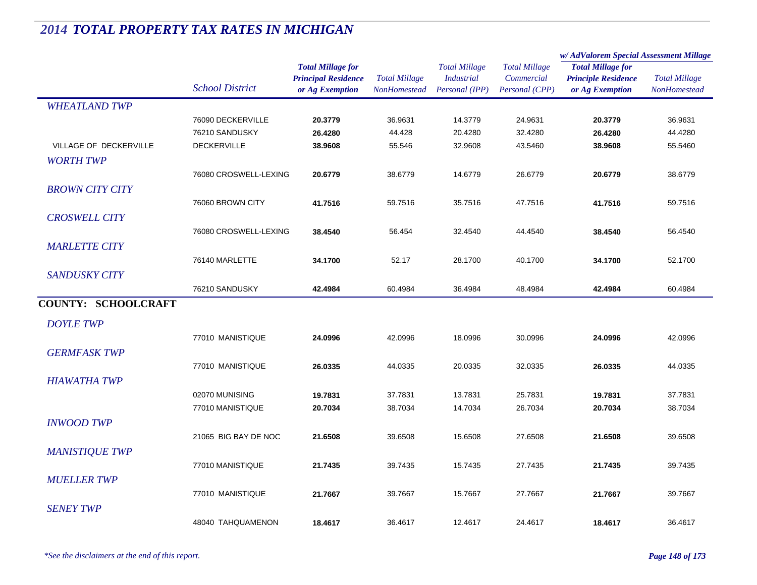|                            |                        |                                                                           |                                             |                                                             |                                                      | w/AdValorem Special Assessment Millage                                    |                                             |
|----------------------------|------------------------|---------------------------------------------------------------------------|---------------------------------------------|-------------------------------------------------------------|------------------------------------------------------|---------------------------------------------------------------------------|---------------------------------------------|
|                            | <b>School District</b> | <b>Total Millage for</b><br><b>Principal Residence</b><br>or Ag Exemption | <b>Total Millage</b><br><b>NonHomestead</b> | <b>Total Millage</b><br><b>Industrial</b><br>Personal (IPP) | <b>Total Millage</b><br>Commercial<br>Personal (CPP) | <b>Total Millage for</b><br><b>Principle Residence</b><br>or Ag Exemption | <b>Total Millage</b><br><b>NonHomestead</b> |
| <b>WHEATLAND TWP</b>       |                        |                                                                           |                                             |                                                             |                                                      |                                                                           |                                             |
|                            | 76090 DECKERVILLE      | 20.3779                                                                   | 36.9631                                     | 14.3779                                                     | 24.9631                                              | 20.3779                                                                   | 36.9631                                     |
|                            | 76210 SANDUSKY         | 26.4280                                                                   | 44.428                                      | 20.4280                                                     | 32.4280                                              | 26.4280                                                                   | 44.4280                                     |
| VILLAGE OF DECKERVILLE     | <b>DECKERVILLE</b>     | 38.9608                                                                   | 55.546                                      | 32.9608                                                     | 43.5460                                              | 38.9608                                                                   | 55.5460                                     |
| <b>WORTH TWP</b>           |                        |                                                                           |                                             |                                                             |                                                      |                                                                           |                                             |
|                            | 76080 CROSWELL-LEXING  | 20.6779                                                                   | 38.6779                                     | 14.6779                                                     | 26.6779                                              | 20.6779                                                                   | 38.6779                                     |
| <b>BROWN CITY CITY</b>     |                        |                                                                           |                                             |                                                             |                                                      |                                                                           |                                             |
|                            | 76060 BROWN CITY       | 41.7516                                                                   | 59.7516                                     | 35.7516                                                     | 47.7516                                              | 41.7516                                                                   | 59.7516                                     |
| <b>CROSWELL CITY</b>       |                        |                                                                           |                                             |                                                             |                                                      |                                                                           |                                             |
|                            | 76080 CROSWELL-LEXING  | 38.4540                                                                   | 56.454                                      | 32.4540                                                     | 44.4540                                              | 38.4540                                                                   | 56.4540                                     |
| <b>MARLETTE CITY</b>       |                        |                                                                           |                                             |                                                             |                                                      |                                                                           |                                             |
|                            | 76140 MARLETTE         | 34.1700                                                                   | 52.17                                       | 28.1700                                                     | 40.1700                                              | 34.1700                                                                   | 52.1700                                     |
| <b>SANDUSKY CITY</b>       |                        |                                                                           |                                             |                                                             |                                                      |                                                                           |                                             |
|                            | 76210 SANDUSKY         | 42.4984                                                                   | 60.4984                                     | 36.4984                                                     | 48.4984                                              | 42.4984                                                                   | 60.4984                                     |
| <b>COUNTY: SCHOOLCRAFT</b> |                        |                                                                           |                                             |                                                             |                                                      |                                                                           |                                             |
|                            |                        |                                                                           |                                             |                                                             |                                                      |                                                                           |                                             |
| <b>DOYLE TWP</b>           |                        |                                                                           |                                             |                                                             |                                                      |                                                                           |                                             |
|                            | 77010 MANISTIQUE       | 24.0996                                                                   | 42.0996                                     | 18.0996                                                     | 30.0996                                              | 24.0996                                                                   | 42.0996                                     |
| <b>GERMFASK TWP</b>        |                        |                                                                           |                                             |                                                             |                                                      |                                                                           |                                             |
|                            | 77010 MANISTIQUE       | 26.0335                                                                   | 44.0335                                     | 20.0335                                                     | 32.0335                                              | 26.0335                                                                   | 44.0335                                     |
| <b>HIAWATHA TWP</b>        |                        |                                                                           |                                             |                                                             |                                                      |                                                                           |                                             |
|                            | 02070 MUNISING         | 19.7831                                                                   | 37.7831                                     | 13.7831                                                     | 25.7831                                              | 19.7831                                                                   | 37.7831                                     |
|                            | 77010 MANISTIQUE       | 20.7034                                                                   | 38.7034                                     | 14.7034                                                     | 26.7034                                              | 20.7034                                                                   | 38.7034                                     |
| <b>INWOOD TWP</b>          |                        |                                                                           |                                             |                                                             |                                                      |                                                                           |                                             |
|                            | 21065 BIG BAY DE NOC   | 21.6508                                                                   | 39.6508                                     | 15.6508                                                     | 27.6508                                              | 21.6508                                                                   | 39.6508                                     |
| <b>MANISTIQUE TWP</b>      |                        |                                                                           |                                             |                                                             |                                                      |                                                                           |                                             |
|                            | 77010 MANISTIQUE       | 21.7435                                                                   | 39.7435                                     | 15.7435                                                     | 27.7435                                              | 21.7435                                                                   | 39.7435                                     |
| <b>MUELLER TWP</b>         |                        |                                                                           |                                             |                                                             |                                                      |                                                                           |                                             |
|                            | 77010 MANISTIQUE       | 21.7667                                                                   | 39.7667                                     | 15.7667                                                     | 27.7667                                              | 21.7667                                                                   | 39.7667                                     |
| <b>SENEY TWP</b>           |                        |                                                                           |                                             |                                                             |                                                      |                                                                           |                                             |
|                            | 48040 TAHQUAMENON      | 18.4617                                                                   | 36.4617                                     | 12.4617                                                     | 24.4617                                              | 18.4617                                                                   |                                             |
|                            |                        |                                                                           |                                             |                                                             |                                                      |                                                                           | 36.4617                                     |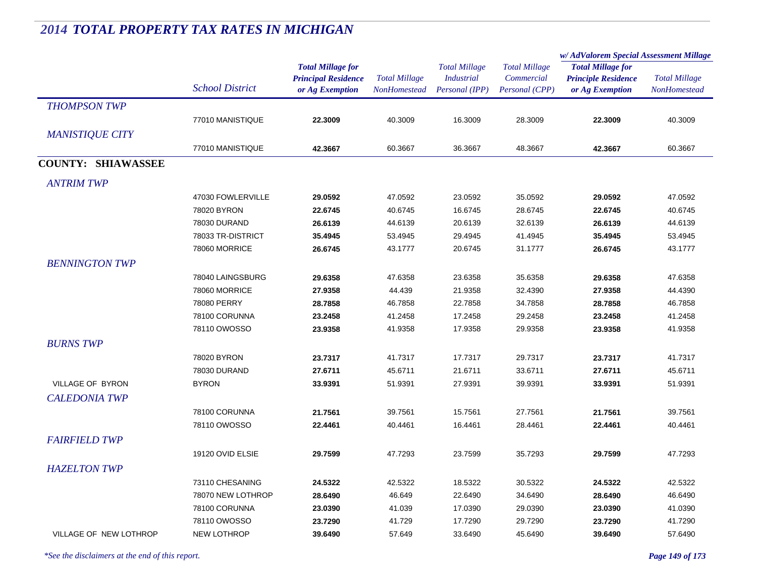|                           |                        |                                                                           |                                             |                                                             |                                                      | w/AdValorem Special Assessment Millage                                    |                                      |
|---------------------------|------------------------|---------------------------------------------------------------------------|---------------------------------------------|-------------------------------------------------------------|------------------------------------------------------|---------------------------------------------------------------------------|--------------------------------------|
|                           | <b>School District</b> | <b>Total Millage for</b><br><b>Principal Residence</b><br>or Ag Exemption | <b>Total Millage</b><br><b>NonHomestead</b> | <b>Total Millage</b><br><b>Industrial</b><br>Personal (IPP) | <b>Total Millage</b><br>Commercial<br>Personal (CPP) | <b>Total Millage for</b><br><b>Principle Residence</b><br>or Ag Exemption | <b>Total Millage</b><br>NonHomestead |
| <b>THOMPSON TWP</b>       |                        |                                                                           |                                             |                                                             |                                                      |                                                                           |                                      |
|                           | 77010 MANISTIQUE       | 22.3009                                                                   | 40.3009                                     | 16.3009                                                     | 28.3009                                              | 22.3009                                                                   | 40.3009                              |
| <b>MANISTIQUE CITY</b>    |                        |                                                                           |                                             |                                                             |                                                      |                                                                           |                                      |
|                           | 77010 MANISTIQUE       | 42.3667                                                                   | 60.3667                                     | 36.3667                                                     | 48.3667                                              | 42.3667                                                                   | 60.3667                              |
| <b>COUNTY: SHIAWASSEE</b> |                        |                                                                           |                                             |                                                             |                                                      |                                                                           |                                      |
| <b>ANTRIM TWP</b>         |                        |                                                                           |                                             |                                                             |                                                      |                                                                           |                                      |
|                           | 47030 FOWLERVILLE      | 29.0592                                                                   | 47.0592                                     | 23.0592                                                     | 35.0592                                              | 29.0592                                                                   | 47.0592                              |
|                           | 78020 BYRON            | 22.6745                                                                   | 40.6745                                     | 16.6745                                                     | 28.6745                                              | 22.6745                                                                   | 40.6745                              |
|                           | 78030 DURAND           | 26.6139                                                                   | 44.6139                                     | 20.6139                                                     | 32.6139                                              | 26.6139                                                                   | 44.6139                              |
|                           | 78033 TR-DISTRICT      | 35.4945                                                                   | 53.4945                                     | 29.4945                                                     | 41.4945                                              | 35.4945                                                                   | 53.4945                              |
|                           | 78060 MORRICE          | 26.6745                                                                   | 43.1777                                     | 20.6745                                                     | 31.1777                                              | 26.6745                                                                   | 43.1777                              |
| <b>BENNINGTON TWP</b>     |                        |                                                                           |                                             |                                                             |                                                      |                                                                           |                                      |
|                           | 78040 LAINGSBURG       | 29.6358                                                                   | 47.6358                                     | 23.6358                                                     | 35.6358                                              | 29.6358                                                                   | 47.6358                              |
|                           | 78060 MORRICE          | 27.9358                                                                   | 44.439                                      | 21.9358                                                     | 32.4390                                              | 27.9358                                                                   | 44.4390                              |
|                           | 78080 PERRY            | 28.7858                                                                   | 46.7858                                     | 22.7858                                                     | 34.7858                                              | 28.7858                                                                   | 46.7858                              |
|                           | 78100 CORUNNA          | 23.2458                                                                   | 41.2458                                     | 17.2458                                                     | 29.2458                                              | 23.2458                                                                   | 41.2458                              |
|                           | 78110 OWOSSO           | 23.9358                                                                   | 41.9358                                     | 17.9358                                                     | 29.9358                                              | 23.9358                                                                   | 41.9358                              |
| <b>BURNS TWP</b>          |                        |                                                                           |                                             |                                                             |                                                      |                                                                           |                                      |
|                           | 78020 BYRON            | 23.7317                                                                   | 41.7317                                     | 17.7317                                                     | 29.7317                                              | 23.7317                                                                   | 41.7317                              |
|                           | 78030 DURAND           | 27.6711                                                                   | 45.6711                                     | 21.6711                                                     | 33.6711                                              | 27.6711                                                                   | 45.6711                              |
| VILLAGE OF BYRON          | <b>BYRON</b>           | 33.9391                                                                   | 51.9391                                     | 27.9391                                                     | 39.9391                                              | 33.9391                                                                   | 51.9391                              |
| <b>CALEDONIA TWP</b>      |                        |                                                                           |                                             |                                                             |                                                      |                                                                           |                                      |
|                           | 78100 CORUNNA          | 21.7561                                                                   | 39.7561                                     | 15.7561                                                     | 27.7561                                              | 21.7561                                                                   | 39.7561                              |
|                           | 78110 OWOSSO           | 22.4461                                                                   | 40.4461                                     | 16.4461                                                     | 28.4461                                              | 22.4461                                                                   | 40.4461                              |
| <b>FAIRFIELD TWP</b>      |                        |                                                                           |                                             |                                                             |                                                      |                                                                           |                                      |
|                           | 19120 OVID ELSIE       | 29.7599                                                                   | 47.7293                                     | 23.7599                                                     | 35.7293                                              | 29.7599                                                                   | 47.7293                              |
| <b>HAZELTON TWP</b>       |                        |                                                                           |                                             |                                                             |                                                      |                                                                           |                                      |
|                           | 73110 CHESANING        | 24.5322                                                                   | 42.5322                                     | 18.5322                                                     | 30.5322                                              | 24.5322                                                                   | 42.5322                              |
|                           | 78070 NEW LOTHROP      | 28.6490                                                                   | 46.649                                      | 22.6490                                                     | 34.6490                                              | 28.6490                                                                   | 46.6490                              |
|                           | 78100 CORUNNA          | 23.0390                                                                   | 41.039                                      | 17.0390                                                     | 29.0390                                              | 23.0390                                                                   | 41.0390                              |
|                           | 78110 OWOSSO           | 23.7290                                                                   | 41.729                                      | 17.7290                                                     | 29.7290                                              | 23.7290                                                                   | 41.7290                              |
| VILLAGE OF NEW LOTHROP    | <b>NEW LOTHROP</b>     | 39.6490                                                                   | 57.649                                      | 33.6490                                                     | 45.6490                                              | 39.6490                                                                   | 57.6490                              |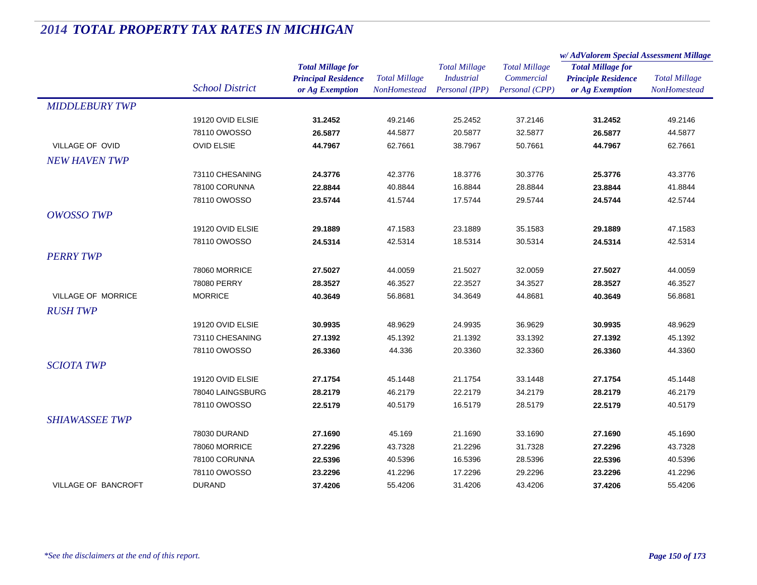|                            |                        |                            | <b>Total Millage</b> | <b>Total Millage</b> | <b>Total Millage</b> | w/AdValorem Special Assessment Millage                                    |                      |
|----------------------------|------------------------|----------------------------|----------------------|----------------------|----------------------|---------------------------------------------------------------------------|----------------------|
|                            |                        | <b>Total Millage for</b>   |                      |                      |                      | <b>Total Millage for</b><br><b>Principle Residence</b><br>or Ag Exemption | <b>Total Millage</b> |
|                            |                        | <b>Principal Residence</b> |                      | <b>Industrial</b>    | Commercial           |                                                                           |                      |
|                            | <b>School District</b> | or Ag Exemption            | <b>NonHomestead</b>  | Personal (IPP)       | Personal (CPP)       |                                                                           | <b>NonHomestead</b>  |
| <b>MIDDLEBURY TWP</b>      |                        |                            |                      |                      |                      |                                                                           |                      |
|                            | 19120 OVID ELSIE       | 31.2452                    | 49.2146              | 25.2452              | 37.2146              | 31.2452                                                                   | 49.2146              |
|                            | 78110 OWOSSO           | 26.5877                    | 44.5877              | 20.5877              | 32.5877              | 26.5877                                                                   | 44.5877              |
| <b>VILLAGE OF OVID</b>     | <b>OVID ELSIE</b>      | 44.7967                    | 62.7661              | 38.7967              | 50.7661              | 44.7967                                                                   | 62.7661              |
| <b>NEW HAVEN TWP</b>       |                        |                            |                      |                      |                      |                                                                           |                      |
|                            | 73110 CHESANING        | 24.3776                    | 42.3776              | 18.3776              | 30.3776              | 25.3776                                                                   | 43.3776              |
|                            | 78100 CORUNNA          | 22.8844                    | 40.8844              | 16.8844              | 28.8844              | 23.8844                                                                   | 41.8844              |
|                            | 78110 OWOSSO           | 23.5744                    | 41.5744              | 17.5744              | 29.5744              | 24.5744                                                                   | 42.5744              |
| <b>OWOSSO TWP</b>          |                        |                            |                      |                      |                      |                                                                           |                      |
|                            | 19120 OVID ELSIE       | 29.1889                    | 47.1583              | 23.1889              | 35.1583              | 29.1889                                                                   | 47.1583              |
|                            | 78110 OWOSSO           | 24.5314                    | 42.5314              | 18.5314              | 30.5314              | 24.5314                                                                   | 42.5314              |
| <b>PERRY TWP</b>           |                        |                            |                      |                      |                      |                                                                           |                      |
|                            | 78060 MORRICE          | 27.5027                    | 44.0059              | 21.5027              | 32.0059              | 27.5027                                                                   | 44.0059              |
|                            | 78080 PERRY            | 28.3527                    | 46.3527              | 22.3527              | 34.3527              | 28.3527                                                                   | 46.3527              |
| <b>VILLAGE OF MORRICE</b>  | <b>MORRICE</b>         | 40.3649                    | 56.8681              | 34.3649              | 44.8681              | 40.3649                                                                   | 56.8681              |
| <b>RUSH TWP</b>            |                        |                            |                      |                      |                      |                                                                           |                      |
|                            | 19120 OVID ELSIE       | 30.9935                    | 48.9629              | 24.9935              | 36.9629              |                                                                           | 48.9629              |
|                            | 73110 CHESANING        | 27.1392                    | 45.1392              | 21.1392              | 33.1392              | 30.9935<br>27.1392                                                        | 45.1392              |
|                            | 78110 OWOSSO           | 26.3360                    | 44.336               | 20.3360              | 32.3360              | 26.3360                                                                   | 44.3360              |
|                            |                        |                            |                      |                      |                      |                                                                           |                      |
| <b>SCIOTA TWP</b>          |                        |                            |                      |                      |                      |                                                                           |                      |
|                            | 19120 OVID ELSIE       | 27.1754                    | 45.1448              | 21.1754              | 33.1448              | 27.1754                                                                   | 45.1448              |
|                            | 78040 LAINGSBURG       | 28.2179                    | 46.2179              | 22.2179              | 34.2179              | 28.2179                                                                   | 46.2179              |
|                            | 78110 OWOSSO           | 22.5179                    | 40.5179              | 16.5179              | 28.5179              | 22.5179                                                                   | 40.5179              |
| <b>SHIAWASSEE TWP</b>      |                        |                            |                      |                      |                      |                                                                           |                      |
|                            | 78030 DURAND           | 27.1690                    | 45.169               | 21.1690              | 33.1690              | 27.1690                                                                   | 45.1690              |
|                            | 78060 MORRICE          | 27.2296                    | 43.7328              | 21.2296              | 31.7328              | 27.2296                                                                   | 43.7328              |
|                            | 78100 CORUNNA          | 22.5396                    | 40.5396              | 16.5396              | 28.5396              | 22.5396                                                                   | 40.5396              |
|                            | 78110 OWOSSO           | 23.2296                    | 41.2296              | 17.2296              | 29.2296              | 23.2296                                                                   | 41.2296              |
| <b>VILLAGE OF BANCROFT</b> | <b>DURAND</b>          | 37.4206                    | 55.4206              | 31.4206              | 43.4206              | 37.4206                                                                   | 55.4206              |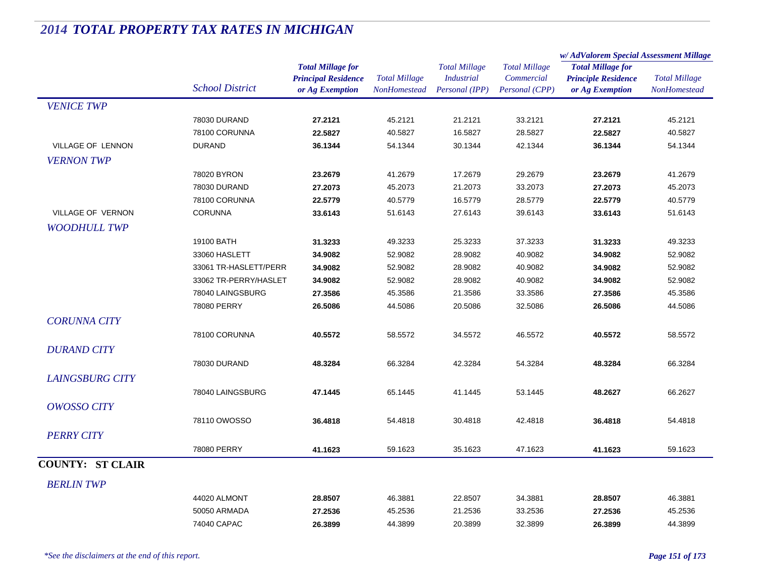|                         |                        |                                                                           |                                             |                                                             |                                                      | w/AdValorem Special Assessment Millage                                    |                                      |
|-------------------------|------------------------|---------------------------------------------------------------------------|---------------------------------------------|-------------------------------------------------------------|------------------------------------------------------|---------------------------------------------------------------------------|--------------------------------------|
|                         | <b>School District</b> | <b>Total Millage for</b><br><b>Principal Residence</b><br>or Ag Exemption | <b>Total Millage</b><br><b>NonHomestead</b> | <b>Total Millage</b><br><b>Industrial</b><br>Personal (IPP) | <b>Total Millage</b><br>Commercial<br>Personal (CPP) | <b>Total Millage for</b><br><b>Principle Residence</b><br>or Ag Exemption | <b>Total Millage</b><br>NonHomestead |
| <b>VENICE TWP</b>       |                        |                                                                           |                                             |                                                             |                                                      |                                                                           |                                      |
|                         | 78030 DURAND           | 27.2121                                                                   | 45.2121                                     | 21.2121                                                     | 33.2121                                              | 27.2121                                                                   | 45.2121                              |
|                         | 78100 CORUNNA          | 22.5827                                                                   | 40.5827                                     | 16.5827                                                     | 28.5827                                              | 22.5827                                                                   | 40.5827                              |
| VILLAGE OF LENNON       | <b>DURAND</b>          | 36.1344                                                                   | 54.1344                                     | 30.1344                                                     | 42.1344                                              | 36.1344                                                                   | 54.1344                              |
| <b>VERNON TWP</b>       |                        |                                                                           |                                             |                                                             |                                                      |                                                                           |                                      |
|                         | 78020 BYRON            | 23.2679                                                                   | 41.2679                                     | 17.2679                                                     | 29.2679                                              | 23.2679                                                                   | 41.2679                              |
|                         | 78030 DURAND           | 27.2073                                                                   | 45.2073                                     | 21.2073                                                     | 33.2073                                              | 27.2073                                                                   | 45.2073                              |
|                         | 78100 CORUNNA          | 22.5779                                                                   | 40.5779                                     | 16.5779                                                     | 28.5779                                              | 22.5779                                                                   | 40.5779                              |
| VILLAGE OF VERNON       | <b>CORUNNA</b>         | 33.6143                                                                   | 51.6143                                     | 27.6143                                                     | 39.6143                                              | 33.6143                                                                   | 51.6143                              |
| <b>WOODHULL TWP</b>     |                        |                                                                           |                                             |                                                             |                                                      |                                                                           |                                      |
|                         | 19100 BATH             | 31.3233                                                                   | 49.3233                                     | 25.3233                                                     | 37.3233                                              | 31.3233                                                                   | 49.3233                              |
|                         | 33060 HASLETT          | 34.9082                                                                   | 52.9082                                     | 28.9082                                                     | 40.9082                                              | 34.9082                                                                   | 52.9082                              |
|                         | 33061 TR-HASLETT/PERR  | 34.9082                                                                   | 52.9082                                     | 28.9082                                                     | 40.9082                                              | 34.9082                                                                   | 52.9082                              |
|                         | 33062 TR-PERRY/HASLET  | 34.9082                                                                   | 52.9082                                     | 28.9082                                                     | 40.9082                                              | 34.9082                                                                   | 52.9082                              |
|                         | 78040 LAINGSBURG       | 27.3586                                                                   | 45.3586                                     | 21.3586                                                     | 33.3586                                              | 27.3586                                                                   | 45.3586                              |
|                         | 78080 PERRY            | 26.5086                                                                   | 44.5086                                     | 20.5086                                                     | 32.5086                                              | 26.5086                                                                   | 44.5086                              |
| <b>CORUNNA CITY</b>     |                        |                                                                           |                                             |                                                             |                                                      |                                                                           |                                      |
|                         | 78100 CORUNNA          | 40.5572                                                                   | 58.5572                                     | 34.5572                                                     | 46.5572                                              | 40.5572                                                                   | 58.5572                              |
| <b>DURAND CITY</b>      |                        |                                                                           |                                             |                                                             |                                                      |                                                                           |                                      |
|                         | 78030 DURAND           | 48.3284                                                                   | 66.3284                                     | 42.3284                                                     | 54.3284                                              | 48.3284                                                                   | 66.3284                              |
| <b>LAINGSBURG CITY</b>  |                        |                                                                           |                                             |                                                             |                                                      |                                                                           |                                      |
|                         |                        |                                                                           | 65.1445                                     |                                                             | 53.1445                                              |                                                                           |                                      |
|                         | 78040 LAINGSBURG       | 47.1445                                                                   |                                             | 41.1445                                                     |                                                      | 48.2627                                                                   | 66.2627                              |
| <b>OWOSSO CITY</b>      |                        |                                                                           |                                             |                                                             |                                                      |                                                                           |                                      |
|                         | 78110 OWOSSO           | 36.4818                                                                   | 54.4818                                     | 30.4818                                                     | 42.4818                                              | 36.4818                                                                   | 54.4818                              |
| <b>PERRY CITY</b>       |                        |                                                                           |                                             |                                                             |                                                      |                                                                           |                                      |
|                         | 78080 PERRY            | 41.1623                                                                   | 59.1623                                     | 35.1623                                                     | 47.1623                                              | 41.1623                                                                   | 59.1623                              |
| <b>COUNTY: ST CLAIR</b> |                        |                                                                           |                                             |                                                             |                                                      |                                                                           |                                      |
| <b>BERLIN TWP</b>       |                        |                                                                           |                                             |                                                             |                                                      |                                                                           |                                      |
|                         | 44020 ALMONT           | 28.8507                                                                   | 46.3881                                     | 22.8507                                                     | 34.3881                                              | 28.8507                                                                   | 46.3881                              |
|                         | 50050 ARMADA           | 27.2536                                                                   | 45.2536                                     | 21.2536                                                     | 33.2536                                              | 27.2536                                                                   | 45.2536                              |
|                         | 74040 CAPAC            | 26.3899                                                                   | 44.3899                                     | 20.3899                                                     | 32.3899                                              | 26.3899                                                                   | 44.3899                              |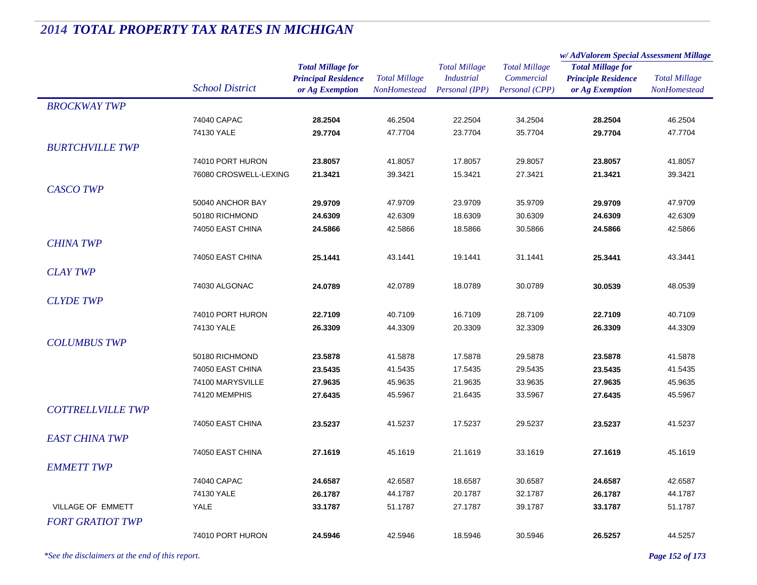|                          |                                    |                            | <b>Total Millage</b><br>NonHomestead | <b>Total Millage</b><br><b>Industrial</b> | <b>Total Millage</b> | w/AdValorem Special Assessment Millage        |                      |
|--------------------------|------------------------------------|----------------------------|--------------------------------------|-------------------------------------------|----------------------|-----------------------------------------------|----------------------|
|                          |                                    | <b>Total Millage for</b>   |                                      |                                           |                      | <b>Total Millage for</b>                      | <b>Total Millage</b> |
|                          | <b>School District</b>             | <b>Principal Residence</b> |                                      |                                           | Commercial           | <b>Principle Residence</b><br>or Ag Exemption |                      |
|                          |                                    | or Ag Exemption            |                                      | Personal (IPP)                            | Personal (CPP)       |                                               | NonHomestead         |
| <b>BROCKWAY TWP</b>      |                                    |                            |                                      |                                           |                      |                                               |                      |
|                          | 74040 CAPAC                        | 28.2504                    | 46.2504                              | 22.2504                                   | 34.2504              | 28.2504                                       | 46.2504              |
|                          | 74130 YALE                         | 29.7704                    | 47.7704                              | 23.7704                                   | 35.7704              | 29.7704                                       | 47.7704              |
| <b>BURTCHVILLE TWP</b>   |                                    |                            |                                      |                                           |                      |                                               |                      |
|                          | 74010 PORT HURON                   | 23.8057                    | 41.8057                              | 17.8057                                   | 29.8057              | 23.8057                                       | 41.8057              |
|                          | 76080 CROSWELL-LEXING              | 21.3421                    | 39.3421                              | 15.3421                                   | 27.3421              | 21.3421                                       | 39.3421              |
| <b>CASCO TWP</b>         |                                    |                            |                                      |                                           |                      |                                               |                      |
|                          | 50040 ANCHOR BAY                   | 29.9709                    | 47.9709                              | 23.9709                                   | 35.9709              | 29.9709                                       | 47.9709              |
|                          | 50180 RICHMOND                     | 24.6309                    | 42.6309                              | 18.6309                                   | 30.6309              | 24.6309                                       | 42.6309              |
|                          | 74050 EAST CHINA                   | 24.5866                    | 42.5866                              | 18.5866                                   | 30.5866              | 24.5866                                       | 42.5866              |
| <b>CHINA TWP</b>         |                                    |                            |                                      |                                           |                      |                                               |                      |
|                          | 74050 EAST CHINA                   | 25.1441                    | 43.1441                              | 19.1441                                   | 31.1441              | 25.3441                                       | 43.3441              |
| <b>CLAY TWP</b>          |                                    |                            |                                      |                                           |                      |                                               |                      |
|                          | 74030 ALGONAC                      | 24.0789                    | 42.0789                              | 18.0789                                   | 30.0789              | 30.0539                                       | 48.0539              |
| <b>CLYDE TWP</b>         |                                    |                            |                                      |                                           |                      |                                               |                      |
|                          | 74010 PORT HURON                   | 22.7109                    | 40.7109                              | 16.7109                                   | 28.7109              | 22.7109                                       | 40.7109              |
|                          | 74130 YALE                         | 26.3309                    | 44.3309                              | 20.3309                                   | 32.3309              | 26.3309                                       | 44.3309              |
| <b>COLUMBUS TWP</b>      |                                    |                            |                                      |                                           |                      |                                               |                      |
|                          |                                    |                            |                                      |                                           |                      |                                               |                      |
|                          | 50180 RICHMOND<br>74050 EAST CHINA | 23.5878<br>23.5435         | 41.5878<br>41.5435                   | 17.5878<br>17.5435                        | 29.5878<br>29.5435   | 23.5878<br>23.5435                            | 41.5878<br>41.5435   |
|                          | 74100 MARYSVILLE                   | 27.9635                    | 45.9635                              | 21.9635                                   | 33.9635              | 27.9635                                       | 45.9635              |
|                          | 74120 MEMPHIS                      | 27.6435                    | 45.5967                              | 21.6435                                   | 33.5967              | 27.6435                                       | 45.5967              |
| <b>COTTRELLVILLE TWP</b> |                                    |                            |                                      |                                           |                      |                                               |                      |
|                          | 74050 EAST CHINA                   |                            |                                      |                                           |                      | 23.5237                                       |                      |
|                          |                                    | 23.5237                    | 41.5237                              | 17.5237                                   | 29.5237              |                                               | 41.5237              |
| <b>EAST CHINA TWP</b>    |                                    |                            |                                      |                                           |                      |                                               |                      |
|                          | 74050 EAST CHINA                   | 27.1619                    | 45.1619                              | 21.1619                                   | 33.1619              | 27.1619                                       | 45.1619              |
| <b>EMMETT TWP</b>        |                                    |                            |                                      |                                           |                      |                                               |                      |
|                          | 74040 CAPAC                        | 24.6587                    | 42.6587                              | 18.6587                                   | 30.6587              | 24.6587                                       | 42.6587              |
|                          | 74130 YALE                         | 26.1787                    | 44.1787                              | 20.1787                                   | 32.1787              | 26.1787                                       | 44.1787              |
| VILLAGE OF EMMETT        | <b>YALE</b>                        | 33.1787                    | 51.1787                              | 27.1787                                   | 39.1787              | 33.1787                                       | 51.1787              |
| <b>FORT GRATIOT TWP</b>  |                                    |                            |                                      |                                           |                      |                                               |                      |
|                          | 74010 PORT HURON                   | 24.5946                    | 42.5946                              | 18.5946                                   | 30.5946              | 26.5257                                       | 44.5257              |
|                          |                                    |                            |                                      |                                           |                      |                                               |                      |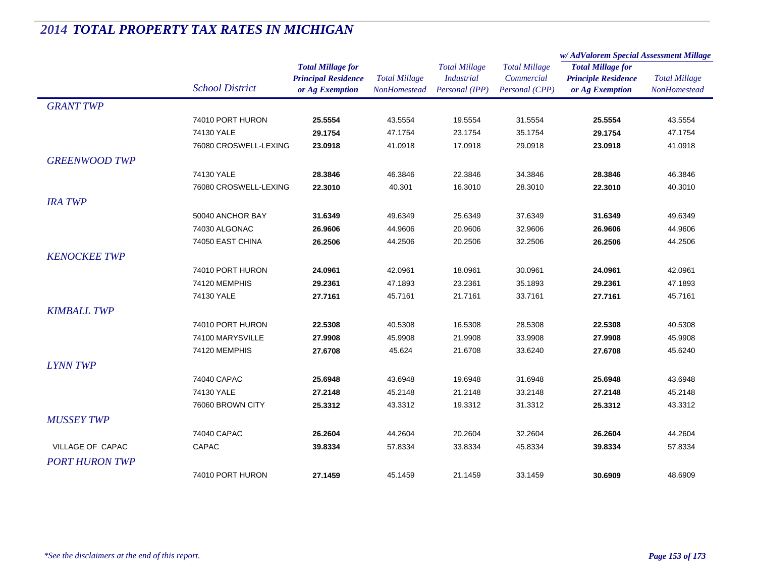|                       |                        |                                                                           |                                             |                                                             |                                                      | w/AdValorem Special Assessment Millage                                    |                                      |
|-----------------------|------------------------|---------------------------------------------------------------------------|---------------------------------------------|-------------------------------------------------------------|------------------------------------------------------|---------------------------------------------------------------------------|--------------------------------------|
|                       | <b>School District</b> | <b>Total Millage for</b><br><b>Principal Residence</b><br>or Ag Exemption | <b>Total Millage</b><br><b>NonHomestead</b> | <b>Total Millage</b><br><b>Industrial</b><br>Personal (IPP) | <b>Total Millage</b><br>Commercial<br>Personal (CPP) | <b>Total Millage for</b><br><b>Principle Residence</b><br>or Ag Exemption | <b>Total Millage</b><br>NonHomestead |
| <b>GRANT TWP</b>      |                        |                                                                           |                                             |                                                             |                                                      |                                                                           |                                      |
|                       | 74010 PORT HURON       | 25.5554                                                                   | 43.5554                                     | 19.5554                                                     | 31.5554                                              | 25.5554                                                                   | 43.5554                              |
|                       | 74130 YALE             | 29.1754                                                                   | 47.1754                                     | 23.1754                                                     | 35.1754                                              | 29.1754                                                                   | 47.1754                              |
|                       | 76080 CROSWELL-LEXING  | 23.0918                                                                   | 41.0918                                     | 17.0918                                                     | 29.0918                                              | 23.0918                                                                   | 41.0918                              |
| <b>GREENWOOD TWP</b>  |                        |                                                                           |                                             |                                                             |                                                      |                                                                           |                                      |
|                       | 74130 YALE             | 28.3846                                                                   | 46.3846                                     | 22.3846                                                     | 34.3846                                              | 28.3846                                                                   | 46.3846                              |
|                       | 76080 CROSWELL-LEXING  | 22.3010                                                                   | 40.301                                      | 16.3010                                                     | 28.3010                                              | 22.3010                                                                   | 40.3010                              |
| <b>IRA TWP</b>        |                        |                                                                           |                                             |                                                             |                                                      |                                                                           |                                      |
|                       | 50040 ANCHOR BAY       | 31.6349                                                                   | 49.6349                                     | 25.6349                                                     | 37.6349                                              | 31.6349                                                                   | 49.6349                              |
|                       | 74030 ALGONAC          | 26.9606                                                                   | 44.9606                                     | 20.9606                                                     | 32.9606                                              | 26.9606                                                                   | 44.9606                              |
|                       | 74050 EAST CHINA       | 26.2506                                                                   | 44.2506                                     | 20.2506                                                     | 32.2506                                              | 26.2506                                                                   | 44.2506                              |
| <b>KENOCKEE TWP</b>   |                        |                                                                           |                                             |                                                             |                                                      |                                                                           |                                      |
|                       | 74010 PORT HURON       | 24.0961                                                                   | 42.0961                                     | 18.0961                                                     | 30.0961                                              | 24.0961                                                                   | 42.0961                              |
|                       | 74120 MEMPHIS          | 29.2361                                                                   | 47.1893                                     | 23.2361                                                     | 35.1893                                              | 29.2361                                                                   | 47.1893                              |
|                       | 74130 YALE             | 27.7161                                                                   | 45.7161                                     | 21.7161                                                     | 33.7161                                              | 27.7161                                                                   | 45.7161                              |
| <b>KIMBALL TWP</b>    |                        |                                                                           |                                             |                                                             |                                                      |                                                                           |                                      |
|                       | 74010 PORT HURON       | 22.5308                                                                   | 40.5308                                     | 16.5308                                                     | 28.5308                                              | 22.5308                                                                   | 40.5308                              |
|                       | 74100 MARYSVILLE       | 27.9908                                                                   | 45.9908                                     | 21.9908                                                     | 33.9908                                              | 27.9908                                                                   | 45.9908                              |
|                       | 74120 MEMPHIS          | 27.6708                                                                   | 45.624                                      | 21.6708                                                     | 33.6240                                              | 27.6708                                                                   | 45.6240                              |
| <b>LYNN TWP</b>       |                        |                                                                           |                                             |                                                             |                                                      |                                                                           |                                      |
|                       | 74040 CAPAC            | 25.6948                                                                   | 43.6948                                     | 19.6948                                                     | 31.6948                                              | 25.6948                                                                   | 43.6948                              |
|                       | 74130 YALE             | 27.2148                                                                   | 45.2148                                     | 21.2148                                                     | 33.2148                                              | 27.2148                                                                   | 45.2148                              |
|                       | 76060 BROWN CITY       | 25.3312                                                                   | 43.3312                                     | 19.3312                                                     | 31.3312                                              | 25.3312                                                                   | 43.3312                              |
| <b>MUSSEY TWP</b>     |                        |                                                                           |                                             |                                                             |                                                      |                                                                           |                                      |
|                       | 74040 CAPAC            | 26.2604                                                                   | 44.2604                                     | 20.2604                                                     | 32.2604                                              | 26.2604                                                                   | 44.2604                              |
| VILLAGE OF CAPAC      | <b>CAPAC</b>           | 39.8334                                                                   | 57.8334                                     | 33.8334                                                     | 45.8334                                              | 39.8334                                                                   | 57.8334                              |
| <b>PORT HURON TWP</b> |                        |                                                                           |                                             |                                                             |                                                      |                                                                           |                                      |
|                       | 74010 PORT HURON       | 27.1459                                                                   | 45.1459                                     | 21.1459                                                     | 33.1459                                              | 30.6909                                                                   | 48.6909                              |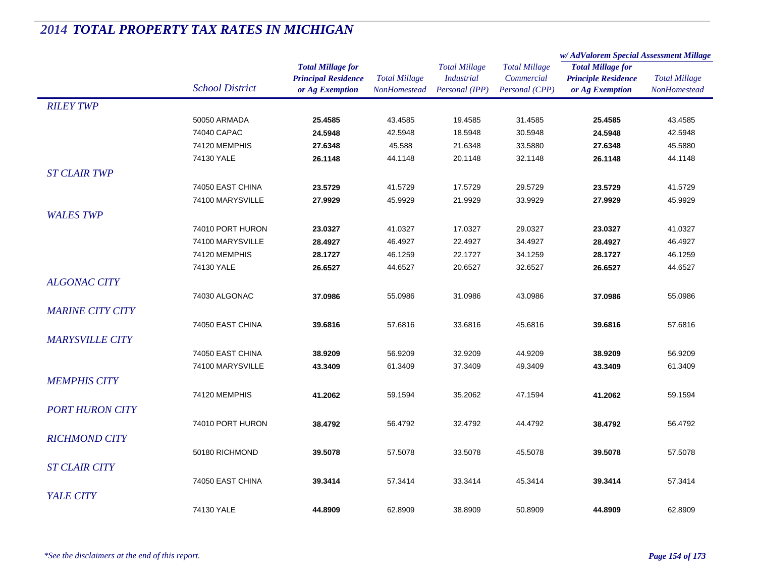|                         |                        |                            |                      | <b>Total Millage</b> | <b>Total Millage</b> | w/AdValorem Special Assessment Millage |                      |  |
|-------------------------|------------------------|----------------------------|----------------------|----------------------|----------------------|----------------------------------------|----------------------|--|
|                         |                        | <b>Total Millage for</b>   |                      |                      |                      | <b>Total Millage for</b>               |                      |  |
|                         |                        | <b>Principal Residence</b> | <b>Total Millage</b> | <b>Industrial</b>    | Commercial           | <b>Principle Residence</b>             | <b>Total Millage</b> |  |
|                         | <b>School District</b> | or Ag Exemption            | <b>NonHomestead</b>  | Personal (IPP)       | Personal (CPP)       | or Ag Exemption                        | NonHomestead         |  |
| <b>RILEY TWP</b>        |                        |                            |                      |                      |                      |                                        |                      |  |
|                         | 50050 ARMADA           | 25.4585                    | 43.4585              | 19.4585              | 31.4585              | 25.4585                                | 43.4585              |  |
|                         | 74040 CAPAC            | 24.5948                    | 42.5948              | 18.5948              | 30.5948              | 24.5948                                | 42.5948              |  |
|                         | 74120 MEMPHIS          | 27.6348                    | 45.588               | 21.6348              | 33.5880              | 27.6348                                | 45.5880              |  |
|                         | 74130 YALE             | 26.1148                    | 44.1148              | 20.1148              | 32.1148              | 26.1148                                | 44.1148              |  |
| <b>ST CLAIR TWP</b>     |                        |                            |                      |                      |                      |                                        |                      |  |
|                         | 74050 EAST CHINA       | 23.5729                    | 41.5729              | 17.5729              | 29.5729              | 23.5729                                | 41.5729              |  |
|                         | 74100 MARYSVILLE       | 27.9929                    | 45.9929              | 21.9929              | 33.9929              | 27.9929                                | 45.9929              |  |
| <b>WALES TWP</b>        |                        |                            |                      |                      |                      |                                        |                      |  |
|                         | 74010 PORT HURON       | 23.0327                    | 41.0327              | 17.0327              | 29.0327              | 23.0327                                | 41.0327              |  |
|                         | 74100 MARYSVILLE       | 28.4927                    | 46.4927              | 22.4927              | 34.4927              | 28.4927                                | 46.4927              |  |
|                         | 74120 MEMPHIS          | 28.1727                    | 46.1259              | 22.1727              | 34.1259              | 28.1727                                | 46.1259              |  |
|                         | 74130 YALE             | 26.6527                    | 44.6527              | 20.6527              | 32.6527              | 26.6527                                | 44.6527              |  |
| <b>ALGONAC CITY</b>     |                        |                            |                      |                      |                      |                                        |                      |  |
|                         | 74030 ALGONAC          | 37.0986                    | 55.0986              | 31.0986              | 43.0986              | 37.0986                                | 55.0986              |  |
| <b>MARINE CITY CITY</b> |                        |                            |                      |                      |                      |                                        |                      |  |
|                         | 74050 EAST CHINA       | 39.6816                    | 57.6816              | 33.6816              | 45.6816              | 39.6816                                | 57.6816              |  |
|                         |                        |                            |                      |                      |                      |                                        |                      |  |
| <b>MARYSVILLE CITY</b>  |                        |                            |                      |                      |                      |                                        |                      |  |
|                         | 74050 EAST CHINA       | 38.9209                    | 56.9209              | 32.9209              | 44.9209              | 38.9209                                | 56.9209              |  |
|                         | 74100 MARYSVILLE       | 43.3409                    | 61.3409              | 37.3409              | 49.3409              | 43.3409                                | 61.3409              |  |
| <b>MEMPHIS CITY</b>     |                        |                            |                      |                      |                      |                                        |                      |  |
|                         | 74120 MEMPHIS          | 41.2062                    | 59.1594              | 35.2062              | 47.1594              | 41.2062                                | 59.1594              |  |
| <b>PORT HURON CITY</b>  |                        |                            |                      |                      |                      |                                        |                      |  |
|                         | 74010 PORT HURON       | 38.4792                    | 56.4792              | 32.4792              | 44.4792              | 38.4792                                | 56.4792              |  |
| <b>RICHMOND CITY</b>    |                        |                            |                      |                      |                      |                                        |                      |  |
|                         | 50180 RICHMOND         | 39.5078                    | 57.5078              | 33.5078              | 45.5078              | 39.5078                                | 57.5078              |  |
| <b>ST CLAIR CITY</b>    |                        |                            |                      |                      |                      |                                        |                      |  |
|                         | 74050 EAST CHINA       | 39.3414                    | 57.3414              | 33.3414              | 45.3414              | 39.3414                                | 57.3414              |  |
| YALE CITY               |                        |                            |                      |                      |                      |                                        |                      |  |
|                         | 74130 YALE             |                            |                      |                      |                      |                                        |                      |  |
|                         |                        | 44.8909                    | 62.8909              | 38.8909              | 50.8909              | 44.8909                                | 62.8909              |  |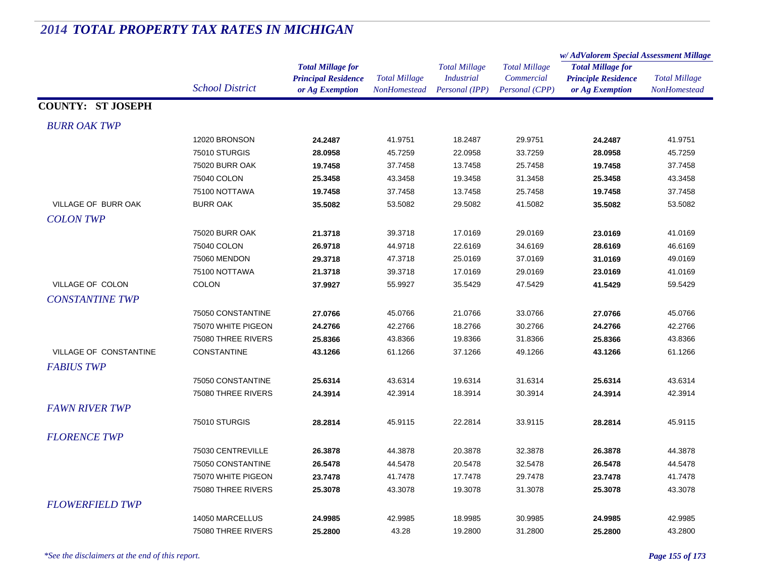|                          |                        |                                                                           |                                             |                                                             |                                                      | w/AdValorem Special Assessment Millage                                    |                                      |
|--------------------------|------------------------|---------------------------------------------------------------------------|---------------------------------------------|-------------------------------------------------------------|------------------------------------------------------|---------------------------------------------------------------------------|--------------------------------------|
|                          | <b>School District</b> | <b>Total Millage for</b><br><b>Principal Residence</b><br>or Ag Exemption | <b>Total Millage</b><br><b>NonHomestead</b> | <b>Total Millage</b><br><b>Industrial</b><br>Personal (IPP) | <b>Total Millage</b><br>Commercial<br>Personal (CPP) | <b>Total Millage for</b><br><b>Principle Residence</b><br>or Ag Exemption | <b>Total Millage</b><br>NonHomestead |
| <b>COUNTY: ST JOSEPH</b> |                        |                                                                           |                                             |                                                             |                                                      |                                                                           |                                      |
| <b>BURR OAK TWP</b>      |                        |                                                                           |                                             |                                                             |                                                      |                                                                           |                                      |
|                          | 12020 BRONSON          | 24.2487                                                                   | 41.9751                                     | 18.2487                                                     | 29.9751                                              | 24.2487                                                                   | 41.9751                              |
|                          | 75010 STURGIS          | 28.0958                                                                   | 45.7259                                     | 22.0958                                                     | 33.7259                                              | 28.0958                                                                   | 45.7259                              |
|                          | <b>75020 BURR OAK</b>  | 19.7458                                                                   | 37.7458                                     | 13.7458                                                     | 25.7458                                              | 19.7458                                                                   | 37.7458                              |
|                          | 75040 COLON            | 25.3458                                                                   | 43.3458                                     | 19.3458                                                     | 31.3458                                              | 25.3458                                                                   | 43.3458                              |
|                          | 75100 NOTTAWA          | 19.7458                                                                   | 37.7458                                     | 13.7458                                                     | 25.7458                                              | 19.7458                                                                   | 37.7458                              |
| VILLAGE OF BURR OAK      | <b>BURR OAK</b>        | 35.5082                                                                   | 53.5082                                     | 29.5082                                                     | 41.5082                                              | 35.5082                                                                   | 53.5082                              |
| <b>COLON TWP</b>         |                        |                                                                           |                                             |                                                             |                                                      |                                                                           |                                      |
|                          | <b>75020 BURR OAK</b>  | 21.3718                                                                   | 39.3718                                     | 17.0169                                                     | 29.0169                                              | 23.0169                                                                   | 41.0169                              |
|                          | 75040 COLON            | 26.9718                                                                   | 44.9718                                     | 22.6169                                                     | 34.6169                                              | 28.6169                                                                   | 46.6169                              |
|                          | 75060 MENDON           | 29.3718                                                                   | 47.3718                                     | 25.0169                                                     | 37.0169                                              | 31.0169                                                                   | 49.0169                              |
|                          | 75100 NOTTAWA          | 21.3718                                                                   | 39.3718                                     | 17.0169                                                     | 29.0169                                              | 23.0169                                                                   | 41.0169                              |
| VILLAGE OF COLON         | <b>COLON</b>           | 37.9927                                                                   | 55.9927                                     | 35.5429                                                     | 47.5429                                              | 41.5429                                                                   | 59.5429                              |
| <b>CONSTANTINE TWP</b>   |                        |                                                                           |                                             |                                                             |                                                      |                                                                           |                                      |
|                          | 75050 CONSTANTINE      | 27.0766                                                                   | 45.0766                                     | 21.0766                                                     | 33.0766                                              | 27.0766                                                                   | 45.0766                              |
|                          | 75070 WHITE PIGEON     | 24.2766                                                                   | 42.2766                                     | 18.2766                                                     | 30.2766                                              | 24.2766                                                                   | 42.2766                              |
|                          | 75080 THREE RIVERS     | 25.8366                                                                   | 43.8366                                     | 19.8366                                                     | 31.8366                                              | 25.8366                                                                   | 43.8366                              |
| VILLAGE OF CONSTANTINE   | <b>CONSTANTINE</b>     | 43.1266                                                                   | 61.1266                                     | 37.1266                                                     | 49.1266                                              | 43.1266                                                                   | 61.1266                              |
| <b>FABIUS TWP</b>        |                        |                                                                           |                                             |                                                             |                                                      |                                                                           |                                      |
|                          | 75050 CONSTANTINE      | 25.6314                                                                   | 43.6314                                     | 19.6314                                                     | 31.6314                                              | 25.6314                                                                   | 43.6314                              |
|                          | 75080 THREE RIVERS     | 24.3914                                                                   | 42.3914                                     | 18.3914                                                     | 30.3914                                              | 24.3914                                                                   | 42.3914                              |
| <b>FAWN RIVER TWP</b>    |                        |                                                                           |                                             |                                                             |                                                      |                                                                           |                                      |
|                          |                        |                                                                           |                                             |                                                             |                                                      |                                                                           |                                      |
|                          | 75010 STURGIS          | 28.2814                                                                   | 45.9115                                     | 22.2814                                                     | 33.9115                                              | 28.2814                                                                   | 45.9115                              |
| <b>FLORENCE TWP</b>      |                        |                                                                           |                                             |                                                             |                                                      |                                                                           |                                      |
|                          | 75030 CENTREVILLE      | 26.3878                                                                   | 44.3878                                     | 20.3878                                                     | 32.3878                                              | 26.3878                                                                   | 44.3878                              |
|                          | 75050 CONSTANTINE      | 26.5478                                                                   | 44.5478                                     | 20.5478                                                     | 32.5478                                              | 26.5478                                                                   | 44.5478                              |
|                          | 75070 WHITE PIGEON     | 23.7478                                                                   | 41.7478                                     | 17.7478                                                     | 29.7478                                              | 23.7478                                                                   | 41.7478                              |
|                          | 75080 THREE RIVERS     | 25.3078                                                                   | 43.3078                                     | 19.3078                                                     | 31.3078                                              | 25.3078                                                                   | 43.3078                              |
| <b>FLOWERFIELD TWP</b>   |                        |                                                                           |                                             |                                                             |                                                      |                                                                           |                                      |
|                          | 14050 MARCELLUS        | 24.9985                                                                   | 42.9985                                     | 18.9985                                                     | 30.9985                                              | 24.9985                                                                   | 42.9985                              |
|                          | 75080 THREE RIVERS     | 25.2800                                                                   | 43.28                                       | 19.2800                                                     | 31.2800                                              | 25.2800                                                                   | 43.2800                              |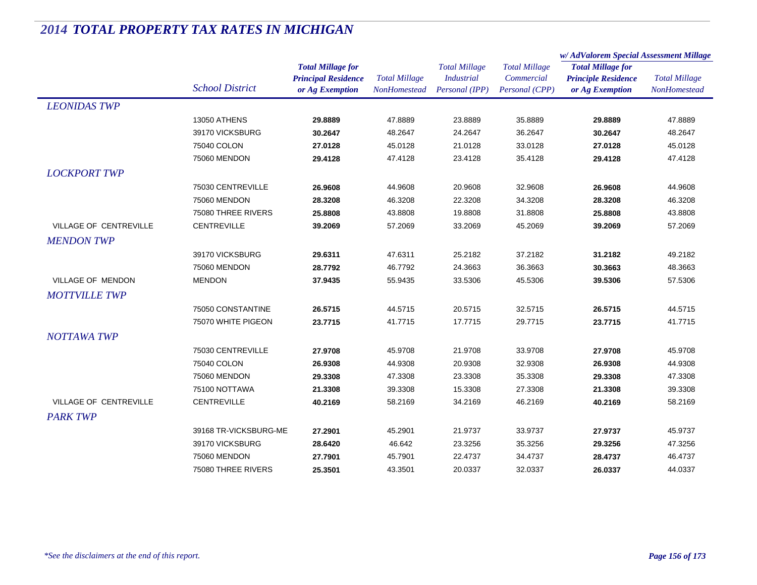|                        |                        |                                                                           |                                             |                                                             |                                                      | w/AdValorem Special Assessment Millage                                    |                                      |
|------------------------|------------------------|---------------------------------------------------------------------------|---------------------------------------------|-------------------------------------------------------------|------------------------------------------------------|---------------------------------------------------------------------------|--------------------------------------|
|                        | <b>School District</b> | <b>Total Millage for</b><br><b>Principal Residence</b><br>or Ag Exemption | <b>Total Millage</b><br><b>NonHomestead</b> | <b>Total Millage</b><br><b>Industrial</b><br>Personal (IPP) | <b>Total Millage</b><br>Commercial<br>Personal (CPP) | <b>Total Millage for</b><br><b>Principle Residence</b><br>or Ag Exemption | <b>Total Millage</b><br>NonHomestead |
| <b>LEONIDAS TWP</b>    |                        |                                                                           |                                             |                                                             |                                                      |                                                                           |                                      |
|                        | <b>13050 ATHENS</b>    | 29.8889                                                                   | 47.8889                                     | 23.8889                                                     | 35.8889                                              | 29.8889                                                                   | 47.8889                              |
|                        | 39170 VICKSBURG        | 30.2647                                                                   | 48.2647                                     | 24.2647                                                     | 36.2647                                              | 30.2647                                                                   | 48.2647                              |
|                        | 75040 COLON            | 27.0128                                                                   | 45.0128                                     | 21.0128                                                     | 33.0128                                              | 27.0128                                                                   | 45.0128                              |
|                        | 75060 MENDON           | 29.4128                                                                   | 47.4128                                     | 23.4128                                                     | 35.4128                                              | 29.4128                                                                   | 47.4128                              |
| <b>LOCKPORT TWP</b>    |                        |                                                                           |                                             |                                                             |                                                      |                                                                           |                                      |
|                        | 75030 CENTREVILLE      | 26.9608                                                                   | 44.9608                                     | 20.9608                                                     | 32.9608                                              | 26.9608                                                                   | 44.9608                              |
|                        | 75060 MENDON           | 28.3208                                                                   | 46.3208                                     | 22.3208                                                     | 34.3208                                              | 28.3208                                                                   | 46.3208                              |
|                        | 75080 THREE RIVERS     | 25.8808                                                                   | 43.8808                                     | 19.8808                                                     | 31.8808                                              | 25.8808                                                                   | 43.8808                              |
| VILLAGE OF CENTREVILLE | <b>CENTREVILLE</b>     | 39.2069                                                                   | 57.2069                                     | 33.2069                                                     | 45.2069                                              | 39.2069                                                                   | 57.2069                              |
| <b>MENDON TWP</b>      |                        |                                                                           |                                             |                                                             |                                                      |                                                                           |                                      |
|                        | 39170 VICKSBURG        | 29.6311                                                                   | 47.6311                                     | 25.2182                                                     | 37.2182                                              | 31.2182                                                                   | 49.2182                              |
|                        | 75060 MENDON           | 28.7792                                                                   | 46.7792                                     | 24.3663                                                     | 36.3663                                              | 30.3663                                                                   | 48.3663                              |
| VILLAGE OF MENDON      | <b>MENDON</b>          | 37.9435                                                                   | 55.9435                                     | 33.5306                                                     | 45.5306                                              | 39.5306                                                                   | 57.5306                              |
| <b>MOTTVILLE TWP</b>   |                        |                                                                           |                                             |                                                             |                                                      |                                                                           |                                      |
|                        | 75050 CONSTANTINE      | 26.5715                                                                   | 44.5715                                     | 20.5715                                                     | 32.5715                                              | 26.5715                                                                   | 44.5715                              |
|                        | 75070 WHITE PIGEON     | 23.7715                                                                   | 41.7715                                     | 17.7715                                                     | 29.7715                                              | 23.7715                                                                   | 41.7715                              |
| <b>NOTTAWA TWP</b>     |                        |                                                                           |                                             |                                                             |                                                      |                                                                           |                                      |
|                        | 75030 CENTREVILLE      | 27.9708                                                                   | 45.9708                                     | 21.9708                                                     | 33.9708                                              | 27.9708                                                                   | 45.9708                              |
|                        | 75040 COLON            | 26.9308                                                                   | 44.9308                                     | 20.9308                                                     | 32.9308                                              | 26.9308                                                                   | 44.9308                              |
|                        | 75060 MENDON           | 29.3308                                                                   | 47.3308                                     | 23.3308                                                     | 35.3308                                              | 29.3308                                                                   | 47.3308                              |
|                        | 75100 NOTTAWA          | 21.3308                                                                   | 39.3308                                     | 15.3308                                                     | 27.3308                                              | 21.3308                                                                   | 39.3308                              |
| VILLAGE OF CENTREVILLE | <b>CENTREVILLE</b>     | 40.2169                                                                   | 58.2169                                     | 34.2169                                                     | 46.2169                                              | 40.2169                                                                   | 58.2169                              |
| <b>PARK TWP</b>        |                        |                                                                           |                                             |                                                             |                                                      |                                                                           |                                      |
|                        | 39168 TR-VICKSBURG-ME  | 27.2901                                                                   | 45.2901                                     | 21.9737                                                     | 33.9737                                              | 27.9737                                                                   | 45.9737                              |
|                        | 39170 VICKSBURG        | 28.6420                                                                   | 46.642                                      | 23.3256                                                     | 35.3256                                              | 29.3256                                                                   | 47.3256                              |
|                        | 75060 MENDON           | 27.7901                                                                   | 45.7901                                     | 22.4737                                                     | 34.4737                                              | 28.4737                                                                   | 46.4737                              |
|                        | 75080 THREE RIVERS     | 25.3501                                                                   | 43.3501                                     | 20.0337                                                     | 32.0337                                              | 26.0337                                                                   | 44.0337                              |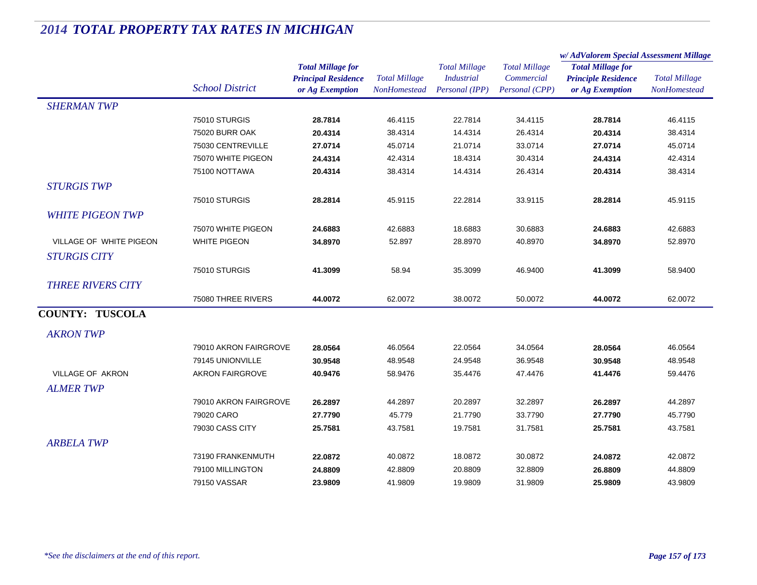|                          |                                           |                                                                           |                                             |                                                             |                                                      | w/AdValorem Special Assessment Millage                                    |                                             |
|--------------------------|-------------------------------------------|---------------------------------------------------------------------------|---------------------------------------------|-------------------------------------------------------------|------------------------------------------------------|---------------------------------------------------------------------------|---------------------------------------------|
|                          | <b>School District</b>                    | <b>Total Millage for</b><br><b>Principal Residence</b><br>or Ag Exemption | <b>Total Millage</b><br><b>NonHomestead</b> | <b>Total Millage</b><br><b>Industrial</b><br>Personal (IPP) | <b>Total Millage</b><br>Commercial<br>Personal (CPP) | <b>Total Millage for</b><br><b>Principle Residence</b><br>or Ag Exemption | <b>Total Millage</b><br><b>NonHomestead</b> |
| <b>SHERMAN TWP</b>       |                                           |                                                                           |                                             |                                                             |                                                      |                                                                           |                                             |
|                          | 75010 STURGIS                             | 28.7814                                                                   | 46.4115                                     | 22.7814                                                     | 34.4115                                              | 28.7814                                                                   | 46.4115                                     |
|                          | <b>75020 BURR OAK</b>                     | 20.4314                                                                   | 38.4314                                     | 14.4314                                                     | 26.4314                                              | 20.4314                                                                   | 38.4314                                     |
|                          | 75030 CENTREVILLE                         | 27.0714                                                                   | 45.0714                                     | 21.0714                                                     | 33.0714                                              | 27.0714                                                                   | 45.0714                                     |
|                          | 75070 WHITE PIGEON                        | 24.4314                                                                   | 42.4314                                     | 18.4314                                                     | 30.4314                                              | 24.4314                                                                   | 42.4314                                     |
|                          | 75100 NOTTAWA                             | 20.4314                                                                   | 38.4314                                     | 14.4314                                                     | 26.4314                                              | 20.4314                                                                   | 38.4314                                     |
| <b>STURGIS TWP</b>       |                                           |                                                                           |                                             |                                                             |                                                      |                                                                           |                                             |
|                          | 75010 STURGIS                             | 28.2814                                                                   | 45.9115                                     | 22.2814                                                     | 33.9115                                              | 28.2814                                                                   | 45.9115                                     |
| <b>WHITE PIGEON TWP</b>  |                                           |                                                                           |                                             |                                                             |                                                      |                                                                           |                                             |
|                          | 75070 WHITE PIGEON                        | 24.6883                                                                   | 42.6883                                     | 18.6883                                                     | 30.6883                                              | 24.6883                                                                   | 42.6883                                     |
| VILLAGE OF WHITE PIGEON  | <b>WHITE PIGEON</b>                       | 34.8970                                                                   | 52.897                                      | 28.8970                                                     | 40.8970                                              | 34.8970                                                                   | 52.8970                                     |
| <b>STURGIS CITY</b>      |                                           |                                                                           |                                             |                                                             |                                                      |                                                                           |                                             |
|                          | 75010 STURGIS                             | 41.3099                                                                   | 58.94                                       | 35.3099                                                     | 46.9400                                              | 41.3099                                                                   | 58.9400                                     |
| <b>THREE RIVERS CITY</b> |                                           |                                                                           |                                             |                                                             |                                                      |                                                                           |                                             |
|                          | 75080 THREE RIVERS                        | 44.0072                                                                   | 62.0072                                     | 38.0072                                                     | 50.0072                                              | 44.0072                                                                   | 62.0072                                     |
| <b>COUNTY: TUSCOLA</b>   |                                           |                                                                           |                                             |                                                             |                                                      |                                                                           |                                             |
| <b>AKRON TWP</b>         |                                           |                                                                           |                                             |                                                             |                                                      |                                                                           |                                             |
|                          |                                           | 28.0564                                                                   |                                             |                                                             |                                                      |                                                                           |                                             |
|                          | 79010 AKRON FAIRGROVE<br>79145 UNIONVILLE | 30.9548                                                                   | 46.0564<br>48.9548                          | 22.0564<br>24.9548                                          | 34.0564<br>36.9548                                   | 28.0564<br>30.9548                                                        | 46.0564<br>48.9548                          |
| VILLAGE OF AKRON         | <b>AKRON FAIRGROVE</b>                    | 40.9476                                                                   | 58.9476                                     | 35.4476                                                     | 47.4476                                              | 41.4476                                                                   | 59.4476                                     |
|                          |                                           |                                                                           |                                             |                                                             |                                                      |                                                                           |                                             |
| <b>ALMER TWP</b>         |                                           |                                                                           |                                             |                                                             |                                                      |                                                                           |                                             |
|                          | 79010 AKRON FAIRGROVE                     | 26.2897                                                                   | 44.2897                                     | 20.2897                                                     | 32.2897                                              | 26.2897                                                                   | 44.2897                                     |
|                          | 79020 CARO                                | 27.7790                                                                   | 45.779                                      | 21.7790                                                     | 33.7790                                              | 27.7790                                                                   | 45.7790                                     |
|                          | 79030 CASS CITY                           | 25.7581                                                                   | 43.7581                                     | 19.7581                                                     | 31.7581                                              | 25.7581                                                                   | 43.7581                                     |
| <b>ARBELA TWP</b>        |                                           |                                                                           |                                             |                                                             |                                                      |                                                                           |                                             |
|                          | 73190 FRANKENMUTH                         | 22.0872                                                                   | 40.0872                                     | 18.0872                                                     | 30.0872                                              | 24.0872                                                                   | 42.0872                                     |
|                          | 79100 MILLINGTON                          | 24.8809                                                                   | 42.8809                                     | 20.8809                                                     | 32.8809                                              | 26.8809                                                                   | 44.8809                                     |
|                          | 79150 VASSAR                              | 23.9809                                                                   | 41.9809                                     | 19.9809                                                     | 31.9809                                              | 25.9809                                                                   | 43.9809                                     |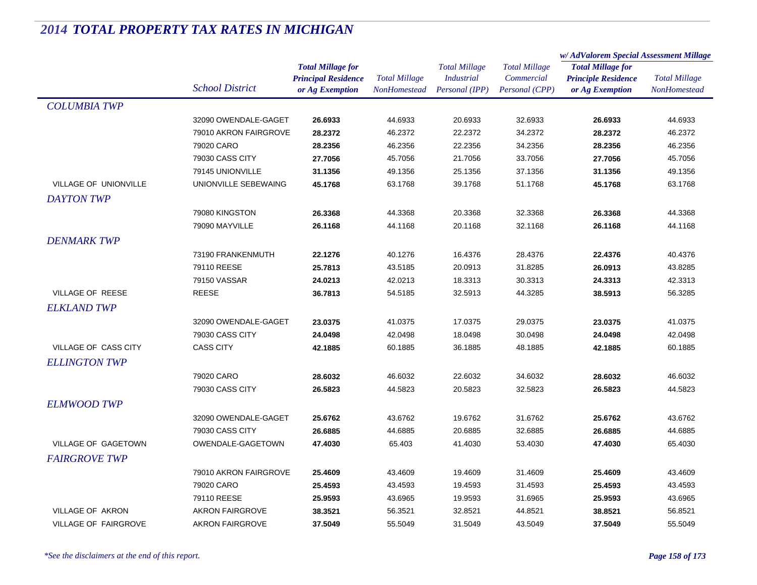|                             |                          |                            | <b>Total Millage</b><br>NonHomestead | <b>Total Millage</b> | <b>Total Millage</b> | w/AdValorem Special Assessment Millage |                      |
|-----------------------------|--------------------------|----------------------------|--------------------------------------|----------------------|----------------------|----------------------------------------|----------------------|
|                             |                          | <b>Total Millage for</b>   |                                      |                      |                      | <b>Total Millage for</b>               | <b>Total Millage</b> |
|                             |                          | <b>Principal Residence</b> |                                      | <b>Industrial</b>    | Commercial           | <b>Principle Residence</b>             |                      |
|                             | <b>School District</b>   | or Ag Exemption            |                                      | Personal (IPP)       | Personal (CPP)       | or Ag Exemption                        | NonHomestead         |
| <b>COLUMBIA TWP</b>         |                          |                            |                                      |                      |                      |                                        |                      |
|                             | 32090 OWENDALE-GAGET     | 26.6933                    | 44.6933                              | 20.6933              | 32.6933              | 26.6933                                | 44.6933              |
|                             | 79010 AKRON FAIRGROVE    | 28.2372                    | 46.2372                              | 22.2372              | 34.2372              | 28.2372                                | 46.2372              |
|                             | 79020 CARO               | 28.2356                    | 46.2356                              | 22.2356              | 34.2356              | 28.2356                                | 46.2356              |
|                             | 79030 CASS CITY          | 27.7056                    | 45.7056                              | 21.7056              | 33.7056              | 27.7056                                | 45.7056              |
|                             | 79145 UNIONVILLE         | 31.1356                    | 49.1356                              | 25.1356              | 37.1356              | 31.1356                                | 49.1356              |
| VILLAGE OF UNIONVILLE       | UNIONVILLE SEBEWAING     | 45.1768                    | 63.1768                              | 39.1768              | 51.1768              | 45.1768                                | 63.1768              |
| DAYTON TWP                  |                          |                            |                                      |                      |                      |                                        |                      |
|                             | 79080 KINGSTON           | 26.3368                    | 44.3368                              | 20.3368              | 32.3368              | 26.3368                                | 44.3368              |
|                             | 79090 MAYVILLE           | 26.1168                    | 44.1168                              | 20.1168              | 32.1168              | 26.1168                                | 44.1168              |
| <b>DENMARK TWP</b>          |                          |                            |                                      |                      |                      |                                        |                      |
|                             | 73190 FRANKENMUTH        | 22.1276                    | 40.1276                              | 16.4376              | 28.4376              | 22.4376                                | 40.4376              |
|                             | 79110 REESE              | 25.7813                    | 43.5185                              | 20.0913              | 31.8285              | 26.0913                                | 43.8285              |
|                             | 79150 VASSAR             | 24.0213                    | 42.0213                              | 18.3313              | 30.3313              | 24.3313                                | 42.3313              |
| <b>VILLAGE OF REESE</b>     | <b>REESE</b>             | 36.7813                    | 54.5185                              | 32.5913              | 44.3285              | 38.5913                                | 56.3285              |
| <b>ELKLAND TWP</b>          |                          |                            |                                      |                      |                      |                                        |                      |
|                             | 32090 OWENDALE-GAGET     | 23.0375                    | 41.0375                              | 17.0375              | 29.0375              | 23.0375                                | 41.0375              |
|                             | 79030 CASS CITY          | 24.0498                    | 42.0498                              | 18.0498              | 30.0498              | 24.0498                                | 42.0498              |
| VILLAGE OF CASS CITY        | <b>CASS CITY</b>         | 42.1885                    | 60.1885                              | 36.1885              | 48.1885              | 42.1885                                | 60.1885              |
| <b>ELLINGTON TWP</b>        |                          |                            |                                      |                      |                      |                                        |                      |
|                             | 79020 CARO               | 28.6032                    | 46.6032                              | 22.6032              | 34.6032              | 28.6032                                | 46.6032              |
|                             | 79030 CASS CITY          | 26.5823                    | 44.5823                              | 20.5823              | 32.5823              | 26.5823                                | 44.5823              |
| <b>ELMWOOD TWP</b>          |                          |                            |                                      |                      |                      |                                        |                      |
|                             | 32090 OWENDALE-GAGET     | 25.6762                    | 43.6762                              | 19.6762              | 31.6762              | 25.6762                                | 43.6762              |
|                             | 79030 CASS CITY          | 26.6885                    | 44.6885                              | 20.6885              | 32.6885              | 26.6885                                | 44.6885              |
| VILLAGE OF GAGETOWN         | <b>OWENDALE-GAGETOWN</b> | 47.4030                    | 65.403                               | 41.4030              | 53.4030              | 47.4030                                | 65.4030              |
| <b>FAIRGROVE TWP</b>        |                          |                            |                                      |                      |                      |                                        |                      |
|                             | 79010 AKRON FAIRGROVE    | 25.4609                    | 43.4609                              | 19.4609              | 31.4609              | 25.4609                                | 43.4609              |
|                             | 79020 CARO               | 25.4593                    | 43.4593                              | 19.4593              | 31.4593              | 25.4593                                | 43.4593              |
|                             | 79110 REESE              | 25.9593                    | 43.6965                              | 19.9593              | 31.6965              | 25.9593                                | 43.6965              |
| VILLAGE OF AKRON            | <b>AKRON FAIRGROVE</b>   | 38.3521                    | 56.3521                              | 32.8521              | 44.8521              | 38.8521                                | 56.8521              |
| <b>VILLAGE OF FAIRGROVE</b> | <b>AKRON FAIRGROVE</b>   | 37.5049                    | 55.5049                              | 31.5049              | 43.5049              | 37.5049                                | 55.5049              |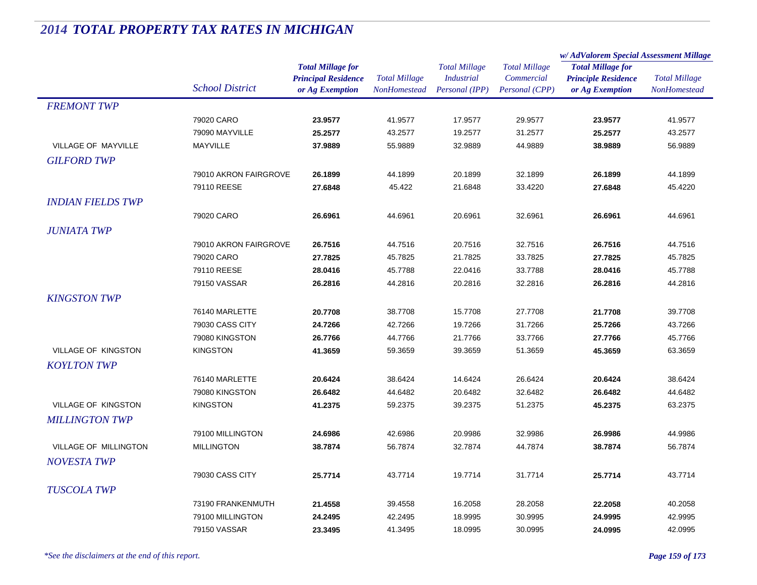|                            |                        |                            |                      | <b>Total Millage</b> | <b>Total Millage</b> | w/AdValorem Special Assessment Millage |                      |  |
|----------------------------|------------------------|----------------------------|----------------------|----------------------|----------------------|----------------------------------------|----------------------|--|
|                            |                        | <b>Total Millage for</b>   |                      |                      |                      | <b>Total Millage for</b>               | <b>Total Millage</b> |  |
|                            |                        | <b>Principal Residence</b> | <b>Total Millage</b> | <b>Industrial</b>    | Commercial           | <b>Principle Residence</b>             |                      |  |
|                            | <b>School District</b> | or Ag Exemption            | NonHomestead         | Personal (IPP)       | Personal (CPP)       | or Ag Exemption                        | NonHomestead         |  |
| <b>FREMONT TWP</b>         |                        |                            |                      |                      |                      |                                        |                      |  |
|                            | 79020 CARO             | 23.9577                    | 41.9577              | 17.9577              | 29.9577              | 23.9577                                | 41.9577              |  |
|                            | 79090 MAYVILLE         | 25.2577                    | 43.2577              | 19.2577              | 31.2577              | 25.2577                                | 43.2577              |  |
| VILLAGE OF MAYVILLE        | MAYVILLE               | 37.9889                    | 55.9889              | 32.9889              | 44.9889              | 38.9889                                | 56.9889              |  |
| <b>GILFORD TWP</b>         |                        |                            |                      |                      |                      |                                        |                      |  |
|                            | 79010 AKRON FAIRGROVE  | 26.1899                    | 44.1899              | 20.1899              | 32.1899              | 26.1899                                | 44.1899              |  |
|                            | 79110 REESE            | 27.6848                    | 45.422               | 21.6848              | 33.4220              | 27.6848                                | 45.4220              |  |
| <b>INDIAN FIELDS TWP</b>   |                        |                            |                      |                      |                      |                                        |                      |  |
|                            | 79020 CARO             | 26.6961                    | 44.6961              | 20.6961              | 32.6961              | 26.6961                                | 44.6961              |  |
| <b>JUNIATA TWP</b>         |                        |                            |                      |                      |                      |                                        |                      |  |
|                            | 79010 AKRON FAIRGROVE  | 26.7516                    | 44.7516              | 20.7516              | 32.7516              | 26.7516                                | 44.7516              |  |
|                            | 79020 CARO             | 27.7825                    | 45.7825              | 21.7825              | 33.7825              | 27.7825                                | 45.7825              |  |
|                            | 79110 REESE            | 28.0416                    | 45.7788              | 22.0416              | 33.7788              | 28.0416                                | 45.7788              |  |
|                            | 79150 VASSAR           | 26.2816                    | 44.2816              | 20.2816              | 32.2816              | 26.2816                                | 44.2816              |  |
| <b>KINGSTON TWP</b>        |                        |                            |                      |                      |                      |                                        |                      |  |
|                            | 76140 MARLETTE         | 20.7708                    | 38.7708              | 15.7708              | 27.7708              | 21.7708                                | 39.7708              |  |
|                            | 79030 CASS CITY        | 24.7266                    | 42.7266              | 19.7266              | 31.7266              | 25.7266                                | 43.7266              |  |
|                            | 79080 KINGSTON         | 26.7766                    | 44.7766              | 21.7766              | 33.7766              | 27.7766                                | 45.7766              |  |
| <b>VILLAGE OF KINGSTON</b> | <b>KINGSTON</b>        | 41.3659                    | 59.3659              | 39.3659              | 51.3659              | 45.3659                                | 63.3659              |  |
| <b>KOYLTON TWP</b>         |                        |                            |                      |                      |                      |                                        |                      |  |
|                            | 76140 MARLETTE         | 20.6424                    | 38.6424              | 14.6424              | 26.6424              | 20.6424                                | 38.6424              |  |
|                            | 79080 KINGSTON         | 26.6482                    | 44.6482              | 20.6482              | 32.6482              | 26.6482                                | 44.6482              |  |
| VILLAGE OF KINGSTON        | <b>KINGSTON</b>        | 41.2375                    | 59.2375              | 39.2375              | 51.2375              | 45.2375                                | 63.2375              |  |
| <b>MILLINGTON TWP</b>      |                        |                            |                      |                      |                      |                                        |                      |  |
|                            | 79100 MILLINGTON       | 24.6986                    | 42.6986              | 20.9986              | 32.9986              | 26.9986                                | 44.9986              |  |
| VILLAGE OF MILLINGTON      | <b>MILLINGTON</b>      | 38.7874                    | 56.7874              | 32.7874              | 44.7874              | 38.7874                                | 56.7874              |  |
| <b>NOVESTA TWP</b>         |                        |                            |                      |                      |                      |                                        |                      |  |
|                            | 79030 CASS CITY        | 25.7714                    | 43.7714              | 19.7714              | 31.7714              | 25.7714                                | 43.7714              |  |
| <b>TUSCOLA TWP</b>         |                        |                            |                      |                      |                      |                                        |                      |  |
|                            | 73190 FRANKENMUTH      | 21.4558                    | 39.4558              | 16.2058              | 28.2058              | 22.2058                                | 40.2058              |  |
|                            | 79100 MILLINGTON       | 24.2495                    | 42.2495              | 18.9995              | 30.9995              | 24.9995                                | 42.9995              |  |
|                            | 79150 VASSAR           | 23.3495                    | 41.3495              | 18.0995              | 30.0995              | 24.0995                                | 42.0995              |  |
|                            |                        |                            |                      |                      |                      |                                        |                      |  |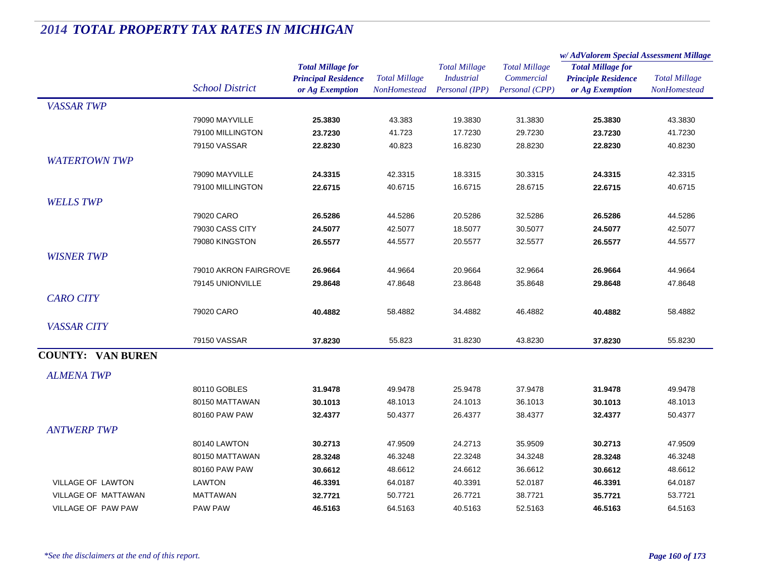|                           |                        |                            | <b>Total Millage</b><br>NonHomestead | <b>Total Millage</b><br><b>Industrial</b> | <b>Total Millage</b> | w/AdValorem Special Assessment Millage                                    |                      |
|---------------------------|------------------------|----------------------------|--------------------------------------|-------------------------------------------|----------------------|---------------------------------------------------------------------------|----------------------|
|                           |                        | <b>Total Millage for</b>   |                                      |                                           |                      | <b>Total Millage for</b><br><b>Principle Residence</b><br>or Ag Exemption | <b>Total Millage</b> |
|                           |                        | <b>Principal Residence</b> |                                      |                                           | Commercial           |                                                                           |                      |
|                           | <b>School District</b> | or Ag Exemption            |                                      | Personal (IPP)                            | Personal (CPP)       |                                                                           | NonHomestead         |
| <b>VASSAR TWP</b>         |                        |                            |                                      |                                           |                      |                                                                           |                      |
|                           | 79090 MAYVILLE         | 25.3830                    | 43.383                               | 19.3830                                   | 31.3830              | 25.3830                                                                   | 43.3830              |
|                           | 79100 MILLINGTON       | 23.7230                    | 41.723                               | 17.7230                                   | 29.7230              | 23.7230                                                                   | 41.7230              |
|                           | 79150 VASSAR           | 22.8230                    | 40.823                               | 16.8230                                   | 28.8230              | 22.8230                                                                   | 40.8230              |
| <b>WATERTOWN TWP</b>      |                        |                            |                                      |                                           |                      |                                                                           |                      |
|                           | 79090 MAYVILLE         | 24.3315                    | 42.3315                              | 18.3315                                   | 30.3315              | 24.3315                                                                   | 42.3315              |
|                           | 79100 MILLINGTON       | 22.6715                    | 40.6715                              | 16.6715                                   | 28.6715              | 22.6715                                                                   | 40.6715              |
| <b>WELLS TWP</b>          |                        |                            |                                      |                                           |                      |                                                                           |                      |
|                           | 79020 CARO             | 26.5286                    | 44.5286                              | 20.5286                                   | 32.5286              | 26.5286                                                                   | 44.5286              |
|                           | <b>79030 CASS CITY</b> | 24.5077                    | 42.5077                              | 18.5077                                   | 30.5077              | 24.5077                                                                   | 42.5077              |
|                           | 79080 KINGSTON         | 26.5577                    | 44.5577                              | 20.5577                                   | 32.5577              | 26.5577                                                                   | 44.5577              |
| <b>WISNER TWP</b>         |                        |                            |                                      |                                           |                      |                                                                           |                      |
|                           | 79010 AKRON FAIRGROVE  | 26.9664                    | 44.9664                              | 20.9664                                   | 32.9664              | 26.9664                                                                   | 44.9664              |
|                           | 79145 UNIONVILLE       | 29.8648                    | 47.8648                              | 23.8648                                   | 35.8648              | 29.8648                                                                   | 47.8648              |
| <b>CARO CITY</b>          |                        |                            |                                      |                                           |                      |                                                                           |                      |
|                           | 79020 CARO             | 40.4882                    | 58.4882                              | 34.4882                                   | 46.4882              | 40.4882                                                                   | 58.4882              |
|                           |                        |                            |                                      |                                           |                      |                                                                           |                      |
| <b>VASSAR CITY</b>        |                        |                            |                                      |                                           |                      |                                                                           |                      |
|                           | 79150 VASSAR           | 37.8230                    | 55.823                               | 31.8230                                   | 43.8230              | 37.8230                                                                   | 55.8230              |
| <b>COUNTY: VAN BUREN</b>  |                        |                            |                                      |                                           |                      |                                                                           |                      |
| <b>ALMENA TWP</b>         |                        |                            |                                      |                                           |                      |                                                                           |                      |
|                           | 80110 GOBLES           | 31.9478                    | 49.9478                              | 25.9478                                   | 37.9478              | 31.9478                                                                   | 49.9478              |
|                           | 80150 MATTAWAN         | 30.1013                    | 48.1013                              | 24.1013                                   | 36.1013              | 30.1013                                                                   | 48.1013              |
|                           | 80160 PAW PAW          | 32.4377                    | 50.4377                              | 26.4377                                   | 38.4377              | 32.4377                                                                   | 50.4377              |
| <b>ANTWERP TWP</b>        |                        |                            |                                      |                                           |                      |                                                                           |                      |
|                           | 80140 LAWTON           | 30.2713                    | 47.9509                              | 24.2713                                   | 35.9509              | 30.2713                                                                   | 47.9509              |
|                           | 80150 MATTAWAN         | 28.3248                    | 46.3248                              | 22.3248                                   | 34.3248              | 28.3248                                                                   | 46.3248              |
|                           | 80160 PAW PAW          | 30.6612                    | 48.6612                              | 24.6612                                   | 36.6612              | 30.6612                                                                   | 48.6612              |
| <b>VILLAGE OF LAWTON</b>  | LAWTON                 | 46.3391                    | 64.0187                              | 40.3391                                   | 52.0187              | 46.3391                                                                   | 64.0187              |
| VILLAGE OF MATTAWAN       | <b>MATTAWAN</b>        | 32.7721                    | 50.7721                              | 26.7721                                   | 38.7721              | 35.7721                                                                   | 53.7721              |
| <b>VILLAGE OF PAW PAW</b> | <b>PAW PAW</b>         | 46.5163                    | 64.5163                              | 40.5163                                   | 52.5163              | 46.5163                                                                   | 64.5163              |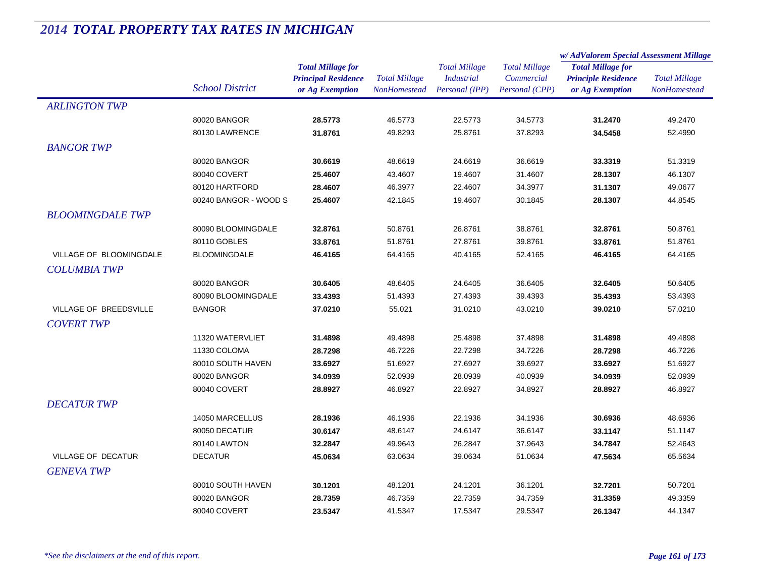|                           |                        |                            |                      | <b>Total Millage</b> | <b>Total Millage</b> | w/AdValorem Special Assessment Millage |                      |
|---------------------------|------------------------|----------------------------|----------------------|----------------------|----------------------|----------------------------------------|----------------------|
|                           |                        | <b>Total Millage for</b>   |                      |                      |                      | <b>Total Millage for</b>               | <b>Total Millage</b> |
|                           |                        | <b>Principal Residence</b> | <b>Total Millage</b> | <b>Industrial</b>    | Commercial           | <b>Principle Residence</b>             |                      |
|                           | <b>School District</b> | or Ag Exemption            | <b>NonHomestead</b>  | Personal (IPP)       | Personal (CPP)       | or Ag Exemption                        | <b>NonHomestead</b>  |
| <b>ARLINGTON TWP</b>      |                        |                            |                      |                      |                      |                                        |                      |
|                           | 80020 BANGOR           | 28.5773                    | 46.5773              | 22.5773              | 34.5773              | 31.2470                                | 49.2470              |
|                           | 80130 LAWRENCE         | 31.8761                    | 49.8293              | 25.8761              | 37.8293              | 34.5458                                | 52.4990              |
| <b>BANGOR TWP</b>         |                        |                            |                      |                      |                      |                                        |                      |
|                           | 80020 BANGOR           | 30.6619                    | 48.6619              | 24.6619              | 36.6619              | 33.3319                                | 51.3319              |
|                           | 80040 COVERT           | 25.4607                    | 43.4607              | 19.4607              | 31.4607              | 28.1307                                | 46.1307              |
|                           | 80120 HARTFORD         | 28.4607                    | 46.3977              | 22.4607              | 34.3977              | 31.1307                                | 49.0677              |
|                           | 80240 BANGOR - WOOD S  | 25.4607                    | 42.1845              | 19.4607              | 30.1845              | 28.1307                                | 44.8545              |
| <b>BLOOMINGDALE TWP</b>   |                        |                            |                      |                      |                      |                                        |                      |
|                           | 80090 BLOOMINGDALE     | 32.8761                    | 50.8761              | 26.8761              | 38.8761              | 32.8761                                | 50.8761              |
|                           | 80110 GOBLES           | 33.8761                    | 51.8761              | 27.8761              | 39.8761              | 33.8761                                | 51.8761              |
| VILLAGE OF BLOOMINGDALE   | <b>BLOOMINGDALE</b>    | 46.4165                    | 64.4165              | 40.4165              | 52.4165              | 46.4165                                | 64.4165              |
| <b>COLUMBIA TWP</b>       |                        |                            |                      |                      |                      |                                        |                      |
|                           |                        |                            |                      |                      |                      |                                        |                      |
|                           | 80020 BANGOR           | 30.6405                    | 48.6405              | 24.6405              | 36.6405              | 32.6405                                | 50.6405              |
|                           | 80090 BLOOMINGDALE     | 33.4393                    | 51.4393              | 27.4393              | 39.4393              | 35.4393                                | 53.4393              |
| VILLAGE OF BREEDSVILLE    | <b>BANGOR</b>          | 37.0210                    | 55.021               | 31.0210              | 43.0210              | 39.0210                                | 57.0210              |
| <b>COVERT TWP</b>         |                        |                            |                      |                      |                      |                                        |                      |
|                           | 11320 WATERVLIET       | 31.4898                    | 49.4898              | 25.4898              | 37.4898              | 31.4898                                | 49.4898              |
|                           | 11330 COLOMA           | 28.7298                    | 46.7226              | 22.7298              | 34.7226              | 28.7298                                | 46.7226              |
|                           | 80010 SOUTH HAVEN      | 33.6927                    | 51.6927              | 27.6927              | 39.6927              | 33.6927                                | 51.6927              |
|                           | 80020 BANGOR           | 34.0939                    | 52.0939              | 28.0939              | 40.0939              | 34.0939                                | 52.0939              |
|                           | 80040 COVERT           | 28.8927                    | 46.8927              | 22.8927              | 34.8927              | 28.8927                                | 46.8927              |
| <b>DECATUR TWP</b>        |                        |                            |                      |                      |                      |                                        |                      |
|                           | 14050 MARCELLUS        | 28.1936                    | 46.1936              | 22.1936              | 34.1936              | 30.6936                                | 48.6936              |
|                           | 80050 DECATUR          | 30.6147                    | 48.6147              | 24.6147              | 36.6147              | 33.1147                                | 51.1147              |
|                           | 80140 LAWTON           | 32.2847                    | 49.9643              | 26.2847              | 37.9643              | 34.7847                                | 52.4643              |
| <b>VILLAGE OF DECATUR</b> | <b>DECATUR</b>         | 45.0634                    | 63.0634              | 39.0634              | 51.0634              | 47.5634                                | 65.5634              |
| <b>GENEVA TWP</b>         |                        |                            |                      |                      |                      |                                        |                      |
|                           | 80010 SOUTH HAVEN      | 30.1201                    | 48.1201              | 24.1201              | 36.1201              | 32.7201                                | 50.7201              |
|                           | 80020 BANGOR           | 28.7359                    | 46.7359              | 22.7359              | 34.7359              | 31.3359                                | 49.3359              |
|                           | 80040 COVERT           | 23.5347                    | 41.5347              | 17.5347              | 29.5347              | 26.1347                                | 44.1347              |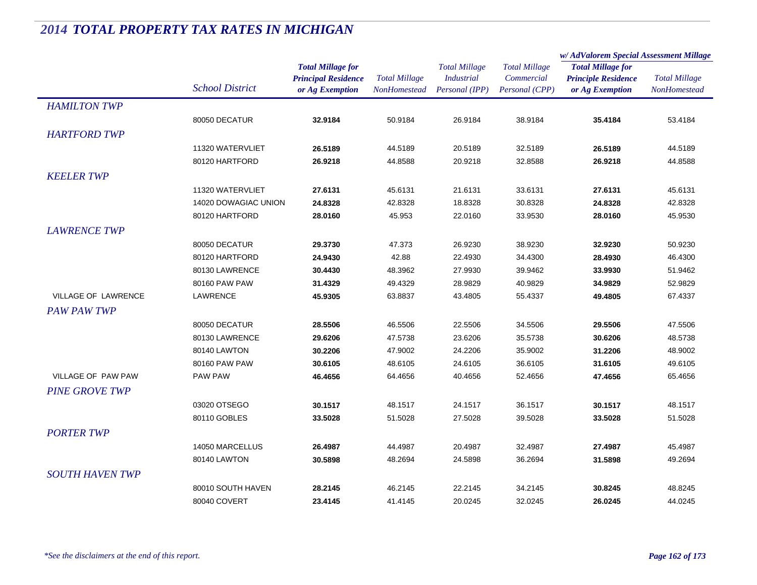|                            |                        |                            | <b>Total Millage</b> | <b>Total Millage</b><br><b>Industrial</b> | <b>Total Millage</b> | w/AdValorem Special Assessment Millage |                                             |
|----------------------------|------------------------|----------------------------|----------------------|-------------------------------------------|----------------------|----------------------------------------|---------------------------------------------|
|                            |                        | <b>Total Millage for</b>   |                      |                                           |                      | <b>Total Millage for</b>               | <b>Total Millage</b><br><b>NonHomestead</b> |
|                            |                        | <b>Principal Residence</b> |                      |                                           | Commercial           | <b>Principle Residence</b>             |                                             |
|                            | <b>School District</b> | or Ag Exemption            | <b>NonHomestead</b>  | Personal (IPP)                            | Personal (CPP)       | or Ag Exemption                        |                                             |
| <b>HAMILTON TWP</b>        |                        |                            |                      |                                           |                      |                                        |                                             |
|                            | 80050 DECATUR          | 32.9184                    | 50.9184              | 26.9184                                   | 38.9184              | 35.4184                                | 53.4184                                     |
| <b>HARTFORD TWP</b>        |                        |                            |                      |                                           |                      |                                        |                                             |
|                            | 11320 WATERVLIET       | 26.5189                    | 44.5189              | 20.5189                                   | 32.5189              | 26.5189                                | 44.5189                                     |
|                            | 80120 HARTFORD         | 26.9218                    | 44.8588              | 20.9218                                   | 32.8588              | 26.9218                                | 44.8588                                     |
| <b>KEELER TWP</b>          |                        |                            |                      |                                           |                      |                                        |                                             |
|                            | 11320 WATERVLIET       | 27.6131                    | 45.6131              | 21.6131                                   | 33.6131              | 27.6131                                | 45.6131                                     |
|                            | 14020 DOWAGIAC UNION   | 24.8328                    | 42.8328              | 18.8328                                   | 30.8328              | 24.8328                                | 42.8328                                     |
|                            | 80120 HARTFORD         | 28.0160                    | 45.953               | 22.0160                                   | 33.9530              | 28.0160                                | 45.9530                                     |
| <b>LAWRENCE TWP</b>        |                        |                            |                      |                                           |                      |                                        |                                             |
|                            | 80050 DECATUR          | 29.3730                    | 47.373               | 26.9230                                   | 38.9230              | 32.9230                                | 50.9230                                     |
|                            | 80120 HARTFORD         | 24.9430                    | 42.88                | 22.4930                                   | 34.4300              | 28.4930                                | 46.4300                                     |
|                            | 80130 LAWRENCE         | 30.4430                    | 48.3962              | 27.9930                                   | 39.9462              | 33.9930                                | 51.9462                                     |
|                            | 80160 PAW PAW          | 31.4329                    | 49.4329              | 28.9829                                   | 40.9829              | 34.9829                                | 52.9829                                     |
| <b>VILLAGE OF LAWRENCE</b> | <b>LAWRENCE</b>        | 45.9305                    | 63.8837              | 43.4805                                   | 55.4337              | 49.4805                                | 67.4337                                     |
| <b>PAW PAW TWP</b>         |                        |                            |                      |                                           |                      |                                        |                                             |
|                            | 80050 DECATUR          | 28.5506                    | 46.5506              | 22.5506                                   | 34.5506              | 29.5506                                | 47.5506                                     |
|                            | 80130 LAWRENCE         | 29.6206                    | 47.5738              | 23.6206                                   | 35.5738              | 30.6206                                | 48.5738                                     |
|                            | 80140 LAWTON           | 30.2206                    | 47.9002              | 24.2206                                   | 35.9002              | 31.2206                                | 48.9002                                     |
|                            | 80160 PAW PAW          | 30.6105                    | 48.6105              | 24.6105                                   | 36.6105              | 31.6105                                | 49.6105                                     |
| <b>VILLAGE OF PAW PAW</b>  | <b>PAW PAW</b>         | 46.4656                    | 64.4656              | 40.4656                                   | 52.4656              | 47.4656                                | 65.4656                                     |
| <b>PINE GROVE TWP</b>      |                        |                            |                      |                                           |                      |                                        |                                             |
|                            | 03020 OTSEGO           | 30.1517                    | 48.1517              | 24.1517                                   | 36.1517              | 30.1517                                | 48.1517                                     |
|                            | 80110 GOBLES           | 33.5028                    | 51.5028              | 27.5028                                   | 39.5028              | 33.5028                                | 51.5028                                     |
| <b>PORTER TWP</b>          |                        |                            |                      |                                           |                      |                                        |                                             |
|                            | 14050 MARCELLUS        | 26.4987                    | 44.4987              | 20.4987                                   | 32.4987              | 27.4987                                | 45.4987                                     |
|                            | 80140 LAWTON           | 30.5898                    | 48.2694              | 24.5898                                   | 36.2694              | 31.5898                                | 49.2694                                     |
| <b>SOUTH HAVEN TWP</b>     |                        |                            |                      |                                           |                      |                                        |                                             |
|                            | 80010 SOUTH HAVEN      | 28.2145                    | 46.2145              | 22.2145                                   | 34.2145              | 30.8245                                | 48.8245                                     |
|                            | 80040 COVERT           | 23.4145                    | 41.4145              | 20.0245                                   | 32.0245              | 26.0245                                | 44.0245                                     |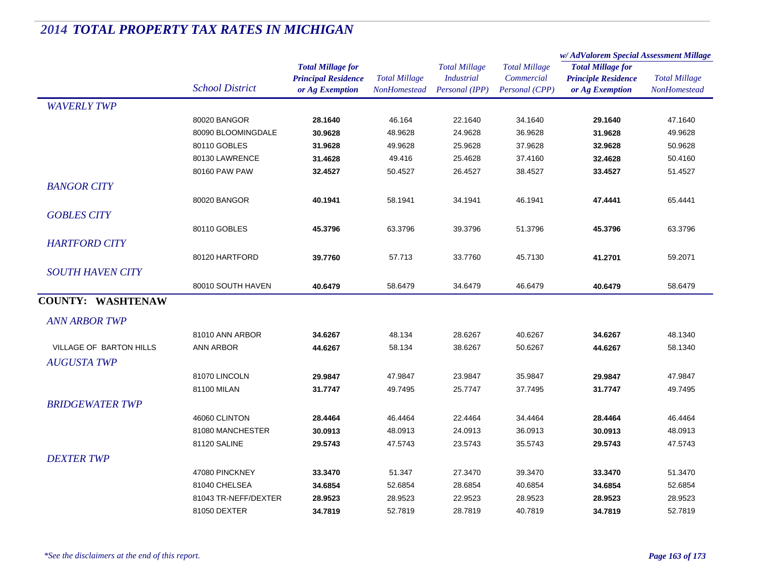|                          |                              |                                                                           |                                      |                                                             |                                                      | w/AdValorem Special Assessment Millage                                    |                                             |
|--------------------------|------------------------------|---------------------------------------------------------------------------|--------------------------------------|-------------------------------------------------------------|------------------------------------------------------|---------------------------------------------------------------------------|---------------------------------------------|
|                          | <b>School District</b>       | <b>Total Millage for</b><br><b>Principal Residence</b><br>or Ag Exemption | <b>Total Millage</b><br>NonHomestead | <b>Total Millage</b><br><b>Industrial</b><br>Personal (IPP) | <b>Total Millage</b><br>Commercial<br>Personal (CPP) | <b>Total Millage for</b><br><b>Principle Residence</b><br>or Ag Exemption | <b>Total Millage</b><br><b>NonHomestead</b> |
| <b>WAVERLY TWP</b>       |                              |                                                                           |                                      |                                                             |                                                      |                                                                           |                                             |
|                          | 80020 BANGOR                 | 28.1640                                                                   | 46.164                               | 22.1640                                                     | 34.1640                                              | 29.1640                                                                   | 47.1640                                     |
|                          | 80090 BLOOMINGDALE           | 30.9628                                                                   | 48.9628                              | 24.9628                                                     | 36.9628                                              | 31.9628                                                                   | 49.9628                                     |
|                          | 80110 GOBLES                 | 31.9628                                                                   | 49.9628                              | 25.9628                                                     | 37.9628                                              | 32.9628                                                                   | 50.9628                                     |
|                          | 80130 LAWRENCE               | 31.4628                                                                   | 49.416                               | 25.4628                                                     | 37.4160                                              | 32.4628                                                                   | 50.4160                                     |
|                          | 80160 PAW PAW                | 32.4527                                                                   | 50.4527                              | 26.4527                                                     | 38.4527                                              | 33.4527                                                                   | 51.4527                                     |
| <b>BANGOR CITY</b>       |                              |                                                                           |                                      |                                                             |                                                      |                                                                           |                                             |
|                          | 80020 BANGOR                 | 40.1941                                                                   | 58.1941                              | 34.1941                                                     | 46.1941                                              | 47.4441                                                                   | 65.4441                                     |
| <b>GOBLES CITY</b>       |                              |                                                                           |                                      |                                                             |                                                      |                                                                           |                                             |
|                          | 80110 GOBLES                 | 45.3796                                                                   | 63.3796                              | 39.3796                                                     | 51.3796                                              | 45.3796                                                                   | 63.3796                                     |
| <b>HARTFORD CITY</b>     |                              |                                                                           |                                      |                                                             |                                                      |                                                                           |                                             |
|                          | 80120 HARTFORD               | 39.7760                                                                   | 57.713                               | 33.7760                                                     | 45.7130                                              | 41.2701                                                                   | 59.2071                                     |
| <b>SOUTH HAVEN CITY</b>  |                              |                                                                           |                                      |                                                             |                                                      |                                                                           |                                             |
|                          | 80010 SOUTH HAVEN            | 40.6479                                                                   | 58.6479                              | 34.6479                                                     | 46.6479                                              | 40.6479                                                                   | 58.6479                                     |
| <b>COUNTY: WASHTENAW</b> |                              |                                                                           |                                      |                                                             |                                                      |                                                                           |                                             |
| <b>ANN ARBOR TWP</b>     |                              |                                                                           |                                      |                                                             |                                                      |                                                                           |                                             |
|                          | 81010 ANN ARBOR              | 34.6267                                                                   | 48.134                               | 28.6267                                                     | 40.6267                                              | 34.6267                                                                   | 48.1340                                     |
| VILLAGE OF BARTON HILLS  | <b>ANN ARBOR</b>             | 44.6267                                                                   | 58.134                               | 38.6267                                                     | 50.6267                                              | 44.6267                                                                   | 58.1340                                     |
| <b>AUGUSTA TWP</b>       |                              |                                                                           |                                      |                                                             |                                                      |                                                                           |                                             |
|                          |                              |                                                                           |                                      |                                                             |                                                      |                                                                           |                                             |
|                          | 81070 LINCOLN<br>81100 MILAN | 29.9847<br>31.7747                                                        | 47.9847<br>49.7495                   | 23.9847<br>25.7747                                          | 35.9847<br>37.7495                                   | 29.9847<br>31.7747                                                        | 47.9847<br>49.7495                          |
|                          |                              |                                                                           |                                      |                                                             |                                                      |                                                                           |                                             |
| <b>BRIDGEWATER TWP</b>   |                              |                                                                           |                                      |                                                             |                                                      |                                                                           |                                             |
|                          | 46060 CLINTON                | 28.4464                                                                   | 46.4464                              | 22.4464                                                     | 34.4464                                              | 28.4464                                                                   | 46.4464                                     |
|                          | 81080 MANCHESTER             | 30.0913                                                                   | 48.0913                              | 24.0913                                                     | 36.0913                                              | 30.0913                                                                   | 48.0913                                     |
|                          | 81120 SALINE                 | 29.5743                                                                   | 47.5743                              | 23.5743                                                     | 35.5743                                              | 29.5743                                                                   | 47.5743                                     |
| <b>DEXTER TWP</b>        |                              |                                                                           |                                      |                                                             |                                                      |                                                                           |                                             |
|                          | 47080 PINCKNEY               | 33.3470                                                                   | 51.347                               | 27.3470                                                     | 39.3470                                              | 33.3470                                                                   | 51.3470                                     |
|                          | 81040 CHELSEA                | 34.6854                                                                   | 52.6854                              | 28.6854                                                     | 40.6854                                              | 34.6854                                                                   | 52.6854                                     |
|                          | 81043 TR-NEFF/DEXTER         | 28.9523                                                                   | 28.9523                              | 22.9523                                                     | 28.9523                                              | 28.9523                                                                   | 28.9523                                     |
|                          | 81050 DEXTER                 | 34.7819                                                                   | 52.7819                              | 28.7819                                                     | 40.7819                                              | 34.7819                                                                   | 52.7819                                     |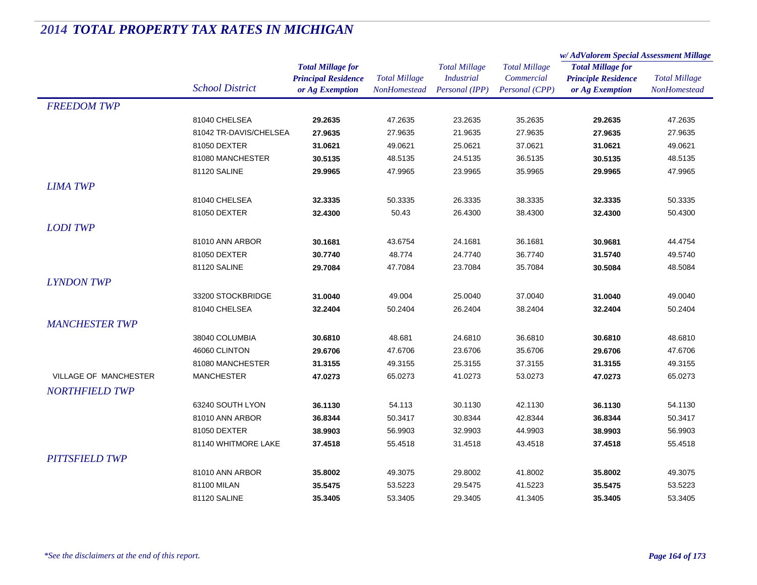|                              |                        |                            | <b>Total Millage</b><br><b>NonHomestead</b> | <b>Total Millage</b> |                      | w/AdValorem Special Assessment Millage |                                      |  |
|------------------------------|------------------------|----------------------------|---------------------------------------------|----------------------|----------------------|----------------------------------------|--------------------------------------|--|
|                              |                        | <b>Total Millage for</b>   |                                             |                      | <b>Total Millage</b> | <b>Total Millage for</b>               | <b>Total Millage</b><br>NonHomestead |  |
|                              |                        | <b>Principal Residence</b> |                                             | <b>Industrial</b>    | Commercial           | <b>Principle Residence</b>             |                                      |  |
|                              | <b>School District</b> | or Ag Exemption            |                                             | Personal (IPP)       | Personal (CPP)       | or Ag Exemption                        |                                      |  |
| <b>FREEDOM TWP</b>           |                        |                            |                                             |                      |                      |                                        |                                      |  |
|                              | 81040 CHELSEA          | 29.2635                    | 47.2635                                     | 23.2635              | 35.2635              | 29.2635                                | 47.2635                              |  |
|                              | 81042 TR-DAVIS/CHELSEA | 27.9635                    | 27.9635                                     | 21.9635              | 27.9635              | 27.9635                                | 27.9635                              |  |
|                              | 81050 DEXTER           | 31.0621                    | 49.0621                                     | 25.0621              | 37.0621              | 31.0621                                | 49.0621                              |  |
|                              | 81080 MANCHESTER       | 30.5135                    | 48.5135                                     | 24.5135              | 36.5135              | 30.5135                                | 48.5135                              |  |
|                              | 81120 SALINE           | 29.9965                    | 47.9965                                     | 23.9965              | 35.9965              | 29.9965                                | 47.9965                              |  |
| <b>LIMA TWP</b>              |                        |                            |                                             |                      |                      |                                        |                                      |  |
|                              | 81040 CHELSEA          | 32.3335                    | 50.3335                                     | 26.3335              | 38.3335              | 32.3335                                | 50.3335                              |  |
|                              | 81050 DEXTER           | 32.4300                    | 50.43                                       | 26.4300              | 38.4300              | 32.4300                                | 50.4300                              |  |
| <b>LODITWP</b>               |                        |                            |                                             |                      |                      |                                        |                                      |  |
|                              | 81010 ANN ARBOR        | 30.1681                    | 43.6754                                     | 24.1681              | 36.1681              | 30.9681                                | 44.4754                              |  |
|                              | 81050 DEXTER           | 30.7740                    | 48.774                                      | 24.7740              | 36.7740              | 31.5740                                | 49.5740                              |  |
|                              | 81120 SALINE           | 29.7084                    | 47.7084                                     | 23.7084              | 35.7084              | 30.5084                                | 48.5084                              |  |
| <b>LYNDON TWP</b>            |                        |                            |                                             |                      |                      |                                        |                                      |  |
|                              | 33200 STOCKBRIDGE      | 31.0040                    | 49.004                                      | 25.0040              | 37.0040              | 31.0040                                | 49.0040                              |  |
|                              | 81040 CHELSEA          | 32.2404                    | 50.2404                                     | 26.2404              | 38.2404              | 32.2404                                | 50.2404                              |  |
|                              |                        |                            |                                             |                      |                      |                                        |                                      |  |
| <b>MANCHESTER TWP</b>        |                        |                            |                                             |                      |                      |                                        |                                      |  |
|                              | 38040 COLUMBIA         | 30.6810                    | 48.681                                      | 24.6810              | 36.6810              | 30.6810                                | 48.6810                              |  |
|                              | 46060 CLINTON          | 29.6706                    | 47.6706                                     | 23.6706              | 35.6706              | 29.6706                                | 47.6706                              |  |
|                              | 81080 MANCHESTER       | 31.3155                    | 49.3155                                     | 25.3155              | 37.3155              | 31.3155                                | 49.3155                              |  |
| <b>VILLAGE OF MANCHESTER</b> | <b>MANCHESTER</b>      | 47.0273                    | 65.0273                                     | 41.0273              | 53.0273              | 47.0273                                | 65.0273                              |  |
| <b>NORTHFIELD TWP</b>        |                        |                            |                                             |                      |                      |                                        |                                      |  |
|                              | 63240 SOUTH LYON       | 36.1130                    | 54.113                                      | 30.1130              | 42.1130              | 36.1130                                | 54.1130                              |  |
|                              | 81010 ANN ARBOR        | 36.8344                    | 50.3417                                     | 30.8344              | 42.8344              | 36.8344                                | 50.3417                              |  |
|                              | 81050 DEXTER           | 38.9903                    | 56.9903                                     | 32.9903              | 44.9903              | 38.9903                                | 56.9903                              |  |
|                              | 81140 WHITMORE LAKE    | 37.4518                    | 55.4518                                     | 31.4518              | 43.4518              | 37.4518                                | 55.4518                              |  |
| <b>PITTSFIELD TWP</b>        |                        |                            |                                             |                      |                      |                                        |                                      |  |
|                              | 81010 ANN ARBOR        | 35.8002                    | 49.3075                                     | 29.8002              | 41.8002              | 35.8002                                | 49.3075                              |  |
|                              | 81100 MILAN            | 35.5475                    | 53.5223                                     | 29.5475              | 41.5223              | 35.5475                                | 53.5223                              |  |
|                              | 81120 SALINE           | 35.3405                    | 53.3405                                     | 29.3405              | 41.3405              | 35.3405                                | 53.3405                              |  |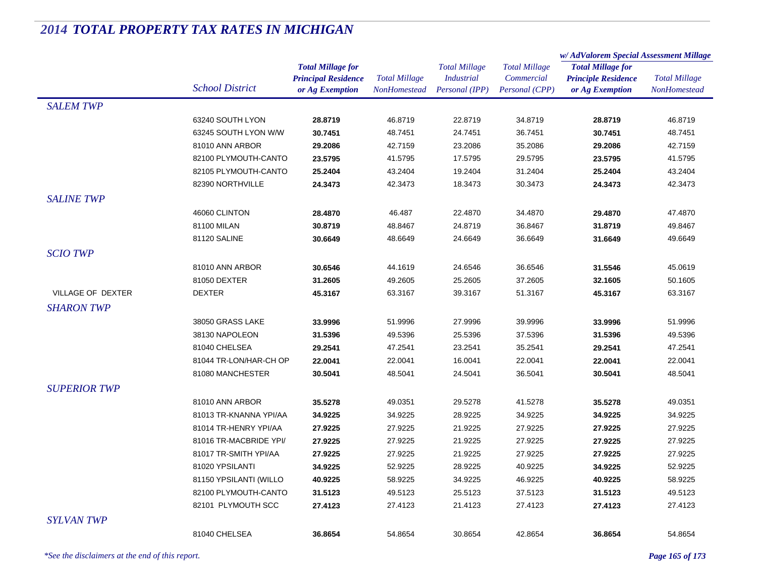|                     |                        |                            |                      | <b>Total Millage</b> | <b>Total Millage</b> | w/AdValorem Special Assessment Millage |                      |
|---------------------|------------------------|----------------------------|----------------------|----------------------|----------------------|----------------------------------------|----------------------|
|                     |                        | <b>Total Millage for</b>   |                      |                      |                      | <b>Total Millage for</b>               | <b>Total Millage</b> |
|                     | <b>School District</b> | <b>Principal Residence</b> | <b>Total Millage</b> | <b>Industrial</b>    | Commercial           | <b>Principle Residence</b>             |                      |
|                     |                        | or Ag Exemption            | NonHomestead         | Personal (IPP)       | Personal (CPP)       | or Ag Exemption                        | NonHomestead         |
| <b>SALEM TWP</b>    |                        |                            |                      |                      |                      |                                        |                      |
|                     | 63240 SOUTH LYON       | 28.8719                    | 46.8719              | 22.8719              | 34.8719              | 28.8719                                | 46.8719              |
|                     | 63245 SOUTH LYON W/W   | 30.7451                    | 48.7451              | 24.7451              | 36.7451              | 30.7451                                | 48.7451              |
|                     | 81010 ANN ARBOR        | 29.2086                    | 42.7159              | 23.2086              | 35.2086              | 29.2086                                | 42.7159              |
|                     | 82100 PLYMOUTH-CANTO   | 23.5795                    | 41.5795              | 17.5795              | 29.5795              | 23.5795                                | 41.5795              |
|                     | 82105 PLYMOUTH-CANTO   | 25.2404                    | 43.2404              | 19.2404              | 31.2404              | 25.2404                                | 43.2404              |
|                     | 82390 NORTHVILLE       | 24.3473                    | 42.3473              | 18.3473              | 30.3473              | 24.3473                                | 42.3473              |
| <b>SALINE TWP</b>   |                        |                            |                      |                      |                      |                                        |                      |
|                     | 46060 CLINTON          | 28.4870                    | 46.487               | 22.4870              | 34.4870              | 29.4870                                | 47.4870              |
|                     | 81100 MILAN            | 30.8719                    | 48.8467              | 24.8719              | 36.8467              | 31.8719                                | 49.8467              |
|                     | 81120 SALINE           | 30.6649                    | 48.6649              | 24.6649              | 36.6649              | 31.6649                                | 49.6649              |
| <b>SCIO TWP</b>     |                        |                            |                      |                      |                      |                                        |                      |
|                     | 81010 ANN ARBOR        | 30.6546                    | 44.1619              | 24.6546              | 36.6546              | 31.5546                                | 45.0619              |
|                     | 81050 DEXTER           | 31.2605                    | 49.2605              | 25.2605              | 37.2605              | 32.1605                                | 50.1605              |
| VILLAGE OF DEXTER   | <b>DEXTER</b>          | 45.3167                    | 63.3167              | 39.3167              | 51.3167              | 45.3167                                | 63.3167              |
| <i>SHARON TWP</i>   |                        |                            |                      |                      |                      |                                        |                      |
|                     | 38050 GRASS LAKE       | 33.9996                    | 51.9996              | 27.9996              | 39.9996              | 33.9996                                | 51.9996              |
|                     |                        | 31.5396                    |                      |                      |                      |                                        |                      |
|                     | 38130 NAPOLEON         |                            | 49.5396              | 25.5396              | 37.5396              | 31.5396                                | 49.5396              |
|                     | 81040 CHELSEA          | 29.2541                    | 47.2541              | 23.2541              | 35.2541              | 29.2541                                | 47.2541              |
|                     | 81044 TR-LON/HAR-CH OP | 22.0041                    | 22.0041              | 16.0041              | 22.0041              | 22.0041                                | 22.0041              |
|                     | 81080 MANCHESTER       | 30.5041                    | 48.5041              | 24.5041              | 36.5041              | 30.5041                                | 48.5041              |
| <b>SUPERIOR TWP</b> |                        |                            |                      |                      |                      |                                        |                      |
|                     | 81010 ANN ARBOR        | 35.5278                    | 49.0351              | 29.5278              | 41.5278              | 35.5278                                | 49.0351              |
|                     | 81013 TR-KNANNA YPI/AA | 34.9225                    | 34.9225              | 28.9225              | 34.9225              | 34.9225                                | 34.9225              |
|                     | 81014 TR-HENRY YPI/AA  | 27.9225                    | 27.9225              | 21.9225              | 27.9225              | 27.9225                                | 27.9225              |
|                     | 81016 TR-MACBRIDE YPI/ | 27.9225                    | 27.9225              | 21.9225              | 27.9225              | 27.9225                                | 27.9225              |
|                     | 81017 TR-SMITH YPI/AA  | 27.9225                    | 27.9225              | 21.9225              | 27.9225              | 27.9225                                | 27.9225              |
|                     | 81020 YPSILANTI        | 34.9225                    | 52.9225              | 28.9225              | 40.9225              | 34.9225                                | 52.9225              |
|                     | 81150 YPSILANTI (WILLO | 40.9225                    | 58.9225              | 34.9225              | 46.9225              | 40.9225                                | 58.9225              |
|                     | 82100 PLYMOUTH-CANTO   | 31.5123                    | 49.5123              | 25.5123              | 37.5123              | 31.5123                                | 49.5123              |
|                     | 82101 PLYMOUTH SCC     | 27.4123                    | 27.4123              | 21.4123              | 27.4123              | 27.4123                                | 27.4123              |
| <b>SYLVAN TWP</b>   |                        |                            |                      |                      |                      |                                        |                      |
|                     | 81040 CHELSEA          | 36.8654                    | 54.8654              | 30.8654              | 42.8654              | 36.8654                                | 54.8654              |
|                     |                        |                            |                      |                      |                      |                                        |                      |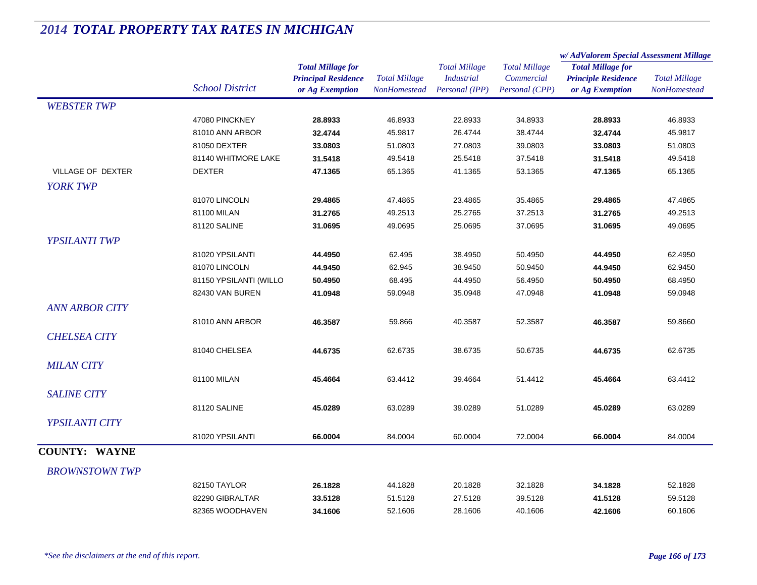|                       |                        |                            | <b>Total Millage</b><br>NonHomestead | <b>Total Millage</b><br><b>Industrial</b> | <b>Total Millage</b> | w/AdValorem Special Assessment Millage |                                             |  |
|-----------------------|------------------------|----------------------------|--------------------------------------|-------------------------------------------|----------------------|----------------------------------------|---------------------------------------------|--|
|                       |                        | <b>Total Millage for</b>   |                                      |                                           |                      | <b>Total Millage for</b>               | <b>Total Millage</b><br><b>NonHomestead</b> |  |
|                       |                        | <b>Principal Residence</b> |                                      |                                           | Commercial           | <b>Principle Residence</b>             |                                             |  |
|                       | <b>School District</b> | or Ag Exemption            |                                      | Personal (IPP)                            | Personal (CPP)       | or Ag Exemption                        |                                             |  |
| <b>WEBSTER TWP</b>    |                        |                            |                                      |                                           |                      |                                        |                                             |  |
|                       | 47080 PINCKNEY         | 28.8933                    | 46.8933                              | 22.8933                                   | 34.8933              | 28.8933                                | 46.8933                                     |  |
|                       | 81010 ANN ARBOR        | 32.4744                    | 45.9817                              | 26.4744                                   | 38.4744              | 32.4744                                | 45.9817                                     |  |
|                       | 81050 DEXTER           | 33.0803                    | 51.0803                              | 27.0803                                   | 39.0803              | 33.0803                                | 51.0803                                     |  |
|                       | 81140 WHITMORE LAKE    | 31.5418                    | 49.5418                              | 25.5418                                   | 37.5418              | 31.5418                                | 49.5418                                     |  |
| VILLAGE OF DEXTER     | <b>DEXTER</b>          | 47.1365                    | 65.1365                              | 41.1365                                   | 53.1365              | 47.1365                                | 65.1365                                     |  |
| <b>YORK TWP</b>       |                        |                            |                                      |                                           |                      |                                        |                                             |  |
|                       | 81070 LINCOLN          | 29.4865                    | 47.4865                              | 23.4865                                   | 35.4865              | 29.4865                                | 47.4865                                     |  |
|                       | 81100 MILAN            | 31.2765                    | 49.2513                              | 25.2765                                   | 37.2513              | 31.2765                                | 49.2513                                     |  |
|                       | 81120 SALINE           | 31.0695                    | 49.0695                              | 25.0695                                   | 37.0695              | 31.0695                                | 49.0695                                     |  |
| <b>YPSILANTI TWP</b>  |                        |                            |                                      |                                           |                      |                                        |                                             |  |
|                       | 81020 YPSILANTI        | 44.4950                    | 62.495                               | 38.4950                                   | 50.4950              | 44.4950                                | 62.4950                                     |  |
|                       | 81070 LINCOLN          | 44.9450                    | 62.945                               | 38.9450                                   | 50.9450              | 44.9450                                | 62.9450                                     |  |
|                       | 81150 YPSILANTI (WILLO | 50.4950                    | 68.495                               | 44.4950                                   | 56.4950              | 50.4950                                | 68.4950                                     |  |
|                       | 82430 VAN BUREN        | 41.0948                    | 59.0948                              | 35.0948                                   | 47.0948              | 41.0948                                | 59.0948                                     |  |
| <b>ANN ARBOR CITY</b> |                        |                            |                                      |                                           |                      |                                        |                                             |  |
|                       | 81010 ANN ARBOR        | 46.3587                    | 59.866                               | 40.3587                                   | 52.3587              | 46.3587                                | 59.8660                                     |  |
|                       |                        |                            |                                      |                                           |                      |                                        |                                             |  |
| <b>CHELSEA CITY</b>   |                        |                            |                                      |                                           |                      |                                        |                                             |  |
|                       | 81040 CHELSEA          | 44.6735                    | 62.6735                              | 38.6735                                   | 50.6735              | 44.6735                                | 62.6735                                     |  |
| <b>MILAN CITY</b>     |                        |                            |                                      |                                           |                      |                                        |                                             |  |
|                       | 81100 MILAN            | 45.4664                    | 63.4412                              | 39.4664                                   | 51.4412              | 45.4664                                | 63.4412                                     |  |
| <b>SALINE CITY</b>    |                        |                            |                                      |                                           |                      |                                        |                                             |  |
|                       | 81120 SALINE           | 45.0289                    | 63.0289                              | 39.0289                                   | 51.0289              | 45.0289                                | 63.0289                                     |  |
| YPSILANTI CITY        |                        |                            |                                      |                                           |                      |                                        |                                             |  |
|                       | 81020 YPSILANTI        | 66.0004                    | 84.0004                              | 60.0004                                   | 72.0004              | 66.0004                                | 84.0004                                     |  |
| <b>COUNTY: WAYNE</b>  |                        |                            |                                      |                                           |                      |                                        |                                             |  |
|                       |                        |                            |                                      |                                           |                      |                                        |                                             |  |
| <b>BROWNSTOWN TWP</b> |                        |                            |                                      |                                           |                      |                                        |                                             |  |
|                       | 82150 TAYLOR           | 26.1828                    | 44.1828                              | 20.1828                                   | 32.1828              | 34.1828                                | 52.1828                                     |  |
|                       | 82290 GIBRALTAR        | 33.5128                    | 51.5128                              | 27.5128                                   | 39.5128              | 41.5128                                | 59.5128                                     |  |
|                       | 82365 WOODHAVEN        | 34.1606                    | 52.1606                              | 28.1606                                   | 40.1606              | 42.1606                                | 60.1606                                     |  |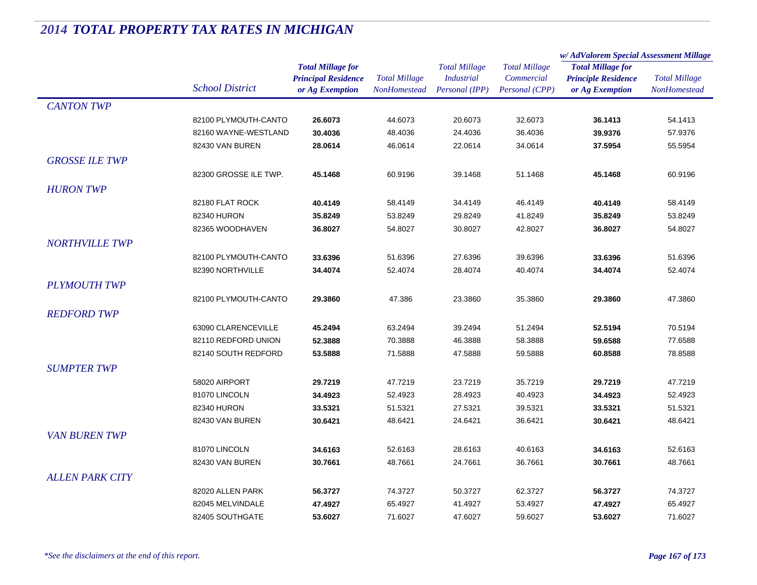|                        |                        |                            | <b>Total Millage</b><br><b>NonHomestead</b> | <b>Total Millage</b><br><b>Industrial</b> | <b>Total Millage</b> | w/AdValorem Special Assessment Millage |                                             |
|------------------------|------------------------|----------------------------|---------------------------------------------|-------------------------------------------|----------------------|----------------------------------------|---------------------------------------------|
|                        |                        | <b>Total Millage for</b>   |                                             |                                           |                      | <b>Total Millage for</b>               | <b>Total Millage</b><br><b>NonHomestead</b> |
|                        | <b>School District</b> | <b>Principal Residence</b> |                                             |                                           | Commercial           | <b>Principle Residence</b>             |                                             |
|                        |                        | or Ag Exemption            |                                             | Personal (IPP)                            | Personal (CPP)       | or Ag Exemption                        |                                             |
| <b>CANTON TWP</b>      |                        |                            |                                             |                                           |                      |                                        |                                             |
|                        | 82100 PLYMOUTH-CANTO   | 26.6073                    | 44.6073                                     | 20.6073                                   | 32.6073              | 36.1413                                | 54.1413                                     |
|                        | 82160 WAYNE-WESTLAND   | 30.4036                    | 48.4036                                     | 24.4036                                   | 36.4036              | 39.9376                                | 57.9376                                     |
|                        | 82430 VAN BUREN        | 28.0614                    | 46.0614                                     | 22.0614                                   | 34.0614              | 37.5954                                | 55.5954                                     |
| <b>GROSSE ILE TWP</b>  |                        |                            |                                             |                                           |                      |                                        |                                             |
|                        | 82300 GROSSE ILE TWP.  | 45.1468                    | 60.9196                                     | 39.1468                                   | 51.1468              | 45.1468                                | 60.9196                                     |
| <b>HURON TWP</b>       |                        |                            |                                             |                                           |                      |                                        |                                             |
|                        | 82180 FLAT ROCK        | 40.4149                    | 58.4149                                     | 34.4149                                   | 46.4149              | 40.4149                                | 58.4149                                     |
|                        | 82340 HURON            | 35.8249                    | 53.8249                                     | 29.8249                                   | 41.8249              | 35.8249                                | 53.8249                                     |
|                        | 82365 WOODHAVEN        | 36.8027                    | 54.8027                                     | 30.8027                                   | 42.8027              | 36.8027                                | 54.8027                                     |
| <b>NORTHVILLE TWP</b>  |                        |                            |                                             |                                           |                      |                                        |                                             |
|                        | 82100 PLYMOUTH-CANTO   |                            | 51.6396                                     | 27.6396                                   |                      |                                        | 51.6396                                     |
|                        |                        | 33.6396                    |                                             |                                           | 39.6396              | 33.6396                                |                                             |
|                        | 82390 NORTHVILLE       | 34.4074                    | 52.4074                                     | 28.4074                                   | 40.4074              | 34.4074                                | 52.4074                                     |
| <b>PLYMOUTH TWP</b>    |                        |                            |                                             |                                           |                      |                                        |                                             |
|                        | 82100 PLYMOUTH-CANTO   | 29.3860                    | 47.386                                      | 23.3860                                   | 35.3860              | 29.3860                                | 47.3860                                     |
| <b>REDFORD TWP</b>     |                        |                            |                                             |                                           |                      |                                        |                                             |
|                        | 63090 CLARENCEVILLE    | 45.2494                    | 63.2494                                     | 39.2494                                   | 51.2494              | 52.5194                                | 70.5194                                     |
|                        | 82110 REDFORD UNION    | 52.3888                    | 70.3888                                     | 46.3888                                   | 58.3888              | 59.6588                                | 77.6588                                     |
|                        | 82140 SOUTH REDFORD    | 53.5888                    | 71.5888                                     | 47.5888                                   | 59.5888              | 60.8588                                | 78.8588                                     |
| <b>SUMPTER TWP</b>     |                        |                            |                                             |                                           |                      |                                        |                                             |
|                        | 58020 AIRPORT          | 29.7219                    | 47.7219                                     | 23.7219                                   | 35.7219              | 29.7219                                | 47.7219                                     |
|                        | 81070 LINCOLN          | 34.4923                    | 52.4923                                     | 28.4923                                   | 40.4923              | 34.4923                                | 52.4923                                     |
|                        | 82340 HURON            | 33.5321                    | 51.5321                                     | 27.5321                                   | 39.5321              | 33.5321                                | 51.5321                                     |
|                        | 82430 VAN BUREN        | 30.6421                    | 48.6421                                     | 24.6421                                   | 36.6421              | 30.6421                                | 48.6421                                     |
| <b>VAN BUREN TWP</b>   |                        |                            |                                             |                                           |                      |                                        |                                             |
|                        | 81070 LINCOLN          | 34.6163                    | 52.6163                                     | 28.6163                                   | 40.6163              | 34.6163                                | 52.6163                                     |
|                        | 82430 VAN BUREN        | 30.7661                    | 48.7661                                     | 24.7661                                   | 36.7661              | 30.7661                                | 48.7661                                     |
| <b>ALLEN PARK CITY</b> |                        |                            |                                             |                                           |                      |                                        |                                             |
|                        | 82020 ALLEN PARK       | 56.3727                    | 74.3727                                     | 50.3727                                   | 62.3727              | 56.3727                                | 74.3727                                     |
|                        | 82045 MELVINDALE       | 47.4927                    | 65.4927                                     | 41.4927                                   | 53.4927              | 47.4927                                | 65.4927                                     |
|                        | 82405 SOUTHGATE        | 53.6027                    | 71.6027                                     | 47.6027                                   | 59.6027              | 53.6027                                | 71.6027                                     |
|                        |                        |                            |                                             |                                           |                      |                                        |                                             |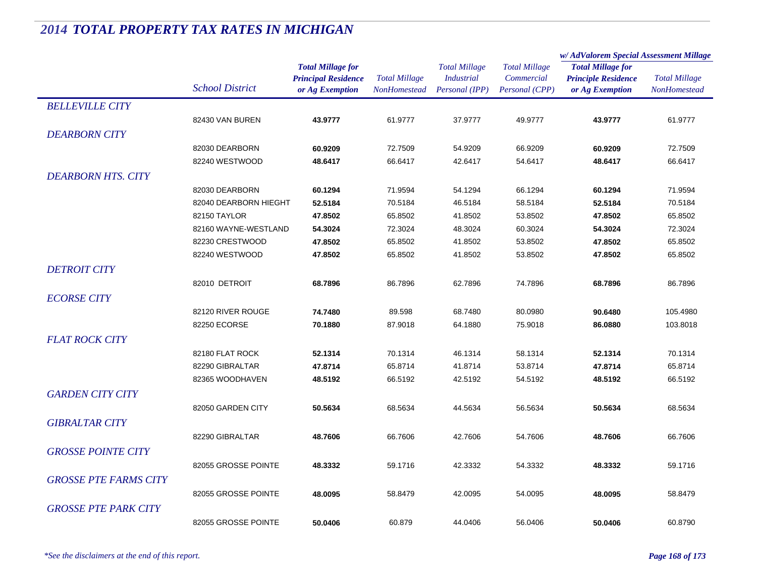|                              |                        |                            |                      |                      |                      | w/AdValorem Special Assessment Millage |                      |  |
|------------------------------|------------------------|----------------------------|----------------------|----------------------|----------------------|----------------------------------------|----------------------|--|
|                              |                        | <b>Total Millage for</b>   |                      | <b>Total Millage</b> | <b>Total Millage</b> | <b>Total Millage for</b>               |                      |  |
|                              |                        | <b>Principal Residence</b> | <b>Total Millage</b> | <b>Industrial</b>    | Commercial           | <b>Principle Residence</b>             | <b>Total Millage</b> |  |
|                              | <b>School District</b> | or Ag Exemption            | <b>NonHomestead</b>  | Personal (IPP)       | Personal (CPP)       | or Ag Exemption                        | <b>NonHomestead</b>  |  |
| <b>BELLEVILLE CITY</b>       |                        |                            |                      |                      |                      |                                        |                      |  |
|                              | 82430 VAN BUREN        | 43.9777                    | 61.9777              | 37.9777              | 49.9777              | 43.9777                                | 61.9777              |  |
| <b>DEARBORN CITY</b>         |                        |                            |                      |                      |                      |                                        |                      |  |
|                              | 82030 DEARBORN         | 60.9209                    | 72.7509              | 54.9209              | 66.9209              | 60.9209                                | 72.7509              |  |
|                              | 82240 WESTWOOD         | 48.6417                    | 66.6417              | 42.6417              | 54.6417              | 48.6417                                | 66.6417              |  |
| <b>DEARBORN HTS. CITY</b>    |                        |                            |                      |                      |                      |                                        |                      |  |
|                              | 82030 DEARBORN         |                            | 71.9594              | 54.1294              | 66.1294              |                                        | 71.9594              |  |
|                              | 82040 DEARBORN HIEGHT  | 60.1294                    | 70.5184              | 46.5184              | 58.5184              | 60.1294                                | 70.5184              |  |
|                              | 82150 TAYLOR           | 52.5184                    |                      |                      |                      | 52.5184                                |                      |  |
|                              |                        | 47.8502                    | 65.8502              | 41.8502              | 53.8502              | 47.8502                                | 65.8502              |  |
|                              | 82160 WAYNE-WESTLAND   | 54.3024                    | 72.3024              | 48.3024              | 60.3024              | 54.3024                                | 72.3024              |  |
|                              | 82230 CRESTWOOD        | 47.8502                    | 65.8502              | 41.8502              | 53.8502              | 47.8502                                | 65.8502              |  |
|                              | 82240 WESTWOOD         | 47.8502                    | 65.8502              | 41.8502              | 53.8502              | 47.8502                                | 65.8502              |  |
| <b>DETROIT CITY</b>          |                        |                            |                      |                      |                      |                                        |                      |  |
|                              | 82010 DETROIT          | 68.7896                    | 86.7896              | 62.7896              | 74.7896              | 68.7896                                | 86.7896              |  |
| <b>ECORSE CITY</b>           |                        |                            |                      |                      |                      |                                        |                      |  |
|                              | 82120 RIVER ROUGE      | 74.7480                    | 89.598               | 68.7480              | 80.0980              | 90.6480                                | 105.4980             |  |
|                              | 82250 ECORSE           | 70.1880                    | 87.9018              | 64.1880              | 75.9018              | 86.0880                                | 103.8018             |  |
| <b>FLAT ROCK CITY</b>        |                        |                            |                      |                      |                      |                                        |                      |  |
|                              | 82180 FLAT ROCK        | 52.1314                    | 70.1314              | 46.1314              | 58.1314              | 52.1314                                | 70.1314              |  |
|                              | 82290 GIBRALTAR        | 47.8714                    | 65.8714              | 41.8714              | 53.8714              | 47.8714                                | 65.8714              |  |
|                              | 82365 WOODHAVEN        | 48.5192                    | 66.5192              | 42.5192              | 54.5192              | 48.5192                                | 66.5192              |  |
| <b>GARDEN CITY CITY</b>      |                        |                            |                      |                      |                      |                                        |                      |  |
|                              | 82050 GARDEN CITY      | 50.5634                    | 68.5634              | 44.5634              | 56.5634              | 50.5634                                | 68.5634              |  |
|                              |                        |                            |                      |                      |                      |                                        |                      |  |
| <b>GIBRALTAR CITY</b>        |                        |                            |                      |                      |                      |                                        |                      |  |
|                              | 82290 GIBRALTAR        | 48.7606                    | 66.7606              | 42.7606              | 54.7606              | 48.7606                                | 66.7606              |  |
| <b>GROSSE POINTE CITY</b>    |                        |                            |                      |                      |                      |                                        |                      |  |
|                              | 82055 GROSSE POINTE    | 48.3332                    | 59.1716              | 42.3332              | 54.3332              | 48.3332                                | 59.1716              |  |
| <b>GROSSE PTE FARMS CITY</b> |                        |                            |                      |                      |                      |                                        |                      |  |
|                              | 82055 GROSSE POINTE    | 48.0095                    | 58.8479              | 42.0095              | 54.0095              | 48.0095                                | 58.8479              |  |
| <b>GROSSE PTE PARK CITY</b>  |                        |                            |                      |                      |                      |                                        |                      |  |
|                              | 82055 GROSSE POINTE    | 50.0406                    | 60.879               | 44.0406              | 56.0406              | 50.0406                                | 60.8790              |  |
|                              |                        |                            |                      |                      |                      |                                        |                      |  |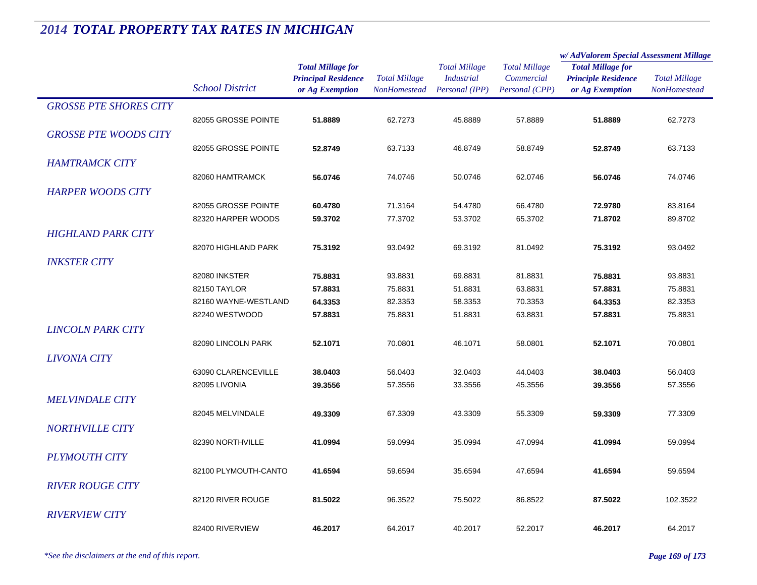|                               |                                        |                                                                           |                                             |                                                             |                                                      | w/ AdValorem Special Assessment Millage                                   |                                             |
|-------------------------------|----------------------------------------|---------------------------------------------------------------------------|---------------------------------------------|-------------------------------------------------------------|------------------------------------------------------|---------------------------------------------------------------------------|---------------------------------------------|
|                               | <b>School District</b>                 | <b>Total Millage for</b><br><b>Principal Residence</b><br>or Ag Exemption | <b>Total Millage</b><br><b>NonHomestead</b> | <b>Total Millage</b><br><b>Industrial</b><br>Personal (IPP) | <b>Total Millage</b><br>Commercial<br>Personal (CPP) | <b>Total Millage for</b><br><b>Principle Residence</b><br>or Ag Exemption | <b>Total Millage</b><br><b>NonHomestead</b> |
| <b>GROSSE PTE SHORES CITY</b> |                                        |                                                                           |                                             |                                                             |                                                      |                                                                           |                                             |
|                               | 82055 GROSSE POINTE                    | 51.8889                                                                   | 62.7273                                     | 45.8889                                                     | 57.8889                                              | 51.8889                                                                   | 62.7273                                     |
| <b>GROSSE PTE WOODS CITY</b>  |                                        |                                                                           |                                             |                                                             |                                                      |                                                                           |                                             |
|                               | 82055 GROSSE POINTE                    | 52.8749                                                                   | 63.7133                                     | 46.8749                                                     | 58.8749                                              | 52.8749                                                                   | 63.7133                                     |
| <b>HAMTRAMCK CITY</b>         |                                        |                                                                           |                                             |                                                             |                                                      |                                                                           |                                             |
|                               | 82060 HAMTRAMCK                        | 56.0746                                                                   | 74.0746                                     | 50.0746                                                     | 62.0746                                              | 56.0746                                                                   | 74.0746                                     |
| <b>HARPER WOODS CITY</b>      |                                        |                                                                           |                                             |                                                             |                                                      |                                                                           |                                             |
|                               | 82055 GROSSE POINTE                    | 60.4780                                                                   | 71.3164                                     | 54.4780                                                     | 66.4780                                              | 72.9780                                                                   | 83.8164                                     |
|                               | 82320 HARPER WOODS                     | 59.3702                                                                   | 77.3702                                     | 53.3702                                                     | 65.3702                                              | 71.8702                                                                   | 89.8702                                     |
| <b>HIGHLAND PARK CITY</b>     |                                        |                                                                           |                                             |                                                             |                                                      |                                                                           |                                             |
|                               | 82070 HIGHLAND PARK                    | 75.3192                                                                   | 93.0492                                     | 69.3192                                                     | 81.0492                                              | 75.3192                                                                   | 93.0492                                     |
|                               |                                        |                                                                           |                                             |                                                             |                                                      |                                                                           |                                             |
| <b>INKSTER CITY</b>           |                                        |                                                                           |                                             |                                                             |                                                      |                                                                           |                                             |
|                               | 82080 INKSTER                          | 75.8831                                                                   | 93.8831                                     | 69.8831                                                     | 81.8831                                              | 75.8831                                                                   | 93.8831                                     |
|                               | 82150 TAYLOR                           | 57.8831                                                                   | 75.8831                                     | 51.8831                                                     | 63.8831                                              | 57.8831                                                                   | 75.8831                                     |
|                               | 82160 WAYNE-WESTLAND<br>82240 WESTWOOD | 64.3353<br>57.8831                                                        | 82.3353<br>75.8831                          | 58.3353<br>51.8831                                          | 70.3353<br>63.8831                                   | 64.3353<br>57.8831                                                        | 82.3353<br>75.8831                          |
|                               |                                        |                                                                           |                                             |                                                             |                                                      |                                                                           |                                             |
| <b>LINCOLN PARK CITY</b>      |                                        |                                                                           |                                             |                                                             |                                                      |                                                                           |                                             |
|                               | 82090 LINCOLN PARK                     | 52.1071                                                                   | 70.0801                                     | 46.1071                                                     | 58.0801                                              | 52.1071                                                                   | 70.0801                                     |
| <b>LIVONIA CITY</b>           |                                        |                                                                           |                                             |                                                             |                                                      |                                                                           |                                             |
|                               | 63090 CLARENCEVILLE                    | 38.0403                                                                   | 56.0403                                     | 32.0403                                                     | 44.0403                                              | 38.0403                                                                   | 56.0403                                     |
|                               | 82095 LIVONIA                          | 39.3556                                                                   | 57.3556                                     | 33.3556                                                     | 45.3556                                              | 39.3556                                                                   | 57.3556                                     |
| <b>MELVINDALE CITY</b>        |                                        |                                                                           |                                             |                                                             |                                                      |                                                                           |                                             |
|                               | 82045 MELVINDALE                       | 49.3309                                                                   | 67.3309                                     | 43.3309                                                     | 55.3309                                              | 59.3309                                                                   | 77.3309                                     |
| <b>NORTHVILLE CITY</b>        |                                        |                                                                           |                                             |                                                             |                                                      |                                                                           |                                             |
|                               | 82390 NORTHVILLE                       | 41.0994                                                                   | 59.0994                                     | 35.0994                                                     | 47.0994                                              | 41.0994                                                                   | 59.0994                                     |
| <b>PLYMOUTH CITY</b>          |                                        |                                                                           |                                             |                                                             |                                                      |                                                                           |                                             |
|                               | 82100 PLYMOUTH-CANTO                   | 41.6594                                                                   | 59.6594                                     | 35.6594                                                     | 47.6594                                              | 41.6594                                                                   | 59.6594                                     |
| <b>RIVER ROUGE CITY</b>       |                                        |                                                                           |                                             |                                                             |                                                      |                                                                           |                                             |
|                               | 82120 RIVER ROUGE                      | 81.5022                                                                   | 96.3522                                     | 75.5022                                                     | 86.8522                                              | 87.5022                                                                   | 102.3522                                    |
| <b>RIVERVIEW CITY</b>         |                                        |                                                                           |                                             |                                                             |                                                      |                                                                           |                                             |
|                               | 82400 RIVERVIEW                        | 46.2017                                                                   | 64.2017                                     | 40.2017                                                     | 52.2017                                              | 46.2017                                                                   | 64.2017                                     |
|                               |                                        |                                                                           |                                             |                                                             |                                                      |                                                                           |                                             |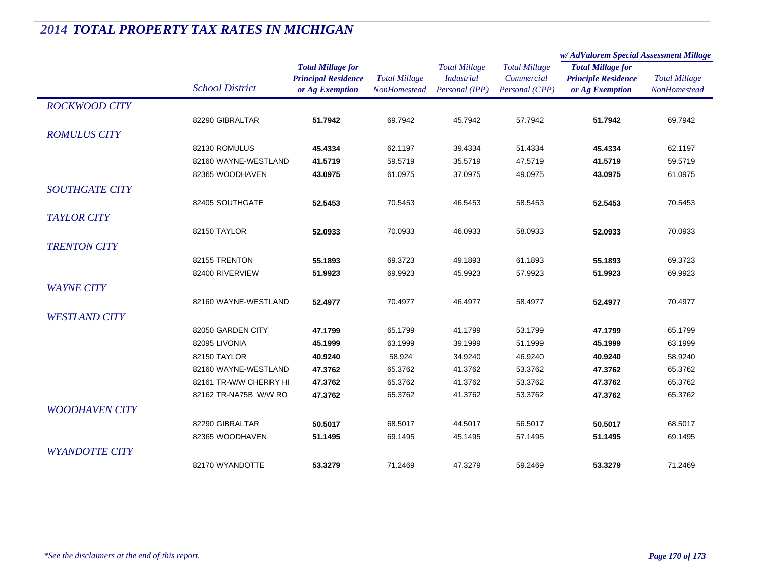|                                                                           | w/AdValorem Special Assessment Millage                                                                                |
|---------------------------------------------------------------------------|-----------------------------------------------------------------------------------------------------------------------|
| <b>Total Millage for</b><br><b>Principle Residence</b><br>or Ag Exemption | <b>Total Millage</b><br>NonHomestead                                                                                  |
|                                                                           |                                                                                                                       |
| 51.7942                                                                   | 69.7942                                                                                                               |
|                                                                           |                                                                                                                       |
| 45.4334                                                                   | 62.1197                                                                                                               |
| 41.5719                                                                   | 59.5719                                                                                                               |
| 43.0975                                                                   | 61.0975                                                                                                               |
|                                                                           |                                                                                                                       |
| 52.5453                                                                   | 70.5453                                                                                                               |
|                                                                           |                                                                                                                       |
| 52.0933                                                                   | 70.0933                                                                                                               |
|                                                                           |                                                                                                                       |
|                                                                           | 69.3723                                                                                                               |
|                                                                           | 69.9923                                                                                                               |
|                                                                           |                                                                                                                       |
|                                                                           | 70.4977                                                                                                               |
|                                                                           |                                                                                                                       |
|                                                                           | 65.1799                                                                                                               |
|                                                                           | 63.1999                                                                                                               |
|                                                                           | 58.9240                                                                                                               |
|                                                                           | 65.3762                                                                                                               |
|                                                                           | 65.3762                                                                                                               |
| 47.3762                                                                   | 65.3762                                                                                                               |
|                                                                           |                                                                                                                       |
|                                                                           | 68.5017                                                                                                               |
|                                                                           | 69.1495                                                                                                               |
|                                                                           |                                                                                                                       |
|                                                                           | 71.2469                                                                                                               |
|                                                                           | 55.1893<br>51.9923<br>52.4977<br>47.1799<br>45.1999<br>40.9240<br>47.3762<br>47.3762<br>50.5017<br>51.1495<br>53.3279 |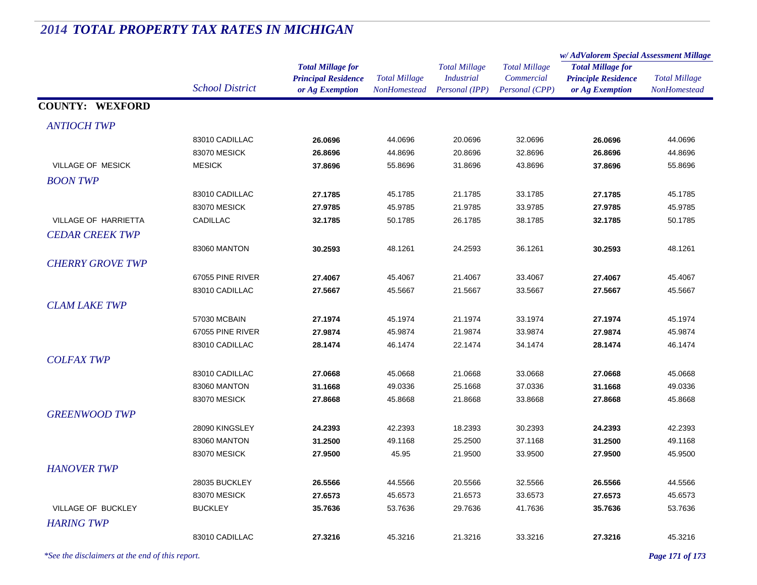#### *Total Millage for Principal Residence School District or Ag Exemption Total Millage NonHomesteadTotal Millage for Principle Residence or Ag Exemption Total Millage NonHomesteadw/ AdValorem Special Assessment Millage Total Millage CommercialPersonal (CPP) Total Millage IndustrialPersonal (IPP)* **COUNTY: WEXFORD***ANTIOCH TWP* $P$ 83010 CADILLAC **26.0696** 44.0696 20.0696 32.0696 **26.0696** 44.0696 83070 MESICK **26.8696** 44.8696 20.8696 32.8696 **26.8696** 44.8696 VILLAGE OF MESICK MESICK **37.8696** 55.8696 31.8696 43.8696 **37.8696** 55.8696 *BOON TWP* $\overline{P}$ 83010 CADILLAC **27.1785** 45.1785 21.1785 33.1785 **27.1785** 45.1785 83070 MESICK **27.9785** 45.9785 21.9785 33.9785 **27.9785** 45.9785 VILLAGE OF HARRIETTA CADILLAC **32.1785** 50.1785 26.1785 38.1785 **32.1785** 50.1785 *CEDAR CREEK TWP* $\overline{P}$ 83060 MANTON **30.2593** 48.1261 24.2593 36.1261 **30.2593** 48.1261 *CHERRY GROVE TWP* $\overline{P}$ 67055 PINE RIVER **27.4067** 45.4067 21.4067 33.4067 **27.4067** 45.4067 83010 CADILLAC **27.5667** 45.5667 21.5667 33.5667 **27.5667** 45.5667 *CLAM LAKE TWP* $P$ 57030 MCBAIN **27.1974** 45.1974 21.1974 33.1974 **27.1974** 45.1974 67055 PINE RIVER **27.9874** 45.9874 21.9874 33.9874 **27.9874** 45.9874 83010 CADILLAC **28.1474** 46.1474 22.1474 34.1474 **28.1474** 46.1474 *COLFAX TWP* $P$ 83010 CADILLAC **27.0668** 45.0668 21.0668 33.0668 **27.0668** 45.0668 83060 MANTON **31.1668** 49.0336 25.1668 37.0336 **31.1668** 49.0336 83070 MESICK **27.8668** 45.8668 21.8668 33.8668 **27.8668** 45.8668 *GREENWOOD TWP* $\overline{P}$ 28090 KINGSLEY **24.2393** 42.2393 18.2393 30.2393 **24.2393** 42.2393 83060 MANTON **31.2500** 49.1168 25.2500 37.1168 **31.2500** 49.1168 83070 MESICK **27.9500** 45.95 21.9500 33.9500 **27.9500** 45.9500 *HANOVER TWP* $\overline{P}$ 28035 BUCKLEY **26.5566** 44.5566 20.5566 32.5566 **26.5566** 44.5566 83070 MESICK **27.6573** 45.6573 21.6573 33.6573 **27.6573** 45.6573 VILLAGE OF BUCKLEY BUCKLEY **35.7636** 53.7636 29.7636 41.7636 **35.7636** 53.7636 *HARING TWP* $\overline{P}$ 83010 CADILLAC **27.3216**45.3216 21.3216 33.3216 **27.3216** 45.3216

# *2014 TOTAL PROPERTY TAX RATES IN MICHIGAN*

*\*See the disclaimers at the end of this report. Page 171 of 173*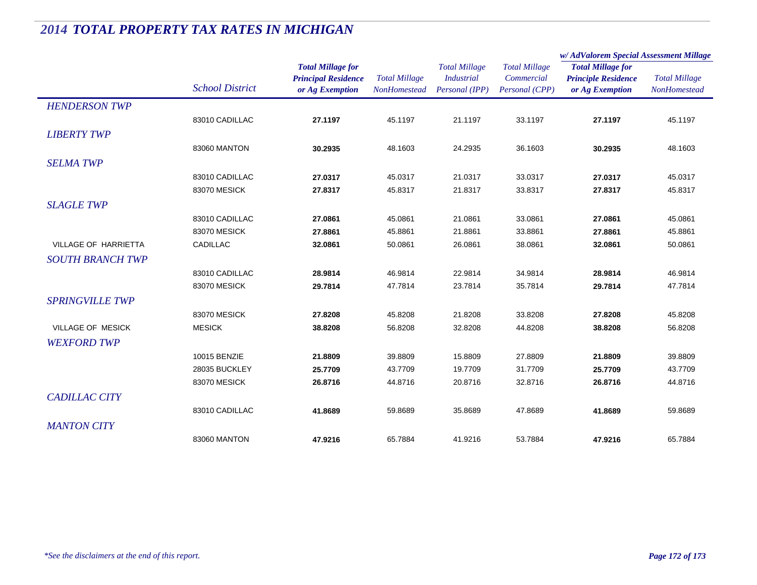|                             |                        |                                                                           |                                      |                                                             |                                                      | w/AdValorem Special Assessment Millage                                    |                                      |
|-----------------------------|------------------------|---------------------------------------------------------------------------|--------------------------------------|-------------------------------------------------------------|------------------------------------------------------|---------------------------------------------------------------------------|--------------------------------------|
|                             | <b>School District</b> | <b>Total Millage for</b><br><b>Principal Residence</b><br>or Ag Exemption | <b>Total Millage</b><br>NonHomestead | <b>Total Millage</b><br><b>Industrial</b><br>Personal (IPP) | <b>Total Millage</b><br>Commercial<br>Personal (CPP) | <b>Total Millage for</b><br><b>Principle Residence</b><br>or Ag Exemption | <b>Total Millage</b><br>NonHomestead |
| <b>HENDERSON TWP</b>        |                        |                                                                           |                                      |                                                             |                                                      |                                                                           |                                      |
|                             | 83010 CADILLAC         | 27.1197                                                                   | 45.1197                              | 21.1197                                                     | 33.1197                                              | 27.1197                                                                   | 45.1197                              |
| <b>LIBERTY TWP</b>          |                        |                                                                           |                                      |                                                             |                                                      |                                                                           |                                      |
|                             | 83060 MANTON           | 30.2935                                                                   | 48.1603                              | 24.2935                                                     | 36.1603                                              | 30.2935                                                                   | 48.1603                              |
| <b>SELMA TWP</b>            |                        |                                                                           |                                      |                                                             |                                                      |                                                                           |                                      |
|                             | 83010 CADILLAC         | 27.0317                                                                   | 45.0317                              | 21.0317                                                     | 33.0317                                              | 27.0317                                                                   | 45.0317                              |
|                             | 83070 MESICK           | 27.8317                                                                   | 45.8317                              | 21.8317                                                     | 33.8317                                              | 27.8317                                                                   | 45.8317                              |
| <b>SLAGLE TWP</b>           |                        |                                                                           |                                      |                                                             |                                                      |                                                                           |                                      |
|                             | 83010 CADILLAC         | 27.0861                                                                   | 45.0861                              | 21.0861                                                     | 33.0861                                              | 27.0861                                                                   | 45.0861                              |
|                             | 83070 MESICK           | 27.8861                                                                   | 45.8861                              | 21.8861                                                     | 33.8861                                              | 27.8861                                                                   | 45.8861                              |
| <b>VILLAGE OF HARRIETTA</b> | <b>CADILLAC</b>        | 32.0861                                                                   | 50.0861                              | 26.0861                                                     | 38.0861                                              | 32.0861                                                                   | 50.0861                              |
| <b>SOUTH BRANCH TWP</b>     |                        |                                                                           |                                      |                                                             |                                                      |                                                                           |                                      |
|                             | 83010 CADILLAC         | 28.9814                                                                   | 46.9814                              | 22.9814                                                     | 34.9814                                              | 28.9814                                                                   | 46.9814                              |
|                             | 83070 MESICK           | 29.7814                                                                   | 47.7814                              | 23.7814                                                     | 35.7814                                              | 29.7814                                                                   | 47.7814                              |
| <b>SPRINGVILLE TWP</b>      |                        |                                                                           |                                      |                                                             |                                                      |                                                                           |                                      |
|                             | 83070 MESICK           | 27.8208                                                                   | 45.8208                              | 21.8208                                                     | 33.8208                                              | 27.8208                                                                   | 45.8208                              |
| VILLAGE OF MESICK           | <b>MESICK</b>          | 38.8208                                                                   | 56.8208                              | 32.8208                                                     | 44.8208                                              | 38.8208                                                                   | 56.8208                              |
| <b>WEXFORD TWP</b>          |                        |                                                                           |                                      |                                                             |                                                      |                                                                           |                                      |
|                             | 10015 BENZIE           | 21.8809                                                                   | 39.8809                              | 15.8809                                                     | 27.8809                                              | 21.8809                                                                   | 39.8809                              |
|                             | 28035 BUCKLEY          | 25.7709                                                                   | 43.7709                              | 19.7709                                                     | 31.7709                                              | 25.7709                                                                   | 43.7709                              |
|                             | 83070 MESICK           | 26.8716                                                                   | 44.8716                              | 20.8716                                                     | 32.8716                                              | 26.8716                                                                   | 44.8716                              |
| <b>CADILLAC CITY</b>        |                        |                                                                           |                                      |                                                             |                                                      |                                                                           |                                      |
|                             | 83010 CADILLAC         | 41.8689                                                                   | 59.8689                              | 35.8689                                                     | 47.8689                                              | 41.8689                                                                   | 59.8689                              |
| <b>MANTON CITY</b>          |                        |                                                                           |                                      |                                                             |                                                      |                                                                           |                                      |
|                             | 83060 MANTON           | 47.9216                                                                   | 65.7884                              | 41.9216                                                     | 53.7884                                              | 47.9216                                                                   | 65.7884                              |